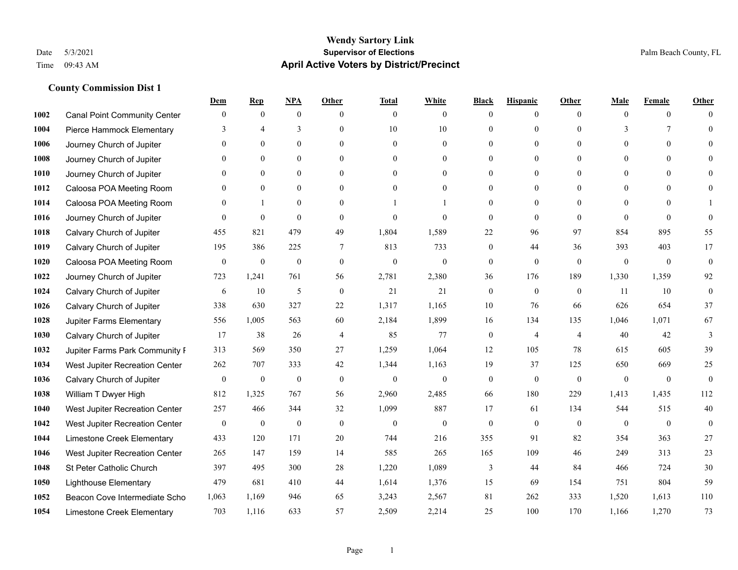|      |                                     | Dem              | <b>Rep</b>              | NPA              | <b>Other</b>   | <b>Total</b>     | <b>White</b>     | <b>Black</b>     | <b>Hispanic</b>  | <b>Other</b>   | <b>Male</b>    | <b>Female</b>    | <b>Other</b>     |
|------|-------------------------------------|------------------|-------------------------|------------------|----------------|------------------|------------------|------------------|------------------|----------------|----------------|------------------|------------------|
| 1002 | <b>Canal Point Community Center</b> | $\mathbf{0}$     | $\mathbf{0}$            | $\boldsymbol{0}$ | $\theta$       | $\theta$         | $\overline{0}$   | $\mathbf{0}$     | $\boldsymbol{0}$ | $\theta$       | $\theta$       | $\overline{0}$   | $\Omega$         |
| 1004 | Pierce Hammock Elementary           | 3                | $\overline{\mathbf{4}}$ | 3                | $\Omega$       | 10               | $10\,$           | $\mathbf{0}$     | $\mathbf{0}$     | $\Omega$       | 3              | 7                | $\theta$         |
| 1006 | Journey Church of Jupiter           | $\Omega$         | $\theta$                | $\theta$         | $\Omega$       | $\Omega$         | $\Omega$         | $\theta$         | $\theta$         | $\Omega$       | $\Omega$       | $\Omega$         | $\Omega$         |
| 1008 | Journey Church of Jupiter           | $\mathbf{0}$     | $\mathbf{0}$            | $\mathbf{0}$     | $\overline{0}$ | $\theta$         | $\boldsymbol{0}$ | $\mathbf{0}$     | $\mathbf{0}$     | $\mathbf{0}$   | $\overline{0}$ | $\mathbf{0}$     | $\Omega$         |
| 1010 | Journey Church of Jupiter           | $\theta$         | $\mathbf{0}$            | $\mathbf{0}$     | $\theta$       | $\theta$         | $\overline{0}$   | $\mathbf{0}$     | $\overline{0}$   | $\theta$       | $\theta$       | $\theta$         | $\theta$         |
| 1012 | Caloosa POA Meeting Room            | $\theta$         | $\mathbf{0}$            | $\mathbf{0}$     | $\theta$       | $\theta$         | $\overline{0}$   | $\mathbf{0}$     | $\mathbf{0}$     | $\Omega$       | $\theta$       | $\Omega$         | $\theta$         |
| 1014 | Caloosa POA Meeting Room            | $\mathbf{0}$     | $\mathbf{1}$            | $\mathbf{0}$     | $\overline{0}$ |                  |                  | $\boldsymbol{0}$ | $\mathbf{0}$     | $\Omega$       | $\mathbf{0}$   | $\theta$         |                  |
| 1016 | Journey Church of Jupiter           | $\Omega$         | $\mathbf{0}$            | $\theta$         | $\theta$       | $\theta$         | $\theta$         | $\mathbf{0}$     | $\Omega$         | $\Omega$       | $\Omega$       | $\Omega$         | $\theta$         |
| 1018 | Calvary Church of Jupiter           | 455              | 821                     | 479              | 49             | 1,804            | 1,589            | 22               | 96               | 97             | 854            | 895              | 55               |
| 1019 | Calvary Church of Jupiter           | 195              | 386                     | 225              | $\tau$         | 813              | 733              | $\mathbf{0}$     | 44               | 36             | 393            | 403              | 17               |
| 1020 | Caloosa POA Meeting Room            | $\mathbf{0}$     | $\boldsymbol{0}$        | $\boldsymbol{0}$ | $\mathbf{0}$   | $\theta$         | $\boldsymbol{0}$ | $\boldsymbol{0}$ | $\mathbf{0}$     | $\theta$       | $\mathbf{0}$   | $\overline{0}$   | $\mathbf{0}$     |
| 1022 | Journey Church of Jupiter           | 723              | 1,241                   | 761              | 56             | 2,781            | 2,380            | 36               | 176              | 189            | 1,330          | 1,359            | 92               |
| 1024 | Calvary Church of Jupiter           | 6                | 10                      | 5                | $\mathbf{0}$   | 21               | 21               | $\boldsymbol{0}$ | $\mathbf{0}$     | $\theta$       | 11             | 10               | $\boldsymbol{0}$ |
| 1026 | Calvary Church of Jupiter           | 338              | 630                     | 327              | $22\,$         | 1,317            | 1,165            | $10\,$           | 76               | 66             | 626            | 654              | 37               |
| 1028 | Jupiter Farms Elementary            | 556              | 1,005                   | 563              | 60             | 2,184            | 1,899            | 16               | 134              | 135            | 1,046          | 1,071            | 67               |
| 1030 | Calvary Church of Jupiter           | 17               | 38                      | 26               | $\overline{4}$ | 85               | 77               | $\boldsymbol{0}$ | $\overline{4}$   | $\overline{4}$ | 40             | 42               | 3                |
| 1032 | Jupiter Farms Park Community I      | 313              | 569                     | 350              | 27             | 1,259            | 1,064            | 12               | 105              | 78             | 615            | 605              | 39               |
| 1034 | West Jupiter Recreation Center      | 262              | 707                     | 333              | 42             | 1,344            | 1,163            | 19               | 37               | 125            | 650            | 669              | 25               |
| 1036 | Calvary Church of Jupiter           | $\boldsymbol{0}$ | $\boldsymbol{0}$        | $\boldsymbol{0}$ | $\mathbf{0}$   | $\boldsymbol{0}$ | $\boldsymbol{0}$ | $\boldsymbol{0}$ | $\mathbf{0}$     | $\overline{0}$ | $\mathbf{0}$   | $\mathbf{0}$     | $\boldsymbol{0}$ |
| 1038 | William T Dwyer High                | 812              | 1,325                   | 767              | 56             | 2,960            | 2,485            | 66               | 180              | 229            | 1,413          | 1.435            | 112              |
| 1040 | West Jupiter Recreation Center      | 257              | 466                     | 344              | 32             | 1,099            | 887              | 17               | 61               | 134            | 544            | 515              | 40               |
| 1042 | West Jupiter Recreation Center      | $\boldsymbol{0}$ | $\boldsymbol{0}$        | $\boldsymbol{0}$ | $\mathbf{0}$   | $\boldsymbol{0}$ | $\boldsymbol{0}$ | $\boldsymbol{0}$ | $\boldsymbol{0}$ | $\mathbf{0}$   | $\mathbf{0}$   | $\boldsymbol{0}$ | $\mathbf{0}$     |
| 1044 | Limestone Creek Elementary          | 433              | 120                     | 171              | 20             | 744              | 216              | 355              | 91               | 82             | 354            | 363              | 27               |
| 1046 | West Jupiter Recreation Center      | 265              | 147                     | 159              | 14             | 585              | 265              | 165              | 109              | 46             | 249            | 313              | 23               |
| 1048 | St Peter Catholic Church            | 397              | 495                     | 300              | $28\,$         | 1,220            | 1,089            | 3                | 44               | 84             | 466            | 724              | 30               |
| 1050 | <b>Lighthouse Elementary</b>        | 479              | 681                     | 410              | 44             | 1,614            | 1,376            | 15               | 69               | 154            | 751            | 804              | 59               |
| 1052 | Beacon Cove Intermediate Scho       | 1,063            | 1,169                   | 946              | 65             | 3,243            | 2,567            | 81               | 262              | 333            | 1,520          | 1,613            | 110              |
| 1054 | Limestone Creek Elementary          | 703              | 1,116                   | 633              | 57             | 2,509            | 2,214            | 25               | 100              | 170            | 1,166          | 1,270            | 73               |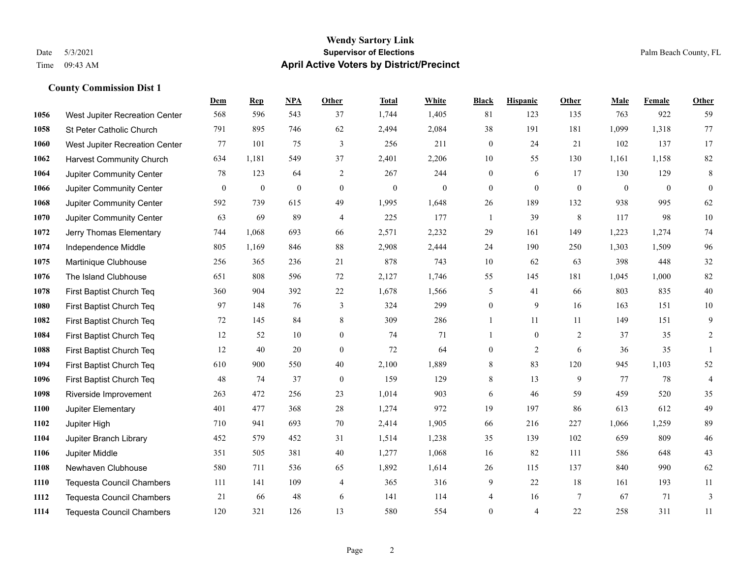#### **Wendy Sartory Link** Date 5/3/2021 **Supervisor of Elections** Palm Beach County, FL Time 09:43 AM **April Active Voters by District/Precinct**

**Dem Rep NPA Other Total White Black Hispanic Other Male Female Other**

## West Jupiter Recreation Center 568 596 543 37 1,744 1,405 81 123 135 763 922 59 St Peter Catholic Church 791 895 746 62 2,494 2,084 38 191 181 1,099 1,318 77 West Jupiter Recreation Center 77 101 75 3 256 211 0 24 21 102 137 17 Harvest Community Church 634 1,181 549 37 2,401 2,206 10 55 130 1,161 1,158 82 Jupiter Community Center **78** 123 64 2 267 244 0 6 17 130 129 8 Jupiter Community Center 0 0 0 0 0 0 0 0 0 0 0 0 Jupiter Community Center 592 739 615 49 1,995 1,648 26 189 132 938 995 62 Jupiter Community Center 63 69 89 4 225 177 1 39 8 117 98 10 Jerry Thomas Elementary 744 1,068 693 66 2,571 2,232 29 161 149 1,223 1,274 74 Independence Middle 805 1,169 846 88 2,908 2,444 24 190 250 1,303 1,509 96 Martinique Clubhouse 256 365 236 21 878 743 10 62 63 398 448 32 The Island Clubhouse 651 808 596 72 2,127 1,746 55 145 181 1,045 1,000 82 First Baptist Church Teq 360 904 392 22 1,678 1,566 5 41 66 803 835 40 First Baptist Church Teq 97 148 76 3 324 299 0 9 16 163 151 10 First Baptist Church Teq 72 145 84 8 309 286 1 11 11 149 151 9 First Baptist Church Teq 12 52 10 0 74 71 1 0 2 37 35 2 First Baptist Church Teq 12 40 20 0 72 64 0 2 6 36 35 1 First Baptist Church Teq 610 900 550 40 2,100 1,889 8 83 120 945 1,103 52 First Baptist Church Teq 48 74 37 0 159 129 8 13 9 77 78 4 Riverside Improvement 263 472 256 23 1,014 903 6 46 59 459 520 35 Jupiter Elementary 401 477 368 28 1,274 972 19 197 86 613 612 49 Jupiter High 710 941 693 70 2,414 1,905 66 216 227 1,066 1,259 89 Jupiter Branch Library 452 579 452 31 1,514 1,238 35 139 102 659 809 46 Jupiter Middle 351 505 381 40 1,277 1,068 16 82 111 586 648 43 Newhaven Clubhouse 580 711 536 65 1,892 1,614 26 115 137 840 990 62 Tequesta Council Chambers 111 141 109 4 365 316 9 22 18 161 193 11

 Tequesta Council Chambers 21 66 48 6 141 114 4 16 7 67 71 3 Tequesta Council Chambers 120 321 126 13 580 554 0 4 22 258 311 11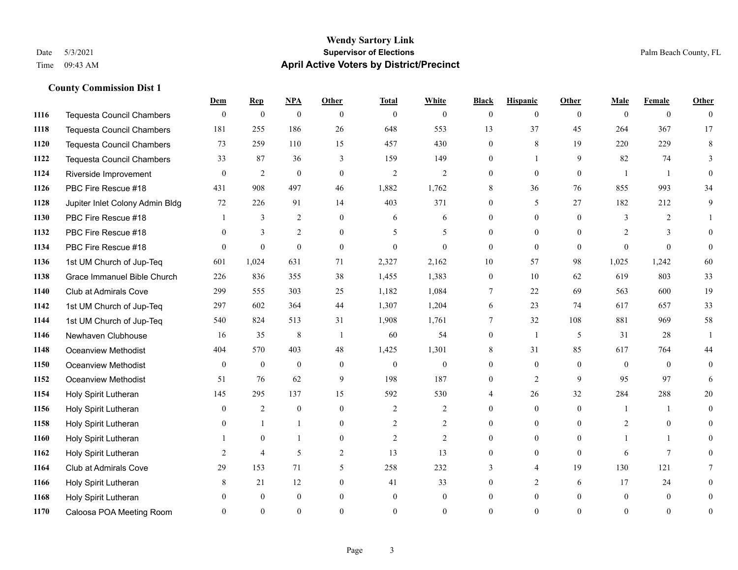# **Dem Rep NPA Other Total White Black Hispanic Other Male Female Other County Commission Dist 1**

| 1116 | <b>Tequesta Council Chambers</b> | $\Omega$ | $\theta$         | $\theta$         | $\Omega$       | $\mathbf{0}$   | $\Omega$       | 0              | $\theta$       | $\Omega$ | 0              | $\theta$       | 0              |
|------|----------------------------------|----------|------------------|------------------|----------------|----------------|----------------|----------------|----------------|----------|----------------|----------------|----------------|
| 1118 | <b>Tequesta Council Chambers</b> | 181      | 255              | 186              | 26             | 648            | 553            | 13             | 37             | 45       | 264            | 367            | 17             |
| 1120 | <b>Tequesta Council Chambers</b> | 73       | 259              | 110              | 15             | 457            | 430            | $\overline{0}$ | $8\,$          | 19       | 220            | 229            | 8              |
| 1122 | Tequesta Council Chambers        | 33       | 87               | 36               | 3              | 159            | 149            | $\overline{0}$ |                | 9        | 82             | 74             | 3              |
| 1124 | Riverside Improvement            | $\theta$ | 2                | $\overline{0}$   | $\theta$       | $\overline{2}$ | 2              | $\theta$       | $\overline{0}$ | $\theta$ | $\overline{1}$ | $\overline{1}$ | $\Omega$       |
| 1126 | PBC Fire Rescue #18              | 431      | 908              | 497              | 46             | 1,882          | 1,762          | 8              | 36             | 76       | 855            | 993            | 34             |
| 1128 | Jupiter Inlet Colony Admin Bldg  | 72       | 226              | 91               | 14             | 403            | 371            | $\overline{0}$ | 5              | 27       | 182            | 212            | 9              |
| 1130 | PBC Fire Rescue #18              |          | 3                | 2                | $\Omega$       | 6              | 6              | $\theta$       | $\theta$       | $\Omega$ | $\mathcal{E}$  | 2              |                |
| 1132 | PBC Fire Rescue #18              | $\theta$ | 3                | $\overline{2}$   | $\theta$       | 5              | 5              | 0              | $\Omega$       | $\Omega$ | 2              | 3              |                |
| 1134 | PBC Fire Rescue #18              | $\theta$ | $\theta$         | $\theta$         | $\mathbf{0}$   | $\overline{0}$ | $\theta$       | $\theta$       | $\Omega$       | $\theta$ | $\Omega$       | $\theta$       | $\Omega$       |
| 1136 | 1st UM Church of Jup-Teq         | 601      | 1,024            | 631              | 71             | 2,327          | 2,162          | 10             | 57             | 98       | 1,025          | 1,242          | 60             |
| 1138 | Grace Immanuel Bible Church      | 226      | 836              | 355              | 38             | 1,455          | 1,383          | $\Omega$       | 10             | 62       | 619            | 803            | 33             |
| 1140 | Club at Admirals Cove            | 299      | 555              | 303              | 25             | 1,182          | 1,084          | 7              | 22             | 69       | 563            | 600            | 19             |
| 1142 | 1st UM Church of Jup-Teq         | 297      | 602              | 364              | 44             | 1,307          | 1,204          | 6              | 23             | 74       | 617            | 657            | 33             |
| 1144 | 1st UM Church of Jup-Teq         | 540      | 824              | 513              | 31             | 1,908          | 1,761          | $\tau$         | 32             | 108      | 881            | 969            | $58\,$         |
| 1146 | Newhaven Clubhouse               | 16       | 35               | $\,$ 8 $\,$      | $\overline{1}$ | 60             | 54             | $\overline{0}$ | 1              | 5        | 31             | 28             |                |
| 1148 | Oceanview Methodist              | 404      | 570              | 403              | 48             | 1,425          | 1,301          | 8              | 31             | 85       | 617            | 764            | 44             |
| 1150 | Oceanview Methodist              | $\theta$ | $\boldsymbol{0}$ | $\boldsymbol{0}$ | $\mathbf{0}$   | $\mathbf{0}$   | $\mathbf{0}$   | 0              | $\overline{0}$ | $\theta$ | $\overline{0}$ | $\theta$       | 0              |
| 1152 | <b>Oceanview Methodist</b>       | 51       | 76               | 62               | 9              | 198            | 187            | $\overline{0}$ | $\overline{c}$ | 9        | 95             | 97             | 6              |
| 1154 | Holy Spirit Lutheran             | 145      | 295              | 137              | 15             | 592            | 530            |                | 26             | 32       | 284            | 288            | 20             |
| 1156 | Holy Spirit Lutheran             | $\theta$ | 2                | $\overline{0}$   | $\mathbf{0}$   | 2              | 2              | 0              | $\overline{0}$ | $\theta$ | $\mathbf{1}$   |                | 0              |
| 1158 | Holy Spirit Lutheran             | 0        | $\mathbf{1}$     | 1                | $\Omega$       | 2              | $\overline{2}$ | $\Omega$       | $\theta$       | $\Omega$ | 2              | $\Omega$       | 0              |
| 1160 | Holy Spirit Lutheran             |          | $\mathbf{0}$     | 1                | $\mathbf{0}$   | $\overline{c}$ | $\overline{2}$ | 0              | $\overline{0}$ | $\Omega$ |                |                |                |
| 1162 | Holy Spirit Lutheran             | 2        | 4                | 5                | 2              | 13             | 13             | $\Omega$       | $\overline{0}$ | $\theta$ | 6              | $\tau$         | 0              |
| 1164 | <b>Club at Admirals Cove</b>     | 29       | 153              | 71               | 5              | 258            | 232            | 3              | 4              | 19       | 130            | 121            |                |
| 1166 | Holy Spirit Lutheran             | 8        | 21               | 12               | $\mathbf{0}$   | 41             | 33             | $\Omega$       | $\overline{2}$ | 6        | 17             | 24             |                |
| 1168 | Holy Spirit Lutheran             |          | $\theta$         | $\mathbf{0}$     | $\Omega$       | $\theta$       | $\Omega$       | $\Omega$       | $\Omega$       | $\Omega$ | $\theta$       | $\theta$       | 0              |
| 1170 | Caloosa POA Meeting Room         | 0        | $\theta$         | $\overline{0}$   | $\theta$       | $\Omega$       | $\theta$       | $\Omega$       | $\Omega$       | $\theta$ | $\theta$       | $\Omega$       | $\overline{0}$ |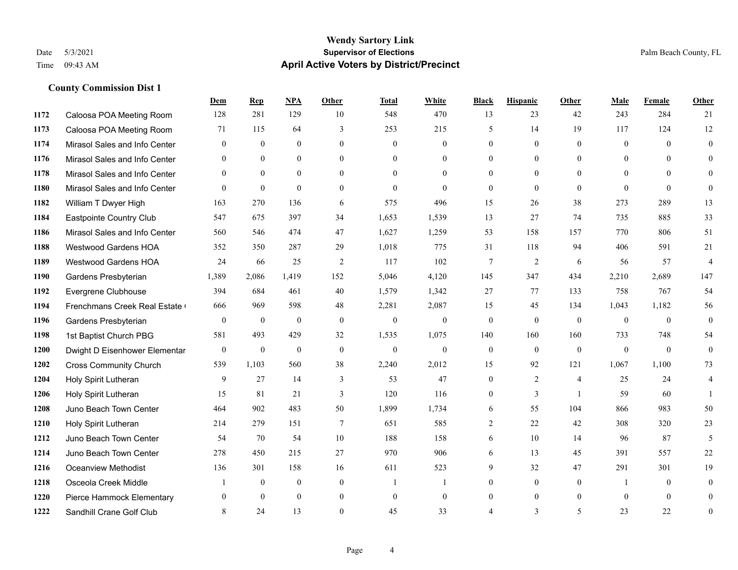|      |                               | Dem            | <b>Rep</b>       | NPA              | <b>Other</b>   | <b>Total</b> | <b>White</b>     | <b>Black</b>     | <b>Hispanic</b> | <b>Other</b>   | <b>Male</b>    | Female         | <b>Other</b>     |
|------|-------------------------------|----------------|------------------|------------------|----------------|--------------|------------------|------------------|-----------------|----------------|----------------|----------------|------------------|
| 1172 | Caloosa POA Meeting Room      | 128            | 281              | 129              | 10             | 548          | 470              | 13               | 23              | 42             | 243            | 284            | 21               |
| 1173 | Caloosa POA Meeting Room      | 71             | 115              | 64               | $\overline{3}$ | 253          | 215              | 5                | 14              | 19             | 117            | 124            | 12               |
| 1174 | Mirasol Sales and Info Center | $\overline{0}$ | $\mathbf{0}$     | $\mathbf{0}$     | $\theta$       | $\mathbf{0}$ | $\overline{0}$   | $\theta$         | $\mathbf{0}$    | $\theta$       | $\overline{0}$ | $\theta$       | $\mathbf{0}$     |
| 1176 | Mirasol Sales and Info Center | $\mathbf{0}$   | $\mathbf{0}$     | $\mathbf{0}$     | $\theta$       | $\theta$     | $\mathbf{0}$     | $\mathbf{0}$     | $\mathbf{0}$    | $\theta$       | $\theta$       | $\theta$       | $\theta$         |
| 1178 | Mirasol Sales and Info Center | $\theta$       | $\mathbf{0}$     | $\mathbf{0}$     | $\theta$       | $\theta$     | $\overline{0}$   | $\mathbf{0}$     | $\theta$        | $\theta$       | $\theta$       | $\theta$       | $\mathbf{0}$     |
| 1180 | Mirasol Sales and Info Center | $\theta$       | $\mathbf{0}$     | $\mathbf{0}$     | $\theta$       | $\mathbf{0}$ | $\theta$         | $\theta$         | $\theta$        | $\theta$       | $\theta$       | $\theta$       | $\theta$         |
| 1182 | William T Dwyer High          | 163            | 270              | 136              | 6              | 575          | 496              | 15               | 26              | 38             | 273            | 289            | 13               |
| 1184 | Eastpointe Country Club       | 547            | 675              | 397              | 34             | 1,653        | 1,539            | 13               | 27              | 74             | 735            | 885            | 33               |
| 1186 | Mirasol Sales and Info Center | 560            | 546              | 474              | 47             | 1,627        | 1,259            | 53               | 158             | 157            | 770            | 806            | 51               |
| 1188 | Westwood Gardens HOA          | 352            | 350              | 287              | 29             | 1,018        | 775              | 31               | 118             | 94             | 406            | 591            | 21               |
| 1189 | Westwood Gardens HOA          | 24             | 66               | 25               | 2              | 117          | 102              | $\tau$           | $\overline{2}$  | 6              | 56             | 57             | $\overline{4}$   |
| 1190 | Gardens Presbyterian          | 1,389          | 2,086            | 1,419            | 152            | 5,046        | 4,120            | 145              | 347             | 434            | 2,210          | 2,689          | 147              |
| 1192 | Evergrene Clubhouse           | 394            | 684              | 461              | 40             | 1,579        | 1,342            | 27               | 77              | 133            | 758            | 767            | 54               |
| 1194 | Frenchmans Creek Real Estate  | 666            | 969              | 598              | 48             | 2,281        | 2,087            | 15               | 45              | 134            | 1,043          | 1,182          | 56               |
| 1196 | Gardens Presbyterian          | $\mathbf{0}$   | $\boldsymbol{0}$ | $\mathbf{0}$     | $\mathbf{0}$   | $\mathbf{0}$ | $\boldsymbol{0}$ | $\mathbf{0}$     | $\mathbf{0}$    | $\mathbf{0}$   | $\overline{0}$ | $\theta$       | $\mathbf{0}$     |
| 1198 | 1st Baptist Church PBG        | 581            | 493              | 429              | 32             | 1,535        | 1,075            | 140              | 160             | 160            | 733            | 748            | 54               |
| 1200 | Dwight D Eisenhower Elementar | $\overline{0}$ | $\mathbf{0}$     | $\mathbf{0}$     | $\mathbf{0}$   | $\mathbf{0}$ | $\mathbf{0}$     | $\mathbf{0}$     | $\theta$        | $\mathbf{0}$   | $\mathbf{0}$   | $\theta$       | $\mathbf{0}$     |
| 1202 | <b>Cross Community Church</b> | 539            | 1,103            | 560              | 38             | 2,240        | 2,012            | 15               | 92              | 121            | 1,067          | 1,100          | 73               |
| 1204 | Holy Spirit Lutheran          | 9              | 27               | 14               | $\mathfrak{Z}$ | 53           | 47               | $\boldsymbol{0}$ | $\overline{2}$  | $\overline{4}$ | 25             | 24             | 4                |
| 1206 | Holy Spirit Lutheran          | 15             | 81               | 21               | 3              | 120          | 116              | $\mathbf{0}$     | 3               | $\overline{1}$ | 59             | 60             | 1                |
| 1208 | Juno Beach Town Center        | 464            | 902              | 483              | 50             | 1,899        | 1,734            | 6                | 55              | 104            | 866            | 983            | 50               |
| 1210 | Holy Spirit Lutheran          | 214            | 279              | 151              | $\tau$         | 651          | 585              | 2                | 22              | 42             | 308            | 320            | 23               |
| 1212 | Juno Beach Town Center        | 54             | 70               | 54               | 10             | 188          | 158              | 6                | 10              | 14             | 96             | 87             | 5                |
| 1214 | Juno Beach Town Center        | 278            | 450              | 215              | 27             | 970          | 906              | 6                | 13              | 45             | 391            | 557            | $22\,$           |
| 1216 | <b>Oceanview Methodist</b>    | 136            | 301              | 158              | 16             | 611          | 523              | 9                | 32              | 47             | 291            | 301            | 19               |
| 1218 | Osceola Creek Middle          |                | $\boldsymbol{0}$ | $\boldsymbol{0}$ | $\mathbf{0}$   | 1            | 1                | $\mathbf{0}$     | $\mathbf{0}$    | $\mathbf{0}$   | $\mathbf{1}$   | $\overline{0}$ | $\mathbf{0}$     |
| 1220 | Pierce Hammock Elementary     | $\Omega$       | $\theta$         | $\theta$         | $\mathbf{0}$   | $\mathbf{0}$ | $\mathbf{0}$     | $\mathbf{0}$     | $\mathbf{0}$    | $\overline{0}$ | $\theta$       | $\theta$       | $\mathbf{0}$     |
| 1222 | Sandhill Crane Golf Club      | 8              | 24               | 13               | $\theta$       | 45           | 33               | 4                | 3               | 5              | 23             | 22             | $\boldsymbol{0}$ |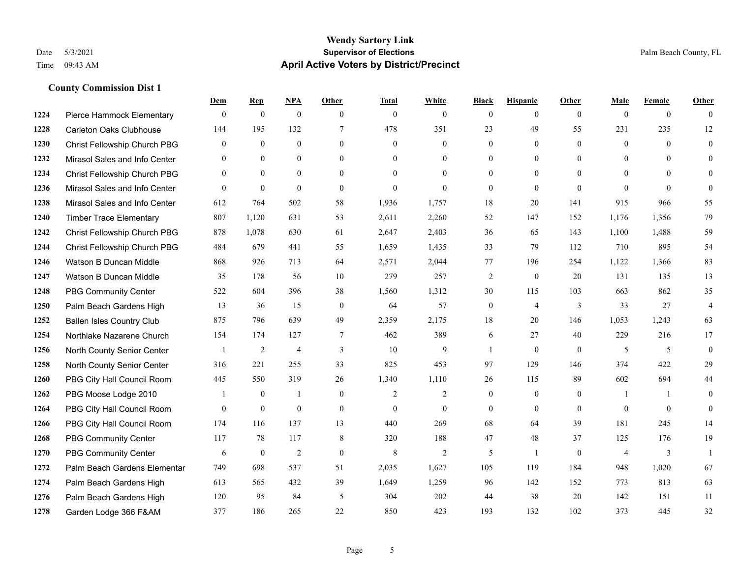|      |                                  | Dem          | <b>Rep</b>   | NPA              | <b>Other</b>   | <b>Total</b>   | <b>White</b>   | <b>Black</b>     | <b>Hispanic</b> | <b>Other</b>   | <b>Male</b>    | <b>Female</b>  | <b>Other</b>   |
|------|----------------------------------|--------------|--------------|------------------|----------------|----------------|----------------|------------------|-----------------|----------------|----------------|----------------|----------------|
| 1224 | Pierce Hammock Elementary        | $\mathbf{0}$ | $\mathbf{0}$ | $\boldsymbol{0}$ | $\theta$       | $\mathbf{0}$   | $\overline{0}$ | $\mathbf{0}$     | $\overline{0}$  | $\theta$       | $\mathbf{0}$   | $\overline{0}$ | $\theta$       |
| 1228 | <b>Carleton Oaks Clubhouse</b>   | 144          | 195          | 132              | 7              | 478            | 351            | 23               | 49              | 55             | 231            | 235            | 12             |
| 1230 | Christ Fellowship Church PBG     | $\theta$     | $\mathbf{0}$ | $\theta$         | $\Omega$       | $\theta$       | $\theta$       | $\theta$         | $\theta$        | $\Omega$       | $\theta$       | $\theta$       | $\theta$       |
| 1232 | Mirasol Sales and Info Center    | $\mathbf{0}$ | $\mathbf{0}$ | $\mathbf{0}$     | $\overline{0}$ | $\mathbf{0}$   | $\overline{0}$ | $\boldsymbol{0}$ | $\mathbf{0}$    | $\overline{0}$ | $\mathbf{0}$   | $\mathbf{0}$   | $\theta$       |
| 1234 | Christ Fellowship Church PBG     | $\theta$     | $\theta$     | $\mathbf{0}$     | $\theta$       | $\Omega$       | $\theta$       | $\mathbf{0}$     | $\theta$        | $\theta$       | $\theta$       | $\theta$       | $\mathbf{0}$   |
| 1236 | Mirasol Sales and Info Center    | $\theta$     | $\mathbf{0}$ | $\mathbf{0}$     | $\theta$       | $\mathbf{0}$   | $\theta$       | $\mathbf{0}$     | $\theta$        | $\theta$       | $\theta$       | $\theta$       | $\theta$       |
| 1238 | Mirasol Sales and Info Center    | 612          | 764          | 502              | 58             | 1,936          | 1,757          | 18               | 20              | 141            | 915            | 966            | 55             |
| 1240 | <b>Timber Trace Elementary</b>   | 807          | 1,120        | 631              | 53             | 2,611          | 2,260          | 52               | 147             | 152            | 1,176          | 1,356          | 79             |
| 1242 | Christ Fellowship Church PBG     | 878          | 1,078        | 630              | 61             | 2,647          | 2,403          | 36               | 65              | 143            | 1,100          | 1,488          | 59             |
| 1244 | Christ Fellowship Church PBG     | 484          | 679          | 441              | 55             | 1,659          | 1,435          | 33               | 79              | 112            | 710            | 895            | 54             |
| 1246 | Watson B Duncan Middle           | 868          | 926          | 713              | 64             | 2,571          | 2,044          | 77               | 196             | 254            | 1,122          | 1,366          | 83             |
| 1247 | Watson B Duncan Middle           | 35           | 178          | 56               | 10             | 279            | 257            | $\overline{c}$   | $\mathbf{0}$    | 20             | 131            | 135            | 13             |
| 1248 | <b>PBG Community Center</b>      | 522          | 604          | 396              | 38             | 1,560          | 1,312          | 30               | 115             | 103            | 663            | 862            | 35             |
| 1250 | Palm Beach Gardens High          | 13           | 36           | 15               | $\mathbf{0}$   | 64             | 57             | $\boldsymbol{0}$ | $\overline{4}$  | 3              | 33             | 27             | $\overline{4}$ |
| 1252 | <b>Ballen Isles Country Club</b> | 875          | 796          | 639              | 49             | 2,359          | 2,175          | 18               | 20              | 146            | 1,053          | 1,243          | 63             |
| 1254 | Northlake Nazarene Church        | 154          | 174          | 127              | $\overline{7}$ | 462            | 389            | 6                | 27              | 40             | 229            | 216            | 17             |
| 1256 | North County Senior Center       |              | $\sqrt{2}$   | $\overline{4}$   | 3              | 10             | 9              | 1                | $\mathbf{0}$    | $\theta$       | 5              | 5              | $\mathbf{0}$   |
| 1258 | North County Senior Center       | 316          | 221          | 255              | 33             | 825            | 453            | 97               | 129             | 146            | 374            | 422            | 29             |
| 1260 | PBG City Hall Council Room       | 445          | 550          | 319              | 26             | 1,340          | 1,110          | 26               | 115             | 89             | 602            | 694            | 44             |
| 1262 | PBG Moose Lodge 2010             |              | $\mathbf{0}$ | 1                | $\mathbf{0}$   | $\overline{2}$ | $\overline{c}$ | $\mathbf{0}$     | $\mathbf{0}$    | $\mathbf{0}$   | -1             | $\mathbf{1}$   | $\mathbf{0}$   |
| 1264 | PBG City Hall Council Room       | $\theta$     | $\mathbf{0}$ | $\theta$         | $\theta$       | $\theta$       | $\mathbf{0}$   | $\theta$         | $\theta$        | $\Omega$       | $\Omega$       | $\Omega$       | $\theta$       |
| 1266 | PBG City Hall Council Room       | 174          | 116          | 137              | 13             | 440            | 269            | 68               | 64              | 39             | 181            | 245            | 14             |
| 1268 | <b>PBG Community Center</b>      | 117          | 78           | 117              | 8              | 320            | 188            | 47               | 48              | 37             | 125            | 176            | 19             |
| 1270 | <b>PBG Community Center</b>      | 6            | $\mathbf{0}$ | 2                | $\theta$       | 8              | $\overline{2}$ | 5                | $\mathbf{1}$    | $\theta$       | $\overline{4}$ | 3              | $\mathbf{1}$   |
| 1272 | Palm Beach Gardens Elementar     | 749          | 698          | 537              | 51             | 2,035          | 1,627          | 105              | 119             | 184            | 948            | 1,020          | 67             |
| 1274 | Palm Beach Gardens High          | 613          | 565          | 432              | 39             | 1,649          | 1,259          | 96               | 142             | 152            | 773            | 813            | 63             |
| 1276 | Palm Beach Gardens High          | 120          | 95           | 84               | 5              | 304            | 202            | 44               | 38              | 20             | 142            | 151            | 11             |
| 1278 | Garden Lodge 366 F&AM            | 377          | 186          | 265              | 22             | 850            | 423            | 193              | 132             | 102            | 373            | 445            | 32             |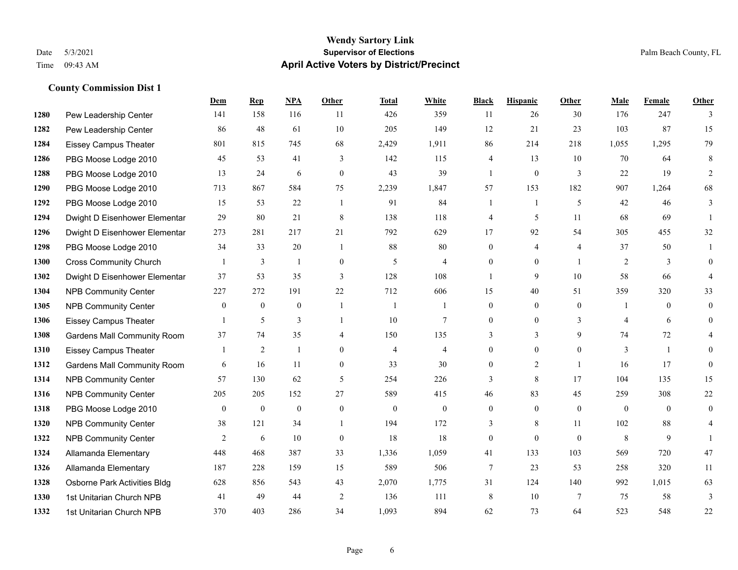#### **Wendy Sartory Link** Date 5/3/2021 **Supervisor of Elections** Palm Beach County, FL Time 09:43 AM **April Active Voters by District/Precinct**

## **Dem Rep NPA Other Total White Black Hispanic Other Male Female Other** Pew Leadership Center 141 158 116 11 426 359 11 26 30 176 247 3 Pew Leadership Center 86 48 61 10 205 149 12 21 23 103 87 15 Eissey Campus Theater 801 815 745 68 2,429 1,911 86 214 218 1,055 1,295 79 PBG Moose Lodge 2010 45 53 41 3 142 115 4 13 10 70 64 8 PBG Moose Lodge 2010 13 24 6 0 43 39 1 0 3 22 19 2 PBG Moose Lodge 2010 713 867 584 75 2,239 1,847 57 153 182 907 1,264 68 PBG Moose Lodge 2010 15 53 22 1 91 84 1 1 5 42 46 3 Dwight D Eisenhower Elementar 29 80 21 8 138 118 4 5 11 68 69 1 Dwight D Eisenhower Elementary 273 281 217 21 792 629 17 92 54 305 455 32 PBG Moose Lodge 2010 34 33 20 1 88 80 0 4 4 37 50 1 Cross Community Church 1 3 1 0 5 4 0 0 1 2 3 0 Dwight D Eisenhower Elementar 37 53 35 3 128 108 1 9 10 58 66 4 NPB Community Center 227 272 191 22 712 606 15 40 51 359 320 33 NPB Community Center 0 0 0 1 1 1 0 0 0 1 0 0 1306 Eissey Campus Theater 1 5 3 1 10 7 0 0 3 4 6 0 Gardens Mall Community Room 37 74 35 4 150 135 3 3 9 74 72 4 Eissey Campus Theater 1 2 1 0 4 4 0 0 0 3 1 0 **1312 Gardens Mall Community Room** 6 16 11 0 33 30 0 2 1 16 17 0 NPB Community Center 57 130 62 5 254 226 3 8 17 104 135 15 NPB Community Center 205 205 152 27 589 415 46 83 45 259 308 22 PBG Moose Lodge 2010 0 0 0 0 0 0 0 0 0 0 0 0 **1320 NPB Community Center** 38 121 34 1 194 172 3 8 11 102 88 4 **1322 NPB Community Center** 2 6 10 0 18 18 0 0 0 8 9 1 Allamanda Elementary 448 468 387 33 1,336 1,059 41 133 103 569 720 47 Allamanda Elementary 187 228 159 15 589 506 7 23 53 258 320 11 Osborne Park Activities Bldg 628 856 543 43 2,070 1,775 31 124 140 992 1,015 63 1st Unitarian Church NPB 41 49 44 2 136 111 8 10 7 75 58 3 1st Unitarian Church NPB 370 403 286 34 1,093 894 62 73 64 523 548 22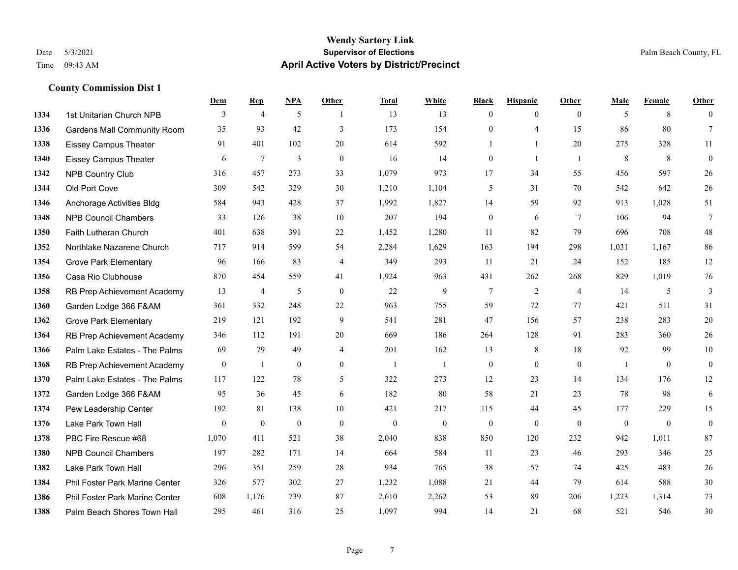### **Wendy Sartory Link** Date 5/3/2021 **Supervisor of Elections Supervisor of Elections** Palm Beach County, FL Time 09:43 AM **April Active Voters by District/Precinct**

|      |                                    | Dem              | <b>Rep</b>     | NPA              | Other            | <b>Total</b>   | White        | <b>Black</b>     | <b>Hispanic</b>  | Other           | Male           | Female           | Other            |
|------|------------------------------------|------------------|----------------|------------------|------------------|----------------|--------------|------------------|------------------|-----------------|----------------|------------------|------------------|
| 1334 | 1st Unitarian Church NPB           | 3                | $\overline{4}$ | 5                |                  | 13             | 13           | $\mathbf{0}$     | $\mathbf{0}$     | $\theta$        | 5              | 8                | $\mathbf{0}$     |
| 1336 | <b>Gardens Mall Community Room</b> | 35               | 93             | 42               | 3                | 173            | 154          | $\mathbf{0}$     | 4                | 15              | 86             | 80               | $\tau$           |
| 1338 | <b>Eissey Campus Theater</b>       | 91               | 401            | 102              | 20               | 614            | 592          | 1                | $\mathbf{1}$     | 20              | 275            | 328              | 11               |
| 1340 | <b>Eissey Campus Theater</b>       | 6                | 7              | $\overline{3}$   | $\theta$         | 16             | 14           | $\overline{0}$   | $\mathbf{1}$     | $\overline{1}$  | 8              | 8                | $\mathbf{0}$     |
| 1342 | <b>NPB Country Club</b>            | 316              | 457            | 273              | 33               | 1,079          | 973          | 17               | 34               | 55              | 456            | 597              | $26\,$           |
| 1344 | Old Port Cove                      | 309              | 542            | 329              | 30               | 1,210          | 1,104        | 5                | 31               | 70              | 542            | 642              | 26               |
| 1346 | Anchorage Activities Bldg          | 584              | 943            | 428              | 37               | 1,992          | 1,827        | 14               | 59               | 92              | 913            | 1,028            | 51               |
| 1348 | <b>NPB Council Chambers</b>        | 33               | 126            | 38               | 10               | 207            | 194          | $\boldsymbol{0}$ | 6                | $7\phantom{.0}$ | 106            | 94               | $\overline{7}$   |
| 1350 | Faith Lutheran Church              | 401              | 638            | 391              | 22               | 1,452          | 1,280        | 11               | 82               | 79              | 696            | 708              | 48               |
| 1352 | Northlake Nazarene Church          | 717              | 914            | 599              | 54               | 2,284          | 1,629        | 163              | 194              | 298             | 1,031          | 1,167            | 86               |
| 1354 | <b>Grove Park Elementary</b>       | 96               | 166            | 83               | $\overline{4}$   | 349            | 293          | 11               | 21               | 24              | 152            | 185              | 12               |
| 1356 | Casa Rio Clubhouse                 | 870              | 454            | 559              | 41               | 1,924          | 963          | 431              | 262              | 268             | 829            | 1,019            | 76               |
| 1358 | RB Prep Achievement Academy        | 13               | 4              | 5                | $\mathbf{0}$     | 22             | 9            | 7                | 2                | $\overline{4}$  | 14             | 5                | $\mathfrak{Z}$   |
| 1360 | Garden Lodge 366 F&AM              | 361              | 332            | 248              | 22               | 963            | 755          | 59               | 72               | 77              | 421            | 511              | 31               |
| 1362 | <b>Grove Park Elementary</b>       | 219              | 121            | 192              | 9                | 541            | 281          | 47               | 156              | 57              | 238            | 283              | 20               |
| 1364 | RB Prep Achievement Academy        | 346              | 112            | 191              | 20               | 669            | 186          | 264              | 128              | 91              | 283            | 360              | 26               |
| 1366 | Palm Lake Estates - The Palms      | 69               | 79             | 49               | $\overline{4}$   | 201            | 162          | 13               | 8                | 18              | 92             | 99               | $10\,$           |
| 1368 | RB Prep Achievement Academy        | $\boldsymbol{0}$ | $\mathbf{1}$   | $\boldsymbol{0}$ | $\boldsymbol{0}$ | $\overline{1}$ | $\mathbf{1}$ | $\boldsymbol{0}$ | $\boldsymbol{0}$ | $\mathbf{0}$    | $\mathbf{1}$   | $\boldsymbol{0}$ | $\boldsymbol{0}$ |
| 1370 | Palm Lake Estates - The Palms      | 117              | 122            | 78               | 5                | 322            | 273          | 12               | 23               | 14              | 134            | 176              | 12               |
| 1372 | Garden Lodge 366 F&AM              | 95               | 36             | 45               | 6                | 182            | 80           | 58               | 21               | 23              | 78             | 98               | 6                |
| 1374 | Pew Leadership Center              | 192              | 81             | 138              | 10               | 421            | 217          | 115              | 44               | 45              | 177            | 229              | 15               |
| 1376 | Lake Park Town Hall                | $\theta$         | $\mathbf{0}$   | $\mathbf{0}$     | $\mathbf{0}$     | $\mathbf{0}$   | $\mathbf{0}$ | $\overline{0}$   | $\mathbf{0}$     | $\theta$        | $\overline{0}$ | $\overline{0}$   | $\boldsymbol{0}$ |
| 1378 | PBC Fire Rescue #68                | 1,070            | 411            | 521              | 38               | 2,040          | 838          | 850              | 120              | 232             | 942            | 1,011            | 87               |
| 1380 | <b>NPB Council Chambers</b>        | 197              | 282            | 171              | 14               | 664            | 584          | 11               | 23               | 46              | 293            | 346              | 25               |
| 1382 | Lake Park Town Hall                | 296              | 351            | 259              | 28               | 934            | 765          | 38               | 57               | 74              | 425            | 483              | 26               |
| 1384 | Phil Foster Park Marine Center     | 326              | 577            | 302              | 27               | 1,232          | 1,088        | 21               | 44               | 79              | 614            | 588              | 30               |
| 1386 | Phil Foster Park Marine Center     | 608              | 1,176          | 739              | 87               | 2,610          | 2,262        | 53               | 89               | 206             | 1,223          | 1,314            | 73               |
| 1388 | Palm Beach Shores Town Hall        | 295              | 461            | 316              | 25               | 1.097          | 994          | 14               | 21               | 68              | 521            | 546              | 30               |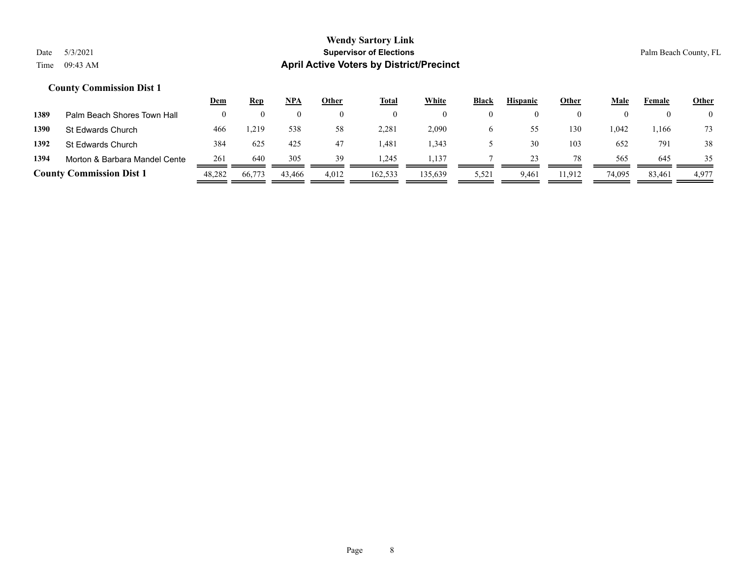|      |                                 | <u>Dem</u> | <b>Rep</b> | <u>NPA</u> | Other | <b>Total</b> | <b>White</b> | <b>Black</b> | <b>Hispanic</b> | Other  | Male   | Female | <b>Other</b> |
|------|---------------------------------|------------|------------|------------|-------|--------------|--------------|--------------|-----------------|--------|--------|--------|--------------|
| 1389 | Palm Beach Shores Town Hall     |            |            |            |       |              |              | $\theta$     |                 |        |        |        |              |
| 1390 | St Edwards Church               | 466        | .219       | 538        | 58    | 2,281        | 2,090        | O            |                 | 130    | .042   | .166   | 73           |
| 1392 | St Edwards Church               | 384        | 625        | 425        | 47    | 1,481        | 1,343        |              | 30              | 103    | 652    | 791    | 38           |
| 1394 | Morton & Barbara Mandel Cente   | 261        | 640        | 305        | 39    | 1.245        | 1,137        |              |                 | 78     | 565    | 645    | 35           |
|      | <b>County Commission Dist 1</b> | 48,282     | 66,773     | 43,466     | 4,012 | 162,533      | 135,639      | 5,521        | 9,461           | 11,912 | 74,095 | 83,461 | 4,977        |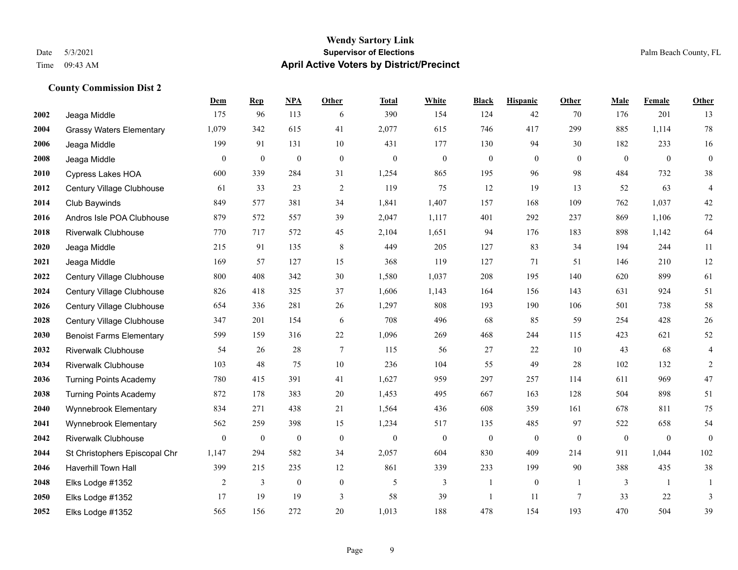|             |                                 | Dem          | <b>Rep</b>       | NPA              | <b>Other</b>     | <b>Total</b>     | <b>White</b>     | <b>Black</b>     | <b>Hispanic</b>  | <b>Other</b>   | <b>Male</b>      | Female       | <b>Other</b>     |
|-------------|---------------------------------|--------------|------------------|------------------|------------------|------------------|------------------|------------------|------------------|----------------|------------------|--------------|------------------|
| 2002        | Jeaga Middle                    | 175          | 96               | 113              | 6                | 390              | 154              | 124              | 42               | 70             | 176              | 201          | 13               |
| 2004        | <b>Grassy Waters Elementary</b> | 1,079        | 342              | 615              | 41               | 2,077            | 615              | 746              | 417              | 299            | 885              | 1,114        | $78\,$           |
| 2006        | Jeaga Middle                    | 199          | 91               | 131              | 10               | 431              | 177              | 130              | 94               | 30             | 182              | 233          | 16               |
| 2008        | Jeaga Middle                    | $\mathbf{0}$ | $\boldsymbol{0}$ | $\boldsymbol{0}$ | $\boldsymbol{0}$ | $\boldsymbol{0}$ | $\boldsymbol{0}$ | $\boldsymbol{0}$ | $\boldsymbol{0}$ | $\theta$       | $\boldsymbol{0}$ | $\mathbf{0}$ | $\boldsymbol{0}$ |
| 2010        | <b>Cypress Lakes HOA</b>        | 600          | 339              | 284              | 31               | 1,254            | 865              | 195              | 96               | 98             | 484              | 732          | $38\,$           |
| 2012        | Century Village Clubhouse       | 61           | 33               | 23               | $\overline{2}$   | 119              | 75               | 12               | 19               | 13             | 52               | 63           | $\overline{4}$   |
| 2014        | Club Baywinds                   | 849          | 577              | 381              | 34               | 1,841            | 1,407            | 157              | 168              | 109            | 762              | 1,037        | $42\,$           |
| 2016        | Andros Isle POA Clubhouse       | 879          | 572              | 557              | 39               | 2,047            | 1,117            | 401              | 292              | 237            | 869              | 1,106        | $72\,$           |
| 2018        | <b>Riverwalk Clubhouse</b>      | 770          | 717              | 572              | 45               | 2,104            | 1,651            | 94               | 176              | 183            | 898              | 1,142        | 64               |
| 2020        | Jeaga Middle                    | 215          | 91               | 135              | 8                | 449              | 205              | 127              | 83               | 34             | 194              | 244          | 11               |
| 2021        | Jeaga Middle                    | 169          | 57               | 127              | 15               | 368              | 119              | 127              | 71               | 51             | 146              | 210          | 12               |
| 2022        | Century Village Clubhouse       | 800          | 408              | 342              | 30               | 1,580            | 1,037            | 208              | 195              | 140            | 620              | 899          | 61               |
| 2024        | Century Village Clubhouse       | 826          | 418              | 325              | 37               | 1,606            | 1,143            | 164              | 156              | 143            | 631              | 924          | 51               |
| 2026        | Century Village Clubhouse       | 654          | 336              | 281              | 26               | 1,297            | 808              | 193              | 190              | 106            | 501              | 738          | 58               |
| 2028        | Century Village Clubhouse       | 347          | 201              | 154              | 6                | 708              | 496              | 68               | 85               | 59             | 254              | 428          | 26               |
| 2030        | <b>Benoist Farms Elementary</b> | 599          | 159              | 316              | 22               | 1,096            | 269              | 468              | 244              | 115            | 423              | 621          | $52\,$           |
| 2032        | <b>Riverwalk Clubhouse</b>      | 54           | 26               | 28               | $\tau$           | 115              | 56               | 27               | 22               | 10             | 43               | 68           | $\overline{4}$   |
| 2034        | <b>Riverwalk Clubhouse</b>      | 103          | 48               | 75               | 10               | 236              | 104              | 55               | 49               | 28             | 102              | 132          | $\overline{c}$   |
| 2036        | <b>Turning Points Academy</b>   | 780          | 415              | 391              | 41               | 1,627            | 959              | 297              | 257              | 114            | 611              | 969          | $47\,$           |
| 2038        | <b>Turning Points Academy</b>   | 872          | 178              | 383              | 20               | 1,453            | 495              | 667              | 163              | 128            | 504              | 898          | 51               |
| 2040        | Wynnebrook Elementary           | 834          | 271              | 438              | 21               | 1,564            | 436              | 608              | 359              | 161            | 678              | 811          | 75               |
| 2041        | Wynnebrook Elementary           | 562          | 259              | 398              | 15               | 1,234            | 517              | 135              | 485              | 97             | 522              | 658          | 54               |
| 2042        | <b>Riverwalk Clubhouse</b>      | $\mathbf{0}$ | $\bf{0}$         | $\boldsymbol{0}$ | $\mathbf{0}$     | $\mathbf{0}$     | $\boldsymbol{0}$ | $\boldsymbol{0}$ | $\mathbf{0}$     | $\theta$       | $\mathbf{0}$     | $\mathbf{0}$ | $\mathbf{0}$     |
| 2044        | St Christophers Episcopal Chr   | 1,147        | 294              | 582              | 34               | 2,057            | 604              | 830              | 409              | 214            | 911              | 1,044        | 102              |
| 2046        | Haverhill Town Hall             | 399          | 215              | 235              | 12               | 861              | 339              | 233              | 199              | 90             | 388              | 435          | 38               |
| 2048        | Elks Lodge #1352                | 2            | $\overline{3}$   | $\mathbf{0}$     | $\mathbf{0}$     | 5                | 3                | 1                | $\mathbf{0}$     | $\overline{1}$ | 3                | $\mathbf{1}$ | 1                |
| <b>2050</b> | Elks Lodge #1352                | 17           | 19               | 19               | 3                | 58               | 39               | -1               | 11               | $\tau$         | 33               | 22           | 3                |
| 2052        | Elks Lodge #1352                | 565          | 156              | 272              | 20               | 1,013            | 188              | 478              | 154              | 193            | 470              | 504          | 39               |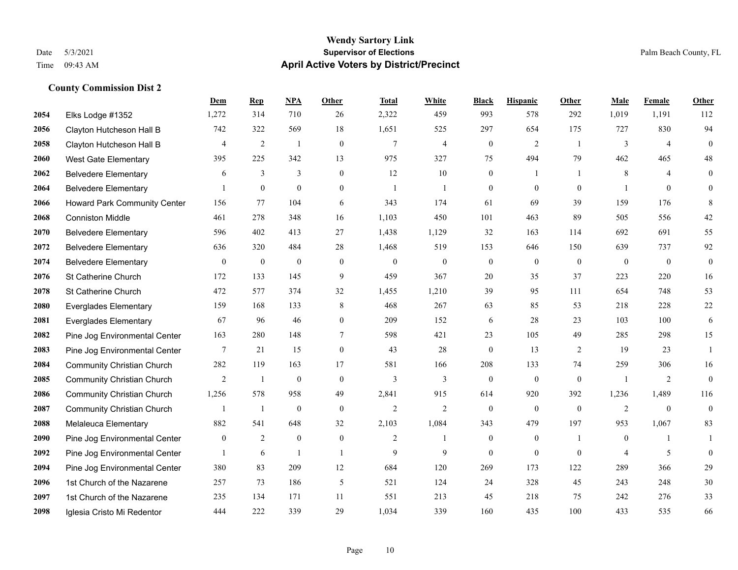#### **Wendy Sartory Link** Date 5/3/2021 **Supervisor of Elections** Palm Beach County, FL Time 09:43 AM **April Active Voters by District/Precinct**

## **Dem Rep NPA Other Total White Black Hispanic Other Male Female Other** Elks Lodge #1352 1,272 314 710 26 2,322 459 993 578 292 1,019 1,191 112 Clayton Hutcheson Hall B 742 322 569 18 1,651 525 297 654 175 727 830 94 Clayton Hutcheson Hall B 4 2 1 0 7 4 0 2 1 3 4 0 West Gate Elementary 395 225 342 13 975 327 75 494 79 462 465 48 Belvedere Elementary 6 3 3 0 12 10 0 1 1 8 4 0 Belvedere Elementary 1 0 0 0 1 1 0 0 0 1 0 0 Howard Park Community Center 156 77 104 6 343 174 61 69 39 159 176 8 Conniston Middle 461 278 348 16 1,103 450 101 463 89 505 556 42 Belvedere Elementary 596 402 413 27 1,438 1,129 32 163 114 692 691 55 Belvedere Elementary 636 320 484 28 1,468 519 153 646 150 639 737 92 Belvedere Elementary 0 0 0 0 0 0 0 0 0 0 0 0 St Catherine Church 172 133 145 9 459 367 20 35 37 223 220 16 St Catherine Church 472 577 374 32 1,455 1,210 39 95 111 654 748 53 Everglades Elementary 159 168 133 8 468 267 63 85 53 218 228 22 Everglades Elementary 67 96 46 0 209 152 6 28 23 103 100 6 Pine Jog Environmental Center 163 280 148 7 598 421 23 105 49 285 298 15 Pine Jog Environmental Center 7 21 15 0 43 28 0 13 2 19 23 1 Community Christian Church 282 119 163 17 581 166 208 133 74 259 306 16 Community Christian Church 2 1 0 0 3 3 0 0 0 1 2 0 Community Christian Church 1,256 578 958 49 2,841 915 614 920 392 1,236 1,489 116 Community Christian Church 1 1 0 0 2 2 0 0 0 2 0 0 Melaleuca Elementary 882 541 648 32 2,103 1,084 343 479 197 953 1,067 83 Pine Jog Environmental Center  $\begin{array}{cccccccc} 0 & 2 & 0 & 0 & 2 & 1 & 0 & 1 & 0 & 1 \end{array}$  Pine Jog Environmental Center 1 6 1 1 9 9 9 0 0 0 4 5 0 Pine Jog Environmental Center 380 83 209 12 684 120 269 173 122 289 366 29 1st Church of the Nazarene 257 73 186 5 521 124 24 328 45 243 248 30 1st Church of the Nazarene 235 134 171 11 551 213 45 218 75 242 276 33

Iglesia Cristo Mi Redentor 444 222 339 29 1,034 339 160 435 100 433 535 66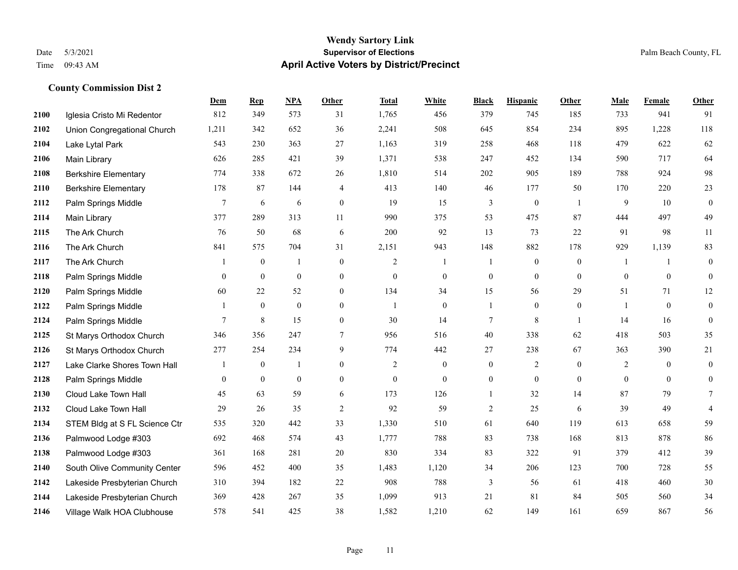#### **Wendy Sartory Link** Date 5/3/2021 **Supervisor of Elections** Palm Beach County, FL Time 09:43 AM **April Active Voters by District/Precinct**

## **Dem Rep NPA Other Total White Black Hispanic Other Male Female Other** Iglesia Cristo Mi Redentor 812 349 573 31 1,765 456 379 745 185 733 941 91 Union Congregational Church 1,211 342 652 36 2,241 508 645 854 234 895 1,228 118 Lake Lytal Park 543 230 363 27 1,163 319 258 468 118 479 622 62 Main Library 626 285 421 39 1,371 538 247 452 134 590 717 64 Berkshire Elementary 774 338 672 26 1,810 514 202 905 189 788 924 98 Berkshire Elementary 178 87 144 4 413 140 46 177 50 170 220 23 **2112** Palm Springs Middle  $\begin{array}{cccccccc} 7 & 6 & 6 & 0 & 19 & 15 & 3 & 0 & 1 & 9 & 10 & 0 \end{array}$  Main Library 377 289 313 11 990 375 53 475 87 444 497 49 The Ark Church 76 50 68 6 200 92 13 73 22 91 98 11 The Ark Church 841 575 704 31 2,151 943 148 882 178 929 1,139 83 The Ark Church 1 0 1 0 2 1 1 0 0 1 1 0 Palm Springs Middle 0 0 0 0 0 0 0 0 0 0 0 0 Palm Springs Middle 60 22 52 0 134 34 15 56 29 51 71 12 Palm Springs Middle 1 0 0 0 1 0 1 0 0 1 0 0 **2124** Palm Springs Middle  $\begin{array}{cccccccc} 7 & 8 & 15 & 0 & 30 & 14 & 7 & 8 & 1 & 14 & 16 & 0 \end{array}$  St Marys Orthodox Church 346 356 247 7 956 516 40 338 62 418 503 35 St Marys Orthodox Church 277 254 234 9 774 442 27 238 67 363 390 21 Lake Clarke Shores Town Hall  $\begin{array}{ccccccccc} 1 & 0 & 1 & 0 & 2 & 0 & 0 & 2 & 0 & 2 & 0 & 0 \end{array}$  Palm Springs Middle 0 0 0 0 0 0 0 0 0 0 0 0 Cloud Lake Town Hall 45 63 59 6 173 126 1 32 14 87 79 7 Cloud Lake Town Hall 29 26 35 2 92 59 2 25 6 39 49 4 STEM Bldg at S FL Science Ctr 535 320 442 33 1,330 510 61 640 119 613 658 59 Palmwood Lodge #303 692 468 574 43 1,777 788 83 738 168 813 878 86 Palmwood Lodge #303 361 168 281 20 830 334 83 322 91 379 412 39 South Olive Community Center 596 452 400 35 1,483 1,120 34 206 123 700 728 55 Lakeside Presbyterian Church 310 394 182 22 908 788 3 56 61 418 460 30 Lakeside Presbyterian Church 369 428 267 35 1,099 913 21 81 84 505 560 34 Village Walk HOA Clubhouse 578 541 425 38 1,582 1,210 62 149 161 659 867 56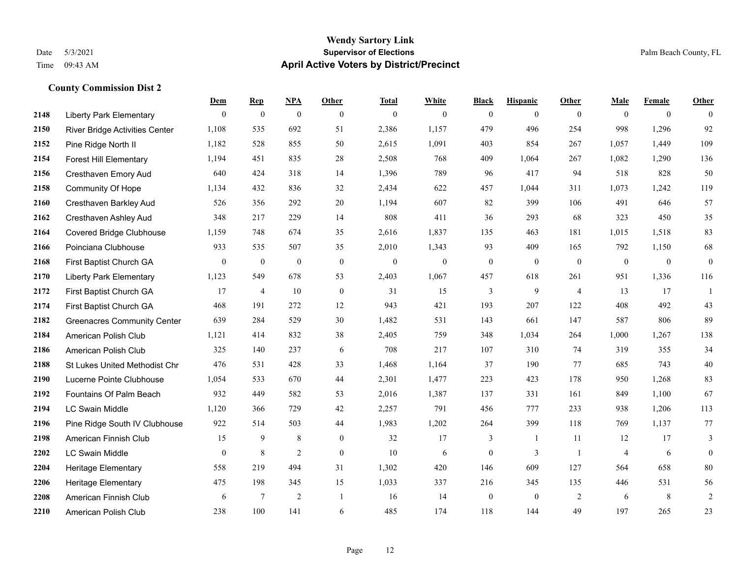|      |                                       | Dem            | <b>Rep</b>       | NPA              | Other        | <b>Total</b> | <b>White</b> | <b>Black</b>     | <b>Hispanic</b> | <b>Other</b>   | <b>Male</b>    | <b>Female</b>  | <b>Other</b>   |
|------|---------------------------------------|----------------|------------------|------------------|--------------|--------------|--------------|------------------|-----------------|----------------|----------------|----------------|----------------|
| 2148 | <b>Liberty Park Elementary</b>        | $\overline{0}$ | $\mathbf{0}$     | $\boldsymbol{0}$ | $\mathbf{0}$ | $\theta$     | $\mathbf{0}$ | $\mathbf{0}$     | $\overline{0}$  | $\theta$       | $\mathbf{0}$   | $\overline{0}$ | $\theta$       |
| 2150 | <b>River Bridge Activities Center</b> | 1,108          | 535              | 692              | 51           | 2,386        | 1,157        | 479              | 496             | 254            | 998            | 1,296          | 92             |
| 2152 | Pine Ridge North II                   | 1,182          | 528              | 855              | 50           | 2,615        | 1,091        | 403              | 854             | 267            | 1,057          | 1,449          | 109            |
| 2154 | <b>Forest Hill Elementary</b>         | 1,194          | 451              | 835              | 28           | 2,508        | 768          | 409              | 1,064           | 267            | 1,082          | 1,290          | 136            |
| 2156 | Cresthaven Emory Aud                  | 640            | 424              | 318              | 14           | 1,396        | 789          | 96               | 417             | 94             | 518            | 828            | 50             |
| 2158 | Community Of Hope                     | 1,134          | 432              | 836              | 32           | 2,434        | 622          | 457              | 1,044           | 311            | 1,073          | 1,242          | 119            |
| 2160 | Cresthaven Barkley Aud                | 526            | 356              | 292              | 20           | 1,194        | 607          | 82               | 399             | 106            | 491            | 646            | 57             |
| 2162 | Cresthaven Ashley Aud                 | 348            | 217              | 229              | 14           | 808          | 411          | 36               | 293             | 68             | 323            | 450            | 35             |
| 2164 | <b>Covered Bridge Clubhouse</b>       | 1,159          | 748              | 674              | 35           | 2,616        | 1,837        | 135              | 463             | 181            | 1,015          | 1,518          | 83             |
| 2166 | Poinciana Clubhouse                   | 933            | 535              | 507              | 35           | 2,010        | 1,343        | 93               | 409             | 165            | 792            | 1,150          | 68             |
| 2168 | First Baptist Church GA               | $\overline{0}$ | $\boldsymbol{0}$ | $\mathbf{0}$     | $\mathbf{0}$ | $\theta$     | $\mathbf{0}$ | $\mathbf{0}$     | $\mathbf{0}$    | $\theta$       | $\mathbf{0}$   | $\mathbf{0}$   | $\mathbf{0}$   |
| 2170 | <b>Liberty Park Elementary</b>        | 1,123          | 549              | 678              | 53           | 2,403        | 1,067        | 457              | 618             | 261            | 951            | 1,336          | 116            |
| 2172 | First Baptist Church GA               | 17             | $\overline{4}$   | 10               | $\mathbf{0}$ | 31           | 15           | 3                | 9               | $\overline{4}$ | 13             | 17             | 1              |
| 2174 | First Baptist Church GA               | 468            | 191              | 272              | 12           | 943          | 421          | 193              | 207             | 122            | 408            | 492            | 43             |
| 2182 | <b>Greenacres Community Center</b>    | 639            | 284              | 529              | 30           | 1,482        | 531          | 143              | 661             | 147            | 587            | 806            | 89             |
| 2184 | American Polish Club                  | 1,121          | 414              | 832              | 38           | 2,405        | 759          | 348              | 1,034           | 264            | 1,000          | 1,267          | 138            |
| 2186 | American Polish Club                  | 325            | 140              | 237              | 6            | 708          | 217          | 107              | 310             | 74             | 319            | 355            | 34             |
| 2188 | St Lukes United Methodist Chr         | 476            | 531              | 428              | 33           | 1,468        | 1,164        | 37               | 190             | 77             | 685            | 743            | $40\,$         |
| 2190 | Lucerne Pointe Clubhouse              | 1,054          | 533              | 670              | 44           | 2,301        | 1,477        | 223              | 423             | 178            | 950            | 1,268          | 83             |
| 2192 | Fountains Of Palm Beach               | 932            | 449              | 582              | 53           | 2,016        | 1,387        | 137              | 331             | 161            | 849            | 1,100          | 67             |
| 2194 | <b>LC Swain Middle</b>                | 1,120          | 366              | 729              | 42           | 2,257        | 791          | 456              | 777             | 233            | 938            | 1,206          | 113            |
| 2196 | Pine Ridge South IV Clubhouse         | 922            | 514              | 503              | 44           | 1,983        | 1,202        | 264              | 399             | 118            | 769            | 1,137          | 77             |
| 2198 | American Finnish Club                 | 15             | 9                | 8                | $\mathbf{0}$ | 32           | 17           | 3                | 1               | 11             | 12             | 17             | 3              |
| 2202 | <b>LC Swain Middle</b>                | $\overline{0}$ | $8\phantom{.0}$  | 2                | $\mathbf{0}$ | 10           | 6            | $\boldsymbol{0}$ | 3               | $\overline{1}$ | $\overline{4}$ | 6              | $\mathbf{0}$   |
| 2204 | <b>Heritage Elementary</b>            | 558            | 219              | 494              | 31           | 1,302        | 420          | 146              | 609             | 127            | 564            | 658            | 80             |
| 2206 | Heritage Elementary                   | 475            | 198              | 345              | 15           | 1,033        | 337          | 216              | 345             | 135            | 446            | 531            | 56             |
| 2208 | American Finnish Club                 | 6              | $7\phantom{.0}$  | $\sqrt{2}$       | -1           | 16           | 14           | $\boldsymbol{0}$ | $\mathbf{0}$    | 2              | 6              | 8              | $\overline{c}$ |
| 2210 | American Polish Club                  | 238            | 100              | 141              | 6            | 485          | 174          | 118              | 144             | 49             | 197            | 265            | 23             |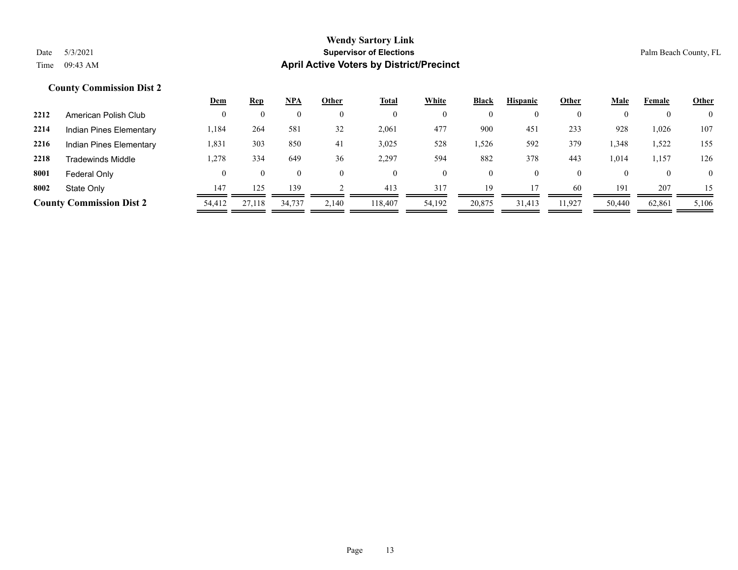|      |                                 | <u>Dem</u>         | <b>Rep</b>     | <b>NPA</b> | Other | <u>Total</u> | White    | <b>Black</b>     | <b>Hispanic</b> | Other  | Male   | Female | <b>Other</b>   |
|------|---------------------------------|--------------------|----------------|------------|-------|--------------|----------|------------------|-----------------|--------|--------|--------|----------------|
| 2212 | American Polish Club            | 0                  | $\overline{0}$ |            |       |              | 0        | $\boldsymbol{0}$ | 0               |        |        |        | $\overline{0}$ |
| 2214 | <b>Indian Pines Elementary</b>  | 1,184              | 264            | 581        | 32    | 2,061        | 477      | 900              | 451             | 233    | 928    | 1,026  | 107            |
| 2216 | Indian Pines Elementary         | 1,831              | 303            | 850        | 41    | 3,025        | 528      | .526             | 592             | 379    | 1,348  | .522   | 155            |
| 2218 | <b>Tradewinds Middle</b>        | 1,278              | 334            | 649        | 36    | 2,297        | 594      | 882              | 378             | 443    | 1,014  | 1,157  | 126            |
| 8001 | Federal Only                    | $\left( 0 \right)$ | $\theta$       | $_{0}$     |       |              | $\theta$ | $\overline{0}$   | $\theta$        |        |        |        | $\theta$       |
| 8002 | State Only                      | 147                | 125            | 139        |       | 413          | 317      | 19               |                 | 60     | 191    | 207    | 15             |
|      | <b>County Commission Dist 2</b> | 54,412             | 27.118         | 34.737     | 2,140 | 118,407      | 54,192   | 20,875           | 31.413          | 11,927 | 50,440 | 62,861 | 5,106          |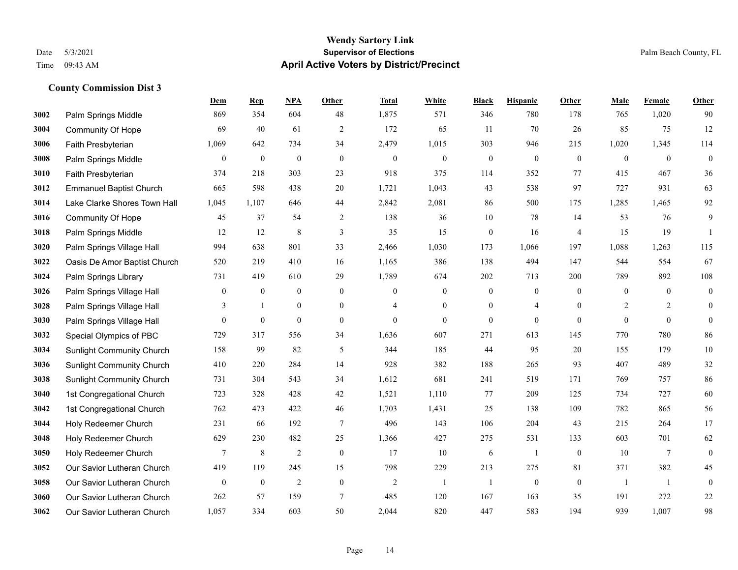|      |                                  | Dem              | <b>Rep</b>       | NPA              | <b>Other</b>     | <b>Total</b>   | <b>White</b>     | <b>Black</b>     | <b>Hispanic</b>  | <b>Other</b>   | <b>Male</b>    | Female       | <b>Other</b>     |
|------|----------------------------------|------------------|------------------|------------------|------------------|----------------|------------------|------------------|------------------|----------------|----------------|--------------|------------------|
| 3002 | Palm Springs Middle              | 869              | 354              | 604              | 48               | 1,875          | 571              | 346              | 780              | 178            | 765            | 1,020        | 90               |
| 3004 | <b>Community Of Hope</b>         | 69               | 40               | 61               | $\overline{2}$   | 172            | 65               | 11               | 70               | 26             | 85             | 75           | 12               |
| 3006 | Faith Presbyterian               | 1,069            | 642              | 734              | 34               | 2,479          | 1,015            | 303              | 946              | 215            | 1,020          | 1,345        | 114              |
| 3008 | Palm Springs Middle              | $\boldsymbol{0}$ | $\boldsymbol{0}$ | $\boldsymbol{0}$ | $\mathbf{0}$     | $\mathbf{0}$   | $\boldsymbol{0}$ | $\boldsymbol{0}$ | $\mathbf{0}$     | $\mathbf{0}$   | $\mathbf{0}$   | $\mathbf{0}$ | $\boldsymbol{0}$ |
| 3010 | Faith Presbyterian               | 374              | 218              | 303              | 23               | 918            | 375              | 114              | 352              | 77             | 415            | 467          | 36               |
| 3012 | <b>Emmanuel Baptist Church</b>   | 665              | 598              | 438              | 20               | 1,721          | 1,043            | 43               | 538              | 97             | 727            | 931          | 63               |
| 3014 | Lake Clarke Shores Town Hall     | 1,045            | 1,107            | 646              | 44               | 2,842          | 2,081            | 86               | 500              | 175            | 1,285          | 1,465        | 92               |
| 3016 | <b>Community Of Hope</b>         | 45               | 37               | 54               | 2                | 138            | 36               | 10               | 78               | 14             | 53             | 76           | 9                |
| 3018 | Palm Springs Middle              | 12               | 12               | 8                | 3                | 35             | 15               | $\boldsymbol{0}$ | 16               | $\overline{4}$ | 15             | 19           | $\mathbf{1}$     |
| 3020 | Palm Springs Village Hall        | 994              | 638              | 801              | 33               | 2,466          | 1,030            | 173              | 1,066            | 197            | 1,088          | 1,263        | 115              |
| 3022 | Oasis De Amor Baptist Church     | 520              | 219              | 410              | 16               | 1,165          | 386              | 138              | 494              | 147            | 544            | 554          | 67               |
| 3024 | Palm Springs Library             | 731              | 419              | 610              | 29               | 1,789          | 674              | 202              | 713              | 200            | 789            | 892          | 108              |
| 3026 | Palm Springs Village Hall        | $\boldsymbol{0}$ | $\boldsymbol{0}$ | $\boldsymbol{0}$ | $\boldsymbol{0}$ | $\mathbf{0}$   | $\boldsymbol{0}$ | $\boldsymbol{0}$ | $\boldsymbol{0}$ | $\theta$       | $\mathbf{0}$   | $\mathbf{0}$ | $\boldsymbol{0}$ |
| 3028 | Palm Springs Village Hall        | 3                | -1               | $\boldsymbol{0}$ | $\boldsymbol{0}$ | $\overline{4}$ | $\boldsymbol{0}$ | $\boldsymbol{0}$ | $\overline{4}$   | $\mathbf{0}$   | $\overline{2}$ | 2            | $\mathbf{0}$     |
| 3030 | Palm Springs Village Hall        | $\Omega$         | $\mathbf{0}$     | $\mathbf{0}$     | $\Omega$         | $\theta$       | $\overline{0}$   | $\mathbf{0}$     | $\mathbf{0}$     | $\theta$       | $\theta$       | $\theta$     | $\mathbf{0}$     |
| 3032 | Special Olympics of PBC          | 729              | 317              | 556              | 34               | 1,636          | 607              | 271              | 613              | 145            | 770            | 780          | 86               |
| 3034 | Sunlight Community Church        | 158              | 99               | 82               | 5                | 344            | 185              | 44               | 95               | 20             | 155            | 179          | $10\,$           |
| 3036 | <b>Sunlight Community Church</b> | 410              | 220              | 284              | 14               | 928            | 382              | 188              | 265              | 93             | 407            | 489          | 32               |
| 3038 | <b>Sunlight Community Church</b> | 731              | 304              | 543              | 34               | 1,612          | 681              | 241              | 519              | 171            | 769            | 757          | 86               |
| 3040 | 1st Congregational Church        | 723              | 328              | 428              | 42               | 1,521          | 1,110            | 77               | 209              | 125            | 734            | 727          | 60               |
| 3042 | 1st Congregational Church        | 762              | 473              | 422              | 46               | 1,703          | 1,431            | 25               | 138              | 109            | 782            | 865          | 56               |
| 3044 | Holy Redeemer Church             | 231              | 66               | 192              | $\tau$           | 496            | 143              | 106              | 204              | 43             | 215            | 264          | 17               |
| 3048 | Holy Redeemer Church             | 629              | 230              | 482              | 25               | 1,366          | 427              | 275              | 531              | 133            | 603            | 701          | 62               |
| 3050 | Holy Redeemer Church             | 7                | $\,8\,$          | $\overline{2}$   | $\boldsymbol{0}$ | 17             | 10               | 6                | 1                | $\mathbf{0}$   | 10             | 7            | $\boldsymbol{0}$ |
| 3052 | Our Savior Lutheran Church       | 419              | 119              | 245              | 15               | 798            | 229              | 213              | 275              | 81             | 371            | 382          | 45               |
| 3058 | Our Savior Lutheran Church       | $\boldsymbol{0}$ | $\boldsymbol{0}$ | $\overline{2}$   | $\boldsymbol{0}$ | $\overline{2}$ | -1               | $\mathbf{1}$     | $\boldsymbol{0}$ | $\mathbf{0}$   | -1             | $\mathbf{1}$ | $\boldsymbol{0}$ |
| 3060 | Our Savior Lutheran Church       | 262              | 57               | 159              | 7                | 485            | 120              | 167              | 163              | 35             | 191            | 272          | 22               |
| 3062 | Our Savior Lutheran Church       | 1,057            | 334              | 603              | 50               | 2,044          | 820              | 447              | 583              | 194            | 939            | 1,007        | 98               |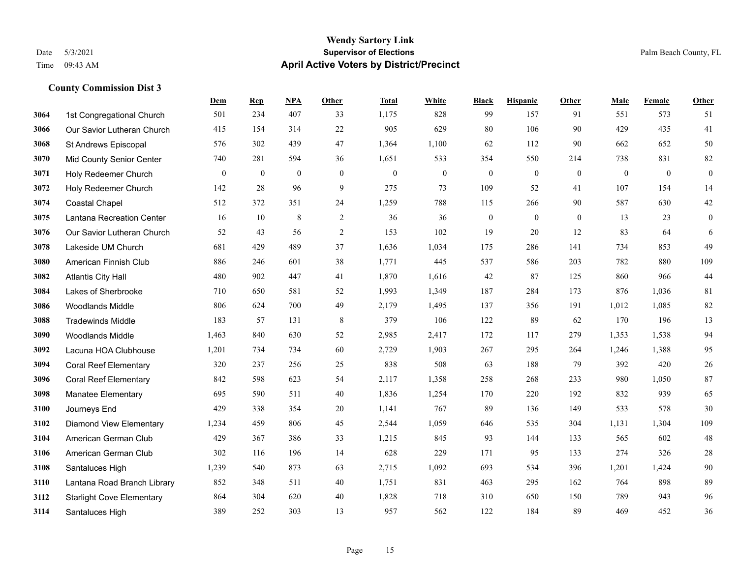|      |                                  | Dem          | <b>Rep</b>   | NPA          | <b>Other</b>   | <b>Total</b> | <b>White</b>   | <b>Black</b> | <b>Hispanic</b> | <b>Other</b> | <b>Male</b> | Female   | <b>Other</b>     |
|------|----------------------------------|--------------|--------------|--------------|----------------|--------------|----------------|--------------|-----------------|--------------|-------------|----------|------------------|
| 3064 | 1st Congregational Church        | 501          | 234          | 407          | 33             | 1,175        | 828            | 99           | 157             | 91           | 551         | 573      | 51               |
| 3066 | Our Savior Lutheran Church       | 415          | 154          | 314          | 22             | 905          | 629            | 80           | 106             | 90           | 429         | 435      | 41               |
| 3068 | St Andrews Episcopal             | 576          | 302          | 439          | 47             | 1,364        | 1,100          | 62           | 112             | 90           | 662         | 652      | 50               |
| 3070 | <b>Mid County Senior Center</b>  | 740          | 281          | 594          | 36             | 1,651        | 533            | 354          | 550             | 214          | 738         | 831      | $82\,$           |
| 3071 | Holy Redeemer Church             | $\mathbf{0}$ | $\mathbf{0}$ | $\mathbf{0}$ | $\theta$       | $\theta$     | $\overline{0}$ | $\mathbf{0}$ | $\overline{0}$  | $\theta$     | $\theta$    | $\theta$ | $\boldsymbol{0}$ |
| 3072 | Holy Redeemer Church             | 142          | 28           | 96           | 9              | 275          | 73             | 109          | 52              | 41           | 107         | 154      | 14               |
| 3074 | <b>Coastal Chapel</b>            | 512          | 372          | 351          | 24             | 1,259        | 788            | 115          | 266             | 90           | 587         | 630      | $42\,$           |
| 3075 | Lantana Recreation Center        | 16           | 10           | 8            | $\overline{2}$ | 36           | 36             | $\mathbf{0}$ | $\theta$        | $\theta$     | 13          | 23       | $\boldsymbol{0}$ |
| 3076 | Our Savior Lutheran Church       | 52           | 43           | 56           | $\overline{c}$ | 153          | 102            | 19           | 20              | 12           | 83          | 64       | 6                |
| 3078 | Lakeside UM Church               | 681          | 429          | 489          | 37             | 1,636        | 1,034          | 175          | 286             | 141          | 734         | 853      | 49               |
| 3080 | American Finnish Club            | 886          | 246          | 601          | 38             | 1,771        | 445            | 537          | 586             | 203          | 782         | 880      | 109              |
| 3082 | <b>Atlantis City Hall</b>        | 480          | 902          | 447          | 41             | 1,870        | 1,616          | 42           | 87              | 125          | 860         | 966      | 44               |
| 3084 | Lakes of Sherbrooke              | 710          | 650          | 581          | 52             | 1,993        | 1,349          | 187          | 284             | 173          | 876         | 1,036    | 81               |
| 3086 | Woodlands Middle                 | 806          | 624          | 700          | 49             | 2,179        | 1,495          | 137          | 356             | 191          | 1,012       | 1,085    | 82               |
| 3088 | <b>Tradewinds Middle</b>         | 183          | 57           | 131          | 8              | 379          | 106            | 122          | 89              | 62           | 170         | 196      | 13               |
| 3090 | <b>Woodlands Middle</b>          | 1,463        | 840          | 630          | 52             | 2,985        | 2,417          | 172          | 117             | 279          | 1,353       | 1,538    | 94               |
| 3092 | Lacuna HOA Clubhouse             | 1,201        | 734          | 734          | 60             | 2,729        | 1,903          | 267          | 295             | 264          | 1,246       | 1,388    | 95               |
| 3094 | <b>Coral Reef Elementary</b>     | 320          | 237          | 256          | 25             | 838          | 508            | 63           | 188             | 79           | 392         | 420      | $26\,$           |
| 3096 | <b>Coral Reef Elementary</b>     | 842          | 598          | 623          | 54             | 2,117        | 1,358          | 258          | 268             | 233          | 980         | 1,050    | 87               |
| 3098 | <b>Manatee Elementary</b>        | 695          | 590          | 511          | 40             | 1,836        | 1,254          | 170          | 220             | 192          | 832         | 939      | 65               |
| 3100 | Journeys End                     | 429          | 338          | 354          | 20             | 1,141        | 767            | 89           | 136             | 149          | 533         | 578      | 30               |
| 3102 | <b>Diamond View Elementary</b>   | 1,234        | 459          | 806          | 45             | 2,544        | 1,059          | 646          | 535             | 304          | 1,131       | 1,304    | 109              |
| 3104 | American German Club             | 429          | 367          | 386          | 33             | 1,215        | 845            | 93           | 144             | 133          | 565         | 602      | $48\,$           |
| 3106 | American German Club             | 302          | 116          | 196          | 14             | 628          | 229            | 171          | 95              | 133          | 274         | 326      | $28\,$           |
| 3108 | Santaluces High                  | 1,239        | 540          | 873          | 63             | 2,715        | 1,092          | 693          | 534             | 396          | 1,201       | 1.424    | $90\,$           |
| 3110 | Lantana Road Branch Library      | 852          | 348          | 511          | 40             | 1,751        | 831            | 463          | 295             | 162          | 764         | 898      | 89               |
| 3112 | <b>Starlight Cove Elementary</b> | 864          | 304          | 620          | 40             | 1,828        | 718            | 310          | 650             | 150          | 789         | 943      | 96               |
| 3114 | Santaluces High                  | 389          | 252          | 303          | 13             | 957          | 562            | 122          | 184             | 89           | 469         | 452      | 36               |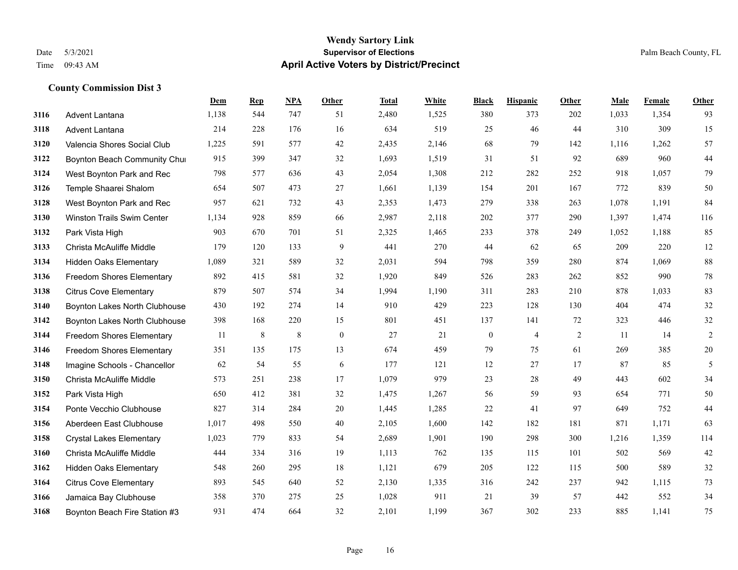|      |                                  | Dem   | <b>Rep</b> | NPA | Other            | <b>Total</b> | <b>White</b> | <b>Black</b>     | <b>Hispanic</b> | Other | <b>Male</b> | Female | <b>Other</b> |
|------|----------------------------------|-------|------------|-----|------------------|--------------|--------------|------------------|-----------------|-------|-------------|--------|--------------|
| 3116 | <b>Advent Lantana</b>            | 1,138 | 544        | 747 | 51               | 2,480        | 1,525        | 380              | 373             | 202   | 1,033       | 1,354  | 93           |
| 3118 | Advent Lantana                   | 214   | 228        | 176 | 16               | 634          | 519          | 25               | 46              | 44    | 310         | 309    | 15           |
| 3120 | Valencia Shores Social Club      | 1,225 | 591        | 577 | 42               | 2,435        | 2,146        | 68               | 79              | 142   | 1,116       | 1,262  | 57           |
| 3122 | Boynton Beach Community Chui     | 915   | 399        | 347 | 32               | 1,693        | 1,519        | 31               | 51              | 92    | 689         | 960    | $44$         |
| 3124 | West Boynton Park and Rec        | 798   | 577        | 636 | 43               | 2,054        | 1,308        | 212              | 282             | 252   | 918         | 1.057  | 79           |
| 3126 | Temple Shaarei Shalom            | 654   | 507        | 473 | 27               | 1,661        | 1,139        | 154              | 201             | 167   | 772         | 839    | 50           |
| 3128 | West Boynton Park and Rec        | 957   | 621        | 732 | 43               | 2,353        | 1,473        | 279              | 338             | 263   | 1,078       | 1,191  | 84           |
| 3130 | Winston Trails Swim Center       | 1,134 | 928        | 859 | 66               | 2,987        | 2,118        | 202              | 377             | 290   | 1,397       | 1,474  | 116          |
| 3132 | Park Vista High                  | 903   | 670        | 701 | 51               | 2,325        | 1,465        | 233              | 378             | 249   | 1,052       | 1,188  | 85           |
| 3133 | Christa McAuliffe Middle         | 179   | 120        | 133 | 9                | 441          | 270          | 44               | 62              | 65    | 209         | 220    | 12           |
| 3134 | <b>Hidden Oaks Elementary</b>    | 1,089 | 321        | 589 | 32               | 2,031        | 594          | 798              | 359             | 280   | 874         | 1.069  | 88           |
| 3136 | Freedom Shores Elementary        | 892   | 415        | 581 | 32               | 1,920        | 849          | 526              | 283             | 262   | 852         | 990    | 78           |
| 3138 | <b>Citrus Cove Elementary</b>    | 879   | 507        | 574 | 34               | 1,994        | 1,190        | 311              | 283             | 210   | 878         | 1,033  | 83           |
| 3140 | Boynton Lakes North Clubhouse    | 430   | 192        | 274 | 14               | 910          | 429          | 223              | 128             | 130   | 404         | 474    | 32           |
| 3142 | Boynton Lakes North Clubhouse    | 398   | 168        | 220 | 15               | 801          | 451          | 137              | 141             | 72    | 323         | 446    | 32           |
| 3144 | <b>Freedom Shores Elementary</b> | 11    | 8          | 8   | $\boldsymbol{0}$ | 27           | 21           | $\boldsymbol{0}$ | $\overline{4}$  | 2     | 11          | 14     | $\sqrt{2}$   |
| 3146 | <b>Freedom Shores Elementary</b> | 351   | 135        | 175 | 13               | 674          | 459          | 79               | 75              | 61    | 269         | 385    | $20\,$       |
| 3148 | Imagine Schools - Chancellor     | 62    | 54         | 55  | 6                | 177          | 121          | 12               | 27              | 17    | 87          | 85     | 5            |
| 3150 | Christa McAuliffe Middle         | 573   | 251        | 238 | 17               | 1,079        | 979          | 23               | 28              | 49    | 443         | 602    | 34           |
| 3152 | Park Vista High                  | 650   | 412        | 381 | 32               | 1,475        | 1,267        | 56               | 59              | 93    | 654         | 771    | 50           |
| 3154 | Ponte Vecchio Clubhouse          | 827   | 314        | 284 | 20               | 1,445        | 1,285        | 22               | 41              | 97    | 649         | 752    | $44$         |
| 3156 | Aberdeen East Clubhouse          | 1,017 | 498        | 550 | 40               | 2,105        | 1,600        | 142              | 182             | 181   | 871         | 1,171  | 63           |
| 3158 | <b>Crystal Lakes Elementary</b>  | 1,023 | 779        | 833 | 54               | 2,689        | 1,901        | 190              | 298             | 300   | 1,216       | 1,359  | 114          |
| 3160 | Christa McAuliffe Middle         | 444   | 334        | 316 | 19               | 1,113        | 762          | 135              | 115             | 101   | 502         | 569    | $42\,$       |
| 3162 | <b>Hidden Oaks Elementary</b>    | 548   | 260        | 295 | 18               | 1,121        | 679          | 205              | 122             | 115   | 500         | 589    | 32           |
| 3164 | <b>Citrus Cove Elementary</b>    | 893   | 545        | 640 | 52               | 2,130        | 1,335        | 316              | 242             | 237   | 942         | 1,115  | 73           |
| 3166 | Jamaica Bay Clubhouse            | 358   | 370        | 275 | 25               | 1,028        | 911          | 21               | 39              | 57    | 442         | 552    | 34           |
| 3168 | Boynton Beach Fire Station #3    | 931   | 474        | 664 | 32               | 2,101        | 1,199        | 367              | 302             | 233   | 885         | 1,141  | 75           |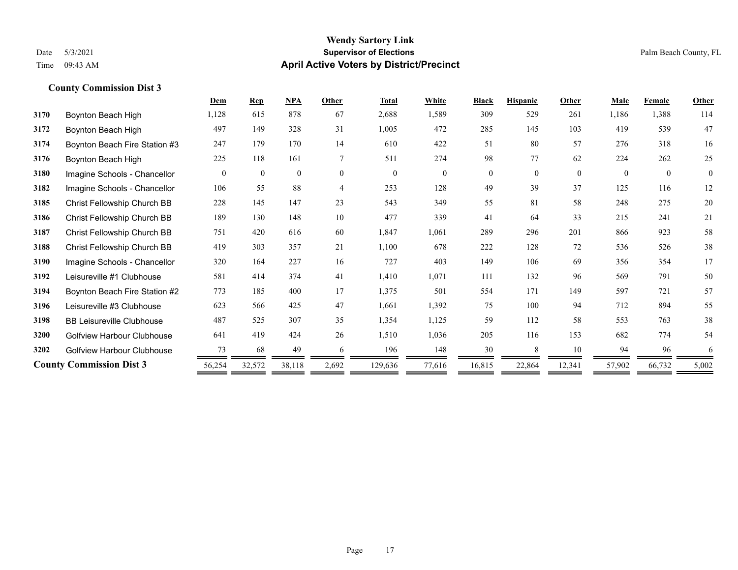|                                   | Dem      | <b>Rep</b>   | NPA          | Other          | <b>Total</b> | White          | <b>Black</b>   | <b>Hispanic</b> | Other    | <b>Male</b> | <b>Female</b> | <b>Other</b>   |
|-----------------------------------|----------|--------------|--------------|----------------|--------------|----------------|----------------|-----------------|----------|-------------|---------------|----------------|
| Boynton Beach High                | 1,128    | 615          | 878          | 67             | 2,688        | 1,589          | 309            | 529             | 261      | 1,186       | 1,388         | 114            |
| Boynton Beach High                | 497      | 149          | 328          | 31             | 1,005        | 472            | 285            | 145             | 103      | 419         | 539           | 47             |
| Boynton Beach Fire Station #3     | 247      | 179          | 170          | 14             | 610          | 422            | 51             | 80              | 57       | 276         | 318           | 16             |
| Boynton Beach High                | 225      | 118          | 161          | $\tau$         | 511          | 274            | 98             | 77              | 62       | 224         | 262           | 25             |
| Imagine Schools - Chancellor      | $\theta$ | $\mathbf{0}$ | $\mathbf{0}$ | $\theta$       | $\theta$     | $\overline{0}$ | $\overline{0}$ | $\overline{0}$  | $\theta$ | $\theta$    | $\theta$      | $\overline{0}$ |
| Imagine Schools - Chancellor      | 106      | 55           | 88           | $\overline{4}$ | 253          | 128            | 49             | 39              | 37       | 125         | 116           | 12             |
| Christ Fellowship Church BB       | 228      | 145          | 147          | 23             | 543          | 349            | 55             | 81              | 58       | 248         | 275           | 20             |
| Christ Fellowship Church BB       | 189      | 130          | 148          | 10             | 477          | 339            | 41             | 64              | 33       | 215         | 241           | 21             |
| Christ Fellowship Church BB       | 751      | 420          | 616          | 60             | 1,847        | 1,061          | 289            | 296             | 201      | 866         | 923           | 58             |
| Christ Fellowship Church BB       | 419      | 303          | 357          | 21             | 1,100        | 678            | 222            | 128             | 72       | 536         | 526           | 38             |
| Imagine Schools - Chancellor      | 320      | 164          | 227          | 16             | 727          | 403            | 149            | 106             | 69       | 356         | 354           | 17             |
| Leisureville #1 Clubhouse         | 581      | 414          | 374          | 41             | 1,410        | 1,071          | 111            | 132             | 96       | 569         | 791           | 50             |
| Boynton Beach Fire Station #2     | 773      | 185          | 400          | 17             | 1,375        | 501            | 554            | 171             | 149      | 597         | 721           | 57             |
| Leisureville #3 Clubhouse         | 623      | 566          | 425          | 47             | 1,661        | 1,392          | 75             | 100             | 94       | 712         | 894           | 55             |
| <b>BB Leisureville Clubhouse</b>  | 487      | 525          | 307          | 35             | 1,354        | 1,125          | 59             | 112             | 58       | 553         | 763           | 38             |
| Golfview Harbour Clubhouse        | 641      | 419          | 424          | 26             | 1,510        | 1,036          | 205            | 116             | 153      | 682         | 774           | 54             |
| <b>Golfview Harbour Clubhouse</b> | 73       | 68           | 49           | 6              | 196          | 148            | 30             | 8               | 10       | 94          | 96            | 6              |
| <b>County Commission Dist 3</b>   | 56,254   | 32,572       | 38,118       | 2,692          | 129,636      | 77,616         | 16,815         | 22,864          | 12,341   | 57,902      | 66,732        | 5,002          |
|                                   |          |              |              |                |              |                |                |                 |          |             |               |                |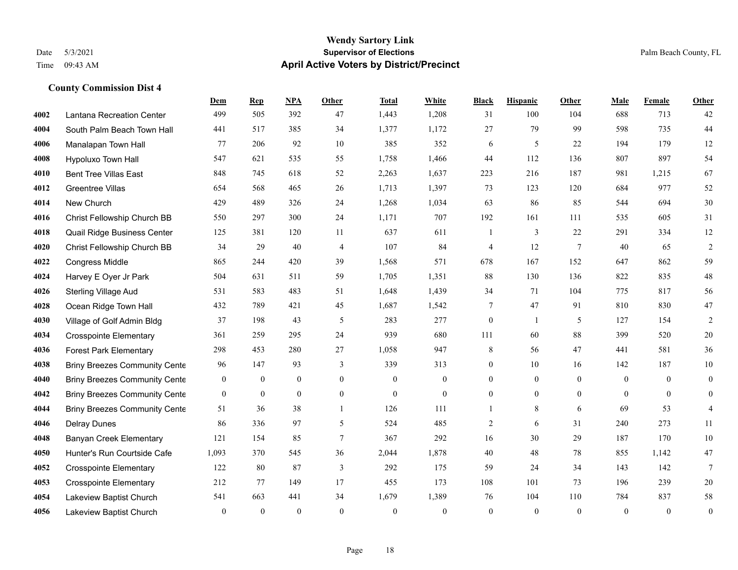### **Wendy Sartory Link** Date 5/3/2021 **Supervisor of Elections Supervisor of Elections** Palm Beach County, FL Time 09:43 AM **April Active Voters by District/Precinct**

|      |                                      | Dem              | <b>Rep</b>       | NPA            | Other          | <b>Total</b>     | White            | <b>Black</b>     | <b>Hispanic</b> | <b>Other</b>    | Male           | Female       | Other            |
|------|--------------------------------------|------------------|------------------|----------------|----------------|------------------|------------------|------------------|-----------------|-----------------|----------------|--------------|------------------|
| 4002 | Lantana Recreation Center            | 499              | 505              | 392            | 47             | 1,443            | 1,208            | 31               | 100             | 104             | 688            | 713          | 42               |
| 4004 | South Palm Beach Town Hall           | 441              | 517              | 385            | 34             | 1,377            | 1,172            | 27               | 79              | 99              | 598            | 735          | 44               |
| 4006 | Manalapan Town Hall                  | 77               | 206              | 92             | 10             | 385              | 352              | 6                | 5               | 22              | 194            | 179          | 12               |
| 4008 | Hypoluxo Town Hall                   | 547              | 621              | 535            | 55             | 1,758            | 1,466            | 44               | 112             | 136             | 807            | 897          | 54               |
| 4010 | <b>Bent Tree Villas East</b>         | 848              | 745              | 618            | 52             | 2,263            | 1,637            | 223              | 216             | 187             | 981            | 1,215        | 67               |
| 4012 | Greentree Villas                     | 654              | 568              | 465            | 26             | 1,713            | 1,397            | 73               | 123             | 120             | 684            | 977          | 52               |
| 4014 | New Church                           | 429              | 489              | 326            | 24             | 1,268            | 1,034            | 63               | 86              | 85              | 544            | 694          | 30               |
| 4016 | Christ Fellowship Church BB          | 550              | 297              | 300            | 24             | 1,171            | 707              | 192              | 161             | 111             | 535            | 605          | $31\,$           |
| 4018 | Quail Ridge Business Center          | 125              | 381              | 120            | 11             | 637              | 611              | 1                | 3               | 22              | 291            | 334          | 12               |
| 4020 | Christ Fellowship Church BB          | 34               | 29               | 40             | $\overline{4}$ | 107              | 84               | $\overline{4}$   | 12              | $7\phantom{.0}$ | 40             | 65           | $\overline{2}$   |
| 4022 | <b>Congress Middle</b>               | 865              | 244              | 420            | 39             | 1,568            | 571              | 678              | 167             | 152             | 647            | 862          | 59               |
| 4024 | Harvey E Oyer Jr Park                | 504              | 631              | 511            | 59             | 1,705            | 1,351            | 88               | 130             | 136             | 822            | 835          | $48\,$           |
| 4026 | <b>Sterling Village Aud</b>          | 531              | 583              | 483            | 51             | 1,648            | 1,439            | 34               | 71              | 104             | 775            | 817          | 56               |
| 4028 | Ocean Ridge Town Hall                | 432              | 789              | 421            | 45             | 1,687            | 1,542            | 7                | 47              | 91              | 810            | 830          | $47\,$           |
| 4030 | Village of Golf Admin Bldg           | 37               | 198              | 43             | 5              | 283              | 277              | $\boldsymbol{0}$ | 1               | 5               | 127            | 154          | $\sqrt{2}$       |
| 4034 | <b>Crosspointe Elementary</b>        | 361              | 259              | 295            | 24             | 939              | 680              | 111              | 60              | 88              | 399            | 520          | $20\,$           |
| 4036 | <b>Forest Park Elementary</b>        | 298              | 453              | 280            | 27             | 1,058            | 947              | 8                | 56              | 47              | 441            | 581          | 36               |
| 4038 | <b>Briny Breezes Community Cente</b> | 96               | 147              | 93             | 3              | 339              | 313              | $\boldsymbol{0}$ | 10              | 16              | 142            | 187          | $10\,$           |
| 4040 | <b>Briny Breezes Community Cente</b> | $\overline{0}$   | $\overline{0}$   | $\overline{0}$ | $\overline{0}$ | $\mathbf{0}$     | $\mathbf{0}$     | $\mathbf{0}$     | $\overline{0}$  | $\theta$        | $\mathbf{0}$   | $\theta$     | $\mathbf{0}$     |
| 4042 | <b>Briny Breezes Community Cente</b> | $\boldsymbol{0}$ | $\boldsymbol{0}$ | $\overline{0}$ | $\mathbf{0}$   | $\boldsymbol{0}$ | $\boldsymbol{0}$ | 0                | $\overline{0}$  | $\overline{0}$  | $\overline{0}$ | $\mathbf{0}$ | $\overline{0}$   |
| 4044 | <b>Briny Breezes Community Cente</b> | 51               | 36               | 38             | $\mathbf{1}$   | 126              | 111              | 1                | 8               | 6               | 69             | 53           | $\overline{4}$   |
| 4046 | <b>Delray Dunes</b>                  | 86               | 336              | 97             | 5              | 524              | 485              | 2                | 6               | 31              | 240            | 273          | 11               |
| 4048 | <b>Banyan Creek Elementary</b>       | 121              | 154              | 85             | $\tau$         | 367              | 292              | 16               | 30              | 29              | 187            | 170          | $10\,$           |
| 4050 | Hunter's Run Courtside Cafe          | 1,093            | 370              | 545            | 36             | 2,044            | 1,878            | 40               | 48              | 78              | 855            | 1,142        | $47\,$           |
| 4052 | <b>Crosspointe Elementary</b>        | 122              | 80               | 87             | 3              | 292              | 175              | 59               | 24              | 34              | 143            | 142          | $\tau$           |
| 4053 | <b>Crosspointe Elementary</b>        | 212              | 77               | 149            | 17             | 455              | 173              | 108              | 101             | 73              | 196            | 239          | 20               |
| 4054 | Lakeview Baptist Church              | 541              | 663              | 441            | 34             | 1,679            | 1,389            | 76               | 104             | 110             | 784            | 837          | $58\,$           |
| 4056 | Lakeview Baptist Church              | $\mathbf{0}$     | $\mathbf{0}$     | $\theta$       | $\theta$       | $\theta$         | $\theta$         | $\theta$         | $\theta$        | $\theta$        | $\theta$       | $\theta$     | $\boldsymbol{0}$ |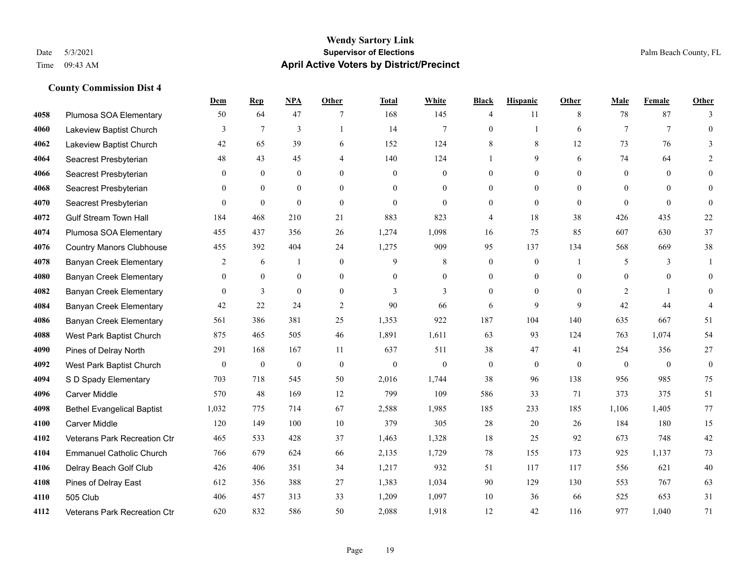|      |                                   | Dem            | <b>Rep</b>       | NPA              | <b>Other</b>   | <b>Total</b> | <b>White</b>     | <b>Black</b>     | <b>Hispanic</b> | <b>Other</b>   | <b>Male</b>    | <b>Female</b>   | Other            |
|------|-----------------------------------|----------------|------------------|------------------|----------------|--------------|------------------|------------------|-----------------|----------------|----------------|-----------------|------------------|
| 4058 | Plumosa SOA Elementary            | 50             | 64               | 47               | 7              | 168          | 145              | $\overline{4}$   | 11              | 8              | 78             | 87              | 3                |
| 4060 | Lakeview Baptist Church           | 3              | $\tau$           | 3                |                | 14           | $\tau$           | $\mathbf{0}$     |                 | 6              | $\tau$         | $7\phantom{.0}$ | $\overline{0}$   |
| 4062 | Lakeview Baptist Church           | 42             | 65               | 39               | 6              | 152          | 124              | 8                | 8               | 12             | 73             | 76              | 3                |
| 4064 | Seacrest Presbyterian             | 48             | 43               | 45               | 4              | 140          | 124              |                  | 9               | 6              | 74             | 64              | $\mathfrak{D}$   |
| 4066 | Seacrest Presbyterian             | $\overline{0}$ | $\mathbf{0}$     | $\overline{0}$   | $\overline{0}$ | $\mathbf{0}$ | $\mathbf{0}$     | $\boldsymbol{0}$ | $\mathbf{0}$    | $\Omega$       | $\mathbf{0}$   | $\theta$        | $\mathbf{0}$     |
| 4068 | Seacrest Presbyterian             | $\overline{0}$ | $\mathbf{0}$     | $\mathbf{0}$     | $\theta$       | $\theta$     | $\overline{0}$   | $\mathbf{0}$     | $\mathbf{0}$    | $\theta$       | $\theta$       | $\theta$        | $\mathbf{0}$     |
| 4070 | Seacrest Presbyterian             | $\Omega$       | $\theta$         | $\theta$         | $\theta$       | $\theta$     | $\Omega$         | $\mathbf{0}$     | $\theta$        | $\theta$       | $\theta$       | $\theta$        | $\mathbf{0}$     |
| 4072 | <b>Gulf Stream Town Hall</b>      | 184            | 468              | 210              | 21             | 883          | 823              | 4                | 18              | 38             | 426            | 435             | 22               |
| 4074 | Plumosa SOA Elementary            | 455            | 437              | 356              | 26             | 1,274        | 1,098            | 16               | 75              | 85             | 607            | 630             | 37               |
| 4076 | <b>Country Manors Clubhouse</b>   | 455            | 392              | 404              | 24             | 1,275        | 909              | 95               | 137             | 134            | 568            | 669             | 38               |
| 4078 | <b>Banyan Creek Elementary</b>    | 2              | 6                | 1                | $\mathbf{0}$   | 9            | 8                | $\boldsymbol{0}$ | $\mathbf{0}$    | $\overline{1}$ | 5              | 3               | -1               |
| 4080 | <b>Banyan Creek Elementary</b>    | $\overline{0}$ | $\mathbf{0}$     | $\mathbf{0}$     | $\theta$       | $\theta$     | $\overline{0}$   | $\mathbf{0}$     | $\theta$        | $\Omega$       | $\theta$       | $\theta$        | $\theta$         |
| 4082 | <b>Banyan Creek Elementary</b>    | $\overline{0}$ | $\mathfrak{Z}$   | $\mathbf{0}$     | $\theta$       | 3            | 3                | $\mathbf{0}$     | $\theta$        | $\Omega$       | $\overline{2}$ | $\mathbf{1}$    | $\mathbf{0}$     |
| 4084 | <b>Banyan Creek Elementary</b>    | 42             | 22               | 24               | $\overline{2}$ | 90           | 66               | 6                | 9               | 9              | 42             | 44              |                  |
| 4086 | <b>Banyan Creek Elementary</b>    | 561            | 386              | 381              | 25             | 1,353        | 922              | 187              | 104             | 140            | 635            | 667             | 51               |
| 4088 | West Park Baptist Church          | 875            | 465              | 505              | 46             | 1,891        | 1,611            | 63               | 93              | 124            | 763            | 1,074           | 54               |
| 4090 | Pines of Delray North             | 291            | 168              | 167              | 11             | 637          | 511              | 38               | 47              | 41             | 254            | 356             | 27               |
| 4092 | West Park Baptist Church          | $\bf{0}$       | $\boldsymbol{0}$ | $\boldsymbol{0}$ | $\mathbf{0}$   | $\mathbf{0}$ | $\boldsymbol{0}$ | $\boldsymbol{0}$ | $\mathbf{0}$    | $\theta$       | $\mathbf{0}$   | $\mathbf{0}$    | $\boldsymbol{0}$ |
| 4094 | S D Spady Elementary              | 703            | 718              | 545              | 50             | 2,016        | 1,744            | 38               | 96              | 138            | 956            | 985             | 75               |
| 4096 | <b>Carver Middle</b>              | 570            | 48               | 169              | 12             | 799          | 109              | 586              | 33              | 71             | 373            | 375             | 51               |
| 4098 | <b>Bethel Evangelical Baptist</b> | 1,032          | 775              | 714              | 67             | 2,588        | 1,985            | 185              | 233             | 185            | 1,106          | 1,405           | 77               |
| 4100 | <b>Carver Middle</b>              | 120            | 149              | 100              | 10             | 379          | 305              | 28               | 20              | 26             | 184            | 180             | 15               |
| 4102 | Veterans Park Recreation Ctr      | 465            | 533              | 428              | 37             | 1,463        | 1,328            | 18               | 25              | 92             | 673            | 748             | 42               |
| 4104 | <b>Emmanuel Catholic Church</b>   | 766            | 679              | 624              | 66             | 2,135        | 1,729            | 78               | 155             | 173            | 925            | 1,137           | 73               |
| 4106 | Delray Beach Golf Club            | 426            | 406              | 351              | 34             | 1,217        | 932              | 51               | 117             | 117            | 556            | 621             | 40               |
| 4108 | Pines of Delray East              | 612            | 356              | 388              | 27             | 1,383        | 1,034            | 90               | 129             | 130            | 553            | 767             | 63               |
| 4110 | 505 Club                          | 406            | 457              | 313              | 33             | 1,209        | 1,097            | 10               | 36              | 66             | 525            | 653             | 31               |
| 4112 | Veterans Park Recreation Ctr      | 620            | 832              | 586              | 50             | 2,088        | 1,918            | 12               | 42              | 116            | 977            | 1,040           | 71               |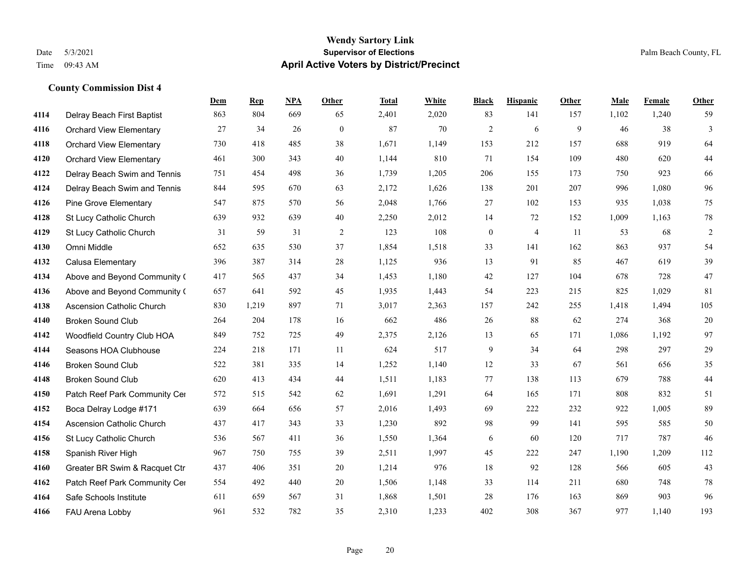#### **Wendy Sartory Link** Date 5/3/2021 **Supervisor of Elections** Palm Beach County, FL Time 09:43 AM **April Active Voters by District/Precinct**

## **Dem Rep NPA Other Total White Black Hispanic Other Male Female Other** Delray Beach First Baptist 863 804 669 65 2,401 2,020 83 141 157 1,102 1,240 59 Orchard View Elementary 27 34 26 0 87 70 2 6 9 46 38 3 Orchard View Elementary 730 418 485 38 1,671 1,149 153 212 157 688 919 64 Orchard View Elementary 461 300 343 40 1,144 810 71 154 109 480 620 44 Delray Beach Swim and Tennis 751 454 498 36 1,739 1,205 206 155 173 750 923 66 Delray Beach Swim and Tennis 844 595 670 63 2,172 1,626 138 201 207 996 1,080 96 Pine Grove Elementary 547 875 570 56 2,048 1,766 27 102 153 935 1,038 75 St Lucy Catholic Church 639 932 639 40 2,250 2,012 14 72 152 1,009 1,163 78 St Lucy Catholic Church 31 59 31 2 123 108 0 4 11 53 68 2 Omni Middle 652 635 530 37 1,854 1,518 33 141 162 863 937 54 Calusa Elementary 396 387 314 28 1,125 936 13 91 85 467 619 39 Above and Beyond Community Church 417 565 437 34 1,453 1,180 42 127 104 678 728 47 Above and Beyond Community Church 657 641 592 45 1,935 1,443 54 223 215 825 1,029 81 Ascension Catholic Church 830 1,219 897 71 3,017 2,363 157 242 255 1,418 1,494 105 Broken Sound Club 264 204 178 16 662 486 26 88 62 274 368 20 Woodfield Country Club HOA 849 752 725 49 2,375 2,126 13 65 171 1,086 1,192 97 Seasons HOA Clubhouse 224 218 171 11 624 517 9 34 64 298 297 29 Broken Sound Club 522 381 335 14 1,252 1,140 12 33 67 561 656 35 Broken Sound Club 620 413 434 44 1,511 1,183 77 138 113 679 788 44 4150 Patch Reef Park Community Center 572 515 542 62 1,691 1,291 64 165 171 808 832 51 Boca Delray Lodge #171 639 664 656 57 2,016 1,493 69 222 232 922 1,005 89 Ascension Catholic Church 437 417 343 33 1,230 892 98 99 141 595 585 50 St Lucy Catholic Church 536 567 411 36 1,550 1,364 6 60 120 717 787 46 Spanish River High 967 750 755 39 2,511 1,997 45 222 247 1,190 1,209 112 Greater BR Swim & Racquet Ctr 437 406 351 20 1,214 976 18 92 128 566 605 43 4162 Patch Reef Park Community Center 554 492 440 20 1,506 1,148 33 114 211 680 748 78 Safe Schools Institute 611 659 567 31 1,868 1,501 28 176 163 869 903 96 FAU Arena Lobby 961 532 782 35 2,310 1,233 402 308 367 977 1,140 193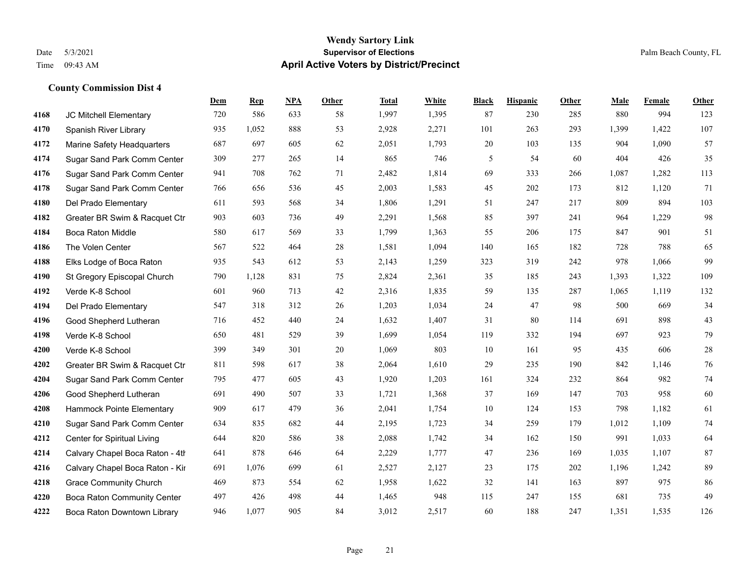#### **Wendy Sartory Link** Date 5/3/2021 **Supervisor of Elections** Palm Beach County, FL Time 09:43 AM **April Active Voters by District/Precinct**

## **Dem Rep NPA Other Total White Black Hispanic Other Male Female Other** JC Mitchell Elementary 720 586 633 58 1,997 1,395 87 230 285 880 994 123 Spanish River Library 935 1,052 888 53 2,928 2,271 101 263 293 1,399 1,422 107 Marine Safety Headquarters 687 697 605 62 2,051 1,793 20 103 135 904 1,090 57 Sugar Sand Park Comm Center 309 277 265 14 865 746 5 54 60 404 426 35 Sugar Sand Park Comm Center 941 708 762 71 2,482 1,814 69 333 266 1,087 1,282 113 Sugar Sand Park Comm Center 766 656 536 45 2,003 1,583 45 202 173 812 1,120 71 Del Prado Elementary 611 593 568 34 1,806 1,291 51 247 217 809 894 103 Greater BR Swim & Racquet Ctr 903 603 736 49 2,291 1,568 85 397 241 964 1,229 98 Boca Raton Middle 580 617 569 33 1,799 1,363 55 206 175 847 901 51 The Volen Center 567 522 464 28 1,581 1,094 140 165 182 728 788 65 Elks Lodge of Boca Raton 935 543 612 53 2,143 1,259 323 319 242 978 1,066 99 St Gregory Episcopal Church 790 1,128 831 75 2,824 2,361 35 185 243 1,393 1,322 109 Verde K-8 School 601 960 713 42 2,316 1,835 59 135 287 1,065 1,119 132 Del Prado Elementary 547 318 312 26 1,203 1,034 24 47 98 500 669 34 Good Shepherd Lutheran 716 452 440 24 1,632 1,407 31 80 114 691 898 43 Verde K-8 School 650 481 529 39 1,699 1,054 119 332 194 697 923 79 Verde K-8 School 399 349 301 20 1,069 803 10 161 95 435 606 28 Greater BR Swim & Racquet Ctr 811 598 617 38 2,064 1,610 29 235 190 842 1,146 76 Sugar Sand Park Comm Center 795 477 605 43 1,920 1,203 161 324 232 864 982 74 Good Shepherd Lutheran 691 490 507 33 1,721 1,368 37 169 147 703 958 60 Hammock Pointe Elementary 909 617 479 36 2,041 1,754 10 124 153 798 1,182 61 Sugar Sand Park Comm Center 634 835 682 44 2,195 1,723 34 259 179 1,012 1,109 74 Center for Spiritual Living 644 820 586 38 2,088 1,742 34 162 150 991 1,033 64 4214 Calvary Chapel Boca Raton - 4th $641$  878 646 64 2,229 1,777 47 236 169 1,035 1,107 87 Calvary Chapel Boca Raton - Kir 691 1,076 699 61 2,527 2,127 23 175 202 1,196 1,242 89 Grace Community Church 469 873 554 62 1,958 1,622 32 141 163 897 975 86 Boca Raton Community Center 497 426 498 44 1,465 948 115 247 155 681 735 49 Boca Raton Downtown Library 946 1,077 905 84 3,012 2,517 60 188 247 1,351 1,535 126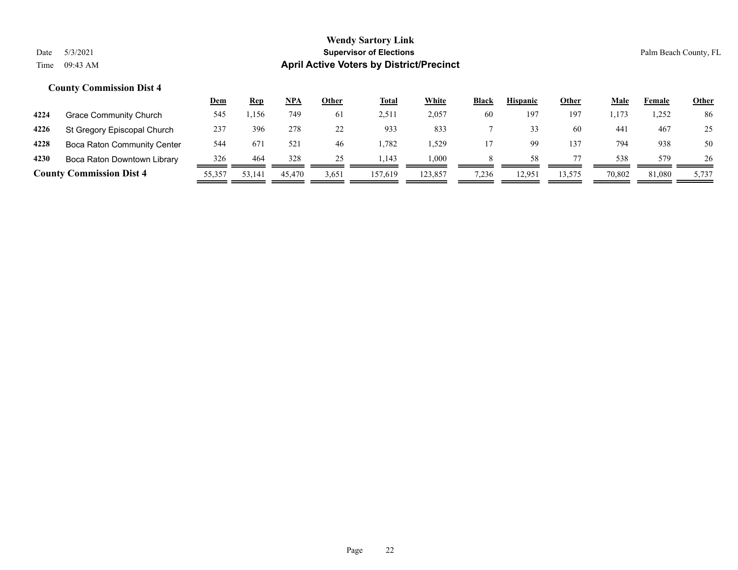|      |                                 | <u>Dem</u> | <b>Rep</b> | NPA    | Other | <b>Total</b> | White   | <b>Black</b> | <b>Hispanic</b> | Other  | Male   | Female | <u>Other</u> |
|------|---------------------------------|------------|------------|--------|-------|--------------|---------|--------------|-----------------|--------|--------|--------|--------------|
| 4224 | Grace Community Church          | 545        | ,156       | 749    | 6 I   | 2,511        | 2,057   | 60           | 197             | 197    | 1,173  | 1,252  | 86           |
| 4226 | St Gregory Episcopal Church     | 237        | 396        | 278    |       | 933          | 833     |              |                 | 60     | 44 i   | 467    | 25           |
| 4228 | Boca Raton Community Center     | 544        | 671        | 521    | 46    | .782         | .529    |              |                 | 137    | 794    | 938    | 50           |
| 4230 | Boca Raton Downtown Library     | 326        | 464        | 328    | 25    | .143         | 000.    |              | 58              |        | 538    | 579    | 26           |
|      | <b>County Commission Dist 4</b> | 55,357     | 53,141     | 45,470 | 3,651 | 157,619      | 123,857 | 7,236        | 12.951          | 13,575 | 70,802 | 81,080 | 5,737        |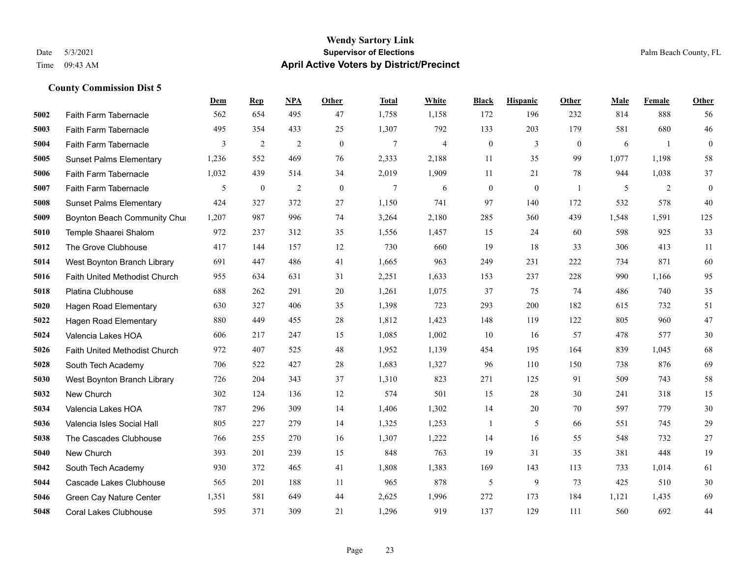|      |                                      | Dem   | <b>Rep</b>     | NPA            | <b>Other</b> | <b>Total</b>   | White | <b>Black</b>     | <b>Hispanic</b> | Other          | <b>Male</b> | Female       | <b>Other</b>     |
|------|--------------------------------------|-------|----------------|----------------|--------------|----------------|-------|------------------|-----------------|----------------|-------------|--------------|------------------|
| 5002 | Faith Farm Tabernacle                | 562   | 654            | 495            | 47           | 1,758          | 1,158 | 172              | 196             | 232            | 814         | 888          | 56               |
| 5003 | Faith Farm Tabernacle                | 495   | 354            | 433            | 25           | 1,307          | 792   | 133              | 203             | 179            | 581         | 680          | 46               |
| 5004 | Faith Farm Tabernacle                | 3     | $\overline{c}$ | $\overline{2}$ | $\mathbf{0}$ | $\overline{7}$ | 4     | $\boldsymbol{0}$ | 3               | $\overline{0}$ | 6           | $\mathbf{1}$ | $\boldsymbol{0}$ |
| 5005 | <b>Sunset Palms Elementary</b>       | 1,236 | 552            | 469            | 76           | 2,333          | 2,188 | 11               | 35              | 99             | 1,077       | 1,198        | 58               |
| 5006 | Faith Farm Tabernacle                | 1,032 | 439            | 514            | 34           | 2,019          | 1,909 | 11               | 21              | 78             | 944         | 1,038        | 37               |
| 5007 | Faith Farm Tabernacle                | 5     | $\bf{0}$       | $\overline{2}$ | $\mathbf{0}$ | 7              | 6     | $\boldsymbol{0}$ | $\mathbf{0}$    | $\overline{1}$ | 5           | 2            | $\mathbf{0}$     |
| 5008 | <b>Sunset Palms Elementary</b>       | 424   | 327            | 372            | 27           | 1,150          | 741   | 97               | 140             | 172            | 532         | 578          | 40               |
| 5009 | Boynton Beach Community Chur         | 1,207 | 987            | 996            | 74           | 3,264          | 2,180 | 285              | 360             | 439            | 1,548       | 1,591        | 125              |
| 5010 | Temple Shaarei Shalom                | 972   | 237            | 312            | 35           | 1,556          | 1,457 | 15               | 24              | 60             | 598         | 925          | 33               |
| 5012 | The Grove Clubhouse                  | 417   | 144            | 157            | 12           | 730            | 660   | 19               | 18              | 33             | 306         | 413          | 11               |
| 5014 | West Boynton Branch Library          | 691   | 447            | 486            | 41           | 1,665          | 963   | 249              | 231             | 222            | 734         | 871          | 60               |
| 5016 | <b>Faith United Methodist Church</b> | 955   | 634            | 631            | 31           | 2,251          | 1,633 | 153              | 237             | 228            | 990         | 1,166        | 95               |
| 5018 | Platina Clubhouse                    | 688   | 262            | 291            | 20           | 1,261          | 1,075 | 37               | 75              | 74             | 486         | 740          | 35               |
| 5020 | Hagen Road Elementary                | 630   | 327            | 406            | 35           | 1,398          | 723   | 293              | 200             | 182            | 615         | 732          | 51               |
| 5022 | <b>Hagen Road Elementary</b>         | 880   | 449            | 455            | 28           | 1,812          | 1,423 | 148              | 119             | 122            | 805         | 960          | 47               |
| 5024 | Valencia Lakes HOA                   | 606   | 217            | 247            | 15           | 1,085          | 1,002 | 10               | 16              | 57             | 478         | 577          | 30               |
| 5026 | Faith United Methodist Church        | 972   | 407            | 525            | 48           | 1,952          | 1,139 | 454              | 195             | 164            | 839         | 1,045        | 68               |
| 5028 | South Tech Academy                   | 706   | 522            | 427            | 28           | 1,683          | 1,327 | 96               | 110             | 150            | 738         | 876          | 69               |
| 5030 | West Boynton Branch Library          | 726   | 204            | 343            | 37           | 1,310          | 823   | 271              | 125             | 91             | 509         | 743          | 58               |
| 5032 | New Church                           | 302   | 124            | 136            | 12           | 574            | 501   | 15               | 28              | 30             | 241         | 318          | 15               |
| 5034 | Valencia Lakes HOA                   | 787   | 296            | 309            | 14           | 1,406          | 1,302 | 14               | 20              | 70             | 597         | 779          | 30               |
| 5036 | Valencia Isles Social Hall           | 805   | 227            | 279            | 14           | 1,325          | 1,253 | 1                | 5               | 66             | 551         | 745          | $29\,$           |
| 5038 | The Cascades Clubhouse               | 766   | 255            | 270            | 16           | 1,307          | 1,222 | 14               | 16              | 55             | 548         | 732          | 27               |
| 5040 | New Church                           | 393   | 201            | 239            | 15           | 848            | 763   | 19               | 31              | 35             | 381         | 448          | 19               |
| 5042 | South Tech Academy                   | 930   | 372            | 465            | 41           | 1,808          | 1,383 | 169              | 143             | 113            | 733         | 1,014        | 61               |
| 5044 | Cascade Lakes Clubhouse              | 565   | 201            | 188            | 11           | 965            | 878   | 5                | 9               | 73             | 425         | 510          | 30               |
| 5046 | Green Cay Nature Center              | 1,351 | 581            | 649            | 44           | 2,625          | 1,996 | 272              | 173             | 184            | 1,121       | 1,435        | 69               |
| 5048 | <b>Coral Lakes Clubhouse</b>         | 595   | 371            | 309            | 21           | 1,296          | 919   | 137              | 129             | 111            | 560         | 692          | 44               |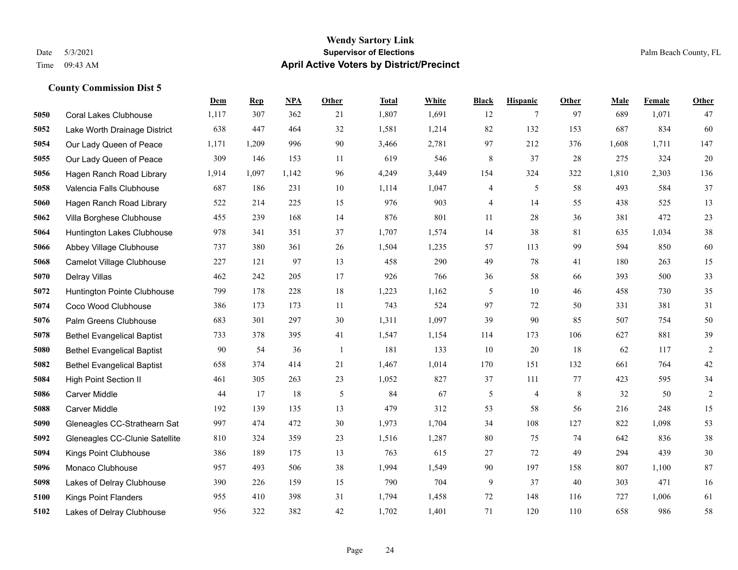#### **Wendy Sartory Link** Date 5/3/2021 **Supervisor of Elections** Palm Beach County, FL Time 09:43 AM **April Active Voters by District/Precinct**

## **Dem Rep NPA Other Total White Black Hispanic Other Male Female Other** Coral Lakes Clubhouse 1,117 307 362 21 1,807 1,691 12 7 97 689 1,071 47 Lake Worth Drainage District 638 447 464 32 1,581 1,214 82 132 153 687 834 60 Our Lady Queen of Peace 1,171 1,209 996 90 3,466 2,781 97 212 376 1,608 1,711 147 Our Lady Queen of Peace 309 146 153 11 619 546 8 37 28 275 324 20 Hagen Ranch Road Library 1,914 1,097 1,142 96 4,249 3,449 154 324 322 1,810 2,303 136 Valencia Falls Clubhouse 687 186 231 10 1,114 1,047 4 5 58 493 584 37 Hagen Ranch Road Library 522 214 225 15 976 903 4 14 55 438 525 13 Villa Borghese Clubhouse 455 239 168 14 876 801 11 28 36 381 472 23 Huntington Lakes Clubhouse 978 341 351 37 1,707 1,574 14 38 81 635 1,034 38 Abbey Village Clubhouse 737 380 361 26 1,504 1,235 57 113 99 594 850 60 Camelot Village Clubhouse 227 121 97 13 458 290 49 78 41 180 263 15 Delray Villas 462 242 205 17 926 766 36 58 66 393 500 33 Huntington Pointe Clubhouse 799 178 228 18 1,223 1,162 5 10 46 458 730 35 Coco Wood Clubhouse 386 173 173 11 743 524 97 72 50 331 381 31 Palm Greens Clubhouse 683 301 297 30 1,311 1,097 39 90 85 507 754 50 Bethel Evangelical Baptist 733 378 395 41 1,547 1,154 114 173 106 627 881 39 Bethel Evangelical Baptist 90 54 36 1 181 133 10 20 18 62 117 2 Bethel Evangelical Baptist 658 374 414 21 1,467 1,014 170 151 132 661 764 42 High Point Section II 461 305 263 23 1,052 827 37 111 77 423 595 34 Carver Middle 44 17 18 5 84 67 5 4 8 32 50 2 Carver Middle 192 139 135 13 479 312 53 58 56 216 248 15 Gleneagles CC-Strathearn Sat 997 474 472 30 1,973 1,704 34 108 127 822 1,098 53 Gleneagles CC-Clunie Satellite 810 324 359 23 1,516 1,287 80 75 74 642 836 38 Kings Point Clubhouse 386 189 175 13 763 615 27 72 49 294 439 30 Monaco Clubhouse 957 493 506 38 1,994 1,549 90 197 158 807 1,100 87 Lakes of Delray Clubhouse 390 226 159 15 790 704 9 37 40 303 471 16 Kings Point Flanders 955 410 398 31 1,794 1,458 72 148 116 727 1,006 61 Lakes of Delray Clubhouse 956 322 382 42 1,702 1,401 71 120 110 658 986 58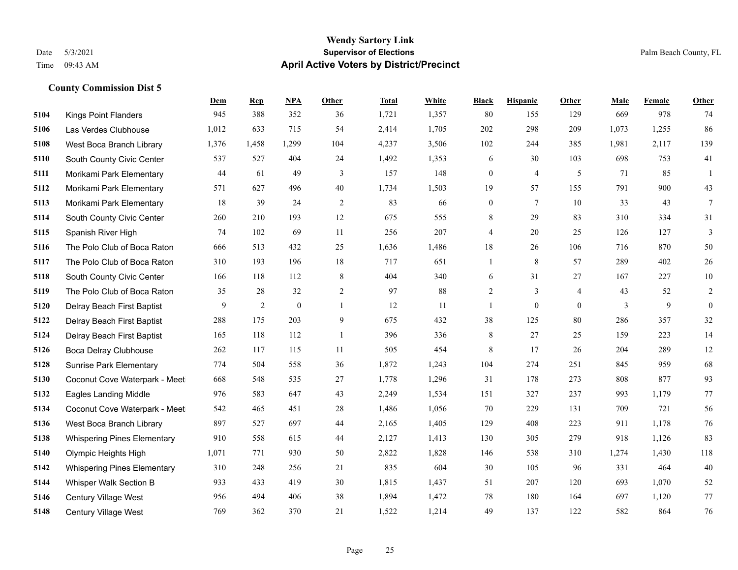#### **Wendy Sartory Link** Date 5/3/2021 **Supervisor of Elections** Palm Beach County, FL Time 09:43 AM **April Active Voters by District/Precinct**

## **Dem Rep NPA Other Total White Black Hispanic Other Male Female Other** Kings Point Flanders 945 388 352 36 1,721 1,357 80 155 129 669 978 74 Las Verdes Clubhouse 1,012 633 715 54 2,414 1,705 202 298 209 1,073 1,255 86 West Boca Branch Library 1,376 1,458 1,299 104 4,237 3,506 102 244 385 1,981 2,117 139 South County Civic Center 537 527 404 24 1,492 1,353 6 30 103 698 753 41 Morikami Park Elementary 44 61 49 3 157 148 0 4 5 71 85 1 Morikami Park Elementary 571 627 496 40 1,734 1,503 19 57 155 791 900 43 Morikami Park Elementary 18 39 24 2 83 66 0 7 10 33 43 7 South County Civic Center 260 210 193 12 675 555 8 29 83 310 334 31 Spanish River High 74 102 69 11 256 207 4 20 25 126 127 3 The Polo Club of Boca Raton 666 513 432 25 1,636 1,486 18 26 106 716 870 50 The Polo Club of Boca Raton 310 193 196 18 717 651 1 8 57 289 402 26 South County Civic Center 166 118 112 8 404 340 6 31 27 167 227 10 The Polo Club of Boca Raton 35 28 32 2 97 88 2 3 4 43 52 2 Delray Beach First Baptist  $\begin{array}{cccccccc} 9 & 2 & 0 & 1 & 12 & 11 & 1 & 0 & 0 & 3 & 9 & 0 \end{array}$  Delray Beach First Baptist 288 175 203 9 675 432 38 125 80 286 357 32 Delray Beach First Baptist 165 118 112 1 396 336 8 27 25 159 223 14 Boca Delray Clubhouse 262 117 115 11 505 454 8 17 26 204 289 12 Sunrise Park Elementary 774 504 558 36 1,872 1,243 104 274 251 845 959 68 Coconut Cove Waterpark - Meet 668 548 535 27 1,778 1,296 31 178 273 808 877 93 Eagles Landing Middle 976 583 647 43 2,249 1,534 151 327 237 993 1,179 77 Coconut Cove Waterpark - Meet 542 465 451 28 1,486 1,056 70 229 131 709 721 56 West Boca Branch Library 897 527 697 44 2,165 1,405 129 408 223 911 1,178 76 Whispering Pines Elementary 910 558 615 44 2,127 1,413 130 305 279 918 1,126 83 Olympic Heights High 1,071 771 930 50 2,822 1,828 146 538 310 1,274 1,430 118 Whispering Pines Elementary 310 248 256 21 835 604 30 105 96 331 464 40 Whisper Walk Section B 933 433 419 30 1,815 1,437 51 207 120 693 1,070 52 Century Village West 956 494 406 38 1,894 1,472 78 180 164 697 1,120 77 Century Village West 769 362 370 21 1,522 1,214 49 137 122 582 864 76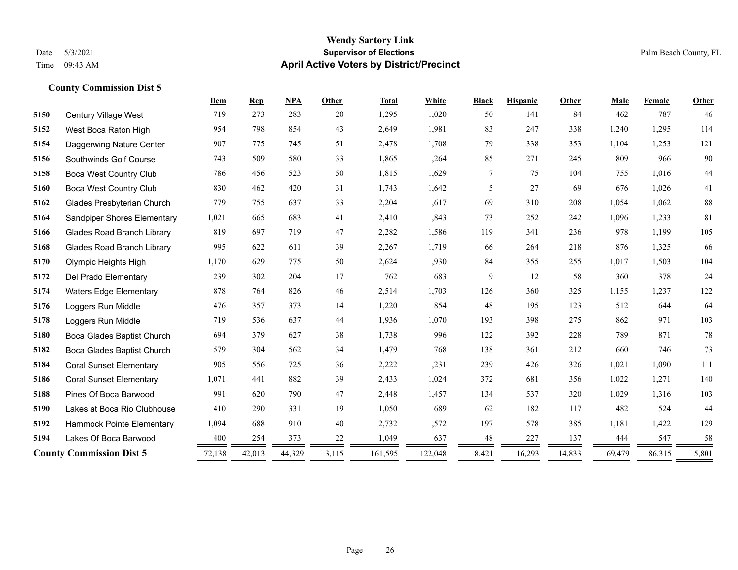### **Wendy Sartory Link** Date 5/3/2021 **Supervisor of Elections** Palm Beach County, FL Time 09:43 AM **April Active Voters by District/Precinct**

|      |                                   | Dem    | <b>Rep</b> | <b>NPA</b> | Other | <b>Total</b> | White   | <b>Black</b> | <b>Hispanic</b> | Other  | Male   | Female | Other |
|------|-----------------------------------|--------|------------|------------|-------|--------------|---------|--------------|-----------------|--------|--------|--------|-------|
| 5150 | Century Village West              | 719    | 273        | 283        | 20    | 1,295        | 1,020   | 50           | 141             | 84     | 462    | 787    | 46    |
| 5152 | West Boca Raton High              | 954    | 798        | 854        | 43    | 2,649        | 1,981   | 83           | 247             | 338    | 1,240  | 1,295  | 114   |
| 5154 | Daggerwing Nature Center          | 907    | 775        | 745        | 51    | 2,478        | 1,708   | 79           | 338             | 353    | 1,104  | 1,253  | 121   |
| 5156 | Southwinds Golf Course            | 743    | 509        | 580        | 33    | 1,865        | 1,264   | 85           | 271             | 245    | 809    | 966    | 90    |
| 5158 | Boca West Country Club            | 786    | 456        | 523        | 50    | 1,815        | 1,629   | 7            | 75              | 104    | 755    | 1,016  | 44    |
| 5160 | <b>Boca West Country Club</b>     | 830    | 462        | 420        | 31    | 1,743        | 1,642   | 5            | 27              | 69     | 676    | 1,026  | 41    |
| 5162 | Glades Presbyterian Church        | 779    | 755        | 637        | 33    | 2,204        | 1,617   | 69           | 310             | 208    | 1,054  | 1,062  | 88    |
| 5164 | Sandpiper Shores Elementary       | 1,021  | 665        | 683        | 41    | 2,410        | 1,843   | 73           | 252             | 242    | 1,096  | 1,233  | 81    |
| 5166 | <b>Glades Road Branch Library</b> | 819    | 697        | 719        | 47    | 2,282        | 1,586   | 119          | 341             | 236    | 978    | 1,199  | 105   |
| 5168 | <b>Glades Road Branch Library</b> | 995    | 622        | 611        | 39    | 2,267        | 1,719   | 66           | 264             | 218    | 876    | 1,325  | 66    |
| 5170 | Olympic Heights High              | 1,170  | 629        | 775        | 50    | 2,624        | 1,930   | 84           | 355             | 255    | 1,017  | 1,503  | 104   |
| 5172 | Del Prado Elementary              | 239    | 302        | 204        | 17    | 762          | 683     | 9            | 12              | 58     | 360    | 378    | 24    |
| 5174 | <b>Waters Edge Elementary</b>     | 878    | 764        | 826        | 46    | 2,514        | 1,703   | 126          | 360             | 325    | 1,155  | 1,237  | 122   |
| 5176 | Loggers Run Middle                | 476    | 357        | 373        | 14    | 1,220        | 854     | 48           | 195             | 123    | 512    | 644    | 64    |
| 5178 | Loggers Run Middle                | 719    | 536        | 637        | 44    | 1,936        | 1,070   | 193          | 398             | 275    | 862    | 971    | 103   |
| 5180 | Boca Glades Baptist Church        | 694    | 379        | 627        | 38    | 1,738        | 996     | 122          | 392             | 228    | 789    | 871    | 78    |
| 5182 | Boca Glades Baptist Church        | 579    | 304        | 562        | 34    | 1,479        | 768     | 138          | 361             | 212    | 660    | 746    | 73    |
| 5184 | <b>Coral Sunset Elementary</b>    | 905    | 556        | 725        | 36    | 2,222        | 1,231   | 239          | 426             | 326    | 1,021  | 1,090  | 111   |
| 5186 | <b>Coral Sunset Elementary</b>    | 1,071  | 441        | 882        | 39    | 2,433        | 1,024   | 372          | 681             | 356    | 1,022  | 1,271  | 140   |
| 5188 | Pines Of Boca Barwood             | 991    | 620        | 790        | 47    | 2,448        | 1,457   | 134          | 537             | 320    | 1,029  | 1,316  | 103   |
| 5190 | Lakes at Boca Rio Clubhouse       | 410    | 290        | 331        | 19    | 1,050        | 689     | 62           | 182             | 117    | 482    | 524    | 44    |
| 5192 | Hammock Pointe Elementary         | 1,094  | 688        | 910        | 40    | 2,732        | 1,572   | 197          | 578             | 385    | 1,181  | 1,422  | 129   |
| 5194 | Lakes Of Boca Barwood             | 400    | 254        | 373        | 22    | 1,049        | 637     | 48           | 227             | 137    | 444    | 547    | 58    |
|      | <b>County Commission Dist 5</b>   | 72,138 | 42,013     | 44,329     | 3,115 | 161,595      | 122,048 | 8,421        | 16,293          | 14,833 | 69,479 | 86,315 | 5,801 |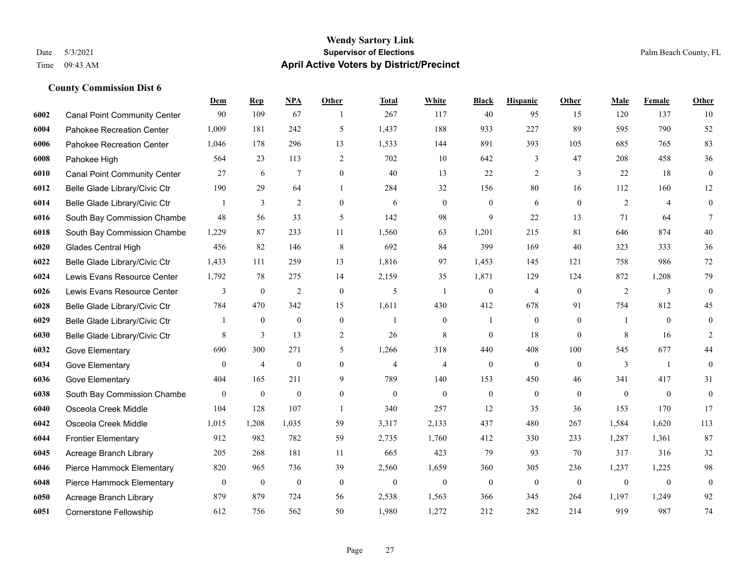#### **Wendy Sartory Link** Date 5/3/2021 **Supervisor of Elections** Palm Beach County, FL Time 09:43 AM **April Active Voters by District/Precinct**

## **Dem Rep NPA Other Total White Black Hispanic Other Male Female Other** Canal Point Community Center 90 109 67 1 267 117 40 95 15 120 137 10 Pahokee Recreation Center 1,009 181 242 5 1,437 188 933 227 89 595 790 52 Pahokee Recreation Center 1,046 178 296 13 1,533 144 891 393 105 685 765 83 Pahokee High 564 23 113 2 702 10 642 3 47 208 458 36 Canal Point Community Center 27 6 7 0 40 13 22 2 3 22 18 0 Belle Glade Library/Civic Ctr 190 29 64 1 284 32 156 80 16 112 160 12 Belle Glade Library/Civic Ctr 1 3 2 0 6 0 0 6 0 2 4 0 South Bay Commission Chambe 48 56 33 5 142 98 9 22 13 71 64 7 South Bay Commission Chambe 1,229 87 233 11 1,560 63 1,201 215 81 646 874 40 Glades Central High 456 82 146 8 692 84 399 169 40 323 333 36 Belle Glade Library/Civic Ctr 1,433 111 259 13 1,816 97 1,453 145 121 758 986 72 Lewis Evans Resource Center 1,792 78 275 14 2,159 35 1,871 129 124 872 1,208 79 Lewis Evans Resource Center  $\begin{array}{ccccccccccccc}\n & & & 3 & & 0 & & 2 & & 0 & & 5 & & 1 & & 0 & & 4 & & 0 & & 2 & & 3 & & 0\n\end{array}$  Belle Glade Library/Civic Ctr 784 470 342 15 1,611 430 412 678 91 754 812 45 Belle Glade Library/Civic Ctr 1 0 0 0 1 0 1 0 0 1 0 0 Belle Glade Library/Civic Ctr 8 3 13 2 26 8 0 18 0 8 16 2 Gove Elementary 690 300 271 5 1,266 318 440 408 100 545 677 44 Gove Elementary 0 4 0 4 4 0 0 0 3 1 0 Gove Elementary 404 165 211 9 789 140 153 450 46 341 417 31 South Bay Commission Chambers 0 0 0 0 0 0 0 0 0 0 0 0 Osceola Creek Middle 104 128 107 1 340 257 12 35 36 153 170 17 Osceola Creek Middle 1,015 1,208 1,035 59 3,317 2,133 437 480 267 1,584 1,620 113 Frontier Elementary 912 982 782 59 2,735 1,760 412 330 233 1,287 1,361 87 Acreage Branch Library 205 268 181 11 665 423 79 93 70 317 316 32 Pierce Hammock Elementary 820 965 736 39 2,560 1,659 360 305 236 1,237 1,225 98 Pierce Hammock Elementary 0 0 0 0 0 0 0 0 0 0 0 0 Acreage Branch Library 879 879 724 56 2,538 1,563 366 345 264 1,197 1,249 92 Cornerstone Fellowship 612 756 562 50 1,980 1,272 212 282 214 919 987 74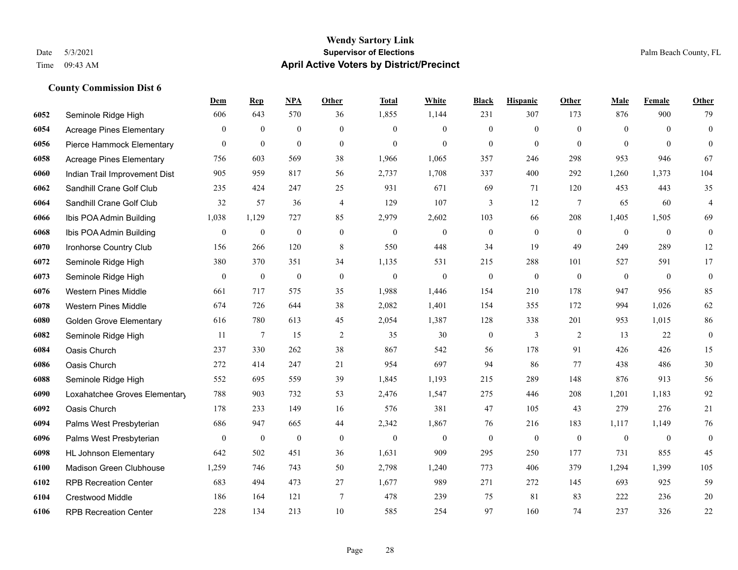|      |                                 | <b>Dem</b>       | <b>Rep</b>       | NPA              | <b>Other</b>     | <b>Total</b>     | <b>White</b>     | <b>Black</b>     | <b>Hispanic</b> | <b>Other</b>    | <b>Male</b>    | Female       | <b>Other</b>     |
|------|---------------------------------|------------------|------------------|------------------|------------------|------------------|------------------|------------------|-----------------|-----------------|----------------|--------------|------------------|
| 6052 | Seminole Ridge High             | 606              | 643              | 570              | 36               | 1,855            | 1,144            | 231              | 307             | 173             | 876            | 900          | 79               |
| 6054 | Acreage Pines Elementary        | $\overline{0}$   | $\mathbf{0}$     | $\mathbf{0}$     | $\mathbf{0}$     | $\Omega$         | $\mathbf{0}$     | $\mathbf{0}$     | $\overline{0}$  | $\theta$        | $\theta$       | $\theta$     | $\boldsymbol{0}$ |
| 6056 | Pierce Hammock Elementary       | $\overline{0}$   | $\mathbf{0}$     | $\mathbf{0}$     | $\theta$         | $\theta$         | $\theta$         | $\theta$         | $\overline{0}$  | $\Omega$        | $\theta$       | $\Omega$     | $\theta$         |
| 6058 | <b>Acreage Pines Elementary</b> | 756              | 603              | 569              | 38               | 1,966            | 1,065            | 357              | 246             | 298             | 953            | 946          | 67               |
| 6060 | Indian Trail Improvement Dist   | 905              | 959              | 817              | 56               | 2,737            | 1,708            | 337              | 400             | 292             | 1,260          | 1,373        | 104              |
| 6062 | Sandhill Crane Golf Club        | 235              | 424              | 247              | 25               | 931              | 671              | 69               | 71              | 120             | 453            | 443          | 35               |
| 6064 | Sandhill Crane Golf Club        | 32               | 57               | 36               | $\overline{4}$   | 129              | 107              | 3                | 12              | $7\phantom{.0}$ | 65             | 60           | $\overline{4}$   |
| 6066 | Ibis POA Admin Building         | 1,038            | 1,129            | 727              | 85               | 2,979            | 2,602            | 103              | 66              | 208             | 1,405          | 1,505        | 69               |
| 6068 | Ibis POA Admin Building         | $\boldsymbol{0}$ | $\boldsymbol{0}$ | $\boldsymbol{0}$ | $\boldsymbol{0}$ | $\boldsymbol{0}$ | $\boldsymbol{0}$ | $\boldsymbol{0}$ | $\overline{0}$  | $\mathbf{0}$    | $\overline{0}$ | $\mathbf{0}$ | $\boldsymbol{0}$ |
| 6070 | Ironhorse Country Club          | 156              | 266              | 120              | 8                | 550              | 448              | 34               | 19              | 49              | 249            | 289          | 12               |
| 6072 | Seminole Ridge High             | 380              | 370              | 351              | 34               | 1,135            | 531              | 215              | 288             | 101             | 527            | 591          | 17               |
| 6073 | Seminole Ridge High             | $\boldsymbol{0}$ | $\mathbf{0}$     | $\boldsymbol{0}$ | $\boldsymbol{0}$ | $\boldsymbol{0}$ | $\mathbf{0}$     | $\boldsymbol{0}$ | $\mathbf{0}$    | $\mathbf{0}$    | $\mathbf{0}$   | $\mathbf{0}$ | $\mathbf{0}$     |
| 6076 | <b>Western Pines Middle</b>     | 661              | 717              | 575              | 35               | 1,988            | 1,446            | 154              | 210             | 178             | 947            | 956          | 85               |
| 6078 | <b>Western Pines Middle</b>     | 674              | 726              | 644              | 38               | 2,082            | 1,401            | 154              | 355             | 172             | 994            | 1,026        | 62               |
| 6080 | <b>Golden Grove Elementary</b>  | 616              | 780              | 613              | 45               | 2,054            | 1,387            | 128              | 338             | 201             | 953            | 1,015        | 86               |
| 6082 | Seminole Ridge High             | 11               | 7                | 15               | $\overline{c}$   | 35               | 30               | $\boldsymbol{0}$ | 3               | 2               | 13             | 22           | $\boldsymbol{0}$ |
| 6084 | Oasis Church                    | 237              | 330              | 262              | 38               | 867              | 542              | 56               | 178             | 91              | 426            | 426          | 15               |
| 6086 | Oasis Church                    | 272              | 414              | 247              | 21               | 954              | 697              | 94               | 86              | 77              | 438            | 486          | $30\,$           |
| 6088 | Seminole Ridge High             | 552              | 695              | 559              | 39               | 1,845            | 1,193            | 215              | 289             | 148             | 876            | 913          | 56               |
| 6090 | Loxahatchee Groves Elementary   | 788              | 903              | 732              | 53               | 2,476            | 1,547            | 275              | 446             | 208             | 1,201          | 1,183        | 92               |
| 6092 | Oasis Church                    | 178              | 233              | 149              | 16               | 576              | 381              | 47               | 105             | 43              | 279            | 276          | 21               |
| 6094 | Palms West Presbyterian         | 686              | 947              | 665              | 44               | 2,342            | 1,867            | 76               | 216             | 183             | 1,117          | 1,149        | 76               |
| 6096 | Palms West Presbyterian         | 0                | $\mathbf{0}$     | $\boldsymbol{0}$ | $\mathbf{0}$     | $\theta$         | $\mathbf{0}$     | $\boldsymbol{0}$ | $\mathbf{0}$    | $\overline{0}$  | $\mathbf{0}$   | $\mathbf{0}$ | $\boldsymbol{0}$ |
| 6098 | <b>HL Johnson Elementary</b>    | 642              | 502              | 451              | 36               | 1,631            | 909              | 295              | 250             | 177             | 731            | 855          | 45               |
| 6100 | Madison Green Clubhouse         | 1,259            | 746              | 743              | 50               | 2,798            | 1,240            | 773              | 406             | 379             | 1,294          | 1,399        | 105              |
| 6102 | <b>RPB Recreation Center</b>    | 683              | 494              | 473              | 27               | 1,677            | 989              | 271              | 272             | 145             | 693            | 925          | 59               |
| 6104 | <b>Crestwood Middle</b>         | 186              | 164              | 121              | 7                | 478              | 239              | 75               | 81              | 83              | 222            | 236          | 20               |
| 6106 | <b>RPB Recreation Center</b>    | 228              | 134              | 213              | 10               | 585              | 254              | 97               | 160             | 74              | 237            | 326          | 22               |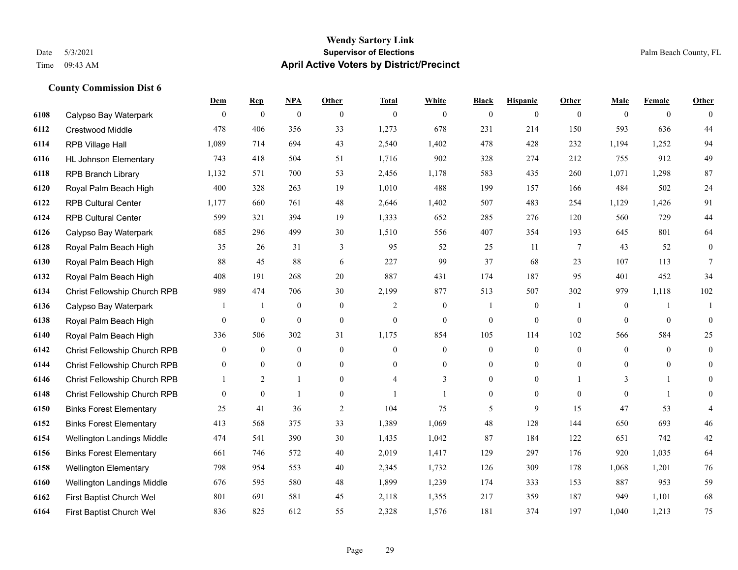#### **Wendy Sartory Link** Date 5/3/2021 **Supervisor of Elections** Palm Beach County, FL Time 09:43 AM **April Active Voters by District/Precinct**

## **Dem Rep NPA Other Total White Black Hispanic Other Male Female Other** Calypso Bay Waterpark 0 0 0 0 0 0 0 0 0 0 0 0 Crestwood Middle 478 406 356 33 1,273 678 231 214 150 593 636 44 RPB Village Hall 1,089 714 694 43 2,540 1,402 478 428 232 1,194 1,252 94 HL Johnson Elementary 743 418 504 51 1,716 902 328 274 212 755 912 49 RPB Branch Library 1,132 571 700 53 2,456 1,178 583 435 260 1,071 1,298 87 Royal Palm Beach High 400 328 263 19 1,010 488 199 157 166 484 502 24 RPB Cultural Center 1,177 660 761 48 2,646 1,402 507 483 254 1,129 1,426 91 RPB Cultural Center 599 321 394 19 1,333 652 285 276 120 560 729 44 Calypso Bay Waterpark 685 296 499 30 1,510 556 407 354 193 645 801 64 Royal Palm Beach High 35 26 31 3 95 52 25 11 7 43 52 0 Royal Palm Beach High 88 45 88 6 227 99 37 68 23 107 113 7 Royal Palm Beach High 408 191 268 20 887 431 174 187 95 401 452 34 Christ Fellowship Church RPB 989 474 706 30 2,199 877 513 507 302 979 1,118 102 Calypso Bay Waterpark 1 1 0 0 0 2 0 1 0 1 0 1 1 Royal Palm Beach High 0 0 0 0 0 0 0 0 0 0 0 0 Royal Palm Beach High 336 506 302 31 1,175 854 105 114 102 566 584 25 Christ Fellowship Church RPB 0 0 0 0 0 0 0 0 0 0 0 0 Christ Fellowship Church RPB 0 0 0 0 0 0 0 0 0 0 0 0 Christ Fellowship Church RPB 1 2 1 0 4 3 0 0 1 3 1 0 Christ Fellowship Church RPB 0 0 1 0 1 1 0 0 0 0 1 0 Binks Forest Elementary 25 41 36 2 104 75 5 9 15 47 53 4 Binks Forest Elementary 413 568 375 33 1,389 1,069 48 128 144 650 693 46 Wellington Landings Middle 474 541 390 30 1,435 1,042 87 184 122 651 742 42 Binks Forest Elementary 661 746 572 40 2,019 1,417 129 297 176 920 1,035 64 Wellington Elementary 798 954 553 40 2,345 1,732 126 309 178 1,068 1,201 76 Wellington Landings Middle 676 595 580 48 1,899 1,239 174 333 153 887 953 59 First Baptist Church Wel 801 691 581 45 2,118 1,355 217 359 187 949 1,101 68 First Baptist Church Wel 836 825 612 55 2,328 1,576 181 374 197 1,040 1,213 75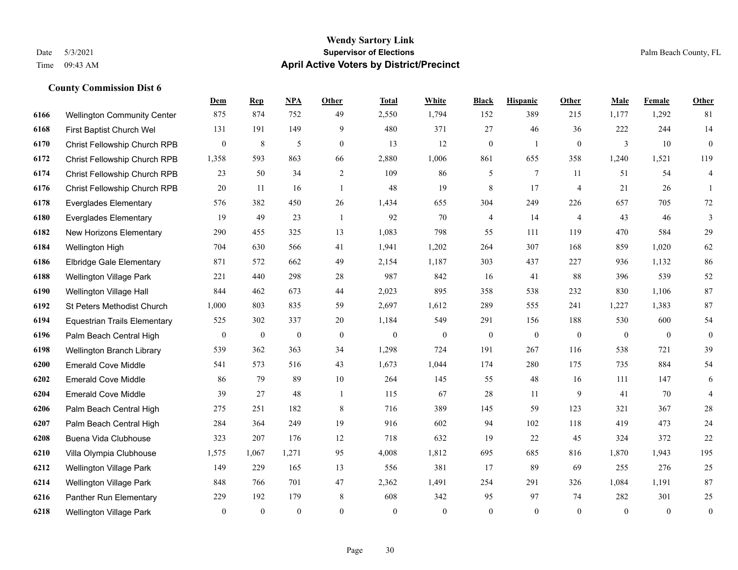#### **Wendy Sartory Link** Date 5/3/2021 **Supervisor of Elections** Palm Beach County, FL Time 09:43 AM **April Active Voters by District/Precinct**

**Dem Rep NPA Other Total White Black Hispanic Other Male Female Other**

## Wellington Community Center 875 874 752 49 2,550 1,794 152 389 215 1,177 1,292 81 First Baptist Church Wel 131 191 149 9 480 371 27 46 36 222 244 14 Christ Fellowship Church RPB 0 8 5 0 13 12 0 1 0 3 10 0 Christ Fellowship Church RPB 1,358 593 863 66 2,880 1,006 861 655 358 1,240 1,521 119 Christ Fellowship Church RPB 23 50 34 2 109 86 5 7 11 51 54 4 Christ Fellowship Church RPB 20 11 16 1 48 19 8 17 4 21 26 1 Everglades Elementary 576 382 450 26 1,434 655 304 249 226 657 705 72 Everglades Elementary 19 49 23 1 92 70 4 14 4 43 46 3 New Horizons Elementary 290 455 325 13 1,083 798 55 111 119 470 584 29 Wellington High 704 630 566 41 1,941 1,202 264 307 168 859 1,020 62 Elbridge Gale Elementary 871 572 662 49 2,154 1,187 303 437 227 936 1,132 86 Wellington Village Park 221 440 298 28 987 842 16 41 88 396 539 52 Wellington Village Hall 844 462 673 44 2,023 895 358 538 232 830 1,106 87 St Peters Methodist Church 1,000 803 835 59 2,697 1,612 289 555 241 1,227 1,383 87 Equestrian Trails Elementary 525 302 337 20 1,184 549 291 156 188 530 600 54 Palm Beach Central High 0 0 0 0 0 0 0 0 0 0 0 0 Wellington Branch Library 539 362 363 34 1,298 724 191 267 116 538 721 39 Emerald Cove Middle 541 573 516 43 1,673 1,044 174 280 175 735 884 54 Emerald Cove Middle 86 79 89 10 264 145 55 48 16 111 147 6 Emerald Cove Middle 39 27 48 1 115 67 28 11 9 41 70 4 Palm Beach Central High 275 251 182 8 716 389 145 59 123 321 367 28 Palm Beach Central High 284 364 249 19 916 602 94 102 118 419 473 24 Buena Vida Clubhouse 323 207 176 12 718 632 19 22 45 324 372 22 Villa Olympia Clubhouse 1,575 1,067 1,271 95 4,008 1,812 695 685 816 1,870 1,943 195

 Wellington Village Park 149 229 165 13 556 381 17 89 69 255 276 25 Wellington Village Park 848 766 701 47 2,362 1,491 254 291 326 1,084 1,191 87 Panther Run Elementary 229 192 179 8 608 342 95 97 74 282 301 25 Wellington Village Park 0 0 0 0 0 0 0 0 0 0 0 0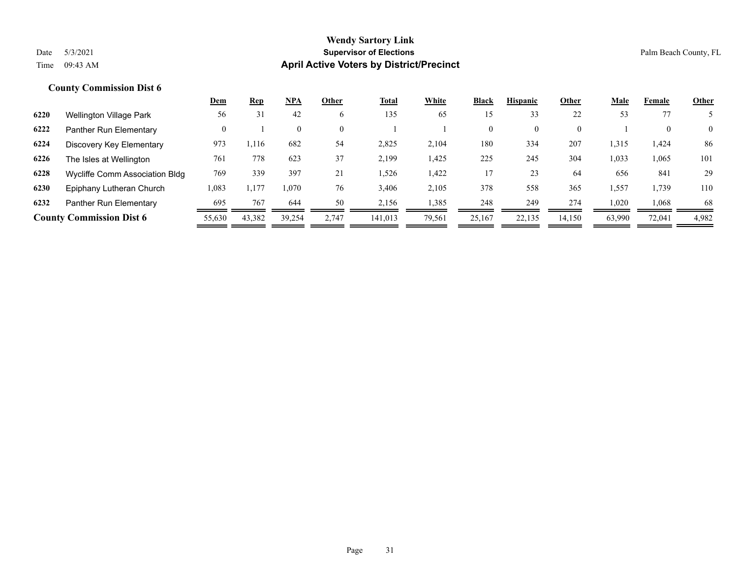|      |                                 | Dem      | <u>Rep</u> | <u>NPA</u> | Other    | <b>Total</b> | White  | Black        | <b>Hispanic</b> | Other    | Male   | Female | <b>Other</b>   |
|------|---------------------------------|----------|------------|------------|----------|--------------|--------|--------------|-----------------|----------|--------|--------|----------------|
| 6220 | Wellington Village Park         | 56       | 31         | 42         | 6        | 135          | 65     | 15           | 33              | 22       | 53     | 77     |                |
| 6222 | Panther Run Elementary          | $\Omega$ |            | $\theta$   | $\theta$ |              |        | $\mathbf{0}$ | $\overline{0}$  | $\Omega$ |        |        | $\overline{0}$ |
| 6224 | Discovery Key Elementary        | 973      | .116       | 682        | 54       | 2,825        | 2,104  | 180          | 334             | 207      | 1,315  | 1,424  | 86             |
| 6226 | The Isles at Wellington         | 761      | 778        | 623        | 37       | 2,199        | 1,425  | 225          | 245             | 304      | 1,033  | 1,065  | 101            |
| 6228 | Wycliffe Comm Association Bldg  | 769      | 339        | 397        | 21       | 1,526        | 1,422  | 17           | 23              | 64       | 656    | 841    | 29             |
| 6230 | Epiphany Lutheran Church        | 1,083    | 1,177      | 1,070      | 76       | 3,406        | 2,105  | 378          | 558             | 365      | 1,557  | 1,739  | 110            |
| 6232 | Panther Run Elementary          | 695      | 767        | 644        | 50       | 2,156        | 1,385  | 248          | 249             | 274      | 1,020  | 1,068  | 68             |
|      | <b>County Commission Dist 6</b> | 55,630   | 43,382     | 39,254     | 2.747    | 141.013      | 79,561 | 25,167       | 22,135          | 14,150   | 63,990 | 72,041 | 4,982          |
|      |                                 |          |            |            |          |              |        |              |                 |          |        |        |                |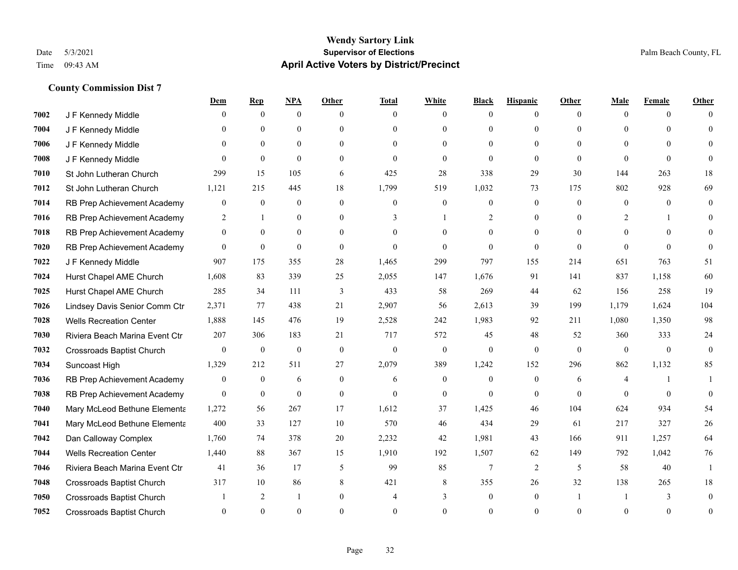|      |                                  | Dem              | <b>Rep</b>       | <u>NPA</u>       | Other            | <b>Total</b>     | <b>White</b>     | <b>Black</b> | <b>Hispanic</b> | <b>Other</b> | <b>Male</b>    | <b>Female</b> | <b>Other</b>   |
|------|----------------------------------|------------------|------------------|------------------|------------------|------------------|------------------|--------------|-----------------|--------------|----------------|---------------|----------------|
| 7002 | J F Kennedy Middle               | 0                | $\mathbf{0}$     | $\mathbf{0}$     | $\theta$         | $\Omega$         | $\overline{0}$   | $\theta$     | $\mathbf{0}$    | $\theta$     | $\theta$       | $\theta$      | $\Omega$       |
| 7004 | J F Kennedy Middle               | 0                | $\Omega$         | $\theta$         | $\theta$         | $\Omega$         | $\mathbf{0}$     | $\theta$     | $\theta$        | $\Omega$     | $\Omega$       | $\Omega$      | $\Omega$       |
| 7006 | J F Kennedy Middle               | 0                | $\overline{0}$   | $\mathbf{0}$     | $\theta$         | $\Omega$         | $\overline{0}$   | $\theta$     | $\theta$        | $\Omega$     | $\theta$       | $\Omega$      | $\Omega$       |
| 7008 | J F Kennedy Middle               | $\Omega$         | $\theta$         | $\mathbf{0}$     | $\overline{0}$   | $\theta$         | $\mathbf{0}$     | $\theta$     | $\theta$        | $\Omega$     | $\theta$       | $\theta$      | $\Omega$       |
| 7010 | St John Lutheran Church          | 299              | 15               | 105              | 6                | 425              | 28               | 338          | 29              | 30           | 144            | 263           | 18             |
| 7012 | St John Lutheran Church          | 1,121            | 215              | 445              | 18               | 1,799            | 519              | 1,032        | 73              | 175          | 802            | 928           | 69             |
| 7014 | RB Prep Achievement Academy      | 0                | $\mathbf{0}$     | $\mathbf{0}$     | $\mathbf{0}$     | $\theta$         | $\mathbf{0}$     | $\mathbf{0}$ | $\mathbf{0}$    | $\Omega$     | $\overline{0}$ | $\theta$      | $\mathbf{0}$   |
| 7016 | RB Prep Achievement Academy      | $\overline{2}$   | $\mathbf{1}$     | $\theta$         | $\Omega$         | $\mathcal{E}$    | $\mathbf{1}$     | 2            | $\theta$        | $\Omega$     | 2              |               | $\Omega$       |
| 7018 | RB Prep Achievement Academy      | $\boldsymbol{0}$ | $\overline{0}$   | $\mathbf{0}$     | $\overline{0}$   | $\Omega$         | $\overline{0}$   | $\mathbf{0}$ | $\mathbf{0}$    | $\Omega$     | $\overline{0}$ | $\Omega$      | $\Omega$       |
| 7020 | RB Prep Achievement Academy      | $\overline{0}$   | $\mathbf{0}$     | $\mathbf{0}$     | $\theta$         | $\Omega$         | $\theta$         | $\Omega$     | $\theta$        | $\Omega$     | $\theta$       | $\Omega$      | $\Omega$       |
| 7022 | J F Kennedy Middle               | 907              | 175              | 355              | 28               | 1,465            | 299              | 797          | 155             | 214          | 651            | 763           | 51             |
| 7024 | Hurst Chapel AME Church          | 1,608            | 83               | 339              | 25               | 2,055            | 147              | 1,676        | 91              | 141          | 837            | 1,158         | 60             |
| 7025 | Hurst Chapel AME Church          | 285              | 34               | 111              | 3                | 433              | 58               | 269          | 44              | 62           | 156            | 258           | 19             |
| 7026 | Lindsey Davis Senior Comm Ctr    | 2,371            | 77               | 438              | 21               | 2,907            | 56               | 2,613        | 39              | 199          | 1,179          | 1,624         | 104            |
| 7028 | <b>Wells Recreation Center</b>   | 1,888            | 145              | 476              | 19               | 2,528            | 242              | 1,983        | 92              | 211          | 1,080          | 1,350         | 98             |
| 7030 | Riviera Beach Marina Event Ctr   | 207              | 306              | 183              | 21               | 717              | 572              | 45           | 48              | 52           | 360            | 333           | 24             |
| 7032 | <b>Crossroads Baptist Church</b> | $\boldsymbol{0}$ | $\boldsymbol{0}$ | $\boldsymbol{0}$ | $\boldsymbol{0}$ | $\boldsymbol{0}$ | $\boldsymbol{0}$ | $\mathbf{0}$ | $\overline{0}$  | $\mathbf{0}$ | $\mathbf{0}$   | $\mathbf{0}$  | $\overline{0}$ |
| 7034 | Suncoast High                    | 1,329            | 212              | 511              | 27               | 2,079            | 389              | 1,242        | 152             | 296          | 862            | 1,132         | 85             |
| 7036 | RB Prep Achievement Academy      | 0                | $\mathbf{0}$     | 6                | $\mathbf{0}$     | 6                | $\overline{0}$   | $\mathbf{0}$ | $\mathbf{0}$    | 6            | $\overline{4}$ |               |                |
| 7038 | RB Prep Achievement Academy      | $\overline{0}$   | $\boldsymbol{0}$ | $\mathbf{0}$     | $\mathbf{0}$     | $\Omega$         | $\boldsymbol{0}$ | $\mathbf{0}$ | $\overline{0}$  | $\theta$     | $\theta$       | $\theta$      | $\theta$       |
| 7040 | Mary McLeod Bethune Elementa     | 1,272            | 56               | 267              | 17               | 1,612            | 37               | 1,425        | 46              | 104          | 624            | 934           | 54             |
| 7041 | Mary McLeod Bethune Elementa     | 400              | 33               | 127              | 10               | 570              | 46               | 434          | 29              | 61           | 217            | 327           | 26             |
| 7042 | Dan Calloway Complex             | 1,760            | 74               | 378              | 20               | 2,232            | 42               | 1,981        | 43              | 166          | 911            | 1,257         | 64             |
| 7044 | <b>Wells Recreation Center</b>   | 1,440            | 88               | 367              | 15               | 1,910            | 192              | 1,507        | 62              | 149          | 792            | 1,042         | 76             |
| 7046 | Riviera Beach Marina Event Ctr   | 41               | 36               | 17               | 5                | 99               | 85               | $\tau$       | 2               | 5            | 58             | 40            | $\mathbf{1}$   |
| 7048 | Crossroads Baptist Church        | 317              | 10               | 86               | 8                | 421              | 8                | 355          | 26              | 32           | 138            | 265           | 18             |
| 7050 | <b>Crossroads Baptist Church</b> |                  | 2                | $\overline{1}$   | $\overline{0}$   |                  | 3                | $\mathbf{0}$ | $\mathbf{0}$    |              |                | 3             | $\theta$       |
| 7052 | <b>Crossroads Baptist Church</b> | $\Omega$         | $\Omega$         | $\Omega$         | $\Omega$         | $\Omega$         | $\Omega$         | $\Omega$     | $\Omega$        | $\Omega$     | $\Omega$       | $\Omega$      | $\mathbf{0}$   |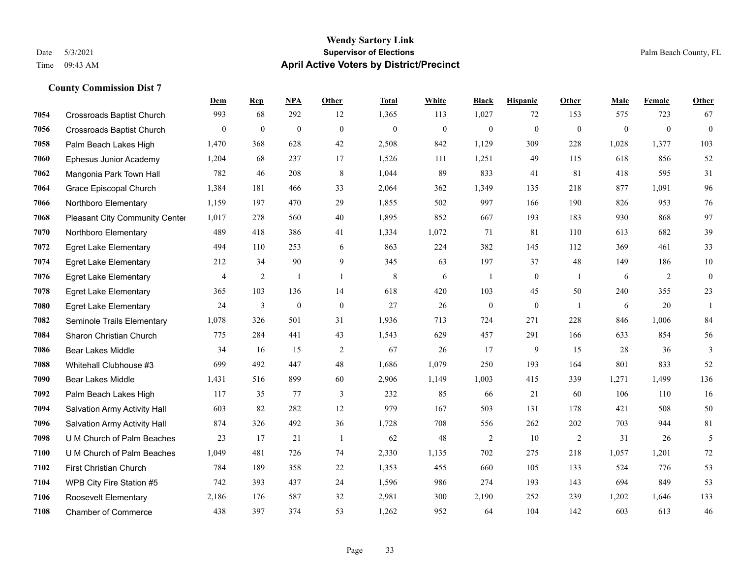#### **Wendy Sartory Link** Date 5/3/2021 **Supervisor of Elections** Palm Beach County, FL Time 09:43 AM **April Active Voters by District/Precinct**

## **Dem Rep NPA Other Total White Black Hispanic Other Male Female Other** Crossroads Baptist Church 993 68 292 12 1,365 113 1,027 72 153 575 723 67 Crossroads Baptist Church 0 0 0 0 0 0 0 0 0 0 0 0 Palm Beach Lakes High 1,470 368 628 42 2,508 842 1,129 309 228 1,028 1,377 103 Ephesus Junior Academy 1,204 68 237 17 1,526 111 1,251 49 115 618 856 52 Mangonia Park Town Hall 782 46 208 8 1,044 89 833 41 81 418 595 31 Grace Episcopal Church 1,384 181 466 33 2,064 362 1,349 135 218 877 1,091 96 Northboro Elementary 1,159 197 470 29 1,855 502 997 166 190 826 953 76 Pleasant City Community Center 1,017 278 560 40 1,895 852 667 193 183 930 868 97 Northboro Elementary 489 418 386 41 1,334 1,072 71 81 110 613 682 39 Egret Lake Elementary 494 110 253 6 863 224 382 145 112 369 461 33 Egret Lake Elementary 212 34 90 9 345 63 197 37 48 149 186 10 Egret Lake Elementary **4** 4 2 1 1 8 6 1 0 1 6 2 0 Egret Lake Elementary 365 103 136 14 618 420 103 45 50 240 355 23 Egret Lake Elementary 24 3 0 0 27 26 0 0 1 6 20 1 Seminole Trails Elementary 1,078 326 501 31 1,936 713 724 271 228 846 1,006 84 Sharon Christian Church 775 284 441 43 1,543 629 457 291 166 633 854 56 Bear Lakes Middle 34 16 15 2 67 26 17 9 15 28 36 3 Whitehall Clubhouse #3 699 492 447 48 1,686 1,079 250 193 164 801 833 52 Bear Lakes Middle 1,431 516 899 60 2,906 1,149 1,003 415 339 1,271 1,499 136 Palm Beach Lakes High 117 35 77 3 232 85 66 21 60 106 110 16 Salvation Army Activity Hall 603 82 282 12 979 167 503 131 178 421 508 50 Salvation Army Activity Hall 874 326 492 36 1,728 708 556 262 202 703 944 81 U M Church of Palm Beaches 23 17 21 1 62 48 2 10 2 31 26 5 U M Church of Palm Beaches 1,049 481 726 74 2,330 1,135 702 275 218 1,057 1,201 72 First Christian Church 784 189 358 22 1,353 455 660 105 133 524 776 53 WPB City Fire Station #5 742 393 437 24 1,596 986 274 193 143 694 849 53 Roosevelt Elementary 2,186 176 587 32 2,981 300 2,190 252 239 1,202 1,646 133

Chamber of Commerce 438 397 374 53 1,262 952 64 104 142 603 613 46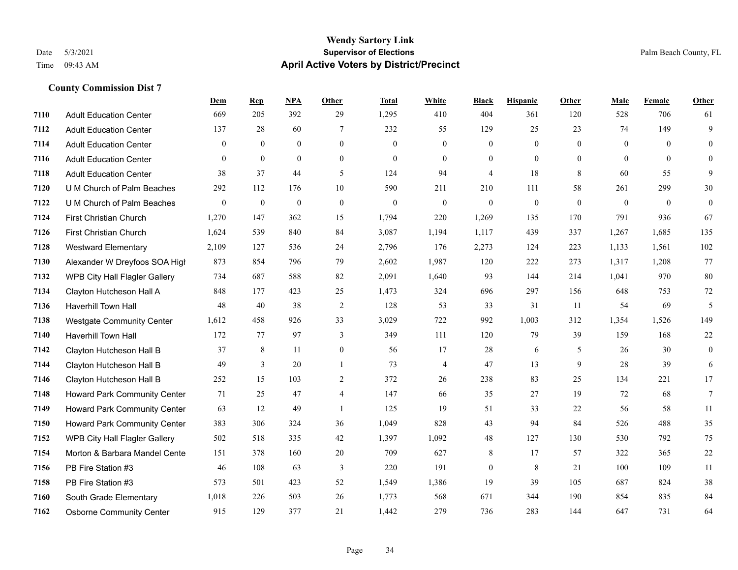|      |                                     | Dem          | <b>Rep</b>       | NPA              | <b>Other</b>     | <b>Total</b> | <b>White</b>     | <b>Black</b>     | <b>Hispanic</b>  | <b>Other</b> | <b>Male</b>  | Female       | <b>Other</b>     |
|------|-------------------------------------|--------------|------------------|------------------|------------------|--------------|------------------|------------------|------------------|--------------|--------------|--------------|------------------|
| 7110 | <b>Adult Education Center</b>       | 669          | 205              | 392              | 29               | 1,295        | 410              | 404              | 361              | 120          | 528          | 706          | 61               |
| 7112 | <b>Adult Education Center</b>       | 137          | 28               | 60               | 7                | 232          | 55               | 129              | 25               | 23           | 74           | 149          | 9                |
| 7114 | <b>Adult Education Center</b>       | $\Omega$     | $\mathbf{0}$     | $\theta$         | $\Omega$         | $\theta$     | $\overline{0}$   | $\mathbf{0}$     | $\mathbf{0}$     | $\Omega$     | $\theta$     | $\theta$     | $\theta$         |
| 7116 | <b>Adult Education Center</b>       | $\mathbf{0}$ | $\mathbf{0}$     | $\mathbf{0}$     | $\overline{0}$   | $\mathbf{0}$ | $\boldsymbol{0}$ | $\boldsymbol{0}$ | $\mathbf{0}$     | $\mathbf{0}$ | $\mathbf{0}$ | $\mathbf{0}$ | $\mathbf{0}$     |
| 7118 | <b>Adult Education Center</b>       | 38           | 37               | 44               | 5                | 124          | 94               | 4                | 18               | 8            | 60           | 55           | 9                |
| 7120 | U M Church of Palm Beaches          | 292          | 112              | 176              | 10               | 590          | 211              | 210              | 111              | 58           | 261          | 299          | 30               |
| 7122 | U M Church of Palm Beaches          | $\mathbf{0}$ | $\boldsymbol{0}$ | $\boldsymbol{0}$ | $\boldsymbol{0}$ | $\mathbf{0}$ | $\boldsymbol{0}$ | $\boldsymbol{0}$ | $\boldsymbol{0}$ | $\mathbf{0}$ | $\mathbf{0}$ | $\mathbf{0}$ | $\boldsymbol{0}$ |
| 7124 | <b>First Christian Church</b>       | 1,270        | 147              | 362              | 15               | 1,794        | 220              | 1,269            | 135              | 170          | 791          | 936          | 67               |
| 7126 | First Christian Church              | 1,624        | 539              | 840              | 84               | 3,087        | 1,194            | 1,117            | 439              | 337          | 1,267        | 1,685        | 135              |
| 7128 | <b>Westward Elementary</b>          | 2,109        | 127              | 536              | 24               | 2,796        | 176              | 2,273            | 124              | 223          | 1,133        | 1,561        | 102              |
| 7130 | Alexander W Dreyfoos SOA High       | 873          | 854              | 796              | 79               | 2,602        | 1,987            | 120              | 222              | 273          | 1,317        | 1,208        | 77               |
| 7132 | WPB City Hall Flagler Gallery       | 734          | 687              | 588              | 82               | 2,091        | 1,640            | 93               | 144              | 214          | 1,041        | 970          | 80               |
| 7134 | Clayton Hutcheson Hall A            | 848          | 177              | 423              | 25               | 1,473        | 324              | 696              | 297              | 156          | 648          | 753          | $72\,$           |
| 7136 | Haverhill Town Hall                 | 48           | 40               | 38               | $\sqrt{2}$       | 128          | 53               | 33               | 31               | 11           | 54           | 69           | 5                |
| 7138 | <b>Westgate Community Center</b>    | 1,612        | 458              | 926              | 33               | 3,029        | 722              | 992              | 1,003            | 312          | 1,354        | 1,526        | 149              |
| 7140 | Haverhill Town Hall                 | 172          | 77               | 97               | 3                | 349          | 111              | 120              | 79               | 39           | 159          | 168          | $22\,$           |
| 7142 | Clayton Hutcheson Hall B            | 37           | 8                | 11               | $\overline{0}$   | 56           | 17               | 28               | 6                | 5            | 26           | 30           | $\mathbf{0}$     |
| 7144 | Clayton Hutcheson Hall B            | 49           | 3                | 20               | $\mathbf{1}$     | 73           | 4                | 47               | 13               | 9            | 28           | 39           | 6                |
| 7146 | Clayton Hutcheson Hall B            | 252          | 15               | 103              | 2                | 372          | 26               | 238              | 83               | 25           | 134          | 221          | 17               |
| 7148 | Howard Park Community Center        | 71           | 25               | 47               | $\overline{4}$   | 147          | 66               | 35               | 27               | 19           | 72           | 68           | $7\phantom{.0}$  |
| 7149 | <b>Howard Park Community Center</b> | 63           | 12               | 49               | $\overline{1}$   | 125          | 19               | 51               | 33               | 22           | 56           | 58           | 11               |
| 7150 | Howard Park Community Center        | 383          | 306              | 324              | 36               | 1,049        | 828              | 43               | 94               | 84           | 526          | 488          | 35               |
| 7152 | WPB City Hall Flagler Gallery       | 502          | 518              | 335              | 42               | 1,397        | 1,092            | 48               | 127              | 130          | 530          | 792          | 75               |
| 7154 | Morton & Barbara Mandel Cente       | 151          | 378              | 160              | 20               | 709          | 627              | 8                | 17               | 57           | 322          | 365          | $22\,$           |
| 7156 | PB Fire Station #3                  | 46           | 108              | 63               | 3                | 220          | 191              | $\boldsymbol{0}$ | $\,$ 8 $\,$      | 21           | 100          | 109          | $11\,$           |
| 7158 | PB Fire Station #3                  | 573          | 501              | 423              | 52               | 1,549        | 1,386            | 19               | 39               | 105          | 687          | 824          | $38\,$           |
| 7160 | South Grade Elementary              | 1,018        | 226              | 503              | 26               | 1,773        | 568              | 671              | 344              | 190          | 854          | 835          | 84               |
| 7162 | <b>Osborne Community Center</b>     | 915          | 129              | 377              | 21               | 1,442        | 279              | 736              | 283              | 144          | 647          | 731          | 64               |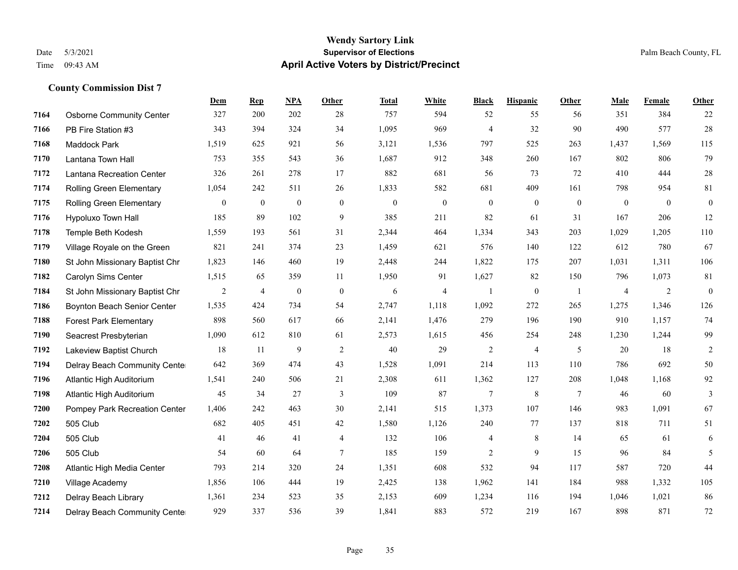### **Wendy Sartory Link** Date 5/3/2021 **Supervisor of Elections Supervisor of Elections** Palm Beach County, FL Time 09:43 AM **April Active Voters by District/Precinct**

|      |                                 | Dem            | <b>Rep</b>       | NPA              | <b>Other</b>   | <b>Total</b> | White            | <b>Black</b>   | <b>Hispanic</b> | Other          | Male           | Female       | <b>Other</b>   |
|------|---------------------------------|----------------|------------------|------------------|----------------|--------------|------------------|----------------|-----------------|----------------|----------------|--------------|----------------|
| 7164 | <b>Osborne Community Center</b> | 327            | 200              | 202              | 28             | 757          | 594              | 52             | 55              | 56             | 351            | 384          | 22             |
| 7166 | PB Fire Station #3              | 343            | 394              | 324              | 34             | 1,095        | 969              | $\overline{4}$ | 32              | 90             | 490            | 577          | $28\,$         |
| 7168 | <b>Maddock Park</b>             | 1,519          | 625              | 921              | 56             | 3,121        | 1,536            | 797            | 525             | 263            | 1,437          | 1,569        | 115            |
| 7170 | Lantana Town Hall               | 753            | 355              | 543              | 36             | 1,687        | 912              | 348            | 260             | 167            | 802            | 806          | 79             |
| 7172 | Lantana Recreation Center       | 326            | 261              | 278              | 17             | 882          | 681              | 56             | 73              | 72             | 410            | 444          | $28\,$         |
| 7174 | Rolling Green Elementary        | 1,054          | 242              | 511              | 26             | 1,833        | 582              | 681            | 409             | 161            | 798            | 954          | 81             |
| 7175 | <b>Rolling Green Elementary</b> | $\mathbf{0}$   | $\boldsymbol{0}$ | $\boldsymbol{0}$ | $\overline{0}$ | $\mathbf{0}$ | $\boldsymbol{0}$ | $\bf{0}$       | $\mathbf{0}$    | $\overline{0}$ | $\mathbf{0}$   | $\mathbf{0}$ | $\mathbf{0}$   |
| 7176 | Hypoluxo Town Hall              | 185            | 89               | 102              | 9              | 385          | 211              | 82             | 61              | 31             | 167            | 206          | $12\,$         |
| 7178 | Temple Beth Kodesh              | 1,559          | 193              | 561              | 31             | 2,344        | 464              | 1,334          | 343             | 203            | 1,029          | 1,205        | 110            |
| 7179 | Village Royale on the Green     | 821            | 241              | 374              | 23             | 1,459        | 621              | 576            | 140             | 122            | 612            | 780          | 67             |
| 7180 | St John Missionary Baptist Chr  | 1,823          | 146              | 460              | 19             | 2,448        | 244              | 1,822          | 175             | 207            | 1,031          | 1,311        | 106            |
| 7182 | Carolyn Sims Center             | 1,515          | 65               | 359              | 11             | 1,950        | 91               | 1,627          | 82              | 150            | 796            | 1,073        | 81             |
| 7184 | St John Missionary Baptist Chr  | $\overline{2}$ | 4                | $\boldsymbol{0}$ | $\mathbf{0}$   | 6            | $\overline{4}$   | $\mathbf{1}$   | $\overline{0}$  | $\overline{1}$ | $\overline{4}$ | 2            | $\overline{0}$ |
| 7186 | Boynton Beach Senior Center     | 1,535          | 424              | 734              | 54             | 2,747        | 1,118            | 1,092          | 272             | 265            | 1,275          | 1,346        | 126            |
| 7188 | <b>Forest Park Elementary</b>   | 898            | 560              | 617              | 66             | 2,141        | 1,476            | 279            | 196             | 190            | 910            | 1,157        | 74             |
| 7190 | Seacrest Presbyterian           | 1,090          | 612              | 810              | 61             | 2,573        | 1,615            | 456            | 254             | 248            | 1,230          | 1,244        | 99             |
| 7192 | Lakeview Baptist Church         | 18             | 11               | 9                | 2              | 40           | 29               | $\overline{c}$ | $\overline{4}$  | 5              | 20             | 18           | $\overline{2}$ |
| 7194 | Delray Beach Community Cente    | 642            | 369              | 474              | 43             | 1,528        | 1,091            | 214            | 113             | 110            | 786            | 692          | 50             |
| 7196 | Atlantic High Auditorium        | 1,541          | 240              | 506              | 21             | 2,308        | 611              | 1,362          | 127             | 208            | 1,048          | 1,168        | 92             |
| 7198 | Atlantic High Auditorium        | 45             | 34               | 27               | 3              | 109          | 87               | 7              | 8               | 7              | 46             | 60           | 3              |
| 7200 | Pompey Park Recreation Center   | 1,406          | 242              | 463              | 30             | 2,141        | 515              | 1,373          | 107             | 146            | 983            | 1,091        | 67             |
| 7202 | 505 Club                        | 682            | 405              | 451              | 42             | 1,580        | 1,126            | 240            | 77              | 137            | 818            | 711          | 51             |
| 7204 | 505 Club                        | 41             | 46               | 41               | 4              | 132          | 106              | 4              | 8               | 14             | 65             | 61           | 6              |
| 7206 | 505 Club                        | 54             | 60               | 64               | 7              | 185          | 159              | 2              | 9               | 15             | 96             | 84           | 5              |
| 7208 | Atlantic High Media Center      | 793            | 214              | 320              | 24             | 1,351        | 608              | 532            | 94              | 117            | 587            | 720          | 44             |
| 7210 | Village Academy                 | 1,856          | 106              | 444              | 19             | 2,425        | 138              | 1,962          | 141             | 184            | 988            | 1,332        | 105            |
| 7212 | Delray Beach Library            | 1,361          | 234              | 523              | 35             | 2,153        | 609              | 1,234          | 116             | 194            | 1,046          | 1,021        | $86\,$         |
| 7214 | Delray Beach Community Cente    | 929            | 337              | 536              | 39             | 1,841        | 883              | 572            | 219             | 167            | 898            | 871          | 72             |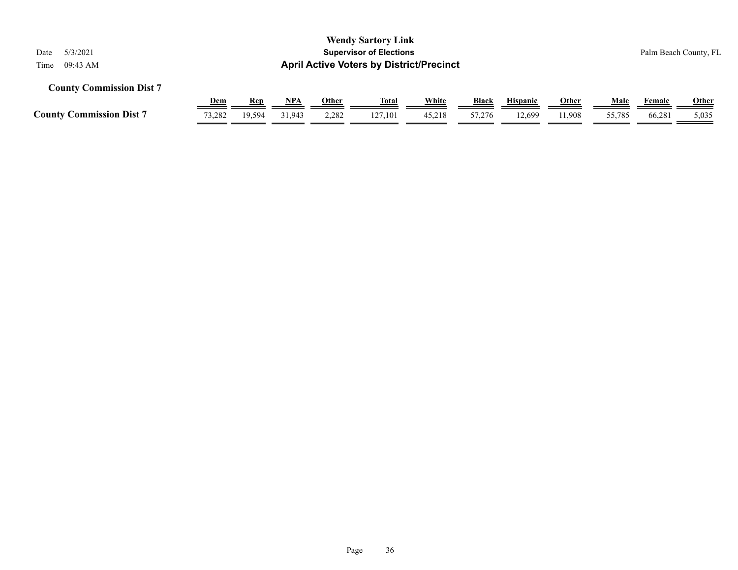| 5/3/2021<br>Date<br>09:43 AM<br>Time                                                                                                                                                           |        |        |        |       | <b>Wendy Sartory Link</b><br><b>Supervisor of Elections</b><br><b>April Active Voters by District/Precinct</b> |        |        |        |        |        |        | Palm Beach County, FL |  |
|------------------------------------------------------------------------------------------------------------------------------------------------------------------------------------------------|--------|--------|--------|-------|----------------------------------------------------------------------------------------------------------------|--------|--------|--------|--------|--------|--------|-----------------------|--|
| <b>County Commission Dist 7</b><br><b>White</b><br><u>Dem</u><br><u>NPA</u><br><b>Black</b><br><b>Hispanic</b><br><b>Other</b><br>Male<br><b>Other</b><br><b>Rep</b><br>Female<br><u>Total</u> |        |        |        |       |                                                                                                                |        |        |        |        |        |        |                       |  |
| <b>County Commission Dist 7</b>                                                                                                                                                                | 73,282 | 19.594 | 31.943 | 2,282 | 127.101                                                                                                        | 45,218 | 57,276 | 12.699 | 11.908 | 55,785 | 66,281 | <b>Other</b><br>5,035 |  |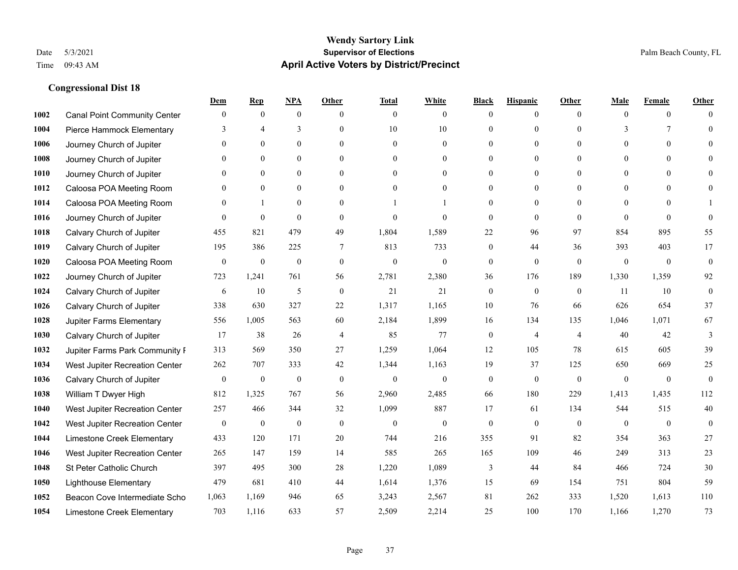|      |                                     | Dem              | <b>Rep</b>       | NPA              | <b>Other</b>   | <b>Total</b>     | <b>White</b>     | <b>Black</b>     | <b>Hispanic</b>  | <b>Other</b>   | <b>Male</b>    | <b>Female</b>  | <b>Other</b>     |
|------|-------------------------------------|------------------|------------------|------------------|----------------|------------------|------------------|------------------|------------------|----------------|----------------|----------------|------------------|
| 1002 | <b>Canal Point Community Center</b> | $\mathbf{0}$     | $\mathbf{0}$     | $\boldsymbol{0}$ | $\theta$       | $\theta$         | $\overline{0}$   | $\mathbf{0}$     | $\boldsymbol{0}$ | $\theta$       | $\theta$       | $\overline{0}$ | $\Omega$         |
| 1004 | Pierce Hammock Elementary           | 3                | $\overline{4}$   | 3                | $\Omega$       | 10               | $10\,$           | $\mathbf{0}$     | $\mathbf{0}$     | $\Omega$       | 3              | 7              | $\theta$         |
| 1006 | Journey Church of Jupiter           | $\Omega$         | $\theta$         | $\theta$         | $\Omega$       | $\Omega$         | $\Omega$         | $\theta$         | $\theta$         | $\Omega$       | $\Omega$       | $\Omega$       | $\Omega$         |
| 1008 | Journey Church of Jupiter           | $\mathbf{0}$     | $\mathbf{0}$     | $\mathbf{0}$     | $\overline{0}$ | $\theta$         | $\boldsymbol{0}$ | $\mathbf{0}$     | $\mathbf{0}$     | $\mathbf{0}$   | $\overline{0}$ | $\mathbf{0}$   | $\Omega$         |
| 1010 | Journey Church of Jupiter           | $\Omega$         | $\mathbf{0}$     | $\mathbf{0}$     | $\theta$       | $\theta$         | $\overline{0}$   | $\mathbf{0}$     | $\overline{0}$   | $\theta$       | $\theta$       | $\theta$       | $\theta$         |
| 1012 | Caloosa POA Meeting Room            | $\Omega$         | $\mathbf{0}$     | $\mathbf{0}$     | $\theta$       | $\theta$         | $\overline{0}$   | $\mathbf{0}$     | $\mathbf{0}$     | $\Omega$       | $\theta$       | $\Omega$       | $\theta$         |
| 1014 | Caloosa POA Meeting Room            | $\mathbf{0}$     | $\mathbf{1}$     | $\mathbf{0}$     | $\overline{0}$ |                  |                  | $\boldsymbol{0}$ | $\mathbf{0}$     | $\Omega$       | $\mathbf{0}$   | $\theta$       |                  |
| 1016 | Journey Church of Jupiter           | $\Omega$         | $\mathbf{0}$     | $\theta$         | $\theta$       | $\theta$         | $\theta$         | $\mathbf{0}$     | $\Omega$         | $\Omega$       | $\Omega$       | $\Omega$       | $\theta$         |
| 1018 | Calvary Church of Jupiter           | 455              | 821              | 479              | 49             | 1,804            | 1,589            | 22               | 96               | 97             | 854            | 895            | 55               |
| 1019 | Calvary Church of Jupiter           | 195              | 386              | 225              | $\tau$         | 813              | 733              | $\mathbf{0}$     | 44               | 36             | 393            | 403            | 17               |
| 1020 | Caloosa POA Meeting Room            | $\mathbf{0}$     | $\boldsymbol{0}$ | $\boldsymbol{0}$ | $\mathbf{0}$   | $\theta$         | $\boldsymbol{0}$ | $\boldsymbol{0}$ | $\mathbf{0}$     | $\theta$       | $\mathbf{0}$   | $\overline{0}$ | $\mathbf{0}$     |
| 1022 | Journey Church of Jupiter           | 723              | 1,241            | 761              | 56             | 2,781            | 2,380            | 36               | 176              | 189            | 1,330          | 1,359          | 92               |
| 1024 | Calvary Church of Jupiter           | 6                | 10               | 5                | $\mathbf{0}$   | 21               | 21               | $\boldsymbol{0}$ | $\mathbf{0}$     | $\theta$       | 11             | 10             | $\boldsymbol{0}$ |
| 1026 | Calvary Church of Jupiter           | 338              | 630              | 327              | $22\,$         | 1,317            | 1,165            | $10\,$           | 76               | 66             | 626            | 654            | 37               |
| 1028 | Jupiter Farms Elementary            | 556              | 1,005            | 563              | 60             | 2,184            | 1,899            | 16               | 134              | 135            | 1,046          | 1,071          | 67               |
| 1030 | Calvary Church of Jupiter           | 17               | 38               | 26               | $\overline{4}$ | 85               | 77               | $\boldsymbol{0}$ | $\overline{4}$   | $\overline{4}$ | 40             | 42             | 3                |
| 1032 | Jupiter Farms Park Community I      | 313              | 569              | 350              | 27             | 1,259            | 1,064            | 12               | 105              | 78             | 615            | 605            | 39               |
| 1034 | West Jupiter Recreation Center      | 262              | 707              | 333              | 42             | 1,344            | 1,163            | 19               | 37               | 125            | 650            | 669            | 25               |
| 1036 | Calvary Church of Jupiter           | $\boldsymbol{0}$ | $\boldsymbol{0}$ | $\boldsymbol{0}$ | $\mathbf{0}$   | $\boldsymbol{0}$ | $\boldsymbol{0}$ | $\boldsymbol{0}$ | $\mathbf{0}$     | $\overline{0}$ | $\mathbf{0}$   | $\mathbf{0}$   | $\boldsymbol{0}$ |
| 1038 | William T Dwyer High                | 812              | 1,325            | 767              | 56             | 2,960            | 2,485            | 66               | 180              | 229            | 1,413          | 1.435          | 112              |
| 1040 | West Jupiter Recreation Center      | 257              | 466              | 344              | 32             | 1,099            | 887              | 17               | 61               | 134            | 544            | 515            | 40               |
| 1042 | West Jupiter Recreation Center      | $\boldsymbol{0}$ | $\boldsymbol{0}$ | $\boldsymbol{0}$ | $\mathbf{0}$   | $\boldsymbol{0}$ | $\boldsymbol{0}$ | $\boldsymbol{0}$ | $\boldsymbol{0}$ | $\mathbf{0}$   | $\mathbf{0}$   | $\bf{0}$       | $\mathbf{0}$     |
| 1044 | Limestone Creek Elementary          | 433              | 120              | 171              | 20             | 744              | 216              | 355              | 91               | 82             | 354            | 363            | 27               |
| 1046 | West Jupiter Recreation Center      | 265              | 147              | 159              | 14             | 585              | 265              | 165              | 109              | 46             | 249            | 313            | 23               |
| 1048 | St Peter Catholic Church            | 397              | 495              | 300              | $28\,$         | 1,220            | 1,089            | 3                | 44               | 84             | 466            | 724            | 30               |
| 1050 | <b>Lighthouse Elementary</b>        | 479              | 681              | 410              | 44             | 1,614            | 1,376            | 15               | 69               | 154            | 751            | 804            | 59               |
| 1052 | Beacon Cove Intermediate Scho       | 1,063            | 1,169            | 946              | 65             | 3,243            | 2,567            | 81               | 262              | 333            | 1,520          | 1,613          | 110              |
| 1054 | Limestone Creek Elementary          | 703              | 1,116            | 633              | 57             | 2,509            | 2,214            | 25               | 100              | 170            | 1,166          | 1,270          | 73               |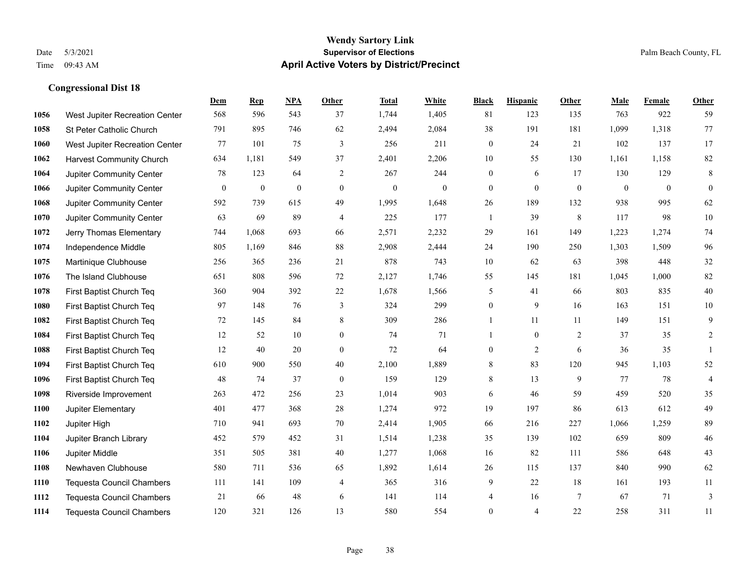|      |                                  | Dem              | <b>Rep</b>       | NPA              | <b>Other</b>     | <b>Total</b>     | <b>White</b> | <b>Black</b>     | <b>Hispanic</b>  | <b>Other</b>    | <b>Male</b>  | <b>Female</b> | <b>Other</b>   |
|------|----------------------------------|------------------|------------------|------------------|------------------|------------------|--------------|------------------|------------------|-----------------|--------------|---------------|----------------|
| 1056 | West Jupiter Recreation Center   | 568              | 596              | 543              | 37               | 1,744            | 1,405        | 81               | 123              | 135             | 763          | 922           | 59             |
| 1058 | St Peter Catholic Church         | 791              | 895              | 746              | 62               | 2,494            | 2,084        | 38               | 191              | 181             | 1,099        | 1,318         | 77             |
| 1060 | West Jupiter Recreation Center   | 77               | 101              | 75               | 3                | 256              | 211          | $\boldsymbol{0}$ | 24               | 21              | 102          | 137           | 17             |
| 1062 | <b>Harvest Community Church</b>  | 634              | 1,181            | 549              | 37               | 2,401            | 2,206        | 10               | 55               | 130             | 1,161        | 1,158         | 82             |
| 1064 | Jupiter Community Center         | 78               | 123              | 64               | 2                | 267              | 244          | $\overline{0}$   | 6                | 17              | 130          | 129           | $\,8\,$        |
| 1066 | Jupiter Community Center         | $\boldsymbol{0}$ | $\boldsymbol{0}$ | $\boldsymbol{0}$ | $\boldsymbol{0}$ | $\boldsymbol{0}$ | $\mathbf{0}$ | $\boldsymbol{0}$ | $\boldsymbol{0}$ | $\mathbf{0}$    | $\mathbf{0}$ | $\mathbf{0}$  | $\mathbf{0}$   |
| 1068 | Jupiter Community Center         | 592              | 739              | 615              | 49               | 1,995            | 1,648        | 26               | 189              | 132             | 938          | 995           | 62             |
| 1070 | Jupiter Community Center         | 63               | 69               | 89               | $\overline{4}$   | 225              | 177          | $\mathbf{1}$     | 39               | 8               | 117          | 98            | 10             |
| 1072 | Jerry Thomas Elementary          | 744              | 1,068            | 693              | 66               | 2,571            | 2,232        | 29               | 161              | 149             | 1,223        | 1,274         | 74             |
| 1074 | Independence Middle              | 805              | 1,169            | 846              | 88               | 2,908            | 2,444        | 24               | 190              | 250             | 1,303        | 1,509         | 96             |
| 1075 | Martinique Clubhouse             | 256              | 365              | 236              | 21               | 878              | 743          | 10               | 62               | 63              | 398          | 448           | $32\,$         |
| 1076 | The Island Clubhouse             | 651              | 808              | 596              | 72               | 2,127            | 1,746        | 55               | 145              | 181             | 1,045        | 1,000         | $82\,$         |
| 1078 | First Baptist Church Teq         | 360              | 904              | 392              | 22               | 1,678            | 1,566        | 5                | 41               | 66              | 803          | 835           | $40\,$         |
| 1080 | First Baptist Church Teq         | 97               | 148              | 76               | $\mathfrak{Z}$   | 324              | 299          | $\boldsymbol{0}$ | 9                | 16              | 163          | 151           | $10\,$         |
| 1082 | First Baptist Church Teq         | 72               | 145              | 84               | 8                | 309              | 286          | 1                | 11               | 11              | 149          | 151           | 9              |
| 1084 | First Baptist Church Teq         | 12               | 52               | 10               | $\mathbf{0}$     | 74               | 71           | $\mathbf{1}$     | $\mathbf{0}$     | 2               | 37           | 35            | 2              |
| 1088 | First Baptist Church Teq         | 12               | 40               | 20               | $\boldsymbol{0}$ | 72               | 64           | $\boldsymbol{0}$ | $\overline{2}$   | 6               | 36           | 35            | $\mathbf{1}$   |
| 1094 | First Baptist Church Teq         | 610              | 900              | 550              | 40               | 2,100            | 1,889        | $\,8\,$          | 83               | 120             | 945          | 1,103         | $52\,$         |
| 1096 | First Baptist Church Teq         | 48               | 74               | 37               | $\mathbf{0}$     | 159              | 129          | 8                | 13               | 9               | 77           | 78            | $\overline{4}$ |
| 1098 | Riverside Improvement            | 263              | 472              | 256              | 23               | 1,014            | 903          | 6                | 46               | 59              | 459          | 520           | 35             |
| 1100 | Jupiter Elementary               | 401              | 477              | 368              | 28               | 1,274            | 972          | 19               | 197              | 86              | 613          | 612           | 49             |
| 1102 | Jupiter High                     | 710              | 941              | 693              | 70               | 2,414            | 1,905        | 66               | 216              | 227             | 1,066        | 1,259         | 89             |
| 1104 | Jupiter Branch Library           | 452              | 579              | 452              | 31               | 1,514            | 1,238        | 35               | 139              | 102             | 659          | 809           | $46\,$         |
| 1106 | Jupiter Middle                   | 351              | 505              | 381              | 40               | 1,277            | 1,068        | 16               | 82               | 111             | 586          | 648           | 43             |
| 1108 | Newhaven Clubhouse               | 580              | 711              | 536              | 65               | 1,892            | 1,614        | 26               | 115              | 137             | 840          | 990           | 62             |
| 1110 | <b>Tequesta Council Chambers</b> | 111              | 141              | 109              | 4                | 365              | 316          | 9                | 22               | 18              | 161          | 193           | 11             |
| 1112 | <b>Tequesta Council Chambers</b> | 21               | 66               | 48               | 6                | 141              | 114          | 4                | 16               | $7\phantom{.0}$ | 67           | 71            | 3              |
| 1114 | <b>Tequesta Council Chambers</b> | 120              | 321              | 126              | 13               | 580              | 554          | $\overline{0}$   | 4                | 22              | 258          | 311           | 11             |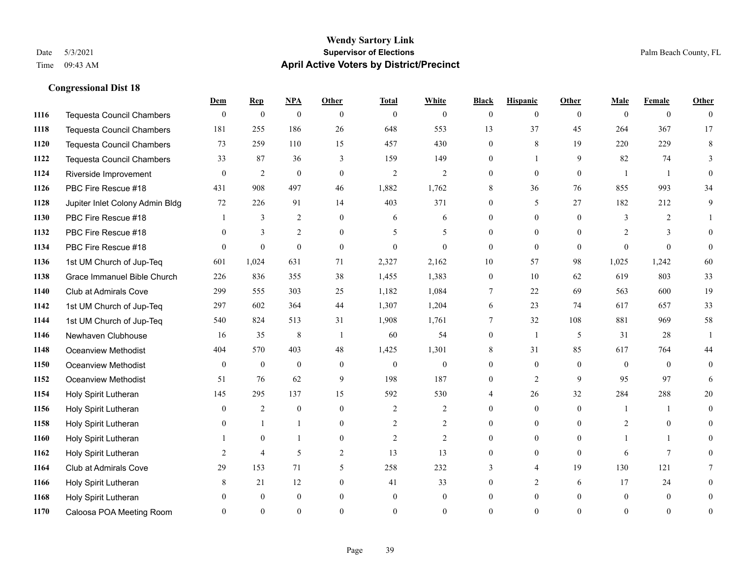#### **Wendy Sartory Link** Date 5/3/2021 **Supervisor of Elections** Palm Beach County, FL Time 09:43 AM **April Active Voters by District/Precinct**

# **Dem Rep NPA Other Total White Black Hispanic Other Male Female Other** Tequesta Council Chambers 0 0 0 0 0 0 0 0 0 0 0 0 Tequesta Council Chambers 181 255 186 26 648 553 13 37 45 264 367 17 Tequesta Council Chambers 73 259 110 15 457 430 0 8 19 220 229 8 Tequesta Council Chambers 33 87 36 3 159 149 0 1 9 82 74 3 Riverside Improvement 0 0 2 0 0 2 2 2 0 0 0 0 1 1 0 PBC Fire Rescue #18 431 908 497 46 1,882 1,762 8 36 76 855 993 34 Jupiter Inlet Colony Admin Bldg 72 226 91 14 403 371 0 5 27 182 212 9 PBC Fire Rescue #18 **1** 3 2 0 6 6 0 0 0 3 2 1 1132 PBC Fire Rescue #18 0 3 2 0 5 5 0 0 0 2 3 0 PBC Fire Rescue #18 0 0 0 0 0 0 0 0 0 0 0 0 1st UM Church of Jup-Teq 601 1,024 631 71 2,327 2,162 10 57 98 1,025 1,242 60 Grace Immanuel Bible Church 226 836 355 38 1,455 1,383 0 10 62 619 803 33 Club at Admirals Cove 299 555 303 25 1,182 1,084 7 22 69 563 600 19 1st UM Church of Jup-Teq 297 602 364 44 1,307 1,204 6 23 74 617 657 33 1st UM Church of Jup-Teq 540 824 513 31 1,908 1,761 7 32 108 881 969 58 Newhaven Clubhouse 16 35 8 1 60 54 0 1 5 31 28 1 Oceanview Methodist 404 570 403 48 1,425 1,301 8 31 85 617 764 44 Oceanview Methodist 0 0 0 0 0 0 0 0 0 0 0 0 Oceanview Methodist 51 76 62 9 198 187 0 2 9 95 97 6 Holy Spirit Lutheran 145 295 137 15 592 530 4 26 32 284 288 20 Holy Spirit Lutheran **0** 2 0 0 2 2 2 0 0 0 1 1 0 Holy Spirit Lutheran **0** 1 1 0 2 2 0 0 0 2 0 0 Holy Spirit Lutheran 1 0 1 0 2 2 0 0 0 1 1 0 Holy Spirit Lutheran **2** 4 5 2 13 13 0 0 0 6 7 0 Club at Admirals Cove 29 153 71 5 258 232 3 4 19 130 121 7 Holy Spirit Lutheran **8** 21 12 0 41 33 0 2 6 17 24 0 Holy Spirit Lutheran 0 0 0 0 0 0 0 0 0 0 0 0 Caloosa POA Meeting Room 0 0 0 0 0 0 0 0 0 0 0 0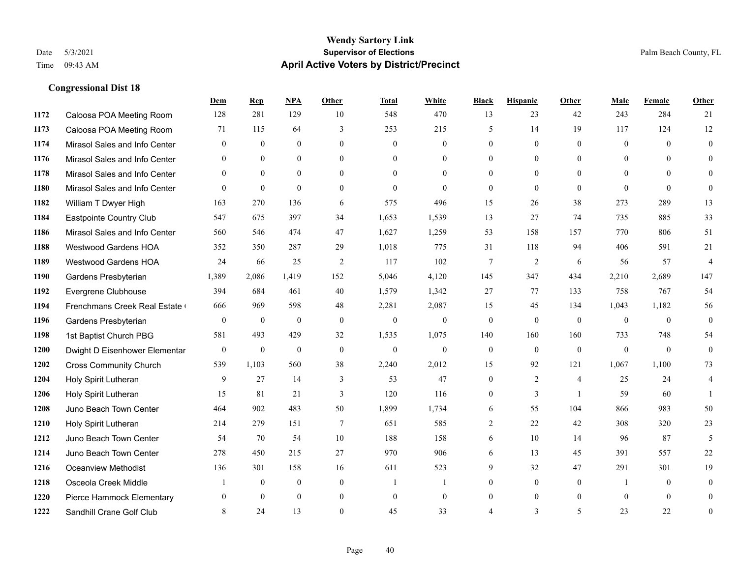#### **Wendy Sartory Link** Date 5/3/2021 **Supervisor of Elections** Palm Beach County, FL Time 09:43 AM **April Active Voters by District/Precinct**

# **Dem Rep NPA Other Total White Black Hispanic Other Male Female Other** Caloosa POA Meeting Room 128 281 129 10 548 470 13 23 42 243 284 21 Caloosa POA Meeting Room 71 115 64 3 253 215 5 14 19 117 124 12 Mirasol Sales and Info Center 0 0 0 0 0 0 0 0 0 0 0 0 Mirasol Sales and Info Center 0 0 0 0 0 0 0 0 0 0 0 0 Mirasol Sales and Info Center 0 0 0 0 0 0 0 0 0 0 0 0 Mirasol Sales and Info Center 0 0 0 0 0 0 0 0 0 0 0 0 William T Dwyer High 163 270 136 6 575 496 15 26 38 273 289 13 Eastpointe Country Club 547 675 397 34 1,653 1,539 13 27 74 735 885 33 Mirasol Sales and Info Center 560 546 474 47 1,627 1,259 53 158 157 770 806 51 Westwood Gardens HOA 352 350 287 29 1,018 775 31 118 94 406 591 21 Westwood Gardens HOA 24 66 25 2 117 102 7 2 6 56 57 4 Gardens Presbyterian 1,389 2,086 1,419 152 5,046 4,120 145 347 434 2,210 2,689 147 Evergrene Clubhouse 394 684 461 40 1,579 1,342 27 77 133 758 767 54 1194 Frenchmans Creek Real Estate 666 969 598 48 2,281 2,087 15 45 134 1,043 1,182 56 Gardens Presbyterian 0 0 0 0 0 0 0 0 0 0 0 0 1st Baptist Church PBG 581 493 429 32 1,535 1,075 140 160 160 733 748 54 Dwight D Eisenhower Elementary 0 0 0 0 0 0 0 0 0 0 0 0 Cross Community Church 539 1,103 560 38 2,240 2,012 15 92 121 1,067 1,100 73 Holy Spirit Lutheran 9 27 14 3 53 47 0 2 4 25 24 4 Holy Spirit Lutheran **15** 81 21 3 120 116 0 3 1 59 60 1 Juno Beach Town Center 464 902 483 50 1,899 1,734 6 55 104 866 983 50 Holy Spirit Lutheran 214 279 151 7 651 585 2 22 42 308 320 23 Juno Beach Town Center 54 70 54 10 188 158 6 10 14 96 87 5 Juno Beach Town Center 278 450 215 27 970 906 6 13 45 391 557 22 Oceanview Methodist 136 301 158 16 611 523 9 32 47 291 301 19 Osceola Creek Middle  $\begin{array}{cccccccc} 1 & 0 & 0 & 0 & 1 & 1 & 0 & 0 & 0 \end{array}$  Pierce Hammock Elementary 0 0 0 0 0 0 0 0 0 0 0 0 **1222 Sandhill Crane Golf Club** 8 24 13 0 45 33 4 3 5 23 22 0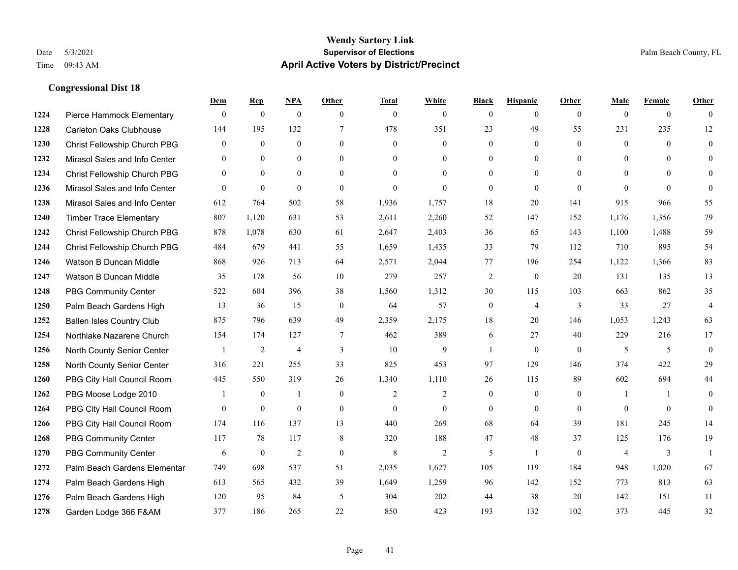|      |                                  | Dem          | <b>Rep</b>     | NPA            | <b>Other</b>   | <b>Total</b>   | <b>White</b>   | <b>Black</b>     | <b>Hispanic</b> | <b>Other</b>   | <b>Male</b>    | <b>Female</b>  | <b>Other</b>   |
|------|----------------------------------|--------------|----------------|----------------|----------------|----------------|----------------|------------------|-----------------|----------------|----------------|----------------|----------------|
| 1224 | Pierce Hammock Elementary        | $\mathbf{0}$ | $\mathbf{0}$   | $\mathbf{0}$   | $\theta$       | $\mathbf{0}$   | $\overline{0}$ | $\overline{0}$   | $\overline{0}$  | $\theta$       | $\mathbf{0}$   | $\overline{0}$ | $\Omega$       |
| 1228 | <b>Carleton Oaks Clubhouse</b>   | 144          | 195            | 132            | $\tau$         | 478            | 351            | 23               | 49              | 55             | 231            | 235            | 12             |
| 1230 | Christ Fellowship Church PBG     | $\theta$     | $\mathbf{0}$   | $\theta$       | $\Omega$       | $\Omega$       | $\Omega$       | $\Omega$         | $\theta$        | $\Omega$       | $\theta$       | $\theta$       | $\theta$       |
| 1232 | Mirasol Sales and Info Center    | $\mathbf{0}$ | $\mathbf{0}$   | $\mathbf{0}$   | $\overline{0}$ | $\mathbf{0}$   | $\overline{0}$ | $\boldsymbol{0}$ | $\mathbf{0}$    | $\overline{0}$ | $\mathbf{0}$   | $\theta$       | $\theta$       |
| 1234 | Christ Fellowship Church PBG     | $\theta$     | $\mathbf{0}$   | $\Omega$       | $\theta$       | $\theta$       | $\Omega$       | $\overline{0}$   | $\theta$        | $\theta$       | $\theta$       | $\theta$       | $\mathbf{0}$   |
| 1236 | Mirasol Sales and Info Center    | $\Omega$     | $\mathbf{0}$   | $\mathbf{0}$   | $\theta$       | $\mathbf{0}$   | $\theta$       | $\overline{0}$   | $\theta$        | $\theta$       | $\theta$       | $\Omega$       | $\theta$       |
| 1238 | Mirasol Sales and Info Center    | 612          | 764            | 502            | 58             | 1,936          | 1,757          | 18               | 20              | 141            | 915            | 966            | 55             |
| 1240 | <b>Timber Trace Elementary</b>   | 807          | 1,120          | 631            | 53             | 2,611          | 2,260          | 52               | 147             | 152            | 1,176          | 1,356          | 79             |
| 1242 | Christ Fellowship Church PBG     | 878          | 1,078          | 630            | 61             | 2,647          | 2,403          | 36               | 65              | 143            | 1,100          | 1,488          | 59             |
| 1244 | Christ Fellowship Church PBG     | 484          | 679            | 441            | 55             | 1,659          | 1,435          | 33               | 79              | 112            | 710            | 895            | 54             |
| 1246 | Watson B Duncan Middle           | 868          | 926            | 713            | 64             | 2,571          | 2,044          | 77               | 196             | 254            | 1,122          | 1,366          | 83             |
| 1247 | Watson B Duncan Middle           | 35           | 178            | 56             | 10             | 279            | 257            | $\overline{c}$   | $\mathbf{0}$    | 20             | 131            | 135            | 13             |
| 1248 | <b>PBG Community Center</b>      | 522          | 604            | 396            | 38             | 1,560          | 1,312          | 30               | 115             | 103            | 663            | 862            | 35             |
| 1250 | Palm Beach Gardens High          | 13           | 36             | 15             | $\mathbf{0}$   | 64             | 57             | $\boldsymbol{0}$ | $\overline{4}$  | 3              | 33             | 27             | $\overline{4}$ |
| 1252 | <b>Ballen Isles Country Club</b> | 875          | 796            | 639            | 49             | 2,359          | 2,175          | 18               | 20              | 146            | 1,053          | 1,243          | 63             |
| 1254 | Northlake Nazarene Church        | 154          | 174            | 127            | $\tau$         | 462            | 389            | 6                | 27              | 40             | 229            | 216            | 17             |
| 1256 | North County Senior Center       |              | $\overline{c}$ | $\overline{4}$ | 3              | 10             | 9              | $\mathbf{1}$     | $\theta$        | $\theta$       | 5              | 5              | $\mathbf{0}$   |
| 1258 | North County Senior Center       | 316          | 221            | 255            | 33             | 825            | 453            | 97               | 129             | 146            | 374            | 422            | 29             |
| 1260 | PBG City Hall Council Room       | 445          | 550            | 319            | 26             | 1,340          | 1,110          | 26               | 115             | 89             | 602            | 694            | 44             |
| 1262 | PBG Moose Lodge 2010             |              | $\mathbf{0}$   | 1              | $\overline{0}$ | $\overline{2}$ | 2              | $\overline{0}$   | $\mathbf{0}$    | $\mathbf{0}$   | -1             | $\mathbf{1}$   | $\mathbf{0}$   |
| 1264 | PBG City Hall Council Room       | $\Omega$     | $\mathbf{0}$   | $\theta$       | $\Omega$       | $\theta$       | $\Omega$       | $\Omega$         | $\theta$        | $\Omega$       | $\Omega$       | $\Omega$       | $\theta$       |
| 1266 | PBG City Hall Council Room       | 174          | 116            | 137            | 13             | 440            | 269            | 68               | 64              | 39             | 181            | 245            | 14             |
| 1268 | <b>PBG Community Center</b>      | 117          | 78             | 117            | 8              | 320            | 188            | 47               | 48              | 37             | 125            | 176            | 19             |
| 1270 | <b>PBG Community Center</b>      | 6            | $\mathbf{0}$   | $\overline{2}$ | $\theta$       | 8              | $\overline{2}$ | 5                | $\mathbf{1}$    | $\theta$       | $\overline{4}$ | 3              | $\mathbf{1}$   |
| 1272 | Palm Beach Gardens Elementar     | 749          | 698            | 537            | 51             | 2,035          | 1,627          | 105              | 119             | 184            | 948            | 1,020          | 67             |
| 1274 | Palm Beach Gardens High          | 613          | 565            | 432            | 39             | 1,649          | 1,259          | 96               | 142             | 152            | 773            | 813            | 63             |
| 1276 | Palm Beach Gardens High          | 120          | 95             | 84             | 5              | 304            | 202            | 44               | 38              | 20             | 142            | 151            | 11             |
| 1278 | Garden Lodge 366 F&AM            | 377          | 186            | 265            | 22             | 850            | 423            | 193              | 132             | 102            | 373            | 445            | 32             |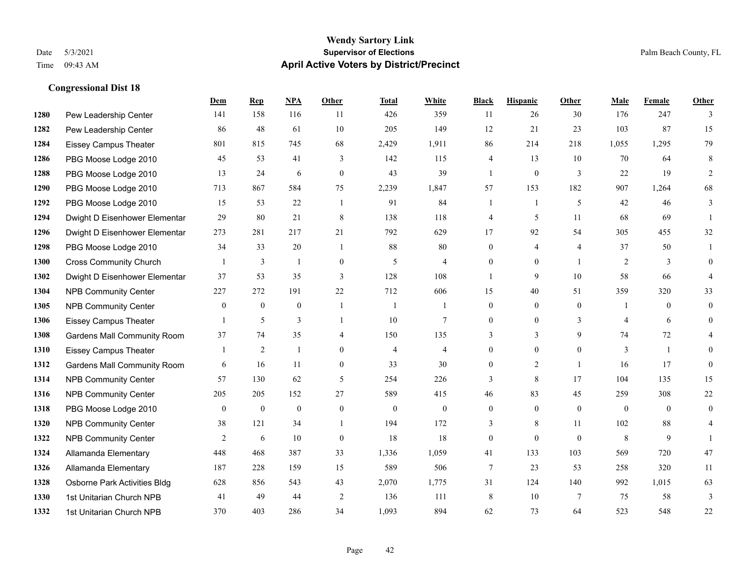#### **Wendy Sartory Link** Date 5/3/2021 **Supervisor of Elections** Palm Beach County, FL Time 09:43 AM **April Active Voters by District/Precinct**

# **Dem Rep NPA Other Total White Black Hispanic Other Male Female Other** Pew Leadership Center 141 158 116 11 426 359 11 26 30 176 247 3 Pew Leadership Center 86 48 61 10 205 149 12 21 23 103 87 15 Eissey Campus Theater 801 815 745 68 2,429 1,911 86 214 218 1,055 1,295 79 PBG Moose Lodge 2010 45 53 41 3 142 115 4 13 10 70 64 8 PBG Moose Lodge 2010 13 24 6 0 43 39 1 0 3 22 19 2 PBG Moose Lodge 2010 713 867 584 75 2,239 1,847 57 153 182 907 1,264 68 PBG Moose Lodge 2010 15 53 22 1 91 84 1 1 5 42 46 3 Dwight D Eisenhower Elementar 29 80 21 8 138 118 4 5 11 68 69 1 Dwight D Eisenhower Elementary 273 281 217 21 792 629 17 92 54 305 455 32 PBG Moose Lodge 2010 34 33 20 1 88 80 0 4 4 37 50 1 Cross Community Church 1 3 1 0 5 4 0 0 1 2 3 0 Dwight D Eisenhower Elementar 37 53 35 3 128 108 1 9 10 58 66 4 NPB Community Center 227 272 191 22 712 606 15 40 51 359 320 33 NPB Community Center 0 0 0 1 1 1 0 0 0 1 0 0 Eissey Campus Theater 1 5 3 1 10 7 0 0 3 4 6 0 Gardens Mall Community Room 37 74 35 4 150 135 3 3 9 74 72 4 Eissey Campus Theater 1 2 1 0 4 4 0 0 0 3 1 0 **1312 Gardens Mall Community Room** 6 16 11 0 33 30 0 2 1 16 17 0 NPB Community Center 57 130 62 5 254 226 3 8 17 104 135 15 NPB Community Center 205 205 152 27 589 415 46 83 45 259 308 22 PBG Moose Lodge 2010 0 0 0 0 0 0 0 0 0 0 0 0 **1320 NPB Community Center** 38 121 34 1 194 172 3 8 11 102 88 4 **1322 NPB Community Center**  $\begin{array}{cccccccc} 2 & 6 & 10 & 0 & 18 & 18 & 0 & 0 & 8 & 9 & 1 \end{array}$  Allamanda Elementary 448 468 387 33 1,336 1,059 41 133 103 569 720 47 Allamanda Elementary 187 228 159 15 589 506 7 23 53 258 320 11 Osborne Park Activities Bldg 628 856 543 43 2,070 1,775 31 124 140 992 1,015 63 1st Unitarian Church NPB 41 49 44 2 136 111 8 10 7 75 58 3 1st Unitarian Church NPB 370 403 286 34 1,093 894 62 73 64 523 548 22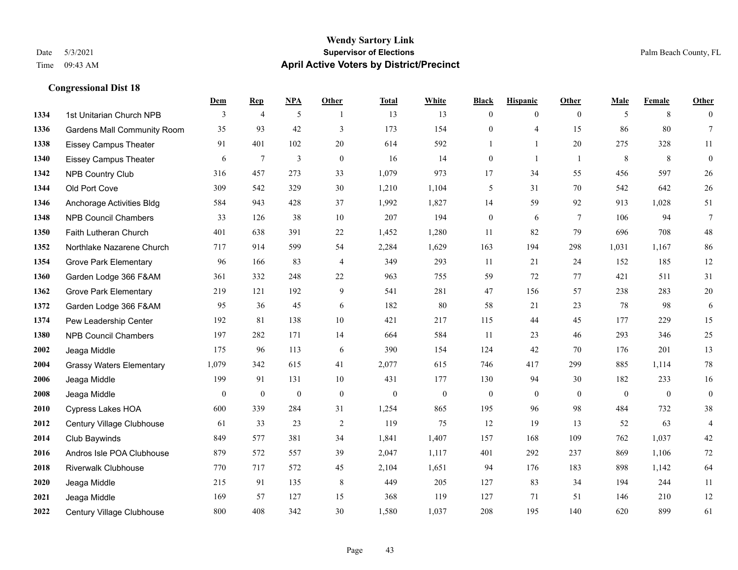#### **Wendy Sartory Link** Date 5/3/2021 **Supervisor of Elections** Palm Beach County, FL Time 09:43 AM **April Active Voters by District/Precinct**

# **Dem Rep NPA Other Total White Black Hispanic Other Male Female Other** 1334 1st Unitarian Church NPB 3 4 5 1 13 13 0 0 0 5 8 0 Gardens Mall Community Room 35 93 42 3 173 154 0 4 15 86 80 7 Eissey Campus Theater 91 401 102 20 614 592 1 1 20 275 328 11 Eissey Campus Theater 6 7 3 0 16 14 0 1 1 8 8 0 NPB Country Club 316 457 273 33 1,079 973 17 34 55 456 597 26 Old Port Cove 309 542 329 30 1,210 1,104 5 31 70 542 642 26 Anchorage Activities Bldg 584 943 428 37 1,992 1,827 14 59 92 913 1,028 51 NPB Council Chambers 33 126 38 10 207 194 0 6 7 106 94 7 Faith Lutheran Church 401 638 391 22 1,452 1,280 11 82 79 696 708 48 Northlake Nazarene Church 717 914 599 54 2,284 1,629 163 194 298 1,031 1,167 86 Grove Park Elementary 96 166 83 4 349 293 11 21 24 152 185 12 Garden Lodge 366 F&AM 361 332 248 22 963 755 59 72 77 421 511 31 Grove Park Elementary 219 121 192 9 541 281 47 156 57 238 283 20 Garden Lodge 366 F&AM 95 36 45 6 182 80 58 21 23 78 98 6 Pew Leadership Center 192 81 138 10 421 217 115 44 45 177 229 15 NPB Council Chambers 197 282 171 14 664 584 11 23 46 293 346 25 Jeaga Middle 175 96 113 6 390 154 124 42 70 176 201 13 Grassy Waters Elementary 1,079 342 615 41 2,077 615 746 417 299 885 1,114 78 Jeaga Middle 199 91 131 10 431 177 130 94 30 182 233 16 Jeaga Middle 0 0 0 0 0 0 0 0 0 0 0 0 Cypress Lakes HOA 600 339 284 31 1,254 865 195 96 98 484 732 38 Century Village Clubhouse 61 33 23 2 119 75 12 19 13 52 63 4 Club Baywinds 849 577 381 34 1,841 1,407 157 168 109 762 1,037 42 Andros Isle POA Clubhouse 879 572 557 39 2,047 1,117 401 292 237 869 1,106 72 Riverwalk Clubhouse 770 717 572 45 2,104 1,651 94 176 183 898 1,142 64 Jeaga Middle 215 91 135 8 449 205 127 83 34 194 244 11 Jeaga Middle 169 57 127 15 368 119 127 71 51 146 210 12 Century Village Clubhouse 800 408 342 30 1,580 1,037 208 195 140 620 899 61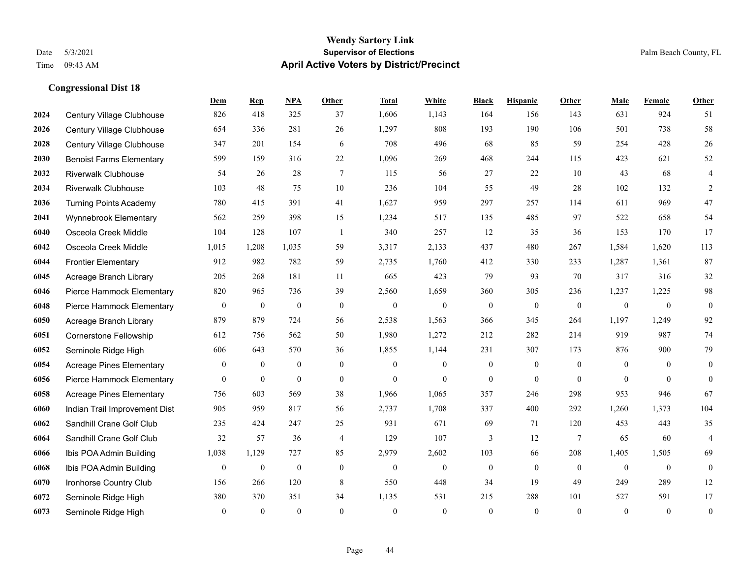#### **Wendy Sartory Link** Date 5/3/2021 **Supervisor of Elections** Palm Beach County, FL Time 09:43 AM **April Active Voters by District/Precinct**

# **Dem Rep NPA Other Total White Black Hispanic Other Male Female Other** Century Village Clubhouse 826 418 325 37 1,606 1,143 164 156 143 631 924 51 Century Village Clubhouse 654 336 281 26 1,297 808 193 190 106 501 738 58 Century Village Clubhouse 347 201 154 6 708 496 68 85 59 254 428 26 Benoist Farms Elementary 599 159 316 22 1,096 269 468 244 115 423 621 52 Riverwalk Clubhouse 54 26 28 7 115 56 27 22 10 43 68 4 Riverwalk Clubhouse 103 48 75 10 236 104 55 49 28 102 132 2 Turning Points Academy 780 415 391 41 1,627 959 297 257 114 611 969 47 Wynnebrook Elementary 562 259 398 15 1,234 517 135 485 97 522 658 54 Osceola Creek Middle 104 128 107 1 340 257 12 35 36 153 170 17 Osceola Creek Middle 1,015 1,208 1,035 59 3,317 2,133 437 480 267 1,584 1,620 113 Frontier Elementary 912 982 782 59 2,735 1,760 412 330 233 1,287 1,361 87 Acreage Branch Library 205 268 181 11 665 423 79 93 70 317 316 32 Pierce Hammock Elementary 820 965 736 39 2,560 1,659 360 305 236 1,237 1,225 98 Pierce Hammock Elementary 0 0 0 0 0 0 0 0 0 0 0 0 Acreage Branch Library 879 879 724 56 2,538 1,563 366 345 264 1,197 1,249 92 Cornerstone Fellowship 612 756 562 50 1,980 1,272 212 282 214 919 987 74 Seminole Ridge High 606 643 570 36 1,855 1,144 231 307 173 876 900 79 Acreage Pines Elementary 0 0 0 0 0 0 0 0 0 0 0 0 Pierce Hammock Elementary 0 0 0 0 0 0 0 0 0 0 0 0 Acreage Pines Elementary 756 603 569 38 1,966 1,065 357 246 298 953 946 67 Indian Trail Improvement Dist 905 959 817 56 2,737 1,708 337 400 292 1,260 1,373 104 Sandhill Crane Golf Club 235 424 247 25 931 671 69 71 120 453 443 35 Sandhill Crane Golf Club 32 57 36 4 129 107 3 12 7 65 60 4 Ibis POA Admin Building 1,038 1,129 727 85 2,979 2,602 103 66 208 1,405 1,505 69 Ibis POA Admin Building 0 0 0 0 0 0 0 0 0 0 0 0 Ironhorse Country Club 156 266 120 8 550 448 34 19 49 249 289 12 Seminole Ridge High 380 370 351 34 1,135 531 215 288 101 527 591 17 Seminole Ridge High 0 0 0 0 0 0 0 0 0 0 0 0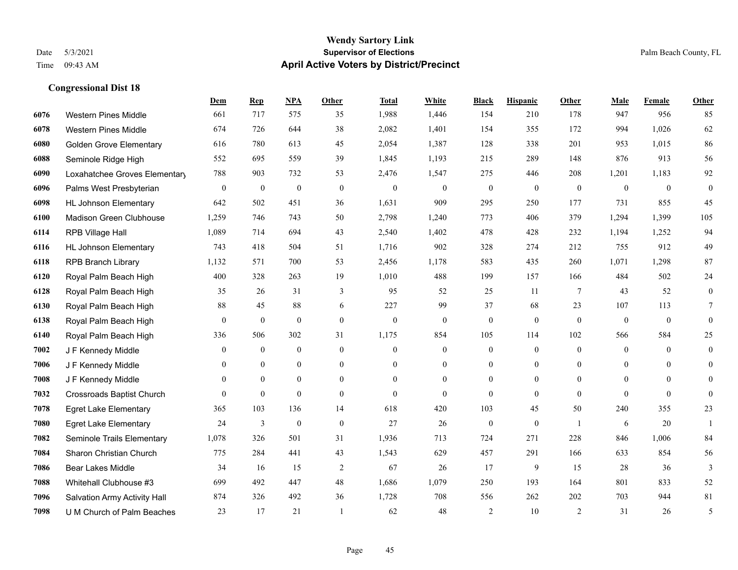|      |                                  | Dem              | <b>Rep</b>       | NPA              | <b>Other</b>     | <b>Total</b> | White            | <b>Black</b>     | <b>Hispanic</b>  | <b>Other</b>   | <b>Male</b>    | Female         | <b>Other</b>     |
|------|----------------------------------|------------------|------------------|------------------|------------------|--------------|------------------|------------------|------------------|----------------|----------------|----------------|------------------|
| 6076 | <b>Western Pines Middle</b>      | 661              | 717              | 575              | 35               | 1,988        | 1,446            | 154              | 210              | 178            | 947            | 956            | 85               |
| 6078 | <b>Western Pines Middle</b>      | 674              | 726              | 644              | 38               | 2,082        | 1,401            | 154              | 355              | 172            | 994            | 1,026          | 62               |
| 6080 | <b>Golden Grove Elementary</b>   | 616              | 780              | 613              | 45               | 2,054        | 1,387            | 128              | 338              | 201            | 953            | 1,015          | 86               |
| 6088 | Seminole Ridge High              | 552              | 695              | 559              | 39               | 1,845        | 1,193            | 215              | 289              | 148            | 876            | 913            | 56               |
| 6090 | Loxahatchee Groves Elementary    | 788              | 903              | 732              | 53               | 2,476        | 1,547            | 275              | 446              | 208            | 1,201          | 1,183          | 92               |
| 6096 | Palms West Presbyterian          | $\mathbf{0}$     | $\boldsymbol{0}$ | $\boldsymbol{0}$ | $\mathbf{0}$     | $\mathbf{0}$ | $\boldsymbol{0}$ | $\boldsymbol{0}$ | $\boldsymbol{0}$ | $\overline{0}$ | $\mathbf{0}$   | $\mathbf{0}$   | $\boldsymbol{0}$ |
| 6098 | <b>HL Johnson Elementary</b>     | 642              | 502              | 451              | 36               | 1,631        | 909              | 295              | 250              | 177            | 731            | 855            | 45               |
| 6100 | Madison Green Clubhouse          | 1,259            | 746              | 743              | 50               | 2,798        | 1,240            | 773              | 406              | 379            | 1,294          | 1,399          | 105              |
| 6114 | RPB Village Hall                 | 1,089            | 714              | 694              | 43               | 2,540        | 1,402            | 478              | 428              | 232            | 1,194          | 1,252          | 94               |
| 6116 | <b>HL Johnson Elementary</b>     | 743              | 418              | 504              | 51               | 1,716        | 902              | 328              | 274              | 212            | 755            | 912            | 49               |
| 6118 | <b>RPB Branch Library</b>        | 1,132            | 571              | 700              | 53               | 2,456        | 1,178            | 583              | 435              | 260            | 1,071          | 1,298          | 87               |
| 6120 | Royal Palm Beach High            | 400              | 328              | 263              | 19               | 1,010        | 488              | 199              | 157              | 166            | 484            | 502            | 24               |
| 6128 | Royal Palm Beach High            | 35               | 26               | 31               | 3                | 95           | 52               | 25               | 11               | 7              | 43             | 52             | $\boldsymbol{0}$ |
| 6130 | Royal Palm Beach High            | $88\,$           | 45               | 88               | 6                | 227          | 99               | 37               | 68               | 23             | 107            | 113            | 7                |
| 6138 | Royal Palm Beach High            | $\boldsymbol{0}$ | $\bf{0}$         | $\mathbf{0}$     | $\overline{0}$   | $\mathbf{0}$ | $\mathbf{0}$     | $\boldsymbol{0}$ | $\mathbf{0}$     | $\overline{0}$ | $\overline{0}$ | $\overline{0}$ | $\mathbf{0}$     |
| 6140 | Royal Palm Beach High            | 336              | 506              | 302              | 31               | 1,175        | 854              | 105              | 114              | 102            | 566            | 584            | 25               |
| 7002 | J F Kennedy Middle               | $\overline{0}$   | $\boldsymbol{0}$ | $\boldsymbol{0}$ | $\boldsymbol{0}$ | $\mathbf{0}$ | $\boldsymbol{0}$ | $\boldsymbol{0}$ | $\boldsymbol{0}$ | $\mathbf{0}$   | $\mathbf{0}$   | $\mathbf{0}$   | $\boldsymbol{0}$ |
| 7006 | J F Kennedy Middle               | $\theta$         | $\overline{0}$   | $\overline{0}$   | $\overline{0}$   | $\theta$     | $\overline{0}$   | $\boldsymbol{0}$ | $\overline{0}$   | $\theta$       | $\theta$       | $\theta$       | $\boldsymbol{0}$ |
| 7008 | J F Kennedy Middle               | $\overline{0}$   | $\mathbf{0}$     | $\overline{0}$   | $\Omega$         | $\theta$     | $\overline{0}$   | $\mathbf{0}$     | $\mathbf{0}$     | $\theta$       | $\theta$       | $\theta$       | $\theta$         |
| 7032 | <b>Crossroads Baptist Church</b> | $\overline{0}$   | $\mathbf{0}$     | $\mathbf{0}$     | $\overline{0}$   | $\theta$     | $\overline{0}$   | $\mathbf{0}$     | $\mathbf{0}$     | $\theta$       | $\theta$       | $\mathbf{0}$   | $\boldsymbol{0}$ |
| 7078 | <b>Egret Lake Elementary</b>     | 365              | 103              | 136              | 14               | 618          | 420              | 103              | 45               | 50             | 240            | 355            | 23               |
| 7080 | <b>Egret Lake Elementary</b>     | 24               | $\mathfrak{Z}$   | $\overline{0}$   | $\overline{0}$   | 27           | 26               | $\boldsymbol{0}$ | $\mathbf{0}$     | $\overline{1}$ | 6              | 20             | $\mathbf{1}$     |
| 7082 | Seminole Trails Elementary       | 1,078            | 326              | 501              | 31               | 1,936        | 713              | 724              | 271              | 228            | 846            | 1,006          | 84               |
| 7084 | Sharon Christian Church          | 775              | 284              | 441              | 43               | 1,543        | 629              | 457              | 291              | 166            | 633            | 854            | 56               |
| 7086 | <b>Bear Lakes Middle</b>         | 34               | 16               | 15               | $\overline{2}$   | 67           | 26               | 17               | 9                | 15             | 28             | 36             | 3                |
| 7088 | Whitehall Clubhouse #3           | 699              | 492              | 447              | 48               | 1,686        | 1,079            | 250              | 193              | 164            | 801            | 833            | 52               |
| 7096 | Salvation Army Activity Hall     | 874              | 326              | 492              | 36               | 1,728        | 708              | 556              | 262              | 202            | 703            | 944            | 81               |
| 7098 | U M Church of Palm Beaches       | 23               | 17               | 21               |                  | 62           | 48               | $\overline{2}$   | 10               | 2              | 31             | 26             | 5                |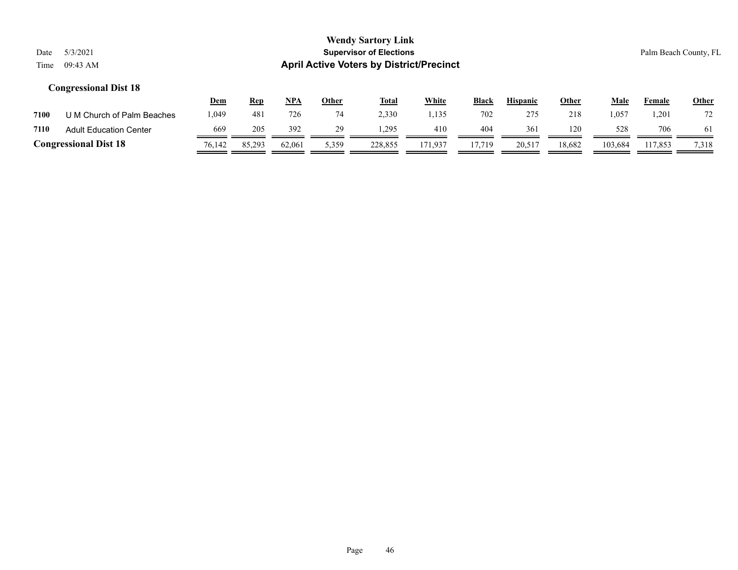# **Wendy Sartory Link** Date 5/3/2021 Palm Beach County, FL Time 09:43 AM **April Active Voters by District/Precinct**

|      |                               | <u>Dem</u> | <u>Rep</u> | NPA    | Other  | <b>Total</b> | <u>White</u> | <b>Black</b> | <b>Hispanic</b> | <u>Other</u> | Male    | Female  | <b>Other</b> |
|------|-------------------------------|------------|------------|--------|--------|--------------|--------------|--------------|-----------------|--------------|---------|---------|--------------|
| 7100 | U M Church of Palm Beaches    | .049       | 481        | 726    |        | 2,330        | . 135        | 702          | 275             | 218          | 057     | 201.ا   | 72           |
| 7110 | <b>Adult Education Center</b> | 669        | 205        | 392    | 29     | .295         | 410          | 404          | 361             | 120          | 528     | 706     | 61           |
|      | <b>Congressional Dist 18</b>  | 76,142     | 85,293     | 62,061 | 3.359. | 228,855      | 171,937      | 7.719        | 20,517          | 18,682       | 103,684 | 117.853 | 7,318        |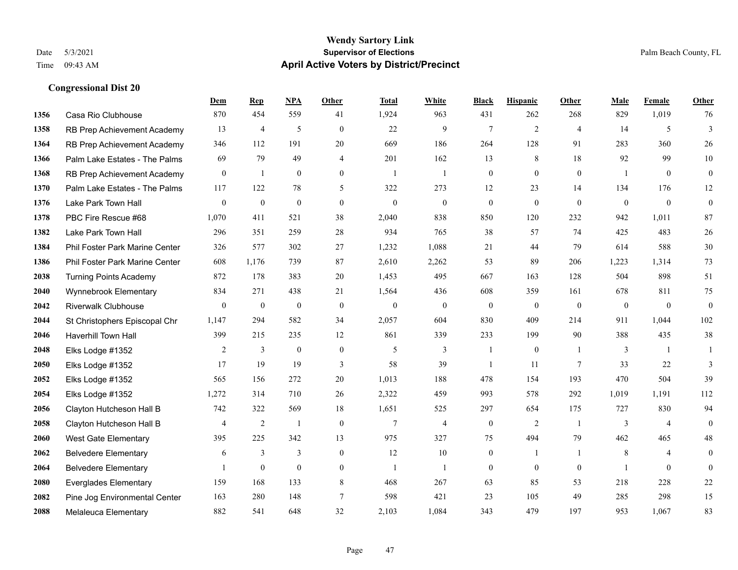|      |                                | Dem              | <b>Rep</b>       | NPA              | Other          | <b>Total</b>     | <b>White</b>     | <b>Black</b>     | <b>Hispanic</b>  | Other           | <b>Male</b>    | <b>Female</b>    | <b>Other</b>     |
|------|--------------------------------|------------------|------------------|------------------|----------------|------------------|------------------|------------------|------------------|-----------------|----------------|------------------|------------------|
| 1356 | Casa Rio Clubhouse             | 870              | 454              | 559              | 41             | 1,924            | 963              | 431              | 262              | 268             | 829            | 1,019            | 76               |
| 1358 | RB Prep Achievement Academy    | 13               | 4                | 5                | $\theta$       | 22               | 9                | $\overline{7}$   | 2                | $\overline{4}$  | 14             | 5                | 3                |
| 1364 | RB Prep Achievement Academy    | 346              | 112              | 191              | 20             | 669              | 186              | 264              | 128              | 91              | 283            | 360              | 26               |
| 1366 | Palm Lake Estates - The Palms  | 69               | 79               | 49               | $\overline{4}$ | 201              | 162              | 13               | 8                | 18              | 92             | 99               | $10\,$           |
| 1368 | RB Prep Achievement Academy    | $\mathbf{0}$     | $\mathbf{1}$     | $\mathbf{0}$     | $\theta$       | $\overline{1}$   | $\mathbf{1}$     | $\overline{0}$   | $\theta$         | $\theta$        | $\overline{1}$ | $\theta$         | $\overline{0}$   |
| 1370 | Palm Lake Estates - The Palms  | 117              | 122              | 78               | 5              | 322              | 273              | 12               | 23               | 14              | 134            | 176              | 12               |
| 1376 | Lake Park Town Hall            | $\mathbf{0}$     | $\mathbf{0}$     | $\mathbf{0}$     | $\mathbf{0}$   | $\mathbf{0}$     | $\overline{0}$   | $\mathbf{0}$     | $\mathbf{0}$     | $\theta$        | $\mathbf{0}$   | $\theta$         | $\boldsymbol{0}$ |
| 1378 | PBC Fire Rescue #68            | 1.070            | 411              | 521              | 38             | 2,040            | 838              | 850              | 120              | 232             | 942            | 1,011            | 87               |
| 1382 | Lake Park Town Hall            | 296              | 351              | 259              | 28             | 934              | 765              | 38               | 57               | 74              | 425            | 483              | $26\,$           |
| 1384 | Phil Foster Park Marine Center | 326              | 577              | 302              | 27             | 1,232            | 1,088            | 21               | 44               | 79              | 614            | 588              | $30\,$           |
| 1386 | Phil Foster Park Marine Center | 608              | 1,176            | 739              | 87             | 2,610            | 2,262            | 53               | 89               | 206             | 1,223          | 1,314            | 73               |
| 2038 | <b>Turning Points Academy</b>  | 872              | 178              | 383              | 20             | 1,453            | 495              | 667              | 163              | 128             | 504            | 898              | 51               |
| 2040 | Wynnebrook Elementary          | 834              | 271              | 438              | 21             | 1,564            | 436              | 608              | 359              | 161             | 678            | 811              | 75               |
| 2042 | <b>Riverwalk Clubhouse</b>     | $\boldsymbol{0}$ | $\boldsymbol{0}$ | $\boldsymbol{0}$ | $\mathbf{0}$   | $\boldsymbol{0}$ | $\boldsymbol{0}$ | $\boldsymbol{0}$ | $\boldsymbol{0}$ | $\mathbf{0}$    | $\mathbf{0}$   | $\boldsymbol{0}$ | $\mathbf{0}$     |
| 2044 | St Christophers Episcopal Chr  | 1,147            | 294              | 582              | 34             | 2,057            | 604              | 830              | 409              | 214             | 911            | 1,044            | 102              |
| 2046 | Haverhill Town Hall            | 399              | 215              | 235              | 12             | 861              | 339              | 233              | 199              | 90              | 388            | 435              | 38               |
| 2048 | Elks Lodge #1352               | 2                | 3                | $\mathbf{0}$     | $\mathbf{0}$   | 5                | $\mathfrak{Z}$   |                  | $\boldsymbol{0}$ | $\overline{1}$  | 3              | $\overline{1}$   |                  |
| 2050 | Elks Lodge #1352               | 17               | 19               | 19               | 3              | 58               | 39               |                  | 11               | $7\phantom{.0}$ | 33             | 22               | 3                |
| 2052 | Elks Lodge #1352               | 565              | 156              | 272              | 20             | 1,013            | 188              | 478              | 154              | 193             | 470            | 504              | 39               |
| 2054 | Elks Lodge #1352               | 1,272            | 314              | 710              | 26             | 2,322            | 459              | 993              | 578              | 292             | 1,019          | 1,191            | 112              |
| 2056 | Clayton Hutcheson Hall B       | 742              | 322              | 569              | 18             | 1,651            | 525              | 297              | 654              | 175             | 727            | 830              | 94               |
| 2058 | Clayton Hutcheson Hall B       | $\overline{4}$   | $\overline{c}$   | $\mathbf{1}$     | $\mathbf{0}$   | $\tau$           | $\overline{4}$   | $\mathbf{0}$     | $\overline{2}$   | $\overline{1}$  | 3              | $\overline{4}$   | $\theta$         |
| 2060 | <b>West Gate Elementary</b>    | 395              | 225              | 342              | 13             | 975              | 327              | 75               | 494              | 79              | 462            | 465              | $48\,$           |
| 2062 | <b>Belvedere Elementary</b>    | 6                | 3                | 3                | $\mathbf{0}$   | 12               | 10               | 0                | 1                | $\overline{1}$  | 8              | $\overline{4}$   | $\theta$         |
| 2064 | <b>Belvedere Elementary</b>    |                  | $\mathbf{0}$     | $\mathbf{0}$     | $\mathbf{0}$   | $\overline{1}$   | $\mathbf{1}$     | $\overline{0}$   | $\theta$         | $\theta$        | $\overline{1}$ | $\Omega$         | $\theta$         |
| 2080 | <b>Everglades Elementary</b>   | 159              | 168              | 133              | 8              | 468              | 267              | 63               | 85               | 53              | 218            | 228              | $22\,$           |
| 2082 | Pine Jog Environmental Center  | 163              | 280              | 148              | $\overline{7}$ | 598              | 421              | 23               | 105              | 49              | 285            | 298              | 15               |
| 2088 | Melaleuca Elementary           | 882              | 541              | 648              | 32             | 2,103            | 1,084            | 343              | 479              | 197             | 953            | 1,067            | 83               |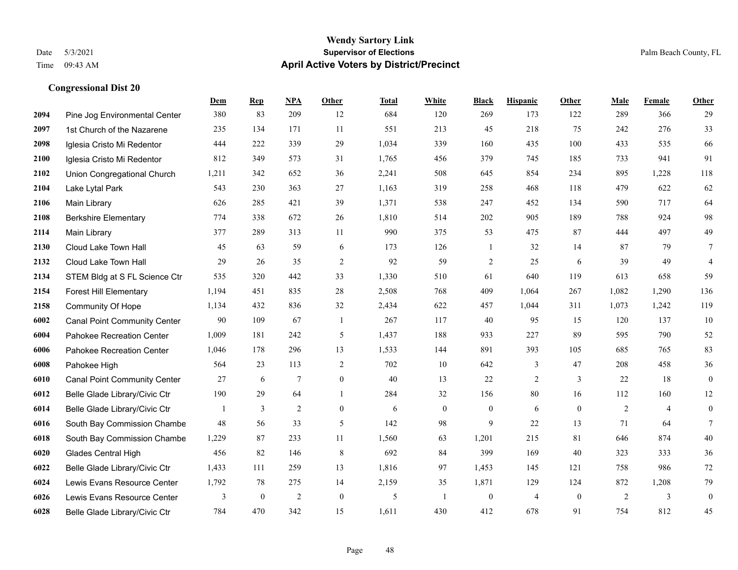|      |                                     | Dem   | <b>Rep</b>       | NPA             | <b>Other</b>     | <b>Total</b> | <b>White</b>   | <b>Black</b>     | <b>Hispanic</b> | <b>Other</b>   | <b>Male</b> | Female         | <b>Other</b>     |
|------|-------------------------------------|-------|------------------|-----------------|------------------|--------------|----------------|------------------|-----------------|----------------|-------------|----------------|------------------|
| 2094 | Pine Jog Environmental Center       | 380   | 83               | 209             | 12               | 684          | 120            | 269              | 173             | 122            | 289         | 366            | 29               |
| 2097 | 1st Church of the Nazarene          | 235   | 134              | 171             | 11               | 551          | 213            | 45               | 218             | 75             | 242         | 276            | 33               |
| 2098 | Iglesia Cristo Mi Redentor          | 444   | 222              | 339             | 29               | 1,034        | 339            | 160              | 435             | 100            | 433         | 535            | 66               |
| 2100 | Iglesia Cristo Mi Redentor          | 812   | 349              | 573             | 31               | 1,765        | 456            | 379              | 745             | 185            | 733         | 941            | 91               |
| 2102 | Union Congregational Church         | 1,211 | 342              | 652             | 36               | 2,241        | 508            | 645              | 854             | 234            | 895         | 1,228          | 118              |
| 2104 | Lake Lytal Park                     | 543   | 230              | 363             | 27               | 1,163        | 319            | 258              | 468             | 118            | 479         | 622            | 62               |
| 2106 | Main Library                        | 626   | 285              | 421             | 39               | 1,371        | 538            | 247              | 452             | 134            | 590         | 717            | 64               |
| 2108 | <b>Berkshire Elementary</b>         | 774   | 338              | 672             | 26               | 1,810        | 514            | 202              | 905             | 189            | 788         | 924            | 98               |
| 2114 | Main Library                        | 377   | 289              | 313             | 11               | 990          | 375            | 53               | 475             | 87             | 444         | 497            | 49               |
| 2130 | Cloud Lake Town Hall                | 45    | 63               | 59              | 6                | 173          | 126            | 1                | 32              | 14             | 87          | 79             | 7                |
| 2132 | Cloud Lake Town Hall                | 29    | 26               | 35              | 2                | 92           | 59             | $\overline{2}$   | 25              | 6              | 39          | 49             | $\overline{4}$   |
| 2134 | STEM Bldg at S FL Science Ctr       | 535   | 320              | 442             | 33               | 1,330        | 510            | 61               | 640             | 119            | 613         | 658            | 59               |
| 2154 | <b>Forest Hill Elementary</b>       | 1,194 | 451              | 835             | 28               | 2,508        | 768            | 409              | 1,064           | 267            | 1,082       | 1,290          | 136              |
| 2158 | Community Of Hope                   | 1,134 | 432              | 836             | 32               | 2,434        | 622            | 457              | 1,044           | 311            | 1,073       | 1,242          | 119              |
| 6002 | <b>Canal Point Community Center</b> | 90    | 109              | 67              | -1               | 267          | 117            | 40               | 95              | 15             | 120         | 137            | 10               |
| 6004 | Pahokee Recreation Center           | 1,009 | 181              | 242             | 5                | 1,437        | 188            | 933              | 227             | 89             | 595         | 790            | 52               |
| 6006 | Pahokee Recreation Center           | 1,046 | 178              | 296             | 13               | 1,533        | 144            | 891              | 393             | 105            | 685         | 765            | 83               |
| 6008 | Pahokee High                        | 564   | 23               | 113             | 2                | 702          | 10             | 642              | 3               | 47             | 208         | 458            | $36\,$           |
| 6010 | <b>Canal Point Community Center</b> | 27    | 6                | $7\phantom{.0}$ | $\boldsymbol{0}$ | 40           | 13             | 22               | $\overline{2}$  | $\mathbf{3}$   | 22          | 18             | $\boldsymbol{0}$ |
| 6012 | Belle Glade Library/Civic Ctr       | 190   | 29               | 64              | $\overline{1}$   | 284          | 32             | 156              | 80              | 16             | 112         | 160            | 12               |
| 6014 | Belle Glade Library/Civic Ctr       | 1     | 3                | 2               | $\Omega$         | 6            | $\overline{0}$ | $\mathbf{0}$     | 6               | $\theta$       | 2           | $\overline{4}$ | $\mathbf{0}$     |
| 6016 | South Bay Commission Chambe         | 48    | 56               | 33              | 5                | 142          | 98             | 9                | 22              | 13             | 71          | 64             | $7\phantom{.0}$  |
| 6018 | South Bay Commission Chambe         | 1,229 | 87               | 233             | 11               | 1,560        | 63             | 1,201            | 215             | 81             | 646         | 874            | 40               |
| 6020 | <b>Glades Central High</b>          | 456   | 82               | 146             | 8                | 692          | 84             | 399              | 169             | 40             | 323         | 333            | 36               |
| 6022 | Belle Glade Library/Civic Ctr       | 1,433 | 111              | 259             | 13               | 1,816        | 97             | 1,453            | 145             | 121            | 758         | 986            | 72               |
| 6024 | Lewis Evans Resource Center         | 1,792 | 78               | 275             | 14               | 2,159        | 35             | 1,871            | 129             | 124            | 872         | 1,208          | 79               |
| 6026 | Lewis Evans Resource Center         | 3     | $\boldsymbol{0}$ | $\overline{2}$  | $\mathbf{0}$     | 5            | $\mathbf{1}$   | $\boldsymbol{0}$ | $\overline{4}$  | $\overline{0}$ | 2           | 3              | $\boldsymbol{0}$ |
| 6028 | Belle Glade Library/Civic Ctr       | 784   | 470              | 342             | 15               | 1,611        | 430            | 412              | 678             | 91             | 754         | 812            | 45               |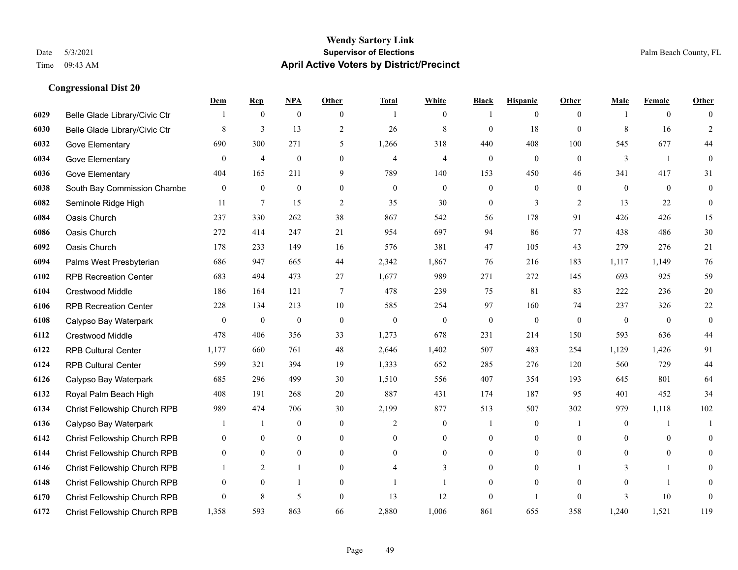|      |                                     | Dem              | <b>Rep</b>       | NPA              | <b>Other</b>     | <b>Total</b>   | <b>White</b>     | <b>Black</b>     | <b>Hispanic</b>  | <b>Other</b>   | <b>Male</b>      | <b>Female</b>  | <b>Other</b>     |
|------|-------------------------------------|------------------|------------------|------------------|------------------|----------------|------------------|------------------|------------------|----------------|------------------|----------------|------------------|
| 6029 | Belle Glade Library/Civic Ctr       |                  | $\boldsymbol{0}$ | $\boldsymbol{0}$ | $\overline{0}$   |                | $\boldsymbol{0}$ |                  | $\mathbf{0}$     | $\overline{0}$ |                  | $\overline{0}$ | $\Omega$         |
| 6030 | Belle Glade Library/Civic Ctr       | 8                | $\overline{3}$   | 13               | 2                | 26             | $\,$ 8 $\,$      | $\mathbf{0}$     | 18               | $\mathbf{0}$   | 8                | 16             | $\overline{2}$   |
| 6032 | Gove Elementary                     | 690              | 300              | 271              | 5                | 1,266          | 318              | 440              | 408              | 100            | 545              | 677            | 44               |
| 6034 | Gove Elementary                     | $\boldsymbol{0}$ | $\overline{4}$   | $\boldsymbol{0}$ | $\boldsymbol{0}$ | $\overline{4}$ | $\overline{4}$   | $\boldsymbol{0}$ | $\boldsymbol{0}$ | $\mathbf{0}$   | 3                | -1             | $\boldsymbol{0}$ |
| 6036 | Gove Elementary                     | 404              | 165              | 211              | 9                | 789            | 140              | 153              | 450              | 46             | 341              | 417            | 31               |
| 6038 | South Bay Commission Chambe         | $\boldsymbol{0}$ | $\boldsymbol{0}$ | $\boldsymbol{0}$ | $\overline{0}$   | $\mathbf{0}$   | $\overline{0}$   | $\boldsymbol{0}$ | $\boldsymbol{0}$ | $\theta$       | $\mathbf{0}$     | $\mathbf{0}$   | $\boldsymbol{0}$ |
| 6082 | Seminole Ridge High                 | 11               | $\tau$           | 15               | 2                | 35             | 30               | $\boldsymbol{0}$ | 3                | 2              | 13               | 22             | $\mathbf{0}$     |
| 6084 | Oasis Church                        | 237              | 330              | 262              | 38               | 867            | 542              | 56               | 178              | 91             | 426              | 426            | 15               |
| 6086 | Oasis Church                        | 272              | 414              | 247              | 21               | 954            | 697              | 94               | 86               | 77             | 438              | 486            | $30\,$           |
| 6092 | Oasis Church                        | 178              | 233              | 149              | 16               | 576            | 381              | 47               | 105              | 43             | 279              | 276            | 21               |
| 6094 | Palms West Presbyterian             | 686              | 947              | 665              | 44               | 2,342          | 1,867            | 76               | 216              | 183            | 1,117            | 1.149          | 76               |
| 6102 | <b>RPB Recreation Center</b>        | 683              | 494              | 473              | 27               | 1,677          | 989              | 271              | 272              | 145            | 693              | 925            | 59               |
| 6104 | Crestwood Middle                    | 186              | 164              | 121              | $\tau$           | 478            | 239              | 75               | 81               | 83             | 222              | 236            | $20\,$           |
| 6106 | <b>RPB Recreation Center</b>        | 228              | 134              | 213              | 10               | 585            | 254              | 97               | 160              | 74             | 237              | 326            | $22\,$           |
| 6108 | Calypso Bay Waterpark               | $\boldsymbol{0}$ | $\mathbf{0}$     | $\overline{0}$   | $\theta$         | $\mathbf{0}$   | $\mathbf{0}$     | $\mathbf{0}$     | $\mathbf{0}$     | $\theta$       | $\theta$         | $\theta$       | $\mathbf{0}$     |
| 6112 | Crestwood Middle                    | 478              | 406              | 356              | 33               | 1,273          | 678              | 231              | 214              | 150            | 593              | 636            | 44               |
| 6122 | <b>RPB Cultural Center</b>          | 1,177            | 660              | 761              | 48               | 2,646          | 1,402            | 507              | 483              | 254            | 1,129            | 1,426          | 91               |
| 6124 | <b>RPB Cultural Center</b>          | 599              | 321              | 394              | 19               | 1,333          | 652              | 285              | 276              | 120            | 560              | 729            | $44\,$           |
| 6126 | Calypso Bay Waterpark               | 685              | 296              | 499              | 30               | 1,510          | 556              | 407              | 354              | 193            | 645              | 801            | 64               |
| 6132 | Royal Palm Beach High               | 408              | 191              | 268              | 20               | 887            | 431              | 174              | 187              | 95             | 401              | 452            | 34               |
| 6134 | Christ Fellowship Church RPB        | 989              | 474              | 706              | 30               | 2,199          | 877              | 513              | 507              | 302            | 979              | 1,118          | 102              |
| 6136 | Calypso Bay Waterpark               |                  | -1               | $\boldsymbol{0}$ | $\overline{0}$   | $\overline{c}$ | $\mathbf{0}$     | 1                | $\boldsymbol{0}$ | -1             | $\boldsymbol{0}$ | -1             | -1               |
| 6142 | Christ Fellowship Church RPB        | $\overline{0}$   | $\mathbf{0}$     | $\overline{0}$   | $\overline{0}$   | $\theta$       | $\boldsymbol{0}$ | $\boldsymbol{0}$ | $\mathbf{0}$     | $\theta$       | $\theta$         | $\mathbf{0}$   | $\mathbf{0}$     |
| 6144 | <b>Christ Fellowship Church RPB</b> | $\overline{0}$   | $\theta$         | $\theta$         | $\Omega$         | $\theta$       | $\Omega$         | $\mathbf{0}$     | $\mathbf{0}$     | $\theta$       | $\theta$         | $\theta$       | $\theta$         |
| 6146 | Christ Fellowship Church RPB        |                  | 2                | 1                | $\overline{0}$   |                | 3                | $\boldsymbol{0}$ | $\boldsymbol{0}$ |                | 3                | 1              | $\overline{0}$   |
| 6148 | Christ Fellowship Church RPB        | $\mathbf{0}$     | $\mathbf{0}$     | 1                | $\overline{0}$   |                |                  | $\mathbf{0}$     | $\mathbf{0}$     | $\theta$       | $\theta$         |                | $\overline{0}$   |
| 6170 | Christ Fellowship Church RPB        | $\overline{0}$   | 8                | 5                | $\theta$         | 13             | 12               | $\mathbf{0}$     | $\mathbf{1}$     | $\theta$       | 3                | 10             | $\mathbf{0}$     |
| 6172 | <b>Christ Fellowship Church RPB</b> | 1,358            | 593              | 863              | 66               | 2,880          | 1,006            | 861              | 655              | 358            | 1,240            | 1,521          | 119              |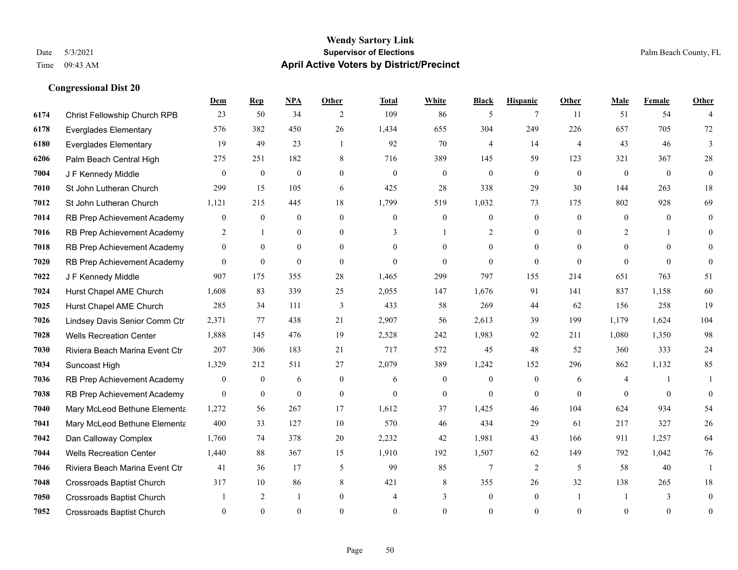|      |                                  | Dem              | <b>Rep</b>       | NPA            | <b>Other</b>   | Total          | <b>White</b>     | <b>Black</b>     | <b>Hispanic</b> | <b>Other</b>   | <b>Male</b> | Female       | <b>Other</b>     |
|------|----------------------------------|------------------|------------------|----------------|----------------|----------------|------------------|------------------|-----------------|----------------|-------------|--------------|------------------|
| 6174 | Christ Fellowship Church RPB     | 23               | 50               | 34             | 2              | 109            | 86               | 5                | $7\phantom{.0}$ | 11             | 51          | 54           | $\overline{4}$   |
| 6178 | <b>Everglades Elementary</b>     | 576              | 382              | 450            | 26             | 1,434          | 655              | 304              | 249             | 226            | 657         | 705          | 72               |
| 6180 | <b>Everglades Elementary</b>     | 19               | 49               | 23             | $\overline{1}$ | 92             | 70               | 4                | 14              | $\overline{4}$ | 43          | 46           | 3                |
| 6206 | Palm Beach Central High          | 275              | 251              | 182            | 8              | 716            | 389              | 145              | 59              | 123            | 321         | 367          | $28\,$           |
| 7004 | J F Kennedy Middle               | $\theta$         | $\overline{0}$   | $\mathbf{0}$   | $\Omega$       | $\theta$       | $\overline{0}$   | $\theta$         | $\theta$        | $\Omega$       | $\theta$    | $\Omega$     | $\mathbf{0}$     |
| 7010 | St John Lutheran Church          | 299              | 15               | 105            | 6              | 425            | 28               | 338              | 29              | 30             | 144         | 263          | 18               |
| 7012 | St John Lutheran Church          | 1,121            | 215              | 445            | 18             | 1,799          | 519              | 1,032            | 73              | 175            | 802         | 928          | 69               |
| 7014 | RB Prep Achievement Academy      | $\overline{0}$   | $\theta$         | $\theta$       | $\Omega$       | $\Omega$       | $\overline{0}$   | $\theta$         | $\theta$        | $\theta$       | $\Omega$    | $\theta$     | $\theta$         |
| 7016 | RB Prep Achievement Academy      | $\overline{c}$   | 1                | $\mathbf{0}$   | $\overline{0}$ | 3              |                  | 2                | $\mathbf{0}$    | $\theta$       | 2           |              | $\overline{0}$   |
| 7018 | RB Prep Achievement Academy      | $\overline{0}$   | $\overline{0}$   | $\overline{0}$ | $\theta$       | $\Omega$       | $\theta$         | $\Omega$         | $\mathbf{0}$    | $\Omega$       | $\theta$    | $\theta$     | $\theta$         |
| 7020 | RB Prep Achievement Academy      | $\Omega$         | $\theta$         | $\theta$       | $\Omega$       | $\Omega$       | $\Omega$         | $\theta$         | $\theta$        | $\Omega$       | $\Omega$    | $\Omega$     | $\theta$         |
| 7022 | J F Kennedy Middle               | 907              | 175              | 355            | 28             | 1,465          | 299              | 797              | 155             | 214            | 651         | 763          | 51               |
| 7024 | Hurst Chapel AME Church          | 1,608            | 83               | 339            | 25             | 2,055          | 147              | 1,676            | 91              | 141            | 837         | 1,158        | 60               |
| 7025 | Hurst Chapel AME Church          | 285              | 34               | 111            | 3              | 433            | 58               | 269              | 44              | 62             | 156         | 258          | 19               |
| 7026 | Lindsey Davis Senior Comm Ctr    | 2,371            | 77               | 438            | 21             | 2,907          | 56               | 2,613            | 39              | 199            | 1,179       | 1,624        | 104              |
| 7028 | <b>Wells Recreation Center</b>   | 1,888            | 145              | 476            | 19             | 2,528          | 242              | 1,983            | 92              | 211            | 1,080       | 1,350        | 98               |
| 7030 | Riviera Beach Marina Event Ctr   | 207              | 306              | 183            | 21             | 717            | 572              | 45               | 48              | 52             | 360         | 333          | 24               |
| 7034 | Suncoast High                    | 1,329            | 212              | 511            | 27             | 2,079          | 389              | 1,242            | 152             | 296            | 862         | 1,132        | 85               |
| 7036 | RB Prep Achievement Academy      | $\boldsymbol{0}$ | $\boldsymbol{0}$ | 6              | $\overline{0}$ | 6              | $\boldsymbol{0}$ | $\mathbf{0}$     | $\mathbf{0}$    | 6              | 4           |              |                  |
| 7038 | RB Prep Achievement Academy      | $\overline{0}$   | $\boldsymbol{0}$ | $\mathbf{0}$   | $\mathbf{0}$   | $\mathbf{0}$   | $\boldsymbol{0}$ | $\mathbf{0}$     | $\mathbf{0}$    | $\theta$       | $\theta$    | $\mathbf{0}$ | $\boldsymbol{0}$ |
| 7040 | Mary McLeod Bethune Elementa     | 1,272            | 56               | 267            | 17             | 1,612          | 37               | 1,425            | 46              | 104            | 624         | 934          | 54               |
| 7041 | Mary McLeod Bethune Elementa     | 400              | 33               | 127            | 10             | 570            | 46               | 434              | 29              | 61             | 217         | 327          | $26\,$           |
| 7042 | Dan Calloway Complex             | 1,760            | 74               | 378            | 20             | 2,232          | 42               | 1,981            | 43              | 166            | 911         | 1,257        | 64               |
| 7044 | <b>Wells Recreation Center</b>   | 1,440            | 88               | 367            | 15             | 1,910          | 192              | 1,507            | 62              | 149            | 792         | 1,042        | 76               |
| 7046 | Riviera Beach Marina Event Ctr   | 41               | 36               | 17             | 5              | 99             | 85               | $\overline{7}$   | 2               | 5              | 58          | 40           | $\mathbf{1}$     |
| 7048 | <b>Crossroads Baptist Church</b> | 317              | 10               | 86             | 8              | 421            | 8                | 355              | 26              | 32             | 138         | 265          | 18               |
| 7050 | <b>Crossroads Baptist Church</b> |                  | 2                | -1             | $\overline{0}$ | $\overline{4}$ | 3                | $\boldsymbol{0}$ | $\mathbf{0}$    |                |             | 3            | $\mathbf{0}$     |
| 7052 | <b>Crossroads Baptist Church</b> | $\Omega$         | $\Omega$         | $\theta$       | $\Omega$       | $\Omega$       | $\theta$         | $\theta$         | $\Omega$        | $\Omega$       | $\Omega$    | $\theta$     | $\mathbf{0}$     |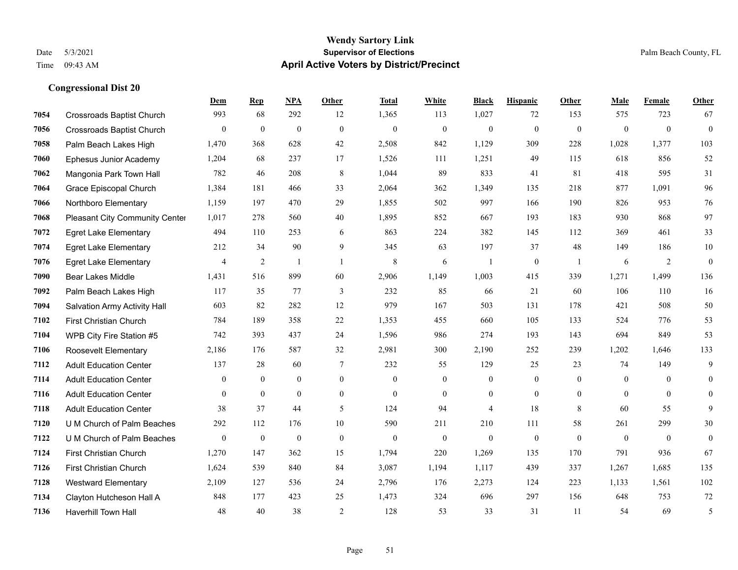#### **Wendy Sartory Link** Date 5/3/2021 **Supervisor of Elections** Palm Beach County, FL Time 09:43 AM **April Active Voters by District/Precinct**

# **Dem Rep NPA Other Total White Black Hispanic Other Male Female Other** Crossroads Baptist Church 993 68 292 12 1,365 113 1,027 72 153 575 723 67 Crossroads Baptist Church 0 0 0 0 0 0 0 0 0 0 0 0 Palm Beach Lakes High 1,470 368 628 42 2,508 842 1,129 309 228 1,028 1,377 103 Ephesus Junior Academy 1,204 68 237 17 1,526 111 1,251 49 115 618 856 52 Mangonia Park Town Hall 782 46 208 8 1,044 89 833 41 81 418 595 31 Grace Episcopal Church 1,384 181 466 33 2,064 362 1,349 135 218 877 1,091 96 Northboro Elementary 1,159 197 470 29 1,855 502 997 166 190 826 953 76 Pleasant City Community Center 1,017 278 560 40 1,895 852 667 193 183 930 868 97 Egret Lake Elementary 494 110 253 6 863 224 382 145 112 369 461 33 Egret Lake Elementary 212 34 90 9 345 63 197 37 48 149 186 10 Egret Lake Elementary **4** 4 2 1 1 8 6 1 0 1 6 2 0 Bear Lakes Middle 1,431 516 899 60 2,906 1,149 1,003 415 339 1,271 1,499 136 Palm Beach Lakes High 117 35 77 3 232 85 66 21 60 106 110 16 Salvation Army Activity Hall 603 82 282 12 979 167 503 131 178 421 508 50 First Christian Church 784 189 358 22 1,353 455 660 105 133 524 776 53 WPB City Fire Station #5 742 393 437 24 1,596 986 274 193 143 694 849 53 Roosevelt Elementary 2,186 176 587 32 2,981 300 2,190 252 239 1,202 1,646 133 Adult Education Center 137 28 60 7 232 55 129 25 23 74 149 9 Adult Education Center 0 0 0 0 0 0 0 0 0 0 0 0 Adult Education Center 0 0 0 0 0 0 0 0 0 0 0 0 Adult Education Center 38 37 44 5 124 94 4 18 8 60 55 9 U M Church of Palm Beaches 292 112 176 10 590 211 210 111 58 261 299 30 U M Church of Palm Beaches 0 0 0 0 0 0 0 0 0 0 0 0 First Christian Church 1,270 147 362 15 1,794 220 1,269 135 170 791 936 67 First Christian Church 1,624 539 840 84 3,087 1,194 1,117 439 337 1,267 1,685 135 Westward Elementary 2,109 127 536 24 2,796 176 2,273 124 223 1,133 1,561 102 Clayton Hutcheson Hall A 848 177 423 25 1,473 324 696 297 156 648 753 72 Haverhill Town Hall 48 40 38 2 128 53 33 31 11 54 69 5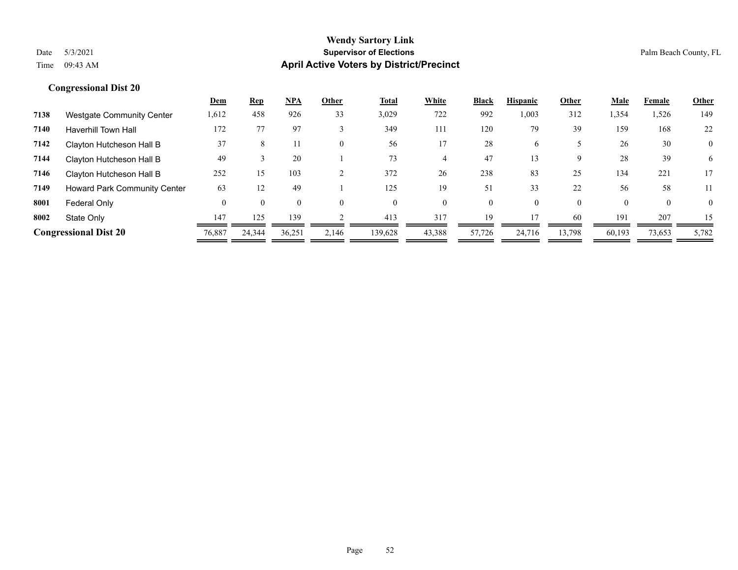# Date 5/3/2021 **Supervisor of Elections** Palm Beach County, FL

# **Wendy Sartory Link** Time 09:43 AM **April Active Voters by District/Precinct**

|      |                                     | <b>Dem</b> | <u>Rep</u> | NPA    | Other | Total    | White  | <b>Black</b> | <b>Hispanic</b> | Other    | <u>Male</u> | Female   | Other          |
|------|-------------------------------------|------------|------------|--------|-------|----------|--------|--------------|-----------------|----------|-------------|----------|----------------|
| 7138 | <b>Westgate Community Center</b>    | 1,612      | 458        | 926    | 33    | 3,029    | 722    | 992          | 0.003           | 312      | 1,354       | 1,526    | 149            |
| 7140 | <b>Haverhill Town Hall</b>          | 172        |            | 97     |       | 349      | 111    | 120          | 79              | 39       | 159         | 168      | 22             |
| 7142 | Clayton Hutcheson Hall B            | 37         | 8          |        |       | 56       |        | 28           | <sub>(</sub>    |          | 26          | 30       | $\overline{0}$ |
| 7144 | Clayton Hutcheson Hall B            | 49         |            | 20     |       | 73       | 4      | 47           | 13              | 9        | 28          | 39       | 6              |
| 7146 | Clayton Hutcheson Hall B            | 252        | 15         | 103    |       | 372      | 26     | 238          | 83              | 25       | 134         | 221      | 17             |
| 7149 | <b>Howard Park Community Center</b> | 63         | 12         | 49     |       | 125      | 19     | 51           | 33              | 22       | 56          | 58       | 11             |
| 8001 | Federal Only                        | $\Omega$   | $\Omega$   |        |       | $\Omega$ | 0      | 0            |                 | $\theta$ | $\Omega$    | $\Omega$ | $\overline{0}$ |
| 8002 | State Only                          | 147        | 125        | 139    |       | 413      | 317    | 19           | 17              | 60       | 191         | 207      | 15             |
|      | <b>Congressional Dist 20</b>        | 76,887     | 24,344     | 36,251 | 2.146 | 139,628  | 43,388 | 57,726       | 24,716          | 13,798   | 60,193      | 73,653   | 5,782          |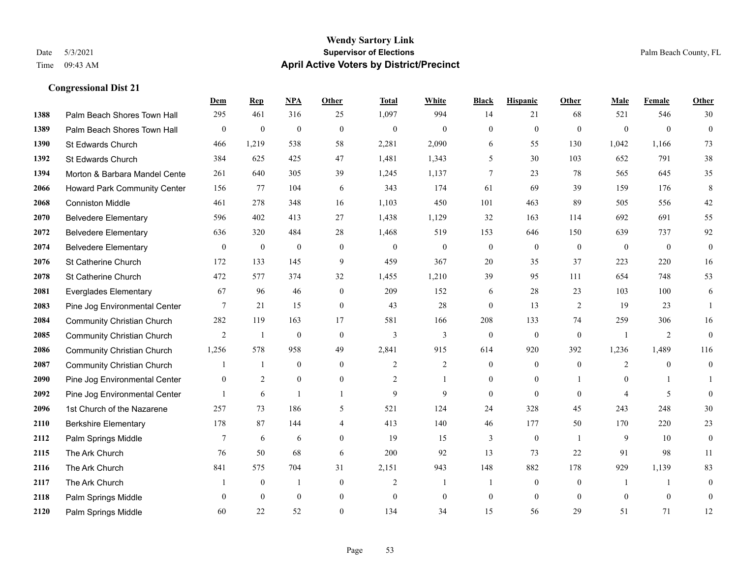|      |                                   | Dem              | <b>Rep</b>       | NPA              | <b>Other</b>     | <b>Total</b>     | <b>White</b>     | <b>Black</b>     | <b>Hispanic</b>  | <b>Other</b>   | <b>Male</b>      | Female         | Other            |
|------|-----------------------------------|------------------|------------------|------------------|------------------|------------------|------------------|------------------|------------------|----------------|------------------|----------------|------------------|
| 1388 | Palm Beach Shores Town Hall       | 295              | 461              | 316              | 25               | 1,097            | 994              | 14               | 21               | 68             | 521              | 546            | 30               |
| 1389 | Palm Beach Shores Town Hall       | $\boldsymbol{0}$ | $\boldsymbol{0}$ | $\boldsymbol{0}$ | $\mathbf{0}$     | $\boldsymbol{0}$ | $\mathbf{0}$     | $\mathbf{0}$     | $\boldsymbol{0}$ | $\mathbf{0}$   | $\mathbf{0}$     | $\overline{0}$ | $\boldsymbol{0}$ |
| 1390 | St Edwards Church                 | 466              | 1,219            | 538              | 58               | 2,281            | 2,090            | 6                | 55               | 130            | 1,042            | 1,166          | 73               |
| 1392 | St Edwards Church                 | 384              | 625              | 425              | 47               | 1,481            | 1,343            | 5                | 30               | 103            | 652              | 791            | 38               |
| 1394 | Morton & Barbara Mandel Cente     | 261              | 640              | 305              | 39               | 1,245            | 1,137            | 7                | 23               | 78             | 565              | 645            | 35               |
| 2066 | Howard Park Community Center      | 156              | 77               | 104              | 6                | 343              | 174              | 61               | 69               | 39             | 159              | 176            | $\,8\,$          |
| 2068 | <b>Conniston Middle</b>           | 461              | 278              | 348              | 16               | 1,103            | 450              | 101              | 463              | 89             | 505              | 556            | $42\,$           |
| 2070 | <b>Belvedere Elementary</b>       | 596              | 402              | 413              | 27               | 1,438            | 1,129            | 32               | 163              | 114            | 692              | 691            | 55               |
| 2072 | <b>Belvedere Elementary</b>       | 636              | 320              | 484              | 28               | 1,468            | 519              | 153              | 646              | 150            | 639              | 737            | 92               |
| 2074 | <b>Belvedere Elementary</b>       | $\overline{0}$   | $\boldsymbol{0}$ | $\boldsymbol{0}$ | $\mathbf{0}$     | $\mathbf{0}$     | $\boldsymbol{0}$ | $\boldsymbol{0}$ | $\boldsymbol{0}$ | $\mathbf{0}$   | $\overline{0}$   | $\overline{0}$ | $\overline{0}$   |
| 2076 | St Catherine Church               | 172              | 133              | 145              | 9                | 459              | 367              | 20               | 35               | 37             | 223              | 220            | 16               |
| 2078 | St Catherine Church               | 472              | 577              | 374              | 32               | 1,455            | 1,210            | 39               | 95               | 111            | 654              | 748            | 53               |
| 2081 | <b>Everglades Elementary</b>      | 67               | 96               | 46               | $\mathbf{0}$     | 209              | 152              | 6                | 28               | 23             | 103              | 100            | 6                |
| 2083 | Pine Jog Environmental Center     | 7                | 21               | 15               | $\boldsymbol{0}$ | 43               | $28\,$           | $\boldsymbol{0}$ | 13               | $\overline{2}$ | 19               | 23             | -1               |
| 2084 | <b>Community Christian Church</b> | 282              | 119              | 163              | 17               | 581              | 166              | 208              | 133              | 74             | 259              | 306            | 16               |
| 2085 | <b>Community Christian Church</b> | 2                | -1               | $\mathbf{0}$     | $\mathbf{0}$     | 3                | 3                | $\overline{0}$   | $\overline{0}$   | $\mathbf{0}$   | $\overline{1}$   | 2              | $\overline{0}$   |
| 2086 | <b>Community Christian Church</b> | 1,256            | 578              | 958              | 49               | 2,841            | 915              | 614              | 920              | 392            | 1,236            | 1,489          | 116              |
| 2087 | <b>Community Christian Church</b> |                  | $\mathbf{1}$     | $\theta$         | $\theta$         | 2                | $\overline{2}$   | $\overline{0}$   | $\overline{0}$   | $\theta$       | 2                | $\theta$       | $\overline{0}$   |
| 2090 | Pine Jog Environmental Center     | $\boldsymbol{0}$ | $\overline{2}$   | $\boldsymbol{0}$ | $\boldsymbol{0}$ | $\overline{c}$   | 1                | $\boldsymbol{0}$ | $\boldsymbol{0}$ |                | $\boldsymbol{0}$ | $\mathbf{1}$   |                  |
| 2092 | Pine Jog Environmental Center     |                  | 6                | -1               | 1                | 9                | 9                | $\overline{0}$   | $\overline{0}$   | $\theta$       | $\overline{4}$   | 5              | $\overline{0}$   |
| 2096 | 1st Church of the Nazarene        | 257              | 73               | 186              | 5                | 521              | 124              | 24               | 328              | 45             | 243              | 248            | 30               |
| 2110 | <b>Berkshire Elementary</b>       | 178              | 87               | 144              | 4                | 413              | 140              | 46               | 177              | 50             | 170              | 220            | 23               |
| 2112 | Palm Springs Middle               | $7\phantom{.0}$  | 6                | 6                | $\theta$         | 19               | 15               | 3                | $\mathbf{0}$     | $\overline{1}$ | 9                | 10             | $\boldsymbol{0}$ |
| 2115 | The Ark Church                    | 76               | 50               | 68               | 6                | 200              | 92               | 13               | 73               | 22             | 91               | 98             | 11               |
| 2116 | The Ark Church                    | 841              | 575              | 704              | 31               | 2,151            | 943              | 148              | 882              | 178            | 929              | 1,139          | 83               |
| 2117 | The Ark Church                    |                  | $\boldsymbol{0}$ | $\overline{1}$   | $\mathbf{0}$     | $\overline{2}$   | $\mathbf{1}$     | $\mathbf{1}$     | $\boldsymbol{0}$ | $\mathbf{0}$   | 1                | $\mathbf{1}$   | $\boldsymbol{0}$ |
| 2118 | Palm Springs Middle               | $\theta$         | $\theta$         | $\mathbf{0}$     | $\mathbf{0}$     | $\theta$         | $\mathbf{0}$     | $\boldsymbol{0}$ | $\overline{0}$   | $\mathbf{0}$   | $\theta$         | $\theta$       | $\boldsymbol{0}$ |
| 2120 | Palm Springs Middle               | 60               | 22               | 52               | $\theta$         | 134              | 34               | 15               | 56               | 29             | 51               | 71             | 12               |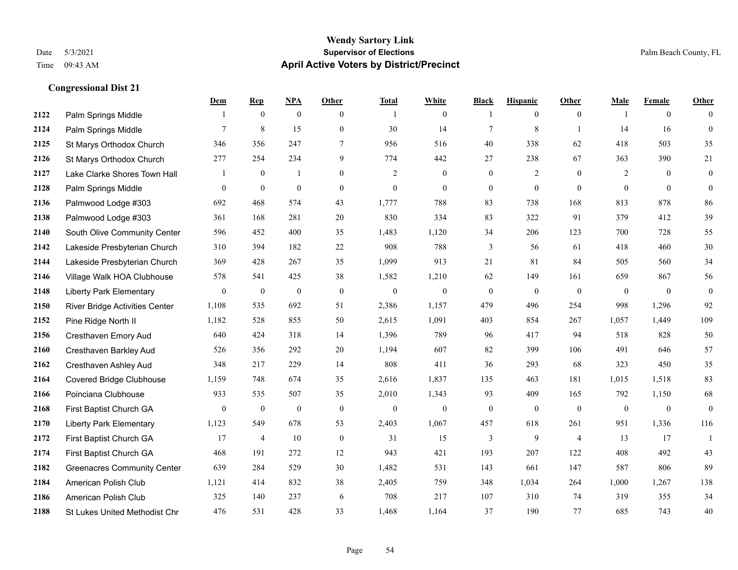#### **Wendy Sartory Link** Date 5/3/2021 **Supervisor of Elections** Palm Beach County, FL Time 09:43 AM **April Active Voters by District/Precinct**

# **Dem Rep NPA Other Total White Black Hispanic Other Male Female Other** Palm Springs Middle 1 0 0 0 1 0 1 0 0 1 0 0 **2124** Palm Springs Middle  $\begin{array}{cccccccc} 7 & 8 & 15 & 0 & 30 & 14 & 7 & 8 & 1 & 14 & 16 & 0 \end{array}$  St Marys Orthodox Church 346 356 247 7 956 516 40 338 62 418 503 35 St Marys Orthodox Church 277 254 234 9 774 442 27 238 67 363 390 21 Lake Clarke Shores Town Hall  $\begin{array}{ccccccccc} 1 & 0 & 1 & 0 & 2 & 0 & 0 & 2 & 0 & 2 & 0 & 0 \end{array}$  Palm Springs Middle 0 0 0 0 0 0 0 0 0 0 0 0 Palmwood Lodge #303 692 468 574 43 1,777 788 83 738 168 813 878 86 Palmwood Lodge #303 361 168 281 20 830 334 83 322 91 379 412 39 South Olive Community Center 596 452 400 35 1,483 1,120 34 206 123 700 728 55 Lakeside Presbyterian Church 310 394 182 22 908 788 3 56 61 418 460 30 Lakeside Presbyterian Church 369 428 267 35 1,099 913 21 81 84 505 560 34 Village Walk HOA Clubhouse 578 541 425 38 1,582 1,210 62 149 161 659 867 56 Liberty Park Elementary 0 0 0 0 0 0 0 0 0 0 0 0 River Bridge Activities Center 1,108 535 692 51 2,386 1,157 479 496 254 998 1,296 92 Pine Ridge North II 1,182 528 855 50 2,615 1,091 403 854 267 1,057 1,449 109 Cresthaven Emory Aud 640 424 318 14 1,396 789 96 417 94 518 828 50 Cresthaven Barkley Aud 526 356 292 20 1,194 607 82 399 106 491 646 57 Cresthaven Ashley Aud 348 217 229 14 808 411 36 293 68 323 450 35 Covered Bridge Clubhouse 1,159 748 674 35 2,616 1,837 135 463 181 1,015 1,518 83 Poinciana Clubhouse 933 535 507 35 2,010 1,343 93 409 165 792 1,150 68 First Baptist Church GA 0 0 0 0 0 0 0 0 0 0 0 0 Liberty Park Elementary 1,123 549 678 53 2,403 1,067 457 618 261 951 1,336 116 First Baptist Church GA 17 4 10 0 31 15 3 9 4 13 17 1 First Baptist Church GA 468 191 272 12 943 421 193 207 122 408 492 43 Greenacres Community Center 639 284 529 30 1,482 531 143 661 147 587 806 89 American Polish Club 1,121 414 832 38 2,405 759 348 1,034 264 1,000 1,267 138 American Polish Club 325 140 237 6 708 217 107 310 74 319 355 34 St Lukes United Methodist Chr 476 531 428 33 1,468 1,164 37 190 77 685 743 40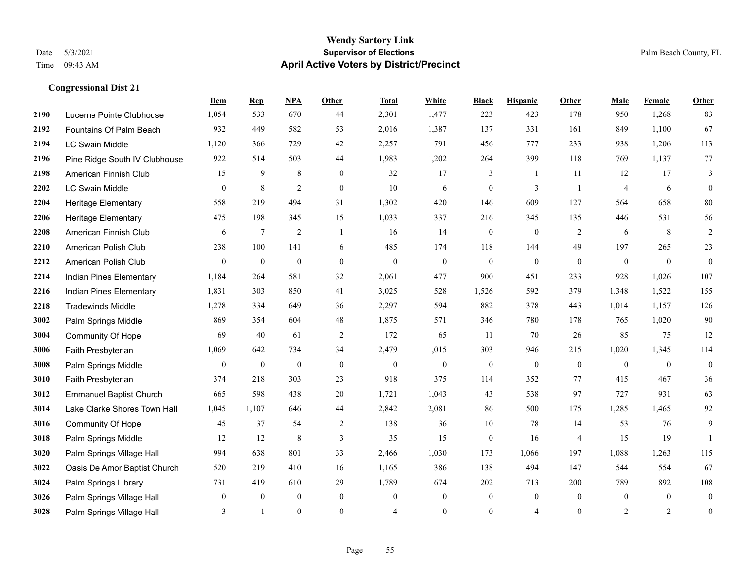#### **Wendy Sartory Link** Date 5/3/2021 **Supervisor of Elections** Palm Beach County, FL Time 09:43 AM **April Active Voters by District/Precinct**

**Dem Rep NPA Other Total White Black Hispanic Other Male Female Other**

# Lucerne Pointe Clubhouse 1,054 533 670 44 2,301 1,477 223 423 178 950 1,268 83 Fountains Of Palm Beach 932 449 582 53 2,016 1,387 137 331 161 849 1,100 67 LC Swain Middle 1,120 366 729 42 2,257 791 456 777 233 938 1,206 113 Pine Ridge South IV Clubhouse 922 514 503 44 1,983 1,202 264 399 118 769 1,137 77 American Finnish Club 15 9 8 0 32 17 3 1 11 12 17 3 LC Swain Middle 0 8 2 0 10 6 0 3 1 4 6 0 Heritage Elementary 558 219 494 31 1,302 420 146 609 127 564 658 80 Heritage Elementary 475 198 345 15 1,033 337 216 345 135 446 531 56 American Finnish Club 6 7 2 1 16 14 0 0 2 6 8 2 American Polish Club 238 100 141 6 485 174 118 144 49 197 265 23 American Polish Club 0 0 0 0 0 0 0 0 0 0 0 0 Indian Pines Elementary 1,184 264 581 32 2,061 477 900 451 233 928 1,026 107 Indian Pines Elementary 1,831 303 850 41 3,025 528 1,526 592 379 1,348 1,522 155 Tradewinds Middle 1,278 334 649 36 2,297 594 882 378 443 1,014 1,157 126 Palm Springs Middle 869 354 604 48 1,875 571 346 780 178 765 1,020 90 Community Of Hope 69 40 61 2 172 65 11 70 26 85 75 12 Faith Presbyterian 1,069 642 734 34 2,479 1,015 303 946 215 1,020 1,345 114 Palm Springs Middle  $\begin{pmatrix} 0 & 0 & 0 & 0 \\ 0 & 0 & 0 & 0 \\ 0 & 0 & 0 & 0 \end{pmatrix}$  Faith Presbyterian 374 218 303 23 918 375 114 352 77 415 467 36 Emmanuel Baptist Church 665 598 438 20 1,721 1,043 43 538 97 727 931 63 Lake Clarke Shores Town Hall 1,045 1,107 646 44 2,842 2,081 86 500 175 1,285 1,465 92 Community Of Hope 45 37 54 2 138 36 10 78 14 53 76 9 Palm Springs Middle 12 12 8 3 35 15 0 16 4 15 19 1 Palm Springs Village Hall 994 638 801 33 2,466 1,030 173 1,066 197 1,088 1,263 115 Oasis De Amor Baptist Church 520 219 410 16 1,165 386 138 494 147 544 554 67 Palm Springs Library 731 419 610 29 1,789 674 202 713 200 789 892 108

**3026** Palm Springs Village Hall  $\begin{pmatrix} 0 & 0 & 0 & 0 \\ 0 & 0 & 0 & 0 \\ 0 & 0 & 0 & 0 \end{pmatrix}$ **3028** Palm Springs Village Hall  $\begin{array}{cccccccc} 3 & 1 & 0 & 0 & 4 & 0 & 0 & 4 & 0 & 2 & 2 & 0 \end{array}$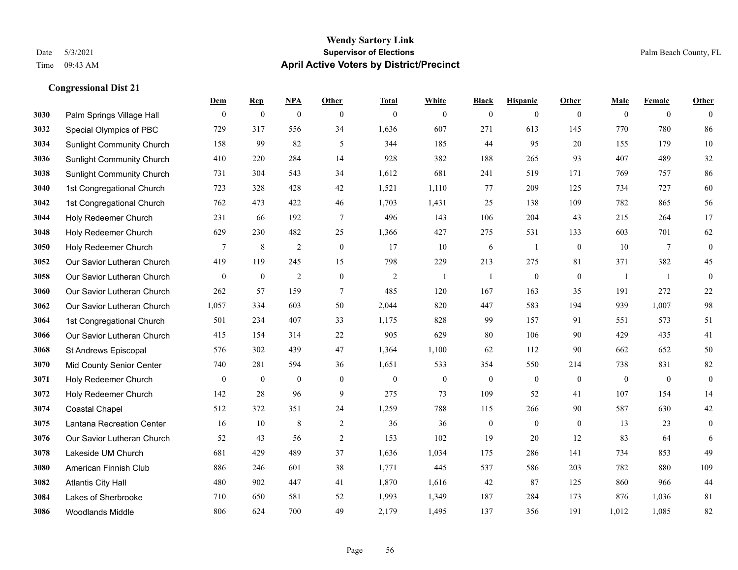#### **Wendy Sartory Link** Date 5/3/2021 **Supervisor of Elections** Palm Beach County, FL Time 09:43 AM **April Active Voters by District/Precinct**

# **Dem Rep NPA Other Total White Black Hispanic Other Male Female Other** Palm Springs Village Hall 0 0 0 0 0 0 0 0 0 0 0 0 Special Olympics of PBC 729 317 556 34 1,636 607 271 613 145 770 780 86 Sunlight Community Church 158 99 82 5 344 185 44 95 20 155 179 10 Sunlight Community Church 410 220 284 14 928 382 188 265 93 407 489 32 Sunlight Community Church 731 304 543 34 1,612 681 241 519 171 769 757 86 1st Congregational Church 723 328 428 42 1,521 1,110 77 209 125 734 727 60 1st Congregational Church 762 473 422 46 1,703 1,431 25 138 109 782 865 56 Holy Redeemer Church 231 66 192 7 496 143 106 204 43 215 264 17 Holy Redeemer Church 629 230 482 25 1,366 427 275 531 133 603 701 62 Holy Redeemer Church **7** 8 2 0 17 10 6 1 0 10 7 0 Our Savior Lutheran Church 419 119 245 15 798 229 213 275 81 371 382 45 Our Savior Lutheran Church 0 0 0 2 0 0 2 1 1 0 0 0 1 1 0 Our Savior Lutheran Church 262 57 159 7 485 120 167 163 35 191 272 22 Our Savior Lutheran Church 1,057 334 603 50 2,044 820 447 583 194 939 1,007 98 1st Congregational Church 501 234 407 33 1,175 828 99 157 91 551 573 51 Our Savior Lutheran Church 415 154 314 22 905 629 80 106 90 429 435 41 St Andrews Episcopal 576 302 439 47 1,364 1,100 62 112 90 662 652 50 Mid County Senior Center 740 281 594 36 1,651 533 354 550 214 738 831 82 Holy Redeemer Church 0 0 0 0 0 0 0 0 0 0 0 0 Holy Redeemer Church 142 28 96 9 275 73 109 52 41 107 154 14 Coastal Chapel 512 372 351 24 1,259 788 115 266 90 587 630 42 Lantana Recreation Center 16 10 8 2 36 36 0 0 0 13 23 0 Our Savior Lutheran Church 52 43 56 2 153 102 19 20 12 83 64 6 Lakeside UM Church 681 429 489 37 1,636 1,034 175 286 141 734 853 49 American Finnish Club 886 246 601 38 1,771 445 537 586 203 782 880 109 Atlantis City Hall 480 902 447 41 1,870 1,616 42 87 125 860 966 44 Lakes of Sherbrooke 710 650 581 52 1,993 1,349 187 284 173 876 1,036 81 Woodlands Middle 806 624 700 49 2,179 1,495 137 356 191 1,012 1,085 82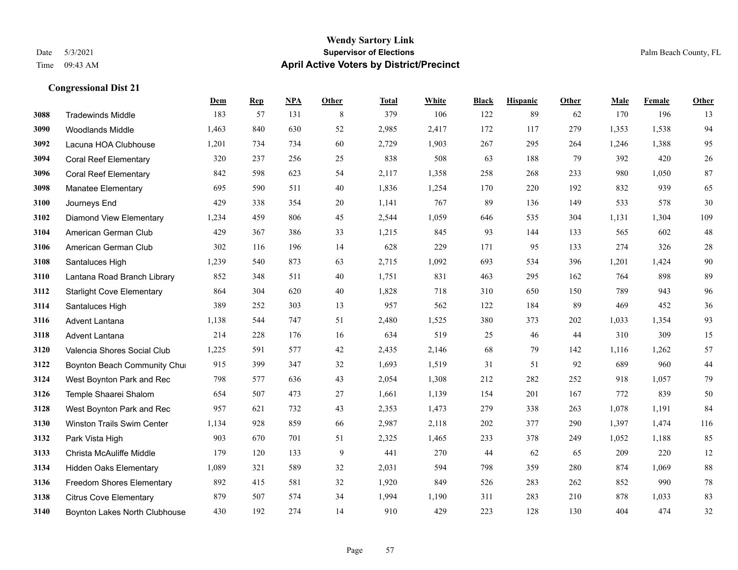#### **Wendy Sartory Link** Date 5/3/2021 **Supervisor of Elections** Palm Beach County, FL Time 09:43 AM **April Active Voters by District/Precinct**

# **Dem Rep NPA Other Total White Black Hispanic Other Male Female Other** Tradewinds Middle 183 57 131 8 379 106 122 89 62 170 196 13 Woodlands Middle 1,463 840 630 52 2,985 2,417 172 117 279 1,353 1,538 94 Lacuna HOA Clubhouse 1,201 734 734 60 2,729 1,903 267 295 264 1,246 1,388 95 Coral Reef Elementary 320 237 256 25 838 508 63 188 79 392 420 26 Coral Reef Elementary 842 598 623 54 2,117 1,358 258 268 233 980 1,050 87 Manatee Elementary 695 590 511 40 1,836 1,254 170 220 192 832 939 65 Journeys End 429 338 354 20 1,141 767 89 136 149 533 578 30 Diamond View Elementary 1,234 459 806 45 2,544 1,059 646 535 304 1,131 1,304 109 American German Club 429 367 386 33 1,215 845 93 144 133 565 602 48 American German Club 302 116 196 14 628 229 171 95 133 274 326 28 Santaluces High 1,239 540 873 63 2,715 1,092 693 534 396 1,201 1,424 90 Lantana Road Branch Library 852 348 511 40 1,751 831 463 295 162 764 898 89 Starlight Cove Elementary 864 304 620 40 1,828 718 310 650 150 789 943 96 Santaluces High 389 252 303 13 957 562 122 184 89 469 452 36 Advent Lantana 1,138 544 747 51 2,480 1,525 380 373 202 1,033 1,354 93 Advent Lantana 214 228 176 16 634 519 25 46 44 310 309 15 Valencia Shores Social Club 1,225 591 577 42 2,435 2,146 68 79 142 1,116 1,262 57 **3122 Boynton Beach Community Chu**rch 915 399 347 32 1,693 1,519 31 51 92 689 960 44 West Boynton Park and Rec 798 577 636 43 2,054 1,308 212 282 252 918 1,057 79 Temple Shaarei Shalom 654 507 473 27 1,661 1,139 154 201 167 772 839 50 West Boynton Park and Rec 957 621 732 43 2,353 1,473 279 338 263 1,078 1,191 84 Winston Trails Swim Center 1,134 928 859 66 2,987 2,118 202 377 290 1,397 1,474 116 Park Vista High 903 670 701 51 2,325 1,465 233 378 249 1,052 1,188 85 Christa McAuliffe Middle 179 120 133 9 441 270 44 62 65 209 220 12 Hidden Oaks Elementary 1,089 321 589 32 2,031 594 798 359 280 874 1,069 88 Freedom Shores Elementary 892 415 581 32 1,920 849 526 283 262 852 990 78 Citrus Cove Elementary 879 507 574 34 1,994 1,190 311 283 210 878 1,033 83 Boynton Lakes North Clubhouse 430 192 274 14 910 429 223 128 130 404 474 32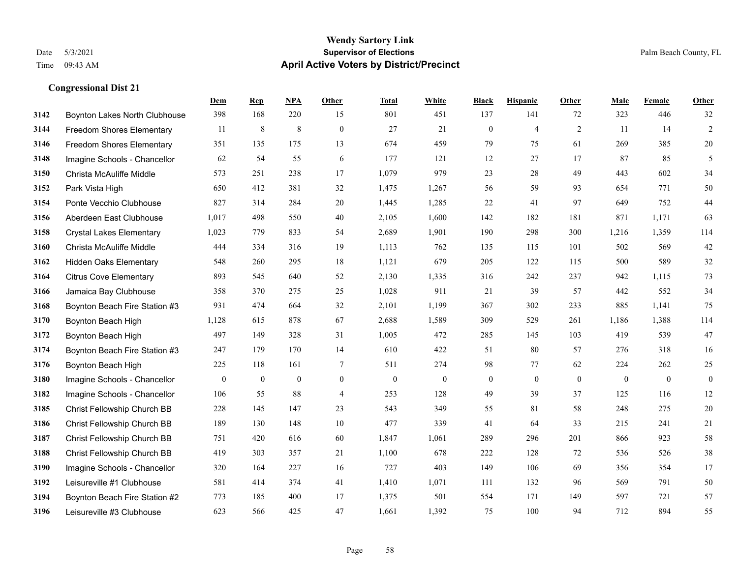|      |                                  | Dem            | <b>Rep</b>       | NPA              | <b>Other</b>   | <b>Total</b>     | <b>White</b>     | <b>Black</b>     | <b>Hispanic</b>  | <b>Other</b>     | <b>Male</b>  | Female       | <b>Other</b>     |
|------|----------------------------------|----------------|------------------|------------------|----------------|------------------|------------------|------------------|------------------|------------------|--------------|--------------|------------------|
| 3142 | Boynton Lakes North Clubhouse    | 398            | 168              | 220              | 15             | 801              | 451              | 137              | 141              | 72               | 323          | 446          | 32               |
| 3144 | <b>Freedom Shores Elementary</b> | 11             | $\,8\,$          | $\,8\,$          | $\overline{0}$ | 27               | 21               | $\mathbf{0}$     | $\overline{4}$   | 2                | 11           | 14           | $\overline{2}$   |
| 3146 | <b>Freedom Shores Elementary</b> | 351            | 135              | 175              | 13             | 674              | 459              | 79               | 75               | 61               | 269          | 385          | $20\,$           |
| 3148 | Imagine Schools - Chancellor     | 62             | 54               | 55               | 6              | 177              | 121              | 12               | 27               | 17               | 87           | 85           | 5                |
| 3150 | Christa McAuliffe Middle         | 573            | 251              | 238              | 17             | 1,079            | 979              | 23               | 28               | 49               | 443          | 602          | 34               |
| 3152 | Park Vista High                  | 650            | 412              | 381              | 32             | 1,475            | 1,267            | 56               | 59               | 93               | 654          | 771          | 50               |
| 3154 | Ponte Vecchio Clubhouse          | 827            | 314              | 284              | 20             | 1,445            | 1,285            | 22               | 41               | 97               | 649          | 752          | 44               |
| 3156 | Aberdeen East Clubhouse          | 1,017          | 498              | 550              | 40             | 2,105            | 1,600            | 142              | 182              | 181              | 871          | 1,171        | 63               |
| 3158 | <b>Crystal Lakes Elementary</b>  | 1,023          | 779              | 833              | 54             | 2,689            | 1,901            | 190              | 298              | 300              | 1,216        | 1,359        | 114              |
| 3160 | Christa McAuliffe Middle         | 444            | 334              | 316              | 19             | 1,113            | 762              | 135              | 115              | 101              | 502          | 569          | $42\,$           |
| 3162 | <b>Hidden Oaks Elementary</b>    | 548            | 260              | 295              | 18             | 1,121            | 679              | 205              | 122              | 115              | 500          | 589          | $32\,$           |
| 3164 | <b>Citrus Cove Elementary</b>    | 893            | 545              | 640              | 52             | 2,130            | 1,335            | 316              | 242              | 237              | 942          | 1.115        | 73               |
| 3166 | Jamaica Bay Clubhouse            | 358            | 370              | 275              | 25             | 1,028            | 911              | 21               | 39               | 57               | 442          | 552          | 34               |
| 3168 | Boynton Beach Fire Station #3    | 931            | 474              | 664              | 32             | 2,101            | 1,199            | 367              | 302              | 233              | 885          | 1,141        | 75               |
| 3170 | Boynton Beach High               | 1,128          | 615              | 878              | 67             | 2,688            | 1,589            | 309              | 529              | 261              | 1,186        | 1,388        | 114              |
| 3172 | Boynton Beach High               | 497            | 149              | 328              | 31             | 1,005            | 472              | 285              | 145              | 103              | 419          | 539          | 47               |
| 3174 | Boynton Beach Fire Station #3    | 247            | 179              | 170              | 14             | 610              | 422              | 51               | 80               | 57               | 276          | 318          | 16               |
| 3176 | Boynton Beach High               | 225            | 118              | 161              | $\tau$         | 511              | 274              | 98               | 77               | 62               | 224          | 262          | $25\,$           |
| 3180 | Imagine Schools - Chancellor     | $\overline{0}$ | $\boldsymbol{0}$ | $\boldsymbol{0}$ | $\mathbf{0}$   | $\boldsymbol{0}$ | $\boldsymbol{0}$ | $\boldsymbol{0}$ | $\boldsymbol{0}$ | $\boldsymbol{0}$ | $\mathbf{0}$ | $\mathbf{0}$ | $\boldsymbol{0}$ |
| 3182 | Imagine Schools - Chancellor     | 106            | 55               | 88               | $\overline{4}$ | 253              | 128              | 49               | 39               | 37               | 125          | 116          | 12               |
| 3185 | Christ Fellowship Church BB      | 228            | 145              | 147              | 23             | 543              | 349              | 55               | 81               | 58               | 248          | 275          | $20\,$           |
| 3186 | Christ Fellowship Church BB      | 189            | 130              | 148              | 10             | 477              | 339              | 41               | 64               | 33               | 215          | 241          | 21               |
| 3187 | Christ Fellowship Church BB      | 751            | 420              | 616              | 60             | 1,847            | 1,061            | 289              | 296              | 201              | 866          | 923          | 58               |
| 3188 | Christ Fellowship Church BB      | 419            | 303              | 357              | 21             | 1,100            | 678              | 222              | 128              | 72               | 536          | 526          | $38\,$           |
| 3190 | Imagine Schools - Chancellor     | 320            | 164              | 227              | 16             | 727              | 403              | 149              | 106              | 69               | 356          | 354          | 17               |
| 3192 | Leisureville #1 Clubhouse        | 581            | 414              | 374              | 41             | 1,410            | 1,071            | 111              | 132              | 96               | 569          | 791          | $50\,$           |
| 3194 | Boynton Beach Fire Station #2    | 773            | 185              | 400              | 17             | 1,375            | 501              | 554              | 171              | 149              | 597          | 721          | 57               |
| 3196 | Leisureville #3 Clubhouse        | 623            | 566              | 425              | 47             | 1,661            | 1,392            | 75               | 100              | 94               | 712          | 894          | 55               |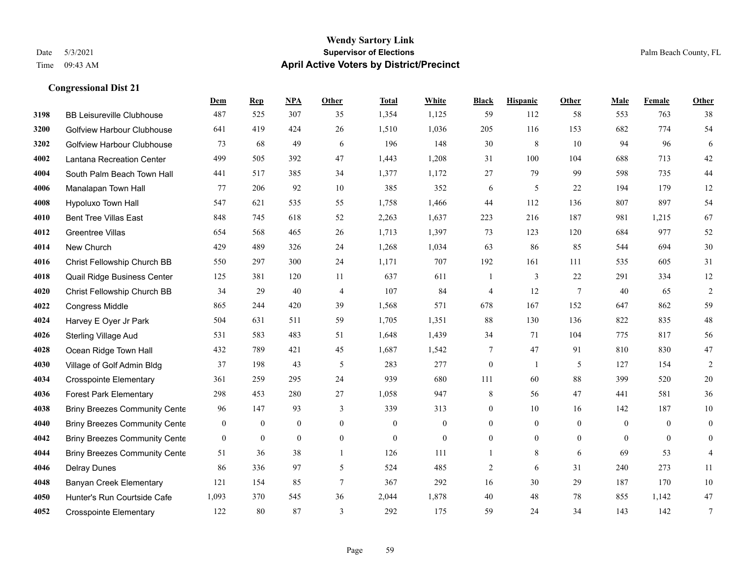#### **Wendy Sartory Link** Date 5/3/2021 **Supervisor of Elections** Palm Beach County, FL Time 09:43 AM **April Active Voters by District/Precinct**

# **Dem Rep NPA Other Total White Black Hispanic Other Male Female Other** BB Leisureville Clubhouse 487 525 307 35 1,354 1,125 59 112 58 553 763 38 Golfview Harbour Clubhouse 641 419 424 26 1,510 1,036 205 116 153 682 774 54 Golfview Harbour Clubhouse 73 68 49 6 196 148 30 8 10 94 96 6 Lantana Recreation Center 499 505 392 47 1,443 1,208 31 100 104 688 713 42 South Palm Beach Town Hall 441 517 385 34 1,377 1,172 27 79 99 598 735 44 Manalapan Town Hall 77 206 92 10 385 352 6 5 22 194 179 12 Hypoluxo Town Hall 547 621 535 55 1,758 1,466 44 112 136 807 897 54 Bent Tree Villas East 848 745 618 52 2,263 1,637 223 216 187 981 1,215 67 Greentree Villas 654 568 465 26 1,713 1,397 73 123 120 684 977 52 New Church 429 489 326 24 1,268 1,034 63 86 85 544 694 30 Christ Fellowship Church BB 550 297 300 24 1,171 707 192 161 111 535 605 31 Quail Ridge Business Center 125 381 120 11 637 611 1 3 22 291 334 12 Christ Fellowship Church BB 34 29 40 4 107 84 4 12 7 40 65 2 Congress Middle 865 244 420 39 1,568 571 678 167 152 647 862 59 Harvey E Oyer Jr Park 504 631 511 59 1,705 1,351 88 130 136 822 835 48 Sterling Village Aud 531 583 483 51 1,648 1,439 34 71 104 775 817 56 Ocean Ridge Town Hall 432 789 421 45 1,687 1,542 7 47 91 810 830 47 Village of Golf Admin Bldg 37 198 43 5 283 277 0 1 5 127 154 2 Crosspointe Elementary 361 259 295 24 939 680 111 60 88 399 520 20 Forest Park Elementary 298 453 280 27 1,058 947 8 56 47 441 581 36 **4038 Briny Breezes Community Cente** 96 147 93 339 313 0 10 16 142 187 10 Briny Breezes Community Center 0 0 0 0 0 0 0 0 0 0 0 0 Briny Breezes Community Center 0 0 0 0 0 0 0 0 0 0 0 0 Briny Breezes Community Cente 51 36 38 1 126 111 1 8 6 69 53 4 Delray Dunes 86 336 97 5 524 485 2 6 31 240 273 11 Banyan Creek Elementary 121 154 85 7 367 292 16 30 29 187 170 10 Hunter's Run Courtside Cafe 1,093 370 545 36 2,044 1,878 40 48 78 855 1,142 47 Crosspointe Elementary 122 80 87 3 292 175 59 24 34 143 142 7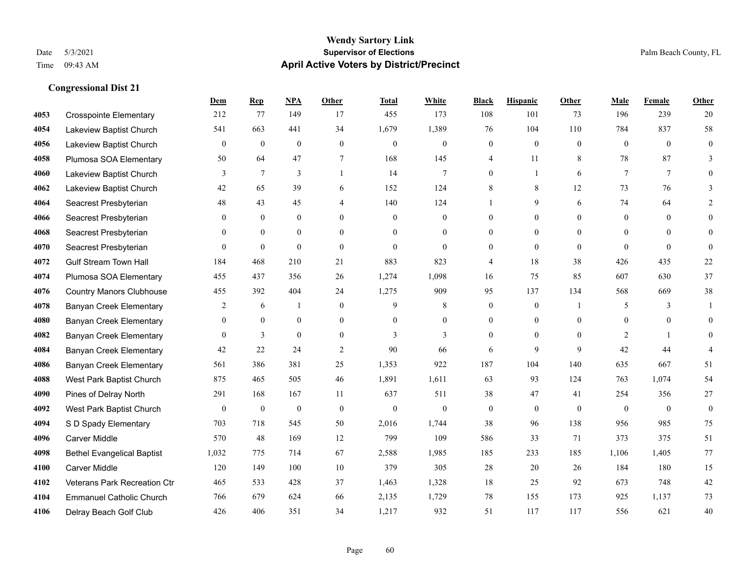# **Wendy Sartory Link** Date 5/3/2021 **Supervisor of Elections** Palm Beach County, FL Time 09:43 AM **April Active Voters by District/Precinct**

|      |                                   | Dem            | <b>Rep</b>       | <b>NPA</b>     | Other            | <b>Total</b>     | White          | <b>Black</b>     | <b>Hispanic</b>  | <b>Other</b> | Male             | Female   | Other            |
|------|-----------------------------------|----------------|------------------|----------------|------------------|------------------|----------------|------------------|------------------|--------------|------------------|----------|------------------|
| 4053 | <b>Crosspointe Elementary</b>     | 212            | 77               | 149            | 17               | 455              | 173            | 108              | 101              | 73           | 196              | 239      | 20               |
| 4054 | Lakeview Baptist Church           | 541            | 663              | 441            | 34               | 1,679            | 1,389          | 76               | 104              | 110          | 784              | 837      | 58               |
| 4056 | Lakeview Baptist Church           | $\overline{0}$ | $\mathbf{0}$     | $\overline{0}$ | $\theta$         | $\mathbf{0}$     | $\overline{0}$ | $\overline{0}$   | $\mathbf{0}$     | $\theta$     | $\theta$         | $\theta$ | $\theta$         |
| 4058 | Plumosa SOA Elementary            | 50             | 64               | 47             | 7                | 168              | 145            | 4                | 11               | 8            | 78               | 87       | 3                |
| 4060 | Lakeview Baptist Church           | 3              | 7                | 3              |                  | 14               | 7              | $\overline{0}$   | 1                | 6            | $\tau$           | $\tau$   | $\Omega$         |
| 4062 | Lakeview Baptist Church           | 42             | 65               | 39             | 6                | 152              | 124            | 8                | 8                | 12           | 73               | 76       |                  |
| 4064 | Seacrest Presbyterian             | 48             | 43               | 45             | $\overline{4}$   | 140              | 124            |                  | 9                | 6            | 74               | 64       |                  |
| 4066 | Seacrest Presbyterian             | $\left($       | $\overline{0}$   | $\overline{0}$ | $\theta$         | $\overline{0}$   | $\overline{0}$ | $\overline{0}$   | $\boldsymbol{0}$ | 0            | $\overline{0}$   | $\Omega$ | $\theta$         |
| 4068 | Seacrest Presbyterian             | $\theta$       | $\overline{0}$   | $\overline{0}$ | $\theta$         | $\Omega$         | $\overline{0}$ | $\theta$         | $\mathbf{0}$     | $\Omega$     | $\theta$         | $\theta$ | $\theta$         |
| 4070 | Seacrest Presbyterian             | $\theta$       | $\theta$         | $\Omega$       | $\theta$         | $\mathbf{0}$     | $\theta$       | $\theta$         | $\theta$         | $\theta$     | $\theta$         | $\theta$ | $\Omega$         |
| 4072 | <b>Gulf Stream Town Hall</b>      | 184            | 468              | 210            | 21               | 883              | 823            | 4                | 18               | 38           | 426              | 435      | 22               |
| 4074 | Plumosa SOA Elementary            | 455            | 437              | 356            | 26               | 1,274            | 1,098          | 16               | 75               | 85           | 607              | 630      | 37               |
| 4076 | <b>Country Manors Clubhouse</b>   | 455            | 392              | 404            | 24               | 1,275            | 909            | 95               | 137              | 134          | 568              | 669      | 38               |
| 4078 | <b>Banyan Creek Elementary</b>    | 2              | 6                |                | $\theta$         | 9                | 8              | $\overline{0}$   | $\mathbf{0}$     |              | 5                | 3        |                  |
| 4080 | <b>Banyan Creek Elementary</b>    | $\Omega$       | $\overline{0}$   | $\overline{0}$ | $\overline{0}$   | $\Omega$         | $\overline{0}$ | $\overline{0}$   | $\boldsymbol{0}$ | $\theta$     | $\overline{0}$   | $\theta$ | $\mathbf{0}$     |
| 4082 | <b>Banyan Creek Elementary</b>    | $\theta$       | 3                | $\overline{0}$ | $\theta$         | 3                | 3              | $\theta$         | $\mathbf{0}$     | $\Omega$     | 2                |          | $\theta$         |
| 4084 | <b>Banyan Creek Elementary</b>    | 42             | 22               | 24             | 2                | 90               | 66             | 6                | 9                | 9            | 42               | 44       |                  |
| 4086 | <b>Banyan Creek Elementary</b>    | 561            | 386              | 381            | 25               | 1,353            | 922            | 187              | 104              | 140          | 635              | 667      | 51               |
| 4088 | West Park Baptist Church          | 875            | 465              | 505            | 46               | 1,891            | 1,611          | 63               | 93               | 124          | 763              | 1,074    | 54               |
| 4090 | Pines of Delray North             | 291            | 168              | 167            | 11               | 637              | 511            | 38               | 47               | 41           | 254              | 356      | 27               |
| 4092 | West Park Baptist Church          | $\mathbf{0}$   | $\boldsymbol{0}$ | $\bf{0}$       | $\boldsymbol{0}$ | $\boldsymbol{0}$ | $\theta$       | $\boldsymbol{0}$ | $\boldsymbol{0}$ | $\theta$     | $\boldsymbol{0}$ | $\theta$ | $\boldsymbol{0}$ |
| 4094 | S D Spady Elementary              | 703            | 718              | 545            | 50               | 2,016            | 1,744          | 38               | 96               | 138          | 956              | 985      | 75               |
| 4096 | <b>Carver Middle</b>              | 570            | 48               | 169            | 12               | 799              | 109            | 586              | 33               | 71           | 373              | 375      | 51               |
| 4098 | <b>Bethel Evangelical Baptist</b> | 1,032          | 775              | 714            | 67               | 2,588            | 1,985          | 185              | 233              | 185          | 1,106            | 1.405    | 77               |
| 4100 | Carver Middle                     | 120            | 149              | $100\,$        | 10               | 379              | 305            | 28               | 20               | 26           | 184              | 180      | 15               |
| 4102 | Veterans Park Recreation Ctr      | 465            | 533              | 428            | 37               | 1,463            | 1,328          | 18               | 25               | 92           | 673              | 748      | 42               |
| 4104 | <b>Emmanuel Catholic Church</b>   | 766            | 679              | 624            | 66               | 2,135            | 1,729          | 78               | 155              | 173          | 925              | 1,137    | 73               |
| 4106 | Delray Beach Golf Club            | 426            | 406              | 351            | 34               | 1,217            | 932            | 51               | 117              | 117          | 556              | 621      | 40               |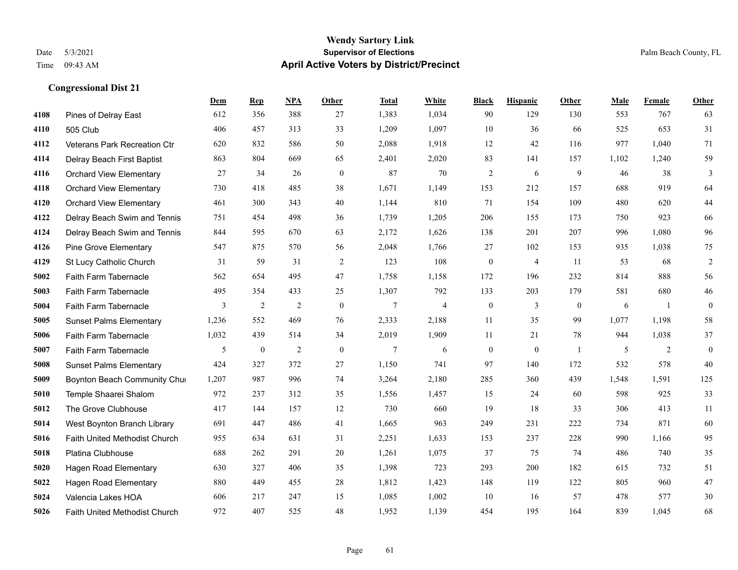#### **Wendy Sartory Link** Date 5/3/2021 **Supervisor of Elections** Palm Beach County, FL Time 09:43 AM **April Active Voters by District/Precinct**

**Dem Rep NPA Other Total White Black Hispanic Other Male Female Other**

# Pines of Delray East 612 356 388 27 1,383 1,034 90 129 130 553 767 63 505 Club 406 457 313 33 1,209 1,097 10 36 66 525 653 31 Veterans Park Recreation Ctr 620 832 586 50 2,088 1,918 12 42 116 977 1,040 71 Delray Beach First Baptist 863 804 669 65 2,401 2,020 83 141 157 1,102 1,240 59 Orchard View Elementary 27 34 26 0 87 70 2 6 9 46 38 3 Orchard View Elementary 730 418 485 38 1,671 1,149 153 212 157 688 919 64 Orchard View Elementary 461 300 343 40 1,144 810 71 154 109 480 620 44 Delray Beach Swim and Tennis 751 454 498 36 1,739 1,205 206 155 173 750 923 66 Delray Beach Swim and Tennis 844 595 670 63 2,172 1,626 138 201 207 996 1,080 96 Pine Grove Elementary 547 875 570 56 2,048 1,766 27 102 153 935 1,038 75 St Lucy Catholic Church 31 59 31 2 123 108 0 4 11 53 68 2 Faith Farm Tabernacle 562 654 495 47 1,758 1,158 172 196 232 814 888 56 Faith Farm Tabernacle 495 354 433 25 1,307 792 133 203 179 581 680 46 Faith Farm Tabernacle 3 2 2 0 7 4 0 3 0 6 1 0 Sunset Palms Elementary 1,236 552 469 76 2,333 2,188 11 35 99 1,077 1,198 58 Faith Farm Tabernacle 1,032 439 514 34 2,019 1,909 11 21 78 944 1,038 37 Faith Farm Tabernacle 5 0 2 0 7 6 0 0 1 5 2 0 Sunset Palms Elementary 424 327 372 27 1,150 741 97 140 172 532 578 40 Boynton Beach Community Church 1,207 987 996 74 3,264 2,180 285 360 439 1,548 1,591 125 Temple Shaarei Shalom 972 237 312 35 1,556 1,457 15 24 60 598 925 33 The Grove Clubhouse 417 144 157 12 730 660 19 18 33 306 413 11 West Boynton Branch Library 691 447 486 41 1,665 963 249 231 222 734 871 60 Faith United Methodist Church 955 634 631 31 2,251 1,633 153 237 228 990 1,166 95 Platina Clubhouse 688 262 291 20 1,261 1,075 37 75 74 486 740 35 Hagen Road Elementary 630 327 406 35 1,398 723 293 200 182 615 732 51

 Hagen Road Elementary 880 449 455 28 1,812 1,423 148 119 122 805 960 47 Valencia Lakes HOA 606 217 247 15 1,085 1,002 10 16 57 478 577 30 Faith United Methodist Church 972 407 525 48 1,952 1,139 454 195 164 839 1,045 68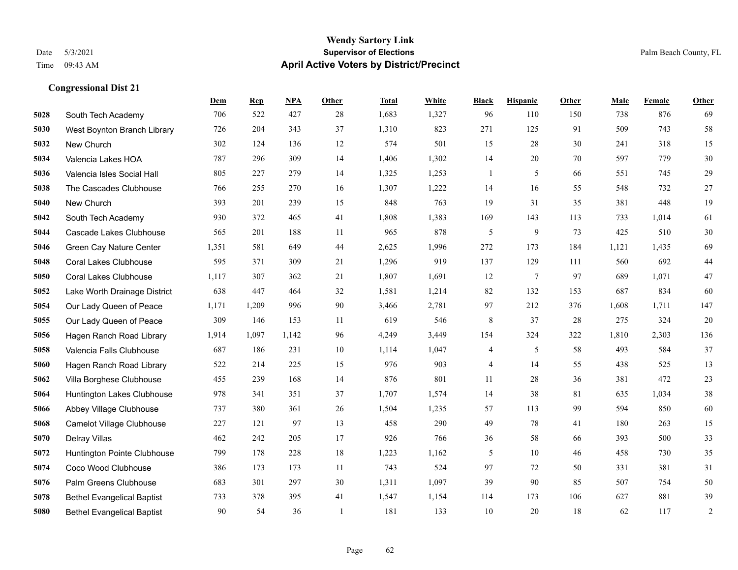#### **Wendy Sartory Link** Date 5/3/2021 **Supervisor of Elections** Palm Beach County, FL Time 09:43 AM **April Active Voters by District/Precinct**

# **Dem Rep NPA Other Total White Black Hispanic Other Male Female Other** South Tech Academy 706 522 427 28 1,683 1,327 96 110 150 738 876 69 West Boynton Branch Library 726 204 343 37 1,310 823 271 125 91 509 743 58 New Church 302 124 136 12 574 501 15 28 30 241 318 15 Valencia Lakes HOA 787 296 309 14 1,406 1,302 14 20 70 597 779 30 Valencia Isles Social Hall 805 227 279 14 1,325 1,253 1 5 66 551 745 29 The Cascades Clubhouse 766 255 270 16 1,307 1,222 14 16 55 548 732 27 New Church 393 201 239 15 848 763 19 31 35 381 448 19 South Tech Academy 930 372 465 41 1,808 1,383 169 143 113 733 1,014 61 Cascade Lakes Clubhouse 565 201 188 11 965 878 5 9 73 425 510 30 Green Cay Nature Center 1,351 581 649 44 2,625 1,996 272 173 184 1,121 1,435 69 Coral Lakes Clubhouse 595 371 309 21 1,296 919 137 129 111 560 692 44 Coral Lakes Clubhouse 1,117 307 362 21 1,807 1,691 12 7 97 689 1,071 47 Lake Worth Drainage District 638 447 464 32 1,581 1,214 82 132 153 687 834 60 Our Lady Queen of Peace 1,171 1,209 996 90 3,466 2,781 97 212 376 1,608 1,711 147 Our Lady Queen of Peace 309 146 153 11 619 546 8 37 28 275 324 20 Hagen Ranch Road Library 1,914 1,097 1,142 96 4,249 3,449 154 324 322 1,810 2,303 136 Valencia Falls Clubhouse 687 186 231 10 1,114 1,047 4 5 58 493 584 37 Hagen Ranch Road Library 522 214 225 15 976 903 4 14 55 438 525 13 Villa Borghese Clubhouse 455 239 168 14 876 801 11 28 36 381 472 23 Huntington Lakes Clubhouse 978 341 351 37 1,707 1,574 14 38 81 635 1,034 38 Abbey Village Clubhouse 737 380 361 26 1,504 1,235 57 113 99 594 850 60 Camelot Village Clubhouse 227 121 97 13 458 290 49 78 41 180 263 15 Delray Villas 462 242 205 17 926 766 36 58 66 393 500 33 Huntington Pointe Clubhouse 799 178 228 18 1,223 1,162 5 10 46 458 730 35 Coco Wood Clubhouse 386 173 173 11 743 524 97 72 50 331 381 31 Palm Greens Clubhouse 683 301 297 30 1,311 1,097 39 90 85 507 754 50 Bethel Evangelical Baptist 733 378 395 41 1,547 1,154 114 173 106 627 881 39 Bethel Evangelical Baptist 90 54 36 1 181 133 10 20 18 62 117 2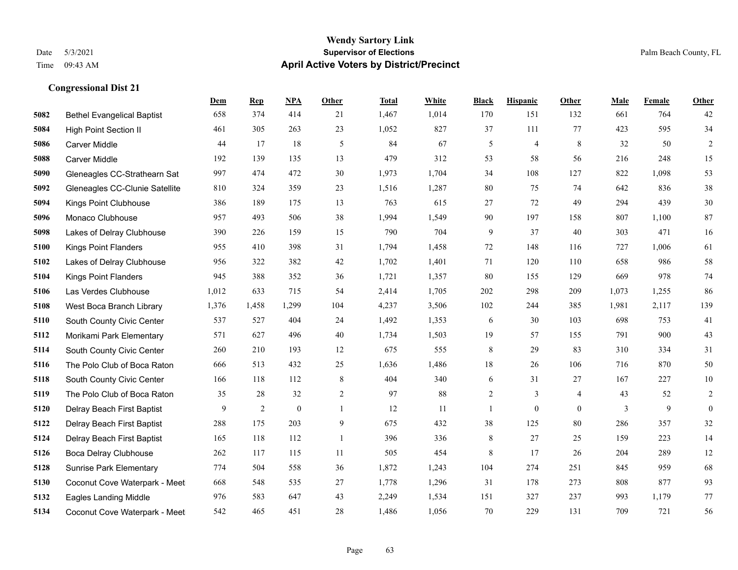#### **Wendy Sartory Link** Date 5/3/2021 **Supervisor of Elections** Palm Beach County, FL Time 09:43 AM **April Active Voters by District/Precinct**

# **Dem Rep NPA Other Total White Black Hispanic Other Male Female Other** Bethel Evangelical Baptist 658 374 414 21 1,467 1,014 170 151 132 661 764 42 High Point Section II 461 305 263 23 1,052 827 37 111 77 423 595 34 Carver Middle 44 17 18 5 84 67 5 4 8 32 50 2 Carver Middle 192 139 135 13 479 312 53 58 56 216 248 15 Gleneagles CC-Strathearn Sat 997 474 472 30 1,973 1,704 34 108 127 822 1,098 53 Gleneagles CC-Clunie Satellite 810 324 359 23 1,516 1,287 80 75 74 642 836 38 Kings Point Clubhouse 386 189 175 13 763 615 27 72 49 294 439 30 Monaco Clubhouse 957 493 506 38 1,994 1,549 90 197 158 807 1,100 87 Lakes of Delray Clubhouse 390 226 159 15 790 704 9 37 40 303 471 16 Kings Point Flanders 955 410 398 31 1,794 1,458 72 148 116 727 1,006 61 Lakes of Delray Clubhouse 956 322 382 42 1,702 1,401 71 120 110 658 986 58 Kings Point Flanders 945 388 352 36 1,721 1,357 80 155 129 669 978 74 Las Verdes Clubhouse 1,012 633 715 54 2,414 1,705 202 298 209 1,073 1,255 86 West Boca Branch Library 1,376 1,458 1,299 104 4,237 3,506 102 244 385 1,981 2,117 139 South County Civic Center 537 527 404 24 1,492 1,353 6 30 103 698 753 41 Morikami Park Elementary 571 627 496 40 1,734 1,503 19 57 155 791 900 43 South County Civic Center 260 210 193 12 675 555 8 29 83 310 334 31 The Polo Club of Boca Raton 666 513 432 25 1,636 1,486 18 26 106 716 870 50 South County Civic Center 166 118 112 8 404 340 6 31 27 167 227 10 The Polo Club of Boca Raton 35 28 32 2 97 88 2 3 4 43 52 2 Delray Beach First Baptist 9 2 0 1 12 11 1 0 0 3 9 0 Delray Beach First Baptist 288 175 203 9 675 432 38 125 80 286 357 32 Delray Beach First Baptist 165 118 112 1 396 336 8 27 25 159 223 14 Boca Delray Clubhouse 262 117 115 11 505 454 8 17 26 204 289 12 Sunrise Park Elementary 774 504 558 36 1,872 1,243 104 274 251 845 959 68 Coconut Cove Waterpark - Meet 668 548 535 27 1,778 1,296 31 178 273 808 877 93 Eagles Landing Middle 976 583 647 43 2,249 1,534 151 327 237 993 1,179 77

Coconut Cove Waterpark - Meet 542 465 451 28 1,486 1,056 70 229 131 709 721 56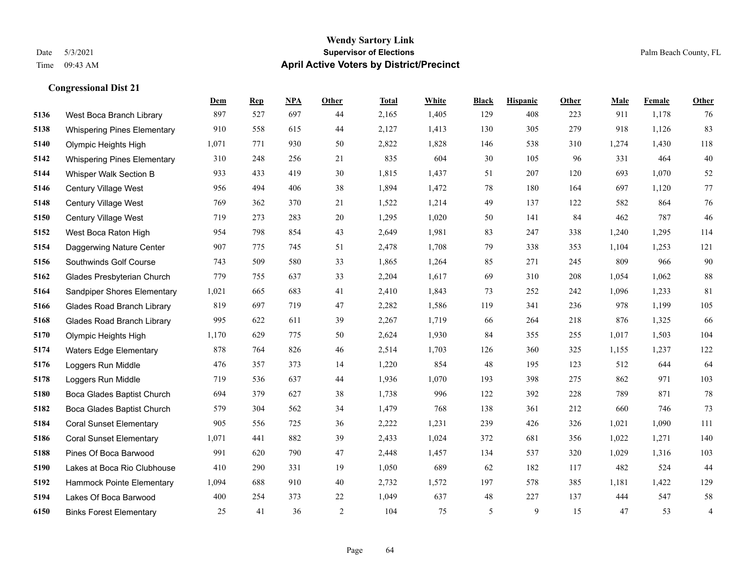#### **Wendy Sartory Link** Date 5/3/2021 **Supervisor of Elections** Palm Beach County, FL Time 09:43 AM **April Active Voters by District/Precinct**

# **Dem Rep NPA Other Total White Black Hispanic Other Male Female Other** West Boca Branch Library 897 527 697 44 2,165 1,405 129 408 223 911 1,178 76 Whispering Pines Elementary 910 558 615 44 2,127 1,413 130 305 279 918 1,126 83 Olympic Heights High 1,071 771 930 50 2,822 1,828 146 538 310 1,274 1,430 118 Whispering Pines Elementary 310 248 256 21 835 604 30 105 96 331 464 40 Whisper Walk Section B 933 433 419 30 1,815 1,437 51 207 120 693 1,070 52 Century Village West 956 494 406 38 1,894 1,472 78 180 164 697 1,120 77 Century Village West 769 362 370 21 1,522 1,214 49 137 122 582 864 76 Century Village West 719 273 283 20 1,295 1,020 50 141 84 462 787 46 West Boca Raton High 954 798 854 43 2,649 1,981 83 247 338 1,240 1,295 114 Daggerwing Nature Center 907 775 745 51 2,478 1,708 79 338 353 1,104 1,253 121 Southwinds Golf Course 743 509 580 33 1,865 1,264 85 271 245 809 966 90 Glades Presbyterian Church 779 755 637 33 2,204 1,617 69 310 208 1,054 1,062 88 Sandpiper Shores Elementary 1,021 665 683 41 2,410 1,843 73 252 242 1,096 1,233 81 Glades Road Branch Library 819 697 719 47 2,282 1,586 119 341 236 978 1,199 105 Glades Road Branch Library 995 622 611 39 2,267 1,719 66 264 218 876 1,325 66 Olympic Heights High 1,170 629 775 50 2,624 1,930 84 355 255 1,017 1,503 104 Waters Edge Elementary 878 764 826 46 2,514 1,703 126 360 325 1,155 1,237 122 Loggers Run Middle 476 357 373 14 1,220 854 48 195 123 512 644 64 Loggers Run Middle 719 536 637 44 1,936 1,070 193 398 275 862 971 103 Boca Glades Baptist Church 694 379 627 38 1,738 996 122 392 228 789 871 78 Boca Glades Baptist Church 579 304 562 34 1,479 768 138 361 212 660 746 73 Coral Sunset Elementary 905 556 725 36 2,222 1,231 239 426 326 1,021 1,090 111 Coral Sunset Elementary 1,071 441 882 39 2,433 1,024 372 681 356 1,022 1,271 140 Pines Of Boca Barwood 991 620 790 47 2,448 1,457 134 537 320 1,029 1,316 103 Lakes at Boca Rio Clubhouse 410 290 331 19 1,050 689 62 182 117 482 524 44 Hammock Pointe Elementary 1,094 688 910 40 2,732 1,572 197 578 385 1,181 1,422 129 Lakes Of Boca Barwood 400 254 373 22 1,049 637 48 227 137 444 547 58 Binks Forest Elementary 25 41 36 2 104 75 5 9 15 47 53 4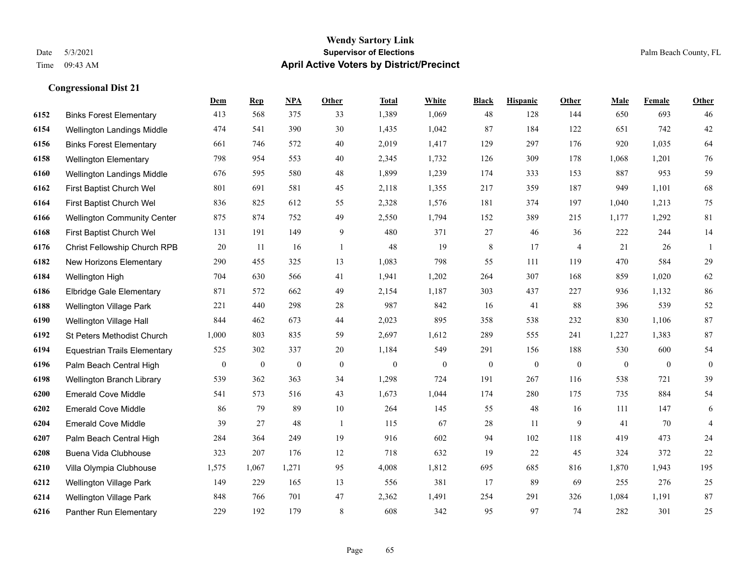#### **Wendy Sartory Link** Date 5/3/2021 **Supervisor of Elections** Palm Beach County, FL Time 09:43 AM **April Active Voters by District/Precinct**

# **Dem Rep NPA Other Total White Black Hispanic Other Male Female Other** Binks Forest Elementary 413 568 375 33 1,389 1,069 48 128 144 650 693 46 Wellington Landings Middle 474 541 390 30 1,435 1,042 87 184 122 651 742 42 Binks Forest Elementary 661 746 572 40 2,019 1,417 129 297 176 920 1,035 64 Wellington Elementary 798 954 553 40 2,345 1,732 126 309 178 1,068 1,201 76 Wellington Landings Middle 676 595 580 48 1,899 1,239 174 333 153 887 953 59 First Baptist Church Wel 801 691 581 45 2,118 1,355 217 359 187 949 1,101 68 First Baptist Church Wel 836 825 612 55 2,328 1,576 181 374 197 1,040 1,213 75 Wellington Community Center 875 874 752 49 2,550 1,794 152 389 215 1,177 1,292 81 First Baptist Church Wel 131 191 149 9 480 371 27 46 36 222 244 14 Christ Fellowship Church RPB 20 11 16 1 48 19 8 17 4 21 26 1 New Horizons Elementary 290 455 325 13 1,083 798 55 111 119 470 584 29 Wellington High 704 630 566 41 1,941 1,202 264 307 168 859 1,020 62 Elbridge Gale Elementary 871 572 662 49 2,154 1,187 303 437 227 936 1,132 86 Wellington Village Park 221 440 298 28 987 842 16 41 88 396 539 52 Wellington Village Hall 844 462 673 44 2,023 895 358 538 232 830 1,106 87 St Peters Methodist Church 1,000 803 835 59 2,697 1,612 289 555 241 1,227 1,383 87 Equestrian Trails Elementary 525 302 337 20 1,184 549 291 156 188 530 600 54 Palm Beach Central High 0 0 0 0 0 0 0 0 0 0 0 0 Wellington Branch Library 539 362 363 34 1,298 724 191 267 116 538 721 39 Emerald Cove Middle 541 573 516 43 1,673 1,044 174 280 175 735 884 54 Emerald Cove Middle 86 79 89 10 264 145 55 48 16 111 147 6 Emerald Cove Middle 39 27 48 1 115 67 28 11 9 41 70 4 Palm Beach Central High 284 364 249 19 916 602 94 102 118 419 473 24 Buena Vida Clubhouse 323 207 176 12 718 632 19 22 45 324 372 22 Villa Olympia Clubhouse 1,575 1,067 1,271 95 4,008 1,812 695 685 816 1,870 1,943 195 Wellington Village Park 149 229 165 13 556 381 17 89 69 255 276 25 Wellington Village Park 848 766 701 47 2,362 1,491 254 291 326 1,084 1,191 87 Panther Run Elementary 229 192 179 8 608 342 95 97 74 282 301 25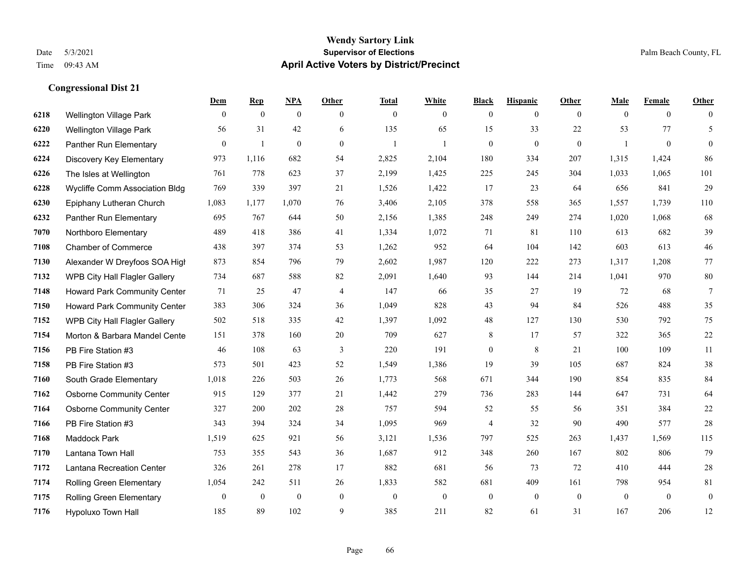#### **Wendy Sartory Link** Date 5/3/2021 **Supervisor of Elections** Palm Beach County, FL Time 09:43 AM **April Active Voters by District/Precinct**

# **Dem Rep NPA Other Total White Black Hispanic Other Male Female Other** Wellington Village Park 0 0 0 0 0 0 0 0 0 0 0 0 Wellington Village Park 56 31 42 6 135 65 15 33 22 53 77 5 Panther Run Elementary 0 1 0 0 1 1 0 0 0 1 0 0 Discovery Key Elementary 973 1,116 682 54 2,825 2,104 180 334 207 1,315 1,424 86 The Isles at Wellington 761 778 623 37 2,199 1,425 225 245 304 1,033 1,065 101 Wycliffe Comm Association Bldg 769 339 397 21 1,526 1,422 17 23 64 656 841 29 Epiphany Lutheran Church 1,083 1,177 1,070 76 3,406 2,105 378 558 365 1,557 1,739 110 Panther Run Elementary 695 767 644 50 2,156 1,385 248 249 274 1,020 1,068 68 Northboro Elementary 489 418 386 41 1,334 1,072 71 81 110 613 682 39 Chamber of Commerce 438 397 374 53 1,262 952 64 104 142 603 613 46 Alexander W Dreyfoos SOA High 873 854 796 79 2,602 1,987 120 222 273 1,317 1,208 77 WPB City Hall Flagler Gallery 734 687 588 82 2,091 1,640 93 144 214 1,041 970 80 Howard Park Community Center 71 25 47 4 147 66 35 27 19 72 68 7 Howard Park Community Center 383 306 324 36 1,049 828 43 94 84 526 488 35 WPB City Hall Flagler Gallery 502 518 335 42 1,397 1,092 48 127 130 530 792 75 Morton & Barbara Mandel Center 151 378 160 20 709 627 8 17 57 322 365 22 PB Fire Station #3 46 108 63 3 220 191 0 8 21 100 109 11 PB Fire Station #3 573 501 423 52 1,549 1,386 19 39 105 687 824 38 South Grade Elementary 1,018 226 503 26 1,773 568 671 344 190 854 835 84 Osborne Community Center 915 129 377 21 1,442 279 736 283 144 647 731 64 Osborne Community Center 327 200 202 28 757 594 52 55 56 351 384 22 PB Fire Station #3 343 394 324 34 1,095 969 4 32 90 490 577 28 Maddock Park 1,519 625 921 56 3,121 1,536 797 525 263 1,437 1,569 115 Lantana Town Hall 753 355 543 36 1,687 912 348 260 167 802 806 79 Lantana Recreation Center 326 261 278 17 882 681 56 73 72 410 444 28 Rolling Green Elementary 1,054 242 511 26 1,833 582 681 409 161 798 954 81 Rolling Green Elementary 0 0 0 0 0 0 0 0 0 0 0 0 Hypoluxo Town Hall 185 89 102 9 385 211 82 61 31 167 206 12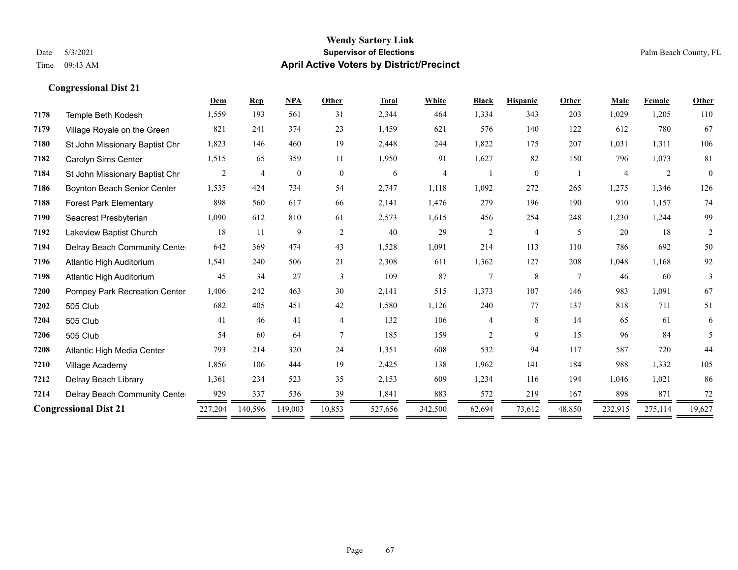|      |                                      | Dem            | <b>Rep</b>     | <b>NPA</b>       | Other          | <b>Total</b> | White   | <b>Black</b>   | <b>Hispanic</b> | Other           | <b>Male</b> | Female  | Other        |
|------|--------------------------------------|----------------|----------------|------------------|----------------|--------------|---------|----------------|-----------------|-----------------|-------------|---------|--------------|
| 7178 | Temple Beth Kodesh                   | 1,559          | 193            | 561              | 31             | 2,344        | 464     | 1,334          | 343             | 203             | 1,029       | 1,205   | 110          |
| 7179 | Village Royale on the Green          | 821            | 241            | 374              | 23             | 1,459        | 621     | 576            | 140             | 122             | 612         | 780     | 67           |
| 7180 | St John Missionary Baptist Chr       | 1,823          | 146            | 460              | 19             | 2,448        | 244     | 1,822          | 175             | 207             | 1,031       | 1,311   | 106          |
| 7182 | Carolyn Sims Center                  | 1,515          | 65             | 359              | 11             | 1,950        | 91      | 1,627          | 82              | 150             | 796         | 1,073   | 81           |
| 7184 | St John Missionary Baptist Chr       | $\overline{2}$ | $\overline{4}$ | $\boldsymbol{0}$ | $\overline{0}$ | 6            | 4       |                | $\mathbf{0}$    |                 | 4           | 2       | $\mathbf{0}$ |
| 7186 | <b>Boynton Beach Senior Center</b>   | 1,535          | 424            | 734              | 54             | 2,747        | 1,118   | 1,092          | 272             | 265             | 1,275       | 1,346   | 126          |
| 7188 | <b>Forest Park Elementary</b>        | 898            | 560            | 617              | 66             | 2,141        | 1,476   | 279            | 196             | 190             | 910         | 1,157   | 74           |
| 7190 | Seacrest Presbyterian                | 1,090          | 612            | 810              | 61             | 2,573        | 1,615   | 456            | 254             | 248             | 1,230       | 1,244   | 99           |
| 7192 | Lakeview Baptist Church              | 18             | 11             | 9                | $\overline{2}$ | 40           | 29      | $\overline{c}$ | $\overline{4}$  | 5               | 20          | 18      | 2            |
| 7194 | Delray Beach Community Cente         | 642            | 369            | 474              | 43             | 1,528        | 1,091   | 214            | 113             | 110             | 786         | 692     | 50           |
| 7196 | Atlantic High Auditorium             | 1,541          | 240            | 506              | 21             | 2,308        | 611     | 1,362          | 127             | 208             | 1,048       | 1,168   | 92           |
| 7198 | Atlantic High Auditorium             | 45             | 34             | 27               | 3              | 109          | 87      | $\overline{7}$ | 8               | $7\phantom{.0}$ | 46          | 60      | 3            |
| 7200 | <b>Pompey Park Recreation Center</b> | 1,406          | 242            | 463              | 30             | 2,141        | 515     | 1,373          | 107             | 146             | 983         | 1,091   | 67           |
| 7202 | 505 Club                             | 682            | 405            | 451              | 42             | 1,580        | 1,126   | 240            | 77              | 137             | 818         | 711     | 51           |
| 7204 | 505 Club                             | 41             | 46             | 41               | 4              | 132          | 106     | 4              | 8               | 14              | 65          | 61      | 6            |
| 7206 | 505 Club                             | 54             | 60             | 64               |                | 185          | 159     | $\overline{c}$ | 9               | 15              | 96          | 84      | 5            |
| 7208 | Atlantic High Media Center           | 793            | 214            | 320              | 24             | 1,351        | 608     | 532            | 94              | 117             | 587         | 720     | 44           |
| 7210 | Village Academy                      | 1,856          | 106            | 444              | 19             | 2,425        | 138     | 1,962          | 141             | 184             | 988         | 1,332   | 105          |
| 7212 | Delray Beach Library                 | 1,361          | 234            | 523              | 35             | 2,153        | 609     | 1,234          | 116             | 194             | 1,046       | 1,021   | 86           |
| 7214 | Delray Beach Community Cente         | 929            | 337            | 536              | 39             | 1,841        | 883     | 572            | 219             | 167             | 898         | 871     | 72           |
|      | <b>Congressional Dist 21</b>         |                | 140,596        | 149,003          | 10,853         | 527,656      | 342,500 | 62,694         | 73,612          | 48,850          | 232,915     | 275,114 | 19,627       |
|      |                                      |                |                |                  |                |              |         |                |                 |                 |             |         |              |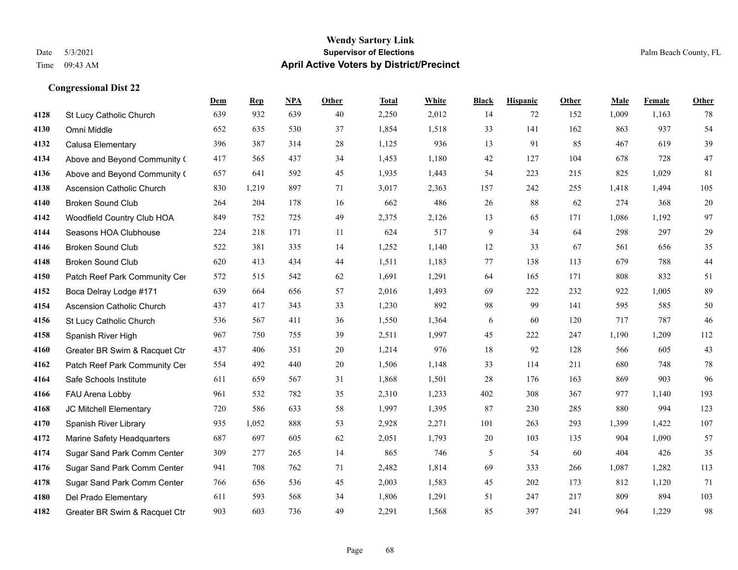#### **Wendy Sartory Link** Date 5/3/2021 **Supervisor of Elections** Palm Beach County, FL Time 09:43 AM **April Active Voters by District/Precinct**

# **Dem Rep NPA Other Total White Black Hispanic Other Male Female Other** St Lucy Catholic Church 639 932 639 40 2,250 2,012 14 72 152 1,009 1,163 78 Omni Middle 652 635 530 37 1,854 1,518 33 141 162 863 937 54 Calusa Elementary 396 387 314 28 1,125 936 13 91 85 467 619 39 Above and Beyond Community Church 417 565 437 34 1,453 1,180 42 127 104 678 728 47 Above and Beyond Community Church 657 641 592 45 1,935 1,443 54 223 215 825 1,029 81 Ascension Catholic Church 830 1,219 897 71 3,017 2,363 157 242 255 1,418 1,494 105 Broken Sound Club 264 204 178 16 662 486 26 88 62 274 368 20 Woodfield Country Club HOA 849 752 725 49 2,375 2,126 13 65 171 1,086 1,192 97 Seasons HOA Clubhouse 224 218 171 11 624 517 9 34 64 298 297 29 Broken Sound Club 522 381 335 14 1,252 1,140 12 33 67 561 656 35 Broken Sound Club 620 413 434 44 1,511 1,183 77 138 113 679 788 44 4150 Patch Reef Park Community Center 572 515 542 62 1,691 1,291 64 165 171 808 832 51 Boca Delray Lodge #171 639 664 656 57 2,016 1,493 69 222 232 922 1,005 89 Ascension Catholic Church 437 417 343 33 1,230 892 98 99 141 595 585 50 St Lucy Catholic Church 536 567 411 36 1,550 1,364 6 60 120 717 787 46 Spanish River High 967 750 755 39 2,511 1,997 45 222 247 1,190 1,209 112 Greater BR Swim & Racquet Ctr 437 406 351 20 1,214 976 18 92 128 566 605 43 4162 Patch Reef Park Community Center 554 492 440 20 1,506 1,148 33 114 211 680 748 78 Safe Schools Institute 611 659 567 31 1,868 1,501 28 176 163 869 903 96 FAU Arena Lobby 961 532 782 35 2,310 1,233 402 308 367 977 1,140 193 JC Mitchell Elementary 720 586 633 58 1,997 1,395 87 230 285 880 994 123 Spanish River Library 935 1,052 888 53 2,928 2,271 101 263 293 1,399 1,422 107 Marine Safety Headquarters 687 697 605 62 2,051 1,793 20 103 135 904 1,090 57 Sugar Sand Park Comm Center 309 277 265 14 865 746 5 54 60 404 426 35 Sugar Sand Park Comm Center 941 708 762 71 2,482 1,814 69 333 266 1,087 1,282 113 Sugar Sand Park Comm Center 766 656 536 45 2,003 1,583 45 202 173 812 1,120 71 Del Prado Elementary 611 593 568 34 1,806 1,291 51 247 217 809 894 103 Greater BR Swim & Racquet Ctr 903 603 736 49 2,291 1,568 85 397 241 964 1,229 98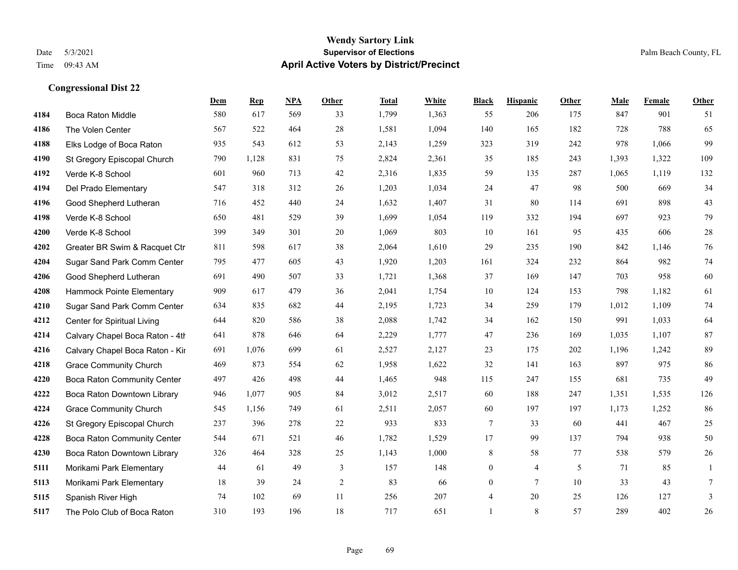# **Wendy Sartory Link** Date 5/3/2021 **Supervisor of Elections** Palm Beach County, FL Time 09:43 AM **April Active Voters by District/Precinct**

|      |                                    | Dem  | <b>Rep</b> | <b>NPA</b> | Other          | <b>Total</b> | White | <b>Black</b>     | <b>Hispanic</b> | Other | Male  | Female | <b>Other</b> |
|------|------------------------------------|------|------------|------------|----------------|--------------|-------|------------------|-----------------|-------|-------|--------|--------------|
| 4184 | <b>Boca Raton Middle</b>           | 580  | 617        | 569        | 33             | 1,799        | 1,363 | 55               | 206             | 175   | 847   | 901    | 51           |
| 4186 | The Volen Center                   | 567  | 522        | 464        | 28             | 1,581        | 1,094 | 140              | 165             | 182   | 728   | 788    | 65           |
| 4188 | Elks Lodge of Boca Raton           | 935  | 543        | 612        | 53             | 2,143        | 1,259 | 323              | 319             | 242   | 978   | 1,066  | 99           |
| 4190 | St Gregory Episcopal Church        | 790  | 1,128      | 831        | 75             | 2,824        | 2,361 | 35               | 185             | 243   | 1,393 | 1,322  | 109          |
| 4192 | Verde K-8 School                   | 601  | 960        | 713        | 42             | 2,316        | 1,835 | 59               | 135             | 287   | 1,065 | 1,119  | 132          |
| 4194 | Del Prado Elementary               | 547  | 318        | 312        | 26             | 1,203        | 1,034 | 24               | 47              | 98    | 500   | 669    | 34           |
| 4196 | Good Shepherd Lutheran             | 716  | 452        | 440        | 24             | 1,632        | 1,407 | 31               | 80              | 114   | 691   | 898    | $43$         |
| 4198 | Verde K-8 School                   | 650  | 481        | 529        | 39             | 1,699        | 1,054 | 119              | 332             | 194   | 697   | 923    | 79           |
| 4200 | Verde K-8 School                   | 399  | 349        | 301        | $20\,$         | 1,069        | 803   | 10               | 161             | 95    | 435   | 606    | $28\,$       |
| 4202 | Greater BR Swim & Racquet Ctr      | 811  | 598        | 617        | 38             | 2,064        | 1,610 | 29               | 235             | 190   | 842   | 1,146  | 76           |
| 4204 | Sugar Sand Park Comm Center        | 795  | 477        | 605        | 43             | 1,920        | 1,203 | 161              | 324             | 232   | 864   | 982    | 74           |
| 4206 | Good Shepherd Lutheran             | 691  | 490        | 507        | 33             | 1,721        | 1,368 | 37               | 169             | 147   | 703   | 958    | $60\,$       |
| 4208 | Hammock Pointe Elementary          | 909  | 617        | 479        | 36             | 2,041        | 1,754 | 10               | 124             | 153   | 798   | 1,182  | 61           |
| 4210 | Sugar Sand Park Comm Center        | 634  | 835        | 682        | 44             | 2,195        | 1,723 | 34               | 259             | 179   | 1,012 | 1,109  | 74           |
| 4212 | Center for Spiritual Living        | 644  | 820        | 586        | 38             | 2,088        | 1,742 | 34               | 162             | 150   | 991   | 1,033  | 64           |
| 4214 | Calvary Chapel Boca Raton - 4th    | 641  | 878        | 646        | 64             | 2,229        | 1,777 | $47\,$           | 236             | 169   | 1,035 | 1,107  | 87           |
| 4216 | Calvary Chapel Boca Raton - Kir    | 691  | 1,076      | 699        | 61             | 2,527        | 2,127 | 23               | 175             | 202   | 1,196 | 1,242  | 89           |
| 4218 | <b>Grace Community Church</b>      | 469  | 873        | 554        | 62             | 1,958        | 1,622 | 32               | 141             | 163   | 897   | 975    | $86\,$       |
| 4220 | <b>Boca Raton Community Center</b> | 497  | 426        | 498        | 44             | 1,465        | 948   | 115              | 247             | 155   | 681   | 735    | 49           |
| 4222 | Boca Raton Downtown Library        | 946  | 1,077      | 905        | 84             | 3,012        | 2,517 | 60               | 188             | 247   | 1,351 | 1,535  | 126          |
| 4224 | <b>Grace Community Church</b>      | 545  | 1,156      | 749        | 61             | 2,511        | 2,057 | 60               | 197             | 197   | 1,173 | 1,252  | $86\,$       |
| 4226 | St Gregory Episcopal Church        | 237  | 396        | 278        | $22\,$         | 933          | 833   | $\tau$           | 33              | 60    | 441   | 467    | 25           |
| 4228 | Boca Raton Community Center        | 544  | 671        | 521        | 46             | 1,782        | 1,529 | 17               | 99              | 137   | 794   | 938    | 50           |
| 4230 | Boca Raton Downtown Library        | 326  | 464        | 328        | 25             | 1,143        | 1,000 | 8                | 58              | 77    | 538   | 579    | $26\,$       |
| 5111 | Morikami Park Elementary           | $44$ | 61         | 49         | $\mathfrak{Z}$ | 157          | 148   | $\boldsymbol{0}$ | $\overline{4}$  | 5     | 71    | 85     | $\mathbf{1}$ |
| 5113 | Morikami Park Elementary           | 18   | 39         | 24         | 2              | 83           | 66    | $\boldsymbol{0}$ | $\tau$          | 10    | 33    | 43     | $\tau$       |
| 5115 | Spanish River High                 | 74   | 102        | 69         | 11             | 256          | 207   | 4                | 20              | 25    | 126   | 127    | 3            |
| 5117 | The Polo Club of Boca Raton        | 310  | 193        | 196        | 18             | 717          | 651   | $\mathbf{1}$     | 8               | 57    | 289   | 402    | 26           |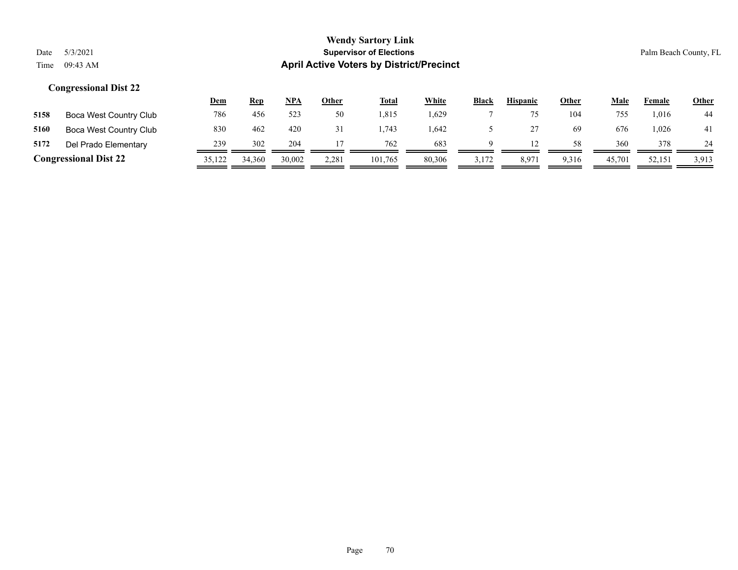|                              |                        | <u>Dem</u> | <b>Rep</b> | NPA    | <u>Other</u> | <b>Total</b> | White  | <b>Black</b> | <b>Hispanic</b> | <b>Other</b> | <u>Male</u> | Female | <u>Other</u> |
|------------------------------|------------------------|------------|------------|--------|--------------|--------------|--------|--------------|-----------------|--------------|-------------|--------|--------------|
| 5158                         | Boca West Country Club | 786        | 456        | 523    | 50           | 1.815        | .629   |              |                 | 104          | 755         | .016   | 44           |
| 5160                         | Boca West Country Club | 830        | 462        | 420    | 31           | .743         | 1,642  |              |                 | 69           | 676         | ,026   | 41           |
| 5172                         | Del Prado Elementary   | 239        | 302        | 204    |              | 762          | 683    |              |                 | 58           | 360         | 378    | 24           |
| <b>Congressional Dist 22</b> |                        | 35,122     | 34,360     | 30,002 | 2,281        | 101.765      | 80,306 | 3,172        | 8,971           | 9,316        | 45,701      | 52,151 | 3,913        |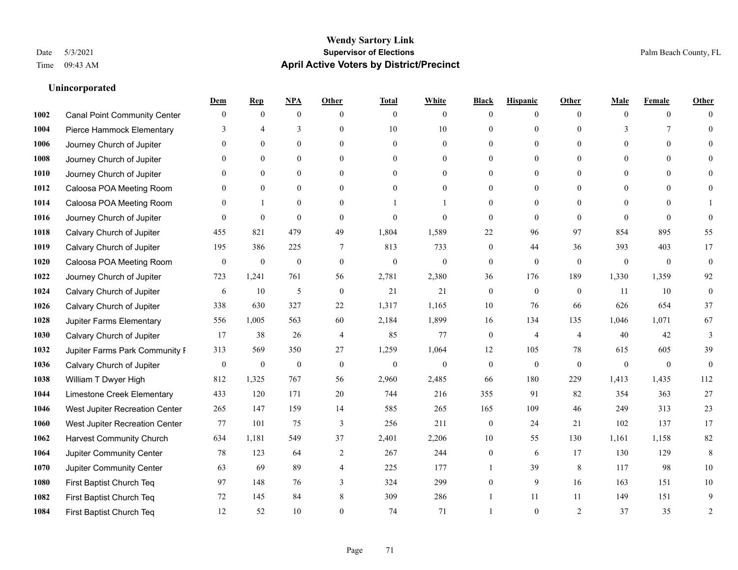# **Unincorporated**

|      |                                     | Dem              | <b>Rep</b>       | NPA              | <b>Other</b>    | <b>Total</b>     | <b>White</b>     | <b>Black</b>     | <b>Hispanic</b>  | <b>Other</b>    | Male           | <b>Female</b>  | <b>Other</b>     |
|------|-------------------------------------|------------------|------------------|------------------|-----------------|------------------|------------------|------------------|------------------|-----------------|----------------|----------------|------------------|
| 1002 | <b>Canal Point Community Center</b> | $\mathbf{0}$     | $\mathbf{0}$     | $\mathbf{0}$     | $\theta$        | $\overline{0}$   | $\overline{0}$   | $\Omega$         | $\overline{0}$   | $\theta$        | $\theta$       | $\overline{0}$ | $\Omega$         |
| 1004 | Pierce Hammock Elementary           | 3                | $\overline{4}$   | 3                | $\theta$        | 10               | 10               | $\theta$         | $\overline{0}$   | $\Omega$        | 3              | $\tau$         | $\theta$         |
| 1006 | Journey Church of Jupiter           | $\Omega$         | $\theta$         | $\theta$         | $\Omega$        | $\Omega$         | $\theta$         | $\Omega$         | $\Omega$         | $\Omega$        | $\theta$       | $\Omega$       | $\Omega$         |
| 1008 | Journey Church of Jupiter           |                  | $\mathbf{0}$     | $\mathbf{0}$     | $\mathbf{0}$    | $\mathbf{0}$     | $\overline{0}$   | $\theta$         | $\overline{0}$   | $\theta$        | $\mathbf{0}$   | $\Omega$       |                  |
| 1010 | Journey Church of Jupiter           | $\Omega$         | $\theta$         | $\mathbf{0}$     | $\theta$        | $\theta$         | $\overline{0}$   | 0                | $\overline{0}$   | $\Omega$        | $\theta$       | $\theta$       | $\Omega$         |
| 1012 | Caloosa POA Meeting Room            | 0                | $\mathbf{0}$     | $\mathbf{0}$     | $\theta$        | $\theta$         | $\overline{0}$   | $\theta$         | $\overline{0}$   | $\Omega$        | $\overline{0}$ | $\Omega$       |                  |
| 1014 | Caloosa POA Meeting Room            | $\Omega$         | $\mathbf{1}$     | $\mathbf{0}$     | $\mathbf{0}$    |                  |                  | $\theta$         | $\overline{0}$   | $\theta$        | $\overline{0}$ | $\theta$       |                  |
| 1016 | Journey Church of Jupiter           | $\Omega$         | $\mathbf{0}$     | $\theta$         | $\theta$        | $\mathbf{0}$     | $\theta$         | $\mathbf{0}$     | $\overline{0}$   | $\Omega$        | $\Omega$       | $\Omega$       | $\theta$         |
| 1018 | Calvary Church of Jupiter           | 455              | 821              | 479              | 49              | 1,804            | 1,589            | 22               | 96               | 97              | 854            | 895            | 55               |
| 1019 | Calvary Church of Jupiter           | 195              | 386              | 225              | $7\phantom{.0}$ | 813              | 733              | $\overline{0}$   | 44               | 36              | 393            | 403            | 17               |
| 1020 | Caloosa POA Meeting Room            | $\boldsymbol{0}$ | $\boldsymbol{0}$ | $\boldsymbol{0}$ | $\mathbf{0}$    | $\mathbf{0}$     | $\mathbf{0}$     | $\mathbf{0}$     | $\overline{0}$   | $\mathbf{0}$    | $\mathbf{0}$   | $\overline{0}$ | $\mathbf{0}$     |
| 1022 | Journey Church of Jupiter           | 723              | 1,241            | 761              | 56              | 2,781            | 2,380            | 36               | 176              | 189             | 1,330          | 1,359          | 92               |
| 1024 | Calvary Church of Jupiter           | 6                | 10               | 5                | $\mathbf{0}$    | 21               | 21               | $\mathbf{0}$     | $\mathbf{0}$     | $\theta$        | 11             | 10             | $\boldsymbol{0}$ |
| 1026 | Calvary Church of Jupiter           | 338              | 630              | 327              | 22              | 1,317            | 1,165            | 10               | 76               | 66              | 626            | 654            | 37               |
| 1028 | Jupiter Farms Elementary            | 556              | 1,005            | 563              | 60              | 2,184            | 1,899            | 16               | 134              | 135             | 1,046          | 1,071          | 67               |
| 1030 | Calvary Church of Jupiter           | 17               | 38               | 26               | $\overline{4}$  | 85               | 77               | $\overline{0}$   | 4                | $\overline{4}$  | 40             | 42             | 3                |
| 1032 | Jupiter Farms Park Community I      | 313              | 569              | 350              | 27              | 1,259            | 1,064            | 12               | 105              | 78              | 615            | 605            | 39               |
| 1036 | Calvary Church of Jupiter           | $\boldsymbol{0}$ | $\boldsymbol{0}$ | $\boldsymbol{0}$ | $\mathbf{0}$    | $\boldsymbol{0}$ | $\boldsymbol{0}$ | $\boldsymbol{0}$ | $\boldsymbol{0}$ | $\mathbf{0}$    | $\mathbf{0}$   | $\overline{0}$ | $\mathbf{0}$     |
| 1038 | William T Dwyer High                | 812              | 1,325            | 767              | 56              | 2,960            | 2,485            | 66               | 180              | 229             | 1,413          | 1,435          | 112              |
| 1044 | Limestone Creek Elementary          | 433              | 120              | 171              | 20              | 744              | 216              | 355              | 91               | 82              | 354            | 363            | 27               |
| 1046 | West Jupiter Recreation Center      | 265              | 147              | 159              | 14              | 585              | 265              | 165              | 109              | 46              | 249            | 313            | 23               |
| 1060 | West Jupiter Recreation Center      | 77               | 101              | 75               | 3               | 256              | 211              | $\boldsymbol{0}$ | 24               | 21              | 102            | 137            | 17               |
| 1062 | <b>Harvest Community Church</b>     | 634              | 1,181            | 549              | 37              | 2,401            | 2,206            | 10               | 55               | 130             | 1,161          | 1,158          | 82               |
| 1064 | Jupiter Community Center            | 78               | 123              | 64               | 2               | 267              | 244              | $\overline{0}$   | 6                | 17              | 130            | 129            | 8                |
| 1070 | Jupiter Community Center            | 63               | 69               | 89               | $\overline{4}$  | 225              | 177              |                  | 39               | $8\phantom{.0}$ | 117            | 98             | $10\,$           |
| 1080 | First Baptist Church Teq            | 97               | 148              | 76               | 3               | 324              | 299              | 0                | 9                | 16              | 163            | 151            | 10               |
| 1082 | First Baptist Church Teq            | 72               | 145              | 84               | 8               | 309              | 286              |                  | 11               | 11              | 149            | 151            | 9                |
| 1084 | First Baptist Church Teq            | 12               | 52               | 10               | $\Omega$        | 74               | 71               |                  | $\theta$         | 2               | 37             | 35             | $\overline{2}$   |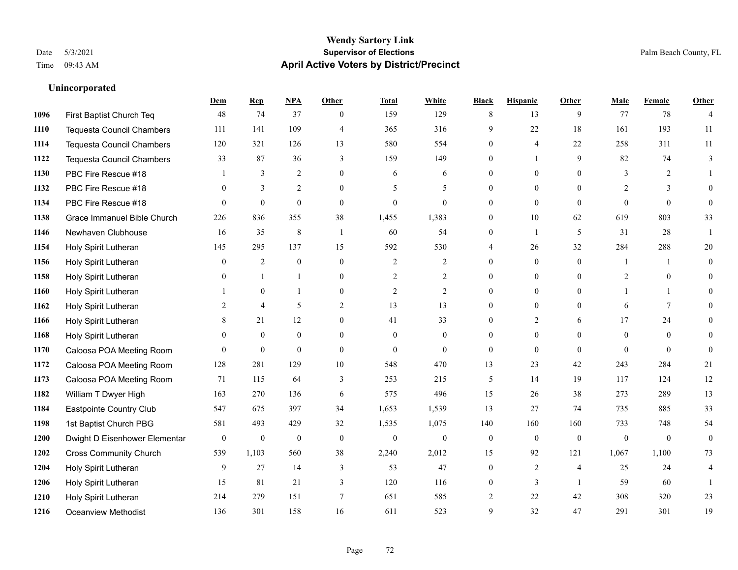**Unincorporated**

#### **Wendy Sartory Link** Date 5/3/2021 **Supervisor of Elections** Palm Beach County, FL Time 09:43 AM **April Active Voters by District/Precinct**

# **Dem Rep NPA Other Total White Black Hispanic Other Male Female Other** First Baptist Church Teq 48 74 37 0 159 129 8 13 9 77 78 4 Tequesta Council Chambers 111 141 109 4 365 316 9 22 18 161 193 11 Tequesta Council Chambers 120 321 126 13 580 554 0 4 22 258 311 11 Tequesta Council Chambers 33 87 36 3 159 149 0 1 9 82 74 3 PBC Fire Rescue #18 **1** 3 2 0 6 6 0 0 0 3 2 1 PBC Fire Rescue #18 0 3 2 0 5 5 0 0 0 2 3 0 PBC Fire Rescue #18 0 0 0 0 0 0 0 0 0 0 0 0 Grace Immanuel Bible Church 226 836 355 38 1,455 1,383 0 10 62 619 803 33 Newhaven Clubhouse 16 35 8 1 60 54 0 1 5 31 28 1 Holy Spirit Lutheran 145 295 137 15 592 530 4 26 32 284 288 20 Holy Spirit Lutheran **0** 2 0 0 2 2 2 0 0 0 1 1 0 Holy Spirit Lutheran **0** 1 1 0 2 2 0 0 0 2 0 0 0 Holy Spirit Lutheran **1** 0 1 0 2 2 0 0 0 1 1 0 Holy Spirit Lutheran 2 4 5 2 13 13 0 0 0 6 7 0 1166 Holy Spirit Lutheran **8** 21 12 0 41 33 0 2 6 17 24 0 Holy Spirit Lutheran 0 0 0 0 0 0 0 0 0 0 0 0 Caloosa POA Meeting Room 0 0 0 0 0 0 0 0 0 0 0 0 Caloosa POA Meeting Room 128 281 129 10 548 470 13 23 42 243 284 21 Caloosa POA Meeting Room 71 115 64 3 253 215 5 14 19 117 124 12 William T Dwyer High 163 270 136 6 575 496 15 26 38 273 289 13 Eastpointe Country Club 547 675 397 34 1,653 1,539 13 27 74 735 885 33 1st Baptist Church PBG 581 493 429 32 1,535 1,075 140 160 160 733 748 54 Dwight D Eisenhower Elementary 0 0 0 0 0 0 0 0 0 0 0 0 Cross Community Church 539 1,103 560 38 2,240 2,012 15 92 121 1,067 1,100 73 Holy Spirit Lutheran 9 27 14 3 53 47 0 2 4 25 24 4 Holy Spirit Lutheran **15** 120 3 120 116 0 3 1 59 60 1 Holy Spirit Lutheran 214 279 151 7 651 585 2 22 42 308 320 23 Oceanview Methodist 136 301 158 16 611 523 9 32 47 291 301 19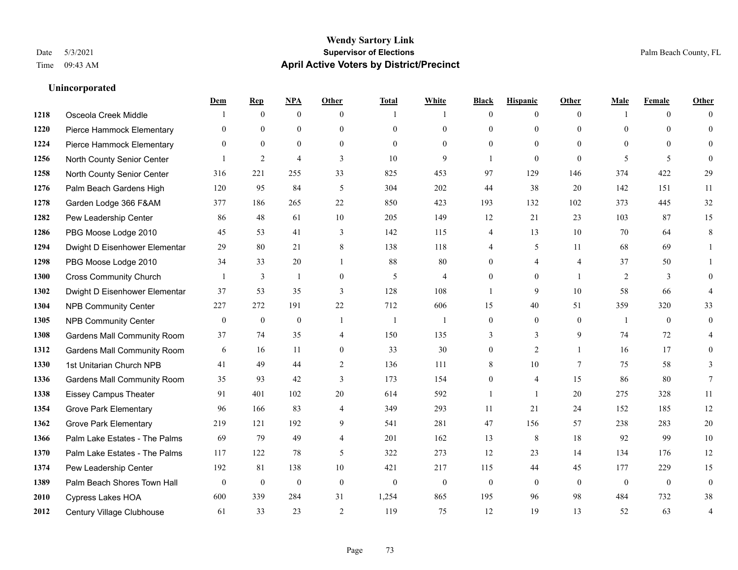|      |                                    | Dem            | <b>Rep</b>       | NPA              | <b>Other</b>   | <b>Total</b>     | <b>White</b>     | <b>Black</b>     | <b>Hispanic</b> | <b>Other</b>    | <b>Male</b>  | <b>Female</b> | <b>Other</b>   |
|------|------------------------------------|----------------|------------------|------------------|----------------|------------------|------------------|------------------|-----------------|-----------------|--------------|---------------|----------------|
| 1218 | Osceola Creek Middle               |                | $\mathbf{0}$     | $\mathbf{0}$     | $\theta$       | $\overline{1}$   |                  | $\theta$         | $\overline{0}$  | $\theta$        | $\mathbf{1}$ | $\theta$      | $\Omega$       |
| 1220 | Pierce Hammock Elementary          | $\theta$       | $\theta$         | $\theta$         | $\theta$       | $\theta$         | $\overline{0}$   | $\theta$         | $\overline{0}$  | $\Omega$        | $\theta$     | $\Omega$      | $\theta$       |
| 1224 | Pierce Hammock Elementary          | $\theta$       | $\mathbf{0}$     | $\mathbf{0}$     | $\theta$       | $\theta$         | $\theta$         | $\Omega$         | $\overline{0}$  | $\Omega$        | $\theta$     | $\Omega$      | $\theta$       |
| 1256 | North County Senior Center         |                | $\overline{c}$   | $\overline{4}$   | 3              | 10               | 9                | 1                | $\overline{0}$  | $\theta$        | 5            | 5             | $\theta$       |
| 1258 | North County Senior Center         | 316            | 221              | 255              | 33             | 825              | 453              | 97               | 129             | 146             | 374          | 422           | 29             |
| 1276 | Palm Beach Gardens High            | 120            | 95               | 84               | 5              | 304              | 202              | 44               | 38              | 20              | 142          | 151           | 11             |
| 1278 | Garden Lodge 366 F&AM              | 377            | 186              | 265              | 22             | 850              | 423              | 193              | 132             | 102             | 373          | 445           | 32             |
| 1282 | Pew Leadership Center              | 86             | 48               | 61               | 10             | 205              | 149              | 12               | 21              | 23              | 103          | 87            | 15             |
| 1286 | PBG Moose Lodge 2010               | 45             | 53               | 41               | 3              | 142              | 115              | 4                | 13              | 10              | 70           | 64            | 8              |
| 1294 | Dwight D Eisenhower Elementar      | 29             | 80               | 21               | 8              | 138              | 118              | 4                | 5               | 11              | 68           | 69            | 1              |
| 1298 | PBG Moose Lodge 2010               | 34             | 33               | 20               | $\overline{1}$ | 88               | 80               | $\Omega$         | 4               | $\overline{4}$  | 37           | 50            |                |
| 1300 | <b>Cross Community Church</b>      |                | 3                | 1                | $\mathbf{0}$   | 5                | $\overline{4}$   | $\overline{0}$   | $\overline{0}$  | $\overline{1}$  | 2            | 3             | $\theta$       |
| 1302 | Dwight D Eisenhower Elementar      | 37             | 53               | 35               | 3              | 128              | 108              | 1                | 9               | 10              | 58           | 66            | $\overline{4}$ |
| 1304 | <b>NPB Community Center</b>        | 227            | 272              | 191              | 22             | 712              | 606              | 15               | 40              | 51              | 359          | 320           | 33             |
| 1305 | <b>NPB Community Center</b>        | $\mathbf{0}$   | $\mathbf{0}$     | $\mathbf{0}$     | $\overline{1}$ | -1               | $\overline{1}$   | 0                | $\overline{0}$  | $\theta$        | -1           | $\theta$      | $\mathbf{0}$   |
| 1308 | <b>Gardens Mall Community Room</b> | 37             | 74               | 35               | $\overline{4}$ | 150              | 135              | 3                | $\overline{3}$  | 9               | 74           | 72            | 4              |
| 1312 | <b>Gardens Mall Community Room</b> | 6              | 16               | 11               | $\mathbf{0}$   | 33               | 30               | $\boldsymbol{0}$ | $\overline{2}$  | $\overline{1}$  | 16           | 17            | $\mathbf{0}$   |
| 1330 | 1st Unitarian Church NPB           | 41             | 49               | 44               | 2              | 136              | 111              | 8                | 10              | $7\phantom{.0}$ | 75           | 58            | 3              |
| 1336 | <b>Gardens Mall Community Room</b> | 35             | 93               | 42               | 3              | 173              | 154              | $\overline{0}$   | 4               | 15              | 86           | 80            | 7              |
| 1338 | <b>Eissey Campus Theater</b>       | 91             | 401              | 102              | 20             | 614              | 592              | 1                | $\mathbf{1}$    | 20              | 275          | 328           | 11             |
| 1354 | <b>Grove Park Elementary</b>       | 96             | 166              | 83               | $\overline{4}$ | 349              | 293              | 11               | 21              | 24              | 152          | 185           | 12             |
| 1362 | <b>Grove Park Elementary</b>       | 219            | 121              | 192              | 9              | 541              | 281              | 47               | 156             | 57              | 238          | 283           | $20\,$         |
| 1366 | Palm Lake Estates - The Palms      | 69             | 79               | 49               | $\overline{4}$ | 201              | 162              | 13               | 8               | 18              | 92           | 99            | $10\,$         |
| 1370 | Palm Lake Estates - The Palms      | 117            | 122              | 78               | 5              | 322              | 273              | 12               | 23              | 14              | 134          | 176           | 12             |
| 1374 | Pew Leadership Center              | 192            | 81               | 138              | 10             | 421              | 217              | 115              | 44              | 45              | 177          | 229           | 15             |
| 1389 | Palm Beach Shores Town Hall        | $\overline{0}$ | $\boldsymbol{0}$ | $\boldsymbol{0}$ | $\mathbf{0}$   | $\boldsymbol{0}$ | $\boldsymbol{0}$ | $\boldsymbol{0}$ | $\mathbf{0}$    | $\theta$        | $\mathbf{0}$ | $\mathbf{0}$  | $\mathbf{0}$   |
| 2010 | <b>Cypress Lakes HOA</b>           | 600            | 339              | 284              | 31             | 1,254            | 865              | 195              | 96              | 98              | 484          | 732           | 38             |
| 2012 | Century Village Clubhouse          | 61             | 33               | 23               | 2              | 119              | 75               | 12               | 19              | 13              | 52           | 63            | 4              |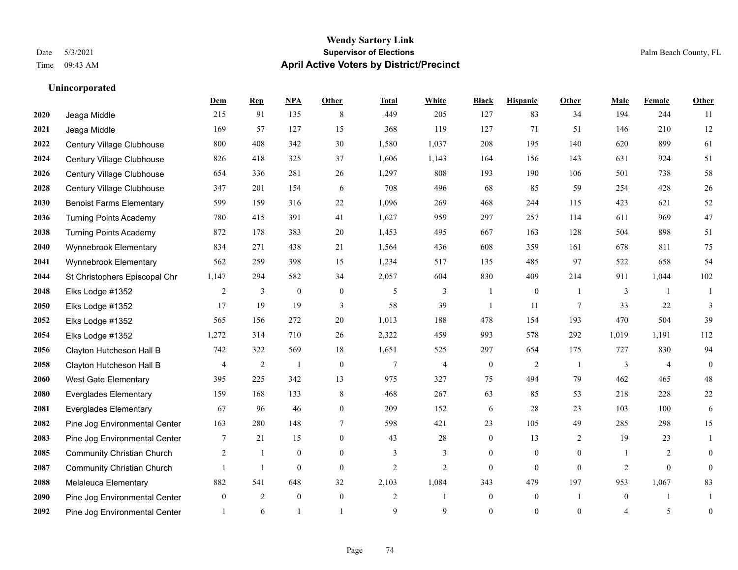|      |                                   | Dem            | <b>Rep</b>     | NPA          | <b>Other</b>   | <b>Total</b>   | <b>White</b>             | <b>Black</b>     | <b>Hispanic</b> | <b>Other</b>   | <b>Male</b>    | <b>Female</b>    | <b>Other</b>   |
|------|-----------------------------------|----------------|----------------|--------------|----------------|----------------|--------------------------|------------------|-----------------|----------------|----------------|------------------|----------------|
| 2020 | Jeaga Middle                      | 215            | 91             | 135          | 8              | 449            | 205                      | 127              | 83              | 34             | 194            | 244              | -11            |
| 2021 | Jeaga Middle                      | 169            | 57             | 127          | 15             | 368            | 119                      | 127              | 71              | 51             | 146            | 210              | 12             |
| 2022 | Century Village Clubhouse         | 800            | 408            | 342          | 30             | 1,580          | 1,037                    | 208              | 195             | 140            | 620            | 899              | 61             |
| 2024 | Century Village Clubhouse         | 826            | 418            | 325          | 37             | 1,606          | 1,143                    | 164              | 156             | 143            | 631            | 924              | 51             |
| 2026 | Century Village Clubhouse         | 654            | 336            | 281          | 26             | 1,297          | 808                      | 193              | 190             | 106            | 501            | 738              | 58             |
| 2028 | Century Village Clubhouse         | 347            | 201            | 154          | 6              | 708            | 496                      | 68               | 85              | 59             | 254            | 428              | 26             |
| 2030 | <b>Benoist Farms Elementary</b>   | 599            | 159            | 316          | 22             | 1,096          | 269                      | 468              | 244             | 115            | 423            | 621              | 52             |
| 2036 | <b>Turning Points Academy</b>     | 780            | 415            | 391          | 41             | 1,627          | 959                      | 297              | 257             | 114            | 611            | 969              | 47             |
| 2038 | <b>Turning Points Academy</b>     | 872            | 178            | 383          | $20\,$         | 1,453          | 495                      | 667              | 163             | 128            | 504            | 898              | 51             |
| 2040 | Wynnebrook Elementary             | 834            | 271            | 438          | 21             | 1,564          | 436                      | 608              | 359             | 161            | 678            | 811              | 75             |
| 2041 | Wynnebrook Elementary             | 562            | 259            | 398          | 15             | 1,234          | 517                      | 135              | 485             | 97             | 522            | 658              | 54             |
| 2044 | St Christophers Episcopal Chr     | 1,147          | 294            | 582          | 34             | 2,057          | 604                      | 830              | 409             | 214            | 911            | 1,044            | 102            |
| 2048 | Elks Lodge #1352                  | 2              | 3              | $\mathbf{0}$ | $\mathbf{0}$   | 5              | 3                        | $\overline{1}$   | $\overline{0}$  | $\overline{1}$ | 3              | $\mathbf{1}$     | $\overline{1}$ |
| 2050 | Elks Lodge #1352                  | 17             | 19             | 19           | 3              | 58             | 39                       |                  | 11              | $\overline{7}$ | 33             | 22               | 3              |
| 2052 | Elks Lodge #1352                  | 565            | 156            | 272          | 20             | 1,013          | 188                      | 478              | 154             | 193            | 470            | 504              | 39             |
| 2054 | Elks Lodge #1352                  | 1,272          | 314            | 710          | 26             | 2,322          | 459                      | 993              | 578             | 292            | 1,019          | 1,191            | 112            |
| 2056 | Clayton Hutcheson Hall B          | 742            | 322            | 569          | 18             | 1,651          | 525                      | 297              | 654             | 175            | 727            | 830              | 94             |
| 2058 | Clayton Hutcheson Hall B          | 4              | $\overline{c}$ | -1           | $\mathbf{0}$   | 7              | $\overline{\mathcal{L}}$ | $\boldsymbol{0}$ | $\overline{c}$  | -1             | 3              | $\overline{4}$   | $\overline{0}$ |
| 2060 | <b>West Gate Elementary</b>       | 395            | 225            | 342          | 13             | 975            | 327                      | 75               | 494             | 79             | 462            | 465              | 48             |
| 2080 | <b>Everglades Elementary</b>      | 159            | 168            | 133          | $\,8\,$        | 468            | 267                      | 63               | 85              | 53             | 218            | 228              | 22             |
| 2081 | <b>Everglades Elementary</b>      | 67             | 96             | 46           | $\theta$       | 209            | 152                      | 6                | 28              | 23             | 103            | 100              | 6              |
| 2082 | Pine Jog Environmental Center     | 163            | 280            | 148          | 7              | 598            | 421                      | 23               | 105             | 49             | 285            | 298              | 15             |
| 2083 | Pine Jog Environmental Center     | 7              | 21             | 15           | $\overline{0}$ | 43             | 28                       | $\boldsymbol{0}$ | 13              | 2              | 19             | 23               | 1              |
| 2085 | <b>Community Christian Church</b> | $\overline{2}$ | -1             | $\mathbf{0}$ | $\theta$       | 3              | 3                        | $\overline{0}$   | $\overline{0}$  | $\theta$       | -1             | 2                | $\overline{0}$ |
| 2087 | <b>Community Christian Church</b> |                | $\mathbf{1}$   | $\mathbf{0}$ | $\mathbf{0}$   | $\overline{c}$ | $\overline{c}$           | $\mathbf{0}$     | $\mathbf{0}$    | $\mathbf{0}$   | $\overline{2}$ | $\boldsymbol{0}$ | $\overline{0}$ |
| 2088 | Melaleuca Elementary              | 882            | 541            | 648          | 32             | 2,103          | 1,084                    | 343              | 479             | 197            | 953            | 1,067            | 83             |
| 2090 | Pine Jog Environmental Center     | $\overline{0}$ | $\overline{2}$ | $\mathbf{0}$ | $\mathbf{0}$   | $\overline{c}$ | -1                       | $\overline{0}$   | $\overline{0}$  | -1             | $\mathbf{0}$   | $\mathbf{1}$     |                |
| 2092 | Pine Jog Environmental Center     |                | 6              |              |                | 9              | 9                        | $\theta$         | $\theta$        | $\theta$       | 4              | 5                | $\mathbf{0}$   |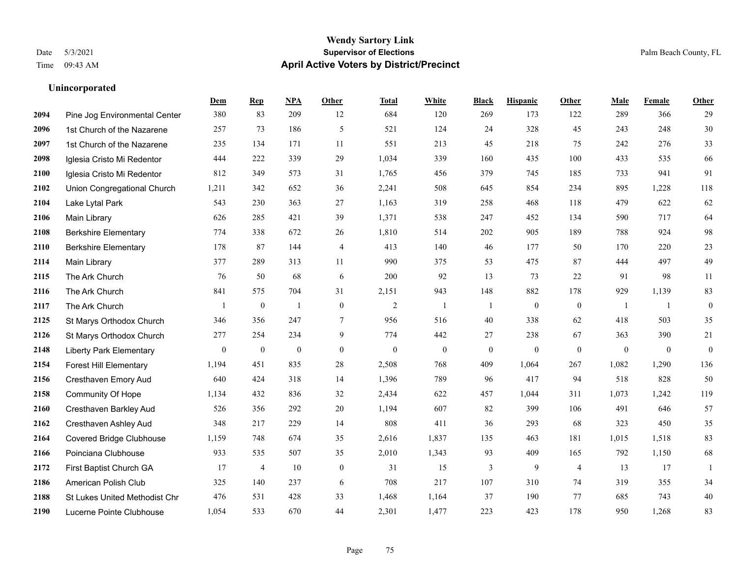#### **Wendy Sartory Link** Date 5/3/2021 **Supervisor of Elections** Palm Beach County, FL Time 09:43 AM **April Active Voters by District/Precinct**

Pine Jog Environmental Center 380 83 209 12 684 120 269 173 122 289 366 29

**Dem Rep NPA Other Total White Black Hispanic Other Male Female Other**

# 1st Church of the Nazarene 257 73 186 5 521 124 24 328 45 243 248 30 1st Church of the Nazarene 235 134 171 11 551 213 45 218 75 242 276 33 Iglesia Cristo Mi Redentor 444 222 339 29 1,034 339 160 435 100 433 535 66 Iglesia Cristo Mi Redentor 812 349 573 31 1,765 456 379 745 185 733 941 91 Union Congregational Church 1,211 342 652 36 2,241 508 645 854 234 895 1,228 118 Lake Lytal Park 543 230 363 27 1,163 319 258 468 118 479 622 62 Main Library 626 285 421 39 1,371 538 247 452 134 590 717 64 Berkshire Elementary 774 338 672 26 1,810 514 202 905 189 788 924 98 Berkshire Elementary 178 87 144 4 413 140 46 177 50 170 220 23 Main Library 377 289 313 11 990 375 53 475 87 444 497 49 The Ark Church 76 50 68 6 200 92 13 73 22 91 98 11 The Ark Church 841 575 704 31 2,151 943 148 882 178 929 1,139 83 The Ark Church 1 0 1 0 2 1 1 0 0 1 1 0 St Marys Orthodox Church 346 356 247 7 956 516 40 338 62 418 503 35 St Marys Orthodox Church 277 254 234 9 774 442 27 238 67 363 390 21 Liberty Park Elementary 0 0 0 0 0 0 0 0 0 0 0 0 Forest Hill Elementary 1,194 451 835 28 2,508 768 409 1,064 267 1,082 1,290 136 Cresthaven Emory Aud 640 424 318 14 1,396 789 96 417 94 518 828 50 Community Of Hope 1,134 432 836 32 2,434 622 457 1,044 311 1,073 1,242 119 Cresthaven Barkley Aud 526 356 292 20 1,194 607 82 399 106 491 646 57 Cresthaven Ashley Aud 348 217 229 14 808 411 36 293 68 323 450 35 Covered Bridge Clubhouse 1,159 748 674 35 2,616 1,837 135 463 181 1,015 1,518 83 Poinciana Clubhouse 933 535 507 35 2,010 1,343 93 409 165 792 1,150 68

 First Baptist Church GA 17 4 10 0 31 15 3 9 4 13 17 1 American Polish Club 325 140 237 6 708 217 107 310 74 319 355 34 St Lukes United Methodist Chr 476 531 428 33 1,468 1,164 37 190 77 685 743 40 Lucerne Pointe Clubhouse 1,054 533 670 44 2,301 1,477 223 423 178 950 1,268 83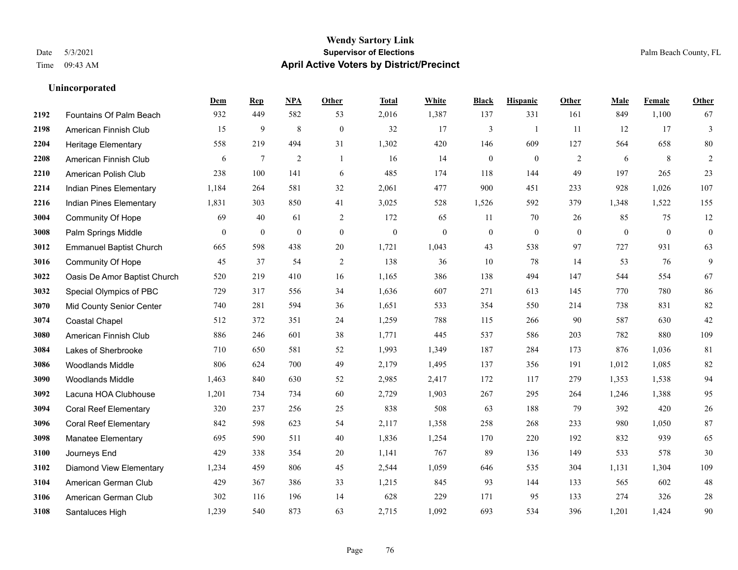|      |                                | Dem            | <b>Rep</b>       | NPA            | <b>Other</b>     | <b>Total</b>     | White        | <b>Black</b>     | <b>Hispanic</b> | Other          | <b>Male</b>    | Female       | <b>Other</b>     |
|------|--------------------------------|----------------|------------------|----------------|------------------|------------------|--------------|------------------|-----------------|----------------|----------------|--------------|------------------|
| 2192 | Fountains Of Palm Beach        | 932            | 449              | 582            | 53               | 2,016            | 1,387        | 137              | 331             | 161            | 849            | 1,100        | 67               |
| 2198 | American Finnish Club          | 15             | 9                | 8              | $\boldsymbol{0}$ | 32               | 17           | 3                | 1               | 11             | 12             | 17           | $\mathfrak{Z}$   |
| 2204 | <b>Heritage Elementary</b>     | 558            | 219              | 494            | 31               | 1,302            | 420          | 146              | 609             | 127            | 564            | 658          | 80               |
| 2208 | American Finnish Club          | 6              | $\tau$           | $\overline{2}$ | $\overline{1}$   | 16               | 14           | $\boldsymbol{0}$ | $\mathbf{0}$    | $\overline{2}$ | 6              | 8            | $\sqrt{2}$       |
| 2210 | American Polish Club           | 238            | 100              | 141            | 6                | 485              | 174          | 118              | 144             | 49             | 197            | 265          | 23               |
| 2214 | Indian Pines Elementary        | 1,184          | 264              | 581            | 32               | 2,061            | 477          | 900              | 451             | 233            | 928            | 1,026        | 107              |
| 2216 | Indian Pines Elementary        | 1,831          | 303              | 850            | 41               | 3,025            | 528          | 1,526            | 592             | 379            | 1,348          | 1,522        | 155              |
| 3004 | <b>Community Of Hope</b>       | 69             | 40               | 61             | 2                | 172              | 65           | 11               | 70              | 26             | 85             | 75           | 12               |
| 3008 | Palm Springs Middle            | $\overline{0}$ | $\boldsymbol{0}$ | $\mathbf{0}$   | $\mathbf{0}$     | $\boldsymbol{0}$ | $\mathbf{0}$ | $\boldsymbol{0}$ | $\mathbf{0}$    | $\mathbf{0}$   | $\overline{0}$ | $\mathbf{0}$ | $\boldsymbol{0}$ |
| 3012 | <b>Emmanuel Baptist Church</b> | 665            | 598              | 438            | 20               | 1,721            | 1,043        | 43               | 538             | 97             | 727            | 931          | 63               |
| 3016 | <b>Community Of Hope</b>       | 45             | 37               | 54             | 2                | 138              | 36           | 10               | 78              | 14             | 53             | 76           | 9                |
| 3022 | Oasis De Amor Baptist Church   | 520            | 219              | 410            | 16               | 1,165            | 386          | 138              | 494             | 147            | 544            | 554          | 67               |
| 3032 | Special Olympics of PBC        | 729            | 317              | 556            | 34               | 1,636            | 607          | 271              | 613             | 145            | 770            | 780          | 86               |
| 3070 | Mid County Senior Center       | 740            | 281              | 594            | 36               | 1,651            | 533          | 354              | 550             | 214            | 738            | 831          | 82               |
| 3074 | <b>Coastal Chapel</b>          | 512            | 372              | 351            | 24               | 1,259            | 788          | 115              | 266             | 90             | 587            | 630          | $42\,$           |
| 3080 | American Finnish Club          | 886            | 246              | 601            | 38               | 1,771            | 445          | 537              | 586             | 203            | 782            | 880          | 109              |
| 3084 | Lakes of Sherbrooke            | 710            | 650              | 581            | 52               | 1,993            | 1,349        | 187              | 284             | 173            | 876            | 1,036        | 81               |
| 3086 | <b>Woodlands Middle</b>        | 806            | 624              | 700            | 49               | 2,179            | 1,495        | 137              | 356             | 191            | 1,012          | 1,085        | 82               |
| 3090 | Woodlands Middle               | 1,463          | 840              | 630            | 52               | 2,985            | 2,417        | 172              | 117             | 279            | 1,353          | 1,538        | 94               |
| 3092 | Lacuna HOA Clubhouse           | 1,201          | 734              | 734            | 60               | 2,729            | 1,903        | 267              | 295             | 264            | 1,246          | 1,388        | 95               |
| 3094 | <b>Coral Reef Elementary</b>   | 320            | 237              | 256            | 25               | 838              | 508          | 63               | 188             | 79             | 392            | 420          | $26\,$           |
| 3096 | <b>Coral Reef Elementary</b>   | 842            | 598              | 623            | 54               | 2,117            | 1,358        | 258              | 268             | 233            | 980            | 1,050        | 87               |
| 3098 | Manatee Elementary             | 695            | 590              | 511            | 40               | 1,836            | 1,254        | 170              | 220             | 192            | 832            | 939          | 65               |
| 3100 | Journeys End                   | 429            | 338              | 354            | 20               | 1,141            | 767          | 89               | 136             | 149            | 533            | 578          | 30               |
| 3102 | <b>Diamond View Elementary</b> | 1,234          | 459              | 806            | 45               | 2,544            | 1,059        | 646              | 535             | 304            | 1,131          | 1,304        | 109              |
| 3104 | American German Club           | 429            | 367              | 386            | 33               | 1,215            | 845          | 93               | 144             | 133            | 565            | 602          | 48               |
| 3106 | American German Club           | 302            | 116              | 196            | 14               | 628              | 229          | 171              | 95              | 133            | 274            | 326          | $28\,$           |
| 3108 | Santaluces High                | 1,239          | 540              | 873            | 63               | 2,715            | 1,092        | 693              | 534             | 396            | 1,201          | 1,424        | 90               |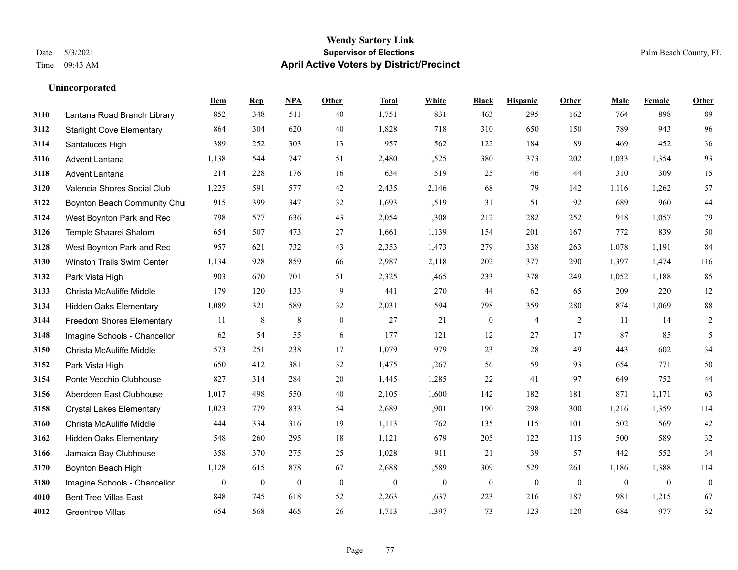|      |                                   | Dem          | <b>Rep</b>       | NPA              | <b>Other</b>     | <b>Total</b>     | <b>White</b> | <b>Black</b>     | <b>Hispanic</b>  | <b>Other</b>     | <b>Male</b>      | Female       | <b>Other</b>     |
|------|-----------------------------------|--------------|------------------|------------------|------------------|------------------|--------------|------------------|------------------|------------------|------------------|--------------|------------------|
| 3110 | Lantana Road Branch Library       | 852          | 348              | 511              | 40               | 1,751            | 831          | 463              | 295              | 162              | 764              | 898          | 89               |
| 3112 | <b>Starlight Cove Elementary</b>  | 864          | 304              | 620              | 40               | 1,828            | 718          | 310              | 650              | 150              | 789              | 943          | 96               |
| 3114 | Santaluces High                   | 389          | 252              | 303              | 13               | 957              | 562          | 122              | 184              | 89               | 469              | 452          | 36               |
| 3116 | Advent Lantana                    | 1,138        | 544              | 747              | 51               | 2,480            | 1,525        | 380              | 373              | 202              | 1,033            | 1,354        | 93               |
| 3118 | Advent Lantana                    | 214          | 228              | 176              | 16               | 634              | 519          | 25               | 46               | 44               | 310              | 309          | 15               |
| 3120 | Valencia Shores Social Club       | 1,225        | 591              | 577              | 42               | 2,435            | 2,146        | 68               | 79               | 142              | 1,116            | 1,262        | 57               |
| 3122 | Boynton Beach Community Chur      | 915          | 399              | 347              | 32               | 1,693            | 1,519        | 31               | 51               | 92               | 689              | 960          | $44\,$           |
| 3124 | West Boynton Park and Rec         | 798          | 577              | 636              | 43               | 2,054            | 1,308        | 212              | 282              | 252              | 918              | 1,057        | 79               |
| 3126 | Temple Shaarei Shalom             | 654          | 507              | 473              | 27               | 1,661            | 1,139        | 154              | 201              | 167              | 772              | 839          | 50               |
| 3128 | West Boynton Park and Rec         | 957          | 621              | 732              | 43               | 2,353            | 1,473        | 279              | 338              | 263              | 1,078            | 1,191        | 84               |
| 3130 | <b>Winston Trails Swim Center</b> | 1,134        | 928              | 859              | 66               | 2,987            | 2,118        | 202              | 377              | 290              | 1,397            | 1,474        | 116              |
| 3132 | Park Vista High                   | 903          | 670              | 701              | 51               | 2,325            | 1,465        | 233              | 378              | 249              | 1,052            | 1,188        | 85               |
| 3133 | Christa McAuliffe Middle          | 179          | 120              | 133              | 9                | 441              | 270          | 44               | 62               | 65               | 209              | 220          | 12               |
| 3134 | Hidden Oaks Elementary            | 1,089        | 321              | 589              | 32               | 2,031            | 594          | 798              | 359              | 280              | 874              | 1,069        | $88\,$           |
| 3144 | Freedom Shores Elementary         | 11           | 8                | $\,8\,$          | $\mathbf{0}$     | 27               | 21           | $\boldsymbol{0}$ | $\overline{4}$   | 2                | 11               | 14           | $\overline{c}$   |
| 3148 | Imagine Schools - Chancellor      | 62           | 54               | 55               | 6                | 177              | 121          | 12               | 27               | 17               | 87               | 85           | 5                |
| 3150 | Christa McAuliffe Middle          | 573          | 251              | 238              | 17               | 1,079            | 979          | 23               | 28               | 49               | 443              | 602          | 34               |
| 3152 | Park Vista High                   | 650          | 412              | 381              | 32               | 1,475            | 1,267        | 56               | 59               | 93               | 654              | 771          | 50               |
| 3154 | Ponte Vecchio Clubhouse           | 827          | 314              | 284              | $20\,$           | 1,445            | 1,285        | $22\,$           | 41               | 97               | 649              | 752          | $44\,$           |
| 3156 | Aberdeen East Clubhouse           | 1,017        | 498              | 550              | 40               | 2,105            | 1,600        | 142              | 182              | 181              | 871              | 1,171        | 63               |
| 3158 | <b>Crystal Lakes Elementary</b>   | 1,023        | 779              | 833              | 54               | 2,689            | 1,901        | 190              | 298              | 300              | 1,216            | 1,359        | 114              |
| 3160 | Christa McAuliffe Middle          | 444          | 334              | 316              | 19               | 1,113            | 762          | 135              | 115              | 101              | 502              | 569          | 42               |
| 3162 | <b>Hidden Oaks Elementary</b>     | 548          | 260              | 295              | 18               | 1,121            | 679          | 205              | 122              | 115              | 500              | 589          | 32               |
| 3166 | Jamaica Bay Clubhouse             | 358          | 370              | 275              | 25               | 1,028            | 911          | 21               | 39               | 57               | 442              | 552          | 34               |
| 3170 | Boynton Beach High                | 1,128        | 615              | 878              | 67               | 2,688            | 1,589        | 309              | 529              | 261              | 1,186            | 1,388        | 114              |
| 3180 | Imagine Schools - Chancellor      | $\mathbf{0}$ | $\boldsymbol{0}$ | $\boldsymbol{0}$ | $\boldsymbol{0}$ | $\boldsymbol{0}$ | $\mathbf{0}$ | $\bf{0}$         | $\boldsymbol{0}$ | $\boldsymbol{0}$ | $\boldsymbol{0}$ | $\mathbf{0}$ | $\boldsymbol{0}$ |
| 4010 | <b>Bent Tree Villas East</b>      | 848          | 745              | 618              | 52               | 2,263            | 1,637        | 223              | 216              | 187              | 981              | 1,215        | 67               |
| 4012 | Greentree Villas                  | 654          | 568              | 465              | 26               | 1,713            | 1,397        | 73               | 123              | 120              | 684              | 977          | 52               |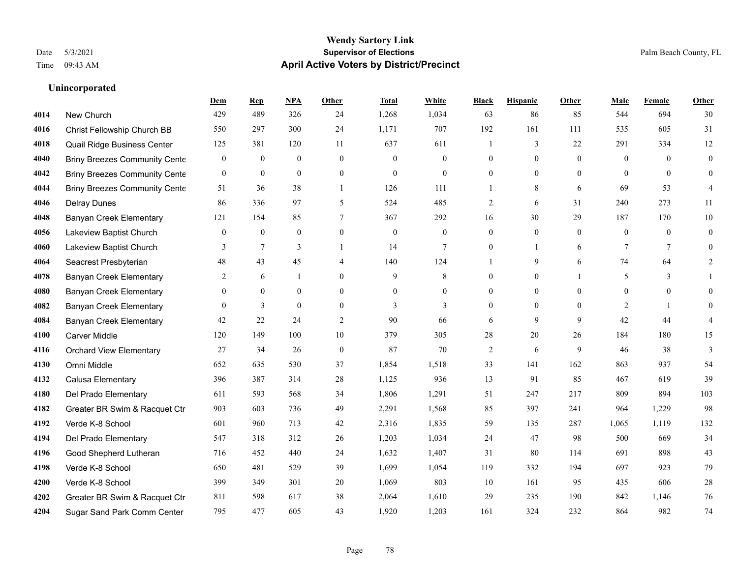#### **Wendy Sartory Link** Date 5/3/2021 **Supervisor of Elections** Palm Beach County, FL Time 09:43 AM **April Active Voters by District/Precinct**

# **Dem Rep NPA Other Total White Black Hispanic Other Male Female Other** New Church 429 489 326 24 1,268 1,034 63 86 85 544 694 30 Christ Fellowship Church BB 550 297 300 24 1,171 707 192 161 111 535 605 31 Quail Ridge Business Center 125 381 120 11 637 611 1 3 22 291 334 12 Briny Breezes Community Center 0 0 0 0 0 0 0 0 0 0 0 0 Briny Breezes Community Center 0 0 0 0 0 0 0 0 0 0 0 0 Briny Breezes Community Cente 51 36 38 1 126 111 1 1 8 6 69 53 4 Delray Dunes 86 336 97 5 524 485 2 6 31 240 273 11 Banyan Creek Elementary 121 154 85 7 367 292 16 30 29 187 170 10 Lakeview Baptist Church 0 0 0 0 0 0 0 0 0 0 0 0 Lakeview Baptist Church 3 7 3 1 14 7 0 1 6 7 7 0 Seacrest Presbyterian **48** 43 45 4 140 124 1 9 6 74 64 2 **4078 Banyan Creek Elementary 2 6 1 0 9 8 0 0 1 5 3 1**  Banyan Creek Elementary 0 0 0 0 0 0 0 0 0 0 0 0 **4082 Banyan Creek Elementary 0 3 0 0 3 3 3 0 0 0 2 1 0**  Banyan Creek Elementary 42 22 24 2 90 66 6 9 9 42 44 4 Carver Middle 120 149 100 10 379 305 28 20 26 184 180 15 Orchard View Elementary 27 34 26 0 87 70 2 6 9 46 38 3 Omni Middle 652 635 530 37 1,854 1,518 33 141 162 863 937 54 Calusa Elementary 396 387 314 28 1,125 936 13 91 85 467 619 39 Del Prado Elementary 611 593 568 34 1,806 1,291 51 247 217 809 894 103 Greater BR Swim & Racquet Ctr 903 603 736 49 2,291 1,568 85 397 241 964 1,229 98 Verde K-8 School 601 960 713 42 2,316 1,835 59 135 287 1,065 1,119 132 Del Prado Elementary 547 318 312 26 1,203 1,034 24 47 98 500 669 34 Good Shepherd Lutheran 716 452 440 24 1,632 1,407 31 80 114 691 898 43 Verde K-8 School 650 481 529 39 1,699 1,054 119 332 194 697 923 79 Verde K-8 School 399 349 301 20 1,069 803 10 161 95 435 606 28 Greater BR Swim & Racquet Ctr 811 598 617 38 2,064 1,610 29 235 190 842 1,146 76

Sugar Sand Park Comm Center 795 477 605 43 1,920 1,203 161 324 232 864 982 74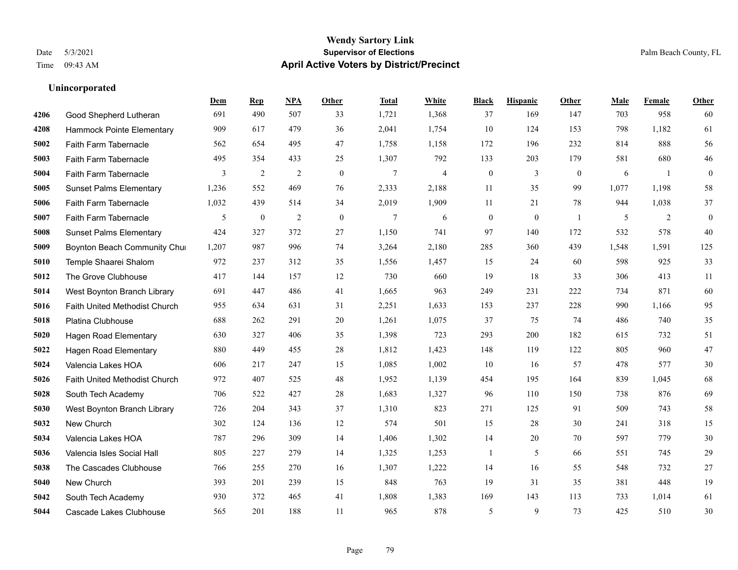|      |                                      | Dem   | <b>Rep</b>       | NPA            | <b>Other</b> | <b>Total</b> | White                   | <b>Black</b>     | <b>Hispanic</b> | <b>Other</b>   | <b>Male</b> | Female | <b>Other</b>     |
|------|--------------------------------------|-------|------------------|----------------|--------------|--------------|-------------------------|------------------|-----------------|----------------|-------------|--------|------------------|
| 4206 | Good Shepherd Lutheran               | 691   | 490              | 507            | 33           | 1,721        | 1,368                   | 37               | 169             | 147            | 703         | 958    | 60               |
| 4208 | Hammock Pointe Elementary            | 909   | 617              | 479            | 36           | 2,041        | 1,754                   | 10               | 124             | 153            | 798         | 1,182  | 61               |
| 5002 | Faith Farm Tabernacle                | 562   | 654              | 495            | 47           | 1,758        | 1,158                   | 172              | 196             | 232            | 814         | 888    | 56               |
| 5003 | Faith Farm Tabernacle                | 495   | 354              | 433            | 25           | 1,307        | 792                     | 133              | 203             | 179            | 581         | 680    | $46\,$           |
| 5004 | Faith Farm Tabernacle                | 3     | $\overline{c}$   | $\sqrt{2}$     | $\mathbf{0}$ | $\tau$       | $\overline{\mathbf{4}}$ | $\boldsymbol{0}$ | 3               | $\overline{0}$ | 6           | -1     | $\boldsymbol{0}$ |
| 5005 | <b>Sunset Palms Elementary</b>       | 1,236 | 552              | 469            | 76           | 2,333        | 2,188                   | 11               | 35              | 99             | 1,077       | 1,198  | 58               |
| 5006 | Faith Farm Tabernacle                | 1,032 | 439              | 514            | 34           | 2,019        | 1,909                   | 11               | 21              | 78             | 944         | 1,038  | 37               |
| 5007 | Faith Farm Tabernacle                | 5     | $\boldsymbol{0}$ | $\overline{2}$ | $\theta$     | $\tau$       | 6                       | $\boldsymbol{0}$ | $\mathbf{0}$    | $\overline{1}$ | 5           | 2      | $\boldsymbol{0}$ |
| 5008 | <b>Sunset Palms Elementary</b>       | 424   | 327              | 372            | 27           | 1,150        | 741                     | 97               | 140             | 172            | 532         | 578    | 40               |
| 5009 | Boynton Beach Community Chur         | 1,207 | 987              | 996            | 74           | 3,264        | 2,180                   | 285              | 360             | 439            | 1,548       | 1.591  | 125              |
| 5010 | Temple Shaarei Shalom                | 972   | 237              | 312            | 35           | 1,556        | 1,457                   | 15               | 24              | 60             | 598         | 925    | 33               |
| 5012 | The Grove Clubhouse                  | 417   | 144              | 157            | 12           | 730          | 660                     | 19               | 18              | 33             | 306         | 413    | 11               |
| 5014 | West Boynton Branch Library          | 691   | 447              | 486            | 41           | 1,665        | 963                     | 249              | 231             | 222            | 734         | 871    | 60               |
| 5016 | <b>Faith United Methodist Church</b> | 955   | 634              | 631            | 31           | 2,251        | 1,633                   | 153              | 237             | 228            | 990         | 1,166  | 95               |
| 5018 | Platina Clubhouse                    | 688   | 262              | 291            | 20           | 1,261        | 1,075                   | 37               | 75              | 74             | 486         | 740    | 35               |
| 5020 | <b>Hagen Road Elementary</b>         | 630   | 327              | 406            | 35           | 1,398        | 723                     | 293              | 200             | 182            | 615         | 732    | 51               |
| 5022 | <b>Hagen Road Elementary</b>         | 880   | 449              | 455            | 28           | 1,812        | 1,423                   | 148              | 119             | 122            | 805         | 960    | 47               |
| 5024 | Valencia Lakes HOA                   | 606   | 217              | 247            | 15           | 1,085        | 1,002                   | 10               | 16              | 57             | 478         | 577    | $30\,$           |
| 5026 | Faith United Methodist Church        | 972   | 407              | 525            | 48           | 1,952        | 1,139                   | 454              | 195             | 164            | 839         | 1,045  | 68               |
| 5028 | South Tech Academy                   | 706   | 522              | 427            | 28           | 1,683        | 1,327                   | 96               | 110             | 150            | 738         | 876    | 69               |
| 5030 | West Boynton Branch Library          | 726   | 204              | 343            | 37           | 1,310        | 823                     | 271              | 125             | 91             | 509         | 743    | 58               |
| 5032 | New Church                           | 302   | 124              | 136            | 12           | 574          | 501                     | 15               | 28              | 30             | 241         | 318    | 15               |
| 5034 | Valencia Lakes HOA                   | 787   | 296              | 309            | 14           | 1,406        | 1,302                   | 14               | 20              | 70             | 597         | 779    | 30               |
| 5036 | Valencia Isles Social Hall           | 805   | 227              | 279            | 14           | 1,325        | 1,253                   | 1                | 5               | 66             | 551         | 745    | 29               |
| 5038 | The Cascades Clubhouse               | 766   | 255              | 270            | 16           | 1,307        | 1,222                   | 14               | 16              | 55             | 548         | 732    | 27               |
| 5040 | New Church                           | 393   | 201              | 239            | 15           | 848          | 763                     | 19               | 31              | 35             | 381         | 448    | 19               |
| 5042 | South Tech Academy                   | 930   | 372              | 465            | 41           | 1,808        | 1,383                   | 169              | 143             | 113            | 733         | 1,014  | 61               |
| 5044 | Cascade Lakes Clubhouse              | 565   | 201              | 188            | 11           | 965          | 878                     | 5                | 9               | 73             | 425         | 510    | 30               |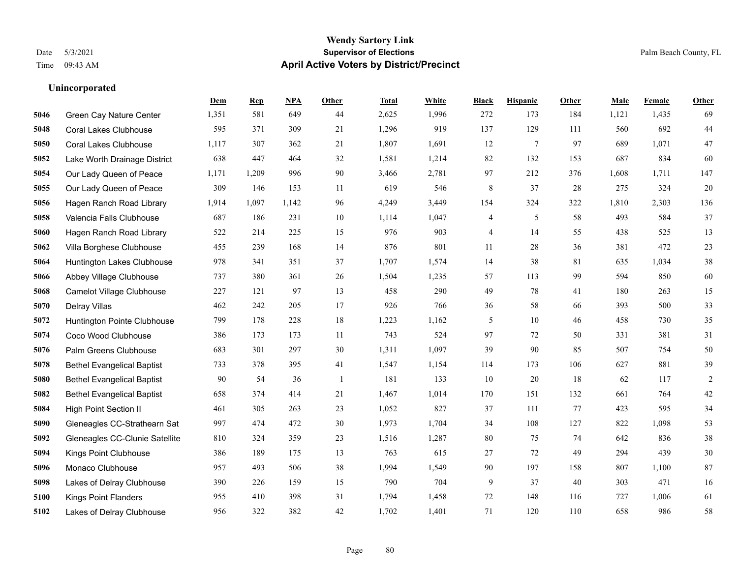#### **Wendy Sartory Link** Date 5/3/2021 **Supervisor of Elections** Palm Beach County, FL Time 09:43 AM **April Active Voters by District/Precinct**

# **Dem Rep NPA Other Total White Black Hispanic Other Male Female Other** Green Cay Nature Center 1,351 581 649 44 2,625 1,996 272 173 184 1,121 1,435 69 Coral Lakes Clubhouse 595 371 309 21 1,296 919 137 129 111 560 692 44 Coral Lakes Clubhouse 1,117 307 362 21 1,807 1,691 12 7 97 689 1,071 47 Lake Worth Drainage District 638 447 464 32 1,581 1,214 82 132 153 687 834 60 Our Lady Queen of Peace 1,171 1,209 996 90 3,466 2,781 97 212 376 1,608 1,711 147 Our Lady Queen of Peace 309 146 153 11 619 546 8 37 28 275 324 20 Hagen Ranch Road Library 1,914 1,097 1,142 96 4,249 3,449 154 324 322 1,810 2,303 136 Valencia Falls Clubhouse 687 186 231 10 1,114 1,047 4 5 58 493 584 37 Hagen Ranch Road Library 522 214 225 15 976 903 4 14 55 438 525 13 Villa Borghese Clubhouse 455 239 168 14 876 801 11 28 36 381 472 23 Huntington Lakes Clubhouse 978 341 351 37 1,707 1,574 14 38 81 635 1,034 38 Abbey Village Clubhouse 737 380 361 26 1,504 1,235 57 113 99 594 850 60 Camelot Village Clubhouse 227 121 97 13 458 290 49 78 41 180 263 15 Delray Villas 462 242 205 17 926 766 36 58 66 393 500 33 Huntington Pointe Clubhouse 799 178 228 18 1,223 1,162 5 10 46 458 730 35 Coco Wood Clubhouse 386 173 173 11 743 524 97 72 50 331 381 31 Palm Greens Clubhouse 683 301 297 30 1,311 1,097 39 90 85 507 754 50 Bethel Evangelical Baptist 733 378 395 41 1,547 1,154 114 173 106 627 881 39 Bethel Evangelical Baptist 90 54 36 1 181 133 10 20 18 62 117 2 Bethel Evangelical Baptist 658 374 414 21 1,467 1,014 170 151 132 661 764 42 High Point Section II 461 305 263 23 1,052 827 37 111 77 423 595 34 Gleneagles CC-Strathearn Sat 997 474 472 30 1,973 1,704 34 108 127 822 1,098 53 Gleneagles CC-Clunie Satellite 810 324 359 23 1,516 1,287 80 75 74 642 836 38 Kings Point Clubhouse 386 189 175 13 763 615 27 72 49 294 439 30 Monaco Clubhouse 957 493 506 38 1,994 1,549 90 197 158 807 1,100 87 Lakes of Delray Clubhouse 390 226 159 15 790 704 9 37 40 303 471 16 Kings Point Flanders 955 410 398 31 1,794 1,458 72 148 116 727 1,006 61 Lakes of Delray Clubhouse 956 322 382 42 1,702 1,401 71 120 110 658 986 58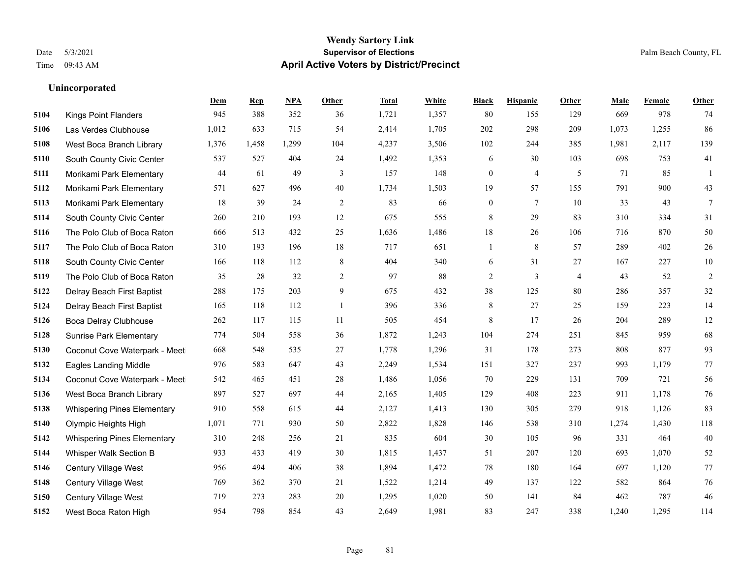#### **Wendy Sartory Link** Date 5/3/2021 **Supervisor of Elections** Palm Beach County, FL Time 09:43 AM **April Active Voters by District/Precinct**

# **Dem Rep NPA Other Total White Black Hispanic Other Male Female Other** Kings Point Flanders 945 388 352 36 1,721 1,357 80 155 129 669 978 74 Las Verdes Clubhouse 1,012 633 715 54 2,414 1,705 202 298 209 1,073 1,255 86 West Boca Branch Library 1,376 1,458 1,299 104 4,237 3,506 102 244 385 1,981 2,117 139 South County Civic Center 537 527 404 24 1,492 1,353 6 30 103 698 753 41 Morikami Park Elementary 44 61 49 3 157 148 0 4 5 71 85 1 Morikami Park Elementary 571 627 496 40 1,734 1,503 19 57 155 791 900 43 Morikami Park Elementary 18 39 24 2 83 66 0 7 10 33 43 7 South County Civic Center 260 210 193 12 675 555 8 29 83 310 334 31 The Polo Club of Boca Raton 666 513 432 25 1,636 1,486 18 26 106 716 870 50 The Polo Club of Boca Raton 310 193 196 18 717 651 1 8 57 289 402 26 South County Civic Center 166 118 112 8 404 340 6 31 27 167 227 10 The Polo Club of Boca Raton 35 28 32 2 97 88 2 3 4 43 52 2 Delray Beach First Baptist 288 175 203 9 675 432 38 125 80 286 357 32 Delray Beach First Baptist 165 118 112 1 396 336 8 27 25 159 223 14 Boca Delray Clubhouse 262 117 115 11 505 454 8 17 26 204 289 12 Sunrise Park Elementary 774 504 558 36 1,872 1,243 104 274 251 845 959 68 Coconut Cove Waterpark - Meet 668 548 535 27 1,778 1,296 31 178 273 808 877 93 Eagles Landing Middle 976 583 647 43 2,249 1,534 151 327 237 993 1,179 77 Coconut Cove Waterpark - Meet 542 465 451 28 1,486 1,056 70 229 131 709 721 56 West Boca Branch Library 897 527 697 44 2,165 1,405 129 408 223 911 1,178 76 Whispering Pines Elementary 910 558 615 44 2,127 1,413 130 305 279 918 1,126 83 Olympic Heights High 1,071 771 930 50 2,822 1,828 146 538 310 1,274 1,430 118 Whispering Pines Elementary 310 248 256 21 835 604 30 105 96 331 464 40 Whisper Walk Section B 933 433 419 30 1,815 1,437 51 207 120 693 1,070 52 Century Village West 956 494 406 38 1,894 1,472 78 180 164 697 1,120 77 Century Village West 769 362 370 21 1,522 1,214 49 137 122 582 864 76 Century Village West 719 273 283 20 1,295 1,020 50 141 84 462 787 46 West Boca Raton High 954 798 854 43 2,649 1,981 83 247 338 1,240 1,295 114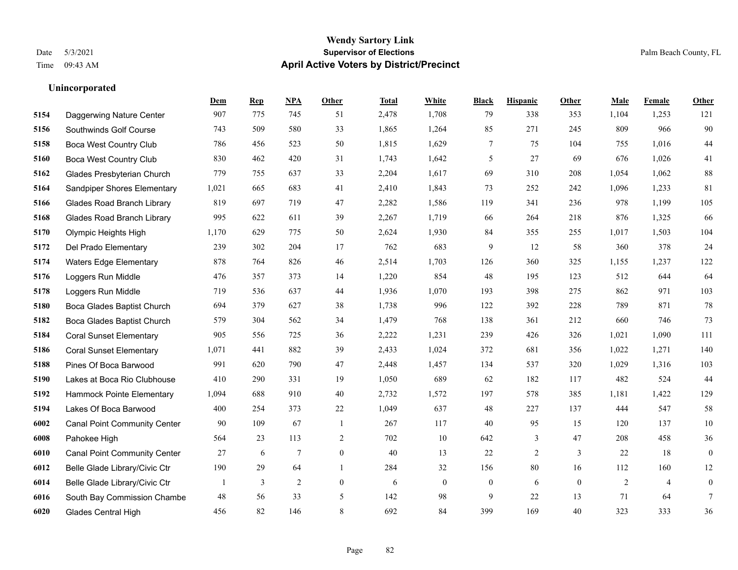#### **Wendy Sartory Link** Date 5/3/2021 **Supervisor of Elections** Palm Beach County, FL Time 09:43 AM **April Active Voters by District/Precinct**

# **Dem Rep NPA Other Total White Black Hispanic Other Male Female Other** Daggerwing Nature Center 907 775 745 51 2,478 1,708 79 338 353 1,104 1,253 121 Southwinds Golf Course 743 509 580 33 1,865 1,264 85 271 245 809 966 90 Boca West Country Club 786 456 523 50 1,815 1,629 7 75 104 755 1,016 44 Boca West Country Club 830 462 420 31 1,743 1,642 5 27 69 676 1,026 41 Glades Presbyterian Church 779 755 637 33 2,204 1,617 69 310 208 1,054 1,062 88 Sandpiper Shores Elementary 1,021 665 683 41 2,410 1,843 73 252 242 1,096 1,233 81 Glades Road Branch Library 819 697 719 47 2,282 1,586 119 341 236 978 1,199 105 Glades Road Branch Library 995 622 611 39 2,267 1,719 66 264 218 876 1,325 66 Olympic Heights High 1,170 629 775 50 2,624 1,930 84 355 255 1,017 1,503 104 Del Prado Elementary 239 302 204 17 762 683 9 12 58 360 378 24 Waters Edge Elementary 878 764 826 46 2,514 1,703 126 360 325 1,155 1,237 122 Loggers Run Middle 476 357 373 14 1,220 854 48 195 123 512 644 64 Loggers Run Middle 719 536 637 44 1,936 1,070 193 398 275 862 971 103 Boca Glades Baptist Church 694 379 627 38 1,738 996 122 392 228 789 871 78 Boca Glades Baptist Church 579 304 562 34 1,479 768 138 361 212 660 746 73 Coral Sunset Elementary 905 556 725 36 2,222 1,231 239 426 326 1,021 1,090 111 Coral Sunset Elementary 1,071 441 882 39 2,433 1,024 372 681 356 1,022 1,271 140 Pines Of Boca Barwood 991 620 790 47 2,448 1,457 134 537 320 1,029 1,316 103 Lakes at Boca Rio Clubhouse 410 290 331 19 1,050 689 62 182 117 482 524 44 Hammock Pointe Elementary 1,094 688 910 40 2,732 1,572 197 578 385 1,181 1,422 129 Lakes Of Boca Barwood 400 254 373 22 1,049 637 48 227 137 444 547 58 Canal Point Community Center 90 109 67 1 267 117 40 95 15 120 137 10 Pahokee High 564 23 113 2 702 10 642 3 47 208 458 36 Canal Point Community Center 27 6 7 0 40 13 22 2 3 22 18 0 Belle Glade Library/Civic Ctr 190 29 64 1 284 32 156 80 16 112 160 12 Belle Glade Library/Civic Ctr  $\begin{array}{cccccccc} 1 & 3 & 2 & 0 & 6 & 0 & 0 & 6 & 0 & 2 & 4 & 0 \end{array}$  South Bay Commission Chambe 48 56 33 5 142 98 9 22 13 71 64 7 Glades Central High 456 82 146 8 692 84 399 169 40 323 333 36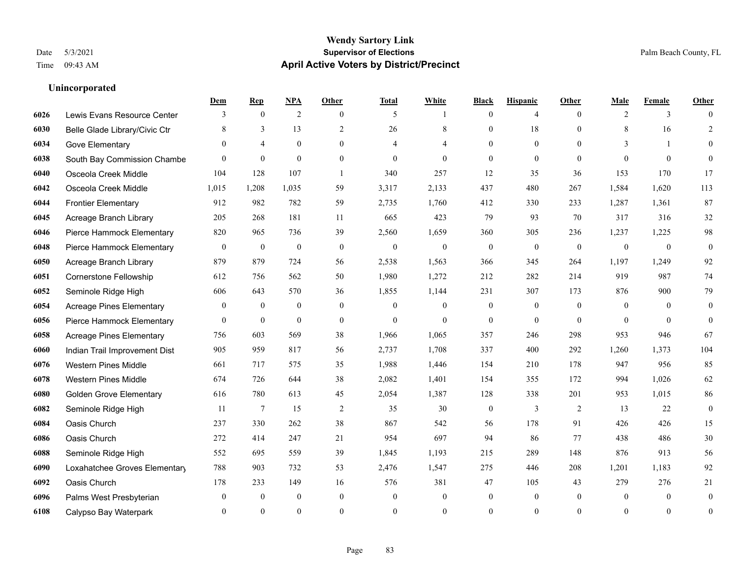|      |                                 | Dem              | <b>Rep</b>       | NPA              | <b>Other</b>   | <b>Total</b>     | <b>White</b>   | <b>Black</b>     | <b>Hispanic</b> | <b>Other</b>   | <b>Male</b>    | <b>Female</b>  | <b>Other</b>     |
|------|---------------------------------|------------------|------------------|------------------|----------------|------------------|----------------|------------------|-----------------|----------------|----------------|----------------|------------------|
| 6026 | Lewis Evans Resource Center     | 3                | $\mathbf{0}$     | $\overline{2}$   | $\theta$       | 5                | 1              | $\mathbf{0}$     | 4               | $\theta$       | 2              | 3              | $\Omega$         |
| 6030 | Belle Glade Library/Civic Ctr   | 8                | 3                | 13               | $\overline{2}$ | 26               | 8              | $\mathbf{0}$     | 18              | $\Omega$       | 8              | 16             | $\overline{2}$   |
| 6034 | Gove Elementary                 | $\theta$         | $\overline{4}$   | $\mathbf{0}$     | $\theta$       | 4                | 4              | $\theta$         | $\mathbf{0}$    | $\theta$       | 3              | $\mathbf{1}$   | $\overline{0}$   |
| 6038 | South Bay Commission Chambe     | $\theta$         | $\mathbf{0}$     | $\mathbf{0}$     | $\mathbf{0}$   | $\theta$         | $\overline{0}$ | $\mathbf{0}$     | $\mathbf{0}$    | $\overline{0}$ | $\theta$       | $\theta$       | $\theta$         |
| 6040 | Osceola Creek Middle            | 104              | 128              | 107              | $\overline{1}$ | 340              | 257            | 12               | 35              | 36             | 153            | 170            | 17               |
| 6042 | Osceola Creek Middle            | 1,015            | 1,208            | 1,035            | 59             | 3,317            | 2,133          | 437              | 480             | 267            | 1,584          | 1,620          | 113              |
| 6044 | <b>Frontier Elementary</b>      | 912              | 982              | 782              | 59             | 2,735            | 1,760          | 412              | 330             | 233            | 1,287          | 1,361          | 87               |
| 6045 | Acreage Branch Library          | 205              | 268              | 181              | 11             | 665              | 423            | 79               | 93              | 70             | 317            | 316            | $32\,$           |
| 6046 | Pierce Hammock Elementary       | 820              | 965              | 736              | 39             | 2,560            | 1,659          | 360              | 305             | 236            | 1,237          | 1,225          | 98               |
| 6048 | Pierce Hammock Elementary       | $\boldsymbol{0}$ | $\boldsymbol{0}$ | $\boldsymbol{0}$ | $\mathbf{0}$   | $\boldsymbol{0}$ | $\mathbf{0}$   | $\boldsymbol{0}$ | $\mathbf{0}$    | $\mathbf{0}$   | $\mathbf{0}$   | $\overline{0}$ | $\boldsymbol{0}$ |
| 6050 | Acreage Branch Library          | 879              | 879              | 724              | 56             | 2,538            | 1,563          | 366              | 345             | 264            | 1,197          | 1,249          | 92               |
| 6051 | <b>Cornerstone Fellowship</b>   | 612              | 756              | 562              | 50             | 1,980            | 1,272          | 212              | 282             | 214            | 919            | 987            | 74               |
| 6052 | Seminole Ridge High             | 606              | 643              | 570              | 36             | 1,855            | 1,144          | 231              | 307             | 173            | 876            | 900            | 79               |
| 6054 | <b>Acreage Pines Elementary</b> | $\mathbf{0}$     | $\boldsymbol{0}$ | $\boldsymbol{0}$ | $\mathbf{0}$   | $\overline{0}$   | $\mathbf{0}$   | $\boldsymbol{0}$ | $\mathbf{0}$    | $\overline{0}$ | $\overline{0}$ | $\theta$       | $\mathbf{0}$     |
| 6056 | Pierce Hammock Elementary       | $\theta$         | $\mathbf{0}$     | $\mathbf{0}$     | $\theta$       | $\theta$         | $\Omega$       | $\mathbf{0}$     | $\theta$        | $\theta$       | $\Omega$       | $\Omega$       | $\mathbf{0}$     |
| 6058 | <b>Acreage Pines Elementary</b> | 756              | 603              | 569              | 38             | 1,966            | 1,065          | 357              | 246             | 298            | 953            | 946            | 67               |
| 6060 | Indian Trail Improvement Dist   | 905              | 959              | 817              | 56             | 2,737            | 1,708          | 337              | 400             | 292            | 1,260          | 1,373          | 104              |
| 6076 | <b>Western Pines Middle</b>     | 661              | 717              | 575              | 35             | 1,988            | 1,446          | 154              | 210             | 178            | 947            | 956            | 85               |
| 6078 | <b>Western Pines Middle</b>     | 674              | 726              | 644              | 38             | 2,082            | 1,401          | 154              | 355             | 172            | 994            | 1,026          | 62               |
| 6080 | <b>Golden Grove Elementary</b>  | 616              | 780              | 613              | 45             | 2,054            | 1,387          | 128              | 338             | 201            | 953            | 1,015          | 86               |
| 6082 | Seminole Ridge High             | 11               | 7                | 15               | 2              | 35               | 30             | $\mathbf{0}$     | 3               | 2              | 13             | 22             | $\mathbf{0}$     |
| 6084 | Oasis Church                    | 237              | 330              | 262              | 38             | 867              | 542            | 56               | 178             | 91             | 426            | 426            | 15               |
| 6086 | Oasis Church                    | 272              | 414              | 247              | 21             | 954              | 697            | 94               | 86              | 77             | 438            | 486            | $30\,$           |
| 6088 | Seminole Ridge High             | 552              | 695              | 559              | 39             | 1,845            | 1,193          | 215              | 289             | 148            | 876            | 913            | 56               |
| 6090 | Loxahatchee Groves Elementary   | 788              | 903              | 732              | 53             | 2,476            | 1,547          | 275              | 446             | 208            | 1,201          | 1,183          | 92               |
| 6092 | Oasis Church                    | 178              | 233              | 149              | 16             | 576              | 381            | 47               | 105             | 43             | 279            | 276            | 21               |
| 6096 | Palms West Presbyterian         | $\mathbf{0}$     | $\boldsymbol{0}$ | $\boldsymbol{0}$ | $\mathbf{0}$   | $\overline{0}$   | $\overline{0}$ | $\boldsymbol{0}$ | $\mathbf{0}$    | $\mathbf{0}$   | $\mathbf{0}$   | $\mathbf{0}$   | $\mathbf{0}$     |
| 6108 | Calypso Bay Waterpark           | $\Omega$         | $\theta$         | $\theta$         | $\theta$       | $\theta$         | $\mathbf{0}$   | $\theta$         | $\theta$        | $\theta$       | $\Omega$       | $\theta$       | $\boldsymbol{0}$ |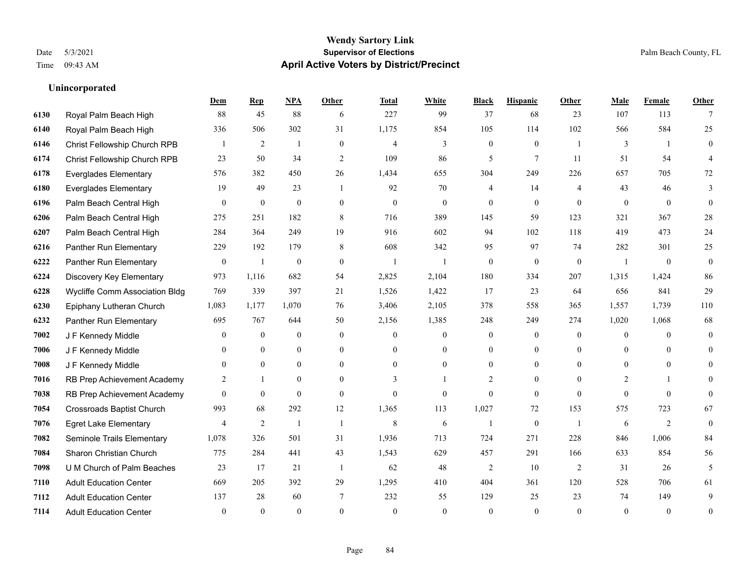#### **Wendy Sartory Link** Date 5/3/2021 **Supervisor of Elections** Palm Beach County, FL Time 09:43 AM **April Active Voters by District/Precinct**

# **Dem Rep NPA Other Total White Black Hispanic Other Male Female Other** Royal Palm Beach High 88 45 88 6 227 99 37 68 23 107 113 7 Royal Palm Beach High 336 506 302 31 1,175 854 105 114 102 566 584 25 Christ Fellowship Church RPB 1 2 1 0 4 3 0 0 1 3 1 0 Christ Fellowship Church RPB 23 50 34 2 109 86 5 7 11 51 54 4 Everglades Elementary 576 382 450 26 1,434 655 304 249 226 657 705 72 Everglades Elementary 19 49 23 1 92 70 4 14 4 43 46 3 Palm Beach Central High 0 0 0 0 0 0 0 0 0 0 0 0 Palm Beach Central High 275 251 182 8 716 389 145 59 123 321 367 28 Palm Beach Central High 284 364 249 19 916 602 94 102 118 419 473 24 Panther Run Elementary 229 192 179 8 608 342 95 97 74 282 301 25 Panther Run Elementary 0 1 0 0 1 1 0 0 0 1 0 0 Discovery Key Elementary 973 1,116 682 54 2,825 2,104 180 334 207 1,315 1,424 86 Wycliffe Comm Association Bldg 769 339 397 21 1,526 1,422 17 23 64 656 841 29 Epiphany Lutheran Church 1,083 1,177 1,070 76 3,406 2,105 378 558 365 1,557 1,739 110 Panther Run Elementary 695 767 644 50 2,156 1,385 248 249 274 1,020 1,068 68 J F Kennedy Middle 0 0 0 0 0 0 0 0 0 0 J F Kennedy Middle 0 0 0 0 0 0 0 0 0 0 J F Kennedy Middle 0 0 0 0 0 0 0 0 0 0 RB Prep Achievement Academy 2 1 0 0 3 1 2 0 0 2 1 0 RB Prep Achievement Academy 0 0 0 0 0 0 0 0 0 0 0 0 Crossroads Baptist Church 993 68 292 12 1,365 113 1,027 72 153 575 723 67 Egret Lake Elementary 4 2 1 1 8 6 1 0 1 6 2 0 Seminole Trails Elementary 1,078 326 501 31 1,936 713 724 271 228 846 1,006 84 Sharon Christian Church 775 284 441 43 1,543 629 457 291 166 633 854 56 U M Church of Palm Beaches 23 17 21 1 62 48 2 10 2 31 26 5 Adult Education Center 669 205 392 29 1,295 410 404 361 120 528 706 61 Adult Education Center 137 28 60 7 232 55 129 25 23 74 149 9 Adult Education Center 0 0 0 0 0 0 0 0 0 0 0 0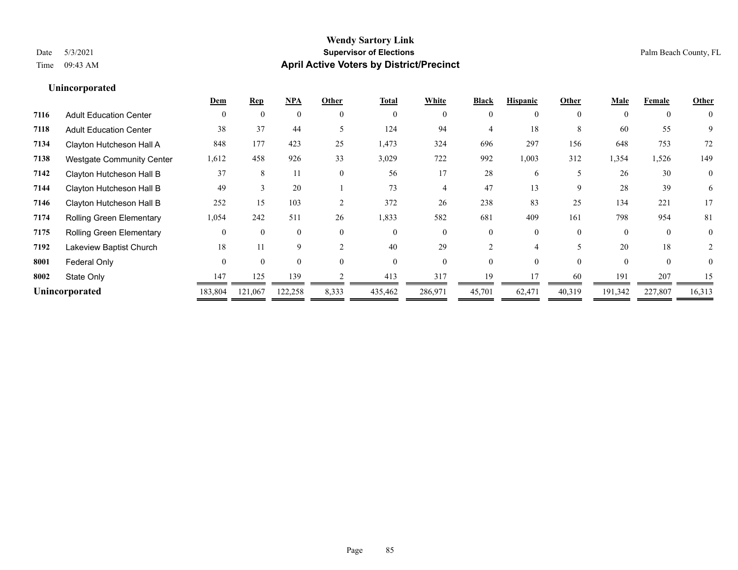|                                  |          |          | <b>NPA</b> |          | <b>Total</b> | White    | <b>Black</b> | <b>Hispanic</b> | Other    | Male     | Female         | <b>Other</b>   |
|----------------------------------|----------|----------|------------|----------|--------------|----------|--------------|-----------------|----------|----------|----------------|----------------|
| <b>Adult Education Center</b>    | $\theta$ | $\theta$ | $\Omega$   | $\theta$ | $\theta$     | $\Omega$ | $\theta$     | $\theta$        | $\theta$ | $\Omega$ | $\overline{0}$ | $\theta$       |
| <b>Adult Education Center</b>    | 38       | 37       | 44         |          | 124          | 94       |              | 18              | 8        | 60       | 55             | 9              |
| Clayton Hutcheson Hall A         | 848      | 177      | 423        | 25       | 1,473        | 324      | 696          | 297             | 156      | 648      | 753            | 72             |
| <b>Westgate Community Center</b> | 1,612    | 458      | 926        | 33       | 3,029        | 722      | 992          | 1,003           | 312      | 1,354    | 1,526          | 149            |
| Clayton Hutcheson Hall B         | 37       | 8        | 11         | $\theta$ | 56           | 17       | 28           | 6               | 5        | 26       | 30             | $\overline{0}$ |
| Clayton Hutcheson Hall B         | 49       |          | 20         |          | 73           |          | 47           | 13              | 9        | 28       | 39             | 6              |
| Clayton Hutcheson Hall B         | 252      | 15       | 103        |          | 372          | 26       | 238          | 83              | 25       | 134      | 221            | 17             |
| <b>Rolling Green Elementary</b>  | 1,054    | 242      | 511        | 26       | 1,833        | 582      | 681          | 409             | 161      | 798      | 954            | 81             |
| Rolling Green Elementary         |          |          | $\Omega$   | $\theta$ | $\theta$     | $\Omega$ | 0            | $\Omega$        | $\theta$ | $\Omega$ | $\mathbf{0}$   | $\overline{0}$ |
| Lakeview Baptist Church          | 18       |          | 9          |          | 40           | 29       |              |                 |          | 20       | 18             |                |
| Federal Only                     | $\Omega$ | $\Omega$ | $\Omega$   | $\Omega$ | $\Omega$     | $\Omega$ | $\Omega$     | $\Omega$        | $\Omega$ | $\theta$ | $\Omega$       | 0              |
| State Only                       | 147      | 125      | 139        |          | 413          | 317      | 19           |                 | 60       | 191      | 207            | 15             |
| Unincorporated                   | 183,804  | 121,067  | 122,258    | 8,333    | 435,462      | 286,971  | 45,701       | 62,471          | 40,319   | 191,342  | 227,807        | 16,313         |
|                                  |          |          |            |          |              |          |              |                 |          |          |                |                |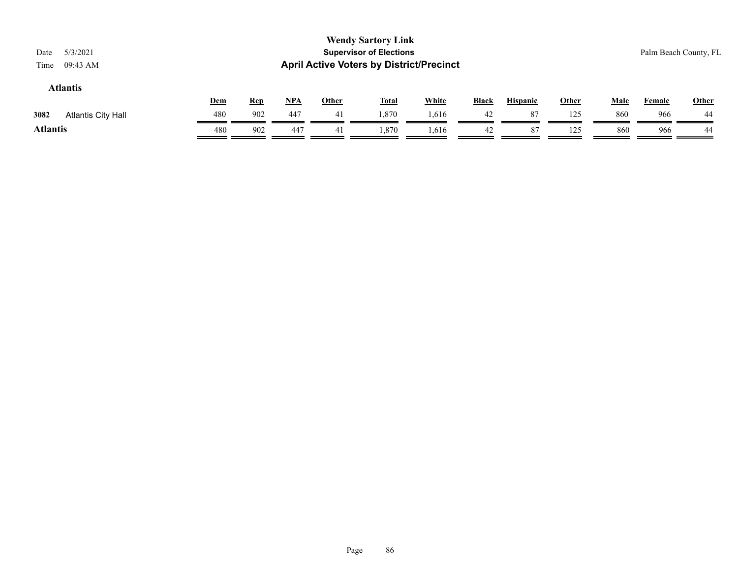#### **Atlantis**

|                            | Dem | <b>Rep</b> | <b>NPA</b> | Other | <b>Total</b> | White | <b>Black</b> | <b>Hispanic</b> | Other         | Male | Female | Other |
|----------------------------|-----|------------|------------|-------|--------------|-------|--------------|-----------------|---------------|------|--------|-------|
| 3082<br>Atlantis City Hall | 480 | 902        | 447        |       | 1,870        | .,616 | 42           | 81              | 125<br>--     | 860  | 966    | 44    |
| <b>Atlantis</b>            | 480 | 902        | 447        | 41    | 1.870        | 1.616 | 42           | 8 <sup>7</sup>  | 125<br>ر به ۱ | 860  | 966    | 44    |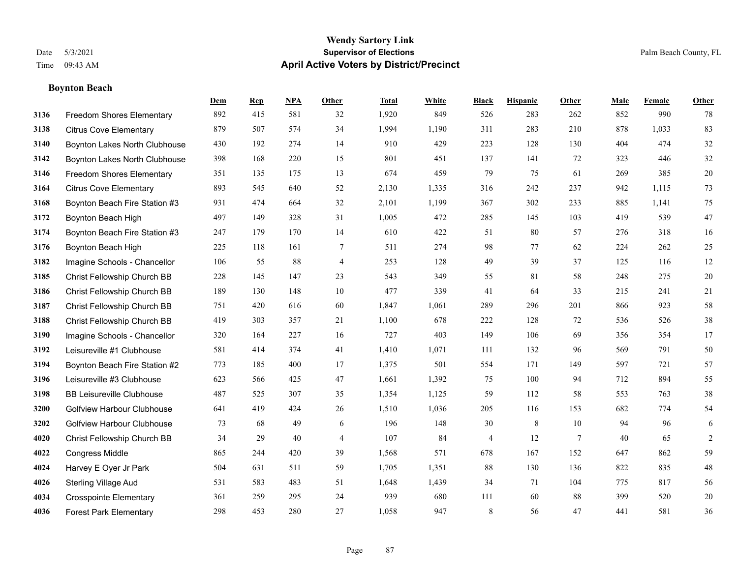**Boynton Beach**

#### **Wendy Sartory Link** Date 5/3/2021 **Supervisor of Elections** Palm Beach County, FL Time 09:43 AM **April Active Voters by District/Precinct**

**Dem Rep NPA Other Total White Black Hispanic Other Male Female Other**

# Freedom Shores Elementary 892 415 581 32 1,920 849 526 283 262 852 990 78 Citrus Cove Elementary 879 507 574 34 1,994 1,190 311 283 210 878 1,033 83 Boynton Lakes North Clubhouse 430 192 274 14 910 429 223 128 130 404 474 32 Boynton Lakes North Clubhouse 398 168 220 15 801 451 137 141 72 323 446 32 Freedom Shores Elementary 351 135 175 13 674 459 79 75 61 269 385 20 Citrus Cove Elementary 893 545 640 52 2,130 1,335 316 242 237 942 1,115 73 Boynton Beach Fire Station #3 931 474 664 32 2,101 1,199 367 302 233 885 1,141 75 Boynton Beach High 497 149 328 31 1,005 472 285 145 103 419 539 47 Boynton Beach Fire Station #3 247 179 170 14 610 422 51 80 57 276 318 16 Boynton Beach High 225 118 161 7 511 274 98 77 62 224 262 25 Imagine Schools - Chancellor 106 55 88 4 253 128 49 39 37 125 116 12 Christ Fellowship Church BB 228 145 147 23 543 349 55 81 58 248 275 20 Christ Fellowship Church BB 189 130 148 10 477 339 41 64 33 215 241 21 Christ Fellowship Church BB 751 420 616 60 1,847 1,061 289 296 201 866 923 58 Christ Fellowship Church BB 419 303 357 21 1,100 678 222 128 72 536 526 38 Imagine Schools - Chancellor 320 164 227 16 727 403 149 106 69 356 354 17 Leisureville #1 Clubhouse 581 414 374 41 1,410 1,071 111 132 96 569 791 50 Boynton Beach Fire Station #2 773 185 400 17 1,375 501 554 171 149 597 721 57 Leisureville #3 Clubhouse 623 566 425 47 1,661 1,392 75 100 94 712 894 55 BB Leisureville Clubhouse 487 525 307 35 1,354 1,125 59 112 58 553 763 38 Golfview Harbour Clubhouse 641 419 424 26 1,510 1,036 205 116 153 682 774 54 Golfview Harbour Clubhouse 73 68 49 6 196 148 30 8 10 94 96 6 Christ Fellowship Church BB 34 29 40 4 107 84 4 12 7 40 65 2 Congress Middle 865 244 420 39 1,568 571 678 167 152 647 862 59 Harvey E Oyer Jr Park 504 631 511 59 1,705 1,351 88 130 136 822 835 48 Sterling Village Aud 531 583 483 51 1,648 1,439 34 71 104 775 817 56 Crosspointe Elementary 361 259 295 24 939 680 111 60 88 399 520 20

Forest Park Elementary 298 453 280 27 1,058 947 8 56 47 441 581 36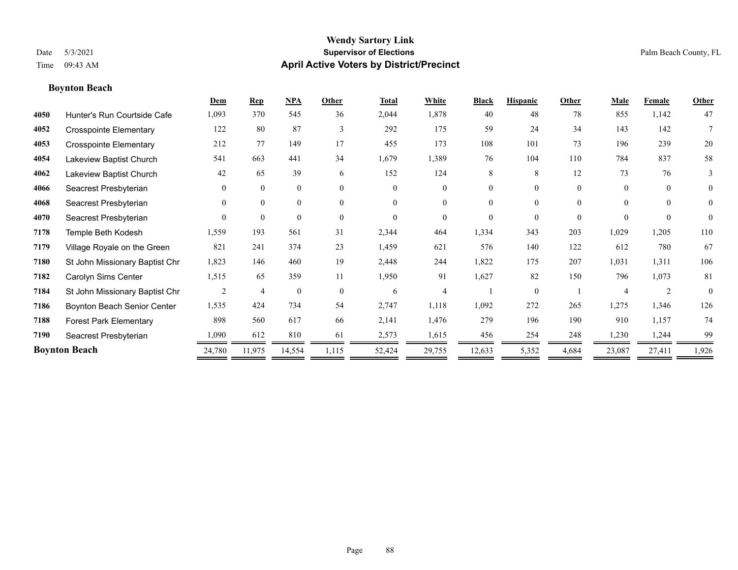## **Boynton Beach**

|      |                                | Dem      | <b>Rep</b>     | NPA          | Other        | <b>Total</b>   | White                    | <b>Black</b> | <b>Hispanic</b> | Other    | Male                  | Female         | Other          |
|------|--------------------------------|----------|----------------|--------------|--------------|----------------|--------------------------|--------------|-----------------|----------|-----------------------|----------------|----------------|
| 4050 | Hunter's Run Courtside Cafe    | 1,093    | 370            | 545          | 36           | 2,044          | 1,878                    | 40           | 48              | 78       | 855                   | 1,142          | 47             |
| 4052 | <b>Crosspointe Elementary</b>  | 122      | 80             | 87           | 3            | 292            | 175                      | 59           | 24              | 34       | 143                   | 142            | 7              |
| 4053 | <b>Crosspointe Elementary</b>  | 212      | 77             | 149          | 17           | 455            | 173                      | 108          | 101             | 73       | 196                   | 239            | 20             |
| 4054 | Lakeview Baptist Church        | 541      | 663            | 441          | 34           | 1,679          | 1,389                    | 76           | 104             | 110      | 784                   | 837            | 58             |
| 4062 | Lakeview Baptist Church        | 42       | 65             | 39           | 6            | 152            | 124                      | 8            | 8               | 12       | 73                    | 76             | 3              |
| 4066 | Seacrest Presbyterian          | $\theta$ | $\mathbf{0}$   | $\mathbf{0}$ | $\mathbf{0}$ | $\overline{0}$ | $\overline{0}$           | $\Omega$     | $\overline{0}$  | $\theta$ | $\theta$              | $\overline{0}$ | $\overline{0}$ |
| 4068 | Seacrest Presbyterian          | $\theta$ | $\theta$       | $\mathbf{0}$ | $\theta$     | $\Omega$       | $\overline{0}$           | $\Omega$     | $\Omega$        | $\Omega$ | $\theta$              | $\theta$       | $\overline{0}$ |
| 4070 | Seacrest Presbyterian          | $\Omega$ | $\theta$       | $\theta$     | $\theta$     | $\Omega$       | $\theta$                 | $\Omega$     | $\theta$        | $\Omega$ | $\Omega$              | $\theta$       | $\theta$       |
| 7178 | Temple Beth Kodesh             | 1,559    | 193            | 561          | 31           | 2,344          | 464                      | 1,334        | 343             | 203      | 1,029                 | 1,205          | 110            |
| 7179 | Village Royale on the Green    | 821      | 241            | 374          | 23           | 1,459          | 621                      | 576          | 140             | 122      | 612                   | 780            | 67             |
| 7180 | St John Missionary Baptist Chr | 1,823    | 146            | 460          | 19           | 2,448          | 244                      | 1,822        | 175             | 207      | 1,031                 | 1,311          | 106            |
| 7182 | Carolyn Sims Center            | 1,515    | 65             | 359          | 11           | 1,950          | 91                       | 1,627        | 82              | 150      | 796                   | 1,073          | 81             |
| 7184 | St John Missionary Baptist Chr |          | $\overline{4}$ | $\mathbf{0}$ | $\theta$     | 6              | $\overline{\mathcal{A}}$ |              | $\theta$        |          | $\boldsymbol{\Delta}$ |                | $\theta$       |
| 7186 | Boynton Beach Senior Center    | 1,535    | 424            | 734          | 54           | 2,747          | 1,118                    | 1,092        | 272             | 265      | 1,275                 | 1,346          | 126            |
| 7188 | <b>Forest Park Elementary</b>  | 898      | 560            | 617          | 66           | 2,141          | 1,476                    | 279          | 196             | 190      | 910                   | 1,157          | 74             |
| 7190 | Seacrest Presbyterian          | 1,090    | 612            | 810          | 61           | 2,573          | 1,615                    | 456          | 254             | 248      | 1,230                 | 1,244          | 99             |
|      | <b>Boynton Beach</b>           | 24,780   | 11,975         | 14,554       | 1,115        | 52,424         | 29,755                   | 12,633       | 5,352           | 4,684    | 23,087                | 27,411         | 1,926          |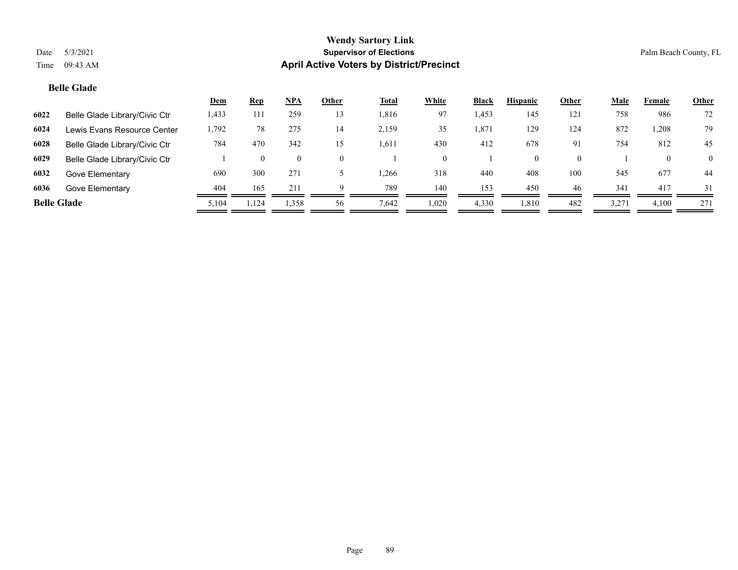## **Belle Glade**

|                    |                               | <b>Dem</b> | <u>Rep</u> | NPA             | Other    | <u>Total</u> | White    | <b>Black</b> | <b>Hispanic</b> | Other    | <b>Male</b> | Female   | <b>Other</b>   |
|--------------------|-------------------------------|------------|------------|-----------------|----------|--------------|----------|--------------|-----------------|----------|-------------|----------|----------------|
| 6022               | Belle Glade Library/Civic Ctr | 1,433      | 111        | 259             | 13       | 1,816        | 97       | 1,453        | 145             | 121      | 758         | 986      | 72             |
| 6024               | Lewis Evans Resource Center   | 1,792      | 78         | 275             | 14       | 2,159        | 35       | . 871        | 129             | 124      | 872         | 1,208    | 79             |
| 6028               | Belle Glade Library/Civic Ctr | 784        | 470        | 342             | 15       | 1,611        | 430      | 412          | 678             | 91       | 754         | 812      | 45             |
| 6029               | Belle Glade Library/Civic Ctr |            |            |                 | $\theta$ |              | $\theta$ |              |                 | $\Omega$ |             | $\theta$ | $\overline{0}$ |
| 6032               | Gove Elementary               | 690        | 300        | 27 <sup>2</sup> |          | .266         | 318      | 440          | 408             | 100      | 545         | 677      | -44            |
| 6036               | Gove Elementary               | 404        | 165        | 211             | 9        | 789          | 140      | 153          | 450             | 46       | 341         | 417      | 31             |
| <b>Belle Glade</b> |                               | 5,104      | 1,124      | 1,358           | 56       | 7,642        | 1,020    | 4,330        | 1,810           | 482      | 3,271       | 4,100    | 271            |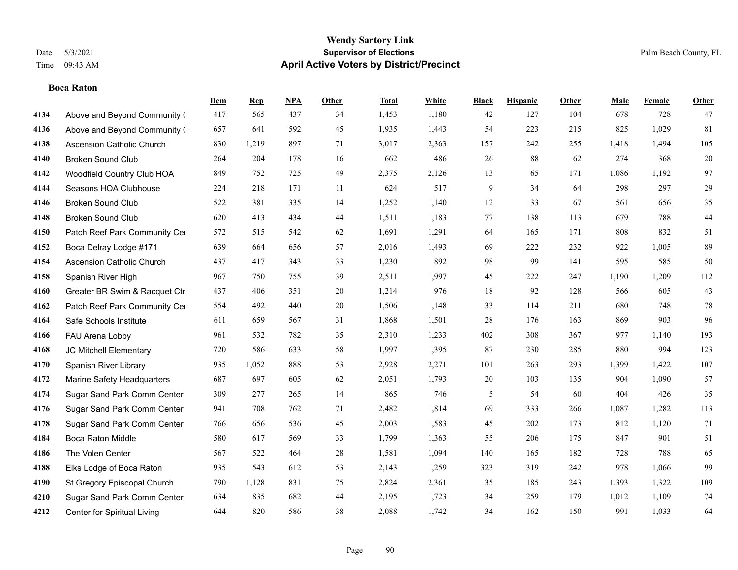#### **Boca Raton**

|      |                               | Dem | <b>Rep</b> | NPA | <b>Other</b> | <b>Total</b> | <b>White</b> | <b>Black</b>   | <b>Hispanic</b> | <b>Other</b> | <b>Male</b> | <b>Female</b> | <b>Other</b> |
|------|-------------------------------|-----|------------|-----|--------------|--------------|--------------|----------------|-----------------|--------------|-------------|---------------|--------------|
| 4134 | Above and Beyond Community (  | 417 | 565        | 437 | 34           | 1,453        | 1,180        | 42             | 127             | 104          | 678         | 728           | 47           |
| 4136 | Above and Beyond Community (  | 657 | 641        | 592 | 45           | 1,935        | 1,443        | 54             | 223             | 215          | 825         | 1,029         | 81           |
| 4138 | Ascension Catholic Church     | 830 | 1,219      | 897 | 71           | 3,017        | 2,363        | 157            | 242             | 255          | 1,418       | 1,494         | 105          |
| 4140 | <b>Broken Sound Club</b>      | 264 | 204        | 178 | 16           | 662          | 486          | 26             | 88              | 62           | 274         | 368           | $20\,$       |
| 4142 | Woodfield Country Club HOA    | 849 | 752        | 725 | 49           | 2,375        | 2,126        | 13             | 65              | 171          | 1,086       | 1.192         | 97           |
| 4144 | Seasons HOA Clubhouse         | 224 | 218        | 171 | 11           | 624          | 517          | 9              | 34              | 64           | 298         | 297           | $29\,$       |
| 4146 | <b>Broken Sound Club</b>      | 522 | 381        | 335 | 14           | 1,252        | 1,140        | 12             | 33              | 67           | 561         | 656           | 35           |
| 4148 | <b>Broken Sound Club</b>      | 620 | 413        | 434 | 44           | 1,511        | 1,183        | 77             | 138             | 113          | 679         | 788           | 44           |
| 4150 | Patch Reef Park Community Cer | 572 | 515        | 542 | 62           | 1,691        | 1,291        | 64             | 165             | 171          | 808         | 832           | 51           |
| 4152 | Boca Delray Lodge #171        | 639 | 664        | 656 | 57           | 2,016        | 1,493        | 69             | 222             | 232          | 922         | 1,005         | 89           |
| 4154 | Ascension Catholic Church     | 437 | 417        | 343 | 33           | 1,230        | 892          | 98             | 99              | 141          | 595         | 585           | 50           |
| 4158 | Spanish River High            | 967 | 750        | 755 | 39           | 2,511        | 1,997        | 45             | 222             | 247          | 1,190       | 1,209         | 112          |
| 4160 | Greater BR Swim & Racquet Ctr | 437 | 406        | 351 | 20           | 1,214        | 976          | 18             | 92              | 128          | 566         | 605           | 43           |
| 4162 | Patch Reef Park Community Cer | 554 | 492        | 440 | $20\,$       | 1,506        | 1,148        | 33             | 114             | 211          | 680         | 748           | $78\,$       |
| 4164 | Safe Schools Institute        | 611 | 659        | 567 | 31           | 1,868        | 1,501        | 28             | 176             | 163          | 869         | 903           | 96           |
| 4166 | FAU Arena Lobby               | 961 | 532        | 782 | 35           | 2,310        | 1,233        | 402            | 308             | 367          | 977         | 1,140         | 193          |
| 4168 | JC Mitchell Elementary        | 720 | 586        | 633 | 58           | 1,997        | 1,395        | 87             | 230             | 285          | 880         | 994           | 123          |
| 4170 | Spanish River Library         | 935 | 1,052      | 888 | 53           | 2,928        | 2,271        | 101            | 263             | 293          | 1,399       | 1,422         | 107          |
| 4172 | Marine Safety Headquarters    | 687 | 697        | 605 | 62           | 2,051        | 1,793        | $20\,$         | 103             | 135          | 904         | 1,090         | 57           |
| 4174 | Sugar Sand Park Comm Center   | 309 | 277        | 265 | 14           | 865          | 746          | $\mathfrak{S}$ | 54              | 60           | 404         | 426           | 35           |
| 4176 | Sugar Sand Park Comm Center   | 941 | 708        | 762 | 71           | 2,482        | 1,814        | 69             | 333             | 266          | 1,087       | 1,282         | 113          |
| 4178 | Sugar Sand Park Comm Center   | 766 | 656        | 536 | 45           | 2,003        | 1,583        | 45             | 202             | 173          | 812         | 1,120         | 71           |
| 4184 | <b>Boca Raton Middle</b>      | 580 | 617        | 569 | 33           | 1,799        | 1,363        | 55             | 206             | 175          | 847         | 901           | 51           |
| 4186 | The Volen Center              | 567 | 522        | 464 | 28           | 1,581        | 1,094        | 140            | 165             | 182          | 728         | 788           | 65           |
| 4188 | Elks Lodge of Boca Raton      | 935 | 543        | 612 | 53           | 2,143        | 1,259        | 323            | 319             | 242          | 978         | 1.066         | 99           |
| 4190 | St Gregory Episcopal Church   | 790 | 1,128      | 831 | 75           | 2,824        | 2,361        | 35             | 185             | 243          | 1,393       | 1,322         | 109          |
| 4210 | Sugar Sand Park Comm Center   | 634 | 835        | 682 | 44           | 2,195        | 1,723        | 34             | 259             | 179          | 1,012       | 1,109         | 74           |
| 4212 | Center for Spiritual Living   | 644 | 820        | 586 | 38           | 2,088        | 1,742        | 34             | 162             | 150          | 991         | 1,033         | 64           |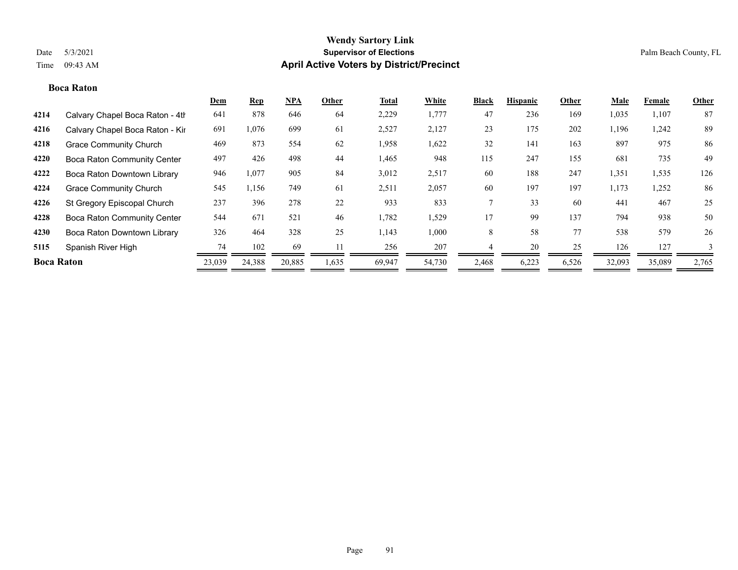#### **Boca Raton**

|                   |                                    | Dem    | <b>Rep</b> | <b>NPA</b> | Other | <b>Total</b> | White  | <b>Black</b> | <b>Hispanic</b> | Other | Male   | Female | <b>Other</b> |
|-------------------|------------------------------------|--------|------------|------------|-------|--------------|--------|--------------|-----------------|-------|--------|--------|--------------|
| 4214              | Calvary Chapel Boca Raton - 4th    | 641    | 878        | 646        | 64    | 2,229        | 1,777  | 47           | 236             | 169   | 1,035  | 1,107  | 87           |
| 4216              | Calvary Chapel Boca Raton - Kir    | 691    | 1,076      | 699        | 61    | 2,527        | 2,127  | 23           | 175             | 202   | 1,196  | 1,242  | 89           |
| 4218              | <b>Grace Community Church</b>      | 469    | 873        | 554        | 62    | 1,958        | 1,622  | 32           | 141             | 163   | 897    | 975    | 86           |
| 4220              | <b>Boca Raton Community Center</b> | 497    | 426        | 498        | 44    | 1,465        | 948    | 115          | 247             | 155   | 681    | 735    | 49           |
| 4222              | Boca Raton Downtown Library        | 946    | 1,077      | 905        | 84    | 3,012        | 2,517  | 60           | 188             | 247   | 1,351  | 1,535  | 126          |
| 4224              | <b>Grace Community Church</b>      | 545    | 1,156      | 749        | 61    | 2,511        | 2,057  | 60           | 197             | 197   | 1,173  | 1,252  | 86           |
| 4226              | St Gregory Episcopal Church        | 237    | 396        | 278        | 22    | 933          | 833    |              | 33              | 60    | 441    | 467    | 25           |
| 4228              | <b>Boca Raton Community Center</b> | 544    | 671        | 521        | 46    | 1,782        | 1,529  | 17           | 99              | 137   | 794    | 938    | 50           |
| 4230              | Boca Raton Downtown Library        | 326    | 464        | 328        | 25    | 1,143        | 1,000  | 8            | 58              | 77    | 538    | 579    | 26           |
| 5115              | Spanish River High                 | 74     | 102        | 69         |       | 256          | 207    |              | 20              | 25    | 126    | 127    | 3            |
| <b>Boca Raton</b> |                                    | 23,039 | 24,388     | 20,885     | 1,635 | 69,947       | 54,730 | 2,468        | 6,223           | 6,526 | 32,093 | 35,089 | 2,765        |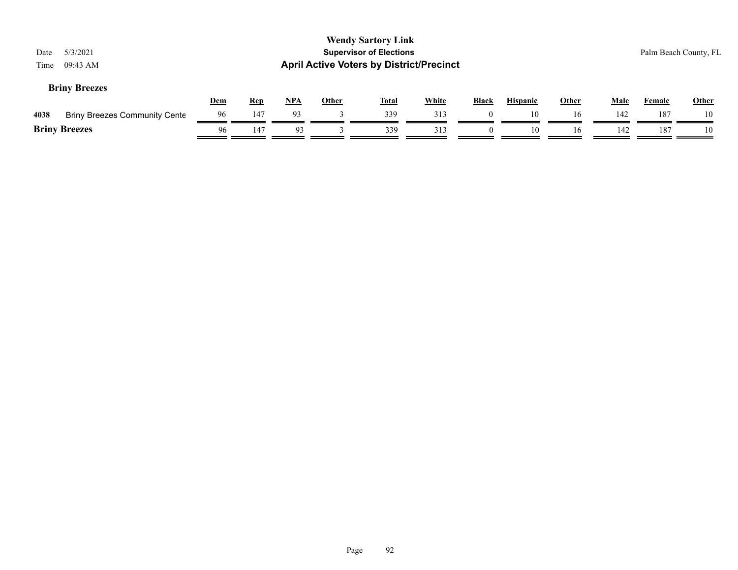| Date<br>Time | 5/3/2021<br>09:43 AM                 |            |            |       |       | <b>Wendy Sartory Link</b><br><b>Supervisor of Elections</b><br><b>April Active Voters by District/Precinct</b> |              |          |                 |              |             |        | Palm Beach County, FL |
|--------------|--------------------------------------|------------|------------|-------|-------|----------------------------------------------------------------------------------------------------------------|--------------|----------|-----------------|--------------|-------------|--------|-----------------------|
|              | <b>Briny Breezes</b>                 | <u>Dem</u> | <u>Rep</u> | $NPA$ | Other | <u>Total</u>                                                                                                   | <b>White</b> | Black    | <b>Hispanic</b> | <b>Other</b> | <b>Male</b> | Female | <b>Other</b>          |
| 4038         | <b>Briny Breezes Community Cente</b> | 96         | 147        | 93    |       | 339                                                                                                            | 313          |          | 10              | 16           | 142         | 187    | 10                    |
|              | <b>Briny Breezes</b>                 |            | 147        | 93    |       | 339                                                                                                            | 313          | $\Omega$ | 10              | 16           | 142         | 187    | 10                    |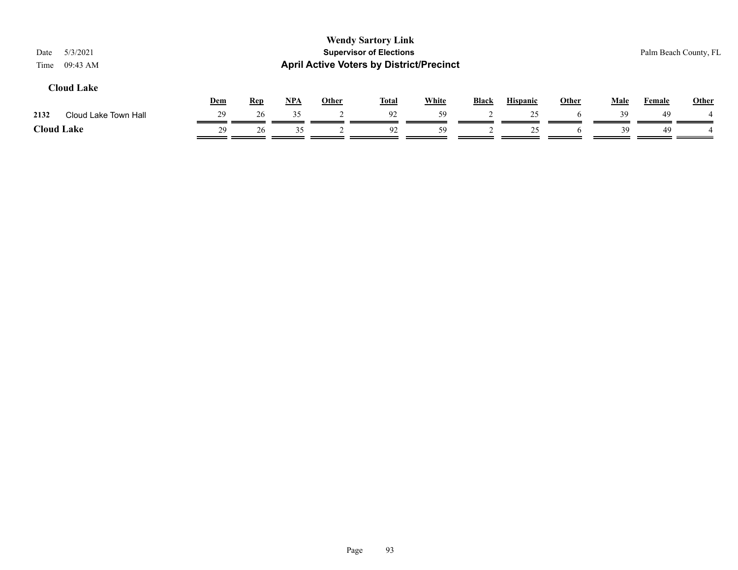| 5/3/2021<br>Date<br>09:43 AM<br>Time |     |            |            |              | <b>Wendy Sartory Link</b><br><b>Supervisor of Elections</b><br><b>April Active Voters by District/Precinct</b> |              |              |                 |       |             |               | Palm Beach County, FL |
|--------------------------------------|-----|------------|------------|--------------|----------------------------------------------------------------------------------------------------------------|--------------|--------------|-----------------|-------|-------------|---------------|-----------------------|
| <b>Cloud Lake</b>                    | Dem | <b>Rep</b> | <u>NPA</u> | <b>Other</b> | <b>Total</b>                                                                                                   | <b>White</b> | <b>Black</b> | <b>Hispanic</b> | Other | <b>Male</b> | <u>Female</u> | <b>Other</b>          |
| Cloud Lake Town Hall<br>2132         | 29  | 26         | 35         |              | 92                                                                                                             | 59           |              | 25              |       | 39          | 49            |                       |
| <b>Cloud Lake</b>                    | 29  | 26         | 35         |              | 92                                                                                                             | 59           |              | 25              |       | 39          | 49            |                       |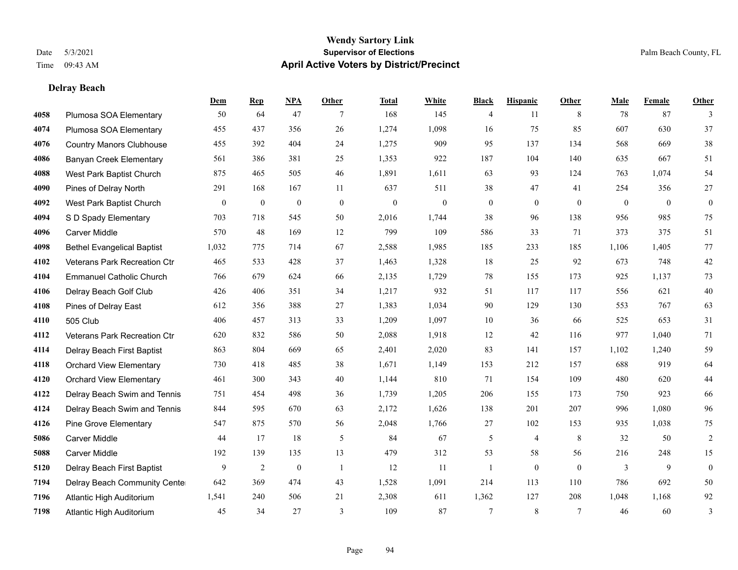**Delray Beach**

#### **Wendy Sartory Link** Date 5/3/2021 **Supervisor of Elections** Palm Beach County, FL Time 09:43 AM **April Active Voters by District/Precinct**

# **Dem Rep NPA Other Total White Black Hispanic Other Male Female Other** Plumosa SOA Elementary 50 64 47 7 168 145 4 11 8 78 87 3 Plumosa SOA Elementary 455 437 356 26 1,274 1,098 16 75 85 607 630 37 Country Manors Clubhouse 455 392 404 24 1,275 909 95 137 134 568 669 38 Banyan Creek Elementary 561 386 381 25 1,353 922 187 104 140 635 667 51 West Park Baptist Church 875 465 505 46 1,891 1,611 63 93 124 763 1,074 54 Pines of Delray North 291 168 167 11 637 511 38 47 41 254 356 27 West Park Baptist Church 0 0 0 0 0 0 0 0 0 0 0 0 S D Spady Elementary 703 718 545 50 2,016 1,744 38 96 138 956 985 75 Carver Middle 570 48 169 12 799 109 586 33 71 373 375 51 Bethel Evangelical Baptist 1,032 775 714 67 2,588 1,985 185 233 185 1,106 1,405 77 Veterans Park Recreation Ctr 465 533 428 37 1,463 1,328 18 25 92 673 748 42 Emmanuel Catholic Church 766 679 624 66 2,135 1,729 78 155 173 925 1,137 73 Delray Beach Golf Club 426 406 351 34 1,217 932 51 117 117 556 621 40 Pines of Delray East 612 356 388 27 1,383 1,034 90 129 130 553 767 63 505 Club 406 457 313 33 1,209 1,097 10 36 66 525 653 31 Veterans Park Recreation Ctr 620 832 586 50 2,088 1,918 12 42 116 977 1,040 71 Delray Beach First Baptist 863 804 669 65 2,401 2,020 83 141 157 1,102 1,240 59 Orchard View Elementary 730 418 485 38 1,671 1,149 153 212 157 688 919 64 Orchard View Elementary 461 300 343 40 1,144 810 71 154 109 480 620 44 Delray Beach Swim and Tennis 751 454 498 36 1,739 1,205 206 155 173 750 923 66 Delray Beach Swim and Tennis 844 595 670 63 2,172 1,626 138 201 207 996 1,080 96 Pine Grove Elementary 547 875 570 56 2,048 1,766 27 102 153 935 1,038 75 Carver Middle 44 17 18 5 84 67 5 4 8 32 50 2 Carver Middle 192 139 135 13 479 312 53 58 56 216 248 15 Delray Beach First Baptist  $\begin{array}{cccccccc} 9 & 2 & 0 & 1 & 12 & 11 & 1 & 0 & 0 & 3 & 9 & 0 \end{array}$  Delray Beach Community Center 642 369 474 43 1,528 1,091 214 113 110 786 692 50 Atlantic High Auditorium 1,541 240 506 21 2,308 611 1,362 127 208 1,048 1,168 92 Atlantic High Auditorium 45 34 27 3 109 87 7 8 7 46 60 3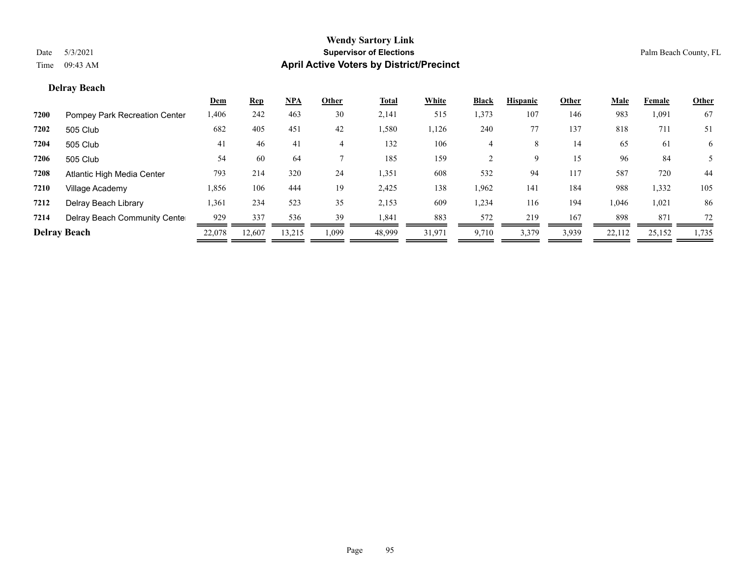## **Delray Beach**

|      |                               | <u>Dem</u> | <b>Rep</b> | <u>NPA</u> | Other          | <b>Total</b> | White  | <b>Black</b> | <b>Hispanic</b> | Other | <b>Male</b> | Female | <b>Other</b> |
|------|-------------------------------|------------|------------|------------|----------------|--------------|--------|--------------|-----------------|-------|-------------|--------|--------------|
| 7200 | Pompey Park Recreation Center | 1,406      | 242        | 463        | 30             | 2,141        | 515    | 1,373        | 107             | 146   | 983         | 1,091  | 67           |
| 7202 | 505 Club                      | 682        | 405        | 451        | 42             | 1,580        | 1,126  | 240          | 77              | 137   | 818         | 711    | 51           |
| 7204 | 505 Club                      | 41         | 46         | 41         | $\overline{4}$ | 132          | 106    | 4            | 8               | 14    | 65          | 61     | 6            |
| 7206 | 505 Club                      | 54         | 60         | 64         |                | 185          | 159    |              | 9               | 15    | 96          | 84     |              |
| 7208 | Atlantic High Media Center    | 793        | 214        | 320        | 24             | 1,351        | 608    | 532          | 94              | 117   | 587         | 720    | 44           |
| 7210 | Village Academy               | 1,856      | 106        | 444        | 19             | 2,425        | 138    | 1,962        | 141             | 184   | 988         | 1,332  | 105          |
| 7212 | Delray Beach Library          | 1,361      | 234        | 523        | 35             | 2,153        | 609    | 1,234        | 116             | 194   | 1,046       | 1,021  | 86           |
| 7214 | Delray Beach Community Cente  | 929        | 337        | 536        | 39             | 1,841        | 883    | 572          | 219             | 167   | 898         | 871    | 72           |
|      | <b>Delray Beach</b>           | 22,078     | 12,607     | 13,215     | 1,099          | 48,999       | 31,971 | 9,710        | 3,379           | 3,939 | 22,112      | 25,152 | 1,735        |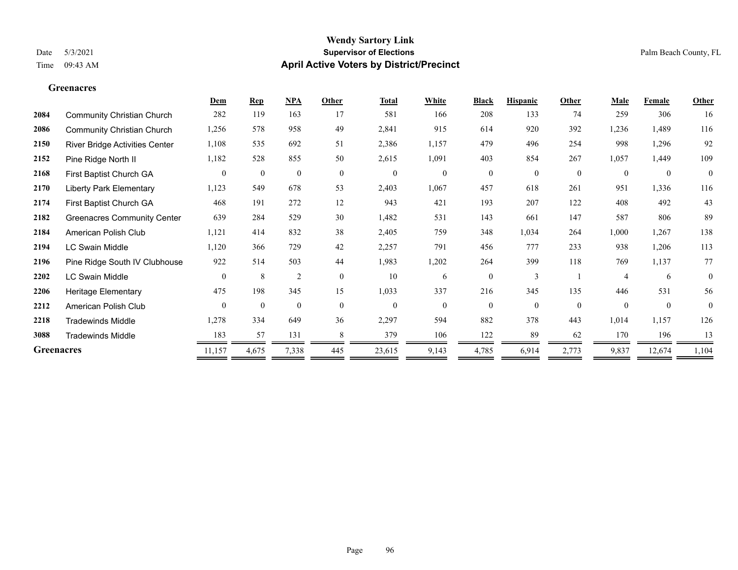**Greenacres**

#### **Wendy Sartory Link** Date 5/3/2021 **Supervisor of Elections** Palm Beach County, FL Time 09:43 AM **April Active Voters by District/Precinct**

# **Dem Rep NPA Other Total White Black Hispanic Other Male Female Other** Community Christian Church 282 119 163 17 581 166 208 133 74 259 306 16 Community Christian Church 1,256 578 958 49 2,841 915 614 920 392 1,236 1,489 116 River Bridge Activities Center 1,108 535 692 51 2,386 1,157 479 496 254 998 1,296 92 Pine Ridge North II 1,182 528 855 50 2,615 1,091 403 854 267 1,057 1,449 109 First Baptist Church GA 0 0 0 0 0 0 0 0 0 0 0 0 Liberty Park Elementary 1,123 549 678 53 2,403 1,067 457 618 261 951 1,336 116 First Baptist Church GA 468 191 272 12 943 421 193 207 122 408 492 43 Greenacres Community Center 639 284 529 30 1,482 531 143 661 147 587 806 89 American Polish Club 1,121 414 832 38 2,405 759 348 1,034 264 1,000 1,267 138 LC Swain Middle 1,120 366 729 42 2,257 791 456 777 233 938 1,206 113 Pine Ridge South IV Clubhouse 922 514 503 44 1,983 1,202 264 399 118 769 1,137 77 LC Swain Middle 0 8 2 0 10 6 0 3 1 4 6 0 Heritage Elementary 475 198 345 15 1,033 337 216 345 135 446 531 56 American Polish Club 0 0 0 0 0 0 0 0 0 0 0 0

—

—

-

 Tradewinds Middle 1,278 334 649 36 2,297 594 882 378 443 1,014 1,157 126 Tradewinds Middle 183 57 131 8 379 106 122 89 62 170 196 13 **Greenacres** 2008 21,157 4,675 7,338 445 23,615 9,143 4,785 6,914 2,773 9,837 12,674 1,104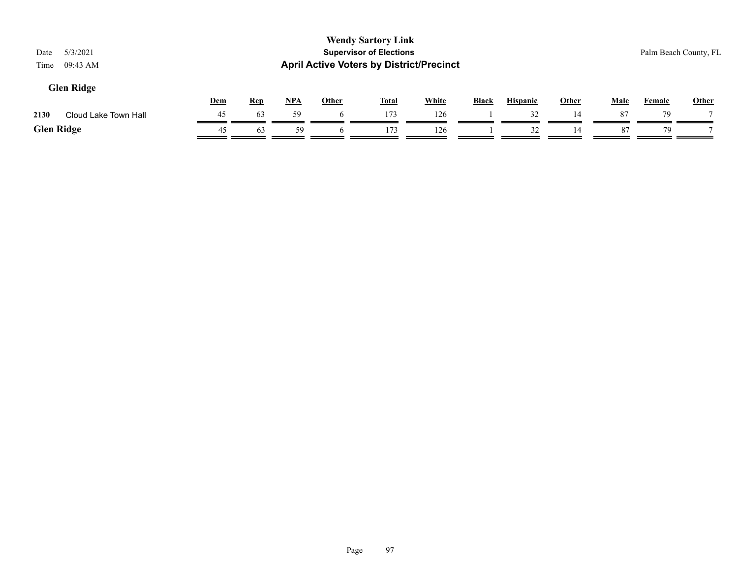# **Glen Ridge**

|      |                      | Dem | Rer              | NP/ | Other | Total | <b>White</b> | Black | <b>Hispanic</b> | Other | Male | Female | <b>Other</b>   |
|------|----------------------|-----|------------------|-----|-------|-------|--------------|-------|-----------------|-------|------|--------|----------------|
| 2130 | Cloud Lake Town Hall |     | $\mathfrak{b}$ : |     |       |       | 126          |       |                 |       |      | 70     | $\overline{ }$ |
|      | <b>Glen Ridge</b>    |     | h.               | 50  |       |       | 126          |       |                 |       |      |        |                |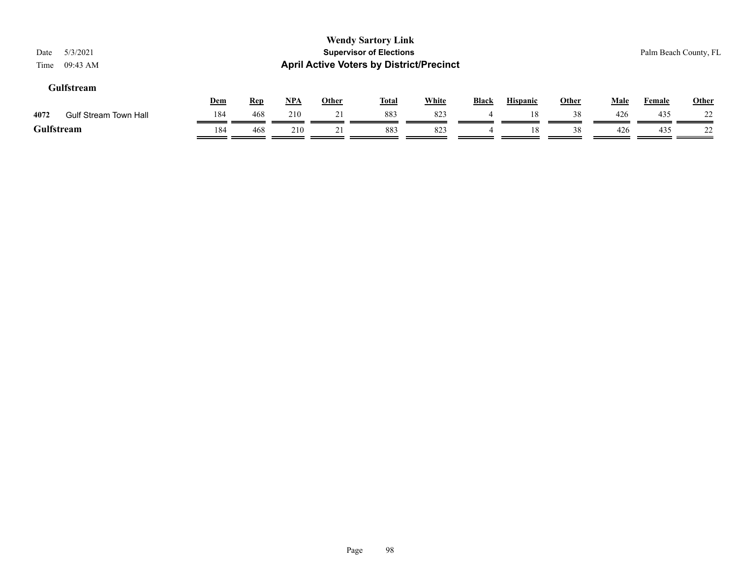| Date       | 5/3/2021                     |     |            |            |              | <b>Wendy Sartory Link</b><br><b>Supervisor of Elections</b> |              |              |                 |              |             | Palm Beach County, FL |              |
|------------|------------------------------|-----|------------|------------|--------------|-------------------------------------------------------------|--------------|--------------|-----------------|--------------|-------------|-----------------------|--------------|
| Time       | 09:43 AM                     |     |            |            |              | <b>April Active Voters by District/Precinct</b>             |              |              |                 |              |             |                       |              |
|            | <b>Gulfstream</b>            |     |            |            |              |                                                             |              |              |                 |              |             |                       |              |
|            |                              | Dem | <u>Rep</u> | <u>NPA</u> | <b>Other</b> | <u>Total</u>                                                | <b>White</b> | <b>Black</b> | <b>Hispanic</b> | <b>Other</b> | <b>Male</b> | <b>Female</b>         | <b>Other</b> |
| 4072       | <b>Gulf Stream Town Hall</b> | 184 | 468        | 210        | 21           | 883                                                         | 823          | 4            | 18              | 38           | 426         | 435                   | 22           |
| Gulfstream |                              | 184 | 468        | 210        |              | 883                                                         | 823          |              | 18              | 38           | 426         | 435                   | 22           |

 $=$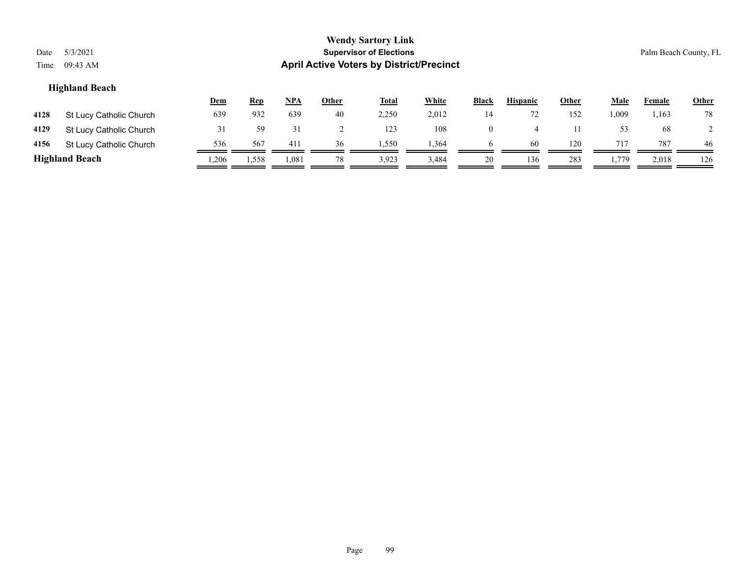| Date<br>Time | 5/3/2021<br>09:43 AM    |            |            |     |              | <b>Wendy Sartory Link</b><br><b>Supervisor of Elections</b><br><b>April Active Voters by District/Precinct</b> |              |              |                 |              |             | Palm Beach County, FL |              |
|--------------|-------------------------|------------|------------|-----|--------------|----------------------------------------------------------------------------------------------------------------|--------------|--------------|-----------------|--------------|-------------|-----------------------|--------------|
|              | <b>Highland Beach</b>   |            |            |     |              |                                                                                                                |              |              |                 |              |             |                       |              |
|              |                         | <u>Dem</u> | <b>Rep</b> | NPA | <u>Other</u> | <b>Total</b>                                                                                                   | <b>White</b> | <b>Black</b> | <b>Hispanic</b> | <u>Other</u> | <u>Male</u> | <b>Female</b>         | <b>Other</b> |
| 4128         | St Lucy Catholic Church | 639        | 932        | 639 | 40           | 2,250                                                                                                          | 2,012        | 14           | 72              | 152          | 1,009       | 1,163                 | 78           |
| 4129         | St Lucy Catholic Church | 31         | 59         | 31  |              | 123                                                                                                            | 108          | $\theta$     | 4               | 11           | 53          | 68                    |              |

4156 St Lucy Catholic Church  $\frac{536}{\sqrt{136}} \frac{567}{\sqrt{136}} \frac{411}{\sqrt{136}} \frac{36}{\sqrt{136}} \frac{1,550}{\sqrt{136}} \frac{1,364}{\sqrt{136}} \frac{6}{\sqrt{136}} \frac{60}{\sqrt{136}} \frac{120}{\sqrt{136}} \frac{717}{\sqrt{136}} \frac{787}{\sqrt{136}} \frac{46}{\sqrt{136}} \frac{1}{\sqrt{136}} \frac{1}{\sqrt{136}} \$ **Highland Beach** 1,206 1,558 1,081 78 3,923 3,484 20 136 283 1,779 2,018 126

Page 99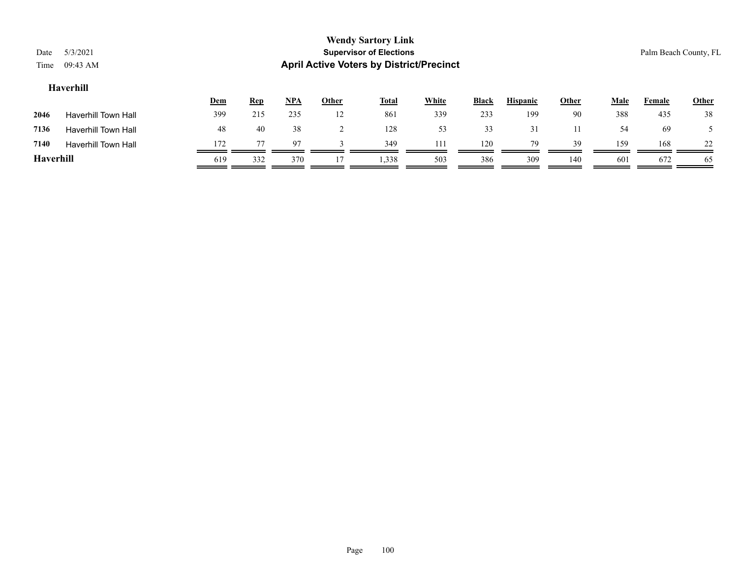| Date<br>Time | 5/3/2021<br>09:43 AM       |     |            |       |              | <b>Wendy Sartory Link</b><br><b>Supervisor of Elections</b><br><b>April Active Voters by District/Precinct</b> |              |              |                 |              |             |               | Palm Beach County, FL |
|--------------|----------------------------|-----|------------|-------|--------------|----------------------------------------------------------------------------------------------------------------|--------------|--------------|-----------------|--------------|-------------|---------------|-----------------------|
|              | Haverhill                  | Dem | <b>Rep</b> | $NPA$ | <b>Other</b> | <b>Total</b>                                                                                                   | <b>White</b> | <b>Black</b> | <b>Hispanic</b> | <u>Other</u> | <b>Male</b> | <b>Female</b> | <b>Other</b>          |
| 2046         | <b>Haverhill Town Hall</b> | 399 | 215        | 235   | 12           | 861                                                                                                            | 339          | 233          | 199             | 90           | 388         | 435           | 38                    |
| 7136         | <b>Haverhill Town Hall</b> | 48  | 40         | 38    |              | 128                                                                                                            | 53           | 33           | 31              | 11           | 54          | -69           |                       |
| 7140         | <b>Haverhill Town Hall</b> | 172 |            | 97    |              | 349                                                                                                            | 111          | 120          | 79              | 39           | 159         | 168           | 22                    |
|              |                            |     |            |       |              |                                                                                                                |              |              |                 |              |             |               |                       |

**Haverhill** 619 332 370 17 1,338 503 386 309 140 601 672 65

Page 100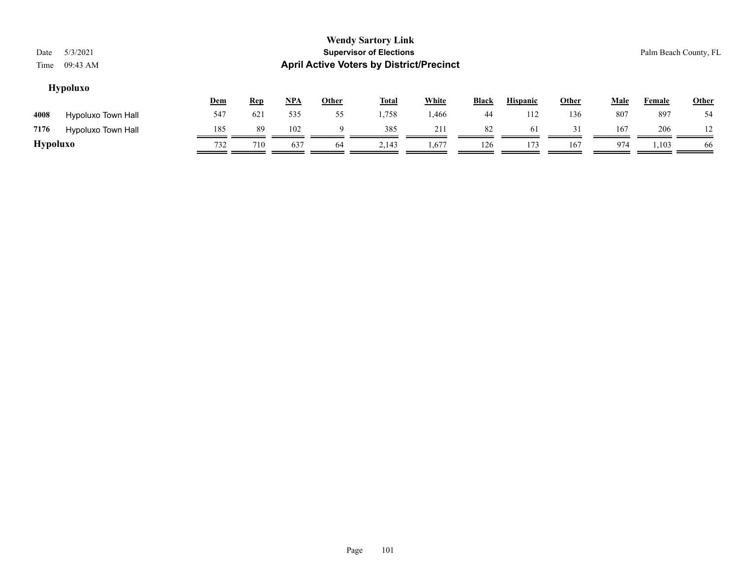# **Hypoluxo**

|          |                    | <b>Dem</b> | <b>Rep</b> | <u>NPA</u> | <b>Other</b> | <b>Total</b> | <b>White</b> | <b>Black</b> | <b>Hispanic</b> | Other | Male | Female | <u>Other</u> |
|----------|--------------------|------------|------------|------------|--------------|--------------|--------------|--------------|-----------------|-------|------|--------|--------------|
| 4008     | Hypoluxo Town Hall | 547        | 621        | 535        | 55           | .,758        | .466         | 44           | 112             | 136   | 807  | 897    | 54           |
| 7176     | Hypoluxo Town Hall | 185        | 89         | 102        |              | 385          | 211          | 82           | 61              | 31    | 167  | 206    |              |
| Hypoluxo |                    | 732        | 710        | 637        | 64           | 2,143        | 1,677        | 126          | 173             | 167   | 974  | 1,103  | 66           |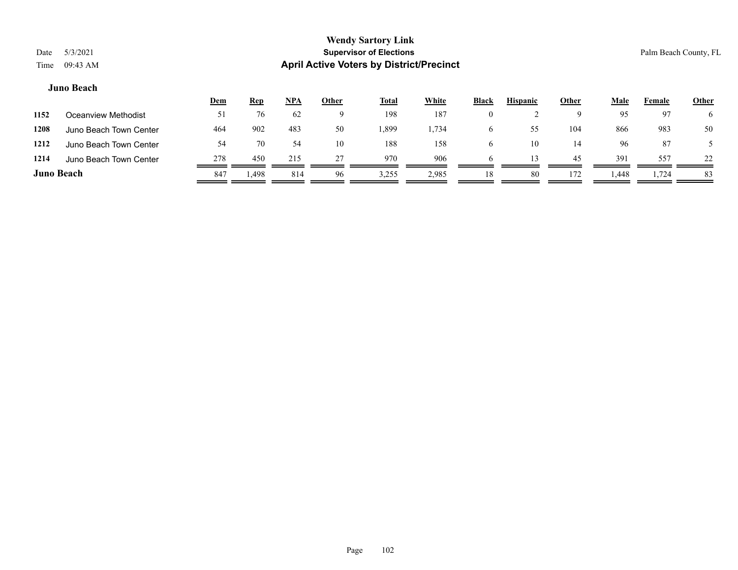#### **Juno Beach**

| 97<br>6     |
|-------------|
|             |
| 50<br>983   |
| -87         |
| 22<br>557   |
| 83<br>1,724 |
|             |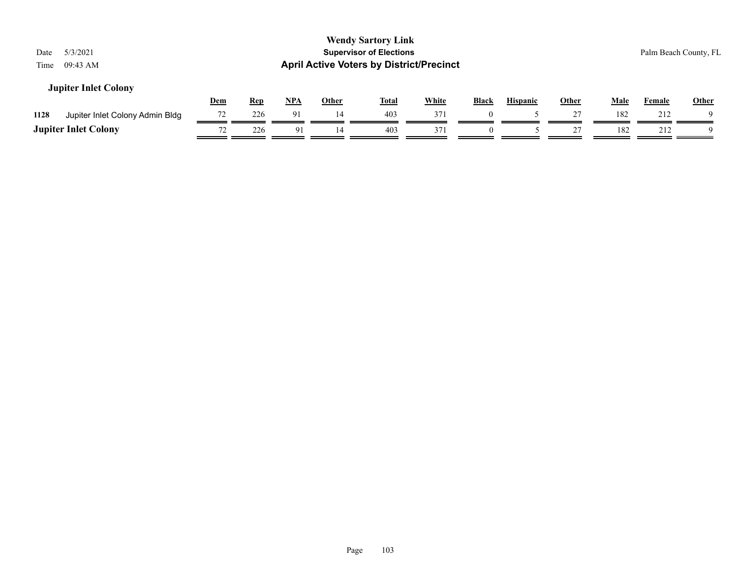| 5/3/2021<br>Date<br>09:43 AM<br>Time    |            |            |            |              | <b>Wendy Sartory Link</b><br><b>Supervisor of Elections</b><br><b>April Active Voters by District/Precinct</b> |              |              |                 |       |             |               | Palm Beach County, FL |
|-----------------------------------------|------------|------------|------------|--------------|----------------------------------------------------------------------------------------------------------------|--------------|--------------|-----------------|-------|-------------|---------------|-----------------------|
| <b>Jupiter Inlet Colony</b>             | <u>Dem</u> | <b>Rep</b> | <u>NPA</u> | <b>Other</b> | <u>Total</u>                                                                                                   | <b>White</b> | <b>Black</b> | <b>Hispanic</b> | Other | <u>Male</u> | <b>Female</b> | <b>Other</b>          |
| 1128<br>Jupiter Inlet Colony Admin Bldg | 72         | 226        | 91         | 14           | 403                                                                                                            | 371          | $\theta$     |                 |       | 182         | 212           |                       |
| <b>Jupiter Inlet Colony</b>             | 72         | 226        | 91         | 14           | 403                                                                                                            | 371          | $\Omega$     |                 |       | 182         | 212           |                       |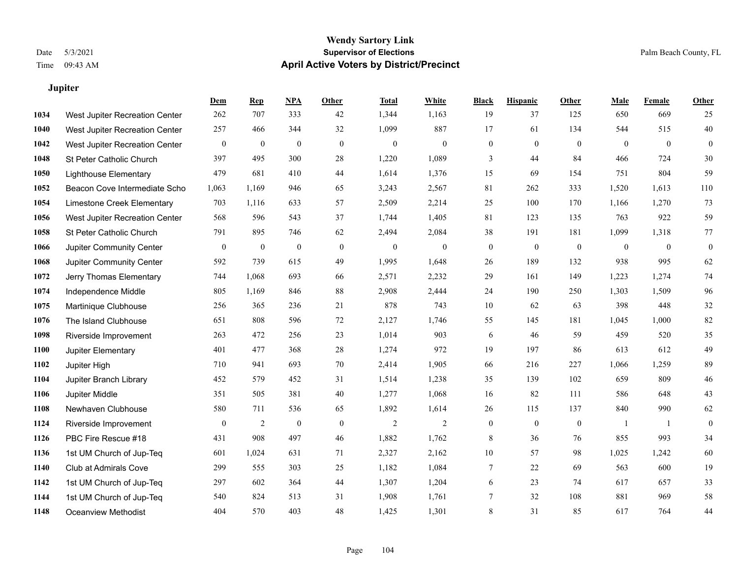**Jupiter**

#### **Wendy Sartory Link** Date 5/3/2021 **Supervisor of Elections** Palm Beach County, FL Time 09:43 AM **April Active Voters by District/Precinct**

|      |                                | Dem              | <b>Rep</b>       | <b>NPA</b>       | Other            | <b>Total</b>     | White        | <b>Black</b>     | <b>Hispanic</b>  | Other            | Male         | Female       | <b>Other</b>     |
|------|--------------------------------|------------------|------------------|------------------|------------------|------------------|--------------|------------------|------------------|------------------|--------------|--------------|------------------|
| 1034 | West Jupiter Recreation Center | 262              | 707              | 333              | 42               | 1,344            | 1,163        | 19               | 37               | 125              | 650          | 669          | 25               |
| 1040 | West Jupiter Recreation Center | 257              | 466              | 344              | 32               | 1,099            | 887          | 17               | 61               | 134              | 544          | 515          | 40               |
| 1042 | West Jupiter Recreation Center | $\boldsymbol{0}$ | $\boldsymbol{0}$ | $\boldsymbol{0}$ | $\mathbf{0}$     | $\mathbf{0}$     | $\mathbf{0}$ | $\theta$         | $\mathbf{0}$     | $\theta$         | $\mathbf{0}$ | $\mathbf{0}$ | $\mathbf{0}$     |
| 1048 | St Peter Catholic Church       | 397              | 495              | 300              | 28               | 1,220            | 1,089        | 3                | 44               | 84               | 466          | 724          | 30               |
| 1050 | <b>Lighthouse Elementary</b>   | 479              | 681              | 410              | 44               | 1,614            | 1.376        | 15               | 69               | 154              | 751          | 804          | 59               |
| 1052 | Beacon Cove Intermediate Scho  | 1,063            | 1,169            | 946              | 65               | 3,243            | 2,567        | 81               | 262              | 333              | 1,520        | 1,613        | 110              |
| 1054 | Limestone Creek Elementary     | 703              | 1,116            | 633              | 57               | 2,509            | 2,214        | 25               | 100              | 170              | 1,166        | 1,270        | 73               |
| 1056 | West Jupiter Recreation Center | 568              | 596              | 543              | 37               | 1,744            | 1,405        | 81               | 123              | 135              | 763          | 922          | 59               |
| 1058 | St Peter Catholic Church       | 791              | 895              | 746              | 62               | 2,494            | 2,084        | 38               | 191              | 181              | 1,099        | 1,318        | $77\,$           |
| 1066 | Jupiter Community Center       | $\boldsymbol{0}$ | $\boldsymbol{0}$ | $\boldsymbol{0}$ | $\mathbf{0}$     | $\boldsymbol{0}$ | $\mathbf{0}$ | $\theta$         | $\mathbf{0}$     | $\mathbf{0}$     | $\mathbf{0}$ | $\mathbf{0}$ | $\boldsymbol{0}$ |
| 1068 | Jupiter Community Center       | 592              | 739              | 615              | 49               | 1,995            | 1,648        | 26               | 189              | 132              | 938          | 995          | 62               |
| 1072 | Jerry Thomas Elementary        | 744              | 1,068            | 693              | 66               | 2,571            | 2,232        | 29               | 161              | 149              | 1,223        | 1,274        | 74               |
| 1074 | Independence Middle            | 805              | 1,169            | 846              | 88               | 2,908            | 2,444        | 24               | 190              | 250              | 1,303        | 1,509        | 96               |
| 1075 | Martinique Clubhouse           | 256              | 365              | 236              | 21               | 878              | 743          | 10               | 62               | 63               | 398          | 448          | 32               |
| 1076 | The Island Clubhouse           | 651              | 808              | 596              | 72               | 2,127            | 1,746        | 55               | 145              | 181              | 1,045        | 1,000        | 82               |
| 1098 | Riverside Improvement          | 263              | 472              | 256              | 23               | 1,014            | 903          | 6                | 46               | 59               | 459          | 520          | 35               |
| 1100 | Jupiter Elementary             | 401              | 477              | 368              | 28               | 1,274            | 972          | 19               | 197              | 86               | 613          | 612          | 49               |
| 1102 | Jupiter High                   | 710              | 941              | 693              | 70               | 2,414            | 1,905        | 66               | 216              | 227              | 1,066        | 1,259        | 89               |
| 1104 | Jupiter Branch Library         | 452              | 579              | 452              | 31               | 1,514            | 1,238        | 35               | 139              | 102              | 659          | 809          | $46\,$           |
| 1106 | Jupiter Middle                 | 351              | 505              | 381              | 40               | 1,277            | 1,068        | 16               | 82               | 111              | 586          | 648          | 43               |
| 1108 | Newhaven Clubhouse             | 580              | 711              | 536              | 65               | 1,892            | 1,614        | $26\,$           | 115              | 137              | 840          | 990          | 62               |
| 1124 | Riverside Improvement          | $\boldsymbol{0}$ | $\overline{2}$   | $\boldsymbol{0}$ | $\boldsymbol{0}$ | $\overline{c}$   | $\sqrt{2}$   | $\boldsymbol{0}$ | $\boldsymbol{0}$ | $\boldsymbol{0}$ | -1           | 1            | $\mathbf{0}$     |
| 1126 | PBC Fire Rescue #18            | 431              | 908              | 497              | 46               | 1,882            | 1,762        | 8                | 36               | 76               | 855          | 993          | 34               |
| 1136 | 1st UM Church of Jup-Teq       | 601              | 1,024            | 631              | 71               | 2,327            | 2,162        | 10               | 57               | 98               | 1,025        | 1,242        | 60               |
| 1140 | Club at Admirals Cove          | 299              | 555              | 303              | 25               | 1,182            | 1,084        | 7                | 22               | 69               | 563          | 600          | 19               |
| 1142 | 1st UM Church of Jup-Teq       | 297              | 602              | 364              | 44               | 1,307            | 1,204        | 6                | 23               | 74               | 617          | 657          | 33               |
| 1144 | 1st UM Church of Jup-Teq       | 540              | 824              | 513              | 31               | 1,908            | 1,761        | 7                | 32               | 108              | 881          | 969          | 58               |
| 1148 | <b>Oceanview Methodist</b>     | 404              | 570              | 403              | 48               | 1,425            | 1,301        | 8                | 31               | 85               | 617          | 764          | 44               |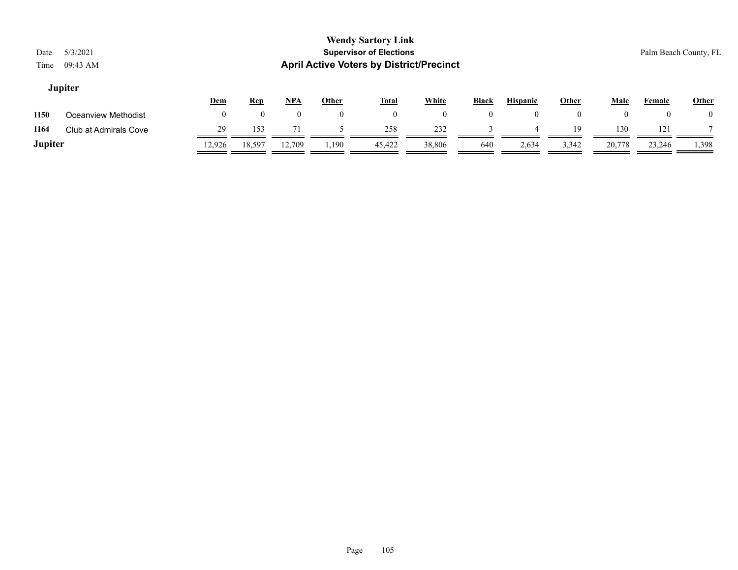# **Jupiter**

|         |                       | Dem    | <b>Rep</b> | <u>NPA</u> | Other | <b>Total</b> | White  | <b>Black</b> | <b>Hispanic</b> | Other | Male   | Female | <u>Other</u>       |
|---------|-----------------------|--------|------------|------------|-------|--------------|--------|--------------|-----------------|-------|--------|--------|--------------------|
| 1150    | Oceanview Methodist   |        |            |            |       | 0            |        |              |                 |       |        |        | $\left( 0 \right)$ |
| 1164    | Club at Admirals Cove | 29     | 153        | 71         |       | 258          | 232    |              |                 | 19    | 130    | 121    |                    |
| Jupiter |                       | 12.926 | 18,597     | 12,709     | 1,190 | 45,422       | 38,806 | 640          | 2,634           | 3,342 | 20,778 | 23,246 | 1,398              |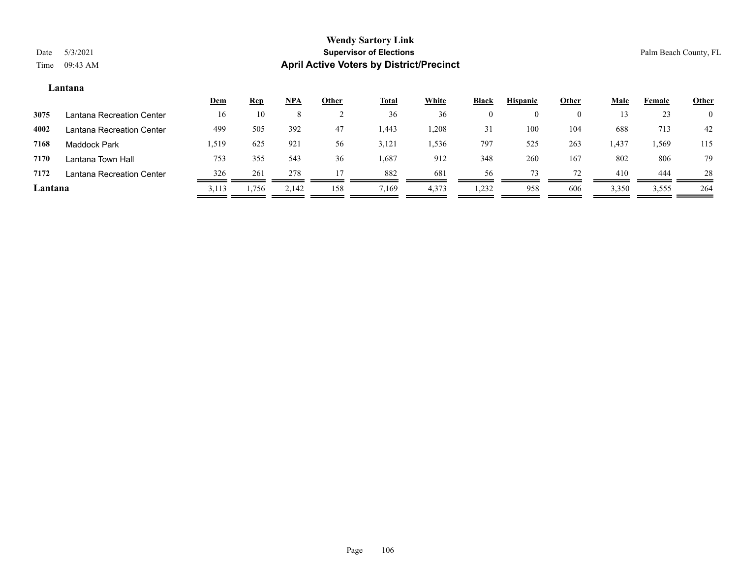#### **Lantana**

|         |                           | <u>Dem</u> | <u>Rep</u> | <u>NPA</u> | <b>Other</b> | <b>Total</b> | White | <b>Black</b> | <b>Hispanic</b> | Other    | <u>Male</u> | Female | <b>Other</b>   |
|---------|---------------------------|------------|------------|------------|--------------|--------------|-------|--------------|-----------------|----------|-------------|--------|----------------|
| 3075    | Lantana Recreation Center | 16         | 10         | Ō.         |              | 36           | 36    |              |                 | $\Omega$ |             | 23     | $\overline{0}$ |
| 4002    | Lantana Recreation Center | 499        | 505        | 392        | 47           | 1,443        | 1,208 | 31           | 100             | 104      | 688         | 713    | 42             |
| 7168    | Maddock Park              | .519       | 625        | 921        | 56           | 3,121        | .,536 | 797          | 525             | 263      | 1,437       | . 569  | 115            |
| 7170    | Lantana Town Hall         | 753        | 355        | 543        | 36           | 1,687        | 912   | 348          | 260             | 167      | 802         | 806    | 79             |
| 7172    | Lantana Recreation Center | 326        | 261        | 278        |              | 882          | 681   | 56           |                 | 72       | 410         | 444    | 28             |
| Lantana |                           | 3,113      | 1,756      | 2,142      | 158          | 7,169        | 4,373 | 1,232        | 958             | 606      | 3,350       | 3,555  | 264            |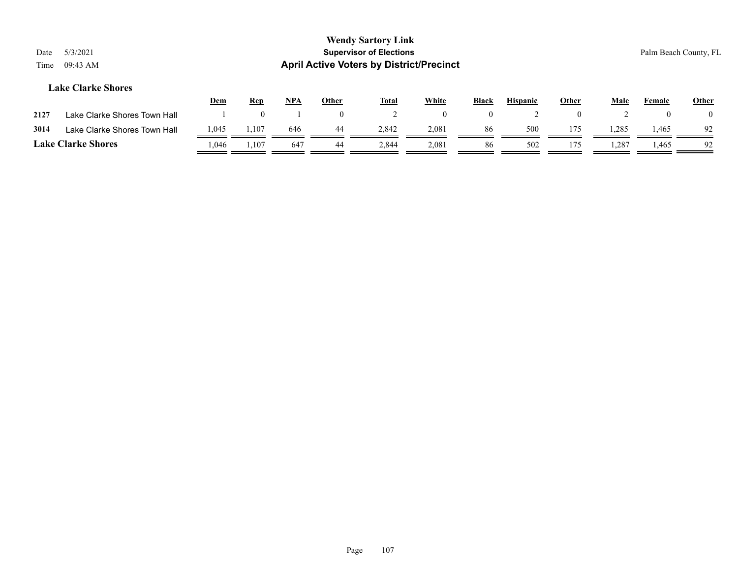# **Lake Clarke Shores**

|                           |                              | <u>Dem</u> | <u>Rep</u> | NPA | Other | <b>Total</b> | White | <b>Black</b> | <b>Hispanic</b> | Other | Male  | Female | <b>Other</b> |
|---------------------------|------------------------------|------------|------------|-----|-------|--------------|-------|--------------|-----------------|-------|-------|--------|--------------|
| 2127                      | Lake Clarke Shores Town Hall |            |            |     |       |              |       |              |                 |       |       |        |              |
| 3014                      | Lake Clarke Shores Town Hall | 1,045      | 1,107      | 646 | 44    | 2.842        | 2,081 | 86           | 500             | 175   | 1,285 | 1,465  | 92           |
| <b>Lake Clarke Shores</b> |                              | .046       | 1,107      | 64  | 44    | 2,844        | 2,081 | 86           | 502             | 175   | .,287 | 1,465  | 92           |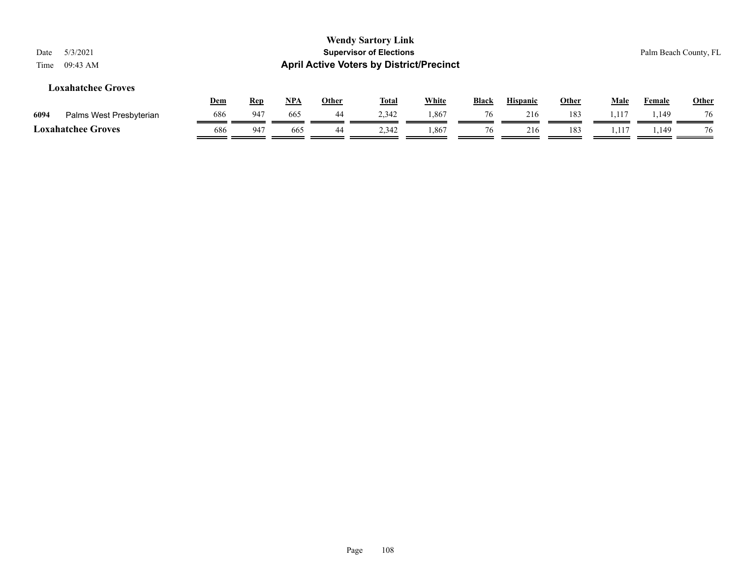|      |                           | <u>Dem</u> | Rep  | NPA | Other | <b>Total</b> | White | Black | <b>Hispanic</b> | Other | Male  | Femal | Other |
|------|---------------------------|------------|------|-----|-------|--------------|-------|-------|-----------------|-------|-------|-------|-------|
| 6094 | Palms West Presbyterian   | 686        | -947 | 665 | 44    | 2,342        | 0.867 | 76    | 216             | 183   | 1.11″ | . 149 | 76    |
|      | <b>Loxahatchee Groves</b> | 686        | -947 | 665 | 44    | 2,342        | 1,867 |       | 216             | 183   |       | 1,149 | 76    |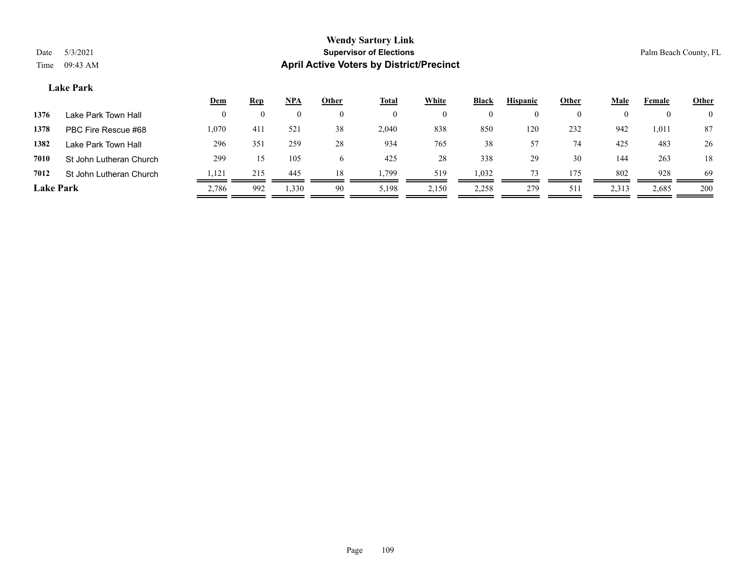### **Lake Park**

|                  |                         | <u>Dem</u> | <b>Rep</b> | <u>NPA</u>         | <b>Other</b> | <b>Total</b> | White    | <b>Black</b> | <b>Hispanic</b> | Other    | <u>Male</u> | Female | <b>Other</b>   |
|------------------|-------------------------|------------|------------|--------------------|--------------|--------------|----------|--------------|-----------------|----------|-------------|--------|----------------|
| 1376             | Lake Park Town Hall     | $\theta$   | $\theta$   | $\left( 0 \right)$ | $^{(1)}$     | 0            | $^{(1)}$ |              |                 | $\Omega$ |             |        | $\overline{0}$ |
| 1378             | PBC Fire Rescue #68     | 1,070      | 411        | 521                | 38           | 2,040        | 838      | 850          | 120             | 232      | 942         | 1,011  | 87             |
| 1382             | Lake Park Town Hall     | 296        | 351        | 259                | 28           | 934          | 765      | 38           | 57              | 74       | 425         | 483    | 26             |
| 7010             | St John Lutheran Church | 299        | 15         | 105                |              | 425          | 28       | 338          | 29              | 30       | 144         | 263    | 18             |
| 7012             | St John Lutheran Church | ,121       | 215        | 445                | 18           | . 799        | 519      | 1,032        |                 | 175      | 802         | 928    | 69             |
| <b>Lake Park</b> |                         | 2,786      | 992        | 1,330              | 90           | 5,198        | 2,150    | 2,258        | 279             | 511      | 2,313       | 2,685  | 200            |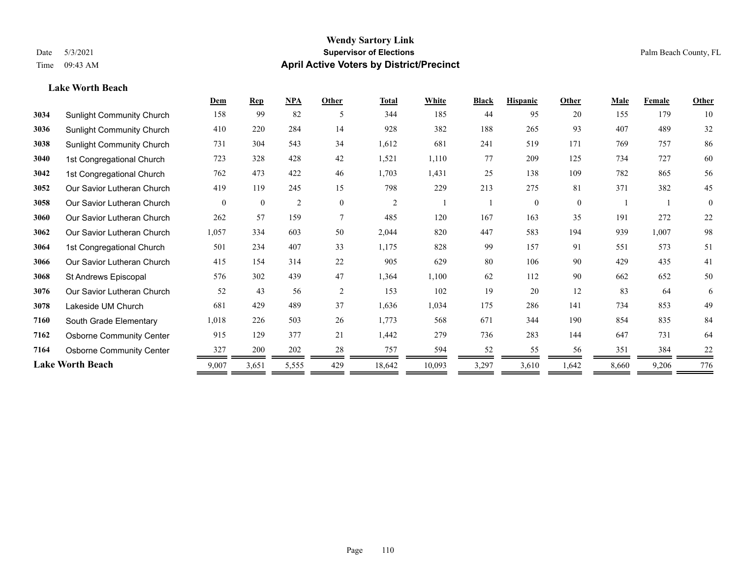**Lake Worth Beach**

### **Wendy Sartory Link** Date 5/3/2021 **Supervisor of Elections** Palm Beach County, FL Time 09:43 AM **April Active Voters by District/Precinct**

# **Dem Rep NPA Other Total White Black Hispanic Other Male Female Other** Sunlight Community Church 158 99 82 5 344 185 44 95 20 155 179 10 Sunlight Community Church 410 220 284 14 928 382 188 265 93 407 489 32 Sunlight Community Church 731 304 543 34 1,612 681 241 519 171 769 757 86 1st Congregational Church 723 328 428 42 1,521 1,110 77 209 125 734 727 60 1st Congregational Church 762 473 422 46 1,703 1,431 25 138 109 782 865 56 Our Savior Lutheran Church 419 119 245 15 798 229 213 275 81 371 382 45 Our Savior Lutheran Church 0 0 0 2 0 0 2 1 1 0 0 0 1 1 0 Our Savior Lutheran Church 262 57 159 7 485 120 167 163 35 191 272 22 Our Savior Lutheran Church 1,057 334 603 50 2,044 820 447 583 194 939 1,007 98 1st Congregational Church 501 234 407 33 1,175 828 99 157 91 551 573 51 Our Savior Lutheran Church 415 154 314 22 905 629 80 106 90 429 435 41 St Andrews Episcopal 576 302 439 47 1,364 1,100 62 112 90 662 652 50 Our Savior Lutheran Church 52 43 56 2 153 102 19 20 12 83 64 6 Lakeside UM Church 681 429 489 37 1,636 1,034 175 286 141 734 853 49 South Grade Elementary 1,018 226 503 26 1,773 568 671 344 190 854 835 84 Osborne Community Center 915 129 377 21 1,442 279 736 283 144 647 731 64 **7164** Osborne Community Center  $\frac{327}{200} = \frac{200}{202} = \frac{28}{202} = \frac{757}{202} = \frac{594}{202} = \frac{52}{202} = \frac{55}{202} = \frac{56}{202} = \frac{381}{202} = \frac{384}{202} = \frac{22}{202} = \frac{55}{202} = \frac{55}{202} = \frac{55}{202} = \frac{55}{202} = \frac{55}{202} = \frac{55}{2$ **Lake Worth Beach** 9,007 3,651 5,555 429 18,642 10,093 3,297 3,610 1,642 8,660 9,206 776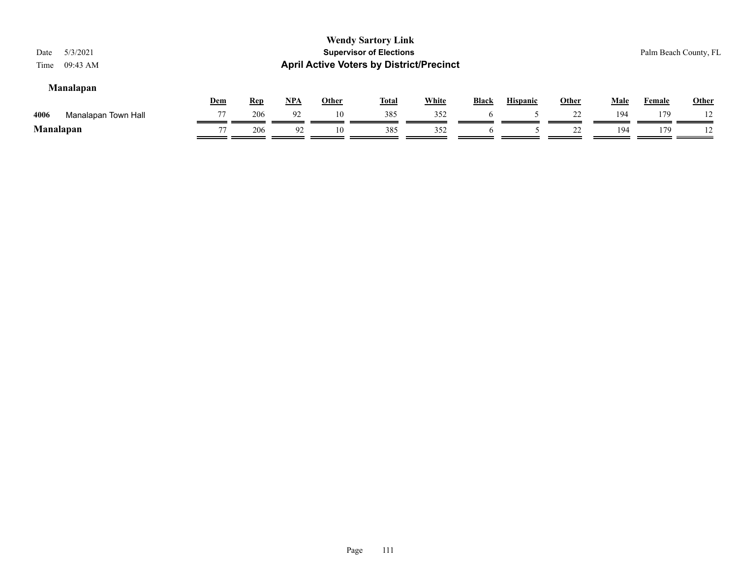# **Manalapan**

|           |                     | Dem | Rep | NP/ | Other | <b>Total</b> | <b>White</b> | <b>Black</b> | <b>Hispanic</b> | Other | Male | Female | Other          |
|-----------|---------------------|-----|-----|-----|-------|--------------|--------------|--------------|-----------------|-------|------|--------|----------------|
| 4006      | Manalapan Town Hall | 77  | 206 |     |       | 385          | 352          |              |                 |       | 194  | 179    |                |
| Manalapan |                     | 77  | 206 |     | 10    | 385          | 352          |              |                 | --    | 194  | 79     | $\overline{1}$ |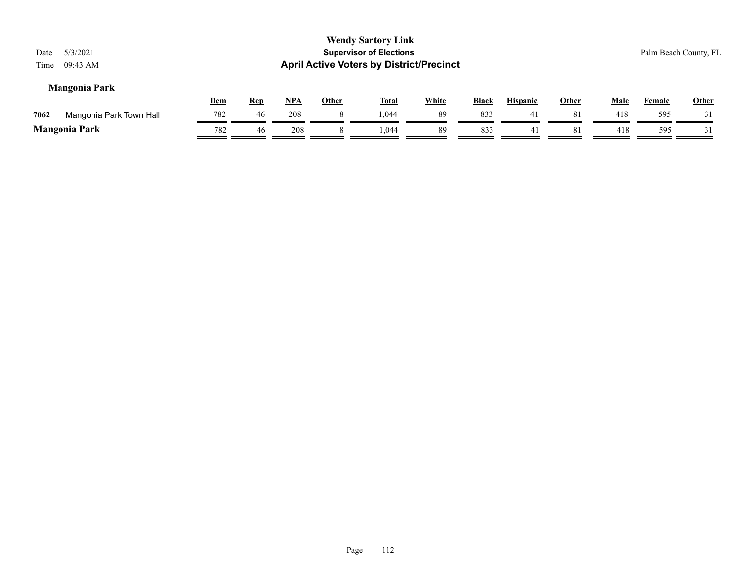|                                 |            |            |            |              | <b>Wendy Sartory Link</b>                       |              |              |                 |              |             |               |                       |
|---------------------------------|------------|------------|------------|--------------|-------------------------------------------------|--------------|--------------|-----------------|--------------|-------------|---------------|-----------------------|
| 5/3/2021<br>Date                |            |            |            |              | <b>Supervisor of Elections</b>                  |              |              |                 |              |             |               | Palm Beach County, FL |
| 09:43 AM<br>Time                |            |            |            |              | <b>April Active Voters by District/Precinct</b> |              |              |                 |              |             |               |                       |
| <b>Mangonia Park</b>            |            |            |            |              |                                                 |              |              |                 |              |             |               |                       |
|                                 | <u>Dem</u> | <u>Rep</u> | <u>NPA</u> | <b>Other</b> | <u>Total</u>                                    | <b>White</b> | <b>Black</b> | <b>Hispanic</b> | <b>Other</b> | <u>Male</u> | <b>Female</b> | <b>Other</b>          |
| Mangonia Park Town Hall<br>7062 | 782        | 46         | 208        |              | 1.044                                           | 89           | 833          | 41              | 81           | 418         | 595           |                       |
| <b>Mangonia Park</b>            | 782        | 46         | 208        |              | 1.044                                           | 89           | 833          | 41              | 81           | 418         | 595           |                       |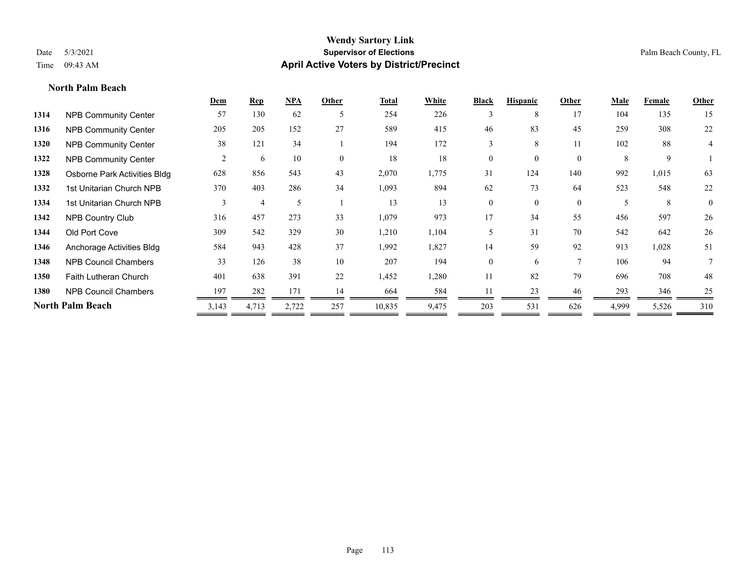**North Palm Beach**

# **Wendy Sartory Link** Date 5/3/2021 **Supervisor of Elections** Palm Beach County, FL Time 09:43 AM **April Active Voters by District/Precinct**

|      |                              | Dem            | $\mathbf{Rep}$ | NPA   | Other        | <b>Total</b> | White | <b>Black</b>   | <b>Hispanic</b> | Other          | Male  | Female | Other          |
|------|------------------------------|----------------|----------------|-------|--------------|--------------|-------|----------------|-----------------|----------------|-------|--------|----------------|
| 1314 | <b>NPB Community Center</b>  | 57             | 130            | 62    | 5            | 254          | 226   | 3              | 8               | 17             | 104   | 135    | 15             |
| 1316 | <b>NPB Community Center</b>  | 205            | 205            | 152   | 27           | 589          | 415   | 46             | 83              | 45             | 259   | 308    | 22             |
| 1320 | <b>NPB Community Center</b>  | 38             | 121            | 34    |              | 194          | 172   | 3              | 8               | 11             | 102   | 88     | 4              |
| 1322 | <b>NPB Community Center</b>  | $\overline{2}$ | 6              | 10    | $\mathbf{0}$ | 18           | 18    | $\overline{0}$ |                 | $\overline{0}$ | 8     | 9      |                |
| 1328 | Osborne Park Activities Bldg | 628            | 856            | 543   | 43           | 2,070        | 1,775 | 31             | 124             | 140            | 992   | 1,015  | 63             |
| 1332 | 1st Unitarian Church NPB     | 370            | 403            | 286   | 34           | 1,093        | 894   | 62             | 73              | 64             | 523   | 548    | 22             |
| 1334 | 1st Unitarian Church NPB     | 3              |                |       |              | 13           | 13    | $\theta$       | $\theta$        | $\overline{0}$ | 5     | 8      | $\overline{0}$ |
| 1342 | <b>NPB Country Club</b>      | 316            | 457            | 273   | 33           | 1,079        | 973   | 17             | 34              | 55             | 456   | 597    | 26             |
| 1344 | Old Port Cove                | 309            | 542            | 329   | 30           | 1,210        | 1,104 | 5              | 31              | 70             | 542   | 642    | 26             |
| 1346 | Anchorage Activities Bldg    | 584            | 943            | 428   | 37           | 1,992        | 1,827 | 14             | 59              | 92             | 913   | 1,028  | 51             |
| 1348 | <b>NPB Council Chambers</b>  | 33             | 126            | 38    | 10           | 207          | 194   | $\Omega$       | 6               | $\tau$         | 106   | 94     |                |
| 1350 | Faith Lutheran Church        | 401            | 638            | 391   | 22           | 1,452        | 1,280 | 11             | 82              | 79             | 696   | 708    | 48             |
| 1380 | <b>NPB Council Chambers</b>  | 197            | 282            | 171   | 14           | 664          | 584   |                | 23              | 46             | 293   | 346    | 25             |
|      | North Palm Beach             | 3,143          | 4,713          | 2,722 | 257          | 10,835       | 9,475 | 203            | 531             | 626            | 4,999 | 5,526  | 310            |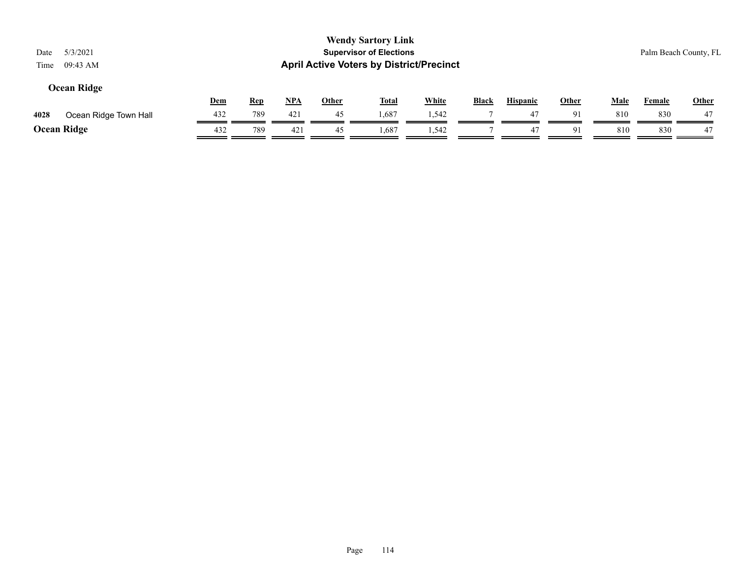| 5/3/2021<br>Date<br>09:43 AM<br>Time |            |            |            |              | <b>Wendy Sartory Link</b><br><b>Supervisor of Elections</b><br><b>April Active Voters by District/Precinct</b> |              |              |                 |              |             |               | Palm Beach County, FL |
|--------------------------------------|------------|------------|------------|--------------|----------------------------------------------------------------------------------------------------------------|--------------|--------------|-----------------|--------------|-------------|---------------|-----------------------|
| Ocean Ridge                          | <b>Dem</b> | <b>Rep</b> | <u>NPA</u> | <b>Other</b> | <u>Total</u>                                                                                                   | <b>White</b> | <b>Black</b> | <b>Hispanic</b> | <u>Other</u> | <b>Male</b> | <b>Female</b> | <b>Other</b>          |
| Ocean Ridge Town Hall<br>4028        | 432        | 789        | 421        | 45           | 1,687                                                                                                          | 1,542        |              | 47              | 91           | 810         | 830           | 47                    |
| <b>Ocean Ridge</b>                   | 432        | 789        | 421        | 45           | 1,687                                                                                                          | 1.542        |              | 47              | 91           | 810         | 830           | 47                    |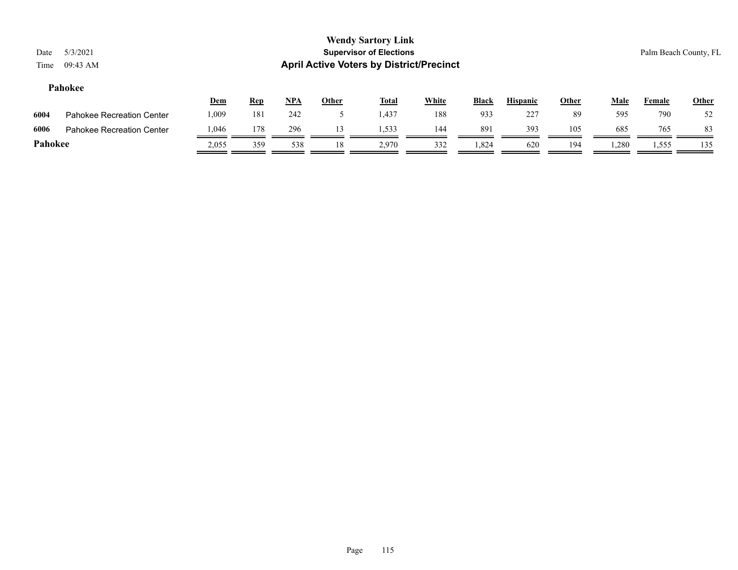# **Pahokee**

|         |                                  | <u>Dem</u> | <u>Rep</u> | <b>NPA</b> | <b>Other</b> | <b>Total</b> | White | <b>Black</b> | <b>Hispanic</b> | Other | Male  | Female | <b>Other</b> |
|---------|----------------------------------|------------|------------|------------|--------------|--------------|-------|--------------|-----------------|-------|-------|--------|--------------|
| 6004    | <b>Pahokee Recreation Center</b> | .009       | 181        | 242        |              | 1,437        | 188   | 933          | 227             | 89    | 595   | 790    | 52           |
| 6006    | Pahokee Recreation Center        | .046       | 178        | 296        |              | 1.533        | 144   | 891          | 393             | 105   | 685   | 765    | 83           |
| Pahokee |                                  | 2.055      | 359        | 538        | 18           | 2.970        | 332   | 1,824        | 620             | 194   | 1.280 | 1,555  | 135          |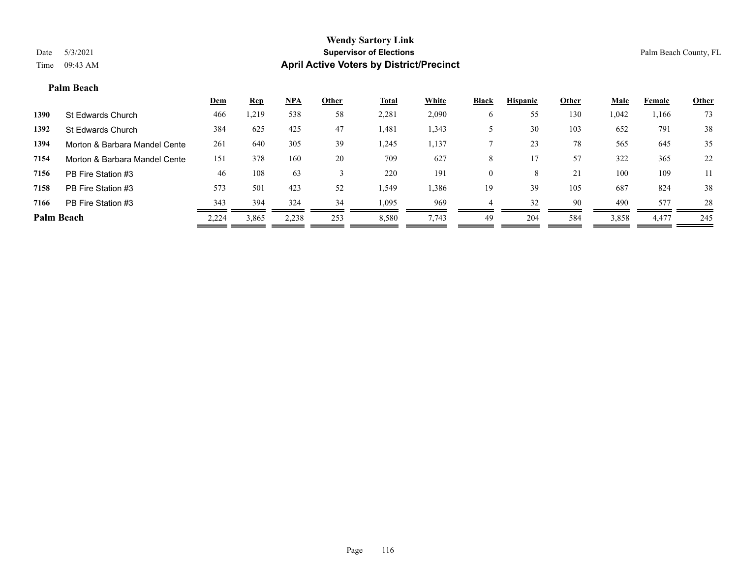### **Palm Beach**

|                   |                               | <u>Dem</u> | <b>Rep</b> | $NPA$ | <b>Other</b> | <u>Total</u> | <b>White</b> | <b>Black</b> | <b>Hispanic</b> | <b>Other</b> | <b>Male</b> | Female | <b>Other</b> |
|-------------------|-------------------------------|------------|------------|-------|--------------|--------------|--------------|--------------|-----------------|--------------|-------------|--------|--------------|
| 1390              | St Edwards Church             | 466        | ,219       | 538   | 58           | 2,281        | 2,090        | O            | 55              | 130          | 1,042       | 1,166  | 73           |
| 1392              | St Edwards Church             | 384        | 625        | 425   | 47           | 1,481        | 1,343        |              | 30              | 103          | 652         | 791    | 38           |
| 1394              | Morton & Barbara Mandel Cente | 261        | 640        | 305   | 39           | 1,245        | 1,137        |              | 23              | 78           | 565         | 645    | 35           |
| 7154              | Morton & Barbara Mandel Cente | 151        | 378        | 160   | 20           | 709          | 627          | 8            |                 | 57           | 322         | 365    | 22           |
| 7156              | PB Fire Station #3            | 46         | 108        | 63    |              | 220          | 191          | $\theta$     | 8               | 21           | 100         | 109    | 11           |
| 7158              | PB Fire Station #3            | 573        | 501        | 423   | 52           | 1,549        | 1,386        | 19           | 39              | 105          | 687         | 824    | 38           |
| 7166              | PB Fire Station #3            | 343        | 394        | 324   | 34           | 1,095        | 969          |              | 32              | 90           | 490         | 577    | 28           |
| <b>Palm Beach</b> |                               | 2,224      | 3,865      | 2,238 | 253          | 8,580        | 7,743        | 49           | 204             | 584          | 3,858       | 4,477  | 245          |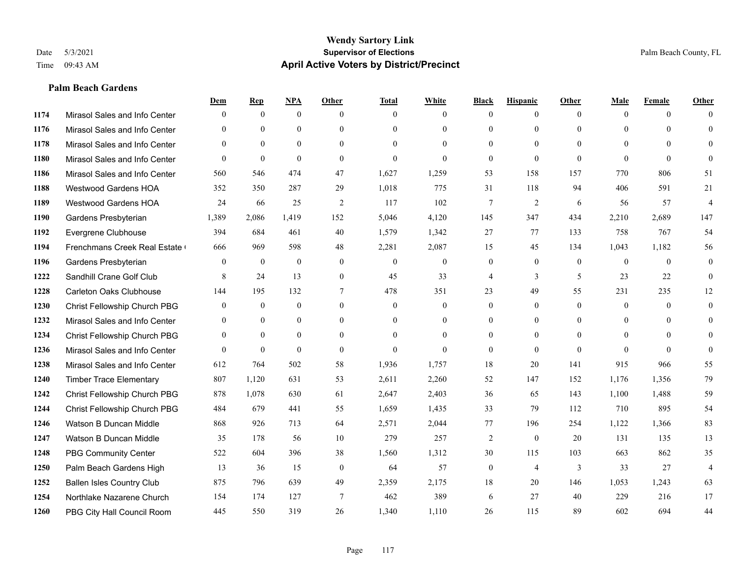### **Palm Beach Gardens**

|      |                                  | Dem              | <b>Rep</b>       | NPA              | <b>Other</b>   | <b>Total</b>     | <b>White</b>     | <b>Black</b>     | <b>Hispanic</b> | <b>Other</b> | <b>Male</b>  | <b>Female</b> | <b>Other</b>   |
|------|----------------------------------|------------------|------------------|------------------|----------------|------------------|------------------|------------------|-----------------|--------------|--------------|---------------|----------------|
| 1174 | Mirasol Sales and Info Center    | $\theta$         | $\mathbf{0}$     | $\mathbf{0}$     | $\theta$       | $\theta$         | $\overline{0}$   | $\Omega$         | $\mathbf{0}$    | $\theta$     | $\theta$     | $\theta$      | $\Omega$       |
| 1176 | Mirasol Sales and Info Center    | $\Omega$         | $\theta$         | $\theta$         | $\Omega$       | $\Omega$         | $\theta$         | $\Omega$         | $\theta$        | $\Omega$     | $\theta$     | $\Omega$      | $\theta$       |
| 1178 | Mirasol Sales and Info Center    | $\theta$         | $\mathbf{0}$     | $\mathbf{0}$     | $\theta$       | $\Omega$         | $\Omega$         | $\theta$         | $\theta$        | $\Omega$     | $\theta$     | $\Omega$      | $\Omega$       |
| 1180 | Mirasol Sales and Info Center    | $\theta$         | $\theta$         | $\theta$         | $\theta$       | $\mathbf{0}$     | $\Omega$         | $\overline{0}$   | $\theta$        | $\theta$     | $\theta$     | $\theta$      | $\Omega$       |
| 1186 | Mirasol Sales and Info Center    | 560              | 546              | 474              | 47             | 1,627            | 1,259            | 53               | 158             | 157          | 770          | 806           | 51             |
| 1188 | <b>Westwood Gardens HOA</b>      | 352              | 350              | 287              | 29             | 1,018            | 775              | 31               | 118             | 94           | 406          | 591           | 21             |
| 1189 | Westwood Gardens HOA             | 24               | 66               | 25               | $\overline{2}$ | 117              | 102              | $\overline{7}$   | $\overline{2}$  | 6            | 56           | 57            | $\overline{4}$ |
| 1190 | Gardens Presbyterian             | 1,389            | 2,086            | 1,419            | 152            | 5,046            | 4,120            | 145              | 347             | 434          | 2,210        | 2,689         | 147            |
| 1192 | Evergrene Clubhouse              | 394              | 684              | 461              | 40             | 1,579            | 1,342            | 27               | 77              | 133          | 758          | 767           | 54             |
| 1194 | Frenchmans Creek Real Estate     | 666              | 969              | 598              | 48             | 2,281            | 2,087            | 15               | 45              | 134          | 1,043        | 1,182         | 56             |
| 1196 | Gardens Presbyterian             | $\theta$         | $\mathbf{0}$     | $\theta$         | $\theta$       | $\theta$         | $\overline{0}$   | $\overline{0}$   | $\theta$        | $\theta$     | $\theta$     | $\theta$      | $\theta$       |
| 1222 | Sandhill Crane Golf Club         | 8                | 24               | 13               | $\overline{0}$ | 45               | 33               | 4                | 3               | 5            | 23           | 22            | $\theta$       |
| 1228 | Carleton Oaks Clubhouse          | 144              | 195              | 132              | $\tau$         | 478              | 351              | 23               | 49              | 55           | 231          | 235           | 12             |
| 1230 | Christ Fellowship Church PBG     | $\boldsymbol{0}$ | $\boldsymbol{0}$ | $\boldsymbol{0}$ | $\mathbf{0}$   | $\boldsymbol{0}$ | $\boldsymbol{0}$ | $\boldsymbol{0}$ | $\mathbf{0}$    | $\mathbf{0}$ | $\mathbf{0}$ | $\mathbf{0}$  | $\mathbf{0}$   |
| 1232 | Mirasol Sales and Info Center    | $\theta$         | $\mathbf{0}$     | $\mathbf{0}$     | $\theta$       | $\theta$         | $\overline{0}$   | $\overline{0}$   | $\mathbf{0}$    | $\Omega$     | $\theta$     | $\theta$      | $\mathbf{0}$   |
| 1234 | Christ Fellowship Church PBG     | $\mathbf{0}$     | $\theta$         | $\theta$         | $\theta$       | $\theta$         | $\theta$         | $\Omega$         | $\theta$        | $\Omega$     | $\theta$     | $\Omega$      | $\theta$       |
| 1236 | Mirasol Sales and Info Center    | $\theta$         | $\mathbf{0}$     | $\mathbf{0}$     | $\theta$       | $\mathbf{0}$     | $\Omega$         | $\overline{0}$   | $\mathbf{0}$    | $\theta$     | $\Omega$     | $\theta$      | $\theta$       |
| 1238 | Mirasol Sales and Info Center    | 612              | 764              | 502              | 58             | 1,936            | 1,757            | 18               | 20              | 141          | 915          | 966           | 55             |
| 1240 | <b>Timber Trace Elementary</b>   | 807              | 1,120            | 631              | 53             | 2,611            | 2,260            | 52               | 147             | 152          | 1,176        | 1,356         | 79             |
| 1242 | Christ Fellowship Church PBG     | 878              | 1,078            | 630              | 61             | 2,647            | 2,403            | 36               | 65              | 143          | 1,100        | 1,488         | 59             |
| 1244 | Christ Fellowship Church PBG     | 484              | 679              | 441              | 55             | 1,659            | 1,435            | 33               | 79              | 112          | 710          | 895           | 54             |
| 1246 | Watson B Duncan Middle           | 868              | 926              | 713              | 64             | 2,571            | 2,044            | 77               | 196             | 254          | 1,122        | 1,366         | 83             |
| 1247 | Watson B Duncan Middle           | 35               | 178              | 56               | 10             | 279              | 257              | $\overline{2}$   | $\mathbf{0}$    | 20           | 131          | 135           | 13             |
| 1248 | <b>PBG Community Center</b>      | 522              | 604              | 396              | 38             | 1,560            | 1,312            | 30               | 115             | 103          | 663          | 862           | 35             |
| 1250 | Palm Beach Gardens High          | 13               | 36               | 15               | $\theta$       | 64               | 57               | $\overline{0}$   | $\overline{4}$  | 3            | 33           | 27            | $\overline{4}$ |
| 1252 | <b>Ballen Isles Country Club</b> | 875              | 796              | 639              | 49             | 2,359            | 2,175            | 18               | 20              | 146          | 1,053        | 1,243         | 63             |
| 1254 | Northlake Nazarene Church        | 154              | 174              | 127              | $\overline{7}$ | 462              | 389              | 6                | 27              | 40           | 229          | 216           | 17             |
| 1260 | PBG City Hall Council Room       | 445              | 550              | 319              | 26             | 1,340            | 1,110            | 26               | 115             | 89           | 602          | 694           | 44             |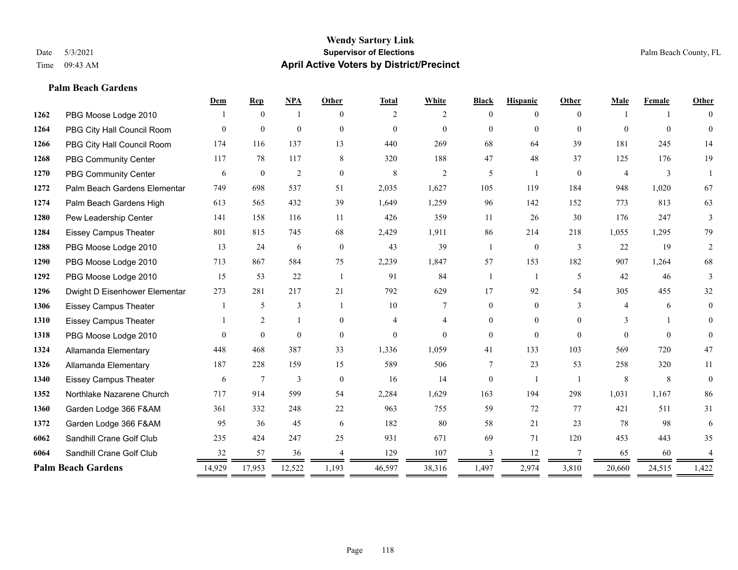**Palm Beach Gardens**

### **Wendy Sartory Link** Date 5/3/2021 **Supervisor of Elections** Palm Beach County, FL Time 09:43 AM **April Active Voters by District/Precinct**

# **Dem Rep NPA Other Total White Black Hispanic Other Male Female Other** PBG Moose Lodge 2010 1 0 1 0 2 2 0 0 0 1 1 0 PBG City Hall Council Room 0 0 0 0 0 0 0 0 0 0 0 0 PBG City Hall Council Room 174 116 137 13 440 269 68 64 39 181 245 14 PBG Community Center 117 78 117 8 320 188 47 48 37 125 176 19 PBG Community Center  $\begin{array}{ccccccccccccc}\n6 & 0 & 2 & 0 & 8 & 2 & 5 & 1 & 0 & 4 & 3 & 1\n\end{array}$  Palm Beach Gardens Elementary 749 698 537 51 2,035 1,627 105 119 184 948 1,020 67 Palm Beach Gardens High 613 565 432 39 1,649 1,259 96 142 152 773 813 63 Pew Leadership Center 141 158 116 11 426 359 11 26 30 176 247 3 Eissey Campus Theater 801 815 745 68 2,429 1,911 86 214 218 1,055 1,295 79 PBG Moose Lodge 2010 13 24 6 0 43 39 1 0 3 22 19 2 PBG Moose Lodge 2010 713 867 584 75 2,239 1,847 57 153 182 907 1,264 68 PBG Moose Lodge 2010 15 53 22 1 91 84 1 1 5 42 46 3 Dwight D Eisenhower Elementary 273 281 217 21 792 629 17 92 54 305 455 32 Eissey Campus Theater 1 5 3 1 10 7 0 0 3 4 6 0 Eissey Campus Theater 1 2 1 0 4 4 0 0 0 3 1 0 PBG Moose Lodge 2010 0 0 0 0 0 0 0 0 0 0 0 0 Allamanda Elementary 448 468 387 33 1,336 1,059 41 133 103 569 720 47 Allamanda Elementary 187 228 159 15 589 506 7 23 53 258 320 11 Eissey Campus Theater 6 7 3 0 16 14 0 1 1 8 8 0 Northlake Nazarene Church 717 914 599 54 2,284 1,629 163 194 298 1,031 1,167 86 Garden Lodge 366 F&AM 361 332 248 22 963 755 59 72 77 421 511 31 Garden Lodge 366 F&AM 95 36 45 6 182 80 58 21 23 78 98 6 Sandhill Crane Golf Club 235 424 247 25 931 671 69 71 120 453 443 35 Sandhill Crane Golf Club 32 57 36 4 129 107 3 12 7 65 60 4 **Palm Beach Gardens** 14,929 17,953 12,522 1,193 46,597 38,316 1,497 2,974 3,810 20,660 24,515 1,422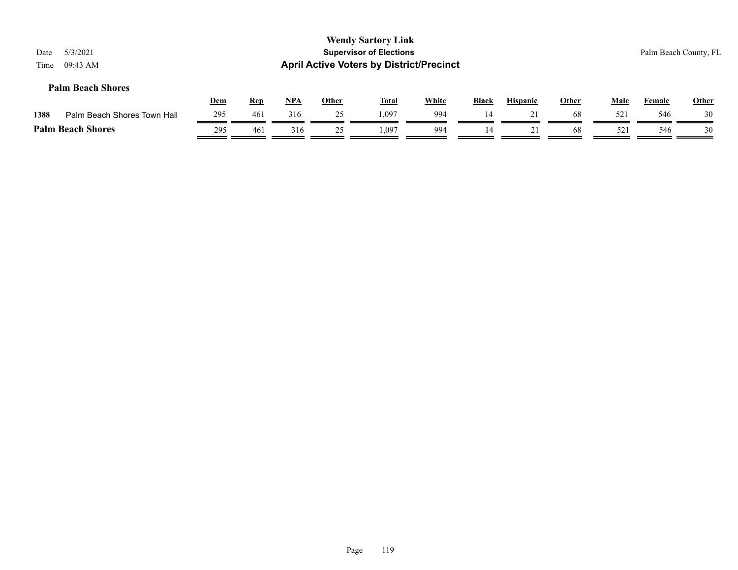| Date<br>Time | 5/3/2021<br>09:43 AM        |     |            |     |              | <b>Wendy Sartory Link</b><br><b>Supervisor of Elections</b><br><b>April Active Voters by District/Precinct</b> |              |              |                 |              |             |               | Palm Beach County, FL |
|--------------|-----------------------------|-----|------------|-----|--------------|----------------------------------------------------------------------------------------------------------------|--------------|--------------|-----------------|--------------|-------------|---------------|-----------------------|
|              | <b>Palm Beach Shores</b>    | Dem | <b>Rep</b> | NPA | <b>Other</b> | <b>Total</b>                                                                                                   | <b>White</b> | <b>Black</b> | <b>Hispanic</b> | <u>Other</u> | <u>Male</u> | <b>Female</b> | <b>Other</b>          |
| 1388         | Palm Beach Shores Town Hall | 295 | 461        | 316 | 25           | 1.097                                                                                                          | 994          | 14           | 21              | 68           | 52i         | 546           | 30                    |
|              | <b>Palm Beach Shores</b>    | 295 | 461        | 316 | 25           | 1,097                                                                                                          | 994          | 14           | 21              | 68           | 521         | 546           | 30                    |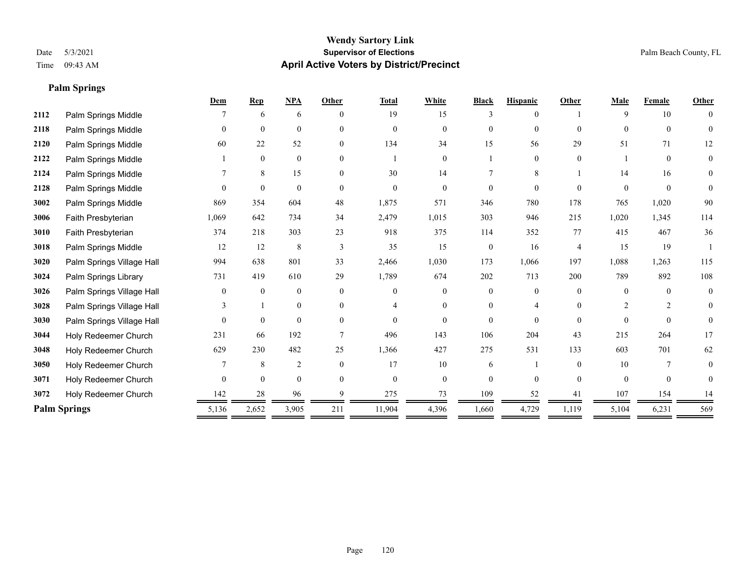**Palm Springs**

# **Wendy Sartory Link** Date 5/3/2021 **Supervisor of Elections** Palm Beach County, FL Time 09:43 AM **April Active Voters by District/Precinct**

|      |                           | Dem            | <b>Rep</b>       | <b>NPA</b>   | Other    | <b>Total</b> | White          | <b>Black</b>   | <b>Hispanic</b> | Other    | Male           | Female         | Other          |
|------|---------------------------|----------------|------------------|--------------|----------|--------------|----------------|----------------|-----------------|----------|----------------|----------------|----------------|
| 2112 | Palm Springs Middle       |                | 6                | 6            | $\Omega$ | 19           | 15             | 3              | $\Omega$        |          | 9              | 10             | $\theta$       |
| 2118 | Palm Springs Middle       | $\overline{0}$ | $\mathbf{0}$     | $\mathbf{0}$ | $\theta$ | $\mathbf{0}$ | $\overline{0}$ | $\overline{0}$ | $\mathbf{0}$    | $\Omega$ | $\Omega$       | $\overline{0}$ | $\theta$       |
| 2120 | Palm Springs Middle       | 60             | 22               | 52           | $\theta$ | 134          | 34             | 15             | 56              | 29       | 51             | 71             | 12             |
| 2122 | Palm Springs Middle       |                | $\mathbf{0}$     | $\mathbf{0}$ | $\theta$ |              | $\overline{0}$ |                | $\mathbf{0}$    | $\theta$ |                | $\Omega$       | $\overline{0}$ |
| 2124 | Palm Springs Middle       |                | 8                | 15           | 0        | 30           | 14             |                | 8               |          | 14             | 16             | $\overline{0}$ |
| 2128 | Palm Springs Middle       | $\Omega$       | $\mathbf{0}$     | $\mathbf{0}$ | $\Omega$ | $\Omega$     | $\theta$       | $\theta$       | $\theta$        | $\Omega$ | $\Omega$       | $\theta$       | $\theta$       |
| 3002 | Palm Springs Middle       | 869            | 354              | 604          | 48       | 1,875        | 571            | 346            | 780             | 178      | 765            | 1,020          | 90             |
| 3006 | Faith Presbyterian        | 1,069          | 642              | 734          | 34       | 2,479        | 1,015          | 303            | 946             | 215      | 1,020          | 1,345          | 114            |
| 3010 | Faith Presbyterian        | 374            | 218              | 303          | 23       | 918          | 375            | 114            | 352             | 77       | 415            | 467            | 36             |
| 3018 | Palm Springs Middle       | 12             | 12               | 8            | 3        | 35           | 15             | $\mathbf{0}$   | 16              | 4        | 15             | 19             |                |
| 3020 | Palm Springs Village Hall | 994            | 638              | 801          | 33       | 2,466        | 1,030          | 173            | 1,066           | 197      | 1,088          | 1,263          | 115            |
| 3024 | Palm Springs Library      | 731            | 419              | 610          | 29       | 1,789        | 674            | 202            | 713             | 200      | 789            | 892            | 108            |
| 3026 | Palm Springs Village Hall | $\theta$       | $\mathbf{0}$     | $\mathbf{0}$ | $\Omega$ | $\Omega$     | $\overline{0}$ | $\theta$       | $\mathbf{0}$    | $\Omega$ | $\Omega$       | $\Omega$       | $\overline{0}$ |
| 3028 | Palm Springs Village Hall |                |                  | $\mathbf{0}$ | $\theta$ |              | $\Omega$       | $\theta$       | $\overline{4}$  | $\Omega$ | $\overline{2}$ | $\overline{2}$ | $\theta$       |
| 3030 | Palm Springs Village Hall | $\Omega$       | $\theta$         | $\theta$     | $\Omega$ | $\Omega$     | $\Omega$       | 0              | $\Omega$        | $\Omega$ | $\Omega$       | $\Omega$       | $\theta$       |
| 3044 | Holy Redeemer Church      | 231            | 66               | 192          |          | 496          | 143            | 106            | 204             | 43       | 215            | 264            | 17             |
| 3048 | Holy Redeemer Church      | 629            | 230              | 482          | 25       | 1,366        | 427            | 275            | 531             | 133      | 603            | 701            | 62             |
| 3050 | Holy Redeemer Church      |                | $\,$ 8 $\,$      | 2            | $\theta$ | 17           | 10             | 6              |                 | $\theta$ | 10             | 7              | $\overline{0}$ |
| 3071 | Holy Redeemer Church      | $\overline{0}$ | $\boldsymbol{0}$ | $\mathbf{0}$ | $\theta$ | $\mathbf{0}$ | $\overline{0}$ | $\overline{0}$ | $\mathbf{0}$    | $\Omega$ | $\theta$       | $\overline{0}$ | $\Omega$       |
| 3072 | Holy Redeemer Church      | 142            | 28               | 96           |          | 275          | 73             | 109            | 52              | 41       | 107            | 154            | 14             |
|      | <b>Palm Springs</b>       | 5,136          | 2,652            | 3,905        | 211      | 11,904       | 4,396          | 1,660          | 4,729           | 1,119    | 5,104          | 6,231          | 569            |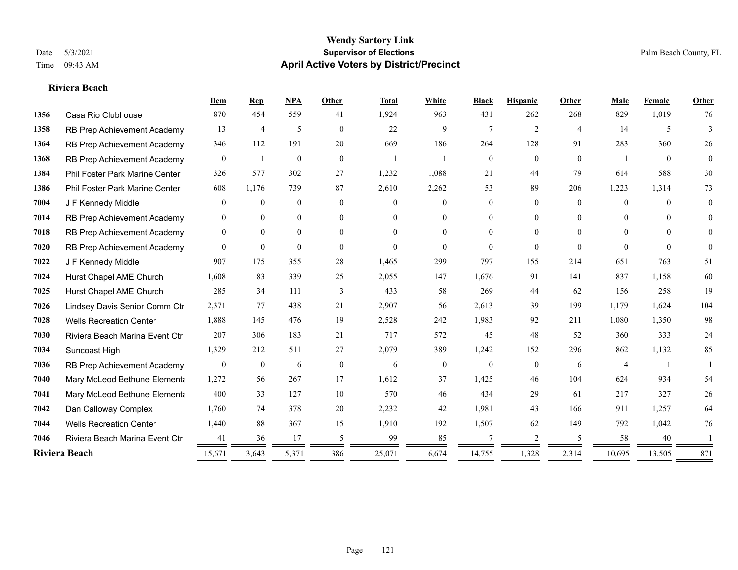**Riviera Beach**

### **Wendy Sartory Link** Date 5/3/2021 **Supervisor of Elections** Palm Beach County, FL Time 09:43 AM **April Active Voters by District/Precinct**

# **Dem Rep NPA Other Total White Black Hispanic Other Male Female Other** Casa Rio Clubhouse 870 454 559 41 1,924 963 431 262 268 829 1,019 76 RB Prep Achievement Academy 13 4 5 0 22 9 7 2 4 14 5 3 RB Prep Achievement Academy 346 112 191 20 669 186 264 128 91 283 360 26 RB Prep Achievement Academy 0 1 0 0 1 1 1 0 0 0 0 0 1 0 0 Phil Foster Park Marine Center 326 577 302 27 1,232 1,088 21 44 79 614 588 30 Phil Foster Park Marine Center 608 1,176 739 87 2,610 2,262 53 89 206 1,223 1,314 73 J F Kennedy Middle 0 0 0 0 0 0 0 0 0 0 0 0 RB Prep Achievement Academy 0 0 0 0 0 0 0 0 0 0 0 0 RB Prep Achievement Academy 0 0 0 0 0 0 0 0 0 0 0 0 RB Prep Achievement Academy 0 0 0 0 0 0 0 0 0 0 0 0 J F Kennedy Middle 907 175 355 28 1,465 299 797 155 214 651 763 51 Hurst Chapel AME Church 1,608 83 339 25 2,055 147 1,676 91 141 837 1,158 60 Hurst Chapel AME Church 285 34 111 3 433 58 269 44 62 156 258 19 Lindsey Davis Senior Comm Ctr 2,371 77 438 21 2,907 56 2,613 39 199 1,179 1,624 104 Wells Recreation Center 1,888 145 476 19 2,528 242 1,983 92 211 1,080 1,350 98 Riviera Beach Marina Event Ctr 207 306 183 21 717 572 45 48 52 360 333 24 Suncoast High 1,329 212 511 27 2,079 389 1,242 152 296 862 1,132 85 RB Prep Achievement Academy 0 0 0 6 0 0 6 0 0 0 0 6 4 1 1 Mary McLeod Bethune Elementary 1,272 56 267 17 1,612 37 1,425 46 104 624 934 54 **7041 Mary McLeod Bethune Elementa** 400 33 127 10 570 46 434 29 61 217 327 26 Dan Calloway Complex 1,760 74 378 20 2,232 42 1,981 43 166 911 1,257 64 Wells Recreation Center 1,440 88 367 15 1,910 192 1,507 62 149 792 1,042 76 Riviera Beach Marina Event Ctr 41 36 17 5 99 85 7 2 5 58 40 1 **Riviera Beach** 15,671 3,643 5,371 386 25,071 6,674 14,755 1,328 2,314 10,695 13,505 871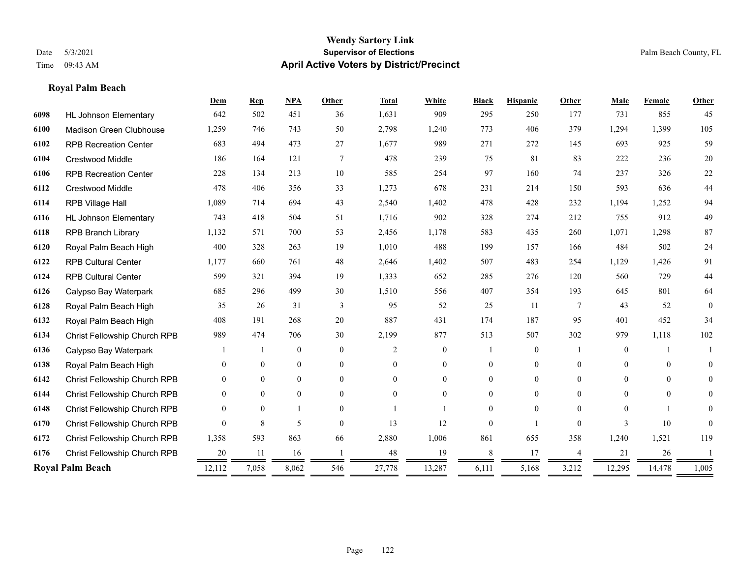**Royal Palm Beach**

### **Wendy Sartory Link** Date 5/3/2021 **Supervisor of Elections** Palm Beach County, FL Time 09:43 AM **April Active Voters by District/Precinct**

# **Dem Rep NPA Other Total White Black Hispanic Other Male Female Other** HL Johnson Elementary 642 502 451 36 1,631 909 295 250 177 731 855 45 Madison Green Clubhouse 1,259 746 743 50 2,798 1,240 773 406 379 1,294 1,399 105 RPB Recreation Center 683 494 473 27 1,677 989 271 272 145 693 925 59 Crestwood Middle 186 164 121 7 478 239 75 81 83 222 236 20 RPB Recreation Center 228 134 213 10 585 254 97 160 74 237 326 22 Crestwood Middle 478 406 356 33 1,273 678 231 214 150 593 636 44 RPB Village Hall 1,089 714 694 43 2,540 1,402 478 428 232 1,194 1,252 94 HL Johnson Elementary 743 418 504 51 1,716 902 328 274 212 755 912 49 RPB Branch Library 1,132 571 700 53 2,456 1,178 583 435 260 1,071 1,298 87 Royal Palm Beach High 400 328 263 19 1,010 488 199 157 166 484 502 24 RPB Cultural Center 1,177 660 761 48 2,646 1,402 507 483 254 1,129 1,426 91 RPB Cultural Center 599 321 394 19 1,333 652 285 276 120 560 729 44 Calypso Bay Waterpark 685 296 499 30 1,510 556 407 354 193 645 801 64 Royal Palm Beach High 35 26 31 3 95 52 25 11 7 43 52 0 Royal Palm Beach High 408 191 268 20 887 431 174 187 95 401 452 34 Christ Fellowship Church RPB 989 474 706 30 2,199 877 513 507 302 979 1,118 102 Calypso Bay Waterpark 1 1 0 0 0 2 0 1 0 1 0 1 1 Royal Palm Beach High 0 0 0 0 0 0 0 0 0 0 0 0 Christ Fellowship Church RPB 0 0 0 0 0 0 0 0 0 0 0 0 Christ Fellowship Church RPB 0 0 0 0 0 0 0 0 0 0 0 0 Christ Fellowship Church RPB 0 0 1 0 1 1 0 0 0 0 1 0 Christ Fellowship Church RPB 0 8 5 0 13 12 0 1 0 3 10 0 Christ Fellowship Church RPB 1,358 593 863 66 2,880 1,006 861 655 358 1,240 1,521 119 Christ Fellowship Church RPB 20 11 16 1 48 19 8 17 4 21 26 1 **Royal Palm Beach** 12,112 7,058 8,062 546 27,778 13,287 6,111 5,168 3,212 12,295 14,478 1,005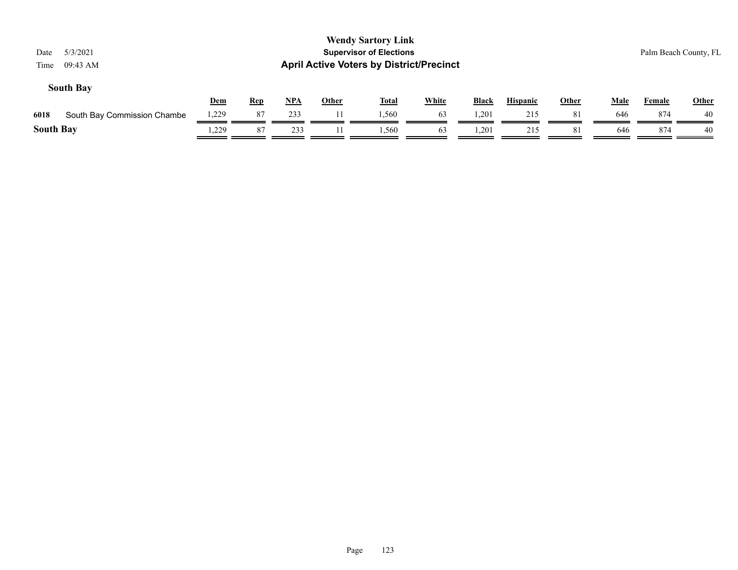| 5/3/2021<br>Date<br>09:43 AM<br>Time |            |            |            |              | <b>Wendy Sartory Link</b><br><b>Supervisor of Elections</b><br><b>April Active Voters by District/Precinct</b> |              |              |                 |              |             | Palm Beach County, FL |       |
|--------------------------------------|------------|------------|------------|--------------|----------------------------------------------------------------------------------------------------------------|--------------|--------------|-----------------|--------------|-------------|-----------------------|-------|
| <b>South Bay</b>                     | <u>Dem</u> | <u>Rep</u> | <u>NPA</u> | <u>Other</u> | <u>Total</u>                                                                                                   | <b>White</b> | <b>Black</b> | <b>Hispanic</b> | <u>Other</u> | <b>Male</b> | <b>Female</b>         | Other |
| 6018<br>South Bay Commission Chambe  | 1,229      | 87         | 233        |              | 1.560                                                                                                          | 63           | 1,201        | 215             | 81           | 646         | 874                   | 40    |
| <b>South Bay</b>                     | .229       | 87         | 233        |              | 1,560                                                                                                          | 63           | .201         | 215             | 81           | 646         | 874                   | 40    |
|                                      |            |            |            |              |                                                                                                                |              |              |                 |              |             |                       |       |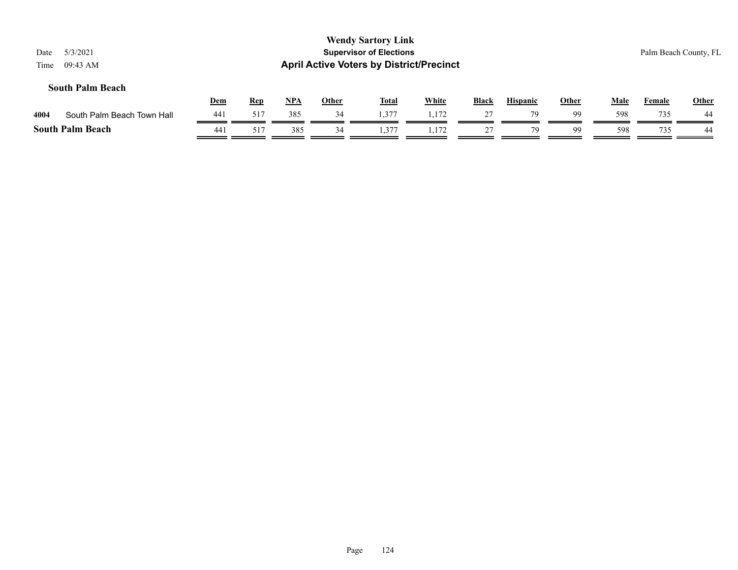| 5/3/2021<br>Date<br>09:43 AM<br>Time |            |            |            |              | <b>Wendy Sartory Link</b><br><b>Supervisor of Elections</b><br><b>April Active Voters by District/Precinct</b> |              |              |                 |       |             |        | Palm Beach County, FL |
|--------------------------------------|------------|------------|------------|--------------|----------------------------------------------------------------------------------------------------------------|--------------|--------------|-----------------|-------|-------------|--------|-----------------------|
| <b>South Palm Beach</b>              | <u>Dem</u> | <b>Rep</b> | <u>NPA</u> | <b>Other</b> | <b>Total</b>                                                                                                   | <b>White</b> | <b>Black</b> | <b>Hispanic</b> | Other | <b>Male</b> | Female | Other                 |
| 4004<br>South Palm Beach Town Hall   | 441        | 517        | 385        | 34           | .377                                                                                                           | 1,172        | 27           | 79              | 99    | 598         | 735    | 44                    |
| <b>South Palm Beach</b>              | 441        | 517        | 385        | 34           | 1,377                                                                                                          | 1.172        | 27           | 79              | 99    | 598         | 735    | 44                    |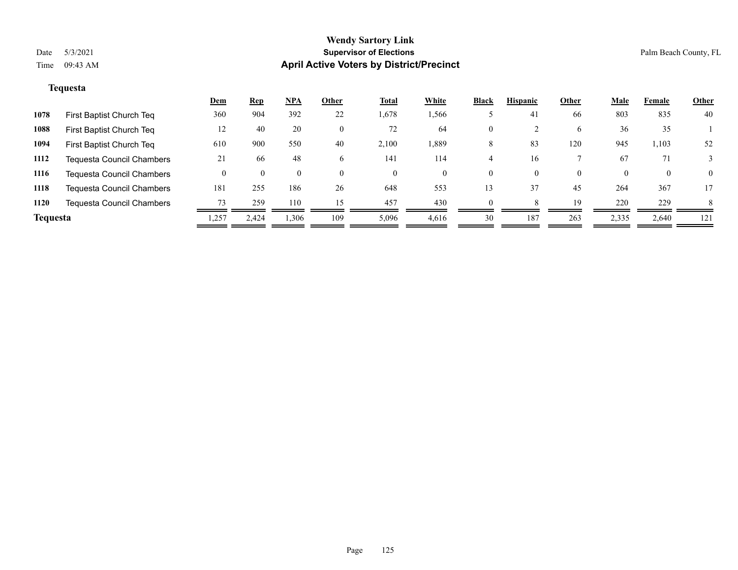# **Tequesta**

|                 |                                  | <u>Dem</u> | <u>Rep</u> | <u>NPA</u> | Other | <b>Total</b> | White    | <b>Black</b> | <b>Hispanic</b> | Other    | Male  | Female   | <b>Other</b> |
|-----------------|----------------------------------|------------|------------|------------|-------|--------------|----------|--------------|-----------------|----------|-------|----------|--------------|
| 1078            | First Baptist Church Teq         | 360        | 904        | 392        | 22    | 1,678        | 1,566    |              | 41              | 66       | 803   | 835      | 40           |
| 1088            | First Baptist Church Teq         | 12         | 40         | 20         |       | 72           | 64       | $\mathbf{0}$ |                 | 6        | 36    | 35       |              |
| 1094            | First Baptist Church Teq         | 610        | 900        | 550        | 40    | 2,100        | 1,889    | 8            | 83              | 120      | 945   | 1,103    | 52           |
| 1112            | <b>Tequesta Council Chambers</b> | 21         | -66        | 48         | 6     | 141          | 114      |              | 16              |          | 67    | 71       |              |
| 1116            | <b>Tequesta Council Chambers</b> |            |            |            |       | $\Omega$     | $\left($ | $\Omega$     | $\Omega$        | $\theta$ |       | $\theta$ | $\Omega$     |
| 1118            | <b>Tequesta Council Chambers</b> | 181        | 255        | 186        | 26    | 648          | 553      | 13           | 37              | 45       | 264   | 367      | 17           |
| 1120            | <b>Tequesta Council Chambers</b> | 73         | 259        | 110        | 15    | 457          | 430      | $\Omega$     |                 | 19       | 220   | 229      | 8            |
| <b>Tequesta</b> |                                  | .257       | 2,424      | 1,306      | 109   | 5,096        | 4,616    | 30           | 187             | 263      | 2,335 | 2,640    | 121          |
|                 |                                  |            |            |            |       |              |          |              |                 |          |       |          |              |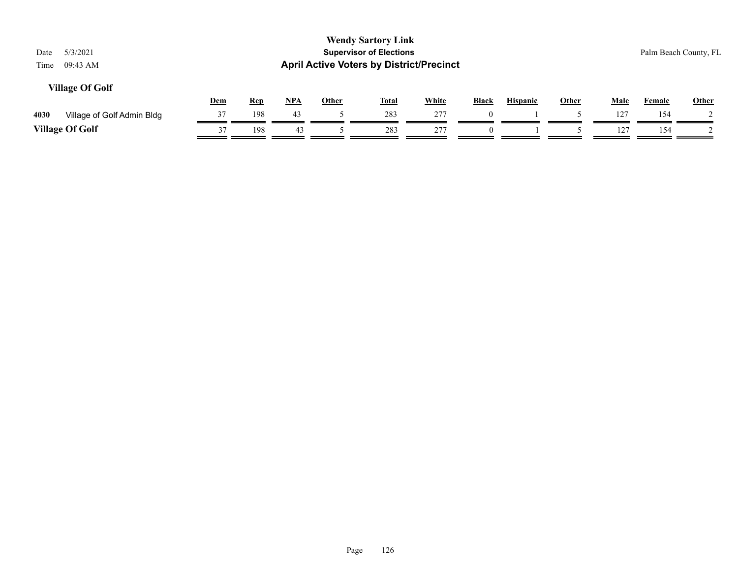| 5/3/2021<br>Date<br>09:43 AM<br>Time |     |            |       |              | <b>Wendy Sartory Link</b><br><b>Supervisor of Elections</b><br><b>April Active Voters by District/Precinct</b> |              |              |                 |              |      |        | Palm Beach County, FL |
|--------------------------------------|-----|------------|-------|--------------|----------------------------------------------------------------------------------------------------------------|--------------|--------------|-----------------|--------------|------|--------|-----------------------|
| <b>Village Of Golf</b>               | Dem | <b>Rep</b> | $NPA$ | <b>Other</b> | <b>Total</b>                                                                                                   | <b>White</b> | <b>Black</b> | <b>Hispanic</b> | <b>Other</b> | Male | Female | Other                 |
| 4030<br>Village of Golf Admin Bldg   | 37  | 198        | 43    |              | 283                                                                                                            | 277          | $\theta$     |                 |              | 127  | 154    |                       |
| <b>Village Of Golf</b>               | 37  | 198        | 43    |              | 283                                                                                                            | 277          | $\theta$     |                 |              | 127  | 154    |                       |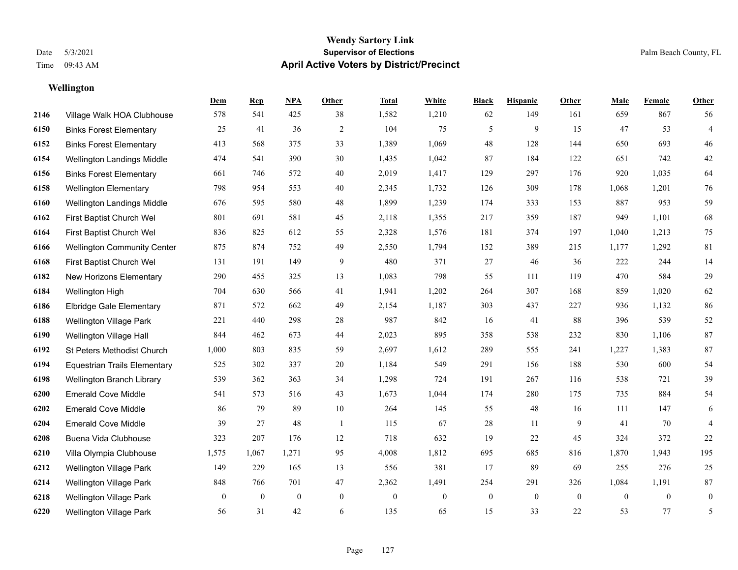**Wellington**

### **Wendy Sartory Link** Date 5/3/2021 **Supervisor of Elections** Palm Beach County, FL Time 09:43 AM **April Active Voters by District/Precinct**

# **Dem Rep NPA Other Total White Black Hispanic Other Male Female Other** Village Walk HOA Clubhouse 578 541 425 38 1,582 1,210 62 149 161 659 867 56 Binks Forest Elementary 25 41 36 2 104 75 5 9 15 47 53 4 Binks Forest Elementary 413 568 375 33 1,389 1,069 48 128 144 650 693 46 Wellington Landings Middle 474 541 390 30 1,435 1,042 87 184 122 651 742 42 Binks Forest Elementary 661 746 572 40 2,019 1,417 129 297 176 920 1,035 64 Wellington Elementary 798 954 553 40 2,345 1,732 126 309 178 1,068 1,201 76 Wellington Landings Middle 676 595 580 48 1,899 1,239 174 333 153 887 953 59 First Baptist Church Wel 801 691 581 45 2,118 1,355 217 359 187 949 1,101 68 First Baptist Church Wel 836 825 612 55 2,328 1,576 181 374 197 1,040 1,213 75 Wellington Community Center 875 874 752 49 2,550 1,794 152 389 215 1,177 1,292 81 First Baptist Church Wel 131 191 149 9 480 371 27 46 36 222 244 14 New Horizons Elementary 290 455 325 13 1,083 798 55 111 119 470 584 29 Wellington High 704 630 566 41 1,941 1,202 264 307 168 859 1,020 62 Elbridge Gale Elementary 871 572 662 49 2,154 1,187 303 437 227 936 1,132 86 Wellington Village Park 221 440 298 28 987 842 16 41 88 396 539 52 Wellington Village Hall 844 462 673 44 2,023 895 358 538 232 830 1,106 87 St Peters Methodist Church 1,000 803 835 59 2,697 1,612 289 555 241 1,227 1,383 87 Equestrian Trails Elementary 525 302 337 20 1,184 549 291 156 188 530 600 54 Wellington Branch Library 539 362 363 34 1,298 724 191 267 116 538 721 39 Emerald Cove Middle 541 573 516 43 1,673 1,044 174 280 175 735 884 54 Emerald Cove Middle 86 79 89 10 264 145 55 48 16 111 147 6 Emerald Cove Middle 39 27 48 1 115 67 28 11 9 41 70 4 Buena Vida Clubhouse 323 207 176 12 718 632 19 22 45 324 372 22 Villa Olympia Clubhouse 1,575 1,067 1,271 95 4,008 1,812 695 685 816 1,870 1,943 195 Wellington Village Park 149 229 165 13 556 381 17 89 69 255 276 25 Wellington Village Park 848 766 701 47 2,362 1,491 254 291 326 1,084 1,191 87 Wellington Village Park 0 0 0 0 0 0 0 0 0 0 0 0 Wellington Village Park 56 31 42 6 135 65 15 33 22 53 77 5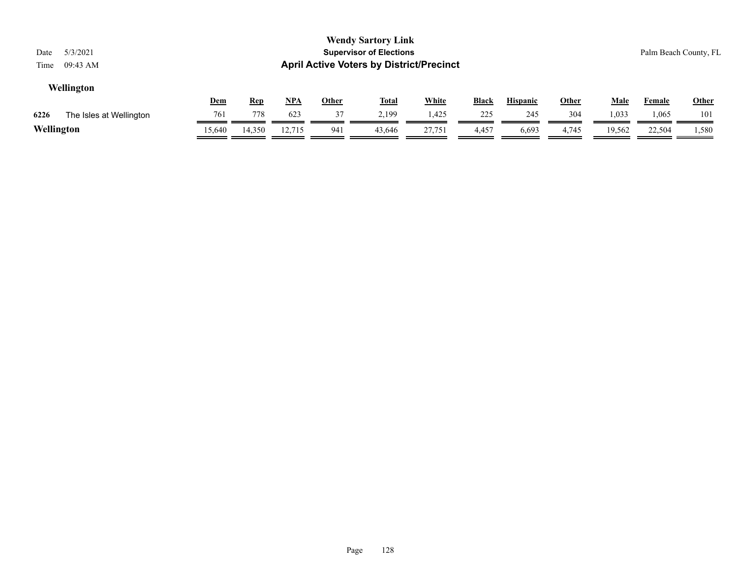| 5/3/2021<br>Date<br>09:43 AM<br>Time |            |            |        |              | <b>Wendy Sartory Link</b><br><b>Supervisor of Elections</b><br><b>April Active Voters by District/Precinct</b> |              |              |                 |       |             |        | Palm Beach County, FL |
|--------------------------------------|------------|------------|--------|--------------|----------------------------------------------------------------------------------------------------------------|--------------|--------------|-----------------|-------|-------------|--------|-----------------------|
| Wellington                           |            |            |        |              |                                                                                                                |              |              |                 |       |             |        |                       |
|                                      | <u>Dem</u> | <u>Rep</u> | $NPA$  | <u>Other</u> | <u>Total</u>                                                                                                   | <b>White</b> | <u>Black</u> | <b>Hispanic</b> | Other | <u>Male</u> | Female | <b>Other</b>          |
| 6226<br>The Isles at Wellington      | 761        | 778        | 623    | 37           | 2.199                                                                                                          | 1,425        | 225          | 245             | 304   | 1,033       | .065   | 101                   |
| Wellington                           | 15,640     | 14,350     | 12,715 | 941          | 43.646                                                                                                         | 27,751       | 4,457        | 6,693           | 4,745 | 19,562      | 22,504 | 1,580                 |

 $\equiv$ 

-

-

-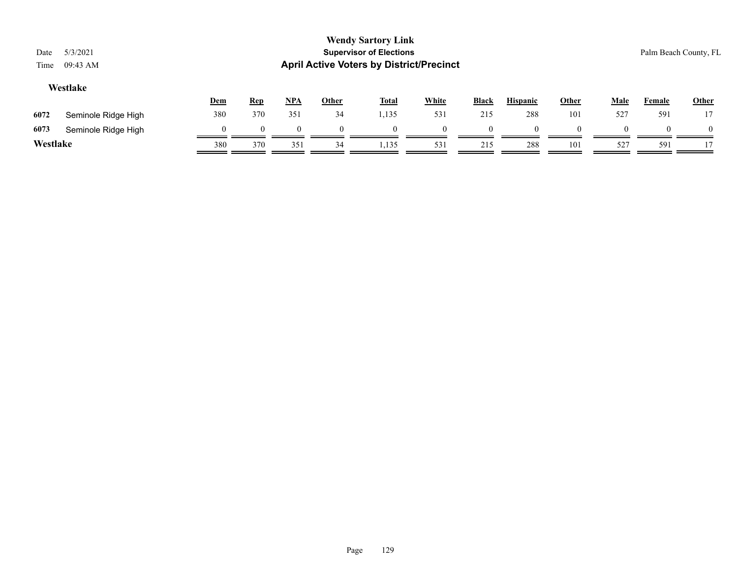|                         | <b>Wendy Sartory Link</b>                       |                       |
|-------------------------|-------------------------------------------------|-----------------------|
| Date 5/3/2021           | <b>Supervisor of Elections</b>                  | Palm Beach County, FL |
| Time $09:43 \text{ AM}$ | <b>April Active Voters by District/Precinct</b> |                       |
| Westlake                |                                                 |                       |

|          |                     | <b>Dem</b> | <u>Rep</u> | <u>NPA</u> | <u>Other</u> | <b>Total</b> | White    | Black | <b>Hispanic</b> | <b>Other</b> | Male | Female   | <b>Other</b> |
|----------|---------------------|------------|------------|------------|--------------|--------------|----------|-------|-----------------|--------------|------|----------|--------------|
| 6072     | Seminole Ridge High | 380        | 370        | 351        | 34           | 1,135        | 531      | 215   | 288             | 101          | 527  | 591      | 17           |
| 6073     | Seminole Ridge High |            |            |            |              |              | $\Omega$ |       |                 |              |      | $\Omega$ | $\theta$     |
| Westlake |                     | 380        | 370        | 351        | 34           | 1,135        | 531      | 215   | 288             | 101          | 527  | 591      |              |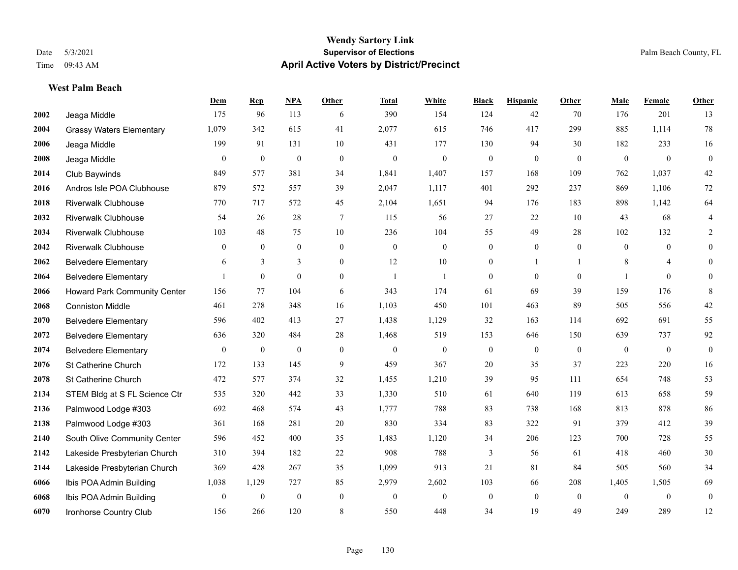**West Palm Beach**

### **Wendy Sartory Link** Date 5/3/2021 **Supervisor of Elections** Palm Beach County, FL Time 09:43 AM **April Active Voters by District/Precinct**

# **Dem Rep NPA Other Total White Black Hispanic Other Male Female Other** Jeaga Middle 175 96 113 6 390 154 124 42 70 176 201 13 Grassy Waters Elementary 1,079 342 615 41 2,077 615 746 417 299 885 1,114 78 Jeaga Middle 199 91 131 10 431 177 130 94 30 182 233 16 Jeaga Middle 0 0 0 0 0 0 0 0 0 0 0 0 Club Baywinds 849 577 381 34 1,841 1,407 157 168 109 762 1,037 42 Andros Isle POA Clubhouse 879 572 557 39 2,047 1,117 401 292 237 869 1,106 72 Riverwalk Clubhouse 770 717 572 45 2,104 1,651 94 176 183 898 1,142 64 Riverwalk Clubhouse 54 26 28 7 115 56 27 22 10 43 68 4 Riverwalk Clubhouse 103 48 75 10 236 104 55 49 28 102 132 2 Riverwalk Clubhouse 0 0 0 0 0 0 0 0 0 0 0 0 Belvedere Elementary 6 3 3 0 12 10 0 1 1 8 4 0 Belvedere Elementary 1 0 0 0 1 1 0 0 0 1 0 0 Howard Park Community Center 156 77 104 6 343 174 61 69 39 159 176 8 Conniston Middle 461 278 348 16 1,103 450 101 463 89 505 556 42 Belvedere Elementary 596 402 413 27 1,438 1,129 32 163 114 692 691 55 Belvedere Elementary 636 320 484 28 1,468 519 153 646 150 639 737 92 Belvedere Elementary 0 0 0 0 0 0 0 0 0 0 0 0 St Catherine Church 172 133 145 9 459 367 20 35 37 223 220 16 St Catherine Church 472 577 374 32 1,455 1,210 39 95 111 654 748 53 STEM Bldg at S FL Science Ctr 535 320 442 33 1,330 510 61 640 119 613 658 59 Palmwood Lodge #303 692 468 574 43 1,777 788 83 738 168 813 878 86 Palmwood Lodge #303 361 168 281 20 830 334 83 322 91 379 412 39 South Olive Community Center 596 452 400 35 1,483 1,120 34 206 123 700 728 55 Lakeside Presbyterian Church 310 394 182 22 908 788 3 56 61 418 460 30 Lakeside Presbyterian Church 369 428 267 35 1,099 913 21 81 84 505 560 34 Ibis POA Admin Building 1,038 1,129 727 85 2,979 2,602 103 66 208 1,405 1,505 69 Ibis POA Admin Building 0 0 0 0 0 0 0 0 0 0 0 0 Ironhorse Country Club 156 266 120 8 550 448 34 19 49 249 289 12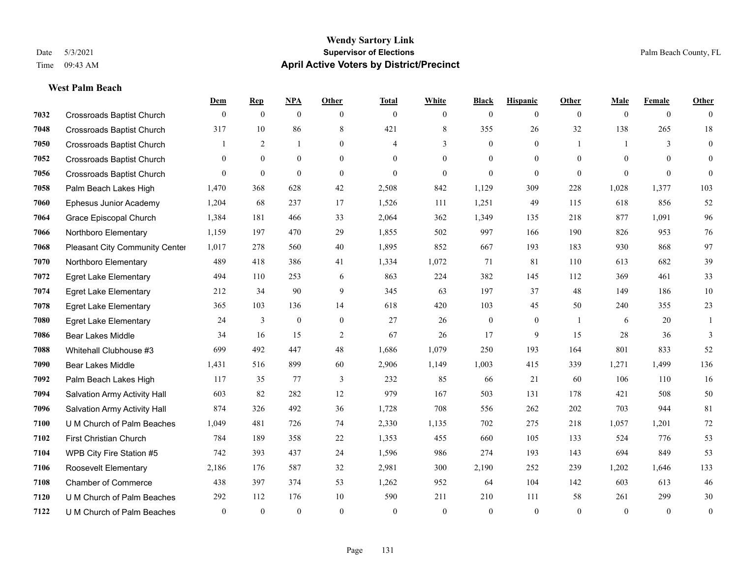**West Palm Beach**

## **Wendy Sartory Link** Date 5/3/2021 **Supervisor of Elections** Palm Beach County, FL Time 09:43 AM **April Active Voters by District/Precinct**

# **Dem Rep NPA Other Total White Black Hispanic Other Male Female Other** Crossroads Baptist Church 0 0 0 0 0 0 0 0 0 0 0 0 Crossroads Baptist Church 317 10 86 8 421 8 355 26 32 138 265 18 Crossroads Baptist Church 1 2 1 0 4 3 0 1 1 3 0 Crossroads Baptist Church 0 0 0 0 0 0 0 0 0 0 0 0 Crossroads Baptist Church 0 0 0 0 0 0 0 0 0 0 0 0 Palm Beach Lakes High 1,470 368 628 42 2,508 842 1,129 309 228 1,028 1,377 103 Ephesus Junior Academy 1,204 68 237 17 1,526 111 1,251 49 115 618 856 52 Grace Episcopal Church 1,384 181 466 33 2,064 362 1,349 135 218 877 1,091 96 Northboro Elementary 1,159 197 470 29 1,855 502 997 166 190 826 953 76 Pleasant City Community Center 1,017 278 560 40 1,895 852 667 193 183 930 868 97 Northboro Elementary 489 418 386 41 1,334 1,072 71 81 110 613 682 39 Egret Lake Elementary 494 110 253 6 863 224 382 145 112 369 461 33 Egret Lake Elementary 212 34 90 9 345 63 197 37 48 149 186 10 Egret Lake Elementary 365 103 136 14 618 420 103 45 50 240 355 23 Egret Lake Elementary 24 3 0 0 27 26 0 0 1 6 20 1 Bear Lakes Middle 34 16 15 2 67 26 17 9 15 28 36 3 Whitehall Clubhouse #3 699 492 447 48 1,686 1,079 250 193 164 801 833 52 Bear Lakes Middle 1,431 516 899 60 2,906 1,149 1,003 415 339 1,271 1,499 136 Palm Beach Lakes High 117 35 77 3 232 85 66 21 60 106 110 16 Salvation Army Activity Hall 603 82 282 12 979 167 503 131 178 421 508 50 Salvation Army Activity Hall 874 326 492 36 1,728 708 556 262 202 703 944 81 U M Church of Palm Beaches 1,049 481 726 74 2,330 1,135 702 275 218 1,057 1,201 72 First Christian Church 784 189 358 22 1,353 455 660 105 133 524 776 53 WPB City Fire Station #5 742 393 437 24 1,596 986 274 193 143 694 849 53 Roosevelt Elementary 2,186 176 587 32 2,981 300 2,190 252 239 1,202 1,646 133 Chamber of Commerce 438 397 374 53 1,262 952 64 104 142 603 613 46 U M Church of Palm Beaches 292 112 176 10 590 211 210 111 58 261 299 30 U M Church of Palm Beaches 0 0 0 0 0 0 0 0 0 0 0 0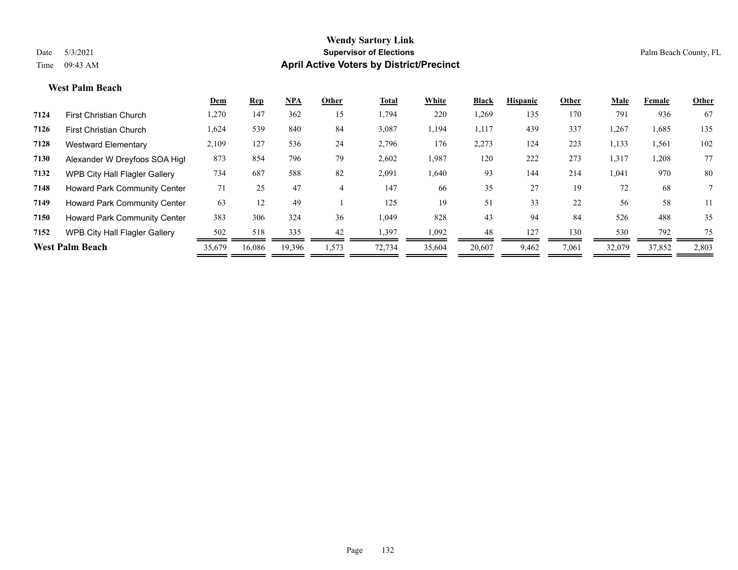### **West Palm Beach**

|      |                                      | Dem    | <b>Rep</b> | NPA    | Other | <b>Total</b> | White  | <b>Black</b> | <b>Hispanic</b> | Other | Male   | Female | Other |
|------|--------------------------------------|--------|------------|--------|-------|--------------|--------|--------------|-----------------|-------|--------|--------|-------|
| 7124 | <b>First Christian Church</b>        | 1,270  | 147        | 362    | 15    | 1,794        | 220    | 1,269        | 135             | 170   | 791    | 936    | 67    |
| 7126 | First Christian Church               | 1,624  | 539        | 840    | 84    | 3,087        | 1,194  | 1,117        | 439             | 337   | 1,267  | 1,685  | 135   |
| 7128 | <b>Westward Elementary</b>           | 2,109  | 127        | 536    | 24    | 2,796        | 176    | 2,273        | 124             | 223   | 1,133  | 1,561  | 102   |
| 7130 | Alexander W Dreyfoos SOA High        | 873    | 854        | 796    | 79    | 2,602        | 1,987  | 120          | 222             | 273   | 1,317  | 1,208  | 77    |
| 7132 | <b>WPB City Hall Flagler Gallery</b> | 734    | 687        | 588    | 82    | 2,091        | 1,640  | 93           | 144             | 214   | 1,041  | 970    | 80    |
| 7148 | <b>Howard Park Community Center</b>  | 71     | 25         | 47     |       | 147          | 66     | 35           | 27              | 19    | 72     | 68     |       |
| 7149 | <b>Howard Park Community Center</b>  | 63     | 12         | 49     |       | 125          | 19     | 51           | 33              | 22    | 56     | 58     | 11    |
| 7150 | <b>Howard Park Community Center</b>  | 383    | 306        | 324    | 36    | 1,049        | 828    | 43           | 94              | 84    | 526    | 488    | 35    |
| 7152 | <b>WPB City Hall Flagler Gallery</b> | 502    | 518        | 335    | 42    | 1,397        | 1,092  | 48           | 127             | 130   | 530    | 792    | 75    |
|      | <b>West Palm Beach</b>               | 35,679 | 16,086     | 19,396 | 1,573 | 72,734       | 35,604 | 20,607       | 9,462           | 7,061 | 32,079 | 37,852 | 2,803 |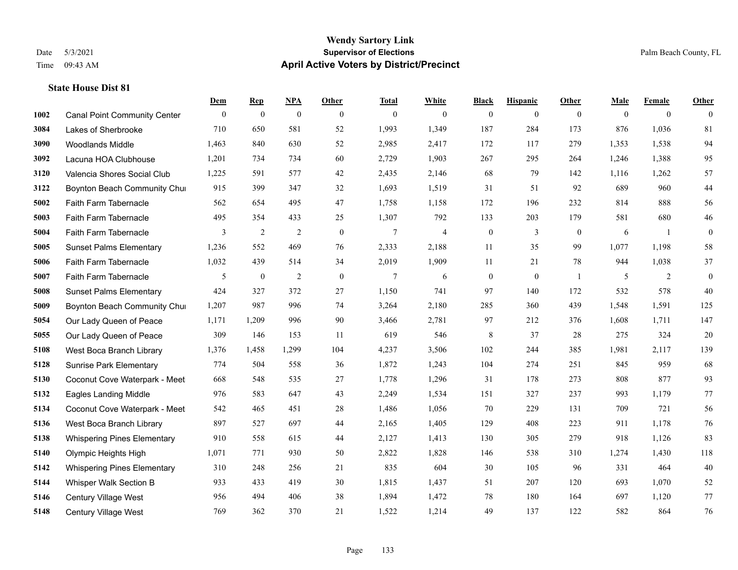### **State House Dist 81**

|      |                                     | Dem          | <b>Rep</b>       | NPA              | <b>Other</b>   | <b>Total</b>   | <b>White</b>             | <b>Black</b>     | <b>Hispanic</b> | <b>Other</b>   | <b>Male</b>  | <b>Female</b> | <b>Other</b> |
|------|-------------------------------------|--------------|------------------|------------------|----------------|----------------|--------------------------|------------------|-----------------|----------------|--------------|---------------|--------------|
| 1002 | <b>Canal Point Community Center</b> | $\mathbf{0}$ | $\boldsymbol{0}$ | $\boldsymbol{0}$ | $\overline{0}$ | $\theta$       | $\mathbf{0}$             | $\boldsymbol{0}$ | $\mathbf{0}$    | $\overline{0}$ | $\mathbf{0}$ | $\mathbf{0}$  | $\theta$     |
| 3084 | Lakes of Sherbrooke                 | 710          | 650              | 581              | 52             | 1,993          | 1,349                    | 187              | 284             | 173            | 876          | 1,036         | 81           |
| 3090 | <b>Woodlands Middle</b>             | 1,463        | 840              | 630              | 52             | 2,985          | 2,417                    | 172              | 117             | 279            | 1,353        | 1,538         | 94           |
| 3092 | Lacuna HOA Clubhouse                | 1,201        | 734              | 734              | 60             | 2,729          | 1,903                    | 267              | 295             | 264            | 1,246        | 1,388         | 95           |
| 3120 | Valencia Shores Social Club         | 1,225        | 591              | 577              | 42             | 2,435          | 2,146                    | 68               | 79              | 142            | 1,116        | 1,262         | 57           |
| 3122 | Boynton Beach Community Chur        | 915          | 399              | 347              | 32             | 1,693          | 1,519                    | 31               | 51              | 92             | 689          | 960           | $44\,$       |
| 5002 | Faith Farm Tabernacle               | 562          | 654              | 495              | 47             | 1,758          | 1,158                    | 172              | 196             | 232            | 814          | 888           | 56           |
| 5003 | Faith Farm Tabernacle               | 495          | 354              | 433              | 25             | 1,307          | 792                      | 133              | 203             | 179            | 581          | 680           | $46\,$       |
| 5004 | Faith Farm Tabernacle               | 3            | $\overline{2}$   | $\overline{2}$   | $\mathbf{0}$   | $\tau$         | $\overline{\mathcal{L}}$ | $\boldsymbol{0}$ | 3               | $\mathbf{0}$   | 6            | -1            | $\mathbf{0}$ |
| 5005 | <b>Sunset Palms Elementary</b>      | 1,236        | 552              | 469              | 76             | 2,333          | 2,188                    | 11               | 35              | 99             | 1,077        | 1,198         | 58           |
| 5006 | Faith Farm Tabernacle               | 1,032        | 439              | 514              | 34             | 2,019          | 1,909                    | 11               | 21              | 78             | 944          | 1,038         | 37           |
| 5007 | Faith Farm Tabernacle               | 5            | $\boldsymbol{0}$ | $\overline{2}$   | $\overline{0}$ | $\overline{7}$ | 6                        | $\boldsymbol{0}$ | $\mathbf{0}$    | $\overline{1}$ | 5            | 2             | $\mathbf{0}$ |
| 5008 | <b>Sunset Palms Elementary</b>      | 424          | 327              | 372              | 27             | 1,150          | 741                      | 97               | 140             | 172            | 532          | 578           | 40           |
| 5009 | Boynton Beach Community Chur        | 1,207        | 987              | 996              | 74             | 3,264          | 2,180                    | 285              | 360             | 439            | 1,548        | 1,591         | 125          |
| 5054 | Our Lady Queen of Peace             | 1,171        | 1,209            | 996              | 90             | 3,466          | 2,781                    | 97               | 212             | 376            | 1,608        | 1,711         | 147          |
| 5055 | Our Lady Queen of Peace             | 309          | 146              | 153              | 11             | 619            | 546                      | 8                | 37              | 28             | 275          | 324           | $20\,$       |
| 5108 | West Boca Branch Library            | 1,376        | 1,458            | 1,299            | 104            | 4,237          | 3,506                    | 102              | 244             | 385            | 1,981        | 2,117         | 139          |
| 5128 | <b>Sunrise Park Elementary</b>      | 774          | 504              | 558              | 36             | 1,872          | 1,243                    | 104              | 274             | 251            | 845          | 959           | 68           |
| 5130 | Coconut Cove Waterpark - Meet       | 668          | 548              | 535              | 27             | 1,778          | 1,296                    | 31               | 178             | 273            | 808          | 877           | 93           |
| 5132 | <b>Eagles Landing Middle</b>        | 976          | 583              | 647              | 43             | 2,249          | 1,534                    | 151              | 327             | 237            | 993          | 1,179         | 77           |
| 5134 | Coconut Cove Waterpark - Meet       | 542          | 465              | 451              | 28             | 1,486          | 1,056                    | 70               | 229             | 131            | 709          | 721           | 56           |
| 5136 | West Boca Branch Library            | 897          | 527              | 697              | 44             | 2,165          | 1,405                    | 129              | 408             | 223            | 911          | 1,178         | 76           |
| 5138 | <b>Whispering Pines Elementary</b>  | 910          | 558              | 615              | 44             | 2,127          | 1,413                    | 130              | 305             | 279            | 918          | 1,126         | 83           |
| 5140 | Olympic Heights High                | 1,071        | 771              | 930              | 50             | 2,822          | 1,828                    | 146              | 538             | 310            | 1,274        | 1,430         | 118          |
| 5142 | <b>Whispering Pines Elementary</b>  | 310          | 248              | 256              | 21             | 835            | 604                      | 30               | 105             | 96             | 331          | 464           | 40           |
| 5144 | Whisper Walk Section B              | 933          | 433              | 419              | 30             | 1,815          | 1,437                    | 51               | 207             | 120            | 693          | 1,070         | 52           |
| 5146 | <b>Century Village West</b>         | 956          | 494              | 406              | 38             | 1,894          | 1,472                    | 78               | 180             | 164            | 697          | 1,120         | 77           |
| 5148 | Century Village West                | 769          | 362              | 370              | 21             | 1,522          | 1,214                    | 49               | 137             | 122            | 582          | 864           | 76           |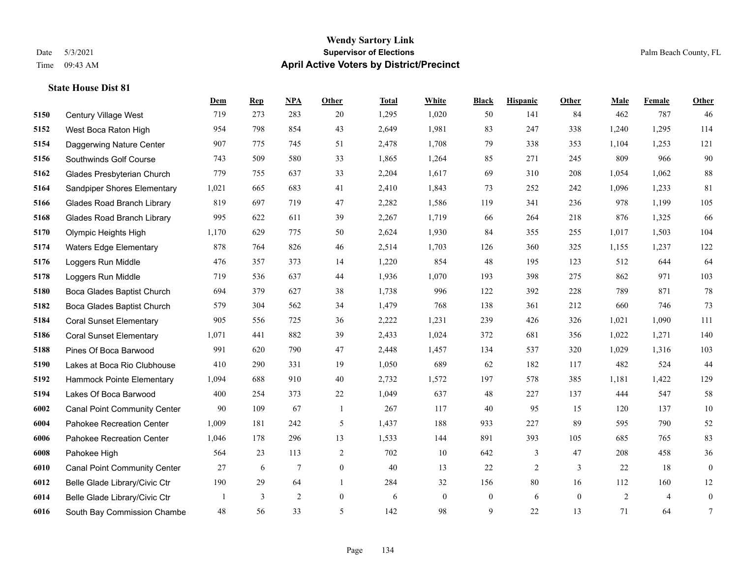### **Wendy Sartory Link** Date 5/3/2021 **Supervisor of Elections** Palm Beach County, FL Time 09:43 AM **April Active Voters by District/Precinct**

# **Dem Rep NPA Other Total White Black Hispanic Other Male Female Other** Century Village West 719 273 283 20 1,295 1,020 50 141 84 462 787 46 West Boca Raton High 954 798 854 43 2,649 1,981 83 247 338 1,240 1,295 114 Daggerwing Nature Center 907 775 745 51 2,478 1,708 79 338 353 1,104 1,253 121 Southwinds Golf Course 743 509 580 33 1,865 1,264 85 271 245 809 966 90 Glades Presbyterian Church 779 755 637 33 2,204 1,617 69 310 208 1,054 1,062 88 Sandpiper Shores Elementary 1,021 665 683 41 2,410 1,843 73 252 242 1,096 1,233 81 Glades Road Branch Library 819 697 719 47 2,282 1,586 119 341 236 978 1,199 105 Glades Road Branch Library 995 622 611 39 2,267 1,719 66 264 218 876 1,325 66 Olympic Heights High 1,170 629 775 50 2,624 1,930 84 355 255 1,017 1,503 104 Waters Edge Elementary 878 764 826 46 2,514 1,703 126 360 325 1,155 1,237 122 Loggers Run Middle 476 357 373 14 1,220 854 48 195 123 512 644 64 Loggers Run Middle 719 536 637 44 1,936 1,070 193 398 275 862 971 103 Boca Glades Baptist Church 694 379 627 38 1,738 996 122 392 228 789 871 78 Boca Glades Baptist Church 579 304 562 34 1,479 768 138 361 212 660 746 73 Coral Sunset Elementary 905 556 725 36 2,222 1,231 239 426 326 1,021 1,090 111 Coral Sunset Elementary 1,071 441 882 39 2,433 1,024 372 681 356 1,022 1,271 140 Pines Of Boca Barwood 991 620 790 47 2,448 1,457 134 537 320 1,029 1,316 103 Lakes at Boca Rio Clubhouse 410 290 331 19 1,050 689 62 182 117 482 524 44 Hammock Pointe Elementary 1,094 688 910 40 2,732 1,572 197 578 385 1,181 1,422 129 Lakes Of Boca Barwood 400 254 373 22 1,049 637 48 227 137 444 547 58 Canal Point Community Center 90 109 67 1 267 117 40 95 15 120 137 10 Pahokee Recreation Center 1,009 181 242 5 1,437 188 933 227 89 595 790 52 Pahokee Recreation Center 1,046 178 296 13 1,533 144 891 393 105 685 765 83 Pahokee High 564 23 113 2 702 10 642 3 47 208 458 36 Canal Point Community Center 27 6 7 0 40 13 22 2 3 22 18 0 Belle Glade Library/Civic Ctr 190 29 64 1 284 32 156 80 16 112 160 12 Belle Glade Library/Civic Ctr 1 3 2 0 6 0 0 6 0 2 4 0 South Bay Commission Chambe 48 56 33 5 142 98 9 22 13 71 64 7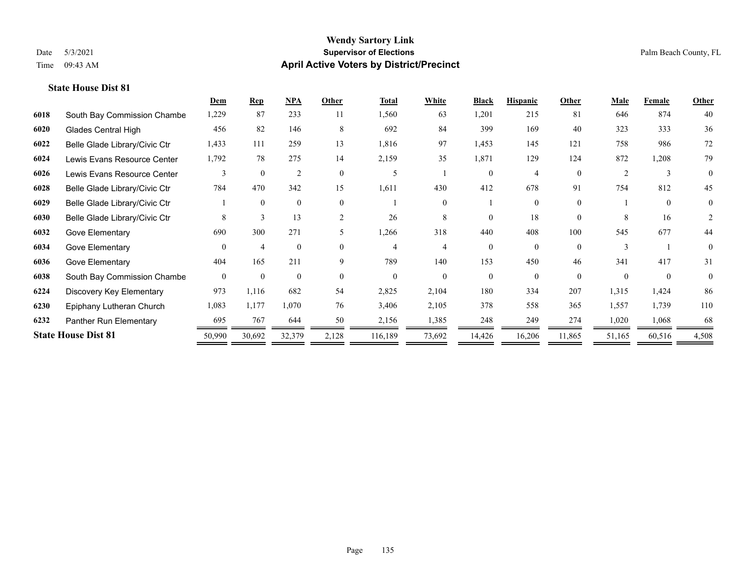### **State House Dist 81**

|      |                               | Dem      | <b>Rep</b>     | $NPA$          | Other          | <b>Total</b> | White    | <b>Black</b> | <b>Hispanic</b> | Other    | Male     | Female       | <b>Other</b>   |
|------|-------------------------------|----------|----------------|----------------|----------------|--------------|----------|--------------|-----------------|----------|----------|--------------|----------------|
| 6018 | South Bay Commission Chambe   | 1,229    | 87             | 233            | 11             | 1,560        | 63       | 1,201        | 215             | 81       | 646      | 874          | 40             |
| 6020 | <b>Glades Central High</b>    | 456      | 82             | 146            | 8              | 692          | 84       | 399          | 169             | 40       | 323      | 333          | 36             |
| 6022 | Belle Glade Library/Civic Ctr | 1,433    | 111            | 259            | 13             | 1,816        | 97       | 1,453        | 145             | 121      | 758      | 986          | 72             |
| 6024 | Lewis Evans Resource Center   | 1,792    | 78             | 275            | 14             | 2,159        | 35       | 1,871        | 129             | 124      | 872      | 1,208        | 79             |
| 6026 | Lewis Evans Resource Center   | 3        | $\theta$       | $\overline{2}$ | $\theta$       | 5            |          | $\Omega$     | $\overline{4}$  | $\Omega$ | 2        | $\mathbf{3}$ | $\Omega$       |
| 6028 | Belle Glade Library/Civic Ctr | 784      | 470            | 342            | 15             | 1,611        | 430      | 412          | 678             | 91       | 754      | 812          | 45             |
| 6029 | Belle Glade Library/Civic Ctr |          | $\mathbf{0}$   | $\mathbf{0}$   | $\theta$       |              |          |              | $\Omega$        | $\theta$ |          | $\Omega$     | $\overline{0}$ |
| 6030 | Belle Glade Library/Civic Ctr | 8        | 3              | 13             | $\overline{c}$ | 26           | 8        | $\Omega$     | 18              | $\theta$ | 8        | 16           | 2              |
| 6032 | Gove Elementary               | 690      | 300            | 271            |                | 1,266        | 318      | 440          | 408             | 100      | 545      | 677          | 44             |
| 6034 | Gove Elementary               | $\Omega$ | $\overline{4}$ | $\mathbf{0}$   | $\Omega$       | 4            | 4        | $\theta$     | $\Omega$        | $\Omega$ |          |              | $\theta$       |
| 6036 | Gove Elementary               | 404      | 165            | 211            | 9              | 789          | 140      | 153          | 450             | 46       | 341      | 417          | 31             |
| 6038 | South Bay Commission Chambe   | $\theta$ | $\theta$       | $\overline{0}$ | $\theta$       | $\Omega$     | $\theta$ | $\theta$     | $\Omega$        | $\Omega$ | $\Omega$ | $\theta$     | $\theta$       |
| 6224 | Discovery Key Elementary      | 973      | 1,116          | 682            | 54             | 2,825        | 2,104    | 180          | 334             | 207      | 1,315    | 1,424        | 86             |
| 6230 | Epiphany Lutheran Church      | 1,083    | 1,177          | 1,070          | 76             | 3,406        | 2,105    | 378          | 558             | 365      | 1,557    | 1,739        | 110            |
| 6232 | Panther Run Elementary        | 695      | 767            | 644            | 50             | 2,156        | 1,385    | 248          | 249             | 274      | 1,020    | 1,068        | 68             |
|      | <b>State House Dist 81</b>    | 50,990   | 30,692         | 32,379         | 2,128          | 116,189      | 73,692   | 14,426       | 16,206          | 11,865   | 51,165   | 60,516       | 4,508          |
|      |                               |          |                |                |                |              |          |              |                 |          |          |              |                |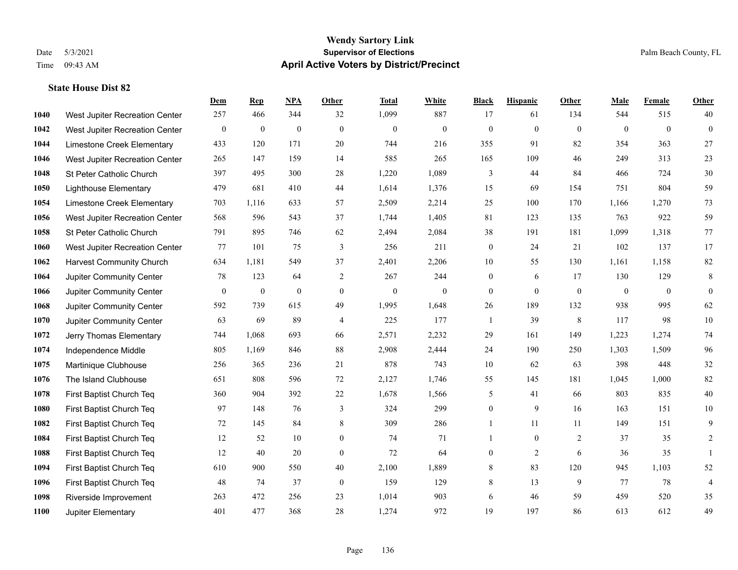### **State House Dist 82**

|      |                                 | Dem          | <b>Rep</b>       | NPA          | <b>Other</b>   | <b>Total</b> | <b>White</b> | <b>Black</b>     | <b>Hispanic</b> | <b>Other</b>   | <b>Male</b>  | <b>Female</b> | <b>Other</b> |
|------|---------------------------------|--------------|------------------|--------------|----------------|--------------|--------------|------------------|-----------------|----------------|--------------|---------------|--------------|
| 1040 | West Jupiter Recreation Center  | 257          | 466              | 344          | 32             | 1,099        | 887          | 17               | 61              | 134            | 544          | 515           | 40           |
| 1042 | West Jupiter Recreation Center  | $\mathbf{0}$ | $\mathbf{0}$     | $\mathbf{0}$ | $\theta$       | $\mathbf{0}$ | $\mathbf{0}$ | $\mathbf{0}$     | $\mathbf{0}$    | $\theta$       | $\mathbf{0}$ | $\theta$      | $\mathbf{0}$ |
| 1044 | Limestone Creek Elementary      | 433          | 120              | 171          | 20             | 744          | 216          | 355              | 91              | 82             | 354          | 363           | $27\,$       |
| 1046 | West Jupiter Recreation Center  | 265          | 147              | 159          | 14             | 585          | 265          | 165              | 109             | 46             | 249          | 313           | $23\,$       |
| 1048 | St Peter Catholic Church        | 397          | 495              | 300          | 28             | 1,220        | 1,089        | 3                | 44              | 84             | 466          | 724           | 30           |
| 1050 | <b>Lighthouse Elementary</b>    | 479          | 681              | 410          | 44             | 1,614        | 1,376        | 15               | 69              | 154            | 751          | 804           | 59           |
| 1054 | Limestone Creek Elementary      | 703          | 1,116            | 633          | 57             | 2,509        | 2,214        | 25               | 100             | 170            | 1,166        | 1,270         | 73           |
| 1056 | West Jupiter Recreation Center  | 568          | 596              | 543          | 37             | 1,744        | 1,405        | 81               | 123             | 135            | 763          | 922           | 59           |
| 1058 | St Peter Catholic Church        | 791          | 895              | 746          | 62             | 2,494        | 2,084        | 38               | 191             | 181            | 1,099        | 1,318         | 77           |
| 1060 | West Jupiter Recreation Center  | 77           | 101              | 75           | 3              | 256          | 211          | $\boldsymbol{0}$ | 24              | 21             | 102          | 137           | 17           |
| 1062 | <b>Harvest Community Church</b> | 634          | 1,181            | 549          | 37             | 2,401        | 2,206        | 10               | 55              | 130            | 1,161        | 1,158         | 82           |
| 1064 | Jupiter Community Center        | 78           | 123              | 64           | $\overline{2}$ | 267          | 244          | $\boldsymbol{0}$ | 6               | 17             | 130          | 129           | $\,8\,$      |
| 1066 | Jupiter Community Center        | $\mathbf{0}$ | $\boldsymbol{0}$ | $\mathbf{0}$ | $\theta$       | $\mathbf{0}$ | $\mathbf{0}$ | $\mathbf{0}$     | $\mathbf{0}$    | $\theta$       | $\mathbf{0}$ | $\mathbf{0}$  | $\mathbf{0}$ |
| 1068 | Jupiter Community Center        | 592          | 739              | 615          | 49             | 1,995        | 1,648        | $26\,$           | 189             | 132            | 938          | 995           | 62           |
| 1070 | Jupiter Community Center        | 63           | 69               | 89           | $\overline{4}$ | 225          | 177          | 1                | 39              | 8              | 117          | 98            | $10\,$       |
| 1072 | Jerry Thomas Elementary         | 744          | 1,068            | 693          | 66             | 2,571        | 2,232        | 29               | 161             | 149            | 1,223        | 1,274         | $74\,$       |
| 1074 | Independence Middle             | 805          | 1,169            | 846          | $88\,$         | 2,908        | 2,444        | 24               | 190             | 250            | 1,303        | 1,509         | 96           |
| 1075 | Martinique Clubhouse            | 256          | 365              | 236          | 21             | 878          | 743          | 10               | 62              | 63             | 398          | 448           | $32\,$       |
| 1076 | The Island Clubhouse            | 651          | 808              | 596          | 72             | 2,127        | 1,746        | 55               | 145             | 181            | 1,045        | 1,000         | 82           |
| 1078 | First Baptist Church Teq        | 360          | 904              | 392          | $22\,$         | 1,678        | 1,566        | 5                | 41              | 66             | 803          | 835           | $40\,$       |
| 1080 | First Baptist Church Teq        | 97           | 148              | 76           | 3              | 324          | 299          | $\boldsymbol{0}$ | 9               | 16             | 163          | 151           | 10           |
| 1082 | First Baptist Church Teq        | 72           | 145              | 84           | $\,8\,$        | 309          | 286          | $\mathbf{1}$     | 11              | 11             | 149          | 151           | 9            |
| 1084 | First Baptist Church Teq        | 12           | 52               | 10           | $\overline{0}$ | 74           | 71           | $\mathbf{1}$     | $\overline{0}$  | $\overline{2}$ | 37           | 35            | 2            |
| 1088 | First Baptist Church Teq        | 12           | 40               | 20           | $\mathbf{0}$   | 72           | 64           | $\boldsymbol{0}$ | 2               | 6              | 36           | 35            | $\mathbf{1}$ |
| 1094 | First Baptist Church Teq        | 610          | 900              | 550          | 40             | 2,100        | 1,889        | 8                | 83              | 120            | 945          | 1,103         | 52           |
| 1096 | First Baptist Church Teq        | 48           | 74               | 37           | $\mathbf{0}$   | 159          | 129          | 8                | 13              | 9              | 77           | 78            | 4            |
| 1098 | Riverside Improvement           | 263          | 472              | 256          | 23             | 1,014        | 903          | 6                | 46              | 59             | 459          | 520           | 35           |
| 1100 | Jupiter Elementary              | 401          | 477              | 368          | 28             | 1,274        | 972          | 19               | 197             | 86             | 613          | 612           | 49           |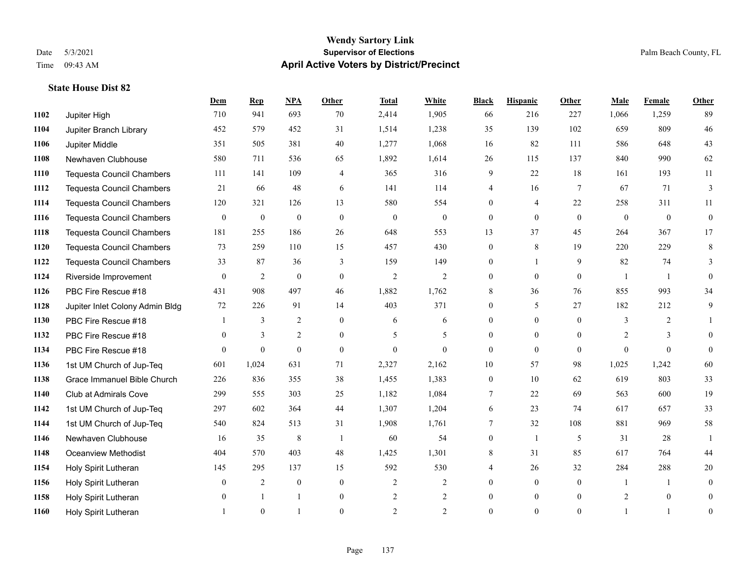### **Wendy Sartory Link** Date 5/3/2021 **Supervisor of Elections** Palm Beach County, FL Time 09:43 AM **April Active Voters by District/Precinct**

# **Dem Rep NPA Other Total White Black Hispanic Other Male Female Other** Jupiter High 710 941 693 70 2,414 1,905 66 216 227 1,066 1,259 89 Jupiter Branch Library 452 579 452 31 1,514 1,238 35 139 102 659 809 46 Jupiter Middle 351 505 381 40 1,277 1,068 16 82 111 586 648 43 Newhaven Clubhouse 580 711 536 65 1,892 1,614 26 115 137 840 990 62 Tequesta Council Chambers 111 141 109 4 365 316 9 22 18 161 193 11 Tequesta Council Chambers 21 66 48 6 141 114 4 16 7 67 71 3 Tequesta Council Chambers 120 321 126 13 580 554 0 4 22 258 311 11 Tequesta Council Chambers 0 0 0 0 0 0 0 0 0 0 0 0 Tequesta Council Chambers 181 255 186 26 648 553 13 37 45 264 367 17 Tequesta Council Chambers 73 259 110 15 457 430 0 8 19 220 229 8 Tequesta Council Chambers 33 87 36 3 159 149 0 1 9 82 74 3 Riverside Improvement 0 0 2 0 0 2 2 2 0 0 0 1 1 0 PBC Fire Rescue #18 431 908 497 46 1,882 1,762 8 36 76 855 993 34 Jupiter Inlet Colony Admin Bldg 72 226 91 14 403 371 0 5 27 182 212 9 PBC Fire Rescue #18 1 3 2 0 6 6 0 0 0 3 2 1 PBC Fire Rescue #18 0 3 2 0 5 5 0 0 0 2 3 0 PBC Fire Rescue #18 0 0 0 0 0 0 0 0 0 0 0 0 1st UM Church of Jup-Teq 601 1,024 631 71 2,327 2,162 10 57 98 1,025 1,242 60 Grace Immanuel Bible Church 226 836 355 38 1,455 1,383 0 10 62 619 803 33 Club at Admirals Cove 299 555 303 25 1,182 1,084 7 22 69 563 600 19 1st UM Church of Jup-Teq 297 602 364 44 1,307 1,204 6 23 74 617 657 33 1st UM Church of Jup-Teq 540 824 513 31 1,908 1,761 7 32 108 881 969 58 Newhaven Clubhouse 16 35 8 1 60 54 0 1 5 31 28 1 Oceanview Methodist 404 570 403 48 1,425 1,301 8 31 85 617 764 44 Holy Spirit Lutheran 145 295 137 15 592 530 4 26 32 284 288 20 Holy Spirit Lutheran **0** 2 0 0 2 2 2 0 0 0 1 1 0 1158 Holy Spirit Lutheran **0** 1 1 0 2 2 0 0 2 0 2 0 0 Holy Spirit Lutheran **1** 0 1 0 2 2 0 0 0 1 1 0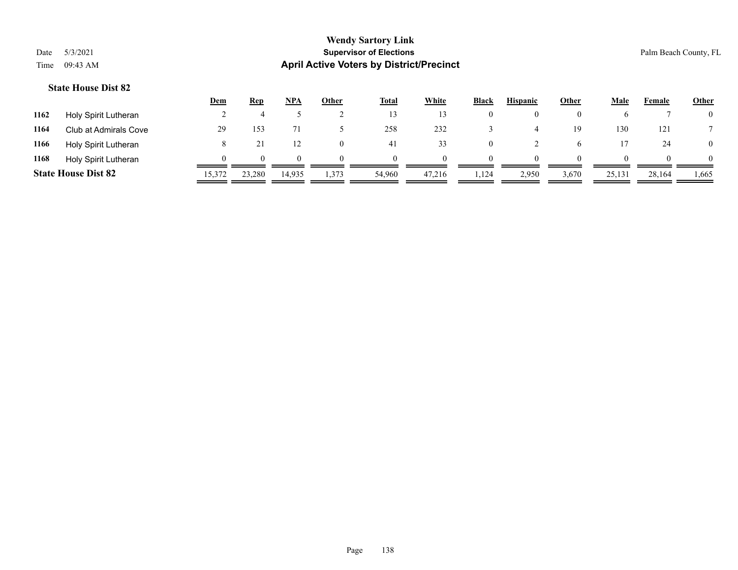### **State House Dist 82**

|      |                            | <u>Dem</u> | <b>Rep</b>  | NPA    | Other    | <u>Total</u> | <b>White</b> | <b>Black</b> | <b>Hispanic</b> | <u>Other</u> | Male   | Female   | <b>Other</b>   |
|------|----------------------------|------------|-------------|--------|----------|--------------|--------------|--------------|-----------------|--------------|--------|----------|----------------|
| 1162 | Holy Spirit Lutheran       |            |             |        |          |              |              |              |                 |              |        |          | 0              |
| 1164 | Club at Admirals Cove      | 29         | 153         |        |          | 258          | 232          |              |                 | 19           | 130    | 121      |                |
| 1166 | Holy Spirit Lutheran       |            |             |        | $\theta$ | 41           | 33           |              |                 |              |        | 24       | $\overline{0}$ |
| 1168 | Holy Spirit Lutheran       |            | $^{\prime}$ |        | $\Omega$ |              | $\Omega$     | $\Omega$     | $\Omega$        | $\theta$     |        | $\theta$ | 0              |
|      | <b>State House Dist 82</b> | 15,372     | 23,280      | 14,935 | 1,373    | 54,960       | 47,216       | .,124        | 2,950           | 3,670        | 25,131 | 28,164   | 1,665          |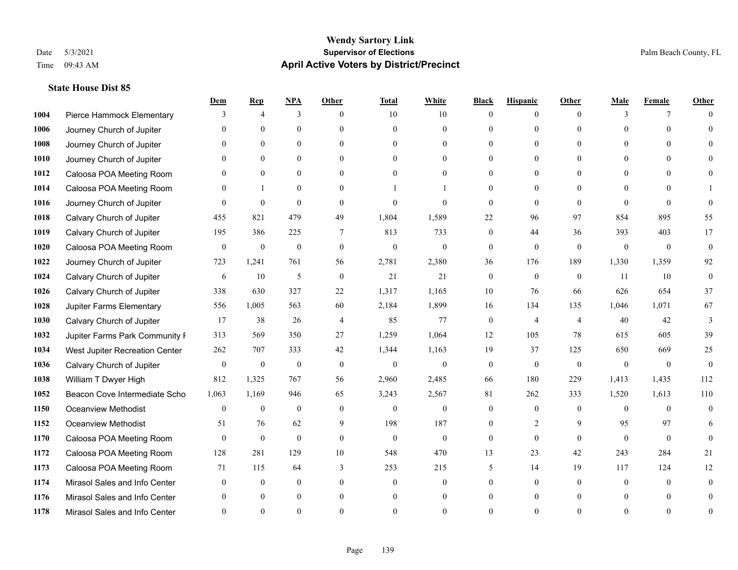# **State House Dist 85**

|      |                                | Dem          | <b>Rep</b>       | NPA              | <b>Other</b> | <b>Total</b> | <b>White</b>     | <b>Black</b>     | <b>Hispanic</b> | <b>Other</b>   | <b>Male</b>  | <b>Female</b>  | <b>Other</b>   |
|------|--------------------------------|--------------|------------------|------------------|--------------|--------------|------------------|------------------|-----------------|----------------|--------------|----------------|----------------|
| 1004 | Pierce Hammock Elementary      | 3            | $\overline{4}$   | 3                | $\theta$     | 10           | 10               | $\mathbf{0}$     | $\mathbf{0}$    | $\theta$       | 3            | 7              | $\Omega$       |
| 1006 | Journey Church of Jupiter      | $\Omega$     | $\theta$         | $\theta$         | $\Omega$     | $\Omega$     | $\overline{0}$   | $\theta$         | $\mathbf{0}$    | $\Omega$       | $\Omega$     | $\Omega$       | $\Omega$       |
| 1008 | Journey Church of Jupiter      | $\Omega$     | $\theta$         | $\theta$         | $\Omega$     | $\Omega$     | $\Omega$         | $\Omega$         | $\Omega$        | $\Omega$       | $\Omega$     | $\Omega$       |                |
| 1010 | Journey Church of Jupiter      |              | $\mathbf{0}$     | $\mathbf{0}$     | $\mathbf{0}$ | $\theta$     | $\mathbf{0}$     | $\overline{0}$   | $\mathbf{0}$    | $\Omega$       | $\mathbf{0}$ | $\theta$       |                |
| 1012 | Caloosa POA Meeting Room       | $\Omega$     | $\theta$         | $\mathbf{0}$     | $\Omega$     | $\Omega$     | $\theta$         | $\theta$         | $\theta$        | $\Omega$       | $\theta$     | $\Omega$       | $\Omega$       |
| 1014 | Caloosa POA Meeting Room       | $\theta$     | $\mathbf{1}$     | $\mathbf{0}$     | $\Omega$     |              |                  | $\Omega$         | $\theta$        | $\Omega$       | $\theta$     | $\Omega$       |                |
| 1016 | Journey Church of Jupiter      | $\theta$     | $\mathbf{0}$     | $\mathbf{0}$     | $\theta$     | $\theta$     | $\mathbf{0}$     | $\mathbf{0}$     | $\mathbf{0}$    | $\theta$       | $\theta$     | $\theta$       | $\theta$       |
| 1018 | Calvary Church of Jupiter      | 455          | 821              | 479              | 49           | 1,804        | 1,589            | 22               | 96              | 97             | 854          | 895            | 55             |
| 1019 | Calvary Church of Jupiter      | 195          | 386              | 225              | 7            | 813          | 733              | $\boldsymbol{0}$ | 44              | 36             | 393          | 403            | 17             |
| 1020 | Caloosa POA Meeting Room       | $\mathbf{0}$ | $\mathbf{0}$     | $\mathbf{0}$     | $\theta$     | $\mathbf{0}$ | $\mathbf{0}$     | $\mathbf{0}$     | $\theta$        | $\theta$       | $\mathbf{0}$ | $\mathbf{0}$   | $\mathbf{0}$   |
| 1022 | Journey Church of Jupiter      | 723          | 1,241            | 761              | 56           | 2,781        | 2,380            | 36               | 176             | 189            | 1,330        | 1,359          | 92             |
| 1024 | Calvary Church of Jupiter      | 6            | 10               | $\mathfrak{H}$   | $\mathbf{0}$ | 21           | 21               | $\mathbf{0}$     | $\mathbf{0}$    | $\mathbf{0}$   | 11           | 10             | $\theta$       |
| 1026 | Calvary Church of Jupiter      | 338          | 630              | 327              | 22           | 1,317        | 1,165            | 10               | 76              | 66             | 626          | 654            | 37             |
| 1028 | Jupiter Farms Elementary       | 556          | 1,005            | 563              | 60           | 2,184        | 1,899            | 16               | 134             | 135            | 1,046        | 1,071          | 67             |
| 1030 | Calvary Church of Jupiter      | 17           | 38               | 26               | 4            | 85           | 77               | $\boldsymbol{0}$ | 4               | $\overline{4}$ | 40           | 42             | 3              |
| 1032 | Jupiter Farms Park Community I | 313          | 569              | 350              | 27           | 1,259        | 1,064            | 12               | 105             | 78             | 615          | 605            | 39             |
| 1034 | West Jupiter Recreation Center | 262          | 707              | 333              | 42           | 1,344        | 1,163            | 19               | 37              | 125            | 650          | 669            | 25             |
| 1036 | Calvary Church of Jupiter      | $\mathbf{0}$ | $\boldsymbol{0}$ | $\boldsymbol{0}$ | $\theta$     | $\mathbf{0}$ | $\boldsymbol{0}$ | $\mathbf{0}$     | $\mathbf{0}$    | $\mathbf{0}$   | $\theta$     | $\overline{0}$ | $\mathbf{0}$   |
| 1038 | William T Dwyer High           | 812          | 1,325            | 767              | 56           | 2,960        | 2,485            | 66               | 180             | 229            | 1,413        | 1,435          | 112            |
| 1052 | Beacon Cove Intermediate Scho  | 1,063        | 1,169            | 946              | 65           | 3,243        | 2,567            | 81               | 262             | 333            | 1,520        | 1,613          | 110            |
| 1150 | <b>Oceanview Methodist</b>     | $\theta$     | $\mathbf{0}$     | $\mathbf{0}$     | $\Omega$     | $\theta$     | $\mathbf{0}$     | $\theta$         | $\theta$        | $\Omega$       | $\Omega$     | $\Omega$       | $\theta$       |
| 1152 | <b>Oceanview Methodist</b>     | 51           | 76               | 62               | 9            | 198          | 187              | $\overline{0}$   | $\overline{c}$  | 9              | 95           | 97             | 6              |
| 1170 | Caloosa POA Meeting Room       | $\theta$     | $\mathbf{0}$     | $\mathbf{0}$     | $\mathbf{0}$ | $\mathbf{0}$ | $\mathbf{0}$     | $\mathbf{0}$     | $\theta$        | $\theta$       | $\theta$     | $\theta$       | $\theta$       |
| 1172 | Caloosa POA Meeting Room       | 128          | 281              | 129              | 10           | 548          | 470              | 13               | 23              | 42             | 243          | 284            | 21             |
| 1173 | Caloosa POA Meeting Room       | 71           | 115              | 64               | 3            | 253          | 215              | 5                | 14              | 19             | 117          | 124            | 12             |
| 1174 | Mirasol Sales and Info Center  | $\theta$     | $\mathbf{0}$     | $\mathbf{0}$     | $\theta$     | $\theta$     | $\overline{0}$   | $\theta$         | $\mathbf{0}$    | $\theta$       | $\theta$     | $\theta$       | $\overline{0}$ |
| 1176 | Mirasol Sales and Info Center  | $\Omega$     | $\theta$         | $\Omega$         | $\theta$     | $\theta$     | $\overline{0}$   | $\theta$         | $\theta$        | $\Omega$       |              | 0              | $\theta$       |
| 1178 | Mirasol Sales and Info Center  |              | $\Omega$         | $\Omega$         | $\Omega$     |              | $\Omega$         | $\Omega$         | $\Omega$        | $\Omega$       |              | $\Omega$       | $\theta$       |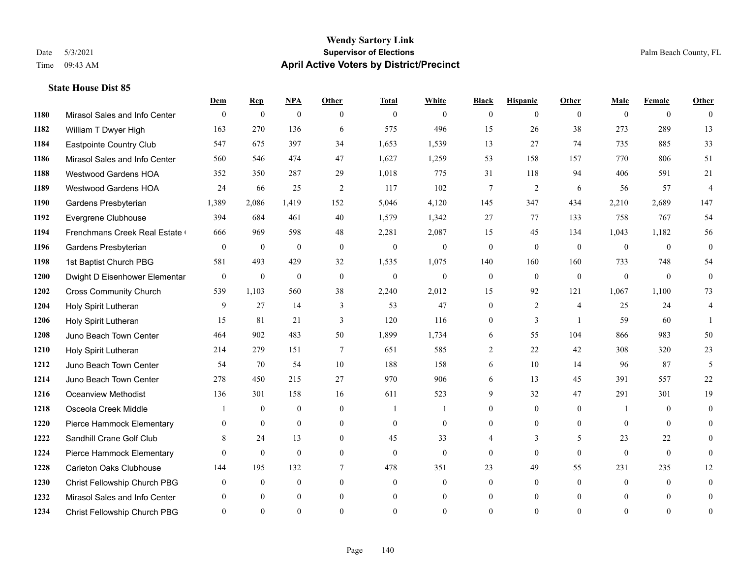### **Wendy Sartory Link** Date 5/3/2021 **Supervisor of Elections** Palm Beach County, FL Time 09:43 AM **April Active Voters by District/Precinct**

# **Dem Rep NPA Other Total White Black Hispanic Other Male Female Other** Mirasol Sales and Info Center 0 0 0 0 0 0 0 0 0 0 0 0 William T Dwyer High 163 270 136 6 575 496 15 26 38 273 289 13 Eastpointe Country Club 547 675 397 34 1,653 1,539 13 27 74 735 885 33 Mirasol Sales and Info Center 560 546 474 47 1,627 1,259 53 158 157 770 806 51 Westwood Gardens HOA 352 350 287 29 1,018 775 31 118 94 406 591 21 Westwood Gardens HOA 24 66 25 2 117 102 7 2 6 56 57 4 Gardens Presbyterian 1,389 2,086 1,419 152 5,046 4,120 145 347 434 2,210 2,689 147 Evergrene Clubhouse 394 684 461 40 1,579 1,342 27 77 133 758 767 54 1194 Frenchmans Creek Real Estate 666 969 598 48 2,281 2,087 15 45 134 1,043 1,182 56 Gardens Presbyterian 0 0 0 0 0 0 0 0 0 0 0 0 1st Baptist Church PBG 581 493 429 32 1,535 1,075 140 160 160 733 748 54 Dwight D Eisenhower Elementary 0 0 0 0 0 0 0 0 0 0 0 0 Cross Community Church 539 1,103 560 38 2,240 2,012 15 92 121 1,067 1,100 73 Holy Spirit Lutheran 9 27 14 3 53 47 0 2 4 25 24 4 Holy Spirit Lutheran 15 81 21 3 120 116 0 3 1 59 60 1 Juno Beach Town Center 464 902 483 50 1,899 1,734 6 55 104 866 983 50 Holy Spirit Lutheran 214 279 151 7 651 585 2 22 42 308 320 23 Juno Beach Town Center 54 70 54 10 188 158 6 10 14 96 87 5 Juno Beach Town Center 278 450 215 27 970 906 6 13 45 391 557 22 Oceanview Methodist 136 301 158 16 611 523 9 32 47 291 301 19 Osceola Creek Middle  $\begin{array}{cccccccc} 1 & 0 & 0 & 0 & 1 & 1 & 0 & 0 & 0 \\ 0 & 0 & 0 & 1 & 0 & 0 & 0 & 0 \\ 0 & 0 & 0 & 0 & 0 & 0 & 0 & 0 \\ 0 & 0 & 0 & 0 & 0 & 0 & 0 & 0 \\ 0 & 0 & 0 & 0 & 0 & 0 & 0 & 0 \\ 0 & 0 & 0 & 0 & 0 & 0 & 0 & 0 \\ 0 & 0 & 0 & 0 & 0 & 0 & 0 & 0 \\ 0 & 0 & 0 & 0 & 0$  Pierce Hammock Elementary 0 0 0 0 0 0 0 0 0 0 0 0 **1222 Sandhill Crane Golf Club** 8 24 13 0 45 33 4 3 5 23 22 0 Pierce Hammock Elementary 0 0 0 0 0 0 0 0 0 0 0 0 Carleton Oaks Clubhouse 144 195 132 7 478 351 23 49 55 231 235 12 Christ Fellowship Church PBG 0 0 0 0 0 0 0 0 0 0 0 0 Mirasol Sales and Info Center 0 0 0 0 0 0 0 0 0 0 0 0 Christ Fellowship Church PBG 0 0 0 0 0 0 0 0 0 0 0 0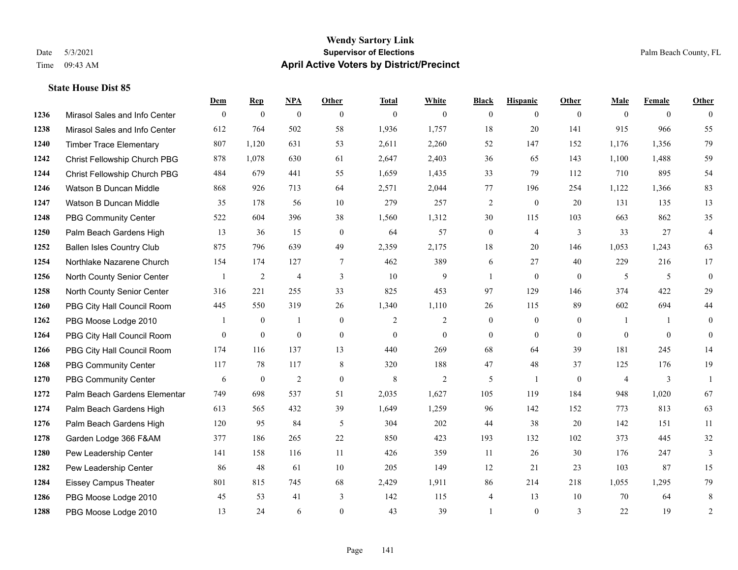### **Wendy Sartory Link** Date 5/3/2021 **Supervisor of Elections** Palm Beach County, FL Time 09:43 AM **April Active Voters by District/Precinct**

# **Dem Rep NPA Other Total White Black Hispanic Other Male Female Other** Mirasol Sales and Info Center 0 0 0 0 0 0 0 0 0 0 0 0 Mirasol Sales and Info Center 612 764 502 58 1,936 1,757 18 20 141 915 966 55 Timber Trace Elementary 807 1,120 631 53 2,611 2,260 52 147 152 1,176 1,356 79 Christ Fellowship Church PBG 878 1,078 630 61 2,647 2,403 36 65 143 1,100 1,488 59 Christ Fellowship Church PBG 484 679 441 55 1,659 1,435 33 79 112 710 895 54 Watson B Duncan Middle 868 926 713 64 2,571 2,044 77 196 254 1,122 1,366 83 Watson B Duncan Middle 35 178 56 10 279 257 2 0 20 131 135 13 PBG Community Center 522 604 396 38 1,560 1,312 30 115 103 663 862 35 Palm Beach Gardens High 13 36 15 0 64 57 0 4 3 33 27 4 Ballen Isles Country Club 875 796 639 49 2,359 2,175 18 20 146 1,053 1,243 63 Northlake Nazarene Church 154 174 127 7 462 389 6 27 40 229 216 17 North County Senior Center 1 2 4 3 10 9 1 0 0 5 5 0 North County Senior Center 316 221 255 33 825 453 97 129 146 374 422 29 PBG City Hall Council Room 445 550 319 26 1,340 1,110 26 115 89 602 694 44 PBG Moose Lodge 2010 1 0 1 0 1 0 2 2 0 0 0 1 1 0 PBG City Hall Council Room 0 0 0 0 0 0 0 0 0 0 0 0 PBG City Hall Council Room 174 116 137 13 440 269 68 64 39 181 245 14 PBG Community Center 117 78 117 8 320 188 47 48 37 125 176 19 PBG Community Center  $\begin{array}{cccccccc} 6 & 0 & 2 & 0 & 8 & 2 & 5 & 1 & 0 & 4 & 3 & 1 \end{array}$  Palm Beach Gardens Elementary 749 698 537 51 2,035 1,627 105 119 184 948 1,020 67 Palm Beach Gardens High 613 565 432 39 1,649 1,259 96 142 152 773 813 63 Palm Beach Gardens High 120 95 84 5 304 202 44 38 20 142 151 11 Garden Lodge 366 F&AM 377 186 265 22 850 423 193 132 102 373 445 32 Pew Leadership Center 141 158 116 11 426 359 11 26 30 176 247 3 Pew Leadership Center 86 48 61 10 205 149 12 21 23 103 87 15 Eissey Campus Theater 801 815 745 68 2,429 1,911 86 214 218 1,055 1,295 79 PBG Moose Lodge 2010 45 53 41 3 142 115 4 13 10 70 64 8 PBG Moose Lodge 2010 13 24 6 0 43 39 1 0 3 22 19 2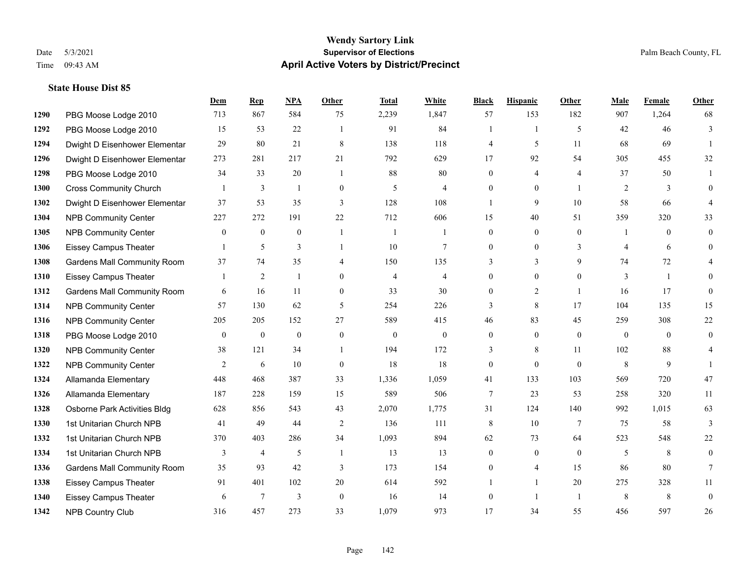### **Wendy Sartory Link** Date 5/3/2021 **Supervisor of Elections** Palm Beach County, FL Time 09:43 AM **April Active Voters by District/Precinct**

# **Dem Rep NPA Other Total White Black Hispanic Other Male Female Other** PBG Moose Lodge 2010 713 867 584 75 2,239 1,847 57 153 182 907 1,264 68 PBG Moose Lodge 2010 15 53 22 1 91 84 1 1 5 42 46 3 Dwight D Eisenhower Elementar 29 80 21 8 138 118 4 5 11 68 69 1 Dwight D Eisenhower Elementary 273 281 217 21 792 629 17 92 54 305 455 32 PBG Moose Lodge 2010 34 33 20 1 88 80 0 4 4 37 50 1 Cross Community Church 1 3 1 0 5 4 0 0 1 2 3 0 Dwight D Eisenhower Elementar 37 53 35 3 128 108 1 9 10 58 66 4 NPB Community Center 227 272 191 22 712 606 15 40 51 359 320 33 1305 NPB Community Center  $\begin{array}{ccccccccccccc}\n & 0 & 0 & 0 & 1 & 1 & 0 & 0 & 0 & 1 & 0 & 0\n\end{array}$  Eissey Campus Theater 1 5 3 1 10 7 0 0 3 4 6 0 Gardens Mall Community Room 37 74 35 4 150 135 3 3 9 74 72 4 Eissey Campus Theater 1 2 1 0 4 4 0 0 0 3 1 0 Gardens Mall Community Room 6 16 11 0 33 30 0 2 1 16 17 0 NPB Community Center 57 130 62 5 254 226 3 8 17 104 135 15 NPB Community Center 205 205 152 27 589 415 46 83 45 259 308 22 PBG Moose Lodge 2010 0 0 0 0 0 0 0 0 0 0 0 0 NPB Community Center 38 121 34 1 194 172 3 8 11 102 88 4 **1322 NPB Community Center** 2 6 10 0 18 18 0 0 0 8 9 1 Allamanda Elementary 448 468 387 33 1,336 1,059 41 133 103 569 720 47 Allamanda Elementary 187 228 159 15 589 506 7 23 53 258 320 11 Osborne Park Activities Bldg 628 856 543 43 2,070 1,775 31 124 140 992 1,015 63 1st Unitarian Church NPB 41 49 44 2 136 111 8 10 7 75 58 3 1st Unitarian Church NPB 370 403 286 34 1,093 894 62 73 64 523 548 22 1334 1st Unitarian Church NPB 3 4 5 1 13 13 0 0 0 5 8 0 Gardens Mall Community Room 35 93 42 3 173 154 0 4 15 86 80 7 Eissey Campus Theater 91 401 102 20 614 592 1 1 20 275 328 11 Eissey Campus Theater 6 7 3 0 16 14 0 1 1 8 8 0 NPB Country Club 316 457 273 33 1,079 973 17 34 55 456 597 26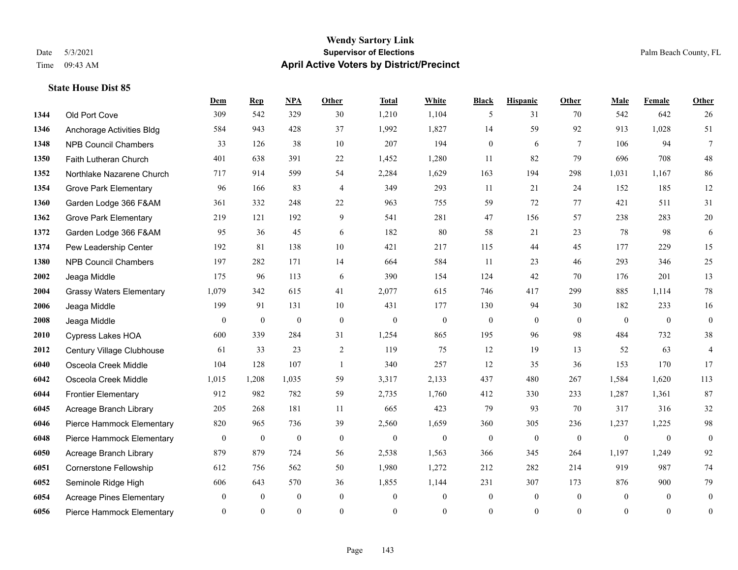### **Wendy Sartory Link** Date 5/3/2021 **Supervisor of Elections** Palm Beach County, FL Time 09:43 AM **April Active Voters by District/Precinct**

# **Dem Rep NPA Other Total White Black Hispanic Other Male Female Other** Old Port Cove 309 542 329 30 1,210 1,104 5 31 70 542 642 26 Anchorage Activities Bldg 584 943 428 37 1,992 1,827 14 59 92 913 1,028 51 NPB Council Chambers 33 126 38 10 207 194 0 6 7 106 94 7 Faith Lutheran Church 401 638 391 22 1,452 1,280 11 82 79 696 708 48 Northlake Nazarene Church 717 914 599 54 2,284 1,629 163 194 298 1,031 1,167 86 Grove Park Elementary 96 166 83 4 349 293 11 21 24 152 185 12 Garden Lodge 366 F&AM 361 332 248 22 963 755 59 72 77 421 511 31 Grove Park Elementary 219 121 192 9 541 281 47 156 57 238 283 20 Garden Lodge 366 F&AM 95 36 45 6 182 80 58 21 23 78 98 6 Pew Leadership Center 192 81 138 10 421 217 115 44 45 177 229 15 NPB Council Chambers 197 282 171 14 664 584 11 23 46 293 346 25 Jeaga Middle 175 96 113 6 390 154 124 42 70 176 201 13 Grassy Waters Elementary 1,079 342 615 41 2,077 615 746 417 299 885 1,114 78 Jeaga Middle 199 91 131 10 431 177 130 94 30 182 233 16 Jeaga Middle 0 0 0 0 0 0 0 0 0 0 0 0 Cypress Lakes HOA 600 339 284 31 1,254 865 195 96 98 484 732 38 Century Village Clubhouse 61 33 23 2 119 75 12 19 13 52 63 4 Osceola Creek Middle 104 128 107 1 340 257 12 35 36 153 170 17 Osceola Creek Middle 1,015 1,208 1,035 59 3,317 2,133 437 480 267 1,584 1,620 113 Frontier Elementary 912 982 782 59 2,735 1,760 412 330 233 1,287 1,361 87 Acreage Branch Library 205 268 181 11 665 423 79 93 70 317 316 32 Pierce Hammock Elementary 820 965 736 39 2,560 1,659 360 305 236 1,237 1,225 98 Pierce Hammock Elementary 0 0 0 0 0 0 0 0 0 0 0 0 Acreage Branch Library 879 879 724 56 2,538 1,563 366 345 264 1,197 1,249 92 Cornerstone Fellowship 612 756 562 50 1,980 1,272 212 282 214 919 987 74 Seminole Ridge High 606 643 570 36 1,855 1,144 231 307 173 876 900 79 Acreage Pines Elementary 0 0 0 0 0 0 0 0 0 0 0 0 Pierce Hammock Elementary 0 0 0 0 0 0 0 0 0 0 0 0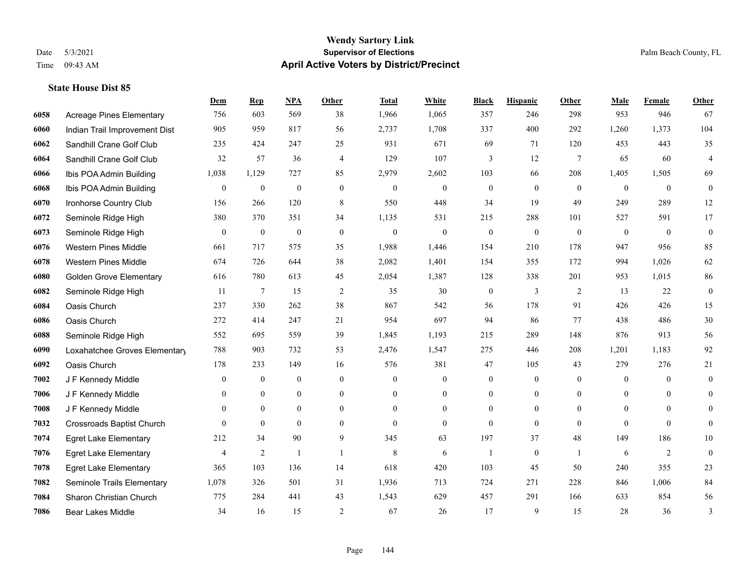### **Wendy Sartory Link** Date 5/3/2021 **Supervisor of Elections** Palm Beach County, FL Time 09:43 AM **April Active Voters by District/Precinct**

# **Dem Rep NPA Other Total White Black Hispanic Other Male Female Other** Acreage Pines Elementary 756 603 569 38 1,966 1,065 357 246 298 953 946 67 Indian Trail Improvement Dist 905 959 817 56 2,737 1,708 337 400 292 1,260 1,373 104 Sandhill Crane Golf Club 235 424 247 25 931 671 69 71 120 453 443 35 Sandhill Crane Golf Club 32 57 36 4 129 107 3 12 7 65 60 4 Ibis POA Admin Building 1,038 1,129 727 85 2,979 2,602 103 66 208 1,405 1,505 69 Ibis POA Admin Building 0 0 0 0 0 0 0 0 0 0 0 0 Ironhorse Country Club 156 266 120 8 550 448 34 19 49 249 289 12 Seminole Ridge High 380 370 351 34 1,135 531 215 288 101 527 591 17 Seminole Ridge High 0 0 0 0 0 0 0 0 0 0 0 0 Western Pines Middle 661 717 575 35 1,988 1,446 154 210 178 947 956 85 Western Pines Middle 674 726 644 38 2,082 1,401 154 355 172 994 1,026 62 Golden Grove Elementary 616 780 613 45 2,054 1,387 128 338 201 953 1,015 86 Seminole Ridge High 11 7 15 2 35 30 0 3 2 13 22 0 Oasis Church 237 330 262 38 867 542 56 178 91 426 426 15 Oasis Church 272 414 247 21 954 697 94 86 77 438 486 30 Seminole Ridge High 552 695 559 39 1,845 1,193 215 289 148 876 913 56 Loxahatchee Groves Elementary 788 903 732 53 2,476 1,547 275 446 208 1,201 1,183 92 Oasis Church 178 233 149 16 576 381 47 105 43 279 276 21 J F Kennedy Middle 0 0 0 0 0 0 0 0 0 0 0 0 J F Kennedy Middle 0 0 0 0 0 0 0 0 0 0 J F Kennedy Middle 0 0 0 0 0 0 0 0 0 0 0 0 Crossroads Baptist Church 0 0 0 0 0 0 0 0 0 0 0 0 Egret Lake Elementary 212 34 90 9 345 63 197 37 48 149 186 10 Egret Lake Elementary 4 2 1 1 8 6 1 0 1 6 2 0 Egret Lake Elementary 365 103 136 14 618 420 103 45 50 240 355 23 Seminole Trails Elementary 1,078 326 501 31 1,936 713 724 271 228 846 1,006 84 Sharon Christian Church 775 284 441 43 1,543 629 457 291 166 633 854 56 Bear Lakes Middle 34 16 15 2 67 26 17 9 15 28 36 3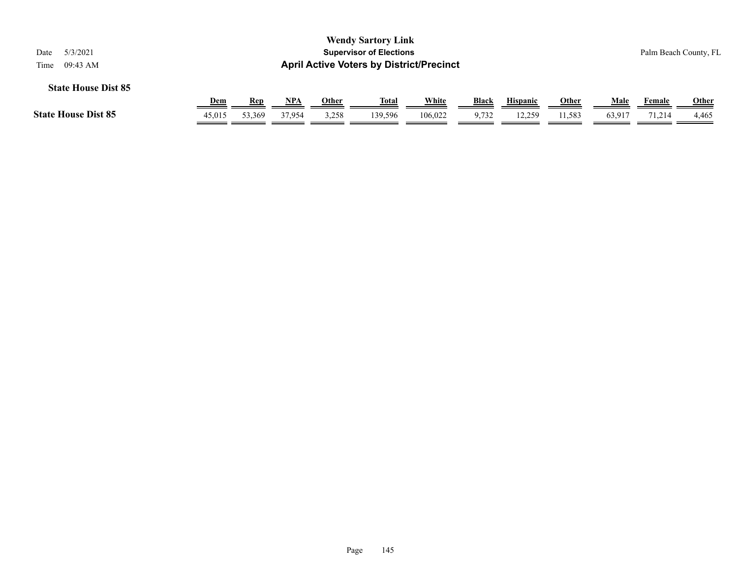| 5/3/2021<br>Date<br>09:43 AM<br>Time |            |            |            |       | <b>Wendy Sartory Link</b><br><b>Supervisor of Elections</b><br><b>April Active Voters by District/Precinct</b> |         |              |                 |       |        |        | Palm Beach County, FL |
|--------------------------------------|------------|------------|------------|-------|----------------------------------------------------------------------------------------------------------------|---------|--------------|-----------------|-------|--------|--------|-----------------------|
| <b>State House Dist 85</b>           | <u>Dem</u> | <b>Rep</b> | <u>NPA</u> | Other | <u>Total</u>                                                                                                   | White   | <b>Black</b> | <b>Hispanic</b> | Other | Male   | Female | <b>Other</b>          |
| <b>State House Dist 85</b>           | 45,015     | 53,369     | 37.954     | 3,258 | 139.596                                                                                                        | 106.022 | 9,732        | 12,259          | 1,583 | 63,917 | 71,214 | 4,465                 |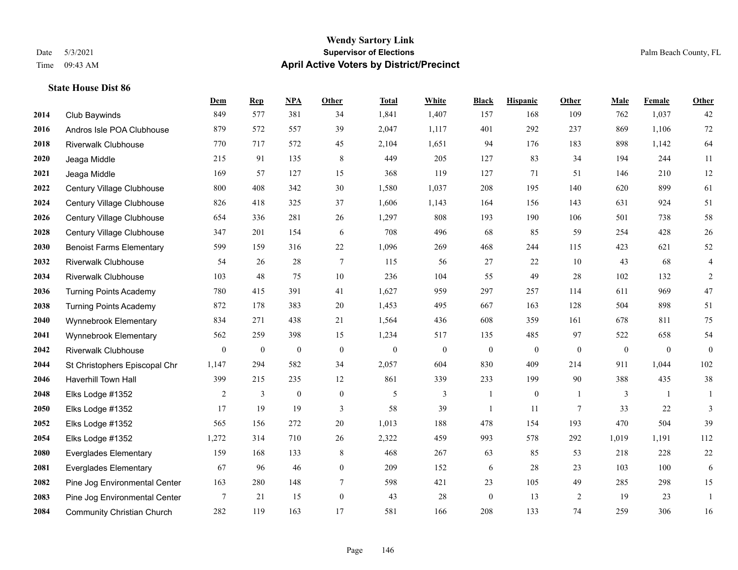#### **Wendy Sartory Link** Date 5/3/2021 **Supervisor of Elections** Palm Beach County, FL Time 09:43 AM **April Active Voters by District/Precinct**

# **Dem Rep NPA Other Total White Black Hispanic Other Male Female Other** Club Baywinds 849 577 381 34 1,841 1,407 157 168 109 762 1,037 42 Andros Isle POA Clubhouse 879 572 557 39 2,047 1,117 401 292 237 869 1,106 72 Riverwalk Clubhouse 770 717 572 45 2,104 1,651 94 176 183 898 1,142 64 Jeaga Middle 215 91 135 8 449 205 127 83 34 194 244 11 Jeaga Middle 169 57 127 15 368 119 127 71 51 146 210 12 Century Village Clubhouse 800 408 342 30 1,580 1,037 208 195 140 620 899 61 Century Village Clubhouse 826 418 325 37 1,606 1,143 164 156 143 631 924 51 Century Village Clubhouse 654 336 281 26 1,297 808 193 190 106 501 738 58 Century Village Clubhouse 347 201 154 6 708 496 68 85 59 254 428 26 Benoist Farms Elementary 599 159 316 22 1,096 269 468 244 115 423 621 52 Riverwalk Clubhouse 54 26 28 7 115 56 27 22 10 43 68 4 Riverwalk Clubhouse 103 48 75 10 236 104 55 49 28 102 132 2 Turning Points Academy 780 415 391 41 1,627 959 297 257 114 611 969 47 Turning Points Academy 872 178 383 20 1,453 495 667 163 128 504 898 51 Wynnebrook Elementary 834 271 438 21 1,564 436 608 359 161 678 811 75 Wynnebrook Elementary 562 259 398 15 1,234 517 135 485 97 522 658 54 Riverwalk Clubhouse 0 0 0 0 0 0 0 0 0 0 0 0 St Christophers Episcopal Chr 1,147 294 582 34 2,057 604 830 409 214 911 1,044 102 Haverhill Town Hall 399 215 235 12 861 339 233 199 90 388 435 38 Elks Lodge #1352 2 3 0 0 5 3 1 0 1 3 1 1 Elks Lodge #1352 17 19 19 3 58 39 1 11 7 33 22 3 Elks Lodge #1352 565 156 272 20 1,013 188 478 154 193 470 504 39 Elks Lodge #1352 1,272 314 710 26 2,322 459 993 578 292 1,019 1,191 112 Everglades Elementary 159 168 133 8 468 267 63 85 53 218 228 22 Everglades Elementary 67 96 46 0 209 152 6 28 23 103 100 6 Pine Jog Environmental Center 163 280 148 7 598 421 23 105 49 285 298 15 Pine Jog Environmental Center 7 21 15 0 43 28 0 13 2 19 23 1 Community Christian Church 282 119 163 17 581 166 208 133 74 259 306 16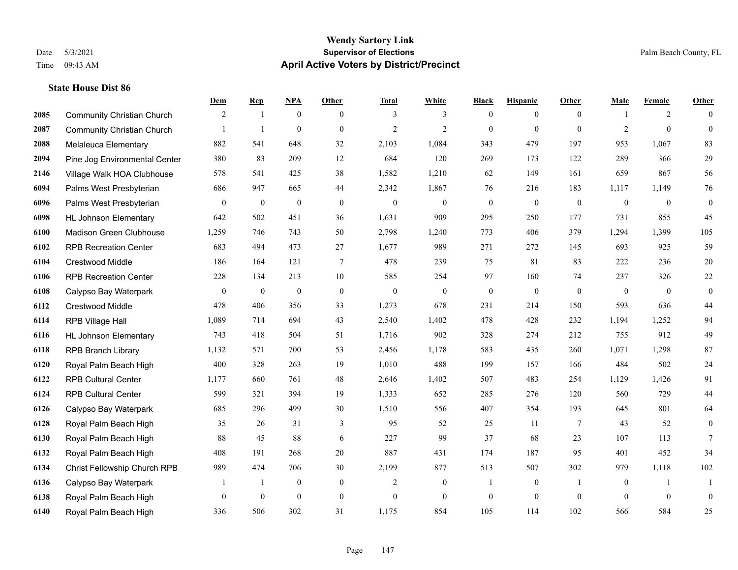#### **Wendy Sartory Link** Date 5/3/2021 **Supervisor of Elections** Palm Beach County, FL Time 09:43 AM **April Active Voters by District/Precinct**

# **Dem Rep NPA Other Total White Black Hispanic Other Male Female Other** Community Christian Church 2 1 0 0 3 3 0 0 0 1 2 0 Community Christian Church 1 1 0 0 2 2 0 0 0 2 0 0 Melaleuca Elementary 882 541 648 32 2,103 1,084 343 479 197 953 1,067 83 Pine Jog Environmental Center 380 83 209 12 684 120 269 173 122 289 366 29 Village Walk HOA Clubhouse 578 541 425 38 1,582 1,210 62 149 161 659 867 56 Palms West Presbyterian 686 947 665 44 2,342 1,867 76 216 183 1,117 1,149 76 Palms West Presbyterian 0 0 0 0 0 0 0 0 0 0 0 0 HL Johnson Elementary 642 502 451 36 1,631 909 295 250 177 731 855 45 Madison Green Clubhouse 1,259 746 743 50 2,798 1,240 773 406 379 1,294 1,399 105 RPB Recreation Center 683 494 473 27 1,677 989 271 272 145 693 925 59 Crestwood Middle 186 164 121 7 478 239 75 81 83 222 236 20 RPB Recreation Center 228 134 213 10 585 254 97 160 74 237 326 22 Calypso Bay Waterpark 0 0 0 0 0 0 0 0 0 0 0 0 Crestwood Middle 478 406 356 33 1,273 678 231 214 150 593 636 44 RPB Village Hall 1,089 714 694 43 2,540 1,402 478 428 232 1,194 1,252 94 HL Johnson Elementary 743 418 504 51 1,716 902 328 274 212 755 912 49 RPB Branch Library 1,132 571 700 53 2,456 1,178 583 435 260 1,071 1,298 87 Royal Palm Beach High 400 328 263 19 1,010 488 199 157 166 484 502 24 RPB Cultural Center 1,177 660 761 48 2,646 1,402 507 483 254 1,129 1,426 91 RPB Cultural Center 599 321 394 19 1,333 652 285 276 120 560 729 44 Calypso Bay Waterpark 685 296 499 30 1,510 556 407 354 193 645 801 64 Royal Palm Beach High 35 26 31 3 95 52 25 11 7 43 52 0 Royal Palm Beach High 88 45 88 6 227 99 37 68 23 107 113 7 Royal Palm Beach High 408 191 268 20 887 431 174 187 95 401 452 34 Christ Fellowship Church RPB 989 474 706 30 2,199 877 513 507 302 979 1,118 102 Calypso Bay Waterpark 1 1 0 0 2 0 1 0 1 0 1 1 Royal Palm Beach High 0 0 0 0 0 0 0 0 0 0 0 0 Royal Palm Beach High 336 506 302 31 1,175 854 105 114 102 566 584 25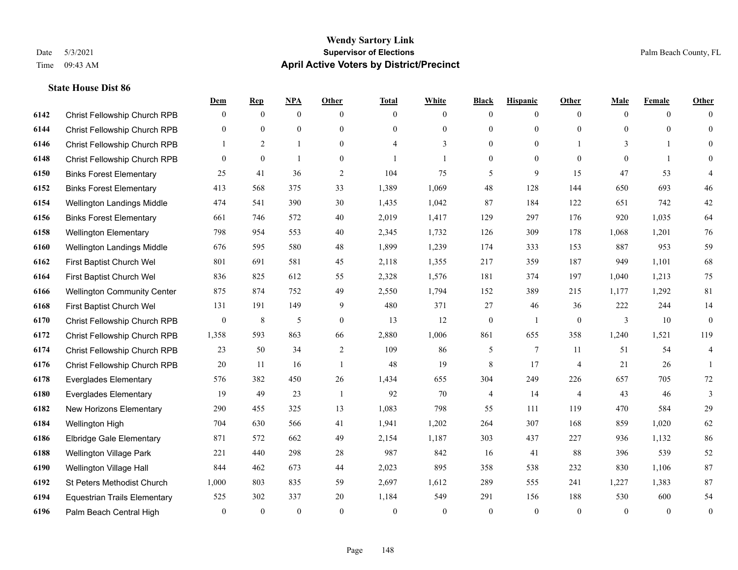|      |                                     | Dem          | <b>Rep</b>   | <u>NPA</u>   | <b>Other</b>   | <b>Total</b>             | <b>White</b>   | <b>Black</b>     | <b>Hispanic</b> | Other          | <b>Male</b> | <b>Female</b> | <b>Other</b>            |
|------|-------------------------------------|--------------|--------------|--------------|----------------|--------------------------|----------------|------------------|-----------------|----------------|-------------|---------------|-------------------------|
| 6142 | Christ Fellowship Church RPB        | $\mathbf{0}$ | $\mathbf{0}$ | $\mathbf{0}$ | $\theta$       | $\theta$                 | $\overline{0}$ | $\mathbf{0}$     | $\overline{0}$  | $\theta$       | $\theta$    | $\theta$      | $\Omega$                |
| 6144 | Christ Fellowship Church RPB        | $\theta$     | $\mathbf{0}$ | $\mathbf{0}$ | $\Omega$       | $\Omega$                 | $\overline{0}$ | $\mathbf{0}$     | $\mathbf{0}$    | $\theta$       | $\theta$    | $\theta$      | $\theta$                |
| 6146 | Christ Fellowship Church RPB        | 1            | 2            | $\mathbf{1}$ | $\theta$       | $\overline{\mathcal{A}}$ | 3              | $\mathbf{0}$     | $\overline{0}$  |                | 3           | -1            | $\Omega$                |
| 6148 | Christ Fellowship Church RPB        | $\mathbf{0}$ | $\mathbf{0}$ | 1            | $\overline{0}$ |                          | $\mathbf{1}$   | $\boldsymbol{0}$ | $\mathbf{0}$    | $\mathbf{0}$   | $\theta$    | $\mathbf{1}$  | $\Omega$                |
| 6150 | <b>Binks Forest Elementary</b>      | 25           | 41           | 36           | $\overline{2}$ | 104                      | 75             | 5                | 9               | 15             | 47          | 53            | 4                       |
| 6152 | <b>Binks Forest Elementary</b>      | 413          | 568          | 375          | 33             | 1,389                    | 1,069          | 48               | 128             | 144            | 650         | 693           | $46\,$                  |
| 6154 | Wellington Landings Middle          | 474          | 541          | 390          | 30             | 1,435                    | 1,042          | 87               | 184             | 122            | 651         | 742           | $42\,$                  |
| 6156 | <b>Binks Forest Elementary</b>      | 661          | 746          | 572          | 40             | 2,019                    | 1,417          | 129              | 297             | 176            | 920         | 1,035         | 64                      |
| 6158 | <b>Wellington Elementary</b>        | 798          | 954          | 553          | 40             | 2,345                    | 1,732          | 126              | 309             | 178            | 1,068       | 1,201         | 76                      |
| 6160 | Wellington Landings Middle          | 676          | 595          | 580          | 48             | 1,899                    | 1,239          | 174              | 333             | 153            | 887         | 953           | 59                      |
| 6162 | First Baptist Church Wel            | 801          | 691          | 581          | 45             | 2,118                    | 1,355          | 217              | 359             | 187            | 949         | 1,101         | 68                      |
| 6164 | First Baptist Church Wel            | 836          | 825          | 612          | 55             | 2,328                    | 1,576          | 181              | 374             | 197            | 1,040       | 1,213         | 75                      |
| 6166 | <b>Wellington Community Center</b>  | 875          | 874          | 752          | 49             | 2,550                    | 1,794          | 152              | 389             | 215            | 1,177       | 1,292         | 81                      |
| 6168 | First Baptist Church Wel            | 131          | 191          | 149          | 9              | 480                      | 371            | 27               | 46              | 36             | 222         | 244           | 14                      |
| 6170 | Christ Fellowship Church RPB        | $\mathbf{0}$ | 8            | 5            | $\overline{0}$ | 13                       | 12             | $\boldsymbol{0}$ | $\mathbf{1}$    | $\overline{0}$ | 3           | 10            | $\mathbf{0}$            |
| 6172 | Christ Fellowship Church RPB        | 1,358        | 593          | 863          | 66             | 2,880                    | 1,006          | 861              | 655             | 358            | 1,240       | 1,521         | 119                     |
| 6174 | Christ Fellowship Church RPB        | 23           | 50           | 34           | $\overline{c}$ | 109                      | 86             | 5                | $7\overline{ }$ | 11             | 51          | 54            | $\overline{\mathbf{4}}$ |
| 6176 | Christ Fellowship Church RPB        | 20           | 11           | 16           | $\overline{1}$ | 48                       | 19             | 8                | 17              | $\overline{4}$ | 21          | 26            | 1                       |
| 6178 | <b>Everglades Elementary</b>        | 576          | 382          | 450          | 26             | 1,434                    | 655            | 304              | 249             | 226            | 657         | 705           | 72                      |
| 6180 | <b>Everglades Elementary</b>        | 19           | 49           | 23           | -1             | 92                       | 70             | 4                | 14              | $\overline{4}$ | 43          | 46            | $\mathfrak{Z}$          |
| 6182 | New Horizons Elementary             | 290          | 455          | 325          | 13             | 1,083                    | 798            | 55               | 111             | 119            | 470         | 584           | 29                      |
| 6184 | Wellington High                     | 704          | 630          | 566          | 41             | 1,941                    | 1,202          | 264              | 307             | 168            | 859         | 1,020         | 62                      |
| 6186 | Elbridge Gale Elementary            | 871          | 572          | 662          | 49             | 2,154                    | 1,187          | 303              | 437             | 227            | 936         | 1,132         | 86                      |
| 6188 | Wellington Village Park             | 221          | 440          | 298          | 28             | 987                      | 842            | 16               | 41              | 88             | 396         | 539           | 52                      |
| 6190 | Wellington Village Hall             | 844          | 462          | 673          | 44             | 2,023                    | 895            | 358              | 538             | 232            | 830         | 1.106         | 87                      |
| 6192 | St Peters Methodist Church          | 1,000        | 803          | 835          | 59             | 2,697                    | 1,612          | 289              | 555             | 241            | 1,227       | 1,383         | 87                      |
| 6194 | <b>Equestrian Trails Elementary</b> | 525          | 302          | 337          | 20             | 1,184                    | 549            | 291              | 156             | 188            | 530         | 600           | 54                      |
| 6196 | Palm Beach Central High             | $\mathbf{0}$ | $\theta$     | $\mathbf{0}$ | $\theta$       | $\theta$                 | $\overline{0}$ | $\theta$         | $\theta$        | $\theta$       | $\theta$    | $\mathbf{0}$  | $\boldsymbol{0}$        |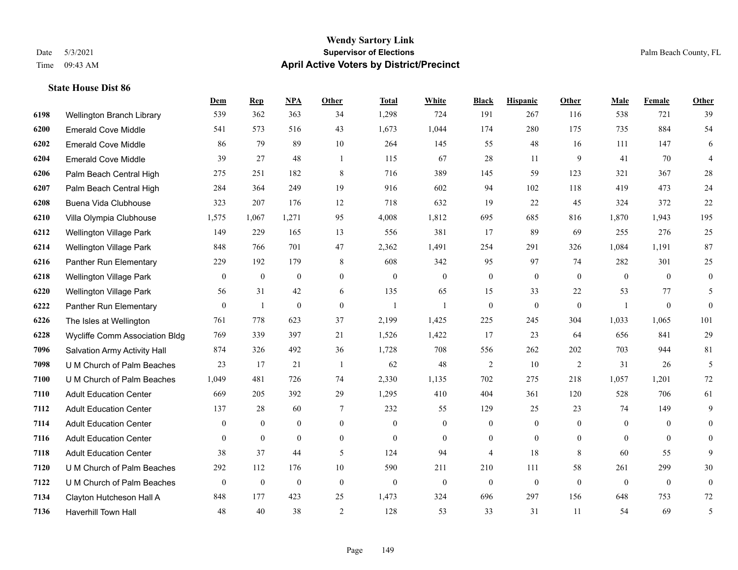#### **Wendy Sartory Link** Date 5/3/2021 **Supervisor of Elections** Palm Beach County, FL Time 09:43 AM **April Active Voters by District/Precinct**

# **Dem Rep NPA Other Total White Black Hispanic Other Male Female Other** Wellington Branch Library 539 362 363 34 1,298 724 191 267 116 538 721 39 Emerald Cove Middle 541 573 516 43 1,673 1,044 174 280 175 735 884 54 Emerald Cove Middle 86 79 89 10 264 145 55 48 16 111 147 6 Emerald Cove Middle 39 27 48 1 115 67 28 11 9 41 70 4 Palm Beach Central High 275 251 182 8 716 389 145 59 123 321 367 28 Palm Beach Central High 284 364 249 19 916 602 94 102 118 419 473 24 Buena Vida Clubhouse 323 207 176 12 718 632 19 22 45 324 372 22 Villa Olympia Clubhouse 1,575 1,067 1,271 95 4,008 1,812 695 685 816 1,870 1,943 195 Wellington Village Park 149 229 165 13 556 381 17 89 69 255 276 25 Wellington Village Park 848 766 701 47 2,362 1,491 254 291 326 1,084 1,191 87 Panther Run Elementary 229 192 179 8 608 342 95 97 74 282 301 25 Wellington Village Park 0 0 0 0 0 0 0 0 0 0 0 0 Wellington Village Park 56 31 42 6 135 65 15 33 22 53 77 5 Panther Run Elementary 0 1 0 0 1 1 0 0 0 1 0 0 The Isles at Wellington 761 778 623 37 2,199 1,425 225 245 304 1,033 1,065 101 Wycliffe Comm Association Bldg 769 339 397 21 1,526 1,422 17 23 64 656 841 29 Salvation Army Activity Hall 874 326 492 36 1,728 708 556 262 202 703 944 81 U M Church of Palm Beaches 23 17 21 1 62 48 2 10 2 31 26 5 U M Church of Palm Beaches 1,049 481 726 74 2,330 1,135 702 275 218 1,057 1,201 72 Adult Education Center 669 205 392 29 1,295 410 404 361 120 528 706 61 Adult Education Center 137 28 60 7 232 55 129 25 23 74 149 9 Adult Education Center 0 0 0 0 0 0 0 0 0 0 0 0 Adult Education Center 0 0 0 0 0 0 0 0 0 0 0 0 Adult Education Center 38 37 44 5 124 94 4 18 8 60 55 9 U M Church of Palm Beaches 292 112 176 10 590 211 210 111 58 261 299 30 U M Church of Palm Beaches 0 0 0 0 0 0 0 0 0 0 0 0 Clayton Hutcheson Hall A 848 177 423 25 1,473 324 696 297 156 648 753 72 Haverhill Town Hall 48 40 38 2 128 53 33 31 11 54 69 5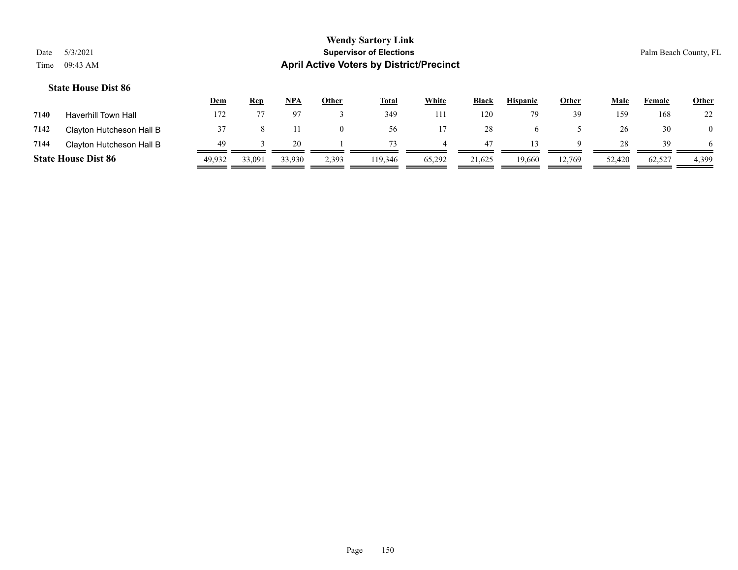|      |                            | <u>Dem</u> | <b>Rep</b> | NPA    | <u>Other</u> | <b>Total</b> | White  | <b>Black</b> | <b>Hispanic</b> | Other  | Male   | Female | <b>Other</b> |
|------|----------------------------|------------|------------|--------|--------------|--------------|--------|--------------|-----------------|--------|--------|--------|--------------|
| 7140 | Haverhill Town Hall        | 172        |            |        |              | 349          | 11     | 120          |                 | 39     | 159    | 168    | 22           |
| 7142 | Clayton Hutcheson Hall B   |            |            |        | $\Omega$     | 56           |        | 28           |                 |        | 26     | 30     |              |
| 7144 | Clayton Hutcheson Hall B   | 49         |            | 20.    |              | 73           |        | 47           |                 | Q      | 28     | 39     | 6            |
|      | <b>State House Dist 86</b> | 49.932     | 33.091     | 33,930 | 2,393        | 119,346      | 65,292 | 21,625       | 19,660          | 12,769 | 52,420 | 62,527 | 4,399        |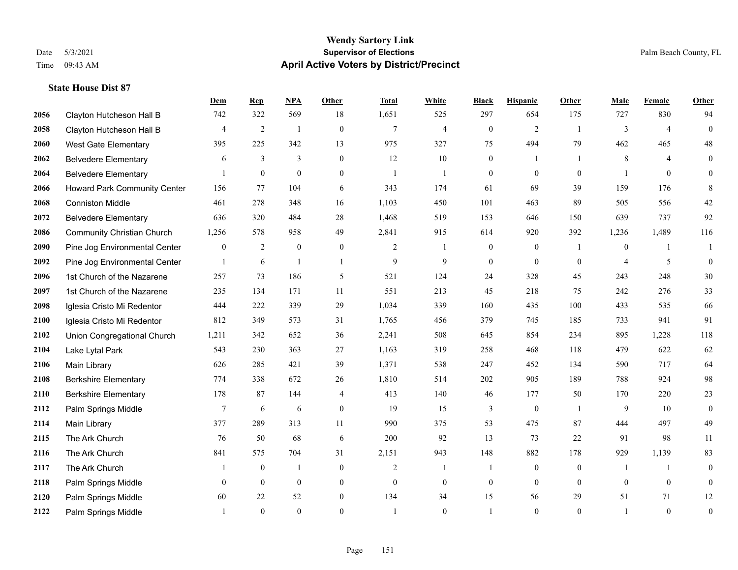|      |                                   | Dem          | <b>Rep</b>     | NPA              | <b>Other</b>     | <b>Total</b>   | <b>White</b>     | <b>Black</b>     | <b>Hispanic</b>  | <b>Other</b>   | <b>Male</b>    | Female         | <b>Other</b>     |
|------|-----------------------------------|--------------|----------------|------------------|------------------|----------------|------------------|------------------|------------------|----------------|----------------|----------------|------------------|
| 2056 | Clayton Hutcheson Hall B          | 742          | 322            | 569              | 18               | 1,651          | 525              | 297              | 654              | 175            | 727            | 830            | 94               |
| 2058 | Clayton Hutcheson Hall B          | 4            | $\overline{2}$ | $\overline{1}$   | $\mathbf{0}$     | $\overline{7}$ | $\overline{4}$   | $\boldsymbol{0}$ | $\mathfrak{2}$   | -1             | 3              | $\overline{4}$ | $\boldsymbol{0}$ |
| 2060 | <b>West Gate Elementary</b>       | 395          | 225            | 342              | 13               | 975            | 327              | 75               | 494              | 79             | 462            | 465            | 48               |
| 2062 | <b>Belvedere Elementary</b>       | 6            | 3              | $\overline{3}$   | $\overline{0}$   | 12             | 10               | $\boldsymbol{0}$ | 1                | $\overline{1}$ | 8              | $\overline{4}$ | $\mathbf{0}$     |
| 2064 | <b>Belvedere Elementary</b>       |              | $\mathbf{0}$   | $\mathbf{0}$     | $\overline{0}$   | $\mathbf{1}$   | $\mathbf{1}$     | $\boldsymbol{0}$ | $\mathbf{0}$     | $\theta$       |                | $\theta$       | $\mathbf{0}$     |
| 2066 | Howard Park Community Center      | 156          | 77             | 104              | 6                | 343            | 174              | 61               | 69               | 39             | 159            | 176            | 8                |
| 2068 | <b>Conniston Middle</b>           | 461          | 278            | 348              | 16               | 1,103          | 450              | 101              | 463              | 89             | 505            | 556            | $42\,$           |
| 2072 | <b>Belvedere Elementary</b>       | 636          | 320            | 484              | 28               | 1,468          | 519              | 153              | 646              | 150            | 639            | 737            | 92               |
| 2086 | <b>Community Christian Church</b> | 1,256        | 578            | 958              | 49               | 2,841          | 915              | 614              | 920              | 392            | 1,236          | 1,489          | 116              |
| 2090 | Pine Jog Environmental Center     | $\mathbf{0}$ | $\overline{c}$ | $\boldsymbol{0}$ | $\boldsymbol{0}$ | 2              | $\mathbf{1}$     | $\boldsymbol{0}$ | $\boldsymbol{0}$ | -1             | $\overline{0}$ | $\mathbf{1}$   | 1                |
| 2092 | Pine Jog Environmental Center     | $\mathbf{1}$ | 6              | $\mathbf{1}$     | $\overline{1}$   | 9              | 9                | $\mathbf{0}$     | $\mathbf{0}$     | $\mathbf{0}$   | $\overline{4}$ | 5              | $\mathbf{0}$     |
| 2096 | 1st Church of the Nazarene        | 257          | 73             | 186              | 5                | 521            | 124              | 24               | 328              | 45             | 243            | 248            | $30\,$           |
| 2097 | 1st Church of the Nazarene        | 235          | 134            | 171              | 11               | 551            | 213              | 45               | 218              | 75             | 242            | 276            | 33               |
| 2098 | Iglesia Cristo Mi Redentor        | 444          | 222            | 339              | 29               | 1,034          | 339              | 160              | 435              | 100            | 433            | 535            | 66               |
| 2100 | Iglesia Cristo Mi Redentor        | 812          | 349            | 573              | 31               | 1,765          | 456              | 379              | 745              | 185            | 733            | 941            | 91               |
| 2102 | Union Congregational Church       | 1,211        | 342            | 652              | 36               | 2,241          | 508              | 645              | 854              | 234            | 895            | 1,228          | 118              |
| 2104 | Lake Lytal Park                   | 543          | 230            | 363              | 27               | 1,163          | 319              | 258              | 468              | 118            | 479            | 622            | 62               |
| 2106 | Main Library                      | 626          | 285            | 421              | 39               | 1,371          | 538              | 247              | 452              | 134            | 590            | 717            | 64               |
| 2108 | <b>Berkshire Elementary</b>       | 774          | 338            | 672              | 26               | 1,810          | 514              | 202              | 905              | 189            | 788            | 924            | 98               |
| 2110 | <b>Berkshire Elementary</b>       | 178          | 87             | 144              | 4                | 413            | 140              | 46               | 177              | 50             | 170            | 220            | $23\,$           |
| 2112 | Palm Springs Middle               | $\tau$       | 6              | 6                | $\Omega$         | 19             | 15               | 3                | $\mathbf{0}$     | $\overline{1}$ | 9              | 10             | $\mathbf{0}$     |
| 2114 | Main Library                      | 377          | 289            | 313              | 11               | 990            | 375              | 53               | 475              | 87             | 444            | 497            | 49               |
| 2115 | The Ark Church                    | 76           | 50             | 68               | 6                | 200            | 92               | 13               | 73               | 22             | 91             | 98             | 11               |
| 2116 | The Ark Church                    | 841          | 575            | 704              | 31               | 2,151          | 943              | 148              | 882              | 178            | 929            | 1,139          | 83               |
| 2117 | The Ark Church                    | 1            | $\mathbf{0}$   | $\mathbf{1}$     | $\overline{0}$   | $\overline{2}$ | $\mathbf{1}$     | 1                | $\mathbf{0}$     | $\theta$       | -1             | $\mathbf{1}$   | $\boldsymbol{0}$ |
| 2118 | Palm Springs Middle               | $\mathbf{0}$ | $\mathbf{0}$   | $\overline{0}$   | $\overline{0}$   | $\mathbf{0}$   | $\boldsymbol{0}$ | $\boldsymbol{0}$ | $\mathbf{0}$     | $\theta$       | $\mathbf{0}$   | $\mathbf{0}$   | $\boldsymbol{0}$ |
| 2120 | Palm Springs Middle               | 60           | 22             | 52               | $\overline{0}$   | 134            | 34               | 15               | 56               | 29             | 51             | 71             | 12               |
| 2122 | Palm Springs Middle               |              | $\theta$       | $\theta$         | $\Omega$         |                | $\theta$         | $\mathbf{1}$     | $\theta$         | $\theta$       |                | $\theta$       | $\boldsymbol{0}$ |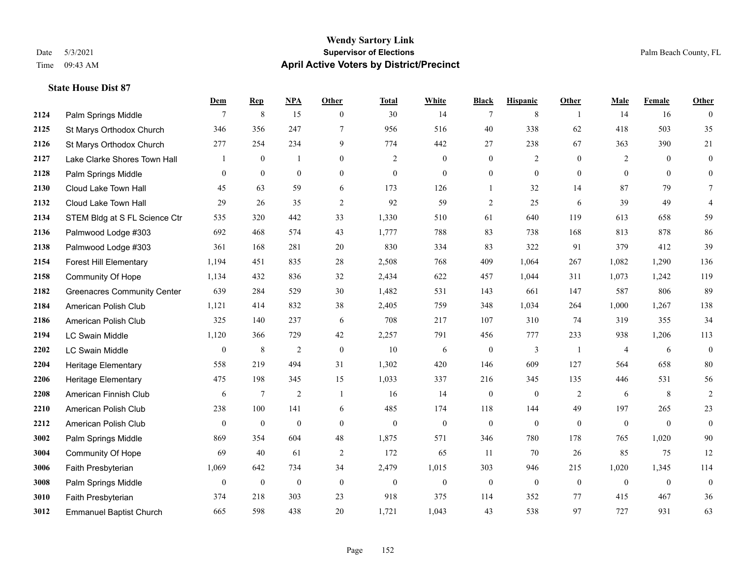#### **Wendy Sartory Link** Date 5/3/2021 **Supervisor of Elections** Palm Beach County, FL Time 09:43 AM **April Active Voters by District/Precinct**

# **Dem Rep NPA Other Total White Black Hispanic Other Male Female Other 2124** Palm Springs Middle  $\begin{array}{cccccccc} 7 & 8 & 15 & 0 & 30 & 14 & 7 & 8 & 1 & 14 & 16 & 0 \end{array}$  St Marys Orthodox Church 346 356 247 7 956 516 40 338 62 418 503 35 St Marys Orthodox Church 277 254 234 9 774 442 27 238 67 363 390 21 Lake Clarke Shores Town Hall  $\begin{array}{ccccccccc} 1 & 0 & 1 & 0 & 2 & 0 & 0 & 2 & 0 & 2 & 0 & 0 \end{array}$  Palm Springs Middle 0 0 0 0 0 0 0 0 0 0 0 0 Cloud Lake Town Hall 45 63 59 6 173 126 1 32 14 87 79 7 Cloud Lake Town Hall 29 26 35 2 92 59 2 25 6 39 49 4 STEM Bldg at S FL Science Ctr 535 320 442 33 1,330 510 61 640 119 613 658 59 Palmwood Lodge #303 692 468 574 43 1,777 788 83 738 168 813 878 86 Palmwood Lodge #303 361 168 281 20 830 334 83 322 91 379 412 39 Forest Hill Elementary 1,194 451 835 28 2,508 768 409 1,064 267 1,082 1,290 136 Community Of Hope 1,134 432 836 32 2,434 622 457 1,044 311 1,073 1,242 119 Greenacres Community Center 639 284 529 30 1,482 531 143 661 147 587 806 89 American Polish Club 1,121 414 832 38 2,405 759 348 1,034 264 1,000 1,267 138 American Polish Club 325 140 237 6 708 217 107 310 74 319 355 34 LC Swain Middle 1,120 366 729 42 2,257 791 456 777 233 938 1,206 113 LC Swain Middle 0 8 2 0 10 6 0 3 1 4 6 0 Heritage Elementary 558 219 494 31 1,302 420 146 609 127 564 658 80 Heritage Elementary 475 198 345 15 1,033 337 216 345 135 446 531 56 American Finnish Club 6 7 2 1 16 14 0 0 2 6 8 2 American Polish Club 238 100 141 6 485 174 118 144 49 197 265 23 American Polish Club 0 0 0 0 0 0 0 0 0 0 0 0 Palm Springs Middle 869 354 604 48 1,875 571 346 780 178 765 1,020 90 Community Of Hope 69 40 61 2 172 65 11 70 26 85 75 12 Faith Presbyterian 1,069 642 734 34 2,479 1,015 303 946 215 1,020 1,345 114 Palm Springs Middle 0 0 0 0 0 0 0 0 0 0 0 0 Faith Presbyterian 374 218 303 23 918 375 114 352 77 415 467 36 Emmanuel Baptist Church 665 598 438 20 1,721 1,043 43 538 97 727 931 63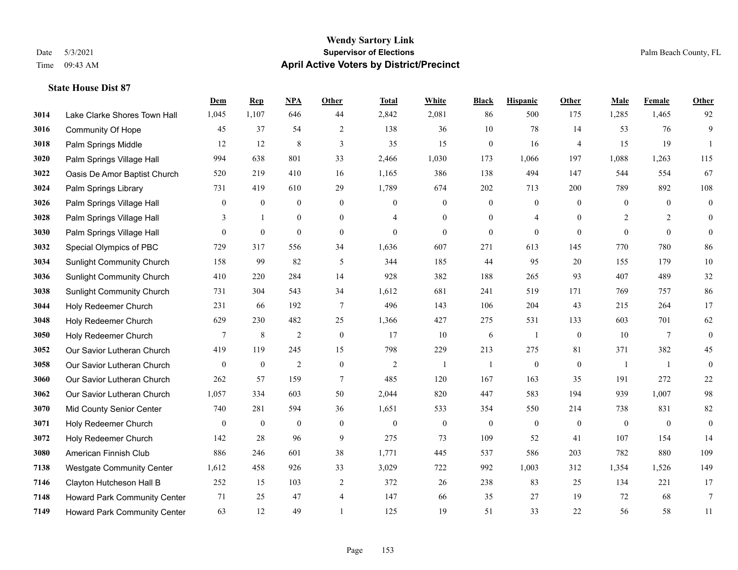|      |                                  | Dem              | <b>Rep</b>       | NPA              | <b>Other</b>     | <b>Total</b>     | <b>White</b>     | <b>Black</b>     | <b>Hispanic</b>  | <b>Other</b>   | <b>Male</b>    | Female         | <b>Other</b>     |
|------|----------------------------------|------------------|------------------|------------------|------------------|------------------|------------------|------------------|------------------|----------------|----------------|----------------|------------------|
| 3014 | Lake Clarke Shores Town Hall     | 1,045            | 1,107            | 646              | 44               | 2,842            | 2,081            | 86               | 500              | 175            | 1,285          | 1,465          | 92               |
| 3016 | <b>Community Of Hope</b>         | 45               | 37               | 54               | $\overline{2}$   | 138              | 36               | 10               | 78               | 14             | 53             | 76             | 9                |
| 3018 | Palm Springs Middle              | 12               | 12               | 8                | 3                | 35               | 15               | $\mathbf{0}$     | 16               | $\overline{4}$ | 15             | 19             | $\mathbf{1}$     |
| 3020 | Palm Springs Village Hall        | 994              | 638              | 801              | 33               | 2,466            | 1,030            | 173              | 1,066            | 197            | 1,088          | 1,263          | 115              |
| 3022 | Oasis De Amor Baptist Church     | 520              | 219              | 410              | 16               | 1,165            | 386              | 138              | 494              | 147            | 544            | 554            | 67               |
| 3024 | Palm Springs Library             | 731              | 419              | 610              | 29               | 1,789            | 674              | 202              | 713              | 200            | 789            | 892            | 108              |
| 3026 | Palm Springs Village Hall        | $\mathbf{0}$     | $\boldsymbol{0}$ | $\boldsymbol{0}$ | $\boldsymbol{0}$ | $\mathbf{0}$     | $\boldsymbol{0}$ | $\boldsymbol{0}$ | $\boldsymbol{0}$ | $\mathbf{0}$   | $\mathbf{0}$   | $\mathbf{0}$   | $\boldsymbol{0}$ |
| 3028 | Palm Springs Village Hall        | 3                | $\mathbf{1}$     | $\overline{0}$   | $\Omega$         | 4                | $\overline{0}$   | $\mathbf{0}$     | 4                | $\theta$       | 2              | $\overline{2}$ | $\mathbf{0}$     |
| 3030 | Palm Springs Village Hall        | $\overline{0}$   | $\boldsymbol{0}$ | $\mathbf{0}$     | $\overline{0}$   | $\boldsymbol{0}$ | $\overline{0}$   | $\boldsymbol{0}$ | $\mathbf{0}$     | $\mathbf{0}$   | $\overline{0}$ | $\mathbf{0}$   | $\theta$         |
| 3032 | Special Olympics of PBC          | 729              | 317              | 556              | 34               | 1,636            | 607              | 271              | 613              | 145            | 770            | 780            | 86               |
| 3034 | <b>Sunlight Community Church</b> | 158              | 99               | 82               | 5                | 344              | 185              | 44               | 95               | 20             | 155            | 179            | $10\,$           |
| 3036 | <b>Sunlight Community Church</b> | 410              | 220              | 284              | 14               | 928              | 382              | 188              | 265              | 93             | 407            | 489            | $32\,$           |
| 3038 | <b>Sunlight Community Church</b> | 731              | 304              | 543              | 34               | 1,612            | 681              | 241              | 519              | 171            | 769            | 757            | 86               |
| 3044 | Holy Redeemer Church             | 231              | 66               | 192              | $\overline{7}$   | 496              | 143              | 106              | 204              | 43             | 215            | 264            | 17               |
| 3048 | Holy Redeemer Church             | 629              | 230              | 482              | 25               | 1,366            | 427              | 275              | 531              | 133            | 603            | 701            | 62               |
| 3050 | Holy Redeemer Church             | 7                | $\,8\,$          | $\overline{2}$   | $\boldsymbol{0}$ | 17               | 10               | 6                | 1                | $\overline{0}$ | 10             | $\overline{7}$ | $\boldsymbol{0}$ |
| 3052 | Our Savior Lutheran Church       | 419              | 119              | 245              | 15               | 798              | 229              | 213              | 275              | 81             | 371            | 382            | 45               |
| 3058 | Our Savior Lutheran Church       | $\mathbf{0}$     | $\bf{0}$         | $\overline{2}$   | $\overline{0}$   | 2                | $\overline{1}$   | 1                | $\boldsymbol{0}$ | $\overline{0}$ | -1             | -1             | $\boldsymbol{0}$ |
| 3060 | Our Savior Lutheran Church       | 262              | 57               | 159              | $\tau$           | 485              | 120              | 167              | 163              | 35             | 191            | 272            | $22\,$           |
| 3062 | Our Savior Lutheran Church       | 1,057            | 334              | 603              | 50               | 2,044            | 820              | 447              | 583              | 194            | 939            | 1.007          | 98               |
| 3070 | <b>Mid County Senior Center</b>  | 740              | 281              | 594              | 36               | 1,651            | 533              | 354              | 550              | 214            | 738            | 831            | $82\,$           |
| 3071 | Holy Redeemer Church             | $\boldsymbol{0}$ | $\bf{0}$         | $\boldsymbol{0}$ | $\boldsymbol{0}$ | $\boldsymbol{0}$ | $\boldsymbol{0}$ | $\boldsymbol{0}$ | $\boldsymbol{0}$ | $\mathbf{0}$   | $\mathbf{0}$   | $\mathbf{0}$   | $\boldsymbol{0}$ |
| 3072 | Holy Redeemer Church             | 142              | 28               | 96               | 9                | 275              | 73               | 109              | 52               | 41             | 107            | 154            | 14               |
| 3080 | American Finnish Club            | 886              | 246              | 601              | 38               | 1,771            | 445              | 537              | 586              | 203            | 782            | 880            | 109              |
| 7138 | <b>Westgate Community Center</b> | 1,612            | 458              | 926              | 33               | 3,029            | 722              | 992              | 1,003            | 312            | 1,354          | 1,526          | 149              |
| 7146 | Clayton Hutcheson Hall B         | 252              | 15               | 103              | $\overline{2}$   | 372              | 26               | 238              | 83               | 25             | 134            | 221            | 17               |
| 7148 | Howard Park Community Center     | 71               | 25               | 47               | 4                | 147              | 66               | 35               | 27               | 19             | 72             | 68             | $7\phantom{.0}$  |
| 7149 | Howard Park Community Center     | 63               | 12               | 49               |                  | 125              | 19               | 51               | 33               | 22             | 56             | 58             | 11               |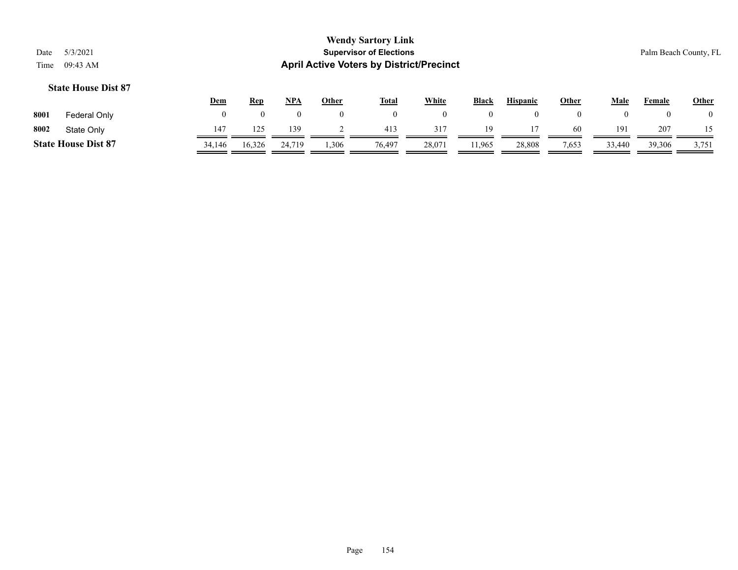|      |                            | <b>Dem</b> | <b>Rep</b> | <u>NPA</u> | Other | <b>Total</b> | White  | <b>Black</b> | <b>Hispanic</b> | Other | Male   | Female | <b>Other</b>   |
|------|----------------------------|------------|------------|------------|-------|--------------|--------|--------------|-----------------|-------|--------|--------|----------------|
| 8001 | Federal Only               |            |            |            |       |              |        |              |                 |       |        |        | $\overline{0}$ |
| 8002 | State Only                 | 147        | 125        | 139        |       | 413          | 317    | 19           |                 | -60   | 191    | 207    |                |
|      | <b>State House Dist 87</b> | 34,146     | 16,326     | 24,719     | .306  | 76,497       | 28,071 | 11,965       | 28,808          | 7,653 | 33,440 | 39,306 | 3,751          |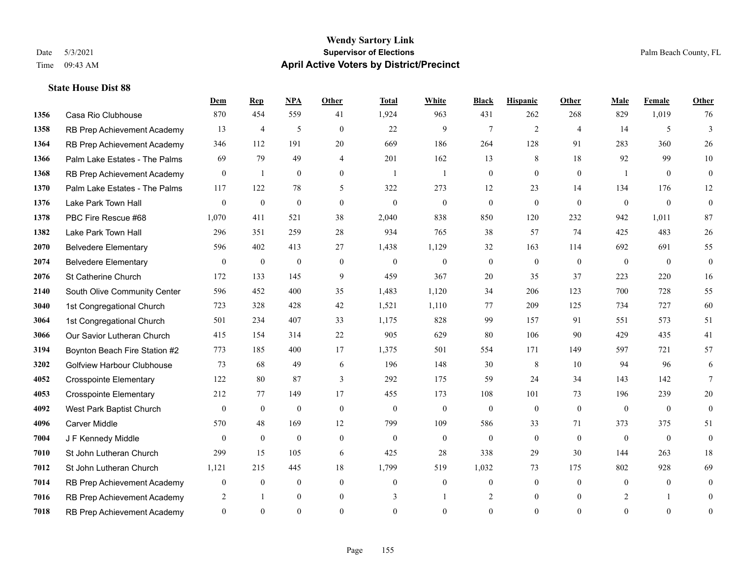#### **Wendy Sartory Link** Date 5/3/2021 **Supervisor of Elections** Palm Beach County, FL Time 09:43 AM **April Active Voters by District/Precinct**

# **Dem Rep NPA Other Total White Black Hispanic Other Male Female Other** Casa Rio Clubhouse 870 454 559 41 1,924 963 431 262 268 829 1,019 76 RB Prep Achievement Academy 13 4 5 0 22 9 7 2 4 14 5 3 RB Prep Achievement Academy 346 112 191 20 669 186 264 128 91 283 360 26 Palm Lake Estates - The Palms 69 79 49 4 201 162 13 8 18 92 99 10 RB Prep Achievement Academy 0 1 0 0 1 1 1 0 0 0 0 0 1 0 0 Palm Lake Estates - The Palms 117 122 78 5 322 273 12 23 14 134 176 12 Lake Park Town Hall 0 0 0 0 0 0 0 0 0 0 0 0 PBC Fire Rescue #68 1,070 411 521 38 2,040 838 850 120 232 942 1,011 87 Lake Park Town Hall 296 351 259 28 934 765 38 57 74 425 483 26 Belvedere Elementary 596 402 413 27 1,438 1,129 32 163 114 692 691 55 Belvedere Elementary 0 0 0 0 0 0 0 0 0 0 0 0 St Catherine Church 172 133 145 9 459 367 20 35 37 223 220 16 South Olive Community Center 596 452 400 35 1,483 1,120 34 206 123 700 728 55 1st Congregational Church 723 328 428 42 1,521 1,110 77 209 125 734 727 60 1st Congregational Church 501 234 407 33 1,175 828 99 157 91 551 573 51 Our Savior Lutheran Church 415 154 314 22 905 629 80 106 90 429 435 41 Boynton Beach Fire Station #2 773 185 400 17 1,375 501 554 171 149 597 721 57 Golfview Harbour Clubhouse 73 68 49 6 196 148 30 8 10 94 96 6 Crosspointe Elementary 122 80 87 3 292 175 59 24 34 143 142 7 Crosspointe Elementary 212 77 149 17 455 173 108 101 73 196 239 20 West Park Baptist Church 0 0 0 0 0 0 0 0 0 0 0 0 Carver Middle 570 48 169 12 799 109 586 33 71 373 375 51 J F Kennedy Middle 0 0 0 0 0 0 0 0 0 0 0 0 St John Lutheran Church 299 15 105 6 425 28 338 29 30 144 263 18 St John Lutheran Church 1,121 215 445 18 1,799 519 1,032 73 175 802 928 69 RB Prep Achievement Academy 0 0 0 0 0 0 0 0 0 0 0 0 RB Prep Achievement Academy 2 1 0 0 3 1 2 0 0 2 1 0 RB Prep Achievement Academy 0 0 0 0 0 0 0 0 0 0 0 0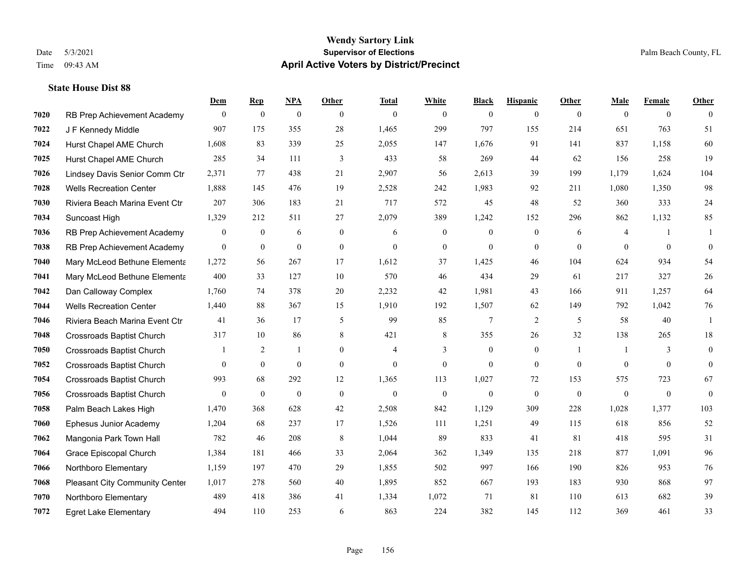|      |                                  | Dem            | <b>Rep</b>       | NPA              | <b>Other</b>   | <b>Total</b>   | <b>White</b>     | <b>Black</b>     | <b>Hispanic</b>  | <b>Other</b>   | <b>Male</b>    | <b>Female</b>  | <b>Other</b> |
|------|----------------------------------|----------------|------------------|------------------|----------------|----------------|------------------|------------------|------------------|----------------|----------------|----------------|--------------|
| 7020 | RB Prep Achievement Academy      | $\overline{0}$ | $\boldsymbol{0}$ | $\boldsymbol{0}$ | $\theta$       | $\theta$       | $\overline{0}$   | $\mathbf{0}$     | $\mathbf{0}$     | $\overline{0}$ | $\mathbf{0}$   | $\overline{0}$ | $\theta$     |
| 7022 | J F Kennedy Middle               | 907            | 175              | 355              | 28             | 1,465          | 299              | 797              | 155              | 214            | 651            | 763            | 51           |
| 7024 | Hurst Chapel AME Church          | 1,608          | 83               | 339              | 25             | 2,055          | 147              | 1.676            | 91               | 141            | 837            | 1.158          | 60           |
| 7025 | Hurst Chapel AME Church          | 285            | 34               | 111              | 3              | 433            | 58               | 269              | 44               | 62             | 156            | 258            | 19           |
| 7026 | Lindsey Davis Senior Comm Ctr    | 2,371          | 77               | 438              | 21             | 2,907          | 56               | 2,613            | 39               | 199            | 1,179          | 1.624          | 104          |
| 7028 | <b>Wells Recreation Center</b>   | 1,888          | 145              | 476              | 19             | 2,528          | 242              | 1,983            | 92               | 211            | 1,080          | 1,350          | 98           |
| 7030 | Riviera Beach Marina Event Ctr   | 207            | 306              | 183              | 21             | 717            | 572              | 45               | 48               | 52             | 360            | 333            | 24           |
| 7034 | Suncoast High                    | 1,329          | 212              | 511              | 27             | 2,079          | 389              | 1,242            | 152              | 296            | 862            | 1,132          | 85           |
| 7036 | RB Prep Achievement Academy      | $\bf{0}$       | $\bf{0}$         | 6                | $\mathbf{0}$   | 6              | $\boldsymbol{0}$ | $\boldsymbol{0}$ | $\boldsymbol{0}$ | 6              | $\overline{4}$ | -1             | -1           |
| 7038 | RB Prep Achievement Academy      | $\mathbf{0}$   | $\mathbf{0}$     | $\mathbf{0}$     | $\overline{0}$ | $\theta$       | $\mathbf{0}$     | $\mathbf{0}$     | $\mathbf{0}$     | $\theta$       | $\theta$       | $\mathbf{0}$   | $\mathbf{0}$ |
| 7040 | Mary McLeod Bethune Elementa     | 1,272          | 56               | 267              | 17             | 1,612          | 37               | 1,425            | 46               | 104            | 624            | 934            | 54           |
| 7041 | Mary McLeod Bethune Elementa     | 400            | 33               | 127              | 10             | 570            | 46               | 434              | 29               | 61             | 217            | 327            | $26\,$       |
| 7042 | Dan Calloway Complex             | 1,760          | 74               | 378              | 20             | 2,232          | 42               | 1,981            | 43               | 166            | 911            | 1,257          | 64           |
| 7044 | <b>Wells Recreation Center</b>   | 1,440          | 88               | 367              | 15             | 1,910          | 192              | 1,507            | 62               | 149            | 792            | 1,042          | $76\,$       |
| 7046 | Riviera Beach Marina Event Ctr   | 41             | 36               | 17               | 5              | 99             | 85               | 7                | 2                | 5              | 58             | 40             | 1            |
| 7048 | <b>Crossroads Baptist Church</b> | 317            | 10               | 86               | 8              | 421            | 8                | 355              | 26               | 32             | 138            | 265            | 18           |
| 7050 | <b>Crossroads Baptist Church</b> |                | 2                | -1               | $\overline{0}$ | $\overline{4}$ | 3                | $\boldsymbol{0}$ | $\mathbf{0}$     | $\overline{1}$ | -1             | 3              | $\mathbf{0}$ |
| 7052 | <b>Crossroads Baptist Church</b> | $\overline{0}$ | $\mathbf{0}$     | $\mathbf{0}$     | $\mathbf{0}$   | $\mathbf{0}$   | $\boldsymbol{0}$ | $\mathbf{0}$     | $\overline{0}$   | $\overline{0}$ | $\overline{0}$ | $\overline{0}$ | $\mathbf{0}$ |
| 7054 | <b>Crossroads Baptist Church</b> | 993            | 68               | 292              | 12             | 1,365          | 113              | 1,027            | 72               | 153            | 575            | 723            | 67           |
| 7056 | <b>Crossroads Baptist Church</b> | $\theta$       | $\mathbf{0}$     | $\mathbf{0}$     | $\mathbf{0}$   | $\theta$       | $\mathbf{0}$     | $\mathbf{0}$     | $\theta$         | $\theta$       | $\mathbf{0}$   | $\theta$       | $\mathbf{0}$ |
| 7058 | Palm Beach Lakes High            | 1,470          | 368              | 628              | 42             | 2,508          | 842              | 1,129            | 309              | 228            | 1,028          | 1,377          | 103          |
| 7060 | Ephesus Junior Academy           | 1,204          | 68               | 237              | 17             | 1,526          | 111              | 1,251            | 49               | 115            | 618            | 856            | 52           |
| 7062 | Mangonia Park Town Hall          | 782            | 46               | 208              | 8              | 1,044          | 89               | 833              | 41               | 81             | 418            | 595            | 31           |
| 7064 | Grace Episcopal Church           | 1,384          | 181              | 466              | 33             | 2,064          | 362              | 1,349            | 135              | 218            | 877            | 1,091          | 96           |
| 7066 | Northboro Elementary             | 1,159          | 197              | 470              | 29             | 1,855          | 502              | 997              | 166              | 190            | 826            | 953            | 76           |
| 7068 | Pleasant City Community Center   | 1,017          | 278              | 560              | 40             | 1,895          | 852              | 667              | 193              | 183            | 930            | 868            | 97           |
| 7070 | Northboro Elementary             | 489            | 418              | 386              | 41             | 1,334          | 1,072            | 71               | 81               | 110            | 613            | 682            | 39           |
| 7072 | <b>Egret Lake Elementary</b>     | 494            | 110              | 253              | 6              | 863            | 224              | 382              | 145              | 112            | 369            | 461            | 33           |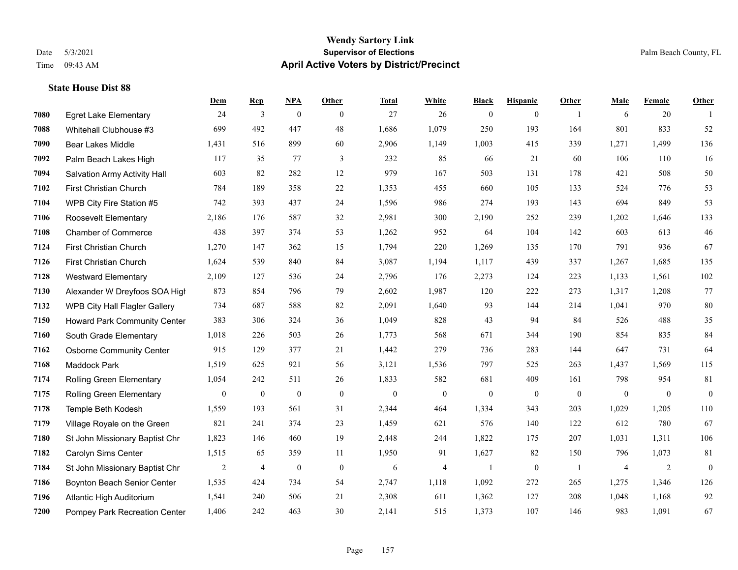#### **Wendy Sartory Link** Date 5/3/2021 **Supervisor of Elections** Palm Beach County, FL Time 09:43 AM **April Active Voters by District/Precinct**

# **Dem Rep NPA Other Total White Black Hispanic Other Male Female Other** Egret Lake Elementary 24 3 0 0 27 26 0 0 1 6 20 1 Whitehall Clubhouse #3 699 492 447 48 1,686 1,079 250 193 164 801 833 52 Bear Lakes Middle 1,431 516 899 60 2,906 1,149 1,003 415 339 1,271 1,499 136 Palm Beach Lakes High 117 35 77 3 232 85 66 21 60 106 110 16 Salvation Army Activity Hall 603 82 282 12 979 167 503 131 178 421 508 50 First Christian Church 784 189 358 22 1,353 455 660 105 133 524 776 53 WPB City Fire Station #5 742 393 437 24 1,596 986 274 193 143 694 849 53 Roosevelt Elementary 2,186 176 587 32 2,981 300 2,190 252 239 1,202 1,646 133 Chamber of Commerce 438 397 374 53 1,262 952 64 104 142 603 613 46 First Christian Church 1,270 147 362 15 1,794 220 1,269 135 170 791 936 67 First Christian Church 1,624 539 840 84 3,087 1,194 1,117 439 337 1,267 1,685 135 Westward Elementary 2,109 127 536 24 2,796 176 2,273 124 223 1,133 1,561 102 Alexander W Dreyfoos SOA High 873 854 796 79 2,602 1,987 120 222 273 1,317 1,208 77 WPB City Hall Flagler Gallery 734 687 588 82 2,091 1,640 93 144 214 1,041 970 80 Howard Park Community Center 383 306 324 36 1,049 828 43 94 84 526 488 35 South Grade Elementary 1,018 226 503 26 1,773 568 671 344 190 854 835 84 Osborne Community Center 915 129 377 21 1,442 279 736 283 144 647 731 64 Maddock Park 1,519 625 921 56 3,121 1,536 797 525 263 1,437 1,569 115 Rolling Green Elementary 1,054 242 511 26 1,833 582 681 409 161 798 954 81 Rolling Green Elementary 0 0 0 0 0 0 0 0 0 0 0 0 Temple Beth Kodesh 1,559 193 561 31 2,344 464 1,334 343 203 1,029 1,205 110 Village Royale on the Green 821 241 374 23 1,459 621 576 140 122 612 780 67 St John Missionary Baptist Chr 1,823 146 460 19 2,448 244 1,822 175 207 1,031 1,311 106 Carolyn Sims Center 1,515 65 359 11 1,950 91 1,627 82 150 796 1,073 81 St John Missionary Baptist Chr 2 4 0 0 6 4 1 0 1 4 2 0 Boynton Beach Senior Center 1,535 424 734 54 2,747 1,118 1,092 272 265 1,275 1,346 126 Atlantic High Auditorium 1,541 240 506 21 2,308 611 1,362 127 208 1,048 1,168 92 Pompey Park Recreation Center 1,406 242 463 30 2,141 515 1,373 107 146 983 1,091 67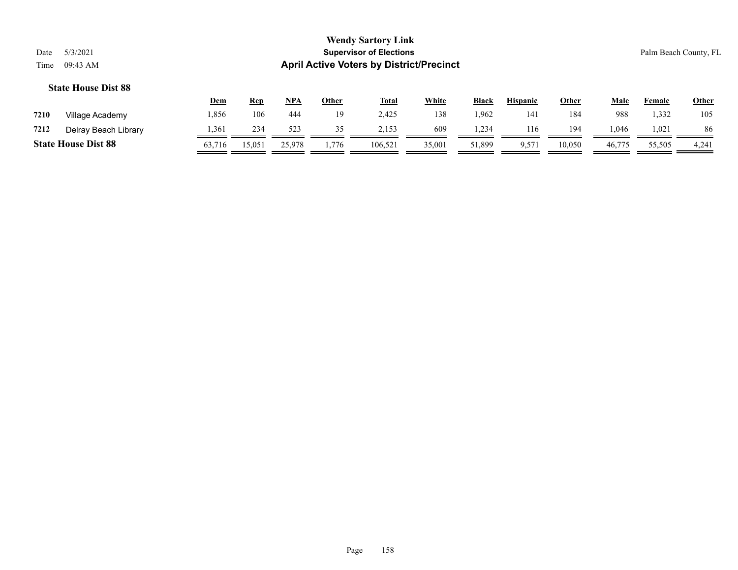|      |                            | <u>Dem</u> | <u>Rep</u> | <u>NPA</u> | Other | <b>Total</b> | <b>White</b> | <b>Black</b> | <b>Hispanic</b>   | Other  | Male   | Female | <b>Other</b> |
|------|----------------------------|------------|------------|------------|-------|--------------|--------------|--------------|-------------------|--------|--------|--------|--------------|
| 7210 | Village Academy            | .856       | 106        | 444        | 19    | 2.425        | 138          | l.962        | 14                | 184    | 988    | 1.332  | 105          |
| 7212 | Delray Beach Library       | .361       | 234        | 523        | 35    | 2,153        | 609          | .234         | 116               | 194    | ,046   | 1.021  | 86           |
|      | <b>State House Dist 88</b> | 63,716     | 15,051     | 25,978     | 1,776 | 106,521      | 35,001       | 51,899       | 9,57 <sub>1</sub> | 10,050 | 46,775 | 55,505 | 4,241        |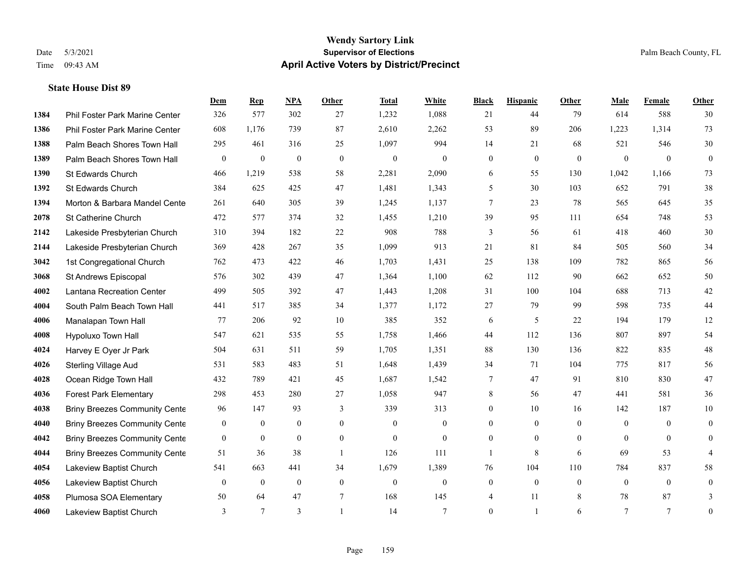#### **Wendy Sartory Link** Date 5/3/2021 **Supervisor of Elections** Palm Beach County, FL Time 09:43 AM **April Active Voters by District/Precinct**

Phil Foster Park Marine Center 326 577 302 27 1,232 1,088 21 44 79 614 588 30

**Dem Rep NPA Other Total White Black Hispanic Other Male Female Other**

# Phil Foster Park Marine Center 608 1,176 739 87 2,610 2,262 53 89 206 1,223 1,314 73 Palm Beach Shores Town Hall 295 461 316 25 1,097 994 14 21 68 521 546 30 Palm Beach Shores Town Hall 0 0 0 0 0 0 0 0 0 0 0 0 St Edwards Church 466 1,219 538 58 2,281 2,090 6 55 130 1,042 1,166 73 St Edwards Church 384 625 425 47 1,481 1,343 5 30 103 652 791 38 **1394 Morton & Barbara Mandel Cente** 261 640 305 39 1,245 1,137 7 23 78 565 645 35 St Catherine Church 472 577 374 32 1,455 1,210 39 95 111 654 748 53 Lakeside Presbyterian Church 310 394 182 22 908 788 3 56 61 418 460 30 Lakeside Presbyterian Church 369 428 267 35 1,099 913 21 81 84 505 560 34 1st Congregational Church 762 473 422 46 1,703 1,431 25 138 109 782 865 56 St Andrews Episcopal 576 302 439 47 1,364 1,100 62 112 90 662 652 50 Lantana Recreation Center 499 505 392 47 1,443 1,208 31 100 104 688 713 42 South Palm Beach Town Hall 441 517 385 34 1,377 1,172 27 79 99 598 735 44 Manalapan Town Hall 77 206 92 10 385 352 6 5 22 194 179 12 Hypoluxo Town Hall 547 621 535 55 1,758 1,466 44 112 136 807 897 54 Harvey E Oyer Jr Park 504 631 511 59 1,705 1,351 88 130 136 822 835 48 Sterling Village Aud 531 583 483 51 1,648 1,439 34 71 104 775 817 56 Ocean Ridge Town Hall 432 789 421 45 1,687 1,542 7 47 91 810 830 47

| πυ∠υ | Occan indyc Town Hall                | ு                | $\overline{\phantom{0}}$ | − ∠⊥           | ᠇              | 1,001          | $1,7-$           |                | $\mathbf{u}$     | $\overline{1}$ | <b>UIV</b>     | <b>UJU</b> | $\mathbf{u}$   |
|------|--------------------------------------|------------------|--------------------------|----------------|----------------|----------------|------------------|----------------|------------------|----------------|----------------|------------|----------------|
| 4036 | <b>Forest Park Elementary</b>        | 298              | 453                      | 280            | 27             | 1,058          | 947              | 8              | 56               | 47             | 441            | 581        | 36             |
| 4038 | <b>Briny Breezes Community Cente</b> | 96               | 147                      | 93             |                | 339            | 313              | $\mathbf{0}$   | 10               | 16             | 142            | 187        | 10             |
| 4040 | <b>Briny Breezes Community Cente</b> | $\boldsymbol{0}$ | $\overline{0}$           | $\overline{0}$ | $\overline{0}$ | $\overline{0}$ | $\boldsymbol{0}$ | $\overline{0}$ | $\boldsymbol{0}$ | $\overline{0}$ | $\overline{0}$ | $\theta$   | $\overline{0}$ |
| 4042 | <b>Briny Breezes Community Cente</b> | $\boldsymbol{0}$ | $\overline{0}$           | $\overline{0}$ | $\theta$       | $\Omega$       | $\boldsymbol{0}$ | $\mathbf{0}$   | $\mathbf{0}$     | $\Omega$       | $\mathbf{0}$   |            | $\overline{0}$ |
| 4044 | <b>Briny Breezes Community Cente</b> | 51               | 36                       | 38             |                | 126            | 111              |                | 8                | 6              | 69             | 53         | 4              |
| 4054 | Lakeview Baptist Church              | 541              | 663                      | 441            | 34             | 1,679          | 1,389            | 76             | 104              | 110            | 784            | 837        | 58             |
| 4056 | Lakeview Baptist Church              | $\boldsymbol{0}$ | $\overline{0}$           | $\overline{0}$ | $\overline{0}$ | $\overline{0}$ | $\boldsymbol{0}$ | $\mathbf{0}$   | $\mathbf{0}$     | $\Omega$       | $\overline{0}$ | $\Omega$   | $\overline{0}$ |
| 4058 | Plumosa SOA Elementary               | 50               | 64                       | 47             |                | 168            | 145              | 4              | 11               | 8              | 78             | 87         |                |
| 4060 | Lakeview Baptist Church              |                  |                          | $\sim$         |                | 14             | п                | $\mathbf{0}$   |                  | 6              |                |            | $\theta$       |
|      |                                      |                  |                          |                |                |                |                  |                |                  |                |                |            |                |
|      |                                      |                  |                          |                |                |                |                  |                |                  |                |                |            |                |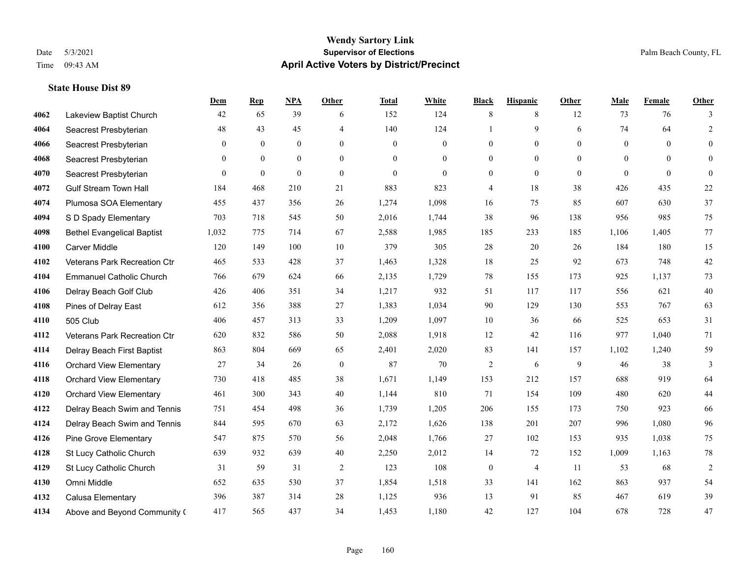# **Wendy Sartory Link** Date 5/3/2021 **Supervisor of Elections Supervisor of Elections** Palm Beach County, FL Time 09:43 AM **April Active Voters by District/Precinct**

|      |                                   | Dem          | <b>Rep</b>   | <b>NPA</b>   | Other          | <b>Total</b> | White            | <b>Black</b>     | <b>Hispanic</b> | Other        | Male             | Female   | Other          |
|------|-----------------------------------|--------------|--------------|--------------|----------------|--------------|------------------|------------------|-----------------|--------------|------------------|----------|----------------|
| 4062 | Lakeview Baptist Church           | 42           | 65           | 39           | 6              | 152          | 124              | 8                | 8               | 12           | 73               | 76       | 3              |
| 4064 | Seacrest Presbyterian             | 48           | 43           | 45           | 4              | 140          | 124              | 1                | 9               | 6            | 74               | 64       | $\overline{2}$ |
| 4066 | Seacrest Presbyterian             | $\mathbf{0}$ | $\mathbf{0}$ | $\mathbf{0}$ | $\overline{0}$ | $\mathbf{0}$ | $\boldsymbol{0}$ | $\mathbf{0}$     | $\overline{0}$  | $\mathbf{0}$ | $\boldsymbol{0}$ | $\theta$ | $\mathbf{0}$   |
| 4068 | Seacrest Presbyterian             | $\theta$     | $\theta$     | $\theta$     | $\theta$       | $\Omega$     | $\theta$         | $\mathbf{0}$     | $\theta$        | $\theta$     | $\theta$         | $\Omega$ | $\overline{0}$ |
| 4070 | Seacrest Presbyterian             | $\theta$     | $\mathbf{0}$ | $\theta$     | $\theta$       | $\theta$     | $\theta$         | $\overline{0}$   | $\overline{0}$  | $\mathbf{0}$ | $\Omega$         | $\theta$ | $\overline{0}$ |
| 4072 | <b>Gulf Stream Town Hall</b>      | 184          | 468          | 210          | 21             | 883          | 823              | $\overline{4}$   | 18              | 38           | 426              | 435      | 22             |
| 4074 | Plumosa SOA Elementary            | 455          | 437          | 356          | 26             | 1,274        | 1,098            | 16               | 75              | 85           | 607              | 630      | 37             |
| 4094 | S D Spady Elementary              | 703          | 718          | 545          | 50             | 2,016        | 1,744            | 38               | 96              | 138          | 956              | 985      | 75             |
| 4098 | <b>Bethel Evangelical Baptist</b> | 1,032        | 775          | 714          | 67             | 2,588        | 1,985            | 185              | 233             | 185          | 1,106            | 1,405    | 77             |
| 4100 | Carver Middle                     | 120          | 149          | 100          | 10             | 379          | 305              | $28\,$           | 20              | 26           | 184              | 180      | 15             |
| 4102 | Veterans Park Recreation Ctr      | 465          | 533          | 428          | 37             | 1,463        | 1,328            | 18               | 25              | 92           | 673              | 748      | 42             |
| 4104 | <b>Emmanuel Catholic Church</b>   | 766          | 679          | 624          | 66             | 2,135        | 1,729            | 78               | 155             | 173          | 925              | 1,137    | 73             |
| 4106 | Delray Beach Golf Club            | 426          | 406          | 351          | 34             | 1,217        | 932              | 51               | 117             | 117          | 556              | 621      | 40             |
| 4108 | Pines of Delray East              | 612          | 356          | 388          | 27             | 1,383        | 1,034            | 90               | 129             | 130          | 553              | 767      | 63             |
| 4110 | 505 Club                          | 406          | 457          | 313          | 33             | 1,209        | 1,097            | 10               | 36              | 66           | 525              | 653      | 31             |
| 4112 | Veterans Park Recreation Ctr      | 620          | 832          | 586          | 50             | 2,088        | 1,918            | 12               | 42              | 116          | 977              | 1,040    | 71             |
| 4114 | Delray Beach First Baptist        | 863          | 804          | 669          | 65             | 2,401        | 2,020            | 83               | 141             | 157          | 1,102            | 1,240    | 59             |
| 4116 | <b>Orchard View Elementary</b>    | 27           | 34           | 26           | $\mathbf{0}$   | 87           | 70               | $\overline{2}$   | 6               | 9            | 46               | 38       | $\overline{3}$ |
| 4118 | <b>Orchard View Elementary</b>    | 730          | 418          | 485          | 38             | 1,671        | 1,149            | 153              | 212             | 157          | 688              | 919      | 64             |
| 4120 | <b>Orchard View Elementary</b>    | 461          | 300          | 343          | 40             | 1,144        | 810              | 71               | 154             | 109          | 480              | 620      | $44$           |
| 4122 | Delray Beach Swim and Tennis      | 751          | 454          | 498          | 36             | 1,739        | 1,205            | 206              | 155             | 173          | 750              | 923      | 66             |
| 4124 | Delray Beach Swim and Tennis      | 844          | 595          | 670          | 63             | 2,172        | 1,626            | 138              | 201             | 207          | 996              | 1,080    | 96             |
| 4126 | Pine Grove Elementary             | 547          | 875          | 570          | 56             | 2,048        | 1,766            | 27               | 102             | 153          | 935              | 1,038    | 75             |
| 4128 | St Lucy Catholic Church           | 639          | 932          | 639          | 40             | 2,250        | 2,012            | 14               | 72              | 152          | 1,009            | 1,163    | $78\,$         |
| 4129 | St Lucy Catholic Church           | 31           | 59           | 31           | 2              | 123          | 108              | $\boldsymbol{0}$ | $\overline{4}$  | 11           | 53               | 68       | $\overline{2}$ |
| 4130 | Omni Middle                       | 652          | 635          | 530          | 37             | 1,854        | 1,518            | 33               | 141             | 162          | 863              | 937      | 54             |
| 4132 | Calusa Elementary                 | 396          | 387          | 314          | 28             | 1,125        | 936              | 13               | 91              | 85           | 467              | 619      | 39             |
| 4134 | Above and Beyond Community (      | 417          | 565          | 437          | 34             | 1,453        | 1,180            | 42               | 127             | 104          | 678              | 728      | 47             |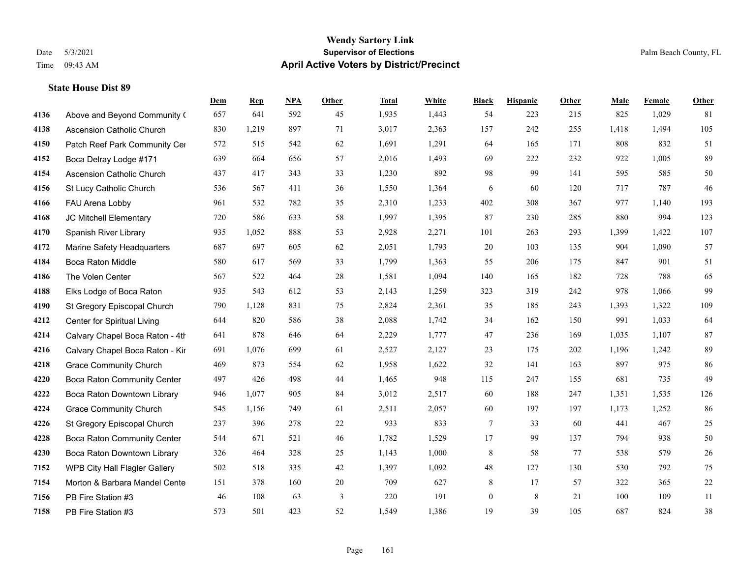#### **Wendy Sartory Link** Date 5/3/2021 **Supervisor of Elections** Palm Beach County, FL Time 09:43 AM **April Active Voters by District/Precinct**

Above and Beyond Community Church 657 641 592 45 1,935 1,443 54 223 215 825 1,029 81

**Dem Rep NPA Other Total White Black Hispanic Other Male Female Other**

# Ascension Catholic Church 830 1,219 897 71 3,017 2,363 157 242 255 1,418 1,494 105 4150 Patch Reef Park Community Center 572 515 542 62 1,691 1,291 64 165 171 808 832 51 Boca Delray Lodge #171 639 664 656 57 2,016 1,493 69 222 232 922 1,005 89 Ascension Catholic Church 437 417 343 33 1,230 892 98 99 141 595 585 50 St Lucy Catholic Church 536 567 411 36 1,550 1,364 6 60 120 717 787 46 FAU Arena Lobby 961 532 782 35 2,310 1,233 402 308 367 977 1,140 193 JC Mitchell Elementary 720 586 633 58 1,997 1,395 87 230 285 880 994 123 Spanish River Library 935 1,052 888 53 2,928 2,271 101 263 293 1,399 1,422 107 Marine Safety Headquarters 687 697 605 62 2,051 1,793 20 103 135 904 1,090 57 Boca Raton Middle 580 617 569 33 1,799 1,363 55 206 175 847 901 51 The Volen Center 567 522 464 28 1,581 1,094 140 165 182 728 788 65 Elks Lodge of Boca Raton 935 543 612 53 2,143 1,259 323 319 242 978 1,066 99 St Gregory Episcopal Church 790 1,128 831 75 2,824 2,361 35 185 243 1,393 1,322 109 Center for Spiritual Living 644 820 586 38 2,088 1,742 34 162 150 991 1,033 64 **4214** Calvary Chapel Boca Raton - 4th  $878$   $646$   $64$   $2,229$   $1,777$   $47$   $236$   $169$   $1,035$   $1,107$   $87$  Calvary Chapel Boca Raton - Kir 691 1,076 699 61 2,527 2,127 23 175 202 1,196 1,242 89 Grace Community Church 469 873 554 62 1,958 1,622 32 141 163 897 975 86 Boca Raton Community Center 497 426 498 44 1,465 948 115 247 155 681 735 49 Boca Raton Downtown Library 946 1,077 905 84 3,012 2,517 60 188 247 1,351 1,535 126

| 4224 | <b>Grace Community Church</b>        | 545 | 1,156 | 749 | 61 | 2,511 | 2,057 | 60       | 197 | 197 | 1,173 | 1,252 | 86 |
|------|--------------------------------------|-----|-------|-----|----|-------|-------|----------|-----|-----|-------|-------|----|
| 4226 | St Gregory Episcopal Church          | 237 | 396   | 278 | 22 | 933   | 833   |          | 33  | 60  | 441   | 467   | 25 |
| 4228 | <b>Boca Raton Community Center</b>   | 544 | 671   | 521 | 46 | 1,782 | 1,529 |          | 99  | 137 | 794   | 938   | 50 |
| 4230 | Boca Raton Downtown Library          | 326 | 464   | 328 | 25 | 1,143 | 1,000 | 8        | 58  | 77  | 538   | 579   | 26 |
| 7152 | <b>WPB City Hall Flagler Gallery</b> | 502 | 518   | 335 | 42 | 1,397 | 1,092 | 48       | 127 | 130 | 530   | 792   | 75 |
| 7154 | Morton & Barbara Mandel Cente        | 151 | 378   | 160 | 20 | 709   | 627   | 8        |     | 57  | 322   | 365   | 22 |
| 7156 | PB Fire Station #3                   | 46  | 108   | 63  |    | 220   | 191   | $\theta$ | 8   | 21  | 100   | 109   | 11 |
| 7158 | PB Fire Station #3                   | 573 | 501   | 423 | 52 | 1,549 | 1,386 | 19       | 39  | 105 | 687   | 824   | 38 |
|      |                                      |     |       |     |    |       |       |          |     |     |       |       |    |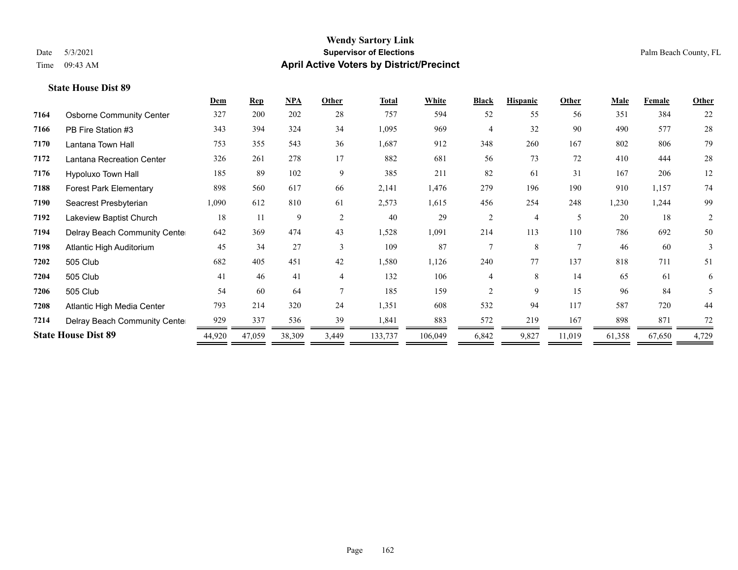|      |                                 | Dem    | <b>Rep</b> | NPA    | Other          | <b>Total</b> | <b>White</b> | <b>Black</b>   | <b>Hispanic</b> | <b>Other</b>   | <b>Male</b> | <b>Female</b> | <b>Other</b> |
|------|---------------------------------|--------|------------|--------|----------------|--------------|--------------|----------------|-----------------|----------------|-------------|---------------|--------------|
| 7164 | <b>Osborne Community Center</b> | 327    | 200        | 202    | 28             | 757          | 594          | 52             | 55              | 56             | 351         | 384           | 22           |
| 7166 | PB Fire Station #3              | 343    | 394        | 324    | 34             | 1,095        | 969          | 4              | 32              | 90             | 490         | 577           | $28\,$       |
| 7170 | Lantana Town Hall               | 753    | 355        | 543    | 36             | 1,687        | 912          | 348            | 260             | 167            | 802         | 806           | 79           |
| 7172 | Lantana Recreation Center       | 326    | 261        | 278    | 17             | 882          | 681          | 56             | 73              | 72             | 410         | 444           | 28           |
| 7176 | Hypoluxo Town Hall              | 185    | 89         | 102    | 9              | 385          | 211          | 82             | 61              | 31             | 167         | 206           | 12           |
| 7188 | <b>Forest Park Elementary</b>   | 898    | 560        | 617    | 66             | 2,141        | 1,476        | 279            | 196             | 190            | 910         | 1,157         | 74           |
| 7190 | Seacrest Presbyterian           | 1,090  | 612        | 810    | 61             | 2,573        | 1,615        | 456            | 254             | 248            | 1,230       | 1,244         | 99           |
| 7192 | Lakeview Baptist Church         | 18     | 11         | 9      | 2              | 40           | 29           | $\overline{c}$ | $\overline{4}$  | 5              | 20          | 18            | 2            |
| 7194 | Delray Beach Community Cente    | 642    | 369        | 474    | 43             | 1,528        | 1,091        | 214            | 113             | 110            | 786         | 692           | 50           |
| 7198 | Atlantic High Auditorium        | 45     | 34         | 27     | 3              | 109          | 87           | $\tau$         | 8               | $\overline{7}$ | 46          | 60            | 3            |
| 7202 | 505 Club                        | 682    | 405        | 451    | 42             | 1,580        | 1,126        | 240            | 77              | 137            | 818         | 711           | 51           |
| 7204 | 505 Club                        | 41     | 46         | 41     | $\overline{4}$ | 132          | 106          | 4              | 8               | 14             | 65          | 61            | 6            |
| 7206 | 505 Club                        | 54     | 60         | 64     |                | 185          | 159          | $\overline{2}$ | 9               | 15             | 96          | 84            | 5            |
| 7208 | Atlantic High Media Center      | 793    | 214        | 320    | 24             | 1,351        | 608          | 532            | 94              | 117            | 587         | 720           | 44           |
| 7214 | Delray Beach Community Cente    | 929    | 337        | 536    | 39             | 1,841        | 883          | 572            | 219             | 167            | 898         | 871           | 72           |
|      | <b>State House Dist 89</b>      | 44,920 | 47,059     | 38,309 | 3,449          | 133,737      | 106,049      | 6,842          | 9,827           | 11,019         | 61,358      | 67,650        | 4,729        |
|      |                                 |        |            |        |                |              |              |                |                 |                |             |               |              |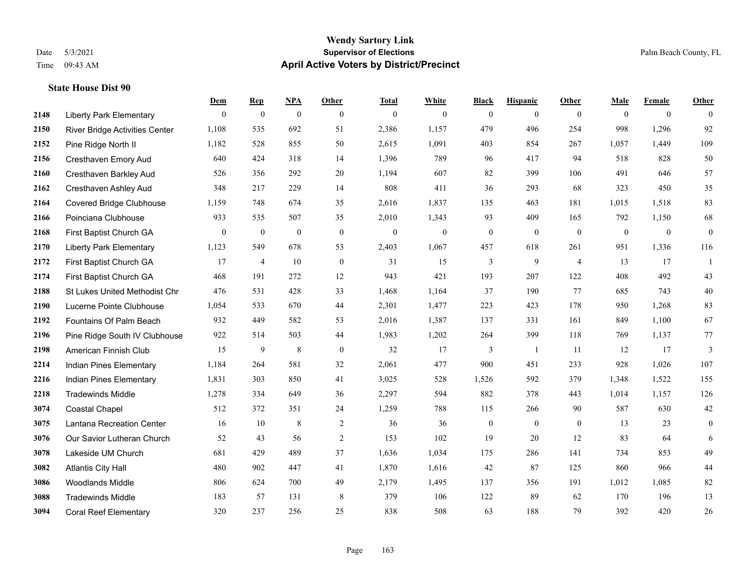#### **Wendy Sartory Link** Date 5/3/2021 **Supervisor of Elections** Palm Beach County, FL Time 09:43 AM **April Active Voters by District/Precinct**

# **Dem Rep NPA Other Total White Black Hispanic Other Male Female Other** Liberty Park Elementary 0 0 0 0 0 0 0 0 0 0 0 0 River Bridge Activities Center 1,108 535 692 51 2,386 1,157 479 496 254 998 1,296 92 Pine Ridge North II 1,182 528 855 50 2,615 1,091 403 854 267 1,057 1,449 109 Cresthaven Emory Aud 640 424 318 14 1,396 789 96 417 94 518 828 50 Cresthaven Barkley Aud 526 356 292 20 1,194 607 82 399 106 491 646 57 Cresthaven Ashley Aud 348 217 229 14 808 411 36 293 68 323 450 35 Covered Bridge Clubhouse 1,159 748 674 35 2,616 1,837 135 463 181 1,015 1,518 83 Poinciana Clubhouse 933 535 507 35 2,010 1,343 93 409 165 792 1,150 68 First Baptist Church GA 0 0 0 0 0 0 0 0 0 0 0 0 Liberty Park Elementary 1,123 549 678 53 2,403 1,067 457 618 261 951 1,336 116 First Baptist Church GA 17 4 10 0 31 15 3 9 4 13 17 1 First Baptist Church GA 468 191 272 12 943 421 193 207 122 408 492 43 St Lukes United Methodist Chr 476 531 428 33 1,468 1,164 37 190 77 685 743 40 Lucerne Pointe Clubhouse 1,054 533 670 44 2,301 1,477 223 423 178 950 1,268 83 Fountains Of Palm Beach 932 449 582 53 2,016 1,387 137 331 161 849 1,100 67 Pine Ridge South IV Clubhouse 922 514 503 44 1,983 1,202 264 399 118 769 1,137 77 American Finnish Club 15 9 8 0 32 17 3 1 11 12 17 3 Indian Pines Elementary 1,184 264 581 32 2,061 477 900 451 233 928 1,026 107 Indian Pines Elementary 1,831 303 850 41 3,025 528 1,526 592 379 1,348 1,522 155 Tradewinds Middle 1,278 334 649 36 2,297 594 882 378 443 1,014 1,157 126 Coastal Chapel 512 372 351 24 1,259 788 115 266 90 587 630 42 Lantana Recreation Center 16 10 8 2 36 36 0 0 0 13 23 0 Our Savior Lutheran Church 52 43 56 2 153 102 19 20 12 83 64 6 Lakeside UM Church 681 429 489 37 1,636 1,034 175 286 141 734 853 49 Atlantis City Hall 480 902 447 41 1,870 1,616 42 87 125 860 966 44 Woodlands Middle 806 624 700 49 2,179 1,495 137 356 191 1,012 1,085 82 Tradewinds Middle 183 57 131 8 379 106 122 89 62 170 196 13 Coral Reef Elementary 320 237 256 25 838 508 63 188 79 392 420 26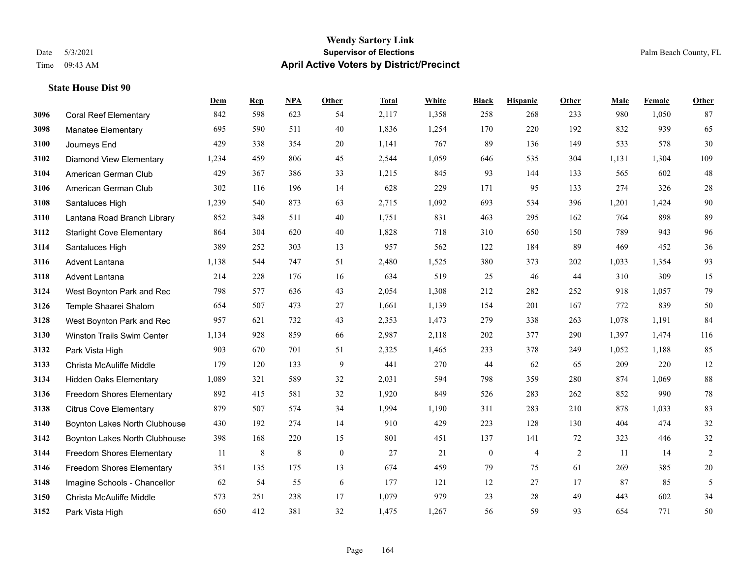|      |                                   | Dem   | <b>Rep</b> | NPA | <b>Other</b>     | <b>Total</b> | White | <b>Black</b>     | <b>Hispanic</b> | Other      | <b>Male</b> | Female | <b>Other</b> |
|------|-----------------------------------|-------|------------|-----|------------------|--------------|-------|------------------|-----------------|------------|-------------|--------|--------------|
| 3096 | <b>Coral Reef Elementary</b>      | 842   | 598        | 623 | 54               | 2,117        | 1,358 | 258              | 268             | 233        | 980         | 1,050  | 87           |
| 3098 | <b>Manatee Elementary</b>         | 695   | 590        | 511 | 40               | 1,836        | 1,254 | 170              | 220             | 192        | 832         | 939    | 65           |
| 3100 | Journeys End                      | 429   | 338        | 354 | 20               | 1,141        | 767   | 89               | 136             | 149        | 533         | 578    | 30           |
| 3102 | <b>Diamond View Elementary</b>    | 1,234 | 459        | 806 | 45               | 2,544        | 1,059 | 646              | 535             | 304        | 1,131       | 1,304  | 109          |
| 3104 | American German Club              | 429   | 367        | 386 | 33               | 1,215        | 845   | 93               | 144             | 133        | 565         | 602    | 48           |
| 3106 | American German Club              | 302   | 116        | 196 | 14               | 628          | 229   | 171              | 95              | 133        | 274         | 326    | $28\,$       |
| 3108 | Santaluces High                   | 1,239 | 540        | 873 | 63               | 2,715        | 1,092 | 693              | 534             | 396        | 1,201       | 1,424  | 90           |
| 3110 | Lantana Road Branch Library       | 852   | 348        | 511 | 40               | 1,751        | 831   | 463              | 295             | 162        | 764         | 898    | 89           |
| 3112 | <b>Starlight Cove Elementary</b>  | 864   | 304        | 620 | 40               | 1,828        | 718   | 310              | 650             | 150        | 789         | 943    | 96           |
| 3114 | Santaluces High                   | 389   | 252        | 303 | 13               | 957          | 562   | 122              | 184             | 89         | 469         | 452    | 36           |
| 3116 | <b>Advent Lantana</b>             | 1,138 | 544        | 747 | 51               | 2,480        | 1,525 | 380              | 373             | 202        | 1,033       | 1,354  | 93           |
| 3118 | <b>Advent Lantana</b>             | 214   | 228        | 176 | 16               | 634          | 519   | 25               | 46              | 44         | 310         | 309    | 15           |
| 3124 | West Boynton Park and Rec         | 798   | 577        | 636 | 43               | 2,054        | 1,308 | 212              | 282             | 252        | 918         | 1,057  | 79           |
| 3126 | Temple Shaarei Shalom             | 654   | 507        | 473 | 27               | 1,661        | 1,139 | 154              | 201             | 167        | 772         | 839    | 50           |
| 3128 | West Boynton Park and Rec         | 957   | 621        | 732 | 43               | 2,353        | 1,473 | 279              | 338             | 263        | 1,078       | 1,191  | 84           |
| 3130 | <b>Winston Trails Swim Center</b> | 1,134 | 928        | 859 | 66               | 2,987        | 2,118 | 202              | 377             | 290        | 1,397       | 1,474  | 116          |
| 3132 | Park Vista High                   | 903   | 670        | 701 | 51               | 2,325        | 1,465 | 233              | 378             | 249        | 1,052       | 1.188  | 85           |
| 3133 | Christa McAuliffe Middle          | 179   | 120        | 133 | 9                | 441          | 270   | 44               | 62              | 65         | 209         | 220    | $12\,$       |
| 3134 | <b>Hidden Oaks Elementary</b>     | 1,089 | 321        | 589 | 32               | 2,031        | 594   | 798              | 359             | 280        | 874         | 1,069  | 88           |
| 3136 | Freedom Shores Elementary         | 892   | 415        | 581 | 32               | 1,920        | 849   | 526              | 283             | 262        | 852         | 990    | $78\,$       |
| 3138 | <b>Citrus Cove Elementary</b>     | 879   | 507        | 574 | 34               | 1,994        | 1,190 | 311              | 283             | 210        | 878         | 1,033  | 83           |
| 3140 | Boynton Lakes North Clubhouse     | 430   | 192        | 274 | 14               | 910          | 429   | 223              | 128             | 130        | 404         | 474    | 32           |
| 3142 | Boynton Lakes North Clubhouse     | 398   | 168        | 220 | 15               | 801          | 451   | 137              | 141             | 72         | 323         | 446    | 32           |
| 3144 | Freedom Shores Elementary         | 11    | $\,8\,$    | 8   | $\boldsymbol{0}$ | 27           | 21    | $\boldsymbol{0}$ | $\overline{4}$  | $\sqrt{2}$ | 11          | 14     | $\sqrt{2}$   |
| 3146 | <b>Freedom Shores Elementary</b>  | 351   | 135        | 175 | 13               | 674          | 459   | 79               | 75              | 61         | 269         | 385    | $20\,$       |
| 3148 | Imagine Schools - Chancellor      | 62    | 54         | 55  | 6                | 177          | 121   | 12               | 27              | 17         | 87          | 85     | 5            |
| 3150 | Christa McAuliffe Middle          | 573   | 251        | 238 | 17               | 1,079        | 979   | 23               | 28              | 49         | 443         | 602    | 34           |
| 3152 | Park Vista High                   | 650   | 412        | 381 | 32               | 1,475        | 1,267 | 56               | 59              | 93         | 654         | 771    | 50           |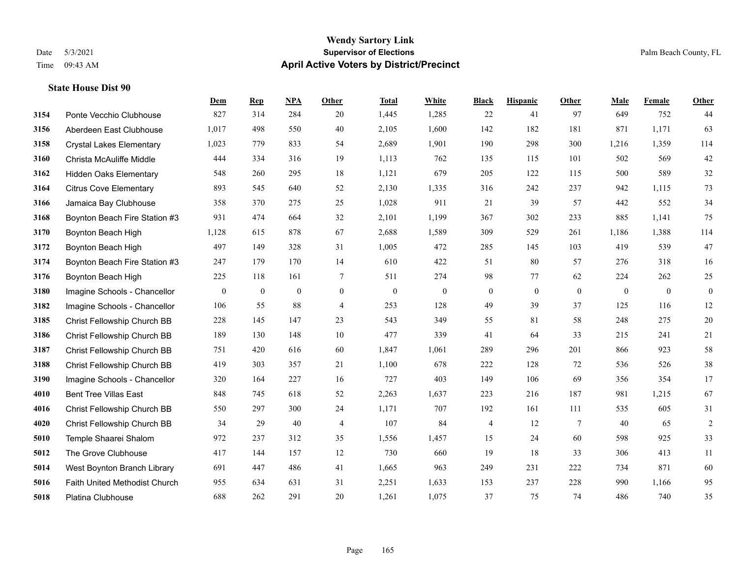# **Wendy Sartory Link** Date 5/3/2021 **Supervisor of Elections Supervisor of Elections** Palm Beach County, FL Time 09:43 AM **April Active Voters by District/Precinct**

|      |                                 | Dem              | <b>Rep</b>       | NPA              | Other          | <b>Total</b>     | White            | <b>Black</b>     | <b>Hispanic</b>  | Other            | Male         | Female           | Other            |
|------|---------------------------------|------------------|------------------|------------------|----------------|------------------|------------------|------------------|------------------|------------------|--------------|------------------|------------------|
| 3154 | Ponte Vecchio Clubhouse         | 827              | 314              | 284              | 20             | 1,445            | 1,285            | 22               | 41               | 97               | 649          | 752              | 44               |
| 3156 | Aberdeen East Clubhouse         | 1,017            | 498              | 550              | 40             | 2,105            | 1,600            | 142              | 182              | 181              | 871          | 1,171            | 63               |
| 3158 | <b>Crystal Lakes Elementary</b> | 1,023            | 779              | 833              | 54             | 2,689            | 1,901            | 190              | 298              | 300              | 1,216        | 1,359            | 114              |
| 3160 | Christa McAuliffe Middle        | 444              | 334              | 316              | 19             | 1,113            | 762              | 135              | 115              | 101              | 502          | 569              | $42\,$           |
| 3162 | <b>Hidden Oaks Elementary</b>   | 548              | 260              | 295              | 18             | 1,121            | 679              | 205              | 122              | 115              | 500          | 589              | 32               |
| 3164 | <b>Citrus Cove Elementary</b>   | 893              | 545              | 640              | 52             | 2,130            | 1,335            | 316              | 242              | 237              | 942          | 1.115            | 73               |
| 3166 | Jamaica Bay Clubhouse           | 358              | 370              | 275              | 25             | 1,028            | 911              | 21               | 39               | 57               | 442          | 552              | 34               |
| 3168 | Boynton Beach Fire Station #3   | 931              | 474              | 664              | 32             | 2,101            | 1,199            | 367              | 302              | 233              | 885          | 1,141            | 75               |
| 3170 | Boynton Beach High              | 1,128            | 615              | 878              | 67             | 2,688            | 1,589            | 309              | 529              | 261              | 1,186        | 1,388            | 114              |
| 3172 | Boynton Beach High              | 497              | 149              | 328              | 31             | 1,005            | 472              | 285              | 145              | 103              | 419          | 539              | 47               |
| 3174 | Boynton Beach Fire Station #3   | 247              | 179              | 170              | 14             | 610              | 422              | 51               | 80               | 57               | 276          | 318              | 16               |
| 3176 | Boynton Beach High              | 225              | 118              | 161              | $\tau$         | 511              | 274              | 98               | 77               | 62               | 224          | 262              | $25\,$           |
| 3180 | Imagine Schools - Chancellor    | $\boldsymbol{0}$ | $\boldsymbol{0}$ | $\boldsymbol{0}$ | $\mathbf{0}$   | $\boldsymbol{0}$ | $\boldsymbol{0}$ | $\boldsymbol{0}$ | $\boldsymbol{0}$ | $\boldsymbol{0}$ | $\mathbf{0}$ | $\boldsymbol{0}$ | $\boldsymbol{0}$ |
| 3182 | Imagine Schools - Chancellor    | 106              | 55               | 88               | $\overline{4}$ | 253              | 128              | 49               | 39               | 37               | 125          | 116              | $12 \,$          |
| 3185 | Christ Fellowship Church BB     | 228              | 145              | 147              | 23             | 543              | 349              | 55               | 81               | 58               | 248          | 275              | $20\,$           |
| 3186 | Christ Fellowship Church BB     | 189              | 130              | 148              | $10\,$         | 477              | 339              | 41               | 64               | 33               | 215          | 241              | $21\,$           |
| 3187 | Christ Fellowship Church BB     | 751              | 420              | 616              | 60             | 1,847            | 1,061            | 289              | 296              | 201              | 866          | 923              | 58               |
| 3188 | Christ Fellowship Church BB     | 419              | 303              | 357              | 21             | 1,100            | 678              | 222              | 128              | 72               | 536          | 526              | 38               |
| 3190 | Imagine Schools - Chancellor    | 320              | 164              | 227              | 16             | 727              | 403              | 149              | 106              | 69               | 356          | 354              | $17\,$           |
| 4010 | <b>Bent Tree Villas East</b>    | 848              | 745              | 618              | 52             | 2,263            | 1,637            | 223              | 216              | 187              | 981          | 1,215            | 67               |
| 4016 | Christ Fellowship Church BB     | 550              | 297              | 300              | 24             | 1,171            | 707              | 192              | 161              | 111              | 535          | 605              | 31               |
| 4020 | Christ Fellowship Church BB     | 34               | 29               | 40               | $\overline{4}$ | 107              | 84               | 4                | 12               | 7                | 40           | 65               | $\sqrt{2}$       |
| 5010 | Temple Shaarei Shalom           | 972              | 237              | 312              | 35             | 1,556            | 1,457            | 15               | 24               | 60               | 598          | 925              | 33               |
| 5012 | The Grove Clubhouse             | 417              | 144              | 157              | 12             | 730              | 660              | 19               | 18               | 33               | 306          | 413              | 11               |
| 5014 | West Boynton Branch Library     | 691              | 447              | 486              | 41             | 1,665            | 963              | 249              | 231              | 222              | 734          | 871              | $60\,$           |
| 5016 | Faith United Methodist Church   | 955              | 634              | 631              | 31             | 2,251            | 1,633            | 153              | 237              | 228              | 990          | 1,166            | 95               |
| 5018 | Platina Clubhouse               | 688              | 262              | 291              | 20             | 1,261            | 1,075            | 37               | 75               | 74               | 486          | 740              | 35               |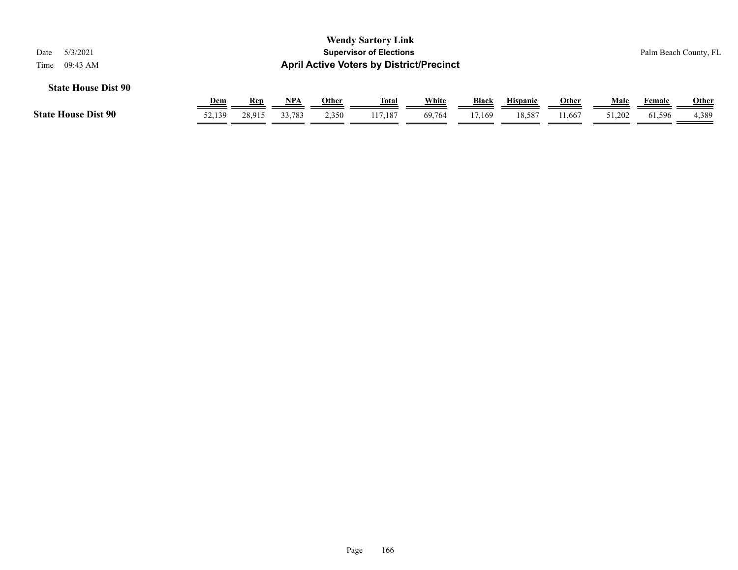| <b>Wendy Sartory Link</b><br>5/3/2021<br><b>Supervisor of Elections</b><br>Palm Beach County, FL<br>Date<br><b>April Active Voters by District/Precinct</b><br>09:43 AM<br>Time |            |        |            |       |              |        |        |                 |        |        |        |              |
|---------------------------------------------------------------------------------------------------------------------------------------------------------------------------------|------------|--------|------------|-------|--------------|--------|--------|-----------------|--------|--------|--------|--------------|
| <b>State House Dist 90</b>                                                                                                                                                      | <b>Dem</b> | Rep    | <u>NPA</u> | Other | <u>Total</u> | White  | Black  | <b>Hispanic</b> | Other  | Male   | Female | <b>Other</b> |
| <b>State House Dist 90</b>                                                                                                                                                      | 52,139     | 28,915 | 33.783     | 2,350 | 117.187      | 69.764 | 17.169 | 18.587          | 11.667 | 51,202 | 61,596 | 4,389        |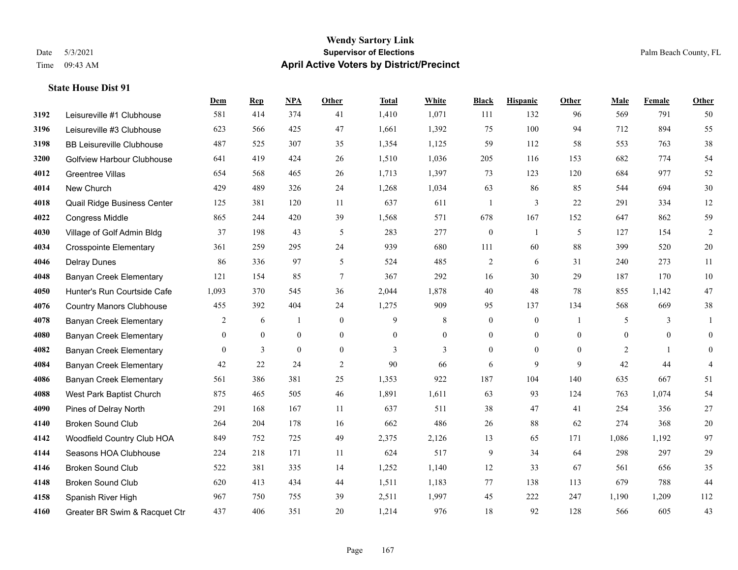#### **Wendy Sartory Link** Date 5/3/2021 **Supervisor of Elections** Palm Beach County, FL Time 09:43 AM **April Active Voters by District/Precinct**

# **Dem Rep NPA Other Total White Black Hispanic Other Male Female Other** Leisureville #1 Clubhouse 581 414 374 41 1,410 1,071 111 132 96 569 791 50 Leisureville #3 Clubhouse 623 566 425 47 1,661 1,392 75 100 94 712 894 55 BB Leisureville Clubhouse 487 525 307 35 1,354 1,125 59 112 58 553 763 38 Golfview Harbour Clubhouse 641 419 424 26 1,510 1,036 205 116 153 682 774 54 Greentree Villas 654 568 465 26 1,713 1,397 73 123 120 684 977 52 New Church 429 489 326 24 1,268 1,034 63 86 85 544 694 30 Quail Ridge Business Center 125 381 120 11 637 611 1 3 22 291 334 12 Congress Middle 865 244 420 39 1,568 571 678 167 152 647 862 59 4030 Village of Golf Admin Bldg 37 198 43 5 283 277 0 1 5 127 154 2 Crosspointe Elementary 361 259 295 24 939 680 111 60 88 399 520 20 Delray Dunes 86 336 97 5 524 485 2 6 31 240 273 11 Banyan Creek Elementary 121 154 85 7 367 292 16 30 29 187 170 10 Hunter's Run Courtside Cafe 1,093 370 545 36 2,044 1,878 40 48 78 855 1,142 47 Country Manors Clubhouse 455 392 404 24 1,275 909 95 137 134 568 669 38 Banyan Creek Elementary 2 6 1 0 9 8 0 0 1 5 3 1 Banyan Creek Elementary 0 0 0 0 0 0 0 0 0 0 0 0 **4082 Banyan Creek Elementary 0 3 0 0 3 3 3 0 0 0 2 1 0**  Banyan Creek Elementary 42 22 24 2 90 66 6 9 9 42 44 4 Banyan Creek Elementary 561 386 381 25 1,353 922 187 104 140 635 667 51 West Park Baptist Church 875 465 505 46 1,891 1,611 63 93 124 763 1,074 54 Pines of Delray North 291 168 167 11 637 511 38 47 41 254 356 27 Broken Sound Club 264 204 178 16 662 486 26 88 62 274 368 20 Woodfield Country Club HOA 849 752 725 49 2,375 2,126 13 65 171 1,086 1,192 97 Seasons HOA Clubhouse 224 218 171 11 624 517 9 34 64 298 297 29 Broken Sound Club 522 381 335 14 1,252 1,140 12 33 67 561 656 35 Broken Sound Club 620 413 434 44 1,511 1,183 77 138 113 679 788 44 Spanish River High 967 750 755 39 2,511 1,997 45 222 247 1,190 1,209 112 Greater BR Swim & Racquet Ctr 437 406 351 20 1,214 976 18 92 128 566 605 43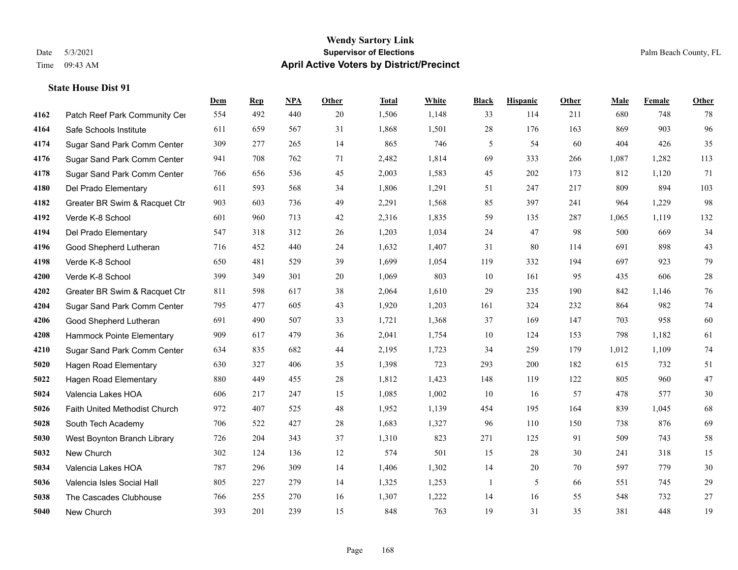|      |                               | Dem | <b>Rep</b> | NPA | <b>Other</b> | <b>Total</b> | White | <b>Black</b> | <b>Hispanic</b> | <b>Other</b> | <b>Male</b> | Female | <b>Other</b> |
|------|-------------------------------|-----|------------|-----|--------------|--------------|-------|--------------|-----------------|--------------|-------------|--------|--------------|
| 4162 | Patch Reef Park Community Cer | 554 | 492        | 440 | 20           | 1,506        | 1,148 | 33           | 114             | 211          | 680         | 748    | 78           |
| 4164 | Safe Schools Institute        | 611 | 659        | 567 | 31           | 1,868        | 1,501 | 28           | 176             | 163          | 869         | 903    | 96           |
| 4174 | Sugar Sand Park Comm Center   | 309 | 277        | 265 | 14           | 865          | 746   | 5            | 54              | 60           | 404         | 426    | 35           |
| 4176 | Sugar Sand Park Comm Center   | 941 | 708        | 762 | 71           | 2,482        | 1,814 | 69           | 333             | 266          | 1,087       | 1,282  | 113          |
| 4178 | Sugar Sand Park Comm Center   | 766 | 656        | 536 | 45           | 2,003        | 1,583 | 45           | 202             | 173          | 812         | 1,120  | 71           |
| 4180 | Del Prado Elementary          | 611 | 593        | 568 | 34           | 1,806        | 1,291 | 51           | 247             | 217          | 809         | 894    | 103          |
| 4182 | Greater BR Swim & Racquet Ctr | 903 | 603        | 736 | 49           | 2,291        | 1,568 | 85           | 397             | 241          | 964         | 1,229  | 98           |
| 4192 | Verde K-8 School              | 601 | 960        | 713 | 42           | 2,316        | 1,835 | 59           | 135             | 287          | 1,065       | 1,119  | 132          |
| 4194 | Del Prado Elementary          | 547 | 318        | 312 | 26           | 1,203        | 1,034 | 24           | 47              | 98           | 500         | 669    | 34           |
| 4196 | Good Shepherd Lutheran        | 716 | 452        | 440 | 24           | 1,632        | 1,407 | 31           | 80              | 114          | 691         | 898    | 43           |
| 4198 | Verde K-8 School              | 650 | 481        | 529 | 39           | 1,699        | 1,054 | 119          | 332             | 194          | 697         | 923    | 79           |
| 4200 | Verde K-8 School              | 399 | 349        | 301 | 20           | 1,069        | 803   | 10           | 161             | 95           | 435         | 606    | 28           |
| 4202 | Greater BR Swim & Racquet Ctr | 811 | 598        | 617 | 38           | 2,064        | 1,610 | 29           | 235             | 190          | 842         | 1,146  | 76           |
| 4204 | Sugar Sand Park Comm Center   | 795 | 477        | 605 | 43           | 1,920        | 1,203 | 161          | 324             | 232          | 864         | 982    | 74           |
| 4206 | Good Shepherd Lutheran        | 691 | 490        | 507 | 33           | 1,721        | 1,368 | 37           | 169             | 147          | 703         | 958    | 60           |
| 4208 | Hammock Pointe Elementary     | 909 | 617        | 479 | 36           | 2,041        | 1,754 | 10           | 124             | 153          | 798         | 1,182  | 61           |
| 4210 | Sugar Sand Park Comm Center   | 634 | 835        | 682 | 44           | 2,195        | 1,723 | 34           | 259             | 179          | 1,012       | 1,109  | 74           |
| 5020 | Hagen Road Elementary         | 630 | 327        | 406 | 35           | 1,398        | 723   | 293          | 200             | 182          | 615         | 732    | 51           |
| 5022 | Hagen Road Elementary         | 880 | 449        | 455 | 28           | 1,812        | 1,423 | 148          | 119             | 122          | 805         | 960    | 47           |
| 5024 | Valencia Lakes HOA            | 606 | 217        | 247 | 15           | 1,085        | 1,002 | 10           | 16              | 57           | 478         | 577    | 30           |
| 5026 | Faith United Methodist Church | 972 | 407        | 525 | 48           | 1,952        | 1,139 | 454          | 195             | 164          | 839         | 1.045  | 68           |
| 5028 | South Tech Academy            | 706 | 522        | 427 | 28           | 1,683        | 1,327 | 96           | 110             | 150          | 738         | 876    | 69           |
| 5030 | West Boynton Branch Library   | 726 | 204        | 343 | 37           | 1,310        | 823   | 271          | 125             | 91           | 509         | 743    | 58           |
| 5032 | New Church                    | 302 | 124        | 136 | 12           | 574          | 501   | 15           | 28              | 30           | 241         | 318    | 15           |
| 5034 | Valencia Lakes HOA            | 787 | 296        | 309 | 14           | 1,406        | 1,302 | 14           | 20              | 70           | 597         | 779    | 30           |
| 5036 | Valencia Isles Social Hall    | 805 | 227        | 279 | 14           | 1,325        | 1,253 | $\mathbf{1}$ | 5               | 66           | 551         | 745    | 29           |
| 5038 | The Cascades Clubhouse        | 766 | 255        | 270 | 16           | 1,307        | 1,222 | 14           | 16              | 55           | 548         | 732    | 27           |
| 5040 | New Church                    | 393 | 201        | 239 | 15           | 848          | 763   | 19           | 31              | 35           | 381         | 448    | 19           |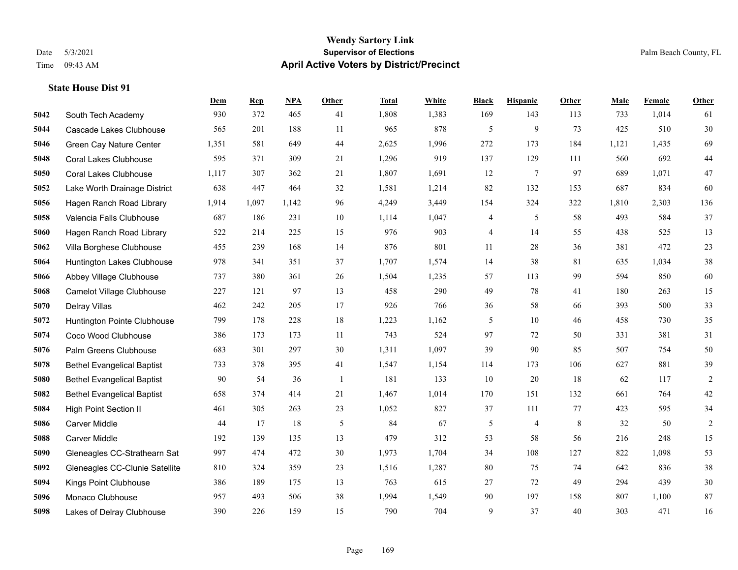#### **Wendy Sartory Link** Date 5/3/2021 **Supervisor of Elections** Palm Beach County, FL Time 09:43 AM **April Active Voters by District/Precinct**

# **Dem Rep NPA Other Total White Black Hispanic Other Male Female Other** South Tech Academy 930 372 465 41 1,808 1,383 169 143 113 733 1,014 61 Cascade Lakes Clubhouse 565 201 188 11 965 878 5 9 73 425 510 30 Green Cay Nature Center 1,351 581 649 44 2,625 1,996 272 173 184 1,121 1,435 69 Coral Lakes Clubhouse 595 371 309 21 1,296 919 137 129 111 560 692 44 Coral Lakes Clubhouse 1,117 307 362 21 1,807 1,691 12 7 97 689 1,071 47 Lake Worth Drainage District 638 447 464 32 1,581 1,214 82 132 153 687 834 60 Hagen Ranch Road Library 1,914 1,097 1,142 96 4,249 3,449 154 324 322 1,810 2,303 136 Valencia Falls Clubhouse 687 186 231 10 1,114 1,047 4 5 58 493 584 37 Hagen Ranch Road Library 522 214 225 15 976 903 4 14 55 438 525 13 Villa Borghese Clubhouse 455 239 168 14 876 801 11 28 36 381 472 23 Huntington Lakes Clubhouse 978 341 351 37 1,707 1,574 14 38 81 635 1,034 38 Abbey Village Clubhouse 737 380 361 26 1,504 1,235 57 113 99 594 850 60 Camelot Village Clubhouse 227 121 97 13 458 290 49 78 41 180 263 15 Delray Villas 462 242 205 17 926 766 36 58 66 393 500 33 Huntington Pointe Clubhouse 799 178 228 18 1,223 1,162 5 10 46 458 730 35 Coco Wood Clubhouse 386 173 173 11 743 524 97 72 50 331 381 31 Palm Greens Clubhouse 683 301 297 30 1,311 1,097 39 90 85 507 754 50 Bethel Evangelical Baptist 733 378 395 41 1,547 1,154 114 173 106 627 881 39 Bethel Evangelical Baptist 90 54 36 1 181 133 10 20 18 62 117 2 Bethel Evangelical Baptist 658 374 414 21 1,467 1,014 170 151 132 661 764 42 High Point Section II 461 305 263 23 1,052 827 37 111 77 423 595 34 Carver Middle 44 17 18 5 84 67 5 4 8 32 50 2 Carver Middle 192 139 135 13 479 312 53 58 56 216 248 15 Gleneagles CC-Strathearn Sat 997 474 472 30 1,973 1,704 34 108 127 822 1,098 53 Gleneagles CC-Clunie Satellite 810 324 359 23 1,516 1,287 80 75 74 642 836 38 Kings Point Clubhouse 386 189 175 13 763 615 27 72 49 294 439 30 Monaco Clubhouse 957 493 506 38 1,994 1,549 90 197 158 807 1,100 87 Lakes of Delray Clubhouse 390 226 159 15 790 704 9 37 40 303 471 16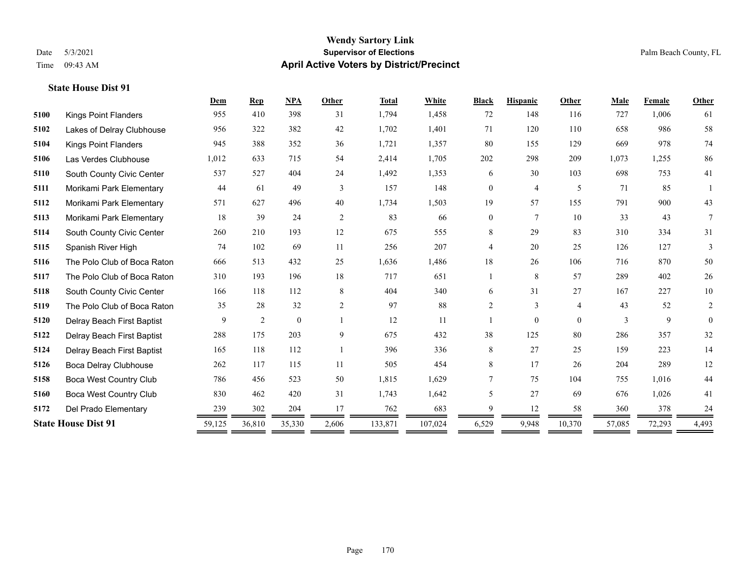#### **Wendy Sartory Link** Date 5/3/2021 **Supervisor of Elections** Palm Beach County, FL Time 09:43 AM **April Active Voters by District/Precinct**

# **Dem Rep NPA Other Total White Black Hispanic Other Male Female Other** Kings Point Flanders 955 410 398 31 1,794 1,458 72 148 116 727 1,006 61 Lakes of Delray Clubhouse 956 322 382 42 1,702 1,401 71 120 110 658 986 58 Kings Point Flanders 945 388 352 36 1,721 1,357 80 155 129 669 978 74 Las Verdes Clubhouse 1,012 633 715 54 2,414 1,705 202 298 209 1,073 1,255 86 South County Civic Center 537 527 404 24 1,492 1,353 6 30 103 698 753 41 Morikami Park Elementary 44 61 49 3 157 148 0 4 5 71 85 1 Morikami Park Elementary 571 627 496 40 1,734 1,503 19 57 155 791 900 43 Morikami Park Elementary 18 39 24 2 83 66 0 7 10 33 43 7 South County Civic Center 260 210 193 12 675 555 8 29 83 310 334 31 Spanish River High 74 102 69 11 256 207 4 20 25 126 127 3 The Polo Club of Boca Raton 666 513 432 25 1,636 1,486 18 26 106 716 870 50 The Polo Club of Boca Raton 310 193 196 18 717 651 1 8 57 289 402 26 South County Civic Center 166 118 112 8 404 340 6 31 27 167 227 10 The Polo Club of Boca Raton 35 28 32 2 97 88 2 3 4 43 52 2 Delray Beach First Baptist  $\begin{array}{cccccccc} 9 & 2 & 0 & 1 & 12 & 11 & 1 & 0 & 0 & 3 & 9 & 0 \end{array}$  Delray Beach First Baptist 288 175 203 9 675 432 38 125 80 286 357 32 Delray Beach First Baptist 165 118 112 1 396 336 8 27 25 159 223 14 Boca Delray Clubhouse 262 117 115 11 505 454 8 17 26 204 289 12 Boca West Country Club 786 456 523 50 1,815 1,629 7 75 104 755 1,016 44 Boca West Country Club 830 462 420 31 1,743 1,642 5 27 69 676 1,026 41 Del Prado Elementary 239 302 204 17 762 683 9 12 58 360 378 24 **State House Dist 91** 59,125 36,810 35,330 2,606 133,871 107,024 6,529 9,948 10,370 57,085 72,293 4,493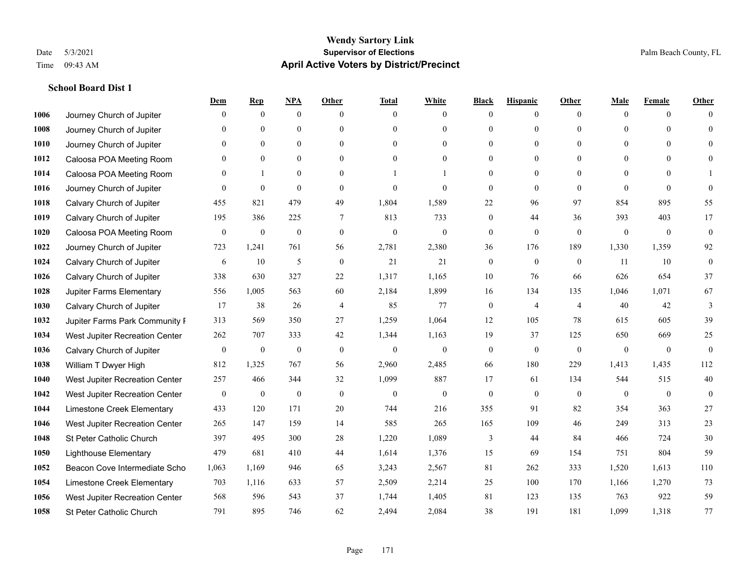|      |                                | Dem              | <b>Rep</b>       | NPA              | <b>Other</b>   | <b>Total</b>     | <b>White</b>     | <b>Black</b>     | <b>Hispanic</b>  | <b>Other</b>   | <b>Male</b>  | <b>Female</b> | <b>Other</b>     |
|------|--------------------------------|------------------|------------------|------------------|----------------|------------------|------------------|------------------|------------------|----------------|--------------|---------------|------------------|
| 1006 | Journey Church of Jupiter      | $\theta$         | $\mathbf{0}$     | $\mathbf{0}$     | $\Omega$       | $\Omega$         | $\overline{0}$   | $\mathbf{0}$     | $\mathbf{0}$     | $\theta$       | $\theta$     | $\theta$      | $\Omega$         |
| 1008 | Journey Church of Jupiter      | $\theta$         | $\theta$         | $\mathbf{0}$     | $\Omega$       | $\Omega$         | $\overline{0}$   | $\theta$         | $\mathbf{0}$     | $\Omega$       | $\theta$     | $\Omega$      | $\theta$         |
| 1010 | Journey Church of Jupiter      | 0                | $\mathbf{0}$     | $\mathbf{0}$     | $\theta$       | $\Omega$         | $\overline{0}$   | $\Omega$         | $\mathbf{0}$     | $\Omega$       | $\theta$     | $\Omega$      | $\Omega$         |
| 1012 | Caloosa POA Meeting Room       | 0                | $\mathbf{0}$     | $\mathbf{0}$     | $\Omega$       | $\theta$         | $\overline{0}$   | $\overline{0}$   | $\mathbf{0}$     | $\theta$       | $\Omega$     | $\theta$      | $\Omega$         |
| 1014 | Caloosa POA Meeting Room       | $\theta$         |                  | $\theta$         | $\Omega$       |                  |                  | $\theta$         | $\Omega$         | $\Omega$       | $\Omega$     | $\Omega$      |                  |
| 1016 | Journey Church of Jupiter      | $\theta$         | $\mathbf{0}$     | $\mathbf{0}$     | $\theta$       | $\theta$         | $\overline{0}$   | $\overline{0}$   | $\mathbf{0}$     | $\theta$       | $\theta$     | $\theta$      | $\Omega$         |
| 1018 | Calvary Church of Jupiter      | 455              | 821              | 479              | 49             | 1,804            | 1,589            | 22               | 96               | 97             | 854          | 895           | 55               |
| 1019 | Calvary Church of Jupiter      | 195              | 386              | 225              | $\tau$         | 813              | 733              | $\overline{0}$   | 44               | 36             | 393          | 403           | 17               |
| 1020 | Caloosa POA Meeting Room       | $\mathbf{0}$     | $\boldsymbol{0}$ | $\boldsymbol{0}$ | $\mathbf{0}$   | $\boldsymbol{0}$ | $\boldsymbol{0}$ | 0                | $\boldsymbol{0}$ | $\mathbf{0}$   | $\mathbf{0}$ | $\mathbf{0}$  | $\mathbf{0}$     |
| 1022 | Journey Church of Jupiter      | 723              | 1,241            | 761              | 56             | 2,781            | 2,380            | 36               | 176              | 189            | 1,330        | 1,359         | 92               |
| 1024 | Calvary Church of Jupiter      | 6                | 10               | 5                | $\theta$       | 21               | 21               | $\mathbf{0}$     | $\theta$         | $\theta$       | 11           | 10            | $\theta$         |
| 1026 | Calvary Church of Jupiter      | 338              | 630              | 327              | 22             | 1,317            | 1,165            | 10               | 76               | 66             | 626          | 654           | 37               |
| 1028 | Jupiter Farms Elementary       | 556              | 1,005            | 563              | 60             | 2,184            | 1,899            | 16               | 134              | 135            | 1,046        | 1,071         | 67               |
| 1030 | Calvary Church of Jupiter      | 17               | 38               | 26               | $\overline{4}$ | 85               | 77               | $\boldsymbol{0}$ | $\overline{4}$   | $\overline{4}$ | 40           | 42            | 3                |
| 1032 | Jupiter Farms Park Community I | 313              | 569              | 350              | 27             | 1,259            | 1,064            | 12               | 105              | 78             | 615          | 605           | 39               |
| 1034 | West Jupiter Recreation Center | 262              | 707              | 333              | 42             | 1,344            | 1,163            | 19               | 37               | 125            | 650          | 669           | 25               |
| 1036 | Calvary Church of Jupiter      | $\boldsymbol{0}$ | $\boldsymbol{0}$ | $\boldsymbol{0}$ | $\mathbf{0}$   | $\boldsymbol{0}$ | $\boldsymbol{0}$ | $\boldsymbol{0}$ | $\mathbf{0}$     | $\mathbf{0}$   | $\mathbf{0}$ | $\mathbf{0}$  | $\mathbf{0}$     |
| 1038 | William T Dwyer High           | 812              | 1,325            | 767              | 56             | 2,960            | 2,485            | 66               | 180              | 229            | 1,413        | 1,435         | 112              |
| 1040 | West Jupiter Recreation Center | 257              | 466              | 344              | 32             | 1,099            | 887              | 17               | 61               | 134            | 544          | 515           | 40               |
| 1042 | West Jupiter Recreation Center | $\boldsymbol{0}$ | $\boldsymbol{0}$ | $\boldsymbol{0}$ | $\mathbf{0}$   | $\overline{0}$   | $\boldsymbol{0}$ | $\boldsymbol{0}$ | $\mathbf{0}$     | $\theta$       | $\mathbf{0}$ | $\mathbf{0}$  | $\boldsymbol{0}$ |
| 1044 | Limestone Creek Elementary     | 433              | 120              | 171              | 20             | 744              | 216              | 355              | 91               | 82             | 354          | 363           | 27               |
| 1046 | West Jupiter Recreation Center | 265              | 147              | 159              | 14             | 585              | 265              | 165              | 109              | 46             | 249          | 313           | 23               |
| 1048 | St Peter Catholic Church       | 397              | 495              | 300              | 28             | 1,220            | 1,089            | 3                | 44               | 84             | 466          | 724           | 30               |
| 1050 | <b>Lighthouse Elementary</b>   | 479              | 681              | 410              | 44             | 1,614            | 1,376            | 15               | 69               | 154            | 751          | 804           | 59               |
| 1052 | Beacon Cove Intermediate Scho  | 1,063            | 1.169            | 946              | 65             | 3,243            | 2,567            | 81               | 262              | 333            | 1.520        | 1.613         | 110              |
| 1054 | Limestone Creek Elementary     | 703              | 1,116            | 633              | 57             | 2,509            | 2,214            | 25               | 100              | 170            | 1,166        | 1,270         | 73               |
| 1056 | West Jupiter Recreation Center | 568              | 596              | 543              | 37             | 1,744            | 1,405            | 81               | 123              | 135            | 763          | 922           | 59               |
| 1058 | St Peter Catholic Church       | 791              | 895              | 746              | 62             | 2,494            | 2,084            | 38               | 191              | 181            | 1,099        | 1,318         | 77               |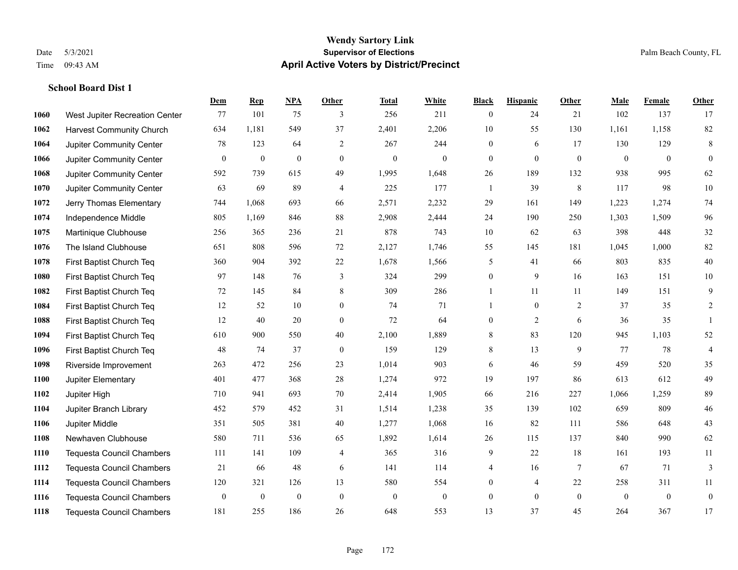**School Board Dist 1**

#### **Wendy Sartory Link** Date 5/3/2021 **Supervisor of Elections** Palm Beach County, FL Time 09:43 AM **April Active Voters by District/Precinct**

# **Dem Rep NPA Other Total White Black Hispanic Other Male Female Other** West Jupiter Recreation Center 77 101 75 3 256 211 0 24 21 102 137 17 Harvest Community Church 634 1,181 549 37 2,401 2,206 10 55 130 1,161 1,158 82 Jupiter Community Center **78** 123 64 2 267 244 0 6 17 130 129 8 Jupiter Community Center 0 0 0 0 0 0 0 0 0 0 0 0 Jupiter Community Center 592 739 615 49 1,995 1,648 26 189 132 938 995 62 Jupiter Community Center 63 69 89 4 225 177 1 39 8 117 98 10 Jerry Thomas Elementary 744 1,068 693 66 2,571 2,232 29 161 149 1,223 1,274 74 Independence Middle 805 1,169 846 88 2,908 2,444 24 190 250 1,303 1,509 96 Martinique Clubhouse 256 365 236 21 878 743 10 62 63 398 448 32 The Island Clubhouse 651 808 596 72 2,127 1,746 55 145 181 1,045 1,000 82 First Baptist Church Teq 360 904 392 22 1,678 1,566 5 41 66 803 835 40 First Baptist Church Teq 97 148 76 3 324 299 0 9 16 163 151 10 First Baptist Church Teq 72 145 84 8 309 286 1 11 11 149 151 9 First Baptist Church Teq 12 52 10 0 74 71 1 0 2 37 35 2 First Baptist Church Teq 12 40 20 0 72 64 0 2 6 36 35 1 First Baptist Church Teq 610 900 550 40 2,100 1,889 8 83 120 945 1,103 52 First Baptist Church Teq 48 74 37 0 159 129 8 13 9 77 78 4 Riverside Improvement 263 472 256 23 1,014 903 6 46 59 459 520 35 Jupiter Elementary 401 477 368 28 1,274 972 19 197 86 613 612 49 Jupiter High 710 941 693 70 2,414 1,905 66 216 227 1,066 1,259 89 Jupiter Branch Library 452 579 452 31 1,514 1,238 35 139 102 659 809 46 Jupiter Middle 351 505 381 40 1,277 1,068 16 82 111 586 648 43 Newhaven Clubhouse 580 711 536 65 1,892 1,614 26 115 137 840 990 62 Tequesta Council Chambers 111 141 109 4 365 316 9 22 18 161 193 11 Tequesta Council Chambers 21 66 48 6 141 114 4 16 7 67 71 3 Tequesta Council Chambers 120 321 126 13 580 554 0 4 22 258 311 11 Tequesta Council Chambers 0 0 0 0 0 0 0 0 0 0 0 0 Tequesta Council Chambers 181 255 186 26 648 553 13 37 45 264 367 17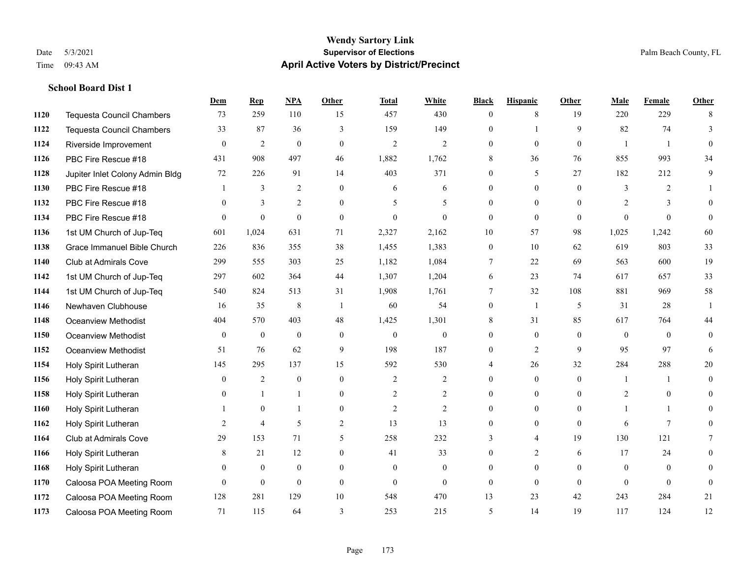|      |                                  | Dem            | <b>Rep</b>       | NPA            | <b>Other</b>   | <b>Total</b>             | <b>White</b>     | <b>Black</b>     | <b>Hispanic</b> | <b>Other</b> | <b>Male</b>    | <b>Female</b>   | <b>Other</b>   |
|------|----------------------------------|----------------|------------------|----------------|----------------|--------------------------|------------------|------------------|-----------------|--------------|----------------|-----------------|----------------|
| 1120 | <b>Tequesta Council Chambers</b> | 73             | 259              | 110            | 15             | 457                      | 430              | $\overline{0}$   | 8               | 19           | 220            | 229             | 8              |
| 1122 | <b>Tequesta Council Chambers</b> | 33             | 87               | 36             | 3              | 159                      | 149              | $\Omega$         | 1               | 9            | 82             | 74              | 3              |
| 1124 | Riverside Improvement            | $\theta$       | $\mathfrak{2}$   | $\theta$       | $\theta$       | $\overline{2}$           | $\overline{2}$   | $\Omega$         | $\Omega$        | $\Omega$     | $\mathbf{1}$   | $\overline{1}$  | $\Omega$       |
| 1126 | PBC Fire Rescue #18              | 431            | 908              | 497            | 46             | 1,882                    | 1,762            | 8                | 36              | 76           | 855            | 993             | 34             |
| 1128 | Jupiter Inlet Colony Admin Bldg  | 72             | 226              | 91             | 14             | 403                      | 371              | $\overline{0}$   | 5               | 27           | 182            | 212             | 9              |
| 1130 | PBC Fire Rescue #18              |                | 3                | 2              | $\theta$       | 6                        | 6                | $\overline{0}$   | $\overline{0}$  | $\theta$     | 3              | 2               |                |
| 1132 | PBC Fire Rescue #18              | $\theta$       | 3                | $\overline{2}$ | $\theta$       | $\overline{\phantom{0}}$ | 5                | $\Omega$         | $\Omega$        | $\theta$     | $\overline{2}$ | 3               | $\theta$       |
| 1134 | PBC Fire Rescue #18              | $\Omega$       | $\boldsymbol{0}$ | $\mathbf{0}$   | $\theta$       | $\theta$                 | $\theta$         | $\mathbf{0}$     | $\mathbf{0}$    | $\theta$     | $\theta$       | $\theta$        | $\overline{0}$ |
| 1136 | 1st UM Church of Jup-Teq         | 601            | 1,024            | 631            | 71             | 2,327                    | 2,162            | 10               | 57              | 98           | 1,025          | 1,242           | 60             |
| 1138 | Grace Immanuel Bible Church      | 226            | 836              | 355            | 38             | 1,455                    | 1,383            | $\overline{0}$   | 10              | 62           | 619            | 803             | 33             |
| 1140 | <b>Club at Admirals Cove</b>     | 299            | 555              | 303            | 25             | 1,182                    | 1,084            | $\tau$           | 22              | 69           | 563            | 600             | 19             |
| 1142 | 1st UM Church of Jup-Teq         | 297            | 602              | 364            | 44             | 1,307                    | 1,204            | 6                | 23              | 74           | 617            | 657             | 33             |
| 1144 | 1st UM Church of Jup-Teq         | 540            | 824              | 513            | 31             | 1,908                    | 1,761            | 7                | 32              | 108          | 881            | 969             | 58             |
| 1146 | Newhaven Clubhouse               | 16             | 35               | $\,$ 8 $\,$    | $\overline{1}$ | 60                       | 54               | $\boldsymbol{0}$ | $\overline{1}$  | 5            | 31             | 28              | $\overline{1}$ |
| 1148 | Oceanview Methodist              | 404            | 570              | 403            | 48             | 1,425                    | 1,301            | 8                | 31              | 85           | 617            | 764             | 44             |
| 1150 | Oceanview Methodist              | $\mathbf{0}$   | $\boldsymbol{0}$ | $\mathbf{0}$   | $\overline{0}$ | $\boldsymbol{0}$         | $\boldsymbol{0}$ | $\overline{0}$   | $\overline{0}$  | $\theta$     | $\mathbf{0}$   | $\theta$        | $\overline{0}$ |
| 1152 | <b>Oceanview Methodist</b>       | 51             | 76               | 62             | 9              | 198                      | 187              | $\boldsymbol{0}$ | $\overline{c}$  | 9            | 95             | 97              | 6              |
| 1154 | Holy Spirit Lutheran             | 145            | 295              | 137            | 15             | 592                      | 530              | 4                | 26              | 32           | 284            | 288             | 20             |
| 1156 | Holy Spirit Lutheran             | $\overline{0}$ | 2                | $\mathbf{0}$   | $\theta$       | 2                        | $\overline{2}$   | $\Omega$         | $\overline{0}$  | $\theta$     | $\mathbf{1}$   | $\mathbf{1}$    | $\overline{0}$ |
| 1158 | Holy Spirit Lutheran             | $\Omega$       | $\mathbf{1}$     |                | $\Omega$       | $\overline{2}$           | $\overline{c}$   | $\Omega$         | $\Omega$        | $\Omega$     | 2              | $\Omega$        | 0              |
| 1160 | Holy Spirit Lutheran             |                | $\mathbf{0}$     |                | $\theta$       | 2                        | $\overline{2}$   | $\overline{0}$   | $\overline{0}$  | $\theta$     | $\mathbf{1}$   | $\mathbf{1}$    | 0              |
| 1162 | Holy Spirit Lutheran             | 2              | $\overline{4}$   | 5              | $\overline{c}$ | 13                       | 13               | $\overline{0}$   | $\overline{0}$  | $\theta$     | 6              | $7\phantom{.0}$ | 0              |
| 1164 | <b>Club at Admirals Cove</b>     | 29             | 153              | 71             | 5              | 258                      | 232              | 3                | 4               | 19           | 130            | 121             | 7              |
| 1166 | Holy Spirit Lutheran             | 8              | 21               | 12             | $\theta$       | 41                       | 33               | $\Omega$         | $\overline{2}$  | 6            | 17             | 24              | 0              |
| 1168 | Holy Spirit Lutheran             | $\overline{0}$ | $\boldsymbol{0}$ | $\mathbf{0}$   | $\overline{0}$ | $\overline{0}$           | $\boldsymbol{0}$ | $\overline{0}$   | $\overline{0}$  | $\theta$     | $\mathbf{0}$   | $\theta$        | $\theta$       |
| 1170 | Caloosa POA Meeting Room         | $\theta$       | $\mathbf{0}$     | $\mathbf{0}$   | $\theta$       | $\theta$                 | $\overline{0}$   | $\overline{0}$   | $\overline{0}$  | $\theta$     | $\theta$       | $\theta$        | $\mathbf{0}$   |
| 1172 | Caloosa POA Meeting Room         | 128            | 281              | 129            | 10             | 548                      | 470              | 13               | 23              | 42           | 243            | 284             | 21             |
| 1173 | Caloosa POA Meeting Room         | 71             | 115              | 64             | 3              | 253                      | 215              | 5                | 14              | 19           | 117            | 124             | 12             |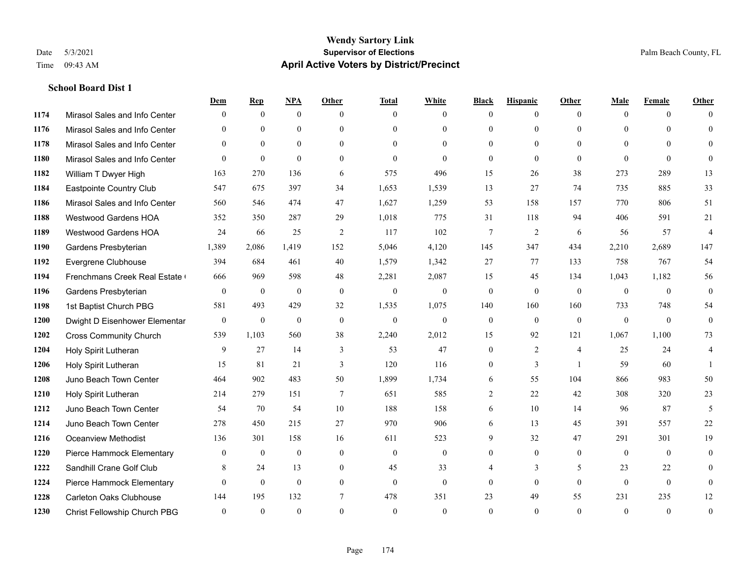|      |                                | Dem              | <b>Rep</b>   | NPA          | <b>Other</b>    | <b>Total</b> | <b>White</b>     | <b>Black</b>     | <b>Hispanic</b> | <b>Other</b>   | <b>Male</b>  | <b>Female</b>  | <b>Other</b>   |
|------|--------------------------------|------------------|--------------|--------------|-----------------|--------------|------------------|------------------|-----------------|----------------|--------------|----------------|----------------|
| 1174 | Mirasol Sales and Info Center  | $\Omega$         | $\mathbf{0}$ | $\mathbf{0}$ | $\Omega$        | $\Omega$     | $\overline{0}$   | $\theta$         | $\overline{0}$  | $\theta$       | $\theta$     | $\theta$       | $\Omega$       |
| 1176 | Mirasol Sales and Info Center  | $\Omega$         | $\theta$     | $\theta$     | $\Omega$        | $\Omega$     | $\overline{0}$   | $\theta$         | $\theta$        | $\Omega$       | $\Omega$     | $\Omega$       | $\theta$       |
| 1178 | Mirasol Sales and Info Center  | $\theta$         | $\theta$     | $\theta$     | $\theta$        | $\Omega$     | $\theta$         | $\theta$         | $\theta$        | $\Omega$       | $\theta$     | $\Omega$       | $\Omega$       |
| 1180 | Mirasol Sales and Info Center  | $\Omega$         | $\mathbf{0}$ | $\theta$     | $\theta$        | $\theta$     | $\theta$         | $\mathbf{0}$     | $\theta$        | $\theta$       | $\theta$     | $\theta$       | $\Omega$       |
| 1182 | William T Dwyer High           | 163              | 270          | 136          | 6               | 575          | 496              | 15               | 26              | 38             | 273          | 289            | 13             |
| 1184 | Eastpointe Country Club        | 547              | 675          | 397          | 34              | 1,653        | 1,539            | 13               | 27              | 74             | 735          | 885            | 33             |
| 1186 | Mirasol Sales and Info Center  | 560              | 546          | 474          | 47              | 1,627        | 1,259            | 53               | 158             | 157            | 770          | 806            | 51             |
| 1188 | <b>Westwood Gardens HOA</b>    | 352              | 350          | 287          | 29              | 1,018        | 775              | 31               | 118             | 94             | 406          | 591            | 21             |
| 1189 | <b>Westwood Gardens HOA</b>    | 24               | 66           | 25           | 2               | 117          | 102              | 7                | $\overline{2}$  | 6              | 56           | 57             | $\overline{4}$ |
| 1190 | Gardens Presbyterian           | 1,389            | 2,086        | 1,419        | 152             | 5,046        | 4,120            | 145              | 347             | 434            | 2,210        | 2,689          | 147            |
| 1192 | Evergrene Clubhouse            | 394              | 684          | 461          | 40              | 1,579        | 1,342            | 27               | 77              | 133            | 758          | 767            | 54             |
| 1194 | Frenchmans Creek Real Estate   | 666              | 969          | 598          | 48              | 2,281        | 2,087            | 15               | 45              | 134            | 1,043        | 1,182          | 56             |
| 1196 | Gardens Presbyterian           | $\mathbf{0}$     | $\mathbf{0}$ | $\mathbf{0}$ | $\theta$        | $\mathbf{0}$ | $\mathbf{0}$     | $\mathbf{0}$     | $\mathbf{0}$    | $\theta$       | $\theta$     | $\theta$       | $\mathbf{0}$   |
| 1198 | 1st Baptist Church PBG         | 581              | 493          | 429          | 32              | 1,535        | 1,075            | 140              | 160             | 160            | 733          | 748            | 54             |
| 1200 | Dwight D Eisenhower Elementar  | $\boldsymbol{0}$ | $\mathbf{0}$ | $\mathbf{0}$ | $\mathbf{0}$    | $\mathbf{0}$ | $\mathbf{0}$     | $\mathbf{0}$     | $\mathbf{0}$    | $\mathbf{0}$   | $\mathbf{0}$ | $\theta$       | $\mathbf{0}$   |
| 1202 | <b>Cross Community Church</b>  | 539              | 1,103        | 560          | 38              | 2,240        | 2,012            | 15               | 92              | 121            | 1,067        | 1,100          | 73             |
| 1204 | Holy Spirit Lutheran           | 9                | 27           | 14           | 3               | 53           | 47               | $\boldsymbol{0}$ | $\overline{2}$  | $\overline{4}$ | 25           | 24             | 4              |
| 1206 | Holy Spirit Lutheran           | 15               | 81           | 21           | 3               | 120          | 116              | $\mathbf{0}$     | 3               | $\overline{1}$ | 59           | 60             |                |
| 1208 | Juno Beach Town Center         | 464              | 902          | 483          | 50              | 1,899        | 1,734            | 6                | 55              | 104            | 866          | 983            | 50             |
| 1210 | Holy Spirit Lutheran           | 214              | 279          | 151          | $7\phantom{.0}$ | 651          | 585              | $\overline{c}$   | 22              | 42             | 308          | 320            | 23             |
| 1212 | Juno Beach Town Center         | 54               | 70           | 54           | 10              | 188          | 158              | 6                | 10              | 14             | 96           | 87             | 5              |
| 1214 | Juno Beach Town Center         | 278              | 450          | 215          | 27              | 970          | 906              | 6                | 13              | 45             | 391          | 557            | 22             |
| 1216 | <b>Oceanview Methodist</b>     | 136              | 301          | 158          | 16              | 611          | 523              | 9                | 32              | 47             | 291          | 301            | 19             |
| 1220 | Pierce Hammock Elementary      | $\overline{0}$   | $\mathbf{0}$ | $\mathbf{0}$ | $\mathbf{0}$    | $\mathbf{0}$ | $\boldsymbol{0}$ | $\mathbf{0}$     | $\mathbf{0}$    | $\mathbf{0}$   | $\mathbf{0}$ | $\overline{0}$ | $\mathbf{0}$   |
| 1222 | Sandhill Crane Golf Club       | 8                | 24           | 13           | $\theta$        | 45           | 33               | 4                | 3               | 5              | 23           | 22             | $\theta$       |
| 1224 | Pierce Hammock Elementary      | $\Omega$         | $\mathbf{0}$ | $\mathbf{0}$ | $\theta$        | $\theta$     | $\mathbf{0}$     | $\theta$         | $\theta$        | $\Omega$       | $\theta$     | $\theta$       | $\mathbf{0}$   |
| 1228 | <b>Carleton Oaks Clubhouse</b> | 144              | 195          | 132          | 7               | 478          | 351              | 23               | 49              | 55             | 231          | 235            | 12             |
| 1230 | Christ Fellowship Church PBG   | $\theta$         | $\theta$     | $\theta$     | $\theta$        | $\theta$     | $\theta$         | $\theta$         | $\Omega$        | $\Omega$       | $\Omega$     | $\theta$       | $\mathbf{0}$   |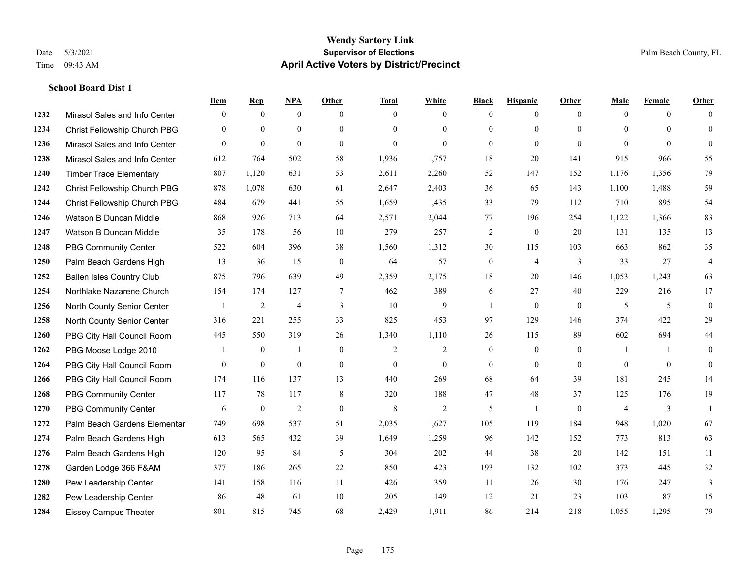|      |                                  | Dem          | <b>Rep</b>       | NPA            | <b>Other</b> | <b>Total</b>   | <b>White</b>   | <b>Black</b>     | <b>Hispanic</b> | <b>Other</b> | <b>Male</b>    | <b>Female</b> | <b>Other</b>   |
|------|----------------------------------|--------------|------------------|----------------|--------------|----------------|----------------|------------------|-----------------|--------------|----------------|---------------|----------------|
| 1232 | Mirasol Sales and Info Center    | $\mathbf{0}$ | $\mathbf{0}$     | $\mathbf{0}$   | $\theta$     | $\theta$       | $\overline{0}$ | $\Omega$         | $\overline{0}$  | $\theta$     | $\theta$       | $\theta$      | $\Omega$       |
| 1234 | Christ Fellowship Church PBG     | $\Omega$     | $\mathbf{0}$     | $\theta$       | $\theta$     | $\Omega$       | $\overline{0}$ | $\theta$         | $\overline{0}$  | $\Omega$     | $\Omega$       | $\Omega$      | $\overline{0}$ |
| 1236 | Mirasol Sales and Info Center    | $\theta$     | $\mathbf{0}$     | $\mathbf{0}$   | $\theta$     | $\overline{0}$ | $\overline{0}$ | $\overline{0}$   | $\overline{0}$  | $\theta$     | $\Omega$       | $\Omega$      | $\overline{0}$ |
| 1238 | Mirasol Sales and Info Center    | 612          | 764              | 502            | 58           | 1,936          | 1,757          | 18               | 20              | 141          | 915            | 966           | 55             |
| 1240 | <b>Timber Trace Elementary</b>   | 807          | 1.120            | 631            | 53           | 2,611          | 2,260          | 52               | 147             | 152          | 1.176          | 1,356         | 79             |
| 1242 | Christ Fellowship Church PBG     | 878          | 1,078            | 630            | 61           | 2,647          | 2,403          | 36               | 65              | 143          | 1,100          | 1,488         | 59             |
| 1244 | Christ Fellowship Church PBG     | 484          | 679              | 441            | 55           | 1,659          | 1,435          | 33               | 79              | 112          | 710            | 895           | 54             |
| 1246 | Watson B Duncan Middle           | 868          | 926              | 713            | 64           | 2,571          | 2,044          | 77               | 196             | 254          | 1,122          | 1,366         | 83             |
| 1247 | Watson B Duncan Middle           | 35           | 178              | 56             | 10           | 279            | 257            | $\overline{c}$   | $\overline{0}$  | 20           | 131            | 135           | 13             |
| 1248 | <b>PBG Community Center</b>      | 522          | 604              | 396            | 38           | 1,560          | 1,312          | 30               | 115             | 103          | 663            | 862           | 35             |
| 1250 | Palm Beach Gardens High          | 13           | 36               | 15             | $\theta$     | 64             | 57             | $\mathbf{0}$     | $\overline{4}$  | 3            | 33             | 27            | 4              |
| 1252 | <b>Ballen Isles Country Club</b> | 875          | 796              | 639            | 49           | 2,359          | 2,175          | 18               | 20              | 146          | 1,053          | 1,243         | 63             |
| 1254 | Northlake Nazarene Church        | 154          | 174              | 127            | 7            | 462            | 389            | 6                | 27              | 40           | 229            | 216           | 17             |
| 1256 | North County Senior Center       |              | $\sqrt{2}$       | $\overline{4}$ | 3            | 10             | 9              | $\mathbf{1}$     | $\overline{0}$  | $\mathbf{0}$ | 5              | 5             | $\overline{0}$ |
| 1258 | North County Senior Center       | 316          | 221              | 255            | 33           | 825            | 453            | 97               | 129             | 146          | 374            | 422           | 29             |
| 1260 | PBG City Hall Council Room       | 445          | 550              | 319            | 26           | 1,340          | 1,110          | 26               | 115             | 89           | 602            | 694           | 44             |
| 1262 | PBG Moose Lodge 2010             |              | $\boldsymbol{0}$ | 1              | $\mathbf{0}$ | $\overline{2}$ | 2              | $\boldsymbol{0}$ | $\overline{0}$  | $\mathbf{0}$ | -1             | $\mathbf{1}$  | $\overline{0}$ |
| 1264 | PBG City Hall Council Room       | $\Omega$     | $\mathbf{0}$     | $\mathbf{0}$   | $\theta$     | $\Omega$       | $\overline{0}$ | $\overline{0}$   | $\mathbf{0}$    | $\theta$     | $\theta$       | $\theta$      | $\overline{0}$ |
| 1266 | PBG City Hall Council Room       | 174          | 116              | 137            | 13           | 440            | 269            | 68               | 64              | 39           | 181            | 245           | 14             |
| 1268 | <b>PBG Community Center</b>      | 117          | 78               | 117            | 8            | 320            | 188            | 47               | 48              | 37           | 125            | 176           | 19             |
| 1270 | <b>PBG Community Center</b>      | 6            | $\mathbf{0}$     | $\overline{2}$ | $\theta$     | 8              | 2              | 5                | $\mathbf{1}$    | $\Omega$     | $\overline{4}$ | 3             |                |
| 1272 | Palm Beach Gardens Elementar     | 749          | 698              | 537            | 51           | 2,035          | 1,627          | 105              | 119             | 184          | 948            | 1,020         | 67             |
| 1274 | Palm Beach Gardens High          | 613          | 565              | 432            | 39           | 1,649          | 1,259          | 96               | 142             | 152          | 773            | 813           | 63             |
| 1276 | Palm Beach Gardens High          | 120          | 95               | 84             | 5            | 304            | 202            | 44               | 38              | 20           | 142            | 151           | 11             |
| 1278 | Garden Lodge 366 F&AM            | 377          | 186              | 265            | 22           | 850            | 423            | 193              | 132             | 102          | 373            | 445           | 32             |
| 1280 | Pew Leadership Center            | 141          | 158              | 116            | 11           | 426            | 359            | 11               | 26              | 30           | 176            | 247           | 3              |
| 1282 | Pew Leadership Center            | 86           | 48               | 61             | 10           | 205            | 149            | 12               | 21              | 23           | 103            | 87            | 15             |
| 1284 | <b>Eissey Campus Theater</b>     | 801          | 815              | 745            | 68           | 2,429          | 1,911          | 86               | 214             | 218          | 1,055          | 1,295         | 79             |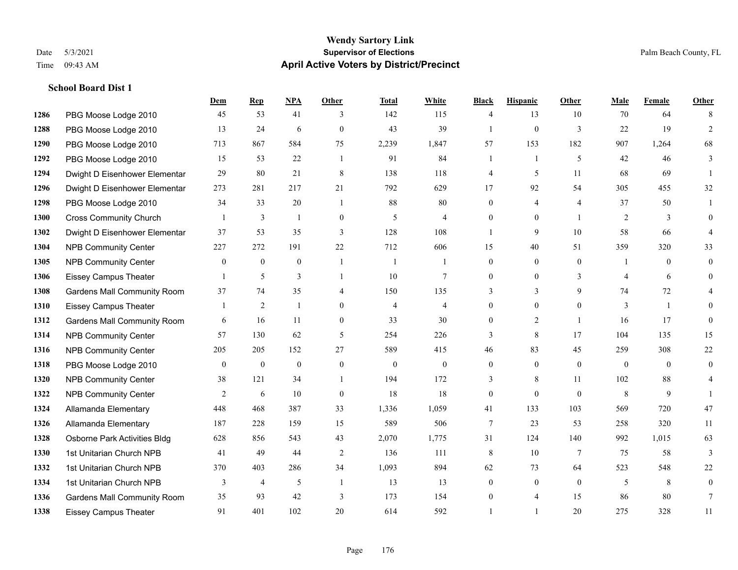**School Board Dist 1**

#### **Wendy Sartory Link** Date 5/3/2021 **Supervisor of Elections** Palm Beach County, FL Time 09:43 AM **April Active Voters by District/Precinct**

# **Dem Rep NPA Other Total White Black Hispanic Other Male Female Other** PBG Moose Lodge 2010 45 53 41 3 142 115 4 13 10 70 64 8 PBG Moose Lodge 2010 13 24 6 0 43 39 1 0 3 22 19 2 PBG Moose Lodge 2010 713 867 584 75 2,239 1,847 57 153 182 907 1,264 68 PBG Moose Lodge 2010 15 53 22 1 91 84 1 1 5 42 46 3 Dwight D Eisenhower Elementar 29 80 21 8 138 118 4 5 11 68 69 1 Dwight D Eisenhower Elementary 273 281 217 21 792 629 17 92 54 305 455 32 PBG Moose Lodge 2010 34 33 20 1 88 80 0 4 4 37 50 1 Cross Community Church 1 3 1 0 5 4 0 0 1 2 3 0 Dwight D Eisenhower Elementar 37 53 35 3 128 108 1 9 10 58 66 4 NPB Community Center 227 272 191 22 712 606 15 40 51 359 320 33 NPB Community Center 0 0 0 1 1 1 0 0 0 1 0 0 Eissey Campus Theater 1 5 3 1 10 7 0 0 3 4 6 0 Gardens Mall Community Room 37 74 35 4 150 135 3 3 9 74 72 4 Eissey Campus Theater 1 2 1 0 4 4 0 0 0 3 1 0 **1312 Gardens Mall Community Room** 6 16 11 0 33 30 0 2 1 16 17 0 NPB Community Center 57 130 62 5 254 226 3 8 17 104 135 15 NPB Community Center 205 205 152 27 589 415 46 83 45 259 308 22 PBG Moose Lodge 2010 0 0 0 0 0 0 0 0 0 0 0 0 NPB Community Center 38 121 34 1 194 172 3 8 11 102 88 4 **1322 NPB Community Center** 2 6 10 0 18 18 0 0 0 8 9 1 Allamanda Elementary 448 468 387 33 1,336 1,059 41 133 103 569 720 47 Allamanda Elementary 187 228 159 15 589 506 7 23 53 258 320 11 Osborne Park Activities Bldg 628 856 543 43 2,070 1,775 31 124 140 992 1,015 63 1st Unitarian Church NPB 41 49 44 2 136 111 8 10 7 75 58 3 1st Unitarian Church NPB 370 403 286 34 1,093 894 62 73 64 523 548 22 1334 1st Unitarian Church NPB 3 4 5 1 13 13 0 0 0 5 8 0 Gardens Mall Community Room 35 93 42 3 173 154 0 4 15 86 80 7 Eissey Campus Theater 91 401 102 20 614 592 1 1 20 275 328 11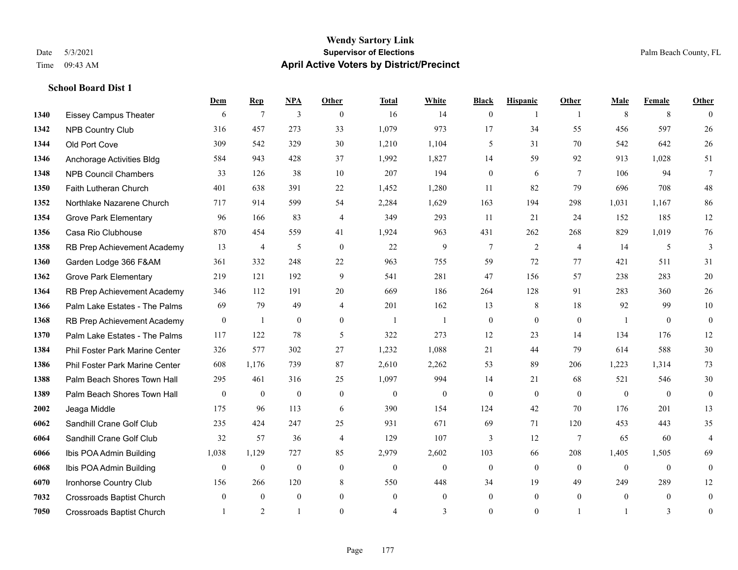**School Board Dist 1**

#### **Wendy Sartory Link** Date 5/3/2021 **Supervisor of Elections** Palm Beach County, FL Time 09:43 AM **April Active Voters by District/Precinct**

# **Dem Rep NPA Other Total White Black Hispanic Other Male Female Other** Eissey Campus Theater 6 7 3 0 16 14 0 1 1 8 8 0 NPB Country Club 316 457 273 33 1,079 973 17 34 55 456 597 26 Old Port Cove 309 542 329 30 1,210 1,104 5 31 70 542 642 26 Anchorage Activities Bldg 584 943 428 37 1,992 1,827 14 59 92 913 1,028 51 NPB Council Chambers 33 126 38 10 207 194 0 6 7 106 94 7 Faith Lutheran Church 401 638 391 22 1,452 1,280 11 82 79 696 708 48 Northlake Nazarene Church 717 914 599 54 2,284 1,629 163 194 298 1,031 1,167 86 Grove Park Elementary 96 166 83 4 349 293 11 21 24 152 185 12 Casa Rio Clubhouse 870 454 559 41 1,924 963 431 262 268 829 1,019 76 RB Prep Achievement Academy 13 4 5 0 22 9 7 2 4 14 5 3 Garden Lodge 366 F&AM 361 332 248 22 963 755 59 72 77 421 511 31 Grove Park Elementary 219 121 192 9 541 281 47 156 57 238 283 20 RB Prep Achievement Academy 346 112 191 20 669 186 264 128 91 283 360 26 Palm Lake Estates - The Palms 69 79 49 4 201 162 13 8 18 92 99 10 1368 RB Prep Achievement Academy 0 1 0 0 1 1 1 0 0 0 0 0 1 0 0 Palm Lake Estates - The Palms 117 122 78 5 322 273 12 23 14 134 176 12 Phil Foster Park Marine Center 326 577 302 27 1,232 1,088 21 44 79 614 588 30 Phil Foster Park Marine Center 608 1,176 739 87 2,610 2,262 53 89 206 1,223 1,314 73 Palm Beach Shores Town Hall 295 461 316 25 1,097 994 14 21 68 521 546 30 Palm Beach Shores Town Hall 0 0 0 0 0 0 0 0 0 0 0 0 Jeaga Middle 175 96 113 6 390 154 124 42 70 176 201 13 Sandhill Crane Golf Club 235 424 247 25 931 671 69 71 120 453 443 35 Sandhill Crane Golf Club 32 57 36 4 129 107 3 12 7 65 60 4 Ibis POA Admin Building 1,038 1,129 727 85 2,979 2,602 103 66 208 1,405 1,505 69 Ibis POA Admin Building 0 0 0 0 0 0 0 0 0 0 0 0 Ironhorse Country Club 156 266 120 8 550 448 34 19 49 249 289 12 Crossroads Baptist Church 0 0 0 0 0 0 0 0 0 0 0 0 Crossroads Baptist Church 1 2 1 0 4 3 0 1 1 3 0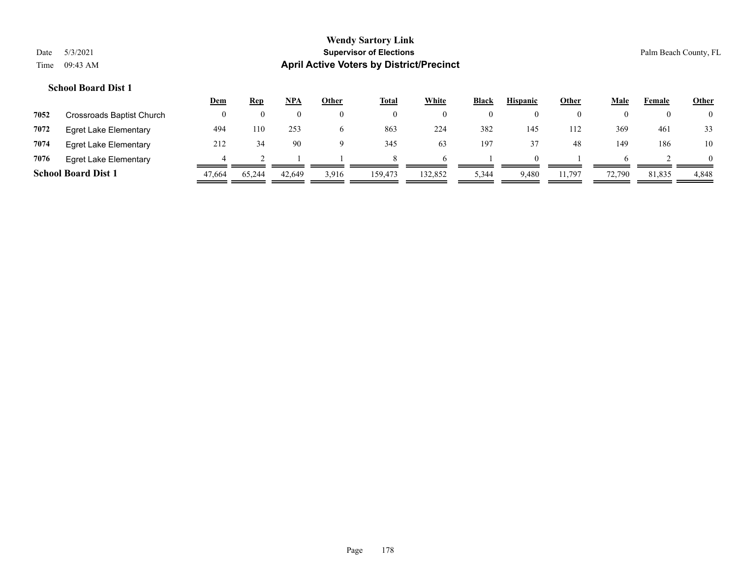|      |                              | <u>Dem</u> | <b>Rep</b> | NPA    | Other | Total   | White   | <b>Black</b> | <b>Hispanic</b> | Other  | Male   | Female | <b>Other</b> |
|------|------------------------------|------------|------------|--------|-------|---------|---------|--------------|-----------------|--------|--------|--------|--------------|
| 7052 | Crossroads Baptist Church    |            |            |        |       |         |         | $\theta$     |                 |        |        | O      | 0            |
| 7072 | Egret Lake Elementary        | 494        | 110        | 253    |       | 863     | 224     | 382          | 145             | 112    | 369    | 461    | 33           |
| 7074 | <b>Egret Lake Elementary</b> | 212        | 34         | 90     |       | 345     | 63      | 197          |                 | 48     | 149    | 186    | 10           |
| 7076 | Egret Lake Elementary        |            |            |        |       |         |         |              |                 |        |        |        |              |
|      | <b>School Board Dist 1</b>   | 47,664     | 65,244     | 42,649 | 3,916 | 159,473 | 132,852 | 5,344        | 9,480           | 11,797 | 72,790 | 81,835 | 4,848        |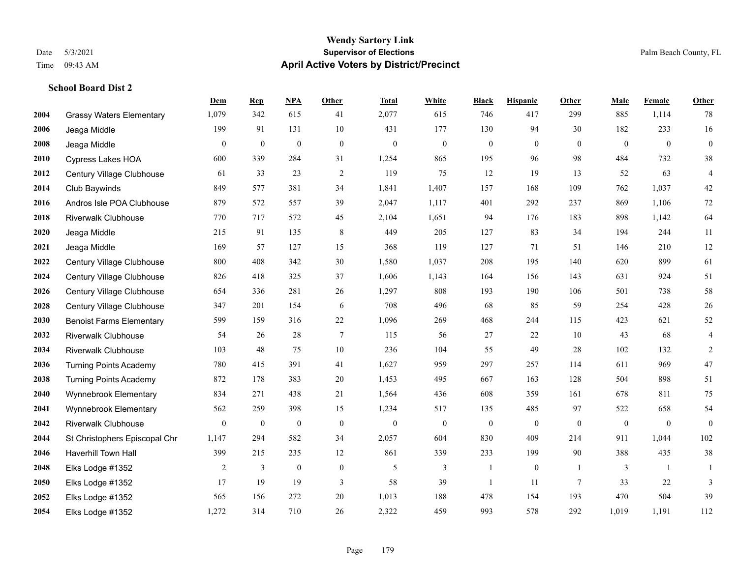**School Board Dist 2**

#### **Wendy Sartory Link** Date 5/3/2021 **Supervisor of Elections** Palm Beach County, FL Time 09:43 AM **April Active Voters by District/Precinct**

**Dem Rep NPA Other Total White Black Hispanic Other Male Female Other**

# Grassy Waters Elementary 1,079 342 615 41 2,077 615 746 417 299 885 1,114 78 Jeaga Middle 199 91 131 10 431 177 130 94 30 182 233 16 Jeaga Middle 0 0 0 0 0 0 0 0 0 0 0 0 Cypress Lakes HOA 600 339 284 31 1,254 865 195 96 98 484 732 38 Century Village Clubhouse 61 33 23 2 119 75 12 19 13 52 63 4 Club Baywinds 849 577 381 34 1,841 1,407 157 168 109 762 1,037 42 Andros Isle POA Clubhouse 879 572 557 39 2,047 1,117 401 292 237 869 1,106 72 Riverwalk Clubhouse 770 717 572 45 2,104 1,651 94 176 183 898 1,142 64 Jeaga Middle 215 91 135 8 449 205 127 83 34 194 244 11 Jeaga Middle 169 57 127 15 368 119 127 71 51 146 210 12 Century Village Clubhouse 800 408 342 30 1,580 1,037 208 195 140 620 899 61 Century Village Clubhouse 826 418 325 37 1,606 1,143 164 156 143 631 924 51 Century Village Clubhouse 654 336 281 26 1,297 808 193 190 106 501 738 58 Century Village Clubhouse 347 201 154 6 708 496 68 85 59 254 428 26 Benoist Farms Elementary 599 159 316 22 1,096 269 468 244 115 423 621 52 Riverwalk Clubhouse 54 26 28 7 115 56 27 22 10 43 68 4 Riverwalk Clubhouse 103 48 75 10 236 104 55 49 28 102 132 2 Turning Points Academy 780 415 391 41 1,627 959 297 257 114 611 969 47 Turning Points Academy 872 178 383 20 1,453 495 667 163 128 504 898 51 Wynnebrook Elementary 834 271 438 21 1,564 436 608 359 161 678 811 75 Wynnebrook Elementary 562 259 398 15 1,234 517 135 485 97 522 658 54 Riverwalk Clubhouse 0 0 0 0 0 0 0 0 0 0 0 0 St Christophers Episcopal Chr 1,147 294 582 34 2,057 604 830 409 214 911 1,044 102 Haverhill Town Hall 399 215 235 12 861 339 233 199 90 388 435 38 Elks Lodge #1352 2 3 0 0 5 3 1 0 1 3 1 1 Elks Lodge #1352 17 19 19 3 58 39 1 11 7 33 22 3 Elks Lodge #1352 565 156 272 20 1,013 188 478 154 193 470 504 39

Elks Lodge #1352 1,272 314 710 26 2,322 459 993 578 292 1,019 1,191 112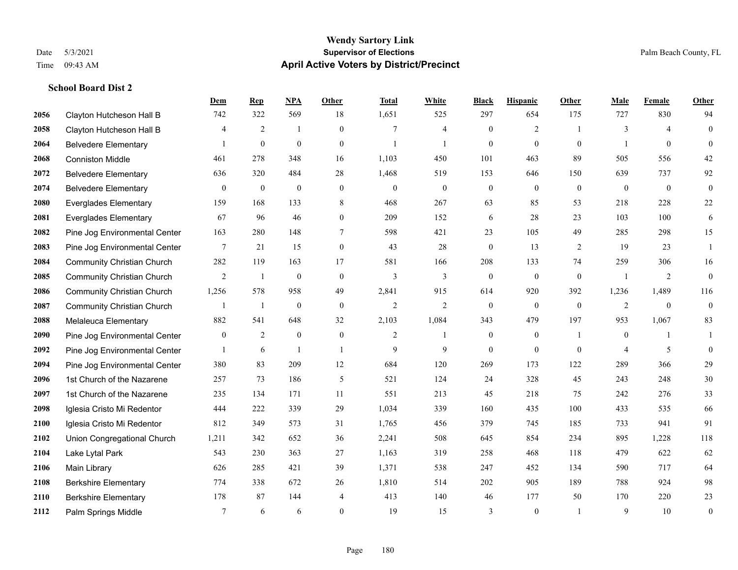**School Board Dist 2**

#### **Wendy Sartory Link** Date 5/3/2021 **Supervisor of Elections** Palm Beach County, FL Time 09:43 AM **April Active Voters by District/Precinct**

# **Dem Rep NPA Other Total White Black Hispanic Other Male Female Other** Clayton Hutcheson Hall B 742 322 569 18 1,651 525 297 654 175 727 830 94 Clayton Hutcheson Hall B 4 2 1 0 7 4 0 2 1 3 4 0 Belvedere Elementary 1 0 0 0 1 1 0 0 0 1 0 0 Conniston Middle 461 278 348 16 1,103 450 101 463 89 505 556 42 Belvedere Elementary 636 320 484 28 1,468 519 153 646 150 639 737 92 Belvedere Elementary 0 0 0 0 0 0 0 0 0 0 0 0 Everglades Elementary 159 168 133 8 468 267 63 85 53 218 228 22 Everglades Elementary 67 96 46 0 209 152 6 28 23 103 100 6 Pine Jog Environmental Center 163 280 148 7 598 421 23 105 49 285 298 15 Pine Jog Environmental Center 7 21 15 0 43 28 0 13 2 19 23 1 Community Christian Church 282 119 163 17 581 166 208 133 74 259 306 16 Community Christian Church 2 1 0 0 3 3 0 0 0 1 2 0 Community Christian Church 1,256 578 958 49 2,841 915 614 920 392 1,236 1,489 116 Community Christian Church 1 1 0 0 2 2 0 0 0 2 0 0 Melaleuca Elementary 882 541 648 32 2,103 1,084 343 479 197 953 1,067 83 **2090** Pine Jog Environmental Center  $\begin{array}{cccccccc} 0 & 2 & 0 & 0 & 2 & 1 & 0 & 1 & 0 & 1 \end{array}$ **2092** Pine Jog Environmental Center  $\begin{array}{cccccccc} 1 & 6 & 1 & 1 & 9 & 9 & 0 & 0 & 0 & 4 & 5 & 0 \end{array}$  Pine Jog Environmental Center 380 83 209 12 684 120 269 173 122 289 366 29 1st Church of the Nazarene 257 73 186 5 521 124 24 328 45 243 248 30 1st Church of the Nazarene 235 134 171 11 551 213 45 218 75 242 276 33 Iglesia Cristo Mi Redentor 444 222 339 29 1,034 339 160 435 100 433 535 66 Iglesia Cristo Mi Redentor 812 349 573 31 1,765 456 379 745 185 733 941 91 Union Congregational Church 1,211 342 652 36 2,241 508 645 854 234 895 1,228 118 Lake Lytal Park 543 230 363 27 1,163 319 258 468 118 479 622 62 Main Library 626 285 421 39 1,371 538 247 452 134 590 717 64 Berkshire Elementary 774 338 672 26 1,810 514 202 905 189 788 924 98 Berkshire Elementary 178 87 144 4 413 140 46 177 50 170 220 23 **2112** Palm Springs Middle  $\begin{array}{cccccccc} 7 & 6 & 6 & 0 & 19 & 15 & 3 & 0 & 1 & 9 & 10 & 0 \end{array}$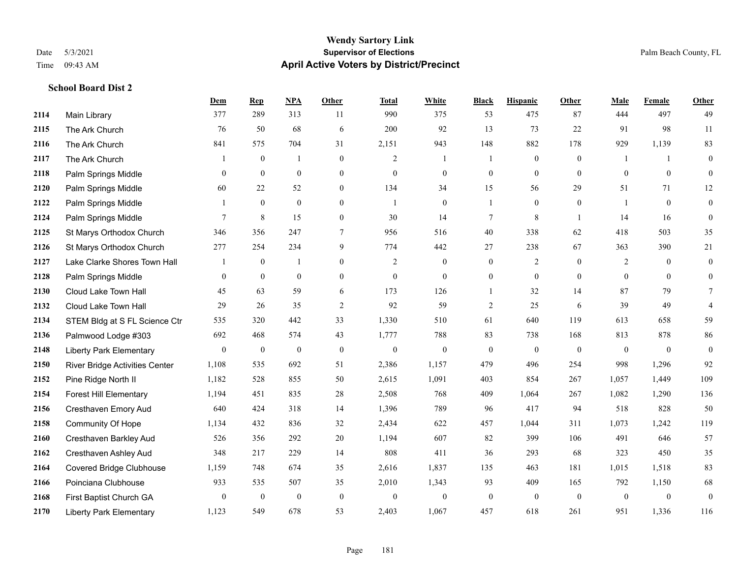#### **Wendy Sartory Link** Date 5/3/2021 **Supervisor of Elections** Palm Beach County, FL Time 09:43 AM **April Active Voters by District/Precinct**

## **Dem Rep NPA Other Total White Black Hispanic Other Male Female Other** Main Library 377 289 313 11 990 375 53 475 87 444 497 49 The Ark Church 76 50 68 6 200 92 13 73 22 91 98 11 The Ark Church 841 575 704 31 2,151 943 148 882 178 929 1,139 83 The Ark Church 1 0 1 0 2 1 1 0 0 1 1 0 Palm Springs Middle 0 0 0 0 0 0 0 0 0 0 0 0 Palm Springs Middle 60 22 52 0 134 34 15 56 29 51 71 12 Palm Springs Middle 1 0 0 0 1 0 1 0 0 1 0 0 **2124** Palm Springs Middle  $\begin{array}{cccccccc} 7 & 8 & 15 & 0 & 30 & 14 & 7 & 8 & 1 & 14 & 16 & 0 \end{array}$  St Marys Orthodox Church 346 356 247 7 956 516 40 338 62 418 503 35 St Marys Orthodox Church 277 254 234 9 774 442 27 238 67 363 390 21 Lake Clarke Shores Town Hall  $\begin{array}{ccccccccc} 1 & 0 & 1 & 0 & 2 & 0 & 0 & 2 & 0 & 2 & 0 & 0 \end{array}$  Palm Springs Middle 0 0 0 0 0 0 0 0 0 0 0 0 Cloud Lake Town Hall 45 63 59 6 173 126 1 32 14 87 79 7 Cloud Lake Town Hall 29 26 35 2 92 59 2 25 6 39 49 4 STEM Bldg at S FL Science Ctr 535 320 442 33 1,330 510 61 640 119 613 658 59 Palmwood Lodge #303 692 468 574 43 1,777 788 83 738 168 813 878 86 Liberty Park Elementary 0 0 0 0 0 0 0 0 0 0 0 0 River Bridge Activities Center 1,108 535 692 51 2,386 1,157 479 496 254 998 1,296 92 Pine Ridge North II 1,182 528 855 50 2,615 1,091 403 854 267 1,057 1,449 109 Forest Hill Elementary 1,194 451 835 28 2,508 768 409 1,064 267 1,082 1,290 136 Cresthaven Emory Aud 640 424 318 14 1,396 789 96 417 94 518 828 50 Community Of Hope 1,134 432 836 32 2,434 622 457 1,044 311 1,073 1,242 119 Cresthaven Barkley Aud 526 356 292 20 1,194 607 82 399 106 491 646 57 Cresthaven Ashley Aud 348 217 229 14 808 411 36 293 68 323 450 35 Covered Bridge Clubhouse 1,159 748 674 35 2,616 1,837 135 463 181 1,015 1,518 83 Poinciana Clubhouse 933 535 507 35 2,010 1,343 93 409 165 792 1,150 68 First Baptist Church GA 0 0 0 0 0 0 0 0 0 0 0 0 Liberty Park Elementary 1,123 549 678 53 2,403 1,067 457 618 261 951 1,336 116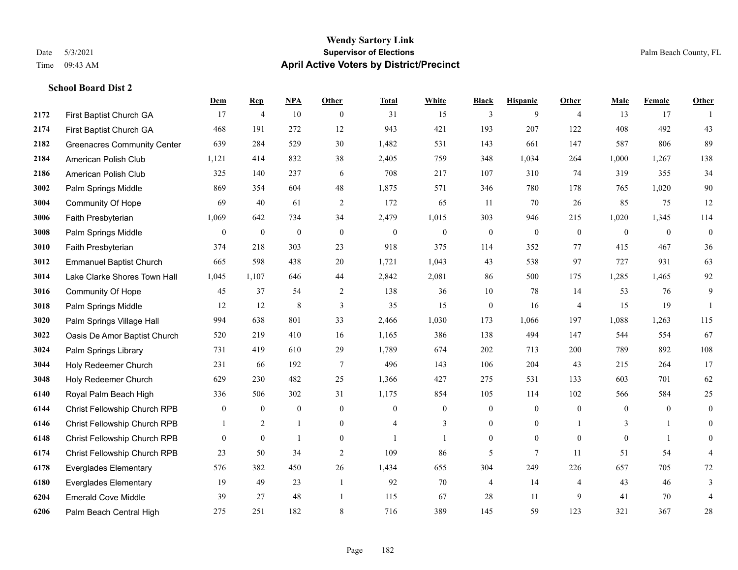#### **Wendy Sartory Link** Date 5/3/2021 **Supervisor of Elections** Palm Beach County, FL Time 09:43 AM **April Active Voters by District/Precinct**

## **Dem Rep NPA Other Total White Black Hispanic Other Male Female Other** First Baptist Church GA 17 4 10 0 31 15 3 9 4 13 17 1 First Baptist Church GA 468 191 272 12 943 421 193 207 122 408 492 43 Greenacres Community Center 639 284 529 30 1,482 531 143 661 147 587 806 89 American Polish Club 1,121 414 832 38 2,405 759 348 1,034 264 1,000 1,267 138 American Polish Club 325 140 237 6 708 217 107 310 74 319 355 34 Palm Springs Middle 869 354 604 48 1,875 571 346 780 178 765 1,020 90 Community Of Hope 69 40 61 2 172 65 11 70 26 85 75 12 Faith Presbyterian 1,069 642 734 34 2,479 1,015 303 946 215 1,020 1,345 114 Palm Springs Middle 0 0 0 0 0 0 0 0 0 0 0 0 Faith Presbyterian 374 218 303 23 918 375 114 352 77 415 467 36 Emmanuel Baptist Church 665 598 438 20 1,721 1,043 43 538 97 727 931 63 Lake Clarke Shores Town Hall 1,045 1,107 646 44 2,842 2,081 86 500 175 1,285 1,465 92 Community Of Hope 45 37 54 2 138 36 10 78 14 53 76 9 Palm Springs Middle 12 12 8 3 35 15 0 16 4 15 19 1 Palm Springs Village Hall 994 638 801 33 2,466 1,030 173 1,066 197 1,088 1,263 115 Oasis De Amor Baptist Church 520 219 410 16 1,165 386 138 494 147 544 554 67 Palm Springs Library 731 419 610 29 1,789 674 202 713 200 789 892 108 Holy Redeemer Church 231 66 192 7 496 143 106 204 43 215 264 17 Holy Redeemer Church 629 230 482 25 1,366 427 275 531 133 603 701 62 Royal Palm Beach High 336 506 302 31 1,175 854 105 114 102 566 584 25 Christ Fellowship Church RPB 0 0 0 0 0 0 0 0 0 0 0 0 Christ Fellowship Church RPB 1 2 1 0 4 3 0 0 1 3 1 0 Christ Fellowship Church RPB 0 0 1 0 1 1 0 0 0 0 1 0 Christ Fellowship Church RPB 23 50 34 2 109 86 5 7 11 51 54 4 Everglades Elementary 576 382 450 26 1,434 655 304 249 226 657 705 72 Everglades Elementary 19 49 23 1 92 70 4 14 4 43 46 3 Emerald Cove Middle 39 27 48 1 115 67 28 11 9 41 70 4 Palm Beach Central High 275 251 182 8 716 389 145 59 123 321 367 28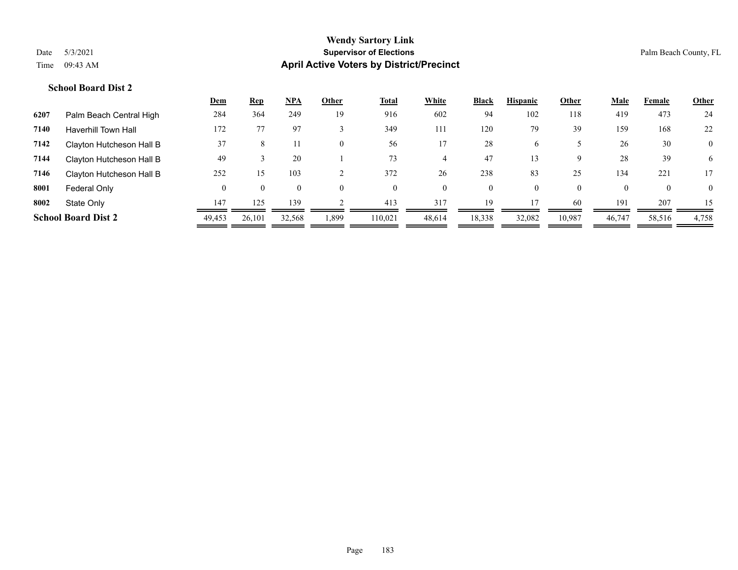#### **Wendy Sartory Link** Date 5/3/2021 **Supervisor of Elections Supervisor of Elections** Palm Beach County, FL Time 09:43 AM **April Active Voters by District/Precinct**

#### **School Board Dist 2**

|      |                            | Dem      | <b>Rep</b> | <u>NPA</u> | Other          | <u>Total</u> | <b>White</b> | <b>Black</b> | <b>Hispanic</b> | Other    | Male   | Female       | <b>Other</b>     |
|------|----------------------------|----------|------------|------------|----------------|--------------|--------------|--------------|-----------------|----------|--------|--------------|------------------|
| 6207 | Palm Beach Central High    | 284      | 364        | 249        | 19             | 916          | 602          | 94           | 102             | 118      | 419    | 473          | 24               |
| 7140 | <b>Haverhill Town Hall</b> | 172      |            | 97         |                | 349          | 111          | 120          | 79              | 39       | 159    | 168          | 22               |
| 7142 | Clayton Hutcheson Hall B   | 37       | 8          |            | $\overline{0}$ | 56           |              | 28           | 6               |          | 26     | 30           | $\boldsymbol{0}$ |
| 7144 | Clayton Hutcheson Hall B   | 49       |            | 20         |                | 73           | 4            | 47           | 13              | 9        | 28     | 39           | 6                |
| 7146 | Clayton Hutcheson Hall B   | 252      | 15         | 103        |                | 372          | 26           | 238          | 83              | 25       | 134    | 221          | 17               |
| 8001 | Federal Only               | $\theta$ | $\theta$   |            | $\Omega$       | $\theta$     | $\theta$     | $\mathbf{0}$ | $\Omega$        | $\theta$ |        | $\mathbf{0}$ | $\Omega$         |
| 8002 | State Only                 | 147      | 125        | 139        |                | 413          | 317          | 19           |                 | -60      | 191    | 207          | 15               |
|      | <b>School Board Dist 2</b> | 49,453   | 26,101     | 32,568     | 1,899          | 110.021      | 48,614       | 18,338       | 32,082          | 10,987   | 46,747 | 58,516       | 4,758            |
|      |                            |          |            |            |                |              |              |              |                 |          |        |              |                  |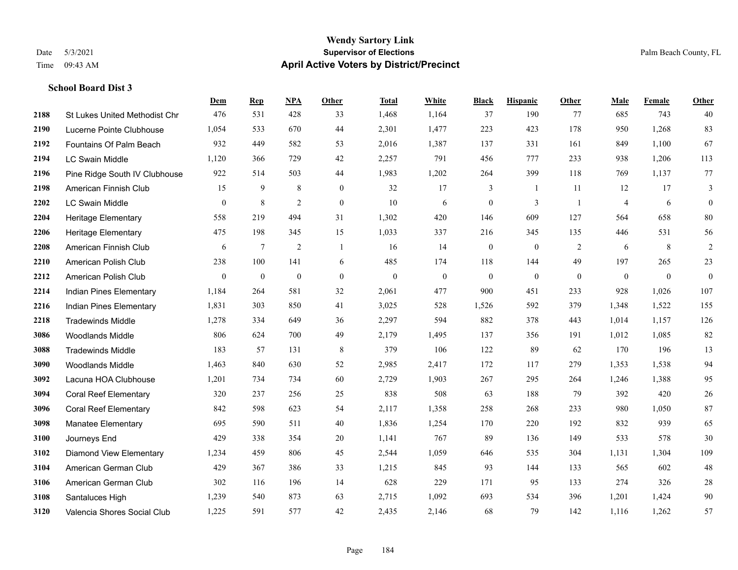#### **Wendy Sartory Link** Date 5/3/2021 **Supervisor of Elections** Palm Beach County, FL Time 09:43 AM **April Active Voters by District/Precinct**

#### **School Board Dist 3**

|      |                                      | Dem              | <b>Rep</b>   | NPA              | <b>Other</b>   | <b>Total</b> | <b>White</b> | <b>Black</b>     | <b>Hispanic</b> | <b>Other</b>   | <b>Male</b>    | Female       | <b>Other</b>     |
|------|--------------------------------------|------------------|--------------|------------------|----------------|--------------|--------------|------------------|-----------------|----------------|----------------|--------------|------------------|
| 2188 | <b>St Lukes United Methodist Chr</b> | 476              | 531          | 428              | 33             | 1,468        | 1,164        | 37               | 190             | 77             | 685            | 743          | 40               |
| 2190 | Lucerne Pointe Clubhouse             | 1,054            | 533          | 670              | 44             | 2,301        | 1,477        | 223              | 423             | 178            | 950            | 1,268        | 83               |
| 2192 | Fountains Of Palm Beach              | 932              | 449          | 582              | 53             | 2,016        | 1,387        | 137              | 331             | 161            | 849            | 1,100        | 67               |
| 2194 | <b>LC Swain Middle</b>               | 1,120            | 366          | 729              | 42             | 2,257        | 791          | 456              | 777             | 233            | 938            | 1,206        | 113              |
| 2196 | Pine Ridge South IV Clubhouse        | 922              | 514          | 503              | 44             | 1,983        | 1,202        | 264              | 399             | 118            | 769            | 1.137        | 77               |
| 2198 | American Finnish Club                | 15               | 9            | 8                | $\mathbf{0}$   | 32           | 17           | 3                | 1               | 11             | 12             | 17           | 3                |
| 2202 | <b>LC Swain Middle</b>               | $\mathbf{0}$     | 8            | $\overline{2}$   | $\overline{0}$ | 10           | 6            | $\boldsymbol{0}$ | 3               | $\overline{1}$ | $\overline{4}$ | 6            | $\boldsymbol{0}$ |
| 2204 | Heritage Elementary                  | 558              | 219          | 494              | 31             | 1,302        | 420          | 146              | 609             | 127            | 564            | 658          | 80               |
| 2206 | <b>Heritage Elementary</b>           | 475              | 198          | 345              | 15             | 1,033        | 337          | 216              | 345             | 135            | 446            | 531          | 56               |
| 2208 | American Finnish Club                | 6                | $\tau$       | 2                | 1              | 16           | 14           | $\boldsymbol{0}$ | $\mathbf{0}$    | 2              | 6              | 8            | $\overline{2}$   |
| 2210 | American Polish Club                 | 238              | 100          | 141              | 6              | 485          | 174          | 118              | 144             | 49             | 197            | 265          | 23               |
| 2212 | American Polish Club                 | $\boldsymbol{0}$ | $\mathbf{0}$ | $\boldsymbol{0}$ | $\mathbf{0}$   | $\mathbf{0}$ | $\theta$     | $\boldsymbol{0}$ | $\mathbf{0}$    | $\mathbf{0}$   | $\overline{0}$ | $\mathbf{0}$ | $\overline{0}$   |
| 2214 | Indian Pines Elementary              | 1,184            | 264          | 581              | 32             | 2,061        | 477          | 900              | 451             | 233            | 928            | 1,026        | 107              |
| 2216 | Indian Pines Elementary              | 1,831            | 303          | 850              | 41             | 3,025        | 528          | 1,526            | 592             | 379            | 1,348          | 1,522        | 155              |
| 2218 | <b>Tradewinds Middle</b>             | 1,278            | 334          | 649              | 36             | 2,297        | 594          | 882              | 378             | 443            | 1,014          | 1,157        | 126              |
| 3086 | <b>Woodlands Middle</b>              | 806              | 624          | 700              | 49             | 2,179        | 1,495        | 137              | 356             | 191            | 1,012          | 1,085        | 82               |
| 3088 | <b>Tradewinds Middle</b>             | 183              | 57           | 131              | $\,$ 8 $\,$    | 379          | 106          | 122              | 89              | 62             | 170            | 196          | 13               |
| 3090 | <b>Woodlands Middle</b>              | 1,463            | 840          | 630              | 52             | 2,985        | 2,417        | 172              | 117             | 279            | 1,353          | 1,538        | 94               |
| 3092 | Lacuna HOA Clubhouse                 | 1,201            | 734          | 734              | 60             | 2,729        | 1,903        | 267              | 295             | 264            | 1,246          | 1,388        | 95               |
| 3094 | <b>Coral Reef Elementary</b>         | 320              | 237          | 256              | 25             | 838          | 508          | 63               | 188             | 79             | 392            | 420          | 26               |
| 3096 | <b>Coral Reef Elementary</b>         | 842              | 598          | 623              | 54             | 2,117        | 1,358        | 258              | 268             | 233            | 980            | 1,050        | 87               |
| 3098 | <b>Manatee Elementary</b>            | 695              | 590          | 511              | 40             | 1,836        | 1,254        | 170              | 220             | 192            | 832            | 939          | 65               |
| 3100 | Journeys End                         | 429              | 338          | 354              | 20             | 1,141        | 767          | 89               | 136             | 149            | 533            | 578          | 30               |
| 3102 | <b>Diamond View Elementary</b>       | 1,234            | 459          | 806              | 45             | 2,544        | 1,059        | 646              | 535             | 304            | 1,131          | 1,304        | 109              |
| 3104 | American German Club                 | 429              | 367          | 386              | 33             | 1,215        | 845          | 93               | 144             | 133            | 565            | 602          | 48               |
| 3106 | American German Club                 | 302              | 116          | 196              | 14             | 628          | 229          | 171              | 95              | 133            | 274            | 326          | $28\,$           |
| 3108 | Santaluces High                      | 1,239            | 540          | 873              | 63             | 2,715        | 1,092        | 693              | 534             | 396            | 1,201          | 1,424        | 90               |
| 3120 | Valencia Shores Social Club          | 1,225            | 591          | 577              | 42             | 2,435        | 2,146        | 68               | 79              | 142            | 1,116          | 1,262        | 57               |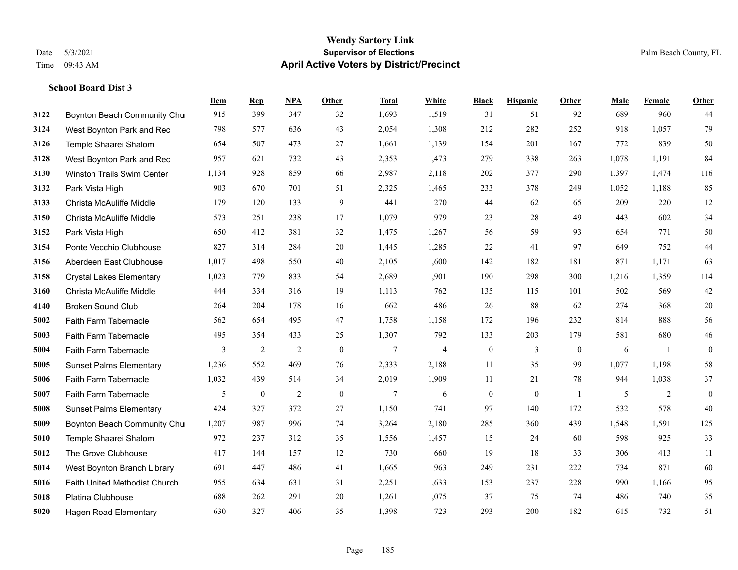#### **Wendy Sartory Link** Date 5/3/2021 **Supervisor of Elections** Palm Beach County, FL Time 09:43 AM **April Active Voters by District/Precinct**

## **Dem Rep NPA Other Total White Black Hispanic Other Male Female Other 3122 Boynton Beach Community Chu**rch 915 399 347 32 1,693 1,519 31 51 92 689 960 44 West Boynton Park and Rec 798 577 636 43 2,054 1,308 212 282 252 918 1,057 79 Temple Shaarei Shalom 654 507 473 27 1,661 1,139 154 201 167 772 839 50 West Boynton Park and Rec 957 621 732 43 2,353 1,473 279 338 263 1,078 1,191 84 Winston Trails Swim Center 1,134 928 859 66 2,987 2,118 202 377 290 1,397 1,474 116 Park Vista High 903 670 701 51 2,325 1,465 233 378 249 1,052 1,188 85 Christa McAuliffe Middle 179 120 133 9 441 270 44 62 65 209 220 12 Christa McAuliffe Middle 573 251 238 17 1,079 979 23 28 49 443 602 34 Park Vista High 650 412 381 32 1,475 1,267 56 59 93 654 771 50 Ponte Vecchio Clubhouse 827 314 284 20 1,445 1,285 22 41 97 649 752 44 Aberdeen East Clubhouse 1,017 498 550 40 2,105 1,600 142 182 181 871 1,171 63 Crystal Lakes Elementary 1,023 779 833 54 2,689 1,901 190 298 300 1,216 1,359 114 Christa McAuliffe Middle 444 334 316 19 1,113 762 135 115 101 502 569 42 Broken Sound Club 264 204 178 16 662 486 26 88 62 274 368 20 Faith Farm Tabernacle 562 654 495 47 1,758 1,158 172 196 232 814 888 56 Faith Farm Tabernacle 495 354 433 25 1,307 792 133 203 179 581 680 46 Faith Farm Tabernacle 3 2 2 0 7 4 0 3 0 6 1 0 Sunset Palms Elementary 1,236 552 469 76 2,333 2,188 11 35 99 1,077 1,198 58 Faith Farm Tabernacle 1,032 439 514 34 2,019 1,909 11 21 78 944 1,038 37 Faith Farm Tabernacle 5 0 2 0 7 6 0 0 1 5 2 0 Sunset Palms Elementary 424 327 372 27 1,150 741 97 140 172 532 578 40 Boynton Beach Community Church 1,207 987 996 74 3,264 2,180 285 360 439 1,548 1,591 125 Temple Shaarei Shalom 972 237 312 35 1,556 1,457 15 24 60 598 925 33 The Grove Clubhouse 417 144 157 12 730 660 19 18 33 306 413 11 West Boynton Branch Library 691 447 486 41 1,665 963 249 231 222 734 871 60 Faith United Methodist Church 955 634 631 31 2,251 1,633 153 237 228 990 1,166 95 Platina Clubhouse 688 262 291 20 1,261 1,075 37 75 74 486 740 35 Hagen Road Elementary 630 327 406 35 1,398 723 293 200 182 615 732 51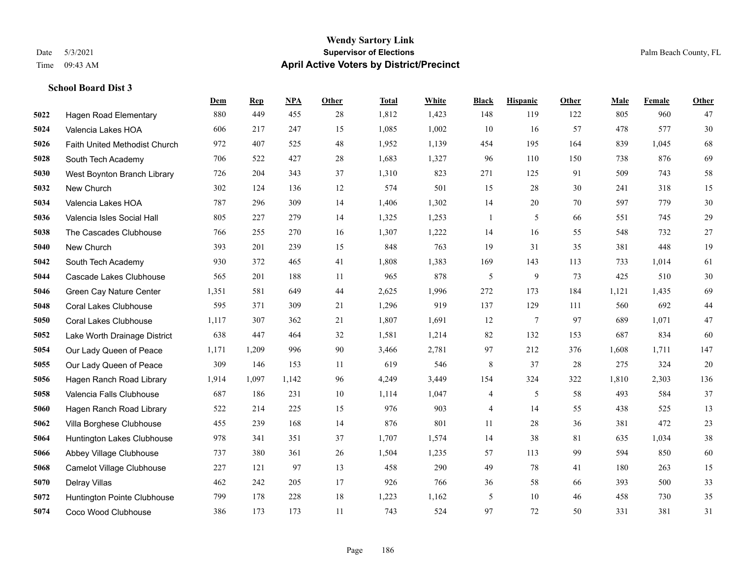#### **Wendy Sartory Link** Date 5/3/2021 **Supervisor of Elections** Palm Beach County, FL Time 09:43 AM **April Active Voters by District/Precinct**

## **Dem Rep NPA Other Total White Black Hispanic Other Male Female Other** Hagen Road Elementary 880 449 455 28 1,812 1,423 148 119 122 805 960 47 Valencia Lakes HOA 606 217 247 15 1,085 1,002 10 16 57 478 577 30 Faith United Methodist Church 972 407 525 48 1,952 1,139 454 195 164 839 1,045 68 South Tech Academy 706 522 427 28 1,683 1,327 96 110 150 738 876 69 West Boynton Branch Library 726 204 343 37 1,310 823 271 125 91 509 743 58 New Church 302 124 136 12 574 501 15 28 30 241 318 15 Valencia Lakes HOA 787 296 309 14 1,406 1,302 14 20 70 597 779 30 Valencia Isles Social Hall 805 227 279 14 1,325 1,253 1 5 66 551 745 29 The Cascades Clubhouse 766 255 270 16 1,307 1,222 14 16 55 548 732 27 New Church 393 201 239 15 848 763 19 31 35 381 448 19 South Tech Academy 930 372 465 41 1,808 1,383 169 143 113 733 1,014 61 Cascade Lakes Clubhouse 565 201 188 11 965 878 5 9 73 425 510 30 Green Cay Nature Center 1,351 581 649 44 2,625 1,996 272 173 184 1,121 1,435 69 Coral Lakes Clubhouse 595 371 309 21 1,296 919 137 129 111 560 692 44 Coral Lakes Clubhouse 1,117 307 362 21 1,807 1,691 12 7 97 689 1,071 47 Lake Worth Drainage District 638 447 464 32 1,581 1,214 82 132 153 687 834 60 Our Lady Queen of Peace 1,171 1,209 996 90 3,466 2,781 97 212 376 1,608 1,711 147 Our Lady Queen of Peace 309 146 153 11 619 546 8 37 28 275 324 20 Hagen Ranch Road Library 1,914 1,097 1,142 96 4,249 3,449 154 324 322 1,810 2,303 136 Valencia Falls Clubhouse 687 186 231 10 1,114 1,047 4 5 58 493 584 37 Hagen Ranch Road Library 522 214 225 15 976 903 4 14 55 438 525 13 Villa Borghese Clubhouse 455 239 168 14 876 801 11 28 36 381 472 23 Huntington Lakes Clubhouse 978 341 351 37 1,707 1,574 14 38 81 635 1,034 38 Abbey Village Clubhouse 737 380 361 26 1,504 1,235 57 113 99 594 850 60 Camelot Village Clubhouse 227 121 97 13 458 290 49 78 41 180 263 15 Delray Villas 462 242 205 17 926 766 36 58 66 393 500 33 Huntington Pointe Clubhouse 799 178 228 18 1,223 1,162 5 10 46 458 730 35 Coco Wood Clubhouse 386 173 173 11 743 524 97 72 50 331 381 31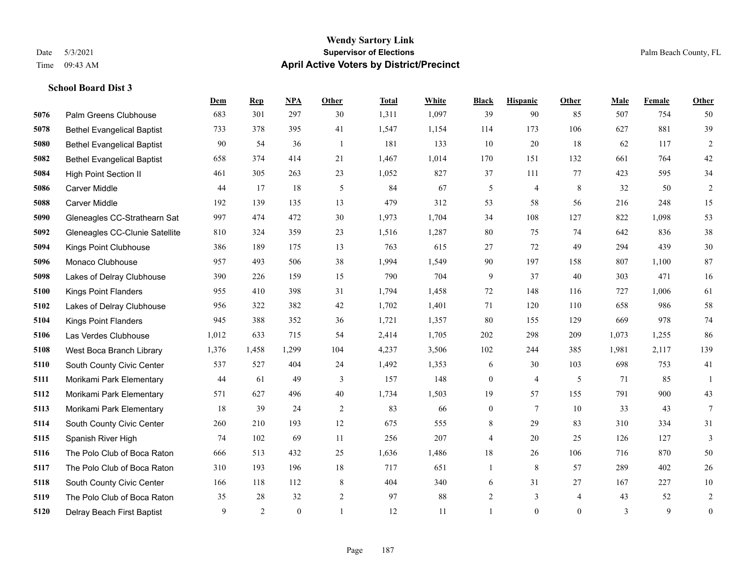#### **Wendy Sartory Link** Date 5/3/2021 **Supervisor of Elections Supervisor of Elections** Palm Beach County, FL Time 09:43 AM **April Active Voters by District/Precinct**

|      |                                   | Dem   | <b>Rep</b>     | <b>NPA</b> | Other  | <b>Total</b> | White | <b>Black</b>     | <b>Hispanic</b> | Other          | Male  | Female | Other            |
|------|-----------------------------------|-------|----------------|------------|--------|--------------|-------|------------------|-----------------|----------------|-------|--------|------------------|
| 5076 | Palm Greens Clubhouse             | 683   | 301            | 297        | 30     | 1,311        | 1,097 | 39               | 90              | 85             | 507   | 754    | 50               |
| 5078 | <b>Bethel Evangelical Baptist</b> | 733   | 378            | 395        | 41     | 1,547        | 1,154 | 114              | 173             | 106            | 627   | 881    | 39               |
| 5080 | <b>Bethel Evangelical Baptist</b> | 90    | 54             | 36         | -1     | 181          | 133   | $10\,$           | 20              | 18             | 62    | 117    | $\overline{c}$   |
| 5082 | <b>Bethel Evangelical Baptist</b> | 658   | 374            | 414        | 21     | 1,467        | 1,014 | 170              | 151             | 132            | 661   | 764    | 42               |
| 5084 | <b>High Point Section II</b>      | 461   | 305            | 263        | 23     | 1,052        | 827   | 37               | 111             | 77             | 423   | 595    | 34               |
| 5086 | Carver Middle                     | 44    | 17             | 18         | 5      | 84           | 67    | 5                | 4               | $\,8\,$        | 32    | 50     | $\overline{c}$   |
| 5088 | Carver Middle                     | 192   | 139            | 135        | 13     | 479          | 312   | 53               | 58              | 56             | 216   | 248    | 15               |
| 5090 | Gleneagles CC-Strathearn Sat      | 997   | 474            | 472        | 30     | 1,973        | 1,704 | 34               | 108             | 127            | 822   | 1,098  | 53               |
| 5092 | Gleneagles CC-Clunie Satellite    | 810   | 324            | 359        | 23     | 1,516        | 1,287 | $80\,$           | 75              | 74             | 642   | 836    | $38\,$           |
| 5094 | Kings Point Clubhouse             | 386   | 189            | 175        | 13     | 763          | 615   | 27               | 72              | 49             | 294   | 439    | $30\,$           |
| 5096 | Monaco Clubhouse                  | 957   | 493            | 506        | 38     | 1,994        | 1,549 | 90               | 197             | 158            | 807   | 1,100  | 87               |
| 5098 | Lakes of Delray Clubhouse         | 390   | 226            | 159        | 15     | 790          | 704   | 9                | 37              | 40             | 303   | 471    | 16               |
| 5100 | <b>Kings Point Flanders</b>       | 955   | 410            | 398        | 31     | 1,794        | 1,458 | 72               | 148             | 116            | 727   | 1,006  | 61               |
| 5102 | Lakes of Delray Clubhouse         | 956   | 322            | 382        | 42     | 1,702        | 1,401 | 71               | 120             | 110            | 658   | 986    | 58               |
| 5104 | <b>Kings Point Flanders</b>       | 945   | 388            | 352        | 36     | 1,721        | 1,357 | 80               | 155             | 129            | 669   | 978    | 74               |
| 5106 | Las Verdes Clubhouse              | 1,012 | 633            | 715        | 54     | 2,414        | 1,705 | 202              | 298             | 209            | 1,073 | 1,255  | 86               |
| 5108 | West Boca Branch Library          | 1,376 | 1,458          | 1,299      | 104    | 4,237        | 3,506 | 102              | 244             | 385            | 1,981 | 2,117  | 139              |
| 5110 | South County Civic Center         | 537   | 527            | 404        | 24     | 1,492        | 1,353 | 6                | 30              | 103            | 698   | 753    | 41               |
| 5111 | Morikami Park Elementary          | 44    | 61             | 49         | 3      | 157          | 148   | $\boldsymbol{0}$ | 4               | 5              | 71    | 85     | 1                |
| 5112 | Morikami Park Elementary          | 571   | 627            | 496        | $40\,$ | 1,734        | 1,503 | 19               | 57              | 155            | 791   | 900    | 43               |
| 5113 | Morikami Park Elementary          | 18    | 39             | 24         | 2      | 83           | 66    | $\boldsymbol{0}$ | $\tau$          | 10             | 33    | 43     | $\tau$           |
| 5114 | South County Civic Center         | 260   | 210            | 193        | 12     | 675          | 555   | $\,8\,$          | 29              | 83             | 310   | 334    | 31               |
| 5115 | Spanish River High                | 74    | 102            | 69         | 11     | 256          | 207   | 4                | 20              | 25             | 126   | 127    | 3                |
| 5116 | The Polo Club of Boca Raton       | 666   | 513            | 432        | 25     | 1,636        | 1,486 | $18\,$           | 26              | 106            | 716   | 870    | 50               |
| 5117 | The Polo Club of Boca Raton       | 310   | 193            | 196        | 18     | 717          | 651   | $\mathbf{1}$     | $\,$ 8 $\,$     | 57             | 289   | 402    | $26\,$           |
| 5118 | South County Civic Center         | 166   | 118            | 112        | 8      | 404          | 340   | 6                | 31              | 27             | 167   | 227    | $10\,$           |
| 5119 | The Polo Club of Boca Raton       | 35    | 28             | 32         | 2      | 97           | 88    | $\overline{2}$   | 3               | $\overline{4}$ | 43    | 52     | $\overline{2}$   |
| 5120 | Delray Beach First Baptist        | 9     | $\overline{2}$ | $\theta$   |        | 12           | 11    |                  | $\theta$        | $\theta$       | 3     | 9      | $\boldsymbol{0}$ |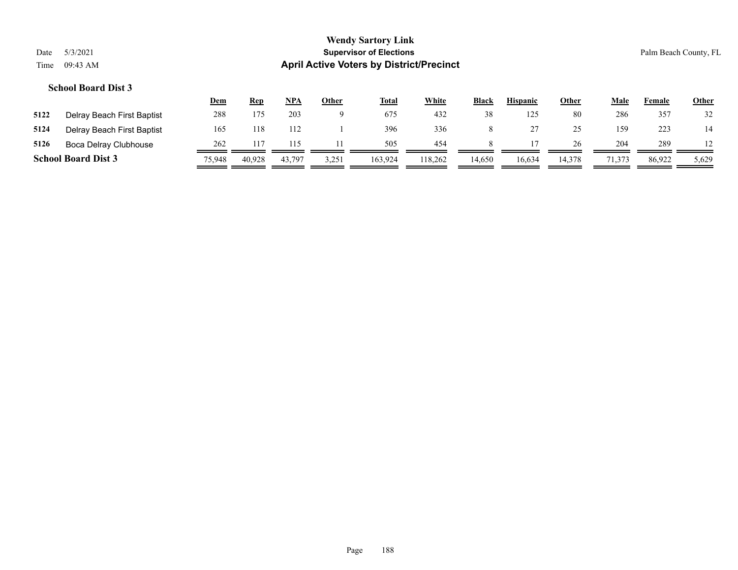#### **Wendy Sartory Link** Date 5/3/2021 **Supervisor of Elections Supervisor of Elections** Palm Beach County, FL Time 09:43 AM **April Active Voters by District/Precinct**

#### **School Board Dist 3**

|      |                            | <u>Dem</u> | <b>Rep</b> | NPA    | Other | <u>Total</u> | White   | <b>Black</b> | <b>Hispanic</b> | <u>Other</u> | Male   | Female | <u>Other</u> |
|------|----------------------------|------------|------------|--------|-------|--------------|---------|--------------|-----------------|--------------|--------|--------|--------------|
| 5122 | Delray Beach First Baptist | 288        | 175        | 203    |       | 675          | 432     | 38           | 125             | 80           | 286    | 357    | 32           |
| 5124 | Delray Beach First Baptist | 165        | 118        | 112    |       | 396          | 336     |              |                 | 25           | 159    | 223    | 14           |
| 5126 | Boca Delray Clubhouse      | 262        |            |        |       | 505          | 454     |              |                 | 26           | 204    | 289    |              |
|      | <b>School Board Dist 3</b> | 75,948     | 40.928     | 43,797 | 3,251 | 163,924      | 118,262 | 14,650       | 16,634          | 14,378       | 71,373 | 86,922 | 5,629        |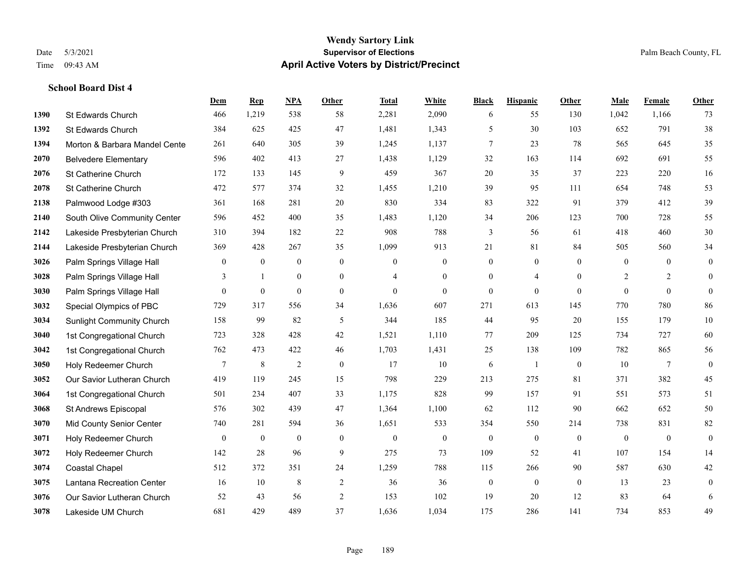#### **Wendy Sartory Link** Date 5/3/2021 **Supervisor of Elections** Palm Beach County, FL Time 09:43 AM **April Active Voters by District/Precinct**

## **Dem Rep NPA Other Total White Black Hispanic Other Male Female Other** St Edwards Church 466 1,219 538 58 2,281 2,090 6 55 130 1,042 1,166 73 St Edwards Church 384 625 425 47 1,481 1,343 5 30 103 652 791 38 **1394 Morton & Barbara Mandel Cente** 261 640 305 39 1,245 1,137 7 23 78 565 645 35 Belvedere Elementary 596 402 413 27 1,438 1,129 32 163 114 692 691 55 St Catherine Church 172 133 145 9 459 367 20 35 37 223 220 16 St Catherine Church 472 577 374 32 1,455 1,210 39 95 111 654 748 53 Palmwood Lodge #303 361 168 281 20 830 334 83 322 91 379 412 39 South Olive Community Center 596 452 400 35 1,483 1,120 34 206 123 700 728 55 Lakeside Presbyterian Church 310 394 182 22 908 788 3 56 61 418 460 30 Lakeside Presbyterian Church 369 428 267 35 1,099 913 21 81 84 505 560 34 **3026** Palm Springs Village Hall  $\begin{pmatrix} 0 & 0 & 0 & 0 \\ 0 & 0 & 0 & 0 \\ 0 & 0 & 0 & 0 \end{pmatrix}$ **3028** Palm Springs Village Hall  $\begin{array}{cccccccc} 3 & 1 & 0 & 0 & 4 & 0 & 0 & 4 & 0 & 2 & 2 & 0 \end{array}$ **3030** Palm Springs Village Hall  $\begin{pmatrix} 0 & 0 & 0 & 0 \\ 0 & 0 & 0 & 0 \\ 0 & 0 & 0 & 0 \end{pmatrix}$  Special Olympics of PBC 729 317 556 34 1,636 607 271 613 145 770 780 86 Sunlight Community Church 158 99 82 5 344 185 44 95 20 155 179 10 1st Congregational Church 723 328 428 42 1,521 1,110 77 209 125 734 727 60 1st Congregational Church 762 473 422 46 1,703 1,431 25 138 109 782 865 56 Holy Redeemer Church **7** 8 2 0 17 10 6 1 0 10 7 0 Our Savior Lutheran Church 419 119 245 15 798 229 213 275 81 371 382 45 1st Congregational Church 501 234 407 33 1,175 828 99 157 91 551 573 51 St Andrews Episcopal 576 302 439 47 1,364 1,100 62 112 90 662 652 50 Mid County Senior Center 740 281 594 36 1,651 533 354 550 214 738 831 82 Holy Redeemer Church 0 0 0 0 0 0 0 0 0 0 0 0 Holy Redeemer Church 142 28 96 9 275 73 109 52 41 107 154 14 Coastal Chapel 512 372 351 24 1,259 788 115 266 90 587 630 42 Lantana Recreation Center 16 10 8 2 36 36 0 0 0 13 23 0 Our Savior Lutheran Church 52 43 56 2 153 102 19 20 12 83 64 6 Lakeside UM Church 681 429 489 37 1,636 1,034 175 286 141 734 853 49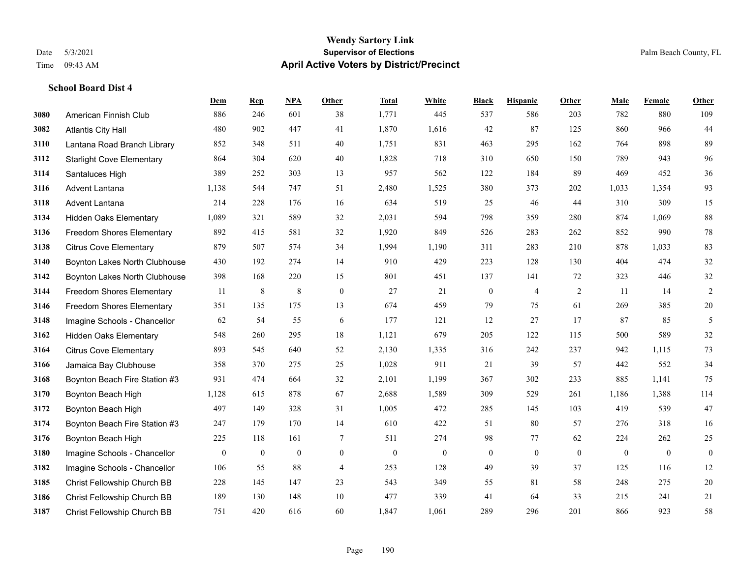#### **Wendy Sartory Link** Date 5/3/2021 **Supervisor of Elections** Palm Beach County, FL Time 09:43 AM **April Active Voters by District/Precinct**

**Dem Rep NPA Other Total White Black Hispanic Other Male Female Other**

## American Finnish Club 886 246 601 38 1,771 445 537 586 203 782 880 109 Atlantis City Hall 480 902 447 41 1,870 1,616 42 87 125 860 966 44 Lantana Road Branch Library 852 348 511 40 1,751 831 463 295 162 764 898 89 Starlight Cove Elementary 864 304 620 40 1,828 718 310 650 150 789 943 96 Santaluces High 389 252 303 13 957 562 122 184 89 469 452 36 Advent Lantana 1,138 544 747 51 2,480 1,525 380 373 202 1,033 1,354 93 Advent Lantana 214 228 176 16 634 519 25 46 44 310 309 15 Hidden Oaks Elementary 1,089 321 589 32 2,031 594 798 359 280 874 1,069 88 Freedom Shores Elementary 892 415 581 32 1,920 849 526 283 262 852 990 78 Citrus Cove Elementary 879 507 574 34 1,994 1,190 311 283 210 878 1,033 83 Boynton Lakes North Clubhouse 430 192 274 14 910 429 223 128 130 404 474 32 Boynton Lakes North Clubhouse 398 168 220 15 801 451 137 141 72 323 446 32 Freedom Shores Elementary 11 8 8 0 27 21 0 4 2 11 14 2 Freedom Shores Elementary 351 135 175 13 674 459 79 75 61 269 385 20 Imagine Schools - Chancellor 62 54 55 6 177 121 12 27 17 87 85 5 Hidden Oaks Elementary 548 260 295 18 1,121 679 205 122 115 500 589 32 Citrus Cove Elementary 893 545 640 52 2,130 1,335 316 242 237 942 1,115 73 Jamaica Bay Clubhouse 358 370 275 25 1,028 911 21 39 57 442 552 34 Boynton Beach Fire Station #3 931 474 664 32 2,101 1,199 367 302 233 885 1,141 75 Boynton Beach High 1,128 615 878 67 2,688 1,589 309 529 261 1,186 1,388 114 Boynton Beach High 497 149 328 31 1,005 472 285 145 103 419 539 47 Boynton Beach Fire Station #3 247 179 170 14 610 422 51 80 57 276 318 16 Boynton Beach High 225 118 161 7 511 274 98 77 62 224 262 25 Imagine Schools - Chancellor 0 0 0 0 0 0 0 0 0 0 0 0 Imagine Schools - Chancellor 106 55 88 4 253 128 49 39 37 125 116 12

 Christ Fellowship Church BB 228 145 147 23 543 349 55 81 58 248 275 20 Christ Fellowship Church BB 189 130 148 10 477 339 41 64 33 215 241 21 Christ Fellowship Church BB 751 420 616 60 1,847 1,061 289 296 201 866 923 58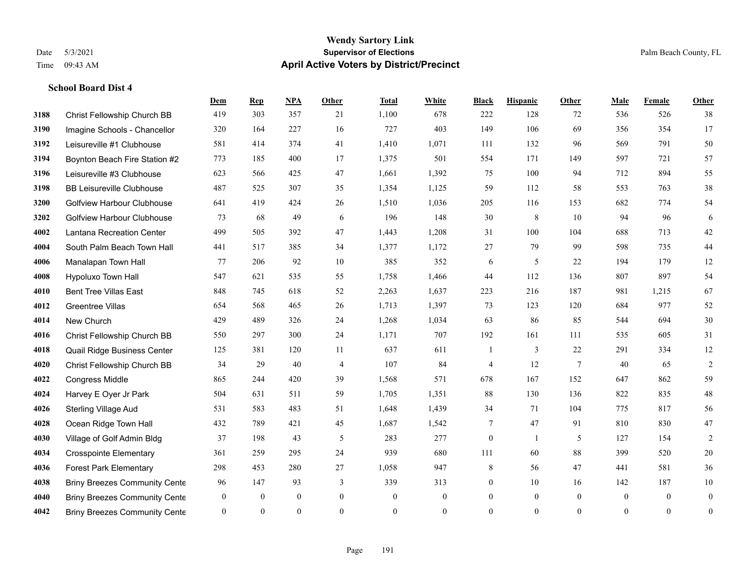#### **Wendy Sartory Link** Date 5/3/2021 **Supervisor of Elections** Palm Beach County, FL Time 09:43 AM **April Active Voters by District/Precinct**

## **Dem Rep NPA Other Total White Black Hispanic Other Male Female Other** Christ Fellowship Church BB 419 303 357 21 1,100 678 222 128 72 536 526 38 Imagine Schools - Chancellor 320 164 227 16 727 403 149 106 69 356 354 17 Leisureville #1 Clubhouse 581 414 374 41 1,410 1,071 111 132 96 569 791 50 Boynton Beach Fire Station #2 773 185 400 17 1,375 501 554 171 149 597 721 57 Leisureville #3 Clubhouse 623 566 425 47 1,661 1,392 75 100 94 712 894 55 BB Leisureville Clubhouse 487 525 307 35 1,354 1,125 59 112 58 553 763 38 Golfview Harbour Clubhouse 641 419 424 26 1,510 1,036 205 116 153 682 774 54 Golfview Harbour Clubhouse 73 68 49 6 196 148 30 8 10 94 96 6 Lantana Recreation Center 499 505 392 47 1,443 1,208 31 100 104 688 713 42 South Palm Beach Town Hall 441 517 385 34 1,377 1,172 27 79 99 598 735 44 Manalapan Town Hall 77 206 92 10 385 352 6 5 22 194 179 12 Hypoluxo Town Hall 547 621 535 55 1,758 1,466 44 112 136 807 897 54 Bent Tree Villas East 848 745 618 52 2,263 1,637 223 216 187 981 1,215 67 Greentree Villas 654 568 465 26 1,713 1,397 73 123 120 684 977 52 New Church 429 489 326 24 1,268 1,034 63 86 85 544 694 30 Christ Fellowship Church BB 550 297 300 24 1,171 707 192 161 111 535 605 31 Quail Ridge Business Center 125 381 120 11 637 611 1 3 22 291 334 12 Christ Fellowship Church BB 34 29 40 4 107 84 4 12 7 40 65 2 Congress Middle 865 244 420 39 1,568 571 678 167 152 647 862 59 Harvey E Oyer Jr Park 504 631 511 59 1,705 1,351 88 130 136 822 835 48 Sterling Village Aud 531 583 483 51 1,648 1,439 34 71 104 775 817 56 Ocean Ridge Town Hall 432 789 421 45 1,687 1,542 7 47 91 810 830 47 4030 Village of Golf Admin Bldg 37 198 43 5 283 277 0 1 5 127 154 2 Crosspointe Elementary 361 259 295 24 939 680 111 60 88 399 520 20 Forest Park Elementary 298 453 280 27 1,058 947 8 56 47 441 581 36 **4038 Briny Breezes Community Cente** 96 147 93 339 313 0 10 16 142 187 10 Briny Breezes Community Center 0 0 0 0 0 0 0 0 0 0 0 0 Briny Breezes Community Center 0 0 0 0 0 0 0 0 0 0 0 0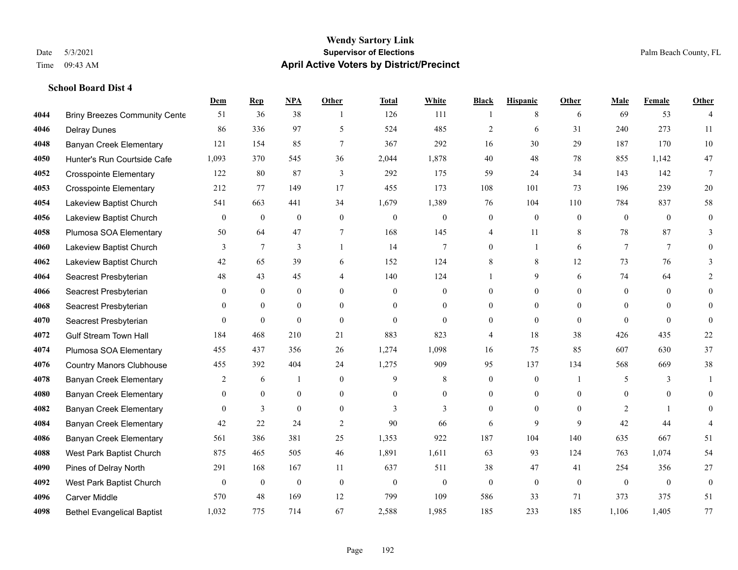#### **Wendy Sartory Link** Date 5/3/2021 **Supervisor of Elections** Palm Beach County, FL Time 09:43 AM **April Active Voters by District/Precinct**

4044 Briny Breezes Community Cente 51 36 38 1 126 111 1 3 8 6 53 4

**Dem Rep NPA Other Total White Black Hispanic Other Male Female Other**

# Delray Dunes 86 336 97 5 524 485 2 6 31 240 273 11 Banyan Creek Elementary 121 154 85 7 367 292 16 30 29 187 170 10 Hunter's Run Courtside Cafe 1,093 370 545 36 2,044 1,878 40 48 78 855 1,142 47 Crosspointe Elementary 122 80 87 3 292 175 59 24 34 143 142 7 Crosspointe Elementary 212 77 149 17 455 173 108 101 73 196 239 20 Lakeview Baptist Church 541 663 441 34 1,679 1,389 76 104 110 784 837 58

| 4056 | Lakeview Baptist Church           | $\Omega$         | $\Omega$       | $\theta$       | $\Omega$       | $\Omega$         | $\Omega$     | 0              | $\Omega$       | $\theta$     | $\Omega$       | $\theta$       |          |
|------|-----------------------------------|------------------|----------------|----------------|----------------|------------------|--------------|----------------|----------------|--------------|----------------|----------------|----------|
| 4058 | Plumosa SOA Elementary            | 50               | 64             | 47             | 7              | 168              | 145          | 4              | 11             | 8            | 78             | 87             |          |
| 4060 | Lakeview Baptist Church           | 3                | 7              | 3              |                | 14               | 7            | $\theta$       |                | 6            | 7              | $\overline{7}$ |          |
| 4062 | Lakeview Baptist Church           | 42               | 65             | 39             | 6              | 152              | 124          | 8              | 8              | 12           | 73             | 76             |          |
| 4064 | Seacrest Presbyterian             | 48               | 43             | 45             | $\overline{4}$ | 140              | 124          |                | 9              | 6            | 74             | 64             |          |
| 4066 | Seacrest Presbyterian             | $\theta$         | $\mathbf{0}$   | $\overline{0}$ | $\overline{0}$ | $\boldsymbol{0}$ | $\theta$     | $\Omega$       | $\overline{0}$ | $\mathbf{0}$ | $\Omega$       | $\overline{0}$ | $\theta$ |
| 4068 | Seacrest Presbyterian             | $\theta$         | $\theta$       | $\overline{0}$ | $\theta$       | $\overline{0}$   | $\theta$     | $\Omega$       | $\theta$       | $\theta$     | $\theta$       | $\theta$       | $\Omega$ |
| 4070 | Seacrest Presbyterian             | $\boldsymbol{0}$ | $\mathbf{0}$   | $\overline{0}$ | $\overline{0}$ | $\boldsymbol{0}$ | $\theta$     | $\Omega$       | $\theta$       | $\mathbf{0}$ | $\mathbf{0}$   | $\mathbf{0}$   | $\Omega$ |
| 4072 | <b>Gulf Stream Town Hall</b>      | 184              | 468            | 210            | 21             | 883              | 823          | $\Delta$       | 18             | 38           | 426            | 435            | 22       |
| 4074 | Plumosa SOA Elementary            | 455              | 437            | 356            | 26             | 1,274            | 1,098        | 16             | 75             | 85           | 607            | 630            | 37       |
| 4076 | <b>Country Manors Clubhouse</b>   | 455              | 392            | 404            | 24             | 1,275            | 909          | 95             | 137            | 134          | 568            | 669            | 38       |
| 4078 | <b>Banyan Creek Elementary</b>    | 2                | 6              |                | $\mathbf{0}$   | 9                | 8            | $\overline{0}$ | $\overline{0}$ |              | 5              | $\mathcal{E}$  |          |
| 4080 | Banyan Creek Elementary           | $\theta$         | $\theta$       | $\Omega$       | $\Omega$       | $\overline{0}$   | $\Omega$     | $\Omega$       | $\Omega$       | $\theta$     | $\Omega$       | $\Omega$       | $\Omega$ |
| 4082 | Banyan Creek Elementary           | $\theta$         | $\overline{3}$ | $\Omega$       | $\theta$       | $\mathcal{E}$    | $\mathbf{3}$ | $\Omega$       | $\overline{0}$ | $\theta$     | $\overline{c}$ |                | $\Omega$ |
| 4084 | Banyan Creek Elementary           | 42               | 22             | 24             | 2              | 90               | 66           | 6              | 9              | 9            | 42             | 44             |          |
| 4086 | <b>Banyan Creek Elementary</b>    | 561              | 386            | 381            | 25             | 1,353            | 922          | 187            | 104            | 140          | 635            | 667            | 51       |
| 4088 | West Park Baptist Church          | 875              | 465            | 505            | 46             | 1,891            | 1,611        | 63             | 93             | 124          | 763            | 1,074          | 54       |
| 4090 | Pines of Delray North             | 291              | 168            | 167            | 11             | 637              | 511          | 38             | 47             | 41           | 254            | 356            | 27       |
| 4092 | West Park Baptist Church          | $\mathbf{0}$     | $\overline{0}$ | $\mathbf{0}$   | $\mathbf{0}$   | $\mathbf{0}$     | $\mathbf{0}$ | $\Omega$       | $\theta$       | $\mathbf{0}$ | $\theta$       | $\mathbf{0}$   | $\theta$ |
| 4096 | <b>Carver Middle</b>              | 570              | 48             | 169            | 12             | 799              | 109          | 586            | 33             | 71           | 373            | 375            | 51       |
| 4098 | <b>Bethel Evangelical Baptist</b> | 1,032            | 775            | 714            | 67             | 2,588            | 1,985        | 185            | 233            | 185          | 1,106          | 1,405          | 77       |
|      |                                   |                  |                |                |                |                  |              |                |                |              |                |                |          |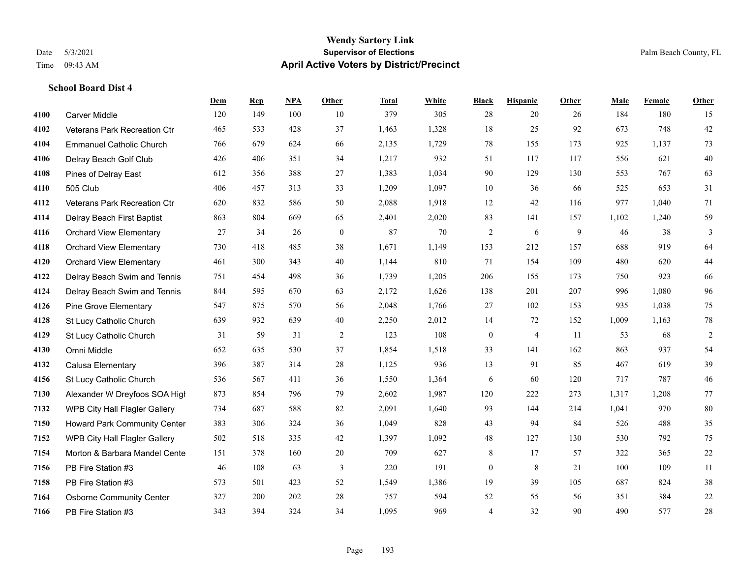#### **Wendy Sartory Link** Date 5/3/2021 **Supervisor of Elections** Palm Beach County, FL Time 09:43 AM **April Active Voters by District/Precinct**

## **Dem Rep NPA Other Total White Black Hispanic Other Male Female Other** Carver Middle 120 149 100 10 379 305 28 20 26 184 180 15 Veterans Park Recreation Ctr 465 533 428 37 1,463 1,328 18 25 92 673 748 42 Emmanuel Catholic Church 766 679 624 66 2,135 1,729 78 155 173 925 1,137 73 Delray Beach Golf Club 426 406 351 34 1,217 932 51 117 117 556 621 40 Pines of Delray East 612 356 388 27 1,383 1,034 90 129 130 553 767 63 505 Club 406 457 313 33 1,209 1,097 10 36 66 525 653 31 Veterans Park Recreation Ctr 620 832 586 50 2,088 1,918 12 42 116 977 1,040 71 Delray Beach First Baptist 863 804 669 65 2,401 2,020 83 141 157 1,102 1,240 59 Orchard View Elementary 27 34 26 0 87 70 2 6 9 46 38 3 Orchard View Elementary 730 418 485 38 1,671 1,149 153 212 157 688 919 64 Orchard View Elementary 461 300 343 40 1,144 810 71 154 109 480 620 44 Delray Beach Swim and Tennis 751 454 498 36 1,739 1,205 206 155 173 750 923 66 Delray Beach Swim and Tennis 844 595 670 63 2,172 1,626 138 201 207 996 1,080 96 Pine Grove Elementary 547 875 570 56 2,048 1,766 27 102 153 935 1,038 75 St Lucy Catholic Church 639 932 639 40 2,250 2,012 14 72 152 1,009 1,163 78 St Lucy Catholic Church 31 59 31 2 123 108 0 4 11 53 68 2 Omni Middle 652 635 530 37 1,854 1,518 33 141 162 863 937 54 Calusa Elementary 396 387 314 28 1,125 936 13 91 85 467 619 39 St Lucy Catholic Church 536 567 411 36 1,550 1,364 6 60 120 717 787 46 Alexander W Dreyfoos SOA High 873 854 796 79 2,602 1,987 120 222 273 1,317 1,208 77 WPB City Hall Flagler Gallery 734 687 588 82 2,091 1,640 93 144 214 1,041 970 80 Howard Park Community Center 383 306 324 36 1,049 828 43 94 84 526 488 35 WPB City Hall Flagler Gallery 502 518 335 42 1,397 1,092 48 127 130 530 792 75 Morton & Barbara Mandel Center 151 378 160 20 709 627 8 17 57 322 365 22 PB Fire Station #3 46 108 63 3 220 191 0 8 21 100 109 11 PB Fire Station #3 573 501 423 52 1,549 1,386 19 39 105 687 824 38 Osborne Community Center 327 200 202 28 757 594 52 55 56 351 384 22 PB Fire Station #3 343 394 324 34 1,095 969 4 32 90 490 577 28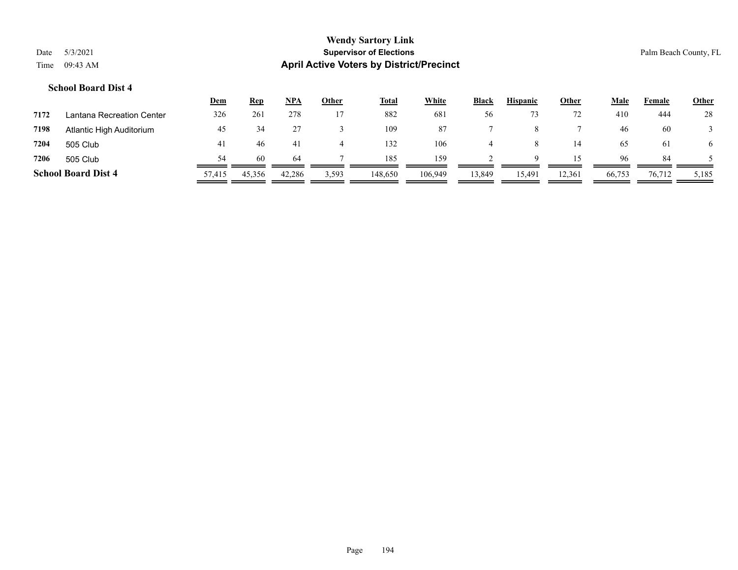### **Wendy Sartory Link** Date 5/3/2021 **Supervisor of Elections Supervisor of Elections** Palm Beach County, FL Time 09:43 AM **April Active Voters by District/Precinct**

#### **School Board Dist 4**

|      |                            | <u>Dem</u> | <b>Rep</b> | <b>NPA</b> | Other | <b>Total</b> | White   | <b>Black</b> | <b>Hispanic</b> | Other  | <u>Male</u> | Female | <b>Other</b> |
|------|----------------------------|------------|------------|------------|-------|--------------|---------|--------------|-----------------|--------|-------------|--------|--------------|
| 7172 | Lantana Recreation Center  | 326        | 261        | 278        |       | 882          | 681     | 56           |                 | 72     | 410         | 444    | 28           |
| 7198 | Atlantic High Auditorium   | 45         | 34         |            |       | 109          | 87      |              |                 |        | 46          | 60     |              |
| 7204 | 505 Club                   | 41         | 46         | 41         |       | 132          | 106     |              |                 | 14     | 65          | 61     | 6            |
| 7206 | 505 Club                   | 54         | 60         | 64         |       | 185          | 159     |              | Q               |        | 96          | 84     |              |
|      | <b>School Board Dist 4</b> | 57,415     | 45,356     | 42,286     | 3,593 | 148,650      | 106,949 | 13,849       | 15,491          | 12,361 | 66,753      | 76,712 | 5,185        |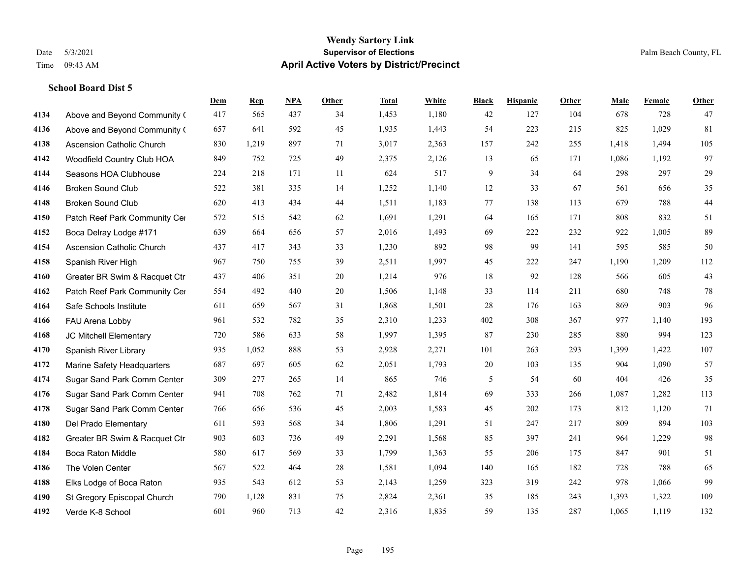#### **Wendy Sartory Link** Date 5/3/2021 **Supervisor of Elections** Palm Beach County, FL Time 09:43 AM **April Active Voters by District/Precinct**

**Dem Rep NPA Other Total White Black Hispanic Other Male Female Other**

## Above and Beyond Community Church 417 565 437 34 1,453 1,180 42 127 104 678 728 47 Above and Beyond Community Church 657 641 592 45 1,935 1,443 54 223 215 825 1,029 81 Ascension Catholic Church 830 1,219 897 71 3,017 2,363 157 242 255 1,418 1,494 105 Woodfield Country Club HOA 849 752 725 49 2,375 2,126 13 65 171 1,086 1,192 97 Seasons HOA Clubhouse 224 218 171 11 624 517 9 34 64 298 297 29 Broken Sound Club 522 381 335 14 1,252 1,140 12 33 67 561 656 35 Broken Sound Club 620 413 434 44 1,511 1,183 77 138 113 679 788 44 4150 Patch Reef Park Community Center 572 515 542 62 1,691 1,291 64 165 171 808 832 51 Boca Delray Lodge #171 639 664 656 57 2,016 1,493 69 222 232 922 1,005 89 Ascension Catholic Church 437 417 343 33 1,230 892 98 99 141 595 585 50 Spanish River High 967 750 755 39 2,511 1,997 45 222 247 1,190 1,209 112 Greater BR Swim & Racquet Ctr 437 406 351 20 1,214 976 18 92 128 566 605 43 4162 Patch Reef Park Community Center 554 492 440 20 1,506 1,148 33 114 211 680 748 78 Safe Schools Institute 611 659 567 31 1,868 1,501 28 176 163 869 903 96 FAU Arena Lobby 961 532 782 35 2,310 1,233 402 308 367 977 1,140 193 JC Mitchell Elementary 720 586 633 58 1,997 1,395 87 230 285 880 994 123 Spanish River Library 935 1,052 888 53 2,928 2,271 101 263 293 1,399 1,422 107 Marine Safety Headquarters 687 697 605 62 2,051 1,793 20 103 135 904 1,090 57 Sugar Sand Park Comm Center 309 277 265 14 865 746 5 54 60 404 426 35 Sugar Sand Park Comm Center 941 708 762 71 2,482 1,814 69 333 266 1,087 1,282 113 Sugar Sand Park Comm Center 766 656 536 45 2,003 1,583 45 202 173 812 1,120 71 Del Prado Elementary 611 593 568 34 1,806 1,291 51 247 217 809 894 103 Greater BR Swim & Racquet Ctr 903 603 736 49 2,291 1,568 85 397 241 964 1,229 98 Boca Raton Middle 580 617 569 33 1,799 1,363 55 206 175 847 901 51 The Volen Center 567 522 464 28 1,581 1,094 140 165 182 728 788 65

 Elks Lodge of Boca Raton 935 543 612 53 2,143 1,259 323 319 242 978 1,066 99 St Gregory Episcopal Church 790 1,128 831 75 2,824 2,361 35 185 243 1,393 1,322 109 Verde K-8 School 601 960 713 42 2,316 1,835 59 135 287 1,065 1,119 132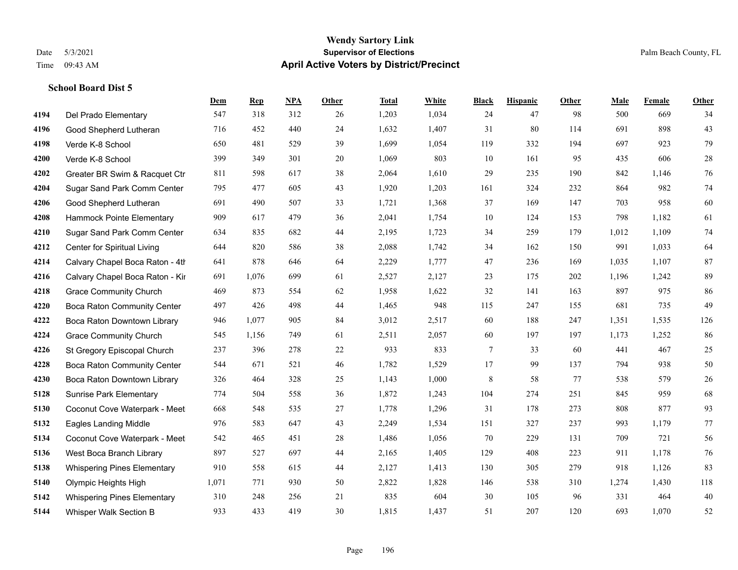#### **Wendy Sartory Link** Date 5/3/2021 **Supervisor of Elections** Palm Beach County, FL Time 09:43 AM **April Active Voters by District/Precinct**

## **Dem Rep NPA Other Total White Black Hispanic Other Male Female Other** Del Prado Elementary 547 318 312 26 1,203 1,034 24 47 98 500 669 34 Good Shepherd Lutheran 716 452 440 24 1,632 1,407 31 80 114 691 898 43 Verde K-8 School 650 481 529 39 1,699 1,054 119 332 194 697 923 79 Verde K-8 School 399 349 301 20 1,069 803 10 161 95 435 606 28 Greater BR Swim & Racquet Ctr 811 598 617 38 2,064 1,610 29 235 190 842 1,146 76 Sugar Sand Park Comm Center 795 477 605 43 1,920 1,203 161 324 232 864 982 74 Good Shepherd Lutheran 691 490 507 33 1,721 1,368 37 169 147 703 958 60 Hammock Pointe Elementary 909 617 479 36 2,041 1,754 10 124 153 798 1,182 61 Sugar Sand Park Comm Center 634 835 682 44 2,195 1,723 34 259 179 1,012 1,109 74 Center for Spiritual Living 644 820 586 38 2,088 1,742 34 162 150 991 1,033 64 4214 Calvary Chapel Boca Raton - 4th $641$   $878$   $646$   $64$   $2,229$   $1,777$   $47$   $236$   $169$   $1,035$   $1,107$   $87$  Calvary Chapel Boca Raton - Kir 691 1,076 699 61 2,527 2,127 23 175 202 1,196 1,242 89 Grace Community Church 469 873 554 62 1,958 1,622 32 141 163 897 975 86 Boca Raton Community Center 497 426 498 44 1,465 948 115 247 155 681 735 49 Boca Raton Downtown Library 946 1,077 905 84 3,012 2,517 60 188 247 1,351 1,535 126 Grace Community Church 545 1,156 749 61 2,511 2,057 60 197 197 1,173 1,252 86 St Gregory Episcopal Church 237 396 278 22 933 833 7 33 60 441 467 25 Boca Raton Community Center 544 671 521 46 1,782 1,529 17 99 137 794 938 50 Boca Raton Downtown Library 326 464 328 25 1,143 1,000 8 58 77 538 579 26 Sunrise Park Elementary 774 504 558 36 1,872 1,243 104 274 251 845 959 68 Coconut Cove Waterpark - Meet 668 548 535 27 1,778 1,296 31 178 273 808 877 93 Eagles Landing Middle 976 583 647 43 2,249 1,534 151 327 237 993 1,179 77 Coconut Cove Waterpark - Meeting Room B 542 465 451 28 1,486 1,056 70 229 131 709 721 56 West Boca Branch Library 897 527 697 44 2,165 1,405 129 408 223 911 1,178 76 Whispering Pines Elementary 910 558 615 44 2,127 1,413 130 305 279 918 1,126 83 Olympic Heights High 1,071 771 930 50 2,822 1,828 146 538 310 1,274 1,430 118 Whispering Pines Elementary 310 248 256 21 835 604 30 105 96 331 464 40 Whisper Walk Section B 933 433 419 30 1,815 1,437 51 207 120 693 1,070 52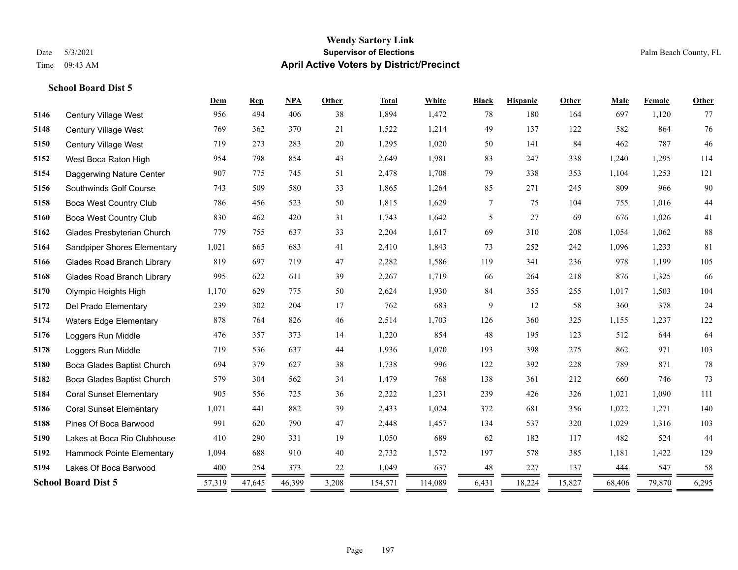#### **Wendy Sartory Link** Date 5/3/2021 **Supervisor of Elections** Palm Beach County, FL Time 09:43 AM **April Active Voters by District/Precinct**

#### **School Board Dist 5**

|      |                                   | Dem    | <b>Rep</b> | NPA    | Other             | <b>Total</b> | White   | <b>Black</b> | <b>Hispanic</b> | Other  | Male   | Female | Other  |
|------|-----------------------------------|--------|------------|--------|-------------------|--------------|---------|--------------|-----------------|--------|--------|--------|--------|
| 5146 | Century Village West              | 956    | 494        | 406    | 38                | 1,894        | 1,472   | 78           | 180             | 164    | 697    | 1,120  | 77     |
| 5148 | Century Village West              | 769    | 362        | 370    | 21                | 1,522        | 1,214   | 49           | 137             | 122    | 582    | 864    | 76     |
| 5150 | Century Village West              | 719    | 273        | 283    | 20                | 1,295        | 1,020   | 50           | 141             | 84     | 462    | 787    | 46     |
| 5152 | West Boca Raton High              | 954    | 798        | 854    | 43                | 2,649        | 1,981   | 83           | 247             | 338    | 1,240  | 1,295  | 114    |
| 5154 | Daggerwing Nature Center          | 907    | 775        | 745    | 51                | 2,478        | 1,708   | 79           | 338             | 353    | 1,104  | 1,253  | 121    |
| 5156 | Southwinds Golf Course            | 743    | 509        | 580    | 33                | 1,865        | 1,264   | 85           | 271             | 245    | 809    | 966    | $90\,$ |
| 5158 | <b>Boca West Country Club</b>     | 786    | 456        | 523    | 50                | 1,815        | 1,629   | 7            | 75              | 104    | 755    | 1,016  | $44$   |
| 5160 | <b>Boca West Country Club</b>     | 830    | 462        | 420    | 31                | 1,743        | 1,642   | 5            | 27              | 69     | 676    | 1,026  | 41     |
| 5162 | Glades Presbyterian Church        | 779    | 755        | 637    | 33                | 2,204        | 1,617   | 69           | 310             | 208    | 1,054  | 1,062  | $88\,$ |
| 5164 | Sandpiper Shores Elementary       | 1,021  | 665        | 683    | 41                | 2,410        | 1,843   | 73           | 252             | 242    | 1,096  | 1,233  | 81     |
| 5166 | <b>Glades Road Branch Library</b> | 819    | 697        | 719    | 47                | 2,282        | 1,586   | 119          | 341             | 236    | 978    | 1,199  | 105    |
| 5168 | <b>Glades Road Branch Library</b> | 995    | 622        | 611    | 39                | 2,267        | 1,719   | 66           | 264             | 218    | 876    | 1,325  | 66     |
| 5170 | Olympic Heights High              | 1,170  | 629        | 775    | 50                | 2,624        | 1,930   | 84           | 355             | 255    | 1,017  | 1,503  | 104    |
| 5172 | Del Prado Elementary              | 239    | 302        | 204    | 17                | 762          | 683     | 9            | 12              | 58     | 360    | 378    | 24     |
| 5174 | <b>Waters Edge Elementary</b>     | 878    | 764        | 826    | 46                | 2,514        | 1,703   | 126          | 360             | 325    | 1,155  | 1,237  | 122    |
| 5176 | Loggers Run Middle                | 476    | 357        | 373    | 14                | 1,220        | 854     | 48           | 195             | 123    | 512    | 644    | 64     |
| 5178 | Loggers Run Middle                | 719    | 536        | 637    | 44                | 1,936        | 1,070   | 193          | 398             | 275    | 862    | 971    | 103    |
| 5180 | Boca Glades Baptist Church        | 694    | 379        | 627    | 38                | 1,738        | 996     | 122          | 392             | 228    | 789    | 871    | 78     |
| 5182 | Boca Glades Baptist Church        | 579    | 304        | 562    | 34                | 1,479        | 768     | 138          | 361             | 212    | 660    | 746    | 73     |
| 5184 | <b>Coral Sunset Elementary</b>    | 905    | 556        | 725    | 36                | 2,222        | 1,231   | 239          | 426             | 326    | 1,021  | 1,090  | 111    |
| 5186 | <b>Coral Sunset Elementary</b>    | 1,071  | 441        | 882    | 39                | 2,433        | 1,024   | 372          | 681             | 356    | 1,022  | 1,271  | 140    |
| 5188 | Pines Of Boca Barwood             | 991    | 620        | 790    | 47                | 2,448        | 1,457   | 134          | 537             | 320    | 1,029  | 1,316  | 103    |
| 5190 | Lakes at Boca Rio Clubhouse       | 410    | 290        | 331    | 19                | 1,050        | 689     | 62           | 182             | 117    | 482    | 524    | 44     |
| 5192 | Hammock Pointe Elementary         | 1,094  | 688        | 910    | 40                | 2,732        | 1,572   | 197          | 578             | 385    | 1,181  | 1,422  | 129    |
| 5194 | Lakes Of Boca Barwood             | 400    | 254        | 373    | 22                | 1,049        | 637     | 48           | 227             | 137    | 444    | 547    | 58     |
|      | <b>School Board Dist 5</b>        | 57,319 | 47,645     | 46,399 | 3,208<br>=<br>$=$ | 154,571      | 114,089 | 6,431<br>=   | 18,224<br>$=$   | 15,827 | 68,406 | 79,870 | 6,295  |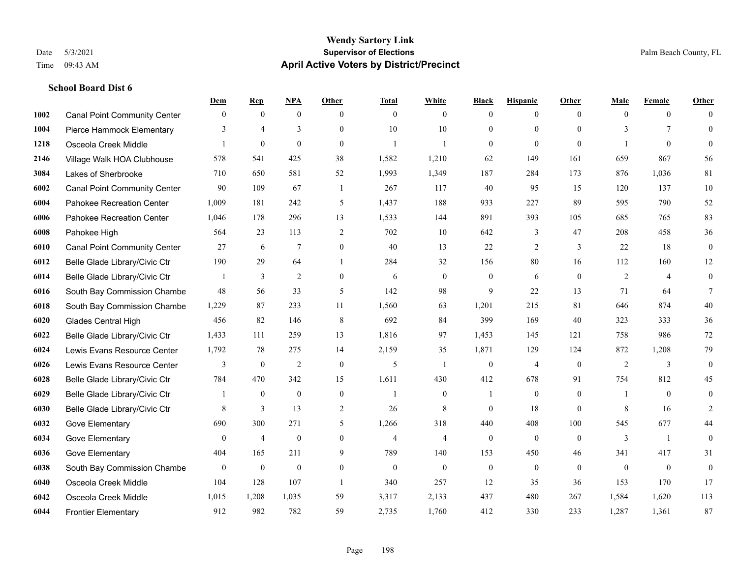#### **Wendy Sartory Link** Date 5/3/2021 **Supervisor of Elections** Palm Beach County, FL Time 09:43 AM **April Active Voters by District/Precinct**

#### **School Board Dist 6**

|      |                                     | Dem          | <b>Rep</b>       | NPA              | <b>Other</b>     | <b>Total</b>   | <b>White</b>     | <b>Black</b>     | <b>Hispanic</b>  | <b>Other</b>   | <b>Male</b>    | <b>Female</b>  | <b>Other</b>     |
|------|-------------------------------------|--------------|------------------|------------------|------------------|----------------|------------------|------------------|------------------|----------------|----------------|----------------|------------------|
| 1002 | <b>Canal Point Community Center</b> | $\mathbf{0}$ | $\mathbf{0}$     | $\mathbf{0}$     | $\theta$         | $\theta$       | $\overline{0}$   | $\mathbf{0}$     | $\overline{0}$   | $\theta$       | $\theta$       | $\overline{0}$ | $\Omega$         |
| 1004 | Pierce Hammock Elementary           | 3            | $\overline{4}$   | 3                | $\Omega$         | 10             | 10               | $\theta$         | $\mathbf{0}$     | $\Omega$       | 3              | $\tau$         | $\theta$         |
| 1218 | Osceola Creek Middle                | 1            | $\theta$         | $\mathbf{0}$     | $\theta$         | -1             | $\mathbf{1}$     | $\mathbf{0}$     | $\mathbf{0}$     | $\theta$       |                | $\theta$       | $\theta$         |
| 2146 | Village Walk HOA Clubhouse          | 578          | 541              | 425              | 38               | 1,582          | 1,210            | 62               | 149              | 161            | 659            | 867            | 56               |
| 3084 | Lakes of Sherbrooke                 | 710          | 650              | 581              | 52               | 1,993          | 1,349            | 187              | 284              | 173            | 876            | 1.036          | 81               |
| 6002 | <b>Canal Point Community Center</b> | 90           | 109              | 67               | -1               | 267            | 117              | 40               | 95               | 15             | 120            | 137            | $10\,$           |
| 6004 | Pahokee Recreation Center           | 1,009        | 181              | 242              | 5                | 1,437          | 188              | 933              | 227              | 89             | 595            | 790            | 52               |
| 6006 | Pahokee Recreation Center           | 1,046        | 178              | 296              | 13               | 1,533          | 144              | 891              | 393              | 105            | 685            | 765            | 83               |
| 6008 | Pahokee High                        | 564          | 23               | 113              | $\overline{2}$   | 702            | 10               | 642              | 3                | 47             | 208            | 458            | 36               |
| 6010 | <b>Canal Point Community Center</b> | 27           | 6                | $\overline{7}$   | $\overline{0}$   | 40             | 13               | 22               | 2                | 3              | 22             | 18             | $\boldsymbol{0}$ |
| 6012 | Belle Glade Library/Civic Ctr       | 190          | 29               | 64               | $\mathbf{1}$     | 284            | 32               | 156              | 80               | 16             | 112            | 160            | $12\,$           |
| 6014 | Belle Glade Library/Civic Ctr       | 1            | 3                | $\overline{2}$   | $\overline{0}$   | 6              | $\overline{0}$   | $\boldsymbol{0}$ | 6                | $\mathbf{0}$   | 2              | $\overline{4}$ | $\mathbf{0}$     |
| 6016 | South Bay Commission Chambe         | 48           | 56               | 33               | 5                | 142            | 98               | 9                | 22               | 13             | 71             | 64             | $\tau$           |
| 6018 | South Bay Commission Chambe         | 1,229        | 87               | 233              | 11               | 1,560          | 63               | 1,201            | 215              | 81             | 646            | 874            | $40\,$           |
| 6020 | Glades Central High                 | 456          | 82               | 146              | 8                | 692            | 84               | 399              | 169              | 40             | 323            | 333            | 36               |
| 6022 | Belle Glade Library/Civic Ctr       | 1,433        | 111              | 259              | 13               | 1,816          | 97               | 1,453            | 145              | 121            | 758            | 986            | 72               |
| 6024 | Lewis Evans Resource Center         | 1,792        | 78               | 275              | 14               | 2,159          | 35               | 1,871            | 129              | 124            | 872            | 1,208          | 79               |
| 6026 | Lewis Evans Resource Center         | 3            | $\boldsymbol{0}$ | $\overline{2}$   | $\theta$         | 5              | -1               | $\boldsymbol{0}$ | $\overline{4}$   | $\overline{0}$ | $\overline{2}$ | 3              | $\mathbf{0}$     |
| 6028 | Belle Glade Library/Civic Ctr       | 784          | 470              | 342              | 15               | 1,611          | 430              | 412              | 678              | 91             | 754            | 812            | 45               |
| 6029 | Belle Glade Library/Civic Ctr       |              | $\mathbf{0}$     | $\boldsymbol{0}$ | $\boldsymbol{0}$ |                | $\boldsymbol{0}$ | 1                | $\boldsymbol{0}$ | $\mathbf{0}$   |                | $\mathbf{0}$   | $\boldsymbol{0}$ |
| 6030 | Belle Glade Library/Civic Ctr       | 8            | 3                | 13               | 2                | 26             | 8                | $\mathbf{0}$     | 18               | $\theta$       | 8              | 16             | 2                |
| 6032 | Gove Elementary                     | 690          | 300              | 271              | 5                | 1,266          | 318              | 440              | 408              | 100            | 545            | 677            | 44               |
| 6034 | Gove Elementary                     | $\mathbf{0}$ | $\overline{4}$   | $\boldsymbol{0}$ | $\overline{0}$   | $\overline{4}$ | $\overline{4}$   | $\boldsymbol{0}$ | $\mathbf{0}$     | $\theta$       | 3              | -1             | $\boldsymbol{0}$ |
| 6036 | Gove Elementary                     | 404          | 165              | 211              | 9                | 789            | 140              | 153              | 450              | 46             | 341            | 417            | 31               |
| 6038 | South Bay Commission Chambe         | $\mathbf{0}$ | $\mathbf{0}$     | $\overline{0}$   | $\Omega$         | $\theta$       | $\mathbf{0}$     | $\boldsymbol{0}$ | $\mathbf{0}$     | $\theta$       | $\theta$       | $\theta$       | $\mathbf{0}$     |
| 6040 | Osceola Creek Middle                | 104          | 128              | 107              | $\overline{1}$   | 340            | 257              | 12               | 35               | 36             | 153            | 170            | 17               |
| 6042 | Osceola Creek Middle                | 1,015        | 1,208            | 1,035            | 59               | 3,317          | 2,133            | 437              | 480              | 267            | 1,584          | 1,620          | 113              |
| 6044 | <b>Frontier Elementary</b>          | 912          | 982              | 782              | 59               | 2,735          | 1,760            | 412              | 330              | 233            | 1,287          | 1,361          | 87               |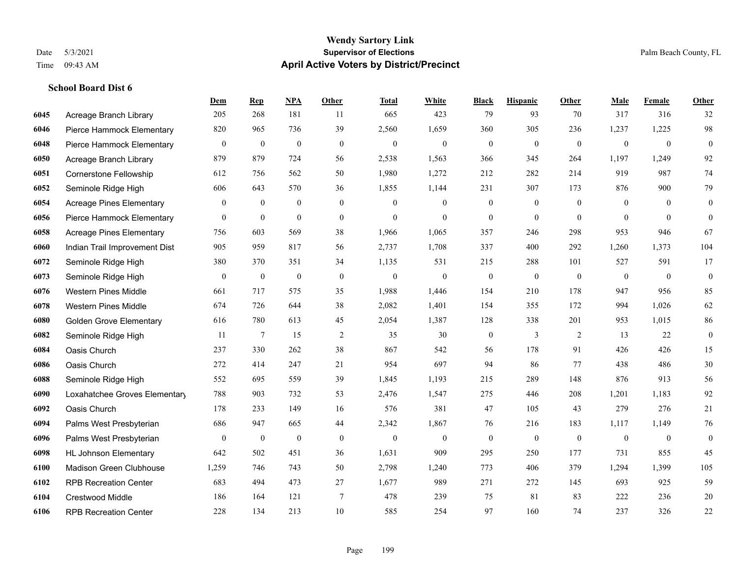#### **Wendy Sartory Link** Date 5/3/2021 **Supervisor of Elections** Palm Beach County, FL Time 09:43 AM **April Active Voters by District/Precinct**

## **Dem Rep NPA Other Total White Black Hispanic Other Male Female Other** Acreage Branch Library 205 268 181 11 665 423 79 93 70 317 316 32 Pierce Hammock Elementary 820 965 736 39 2,560 1,659 360 305 236 1,237 1,225 98 Pierce Hammock Elementary 0 0 0 0 0 0 0 0 0 0 0 0 Acreage Branch Library 879 879 724 56 2,538 1,563 366 345 264 1,197 1,249 92 Cornerstone Fellowship 612 756 562 50 1,980 1,272 212 282 214 919 987 74 Seminole Ridge High 606 643 570 36 1,855 1,144 231 307 173 876 900 79 Acreage Pines Elementary 0 0 0 0 0 0 0 0 0 0 0 0 Pierce Hammock Elementary 0 0 0 0 0 0 0 0 0 0 0 0 Acreage Pines Elementary 756 603 569 38 1,966 1,065 357 246 298 953 946 67 Indian Trail Improvement Dist 905 959 817 56 2,737 1,708 337 400 292 1,260 1,373 104 Seminole Ridge High 380 370 351 34 1,135 531 215 288 101 527 591 17 Seminole Ridge High 0 0 0 0 0 0 0 0 0 0 0 0 Western Pines Middle 661 717 575 35 1,988 1,446 154 210 178 947 956 85 Western Pines Middle 674 726 644 38 2,082 1,401 154 355 172 994 1,026 62 Golden Grove Elementary 616 780 613 45 2,054 1,387 128 338 201 953 1,015 86 Seminole Ridge High 11 7 15 2 35 30 0 3 2 13 22 0 Oasis Church 237 330 262 38 867 542 56 178 91 426 426 15 Oasis Church 272 414 247 21 954 697 94 86 77 438 486 30 Seminole Ridge High 552 695 559 39 1,845 1,193 215 289 148 876 913 56 Loxahatchee Groves Elementary 788 903 732 53 2,476 1,547 275 446 208 1,201 1,183 92 Oasis Church 178 233 149 16 576 381 47 105 43 279 276 21 Palms West Presbyterian 686 947 665 44 2,342 1,867 76 216 183 1,117 1,149 76 Palms West Presbyterian 0 0 0 0 0 0 0 0 0 0 0 0 HL Johnson Elementary 642 502 451 36 1,631 909 295 250 177 731 855 45 Madison Green Clubhouse 1,259 746 743 50 2,798 1,240 773 406 379 1,294 1,399 105 RPB Recreation Center 683 494 473 27 1,677 989 271 272 145 693 925 59 Crestwood Middle 186 164 121 7 478 239 75 81 83 222 236 20 RPB Recreation Center 228 134 213 10 585 254 97 160 74 237 326 22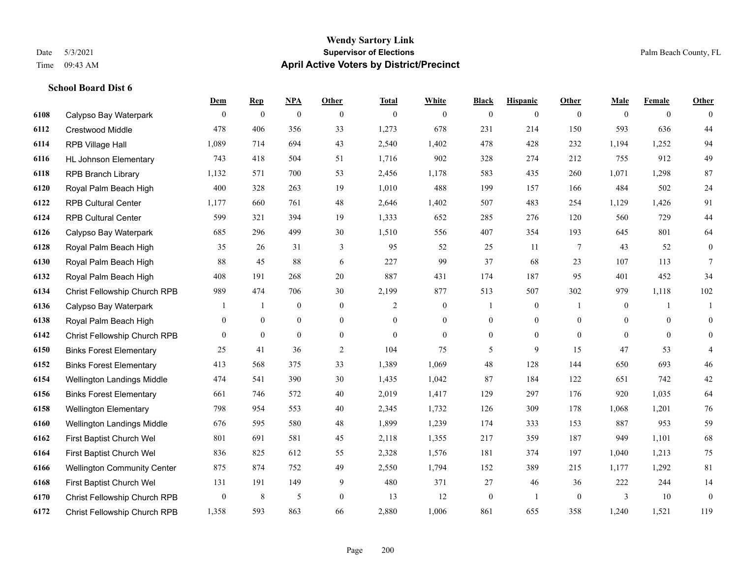#### **Wendy Sartory Link** Date 5/3/2021 **Supervisor of Elections** Palm Beach County, FL Time 09:43 AM **April Active Voters by District/Precinct**

|      |                                    | Dem            | <b>Rep</b>     | <b>NPA</b>     | Other          | <b>Total</b>   | White          | <b>Black</b>     | <b>Hispanic</b> | Other          | Male           | Female         | Other          |
|------|------------------------------------|----------------|----------------|----------------|----------------|----------------|----------------|------------------|-----------------|----------------|----------------|----------------|----------------|
| 6108 | Calypso Bay Waterpark              | $\theta$       | $\overline{0}$ | $\mathbf{0}$   | $\theta$       | $\overline{0}$ | $\overline{0}$ | $\overline{0}$   | $\mathbf{0}$    | $\theta$       | $\theta$       | $\theta$       | $\theta$       |
| 6112 | <b>Crestwood Middle</b>            | 478            | 406            | 356            | 33             | 1,273          | 678            | 231              | 214             | 150            | 593            | 636            | 44             |
| 6114 | <b>RPB Village Hall</b>            | 1,089          | 714            | 694            | 43             | 2,540          | 1,402          | 478              | 428             | 232            | 1,194          | 1,252          | 94             |
| 6116 | <b>HL Johnson Elementary</b>       | 743            | 418            | 504            | 51             | 1,716          | 902            | 328              | 274             | 212            | 755            | 912            | 49             |
| 6118 | <b>RPB Branch Library</b>          | 1,132          | 571            | 700            | 53             | 2,456          | 1,178          | 583              | 435             | 260            | 1,071          | 1,298          | 87             |
| 6120 | Royal Palm Beach High              | 400            | 328            | 263            | 19             | 1,010          | 488            | 199              | 157             | 166            | 484            | 502            | 24             |
| 6122 | <b>RPB Cultural Center</b>         | 1,177          | 660            | 761            | 48             | 2,646          | 1,402          | 507              | 483             | 254            | 1,129          | 1,426          | 91             |
| 6124 | <b>RPB Cultural Center</b>         | 599            | 321            | 394            | 19             | 1,333          | 652            | 285              | 276             | 120            | 560            | 729            | 44             |
| 6126 | Calypso Bay Waterpark              | 685            | 296            | 499            | 30             | 1,510          | 556            | 407              | 354             | 193            | 645            | 801            | 64             |
| 6128 | Royal Palm Beach High              | 35             | 26             | 31             | 3              | 95             | 52             | 25               | 11              | -7             | 43             | 52             | $\mathbf{0}$   |
| 6130 | Royal Palm Beach High              | 88             | 45             | 88             | 6              | 227            | 99             | 37               | 68              | 23             | 107            | 113            | $\tau$         |
| 6132 | Royal Palm Beach High              | 408            | 191            | 268            | 20             | 887            | 431            | 174              | 187             | 95             | 401            | 452            | 34             |
| 6134 | Christ Fellowship Church RPB       | 989            | 474            | 706            | 30             | 2,199          | 877            | 513              | 507             | 302            | 979            | 1,118          | 102            |
| 6136 | Calypso Bay Waterpark              |                | 1              | $\overline{0}$ | $\theta$       | 2              | $\overline{0}$ | $\mathbf{1}$     | $\mathbf{0}$    | $\overline{1}$ | $\overline{0}$ | $\mathbf{1}$   | $\mathbf{1}$   |
| 6138 | Royal Palm Beach High              | $\overline{0}$ | $\mathbf{0}$   | $\overline{0}$ | $\overline{0}$ | $\mathbf{0}$   | $\overline{0}$ | $\boldsymbol{0}$ | $\mathbf{0}$    | $\theta$       | $\mathbf{0}$   | $\Omega$       | $\overline{0}$ |
| 6142 | Christ Fellowship Church RPB       | $\theta$       | $\overline{0}$ | $\overline{0}$ | $\overline{0}$ | $\overline{0}$ | $\overline{0}$ | $\boldsymbol{0}$ | $\mathbf{0}$    | $\theta$       | $\overline{0}$ | $\overline{0}$ | $\mathbf{0}$   |
| 6150 | <b>Binks Forest Elementary</b>     | 25             | 41             | 36             | 2              | 104            | 75             | 5                | 9               | 15             | 47             | 53             | $\overline{4}$ |
| 6152 | <b>Binks Forest Elementary</b>     | 413            | 568            | 375            | 33             | 1,389          | 1,069          | 48               | 128             | 144            | 650            | 693            | 46             |
| 6154 | Wellington Landings Middle         | 474            | 541            | 390            | $30\,$         | 1,435          | 1,042          | 87               | 184             | 122            | 651            | 742            | 42             |
| 6156 | <b>Binks Forest Elementary</b>     | 661            | 746            | 572            | 40             | 2,019          | 1,417          | 129              | 297             | 176            | 920            | 1,035          | 64             |
| 6158 | <b>Wellington Elementary</b>       | 798            | 954            | 553            | 40             | 2,345          | 1,732          | 126              | 309             | 178            | 1,068          | 1,201          | 76             |
| 6160 | Wellington Landings Middle         | 676            | 595            | 580            | 48             | 1,899          | 1,239          | 174              | 333             | 153            | 887            | 953            | 59             |
| 6162 | First Baptist Church Wel           | 801            | 691            | 581            | 45             | 2,118          | 1,355          | 217              | 359             | 187            | 949            | 1,101          | 68             |
| 6164 | First Baptist Church Wel           | 836            | 825            | 612            | 55             | 2,328          | 1,576          | 181              | 374             | 197            | 1,040          | 1,213          | 75             |
| 6166 | <b>Wellington Community Center</b> | 875            | 874            | 752            | 49             | 2,550          | 1,794          | 152              | 389             | 215            | 1,177          | 1,292          | $81\,$         |
| 6168 | First Baptist Church Wel           | 131            | 191            | 149            | 9              | 480            | 371            | 27               | 46              | 36             | 222            | 244            | 14             |
| 6170 | Christ Fellowship Church RPB       | $\overline{0}$ | 8              | 5              | $\theta$       | 13             | 12             | $\mathbf{0}$     | 1               | $\theta$       | 3              | 10             | $\overline{0}$ |
| 6172 | Christ Fellowship Church RPB       | 1,358          | 593            | 863            | 66             | 2,880          | 1,006          | 861              | 655             | 358            | 1.240          | 1,521          | 119            |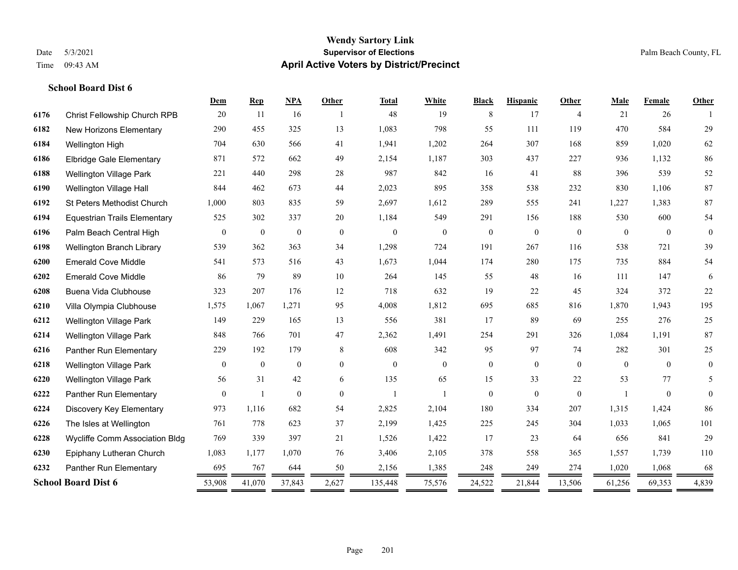#### **Wendy Sartory Link** Date 5/3/2021 **Supervisor of Elections** Palm Beach County, FL Time 09:43 AM **April Active Voters by District/Precinct**

## **Dem Rep NPA Other Total White Black Hispanic Other Male Female Other** Christ Fellowship Church RPB 20 11 16 1 48 19 8 17 4 21 26 1 New Horizons Elementary 290 455 325 13 1,083 798 55 111 119 470 584 29 Wellington High 704 630 566 41 1,941 1,202 264 307 168 859 1,020 62 Elbridge Gale Elementary 871 572 662 49 2,154 1,187 303 437 227 936 1,132 86 Wellington Village Park 221 440 298 28 987 842 16 41 88 396 539 52 Wellington Village Hall 844 462 673 44 2,023 895 358 538 232 830 1,106 87 St Peters Methodist Church 1,000 803 835 59 2,697 1,612 289 555 241 1,227 1,383 87 Equestrian Trails Elementary 525 302 337 20 1,184 549 291 156 188 530 600 54 Palm Beach Central High 0 0 0 0 0 0 0 0 0 0 0 0 Wellington Branch Library 539 362 363 34 1,298 724 191 267 116 538 721 39 Emerald Cove Middle 541 573 516 43 1,673 1,044 174 280 175 735 884 54 Emerald Cove Middle 86 79 89 10 264 145 55 48 16 111 147 6 Buena Vida Clubhouse 323 207 176 12 718 632 19 22 45 324 372 22 Villa Olympia Clubhouse 1,575 1,067 1,271 95 4,008 1,812 695 685 816 1,870 1,943 195 Wellington Village Park 149 229 165 13 556 381 17 89 69 255 276 25 Wellington Village Park 848 766 701 47 2,362 1,491 254 291 326 1,084 1,191 87 Panther Run Elementary 229 192 179 8 608 342 95 97 74 282 301 25 Wellington Village Park 0 0 0 0 0 0 0 0 0 0 0 0 Wellington Village Park 56 31 42 6 135 65 15 33 22 53 77 5 Panther Run Elementary 0 1 0 0 1 1 0 0 0 1 0 0 Discovery Key Elementary 973 1,116 682 54 2,825 2,104 180 334 207 1,315 1,424 86 The Isles at Wellington 761 778 623 37 2,199 1,425 225 245 304 1,033 1,065 101 Wycliffe Comm Association Bldg 769 339 397 21 1,526 1,422 17 23 64 656 841 29 Epiphany Lutheran Church 1,083 1,177 1,070 76 3,406 2,105 378 558 365 1,557 1,739 110 Panther Run Elementary 695 767 644 50 2,156 1,385 248 249 274 1,020 1,068 68

**School Board Dist 6** 53,908 41,070 37,843 2,627 135,448 75,576 24,522 21,844 13,506 61,256 69,353 4,839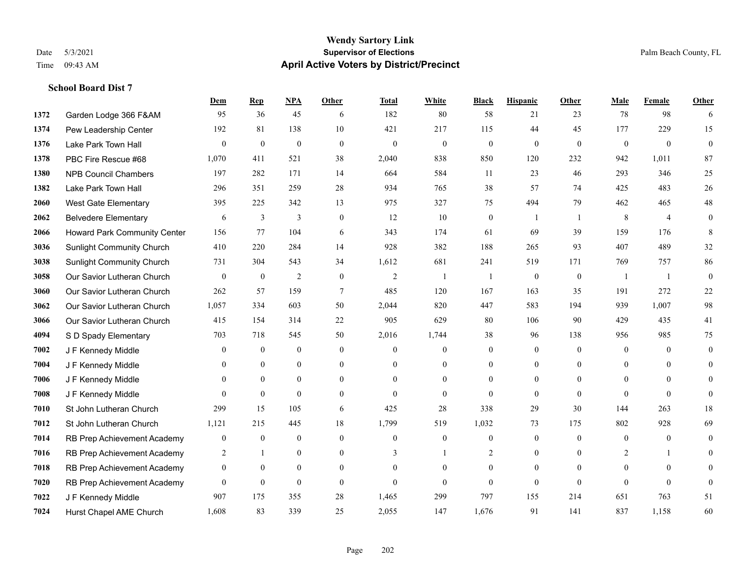#### **Wendy Sartory Link** Date 5/3/2021 **Supervisor of Elections** Palm Beach County, FL Time 09:43 AM **April Active Voters by District/Precinct**

## **Dem Rep NPA Other Total White Black Hispanic Other Male Female Other** Garden Lodge 366 F&AM 95 36 45 6 182 80 58 21 23 78 98 6 Pew Leadership Center 192 81 138 10 421 217 115 44 45 177 229 15 Lake Park Town Hall 0 0 0 0 0 0 0 0 0 0 0 0 PBC Fire Rescue #68 1,070 411 521 38 2,040 838 850 120 232 942 1,011 87 NPB Council Chambers 197 282 171 14 664 584 11 23 46 293 346 25 Lake Park Town Hall 296 351 259 28 934 765 38 57 74 425 483 26 West Gate Elementary 395 225 342 13 975 327 75 494 79 462 465 48 Belvedere Elementary 6 3 3 0 12 10 0 1 1 8 4 0 Howard Park Community Center 156 77 104 6 343 174 61 69 39 159 176 8 Sunlight Community Church 410 220 284 14 928 382 188 265 93 407 489 32 Sunlight Community Church 731 304 543 34 1,612 681 241 519 171 769 757 86 Our Savior Lutheran Church 0 0 0 2 0 0 2 1 1 0 0 0 1 1 0 Our Savior Lutheran Church 262 57 159 7 485 120 167 163 35 191 272 22 Our Savior Lutheran Church 1,057 334 603 50 2,044 820 447 583 194 939 1,007 98 Our Savior Lutheran Church 415 154 314 22 905 629 80 106 90 429 435 41 S D Spady Elementary 703 718 545 50 2,016 1,744 38 96 138 956 985 75 J F Kennedy Middle 0 0 0 0 0 0 0 0 0 0 0 0 **7004 J F Kennedy Middle 0 0 0 0 0 0 0 0 0** 0 J F Kennedy Middle 0 0 0 0 0 0 0 0 0 0 J F Kennedy Middle 0 0 0 0 0 0 0 0 0 0 St John Lutheran Church 299 15 105 6 425 28 338 29 30 144 263 18 St John Lutheran Church 1,121 215 445 18 1,799 519 1,032 73 175 802 928 69 RB Prep Achievement Academy 0 0 0 0 0 0 0 0 0 0 0 0 RB Prep Achievement Academy 2 1 0 0 3 1 2 0 0 2 1 0 RB Prep Achievement Academy 0 0 0 0 0 0 0 0 0 0 0 0 RB Prep Achievement Academy 0 0 0 0 0 0 0 0 0 0 0 0 J F Kennedy Middle 907 175 355 28 1,465 299 797 155 214 651 763 51 Hurst Chapel AME Church 1,608 83 339 25 2,055 147 1,676 91 141 837 1,158 60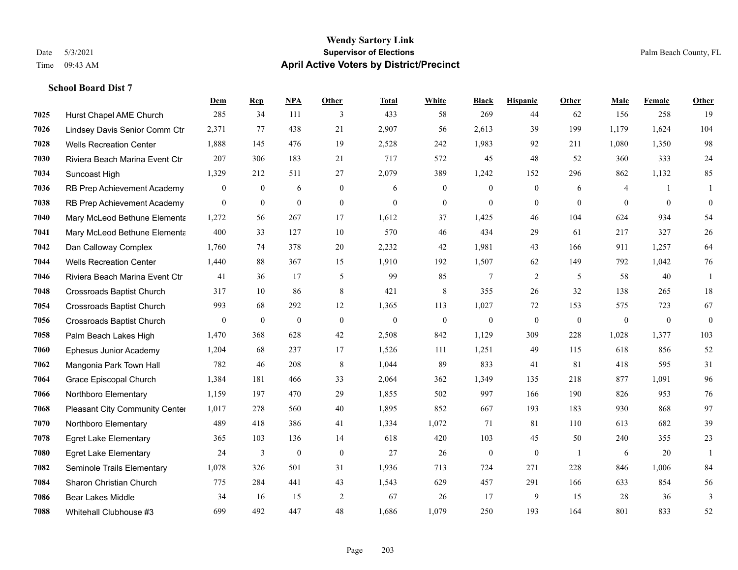#### **Wendy Sartory Link** Date 5/3/2021 **Supervisor of Elections Supervisor of Elections** Palm Beach County, FL Time 09:43 AM **April Active Voters by District/Precinct**

#### **School Board Dist 7**

|      |                                  | Dem            | <b>Rep</b>   | NPA              | <b>Other</b>   | <b>Total</b> | <b>White</b>   | <b>Black</b>     | <b>Hispanic</b>  | <b>Other</b>   | <b>Male</b>  | Female       | <b>Other</b>     |
|------|----------------------------------|----------------|--------------|------------------|----------------|--------------|----------------|------------------|------------------|----------------|--------------|--------------|------------------|
| 7025 | Hurst Chapel AME Church          | 285            | 34           | 111              | 3              | 433          | 58             | 269              | 44               | 62             | 156          | 258          | 19               |
| 7026 | Lindsey Davis Senior Comm Ctr    | 2,371          | 77           | 438              | 21             | 2,907        | 56             | 2,613            | 39               | 199            | 1,179        | 1,624        | 104              |
| 7028 | <b>Wells Recreation Center</b>   | 1,888          | 145          | 476              | 19             | 2,528        | 242            | 1,983            | 92               | 211            | 1,080        | 1,350        | 98               |
| 7030 | Riviera Beach Marina Event Ctr   | 207            | 306          | 183              | 21             | 717          | 572            | 45               | 48               | 52             | 360          | 333          | $24\,$           |
| 7034 | Suncoast High                    | 1,329          | 212          | 511              | 27             | 2,079        | 389            | 1,242            | 152              | 296            | 862          | 1,132        | 85               |
| 7036 | RB Prep Achievement Academy      | $\mathbf{0}$   | $\mathbf{0}$ | 6                | $\mathbf{0}$   | 6            | $\mathbf{0}$   | $\mathbf{0}$     | $\mathbf{0}$     | 6              | 4            | -1           | 1                |
| 7038 | RB Prep Achievement Academy      | $\mathbf{0}$   | $\mathbf{0}$ | $\mathbf{0}$     | $\overline{0}$ | $\mathbf{0}$ | $\overline{0}$ | $\mathbf{0}$     | $\mathbf{0}$     | $\theta$       | $\theta$     | $\theta$     | $\mathbf{0}$     |
| 7040 | Mary McLeod Bethune Elementa     | 1,272          | 56           | 267              | 17             | 1,612        | 37             | 1,425            | 46               | 104            | 624          | 934          | 54               |
| 7041 | Mary McLeod Bethune Elementa     | 400            | 33           | 127              | 10             | 570          | 46             | 434              | 29               | 61             | 217          | 327          | $26\,$           |
| 7042 | Dan Calloway Complex             | 1,760          | 74           | 378              | $20\,$         | 2,232        | 42             | 1,981            | 43               | 166            | 911          | 1,257        | 64               |
| 7044 | <b>Wells Recreation Center</b>   | 1,440          | 88           | 367              | 15             | 1,910        | 192            | 1,507            | 62               | 149            | 792          | 1,042        | 76               |
| 7046 | Riviera Beach Marina Event Ctr   | 41             | 36           | 17               | 5              | 99           | 85             | $7\phantom{.0}$  | $\overline{2}$   | 5              | 58           | 40           | 1                |
| 7048 | <b>Crossroads Baptist Church</b> | 317            | 10           | 86               | 8              | 421          | 8              | 355              | 26               | 32             | 138          | 265          | $18\,$           |
| 7054 | <b>Crossroads Baptist Church</b> | 993            | 68           | 292              | 12             | 1,365        | 113            | 1,027            | 72               | 153            | 575          | 723          | 67               |
| 7056 | <b>Crossroads Baptist Church</b> | $\overline{0}$ | $\mathbf{0}$ | $\mathbf{0}$     | $\theta$       | $\mathbf{0}$ | $\mathbf{0}$   | $\mathbf{0}$     | $\mathbf{0}$     | $\theta$       | $\mathbf{0}$ | $\mathbf{0}$ | $\boldsymbol{0}$ |
| 7058 | Palm Beach Lakes High            | 1,470          | 368          | 628              | 42             | 2,508        | 842            | 1,129            | 309              | 228            | 1,028        | 1,377        | 103              |
| 7060 | <b>Ephesus Junior Academy</b>    | 1,204          | 68           | 237              | 17             | 1,526        | 111            | 1,251            | 49               | 115            | 618          | 856          | 52               |
| 7062 | Mangonia Park Town Hall          | 782            | 46           | 208              | 8              | 1,044        | 89             | 833              | 41               | 81             | 418          | 595          | 31               |
| 7064 | Grace Episcopal Church           | 1,384          | 181          | 466              | 33             | 2,064        | 362            | 1,349            | 135              | 218            | 877          | 1,091        | 96               |
| 7066 | Northboro Elementary             | 1,159          | 197          | 470              | 29             | 1,855        | 502            | 997              | 166              | 190            | 826          | 953          | 76               |
| 7068 | Pleasant City Community Center   | 1,017          | 278          | 560              | 40             | 1,895        | 852            | 667              | 193              | 183            | 930          | 868          | 97               |
| 7070 | Northboro Elementary             | 489            | 418          | 386              | 41             | 1,334        | 1,072          | 71               | 81               | 110            | 613          | 682          | 39               |
| 7078 | <b>Egret Lake Elementary</b>     | 365            | 103          | 136              | 14             | 618          | 420            | 103              | 45               | 50             | 240          | 355          | 23               |
| 7080 | <b>Egret Lake Elementary</b>     | 24             | 3            | $\boldsymbol{0}$ | $\mathbf{0}$   | 27           | 26             | $\boldsymbol{0}$ | $\boldsymbol{0}$ | $\overline{1}$ | 6            | 20           | -1               |
| 7082 | Seminole Trails Elementary       | 1,078          | 326          | 501              | 31             | 1,936        | 713            | 724              | 271              | 228            | 846          | 1.006        | 84               |
| 7084 | Sharon Christian Church          | 775            | 284          | 441              | 43             | 1,543        | 629            | 457              | 291              | 166            | 633          | 854          | 56               |
| 7086 | <b>Bear Lakes Middle</b>         | 34             | 16           | 15               | 2              | 67           | 26             | 17               | 9                | 15             | 28           | 36           | 3                |
| 7088 | Whitehall Clubhouse #3           | 699            | 492          | 447              | 48             | 1,686        | 1,079          | 250              | 193              | 164            | 801          | 833          | 52               |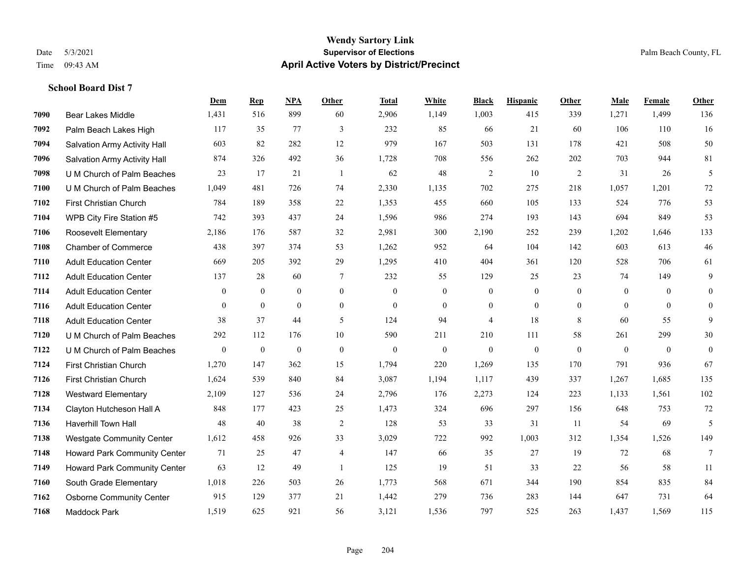#### **Wendy Sartory Link** Date 5/3/2021 **Supervisor of Elections** Palm Beach County, FL Time 09:43 AM **April Active Voters by District/Precinct**

## **Dem Rep NPA Other Total White Black Hispanic Other Male Female Other** Bear Lakes Middle 1,431 516 899 60 2,906 1,149 1,003 415 339 1,271 1,499 136 Palm Beach Lakes High 117 35 77 3 232 85 66 21 60 106 110 16 Salvation Army Activity Hall 603 82 282 12 979 167 503 131 178 421 508 50 Salvation Army Activity Hall 874 326 492 36 1,728 708 556 262 202 703 944 81 U M Church of Palm Beaches 23 17 21 1 62 48 2 10 2 31 26 5 U M Church of Palm Beaches 1,049 481 726 74 2,330 1,135 702 275 218 1,057 1,201 72 First Christian Church 784 189 358 22 1,353 455 660 105 133 524 776 53 WPB City Fire Station #5 742 393 437 24 1,596 986 274 193 143 694 849 53 Roosevelt Elementary 2,186 176 587 32 2,981 300 2,190 252 239 1,202 1,646 133 Chamber of Commerce 438 397 374 53 1,262 952 64 104 142 603 613 46 Adult Education Center 669 205 392 29 1,295 410 404 361 120 528 706 61 Adult Education Center 137 28 60 7 232 55 129 25 23 74 149 9 Adult Education Center 0 0 0 0 0 0 0 0 0 0 0 0 Adult Education Center 0 0 0 0 0 0 0 0 0 0 0 0 Adult Education Center 38 37 44 5 124 94 4 18 8 60 55 9 U M Church of Palm Beaches 292 112 176 10 590 211 210 111 58 261 299 30 U M Church of Palm Beaches 0 0 0 0 0 0 0 0 0 0 0 0 First Christian Church 1,270 147 362 15 1,794 220 1,269 135 170 791 936 67 First Christian Church 1,624 539 840 84 3,087 1,194 1,117 439 337 1,267 1,685 135 Westward Elementary 2,109 127 536 24 2,796 176 2,273 124 223 1,133 1,561 102 Clayton Hutcheson Hall A 848 177 423 25 1,473 324 696 297 156 648 753 72 Haverhill Town Hall 48 40 38 2 128 53 33 31 11 54 69 5 Westgate Community Center 1,612 458 926 33 3,029 722 992 1,003 312 1,354 1,526 149 Howard Park Community Center 71 25 47 4 147 66 35 27 19 72 68 7 Howard Park Community Center 63 12 49 1 125 19 51 33 22 56 58 11 South Grade Elementary 1,018 226 503 26 1,773 568 671 344 190 854 835 84 Osborne Community Center 915 129 377 21 1,442 279 736 283 144 647 731 64 Maddock Park 1,519 625 921 56 3,121 1,536 797 525 263 1,437 1,569 115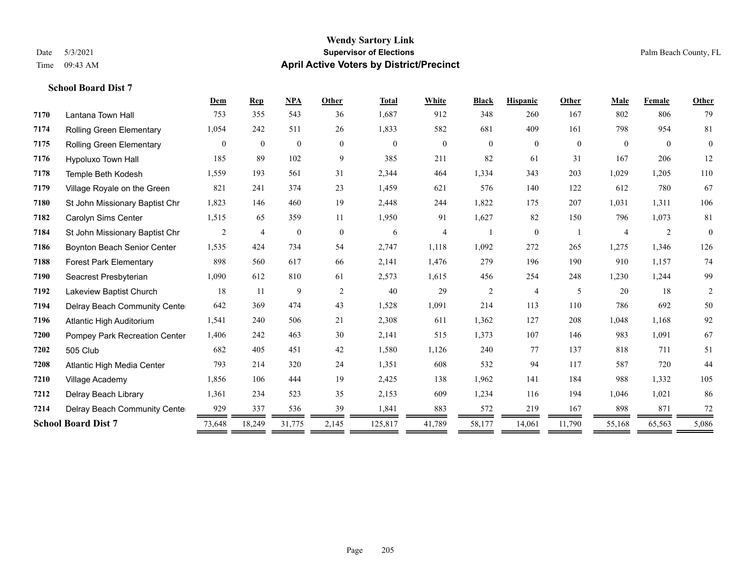#### **Wendy Sartory Link** Date 5/3/2021 **Supervisor of Elections** Palm Beach County, FL Time 09:43 AM **April Active Voters by District/Precinct**

## **Dem Rep NPA Other Total White Black Hispanic Other Male Female Other** Lantana Town Hall 753 355 543 36 1,687 912 348 260 167 802 806 79 Rolling Green Elementary 1,054 242 511 26 1,833 582 681 409 161 798 954 81 Rolling Green Elementary 0 0 0 0 0 0 0 0 0 0 0 0 Hypoluxo Town Hall 185 89 102 9 385 211 82 61 31 167 206 12 Temple Beth Kodesh 1,559 193 561 31 2,344 464 1,334 343 203 1,029 1,205 110 Village Royale on the Green 821 241 374 23 1,459 621 576 140 122 612 780 67 St John Missionary Baptist Chr 1,823 146 460 19 2,448 244 1,822 175 207 1,031 1,311 106 Carolyn Sims Center 1,515 65 359 11 1,950 91 1,627 82 150 796 1,073 81 St John Missionary Baptist Chr 2 4 0 0 6 4 1 0 1 4 2 0 Boynton Beach Senior Center 1,535 424 734 54 2,747 1,118 1,092 272 265 1,275 1,346 126 Forest Park Elementary 898 560 617 66 2,141 1,476 279 196 190 910 1,157 74 Seacrest Presbyterian 1,090 612 810 61 2,573 1,615 456 254 248 1,230 1,244 99 Lakeview Baptist Church 18 11 9 2 40 29 2 4 5 20 18 2 Delray Beach Community Center 642 369 474 43 1,528 1,091 214 113 110 786 692 50 Atlantic High Auditorium 1,541 240 506 21 2,308 611 1,362 127 208 1,048 1,168 92 Pompey Park Recreation Center 1,406 242 463 30 2,141 515 1,373 107 146 983 1,091 67 505 Club 682 405 451 42 1,580 1,126 240 77 137 818 711 51 Atlantic High Media Center 793 214 320 24 1,351 608 532 94 117 587 720 44 Village Academy 1,856 106 444 19 2,425 138 1,962 141 184 988 1,332 105 Delray Beach Library 1,361 234 523 35 2,153 609 1,234 116 194 1,046 1,021 86 **7214** Delray Beach Community Cente  $\frac{929}{2} \frac{337}{2} \frac{536}{2} \frac{536}{2} \frac{39}{2} \frac{1,841}{2} \frac{883}{2} \frac{572}{2} \frac{219}{2} \frac{219}{2} \frac{167}{2} \frac{898}{2} \frac{871}{2} \frac{72}{2} \frac{72}{2} \frac{72}{2} \frac{1}{2} \frac{1}{2} \frac{1}{2} \frac{1}{2} \frac{1}{2} \frac{1}{2} \$ **School Board Dist 7** 73,648 18,249 31,775 2,145 125,817 41,789 58,177 14,061 11,790 55,168 65,563 5,086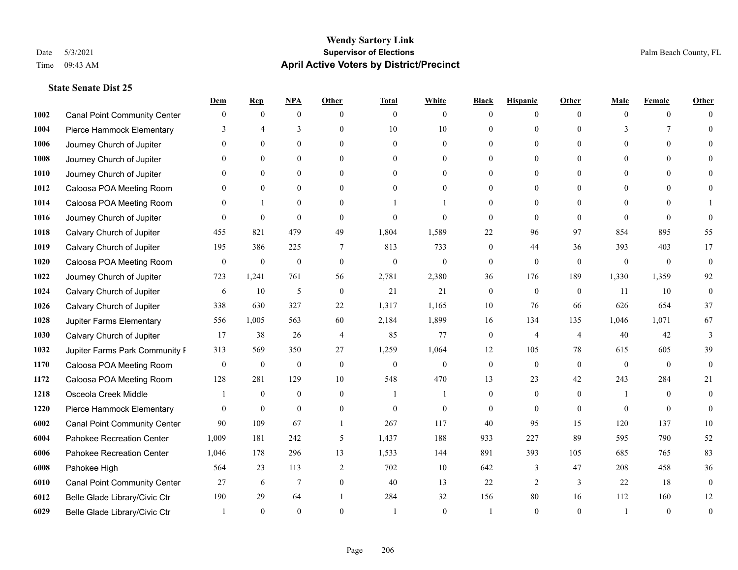#### **Wendy Sartory Link** Date 5/3/2021 **Supervisor of Elections** Palm Beach County, FL Time 09:43 AM **April Active Voters by District/Precinct**

#### **State Senate Dist 25**

|      |                                     | Dem              | <b>Rep</b>       | NPA              | <b>Other</b>   | <b>Total</b> | <b>White</b>     | <b>Black</b>   | <b>Hispanic</b> | <b>Other</b>   | <b>Male</b>   | <b>Female</b>  | <b>Other</b>     |
|------|-------------------------------------|------------------|------------------|------------------|----------------|--------------|------------------|----------------|-----------------|----------------|---------------|----------------|------------------|
| 1002 | <b>Canal Point Community Center</b> | $\mathbf{0}$     | $\mathbf{0}$     | $\mathbf{0}$     | $\Omega$       | $\theta$     | $\overline{0}$   | $\theta$       | $\mathbf{0}$    | $\Omega$       | $\theta$      | $\theta$       | $\Omega$         |
| 1004 | Pierce Hammock Elementary           | 3                | $\overline{4}$   | 3                | $\Omega$       | 10           | 10               | $\theta$       | $\mathbf{0}$    | $\Omega$       | $\mathcal{E}$ | 7              | $\Omega$         |
| 1006 | Journey Church of Jupiter           | $\Omega$         | $\theta$         | $\theta$         | $\Omega$       | $\Omega$     | $\Omega$         | $\Omega$       | $\theta$        | $\Omega$       | $\Omega$      | $\Omega$       |                  |
| 1008 | Journey Church of Jupiter           |                  | $\mathbf{0}$     | $\mathbf{0}$     | $\mathbf{0}$   | $\theta$     | $\overline{0}$   | $\overline{0}$ | $\mathbf{0}$    | $\Omega$       | $\mathbf{0}$  | $\theta$       |                  |
| 1010 | Journey Church of Jupiter           | 0                | $\theta$         | $\mathbf{0}$     | $\Omega$       | $\Omega$     | $\overline{0}$   | $\Omega$       | $\theta$        | $\Omega$       | $\theta$      | $\Omega$       | $\Omega$         |
| 1012 | Caloosa POA Meeting Room            |                  | $\mathbf{0}$     | $\mathbf{0}$     | $\Omega$       | $\theta$     | $\mathbf{0}$     | $\Omega$       | $\mathbf{0}$    | $\Omega$       | $\theta$      | $\Omega$       |                  |
| 1014 | Caloosa POA Meeting Room            | $\Omega$         | $\mathbf{1}$     | $\mathbf{0}$     | $\theta$       |              |                  | $\overline{0}$ | $\mathbf{0}$    | $\theta$       | $\theta$      | $\theta$       |                  |
| 1016 | Journey Church of Jupiter           | $\Omega$         | $\mathbf{0}$     | $\theta$         | $\Omega$       | $\theta$     | $\theta$         | $\theta$       | $\theta$        | $\Omega$       | $\Omega$      | $\Omega$       | $\Omega$         |
| 1018 | Calvary Church of Jupiter           | 455              | 821              | 479              | 49             | 1,804        | 1,589            | 22             | 96              | 97             | 854           | 895            | 55               |
| 1019 | Calvary Church of Jupiter           | 195              | 386              | 225              | 7              | 813          | 733              | $\mathbf{0}$   | 44              | 36             | 393           | 403            | 17               |
| 1020 | Caloosa POA Meeting Room            | $\overline{0}$   | $\boldsymbol{0}$ | $\boldsymbol{0}$ | $\theta$       | $\mathbf{0}$ | $\mathbf{0}$     | $\overline{0}$ | $\mathbf{0}$    | $\theta$       | $\mathbf{0}$  | $\overline{0}$ | $\mathbf{0}$     |
| 1022 | Journey Church of Jupiter           | 723              | 1,241            | 761              | 56             | 2,781        | 2,380            | 36             | 176             | 189            | 1,330         | 1,359          | 92               |
| 1024 | Calvary Church of Jupiter           | 6                | 10               | 5                | $\theta$       | 21           | 21               | $\mathbf{0}$   | $\mathbf{0}$    | $\theta$       | 11            | 10             | $\mathbf{0}$     |
| 1026 | Calvary Church of Jupiter           | 338              | 630              | 327              | 22             | 1,317        | 1,165            | 10             | 76              | 66             | 626           | 654            | 37               |
| 1028 | Jupiter Farms Elementary            | 556              | 1,005            | 563              | 60             | 2,184        | 1,899            | 16             | 134             | 135            | 1,046         | 1,071          | 67               |
| 1030 | Calvary Church of Jupiter           | 17               | 38               | 26               | $\overline{4}$ | 85           | 77               | $\mathbf{0}$   | $\overline{4}$  | $\overline{4}$ | 40            | 42             | 3                |
| 1032 | Jupiter Farms Park Community I      | 313              | 569              | 350              | 27             | 1,259        | 1,064            | 12             | 105             | 78             | 615           | 605            | 39               |
| 1170 | Caloosa POA Meeting Room            | $\boldsymbol{0}$ | $\boldsymbol{0}$ | $\boldsymbol{0}$ | $\mathbf{0}$   | $\mathbf{0}$ | $\boldsymbol{0}$ | $\mathbf{0}$   | $\mathbf{0}$    | $\theta$       | $\theta$      | $\theta$       | $\mathbf{0}$     |
| 1172 | Caloosa POA Meeting Room            | 128              | 281              | 129              | 10             | 548          | 470              | 13             | 23              | 42             | 243           | 284            | 21               |
| 1218 | Osceola Creek Middle                |                  | $\mathbf{0}$     | $\mathbf{0}$     | $\theta$       | $\mathbf{1}$ |                  | $\mathbf{0}$   | $\mathbf{0}$    | $\theta$       | -1            | $\theta$       | $\theta$         |
| 1220 | Pierce Hammock Elementary           | $\Omega$         | $\theta$         | $\theta$         | $\Omega$       | $\theta$     | $\theta$         | $\theta$       | $\Omega$        | $\Omega$       | $\Omega$      | $\Omega$       | $\theta$         |
| 6002 | <b>Canal Point Community Center</b> | 90               | 109              | 67               | 1              | 267          | 117              | 40             | 95              | 15             | 120           | 137            | 10               |
| 6004 | Pahokee Recreation Center           | 1,009            | 181              | 242              | 5              | 1,437        | 188              | 933            | 227             | 89             | 595           | 790            | 52               |
| 6006 | Pahokee Recreation Center           | 1,046            | 178              | 296              | 13             | 1,533        | 144              | 891            | 393             | 105            | 685           | 765            | 83               |
| 6008 | Pahokee High                        | 564              | 23               | 113              | $\overline{2}$ | 702          | $10\,$           | 642            | 3               | 47             | 208           | 458            | 36               |
| 6010 | <b>Canal Point Community Center</b> | 27               | 6                | $7\phantom{.0}$  | $\mathbf{0}$   | 40           | 13               | 22             | 2               | $\overline{3}$ | 22            | 18             | $\boldsymbol{0}$ |
| 6012 | Belle Glade Library/Civic Ctr       | 190              | 29               | 64               |                | 284          | 32               | 156            | 80              | 16             | 112           | 160            | 12               |
| 6029 | Belle Glade Library/Civic Ctr       |                  | $\Omega$         | $\Omega$         | $\Omega$       |              | $\theta$         |                | $\Omega$        | $\Omega$       | $\mathbf{1}$  | $\Omega$       | $\theta$         |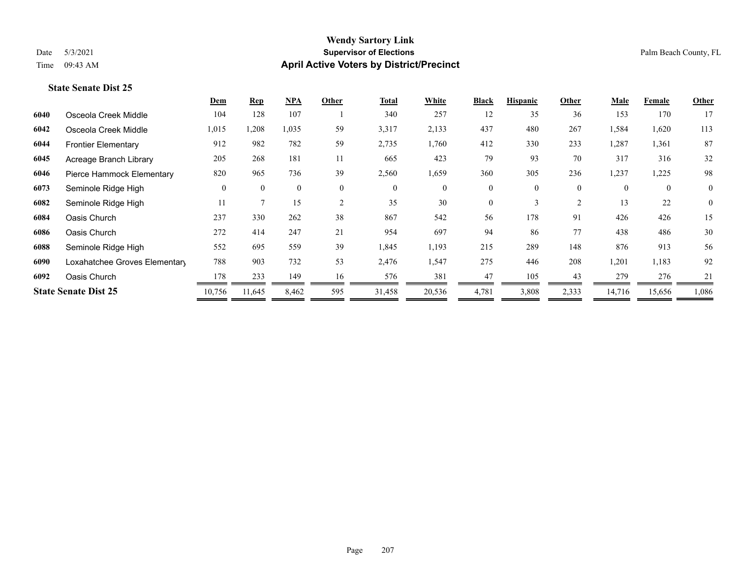#### **Wendy Sartory Link** Date 5/3/2021 **Supervisor of Elections Supervisor of Elections** Palm Beach County, FL Time 09:43 AM **April Active Voters by District/Precinct**

### **State Senate Dist 25**

|      |                               | <b>Dem</b> | <b>Rep</b>   | <u>NPA</u>     | Other          | <b>Total</b>   | White        | <b>Black</b> | <b>Hispanic</b> | Other          | <b>Male</b> | Female   | Other          |
|------|-------------------------------|------------|--------------|----------------|----------------|----------------|--------------|--------------|-----------------|----------------|-------------|----------|----------------|
| 6040 | Osceola Creek Middle          | 104        | 128          | 107            |                | 340            | 257          | 12           | 35              | 36             | 153         | 170      | 17             |
| 6042 | Osceola Creek Middle          | 1,015      | 1,208        | 1,035          | 59             | 3,317          | 2,133        | 437          | 480             | 267            | 1,584       | 1,620    | 113            |
| 6044 | <b>Frontier Elementary</b>    | 912        | 982          | 782            | 59             | 2,735          | 1,760        | 412          | 330             | 233            | 1,287       | 1,361    | 87             |
| 6045 | Acreage Branch Library        | 205        | 268          | 181            | 11             | 665            | 423          | 79           | 93              | 70             | 317         | 316      | 32             |
| 6046 | Pierce Hammock Elementary     | 820        | 965          | 736            | 39             | 2,560          | 1,659        | 360          | 305             | 236            | 1,237       | 1,225    | 98             |
| 6073 | Seminole Ridge High           | $\theta$   | $\mathbf{0}$ | $\overline{0}$ | $\overline{0}$ | $\overline{0}$ | $\mathbf{0}$ | $\theta$     | $\theta$        | $\mathbf{0}$   | $\theta$    | $\theta$ | $\overline{0}$ |
| 6082 | Seminole Ridge High           | 11         | $\mathbf{7}$ | 15             | 2              | 35             | 30           | $\theta$     | 3               | $\overline{2}$ | 13          | 22       | $\overline{0}$ |
| 6084 | Oasis Church                  | 237        | 330          | 262            | 38             | 867            | 542          | 56           | 178             | 91             | 426         | 426      | 15             |
| 6086 | Oasis Church                  | 272        | 414          | 247            | 21             | 954            | 697          | 94           | 86              | 77             | 438         | 486      | 30             |
| 6088 | Seminole Ridge High           | 552        | 695          | 559            | 39             | 1,845          | 1,193        | 215          | 289             | 148            | 876         | 913      | 56             |
| 6090 | Loxahatchee Groves Elementary | 788        | 903          | 732            | 53             | 2,476          | 1,547        | 275          | 446             | 208            | 1,201       | 1,183    | 92             |
| 6092 | Oasis Church                  | 178        | 233          | 149            | 16             | 576            | 381          | 47           | 105             | 43             | 279         | 276      | 21             |
|      | <b>State Senate Dist 25</b>   | 10,756     | 11,645       | 8,462          | 595            | 31,458         | 20,536       | 4,781        | 3,808           | 2,333          | 14,716      | 15,656   | 1,086          |
|      |                               |            |              |                |                |                |              |              |                 |                |             |          |                |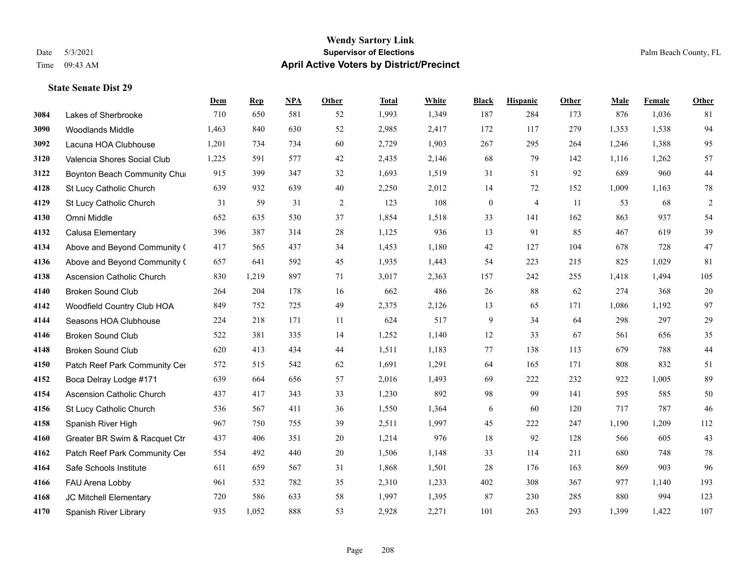#### **Wendy Sartory Link** Date 5/3/2021 **Supervisor of Elections** Palm Beach County, FL Time 09:43 AM **April Active Voters by District/Precinct**

## **Dem Rep NPA Other Total White Black Hispanic Other Male Female Other** Lakes of Sherbrooke 710 650 581 52 1,993 1,349 187 284 173 876 1,036 81 Woodlands Middle 1,463 840 630 52 2,985 2,417 172 117 279 1,353 1,538 94 Lacuna HOA Clubhouse 1,201 734 734 60 2,729 1,903 267 295 264 1,246 1,388 95 Valencia Shores Social Club 1,225 591 577 42 2,435 2,146 68 79 142 1,116 1,262 57 **3122 Boynton Beach Community Chu**rch 915 399 347 32 1,693 1,519 31 51 92 689 960 44 St Lucy Catholic Church 639 932 639 40 2,250 2,012 14 72 152 1,009 1,163 78 St Lucy Catholic Church 31 59 31 2 123 108 0 4 11 53 68 2 Omni Middle 652 635 530 37 1,854 1,518 33 141 162 863 937 54 Calusa Elementary 396 387 314 28 1,125 936 13 91 85 467 619 39 Above and Beyond Community Church 417 565 437 34 1,453 1,180 42 127 104 678 728 47 Above and Beyond Community Church 657 641 592 45 1,935 1,443 54 223 215 825 1,029 81 Ascension Catholic Church 830 1,219 897 71 3,017 2,363 157 242 255 1,418 1,494 105 Broken Sound Club 264 204 178 16 662 486 26 88 62 274 368 20 Woodfield Country Club HOA 849 752 725 49 2,375 2,126 13 65 171 1,086 1,192 97 Seasons HOA Clubhouse 224 218 171 11 624 517 9 34 64 298 297 29 Broken Sound Club 522 381 335 14 1,252 1,140 12 33 67 561 656 35 Broken Sound Club 620 413 434 44 1,511 1,183 77 138 113 679 788 44 4150 Patch Reef Park Community Center 572 515 542 62 1,691 1,291 64 165 171 808 832 51 Boca Delray Lodge #171 639 664 656 57 2,016 1,493 69 222 232 922 1,005 89 Ascension Catholic Church 437 417 343 33 1,230 892 98 99 141 595 585 50 St Lucy Catholic Church 536 567 411 36 1,550 1,364 6 60 120 717 787 46 Spanish River High 967 750 755 39 2,511 1,997 45 222 247 1,190 1,209 112 Greater BR Swim & Racquet Ctr 437 406 351 20 1,214 976 18 92 128 566 605 43 4162 Patch Reef Park Community Center 554 492 440 20 1,506 1,148 33 114 211 680 748 78 Safe Schools Institute 611 659 567 31 1,868 1,501 28 176 163 869 903 96 FAU Arena Lobby 961 532 782 35 2,310 1,233 402 308 367 977 1,140 193 JC Mitchell Elementary 720 586 633 58 1,997 1,395 87 230 285 880 994 123 Spanish River Library 935 1,052 888 53 2,928 2,271 101 263 293 1,399 1,422 107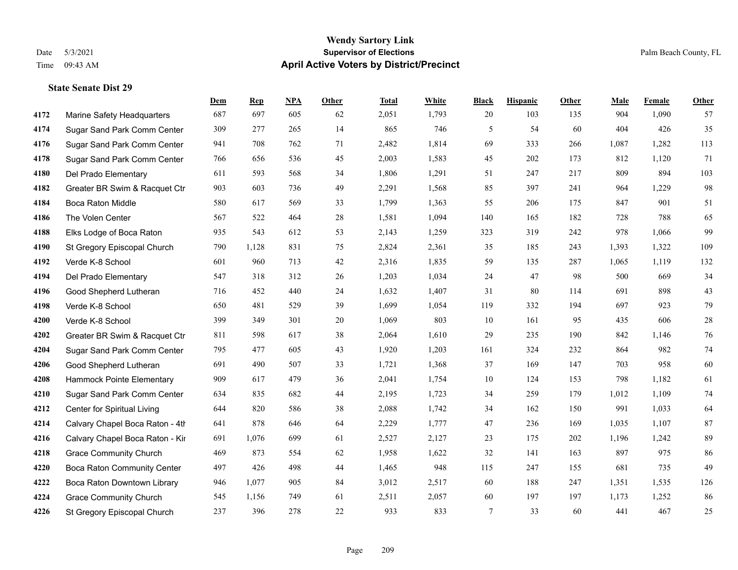#### **Wendy Sartory Link** Date 5/3/2021 **Supervisor of Elections** Palm Beach County, FL Time 09:43 AM **April Active Voters by District/Precinct**

## **Dem Rep NPA Other Total White Black Hispanic Other Male Female Other** Marine Safety Headquarters 687 697 605 62 2,051 1,793 20 103 135 904 1,090 57 Sugar Sand Park Comm Center 309 277 265 14 865 746 5 54 60 404 426 35 Sugar Sand Park Comm Center 941 708 762 71 2,482 1,814 69 333 266 1,087 1,282 113 Sugar Sand Park Comm Center 766 656 536 45 2,003 1,583 45 202 173 812 1,120 71 Del Prado Elementary 611 593 568 34 1,806 1,291 51 247 217 809 894 103 Greater BR Swim & Racquet Ctr 903 603 736 49 2,291 1,568 85 397 241 964 1,229 98 Boca Raton Middle 580 617 569 33 1,799 1,363 55 206 175 847 901 51 The Volen Center 567 522 464 28 1,581 1,094 140 165 182 728 788 65 Elks Lodge of Boca Raton 935 543 612 53 2,143 1,259 323 319 242 978 1,066 99 St Gregory Episcopal Church 790 1,128 831 75 2,824 2,361 35 185 243 1,393 1,322 109 Verde K-8 School 601 960 713 42 2,316 1,835 59 135 287 1,065 1,119 132 Del Prado Elementary 547 318 312 26 1,203 1,034 24 47 98 500 669 34 Good Shepherd Lutheran 716 452 440 24 1,632 1,407 31 80 114 691 898 43 Verde K-8 School 650 481 529 39 1,699 1,054 119 332 194 697 923 79 Verde K-8 School 399 349 301 20 1,069 803 10 161 95 435 606 28 Greater BR Swim & Racquet Ctr 811 598 617 38 2,064 1,610 29 235 190 842 1,146 76 Sugar Sand Park Comm Center 795 477 605 43 1,920 1,203 161 324 232 864 982 74 Good Shepherd Lutheran 691 490 507 33 1,721 1,368 37 169 147 703 958 60 Hammock Pointe Elementary 909 617 479 36 2,041 1,754 10 124 153 798 1,182 61 Sugar Sand Park Comm Center 634 835 682 44 2,195 1,723 34 259 179 1,012 1,109 74 Center for Spiritual Living 644 820 586 38 2,088 1,742 34 162 150 991 1,033 64 4214 Calvary Chapel Boca Raton - 4th $541$   $878$   $646$   $64$   $2,229$   $1,777$   $47$   $236$   $169$   $1,035$   $1,107$   $87$ 4216 Calvary Chapel Boca Raton - Kir 691 1,076 699 61 2,527 2,127 23 175 202 1,196 1,242 89 Grace Community Church 469 873 554 62 1,958 1,622 32 141 163 897 975 86 Boca Raton Community Center 497 426 498 44 1,465 948 115 247 155 681 735 49 Boca Raton Downtown Library 946 1,077 905 84 3,012 2,517 60 188 247 1,351 1,535 126 Grace Community Church 545 1,156 749 61 2,511 2,057 60 197 197 1,173 1,252 86 St Gregory Episcopal Church 237 396 278 22 933 833 7 33 60 441 467 25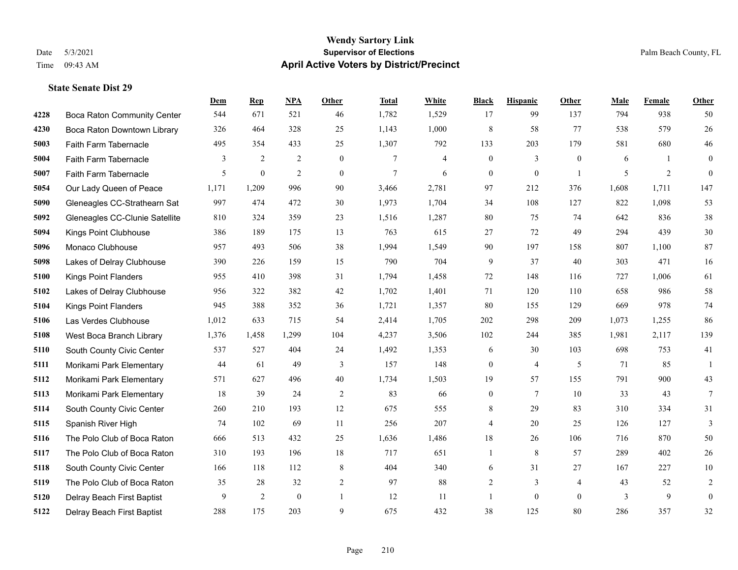#### **Wendy Sartory Link** Date 5/3/2021 **Supervisor of Elections** Palm Beach County, FL Time 09:43 AM **April Active Voters by District/Precinct**

Boca Raton Community Center 544 671 521 46 1,782 1,529 17 99 137 794 938 50

**Dem Rep NPA Other Total White Black Hispanic Other Male Female Other**

## Boca Raton Downtown Library 326 464 328 25 1,143 1,000 8 58 77 538 579 26 Faith Farm Tabernacle 495 354 433 25 1,307 792 133 203 179 581 680 46 Faith Farm Tabernacle 3 2 2 0 7 4 0 3 0 6 1 0 Faith Farm Tabernacle 5 0 2 0 7 6 0 0 1 5 2 0 Our Lady Queen of Peace 1,171 1,209 996 90 3,466 2,781 97 212 376 1,608 1,711 147 Gleneagles CC-Strathearn Sat 997 474 472 30 1,973 1,704 34 108 127 822 1,098 53 Gleneagles CC-Clunie Satellite 810 324 359 23 1,516 1,287 80 75 74 642 836 38 Kings Point Clubhouse 386 189 175 13 763 615 27 72 49 294 439 30 Monaco Clubhouse 957 493 506 38 1,994 1,549 90 197 158 807 1,100 87 Lakes of Delray Clubhouse 390 226 159 15 790 704 9 37 40 303 471 16 Kings Point Flanders 955 410 398 31 1,794 1,458 72 148 116 727 1,006 61 Lakes of Delray Clubhouse 956 322 382 42 1,702 1,401 71 120 110 658 986 58 Kings Point Flanders 945 388 352 36 1,721 1,357 80 155 129 669 978 74 Las Verdes Clubhouse 1,012 633 715 54 2,414 1,705 202 298 209 1,073 1,255 86 West Boca Branch Library 1,376 1,458 1,299 104 4,237 3,506 102 244 385 1,981 2,117 139 South County Civic Center 537 527 404 24 1,492 1,353 6 30 103 698 753 41 Morikami Park Elementary 44 61 49 3 157 148 0 4 5 71 85 1 Morikami Park Elementary 571 627 496 40 1,734 1,503 19 57 155 791 900 43 Morikami Park Elementary 18 39 24 2 83 66 0 7 10 33 43 7 South County Civic Center 260 210 193 12 675 555 8 29 83 310 334 31 Spanish River High 74 102 69 11 256 207 4 20 25 126 127 3 The Polo Club of Boca Raton 666 513 432 25 1,636 1,486 18 26 106 716 870 50 The Polo Club of Boca Raton 310 193 196 18 717 651 1 8 57 289 402 26

 South County Civic Center 166 118 112 8 404 340 6 31 27 167 227 10 The Polo Club of Boca Raton 35 28 32 2 97 88 2 3 4 43 52 2 Delray Beach First Baptist 9 2 0 1 12 11 1 0 0 3 9 0 Delray Beach First Baptist 288 175 203 9 675 432 38 125 80 286 357 32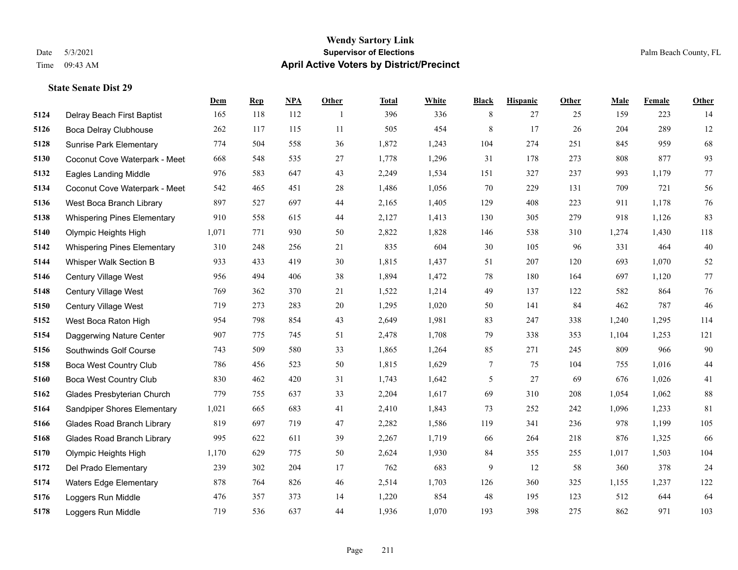#### **Wendy Sartory Link** Date 5/3/2021 **Supervisor of Elections** Palm Beach County, FL Time 09:43 AM **April Active Voters by District/Precinct**

## **Dem Rep NPA Other Total White Black Hispanic Other Male Female Other** Delray Beach First Baptist 165 118 112 1 396 336 8 27 25 159 223 14 Boca Delray Clubhouse 262 117 115 11 505 454 8 17 26 204 289 12 Sunrise Park Elementary 774 504 558 36 1,872 1,243 104 274 251 845 959 68 Coconut Cove Waterpark - Meet 668 548 535 27 1,778 1,296 31 178 273 808 877 93 Eagles Landing Middle 976 583 647 43 2,249 1,534 151 327 237 993 1,179 77 Coconut Cove Waterpark - Meet 542 465 451 28 1,486 1,056 70 229 131 709 721 56 West Boca Branch Library 897 527 697 44 2,165 1,405 129 408 223 911 1,178 76 Whispering Pines Elementary 910 558 615 44 2,127 1,413 130 305 279 918 1,126 83 Olympic Heights High 1,071 771 930 50 2,822 1,828 146 538 310 1,274 1,430 118 Whispering Pines Elementary 310 248 256 21 835 604 30 105 96 331 464 40 Whisper Walk Section B 933 433 419 30 1,815 1,437 51 207 120 693 1,070 52 Century Village West 956 494 406 38 1,894 1,472 78 180 164 697 1,120 77 Century Village West 769 362 370 21 1,522 1,214 49 137 122 582 864 76 Century Village West 719 273 283 20 1,295 1,020 50 141 84 462 787 46 West Boca Raton High 954 798 854 43 2,649 1,981 83 247 338 1,240 1,295 114 Daggerwing Nature Center 907 775 745 51 2,478 1,708 79 338 353 1,104 1,253 121 Southwinds Golf Course 743 509 580 33 1,865 1,264 85 271 245 809 966 90 Boca West Country Club 786 456 523 50 1,815 1,629 7 75 104 755 1,016 44 Boca West Country Club 830 462 420 31 1,743 1,642 5 27 69 676 1,026 41 Glades Presbyterian Church 779 755 637 33 2,204 1,617 69 310 208 1,054 1,062 88 Sandpiper Shores Elementary 1,021 665 683 41 2,410 1,843 73 252 242 1,096 1,233 81 Glades Road Branch Library 819 697 719 47 2,282 1,586 119 341 236 978 1,199 105 Glades Road Branch Library 995 622 611 39 2,267 1,719 66 264 218 876 1,325 66 Olympic Heights High 1,170 629 775 50 2,624 1,930 84 355 255 1,017 1,503 104 Del Prado Elementary 239 302 204 17 762 683 9 12 58 360 378 24 Waters Edge Elementary 878 764 826 46 2,514 1,703 126 360 325 1,155 1,237 122 Loggers Run Middle 476 357 373 14 1,220 854 48 195 123 512 644 64 Loggers Run Middle 719 536 637 44 1,936 1,070 193 398 275 862 971 103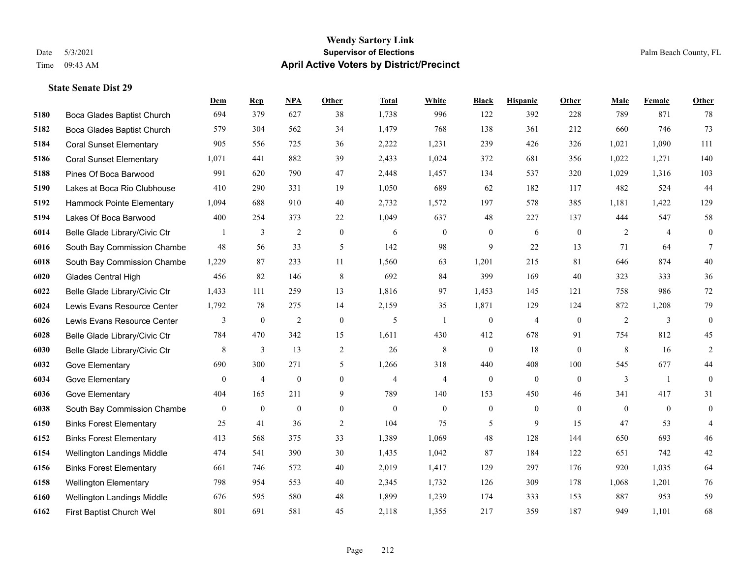#### **Wendy Sartory Link** Date 5/3/2021 **Supervisor of Elections** Palm Beach County, FL Time 09:43 AM **April Active Voters by District/Precinct**

## **Dem Rep NPA Other Total White Black Hispanic Other Male Female Other** Boca Glades Baptist Church 694 379 627 38 1,738 996 122 392 228 789 871 78 Boca Glades Baptist Church 579 304 562 34 1,479 768 138 361 212 660 746 73 Coral Sunset Elementary 905 556 725 36 2,222 1,231 239 426 326 1,021 1,090 111 Coral Sunset Elementary 1,071 441 882 39 2,433 1,024 372 681 356 1,022 1,271 140 Pines Of Boca Barwood 991 620 790 47 2,448 1,457 134 537 320 1,029 1,316 103 Lakes at Boca Rio Clubhouse 410 290 331 19 1,050 689 62 182 117 482 524 44 Hammock Pointe Elementary 1,094 688 910 40 2,732 1,572 197 578 385 1,181 1,422 129 Lakes Of Boca Barwood 400 254 373 22 1,049 637 48 227 137 444 547 58 Belle Glade Library/Civic Ctr 1 3 2 0 6 0 0 6 0 2 4 0 South Bay Commission Chambe 48 56 33 5 142 98 9 22 13 71 64 7 South Bay Commission Chambe 1,229 87 233 11 1,560 63 1,201 215 81 646 874 40 Glades Central High 456 82 146 8 692 84 399 169 40 323 333 36 Belle Glade Library/Civic Ctr 1,433 111 259 13 1,816 97 1,453 145 121 758 986 72 Lewis Evans Resource Center 1,792 78 275 14 2,159 35 1,871 129 124 872 1,208 79 Lewis Evans Resource Center  $\begin{array}{ccccccccccccc}\n & & & 3 & & 0 & & 2 & & 0 & & 5 & & 1 & & 0 & & 4 & & 0 & & 2 & & 3 & & 0\n\end{array}$  Belle Glade Library/Civic Ctr 784 470 342 15 1,611 430 412 678 91 754 812 45 Belle Glade Library/Civic Ctr 8 3 13 2 26 8 0 18 0 8 16 2 Gove Elementary 690 300 271 5 1,266 318 440 408 100 545 677 44 Gove Elementary 0 4 0 4 4 0 0 0 3 1 0 Gove Elementary 404 165 211 9 789 140 153 450 46 341 417 31 South Bay Commission Chambers 0 0 0 0 0 0 0 0 0 0 0 0 Binks Forest Elementary 25 41 36 2 104 75 5 9 15 47 53 4 Binks Forest Elementary 413 568 375 33 1,389 1,069 48 128 144 650 693 46 Wellington Landings Middle 474 541 390 30 1,435 1,042 87 184 122 651 742 42 Binks Forest Elementary 661 746 572 40 2,019 1,417 129 297 176 920 1,035 64 Wellington Elementary 798 954 553 40 2,345 1,732 126 309 178 1,068 1,201 76 Wellington Landings Middle 676 595 580 48 1,899 1,239 174 333 153 887 953 59 First Baptist Church Wel 801 691 581 45 2,118 1,355 217 359 187 949 1,101 68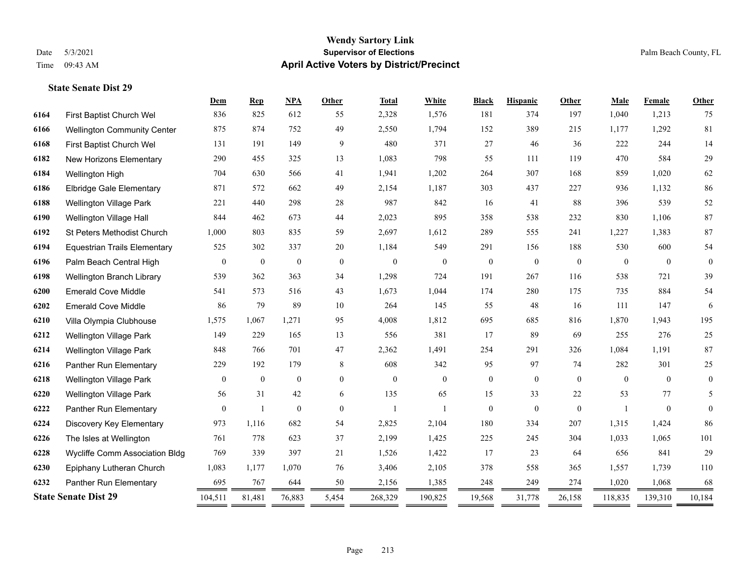#### **Wendy Sartory Link** Date 5/3/2021 **Supervisor of Elections** Palm Beach County, FL Time 09:43 AM **April Active Voters by District/Precinct**

## **Dem Rep NPA Other Total White Black Hispanic Other Male Female Other** First Baptist Church Wel 836 825 612 55 2,328 1,576 181 374 197 1,040 1,213 75 Wellington Community Center 875 874 752 49 2,550 1,794 152 389 215 1,177 1,292 81 First Baptist Church Wel 131 191 149 9 480 371 27 46 36 222 244 14 New Horizons Elementary 290 455 325 13 1,083 798 55 111 119 470 584 29 Wellington High 704 630 566 41 1,941 1,202 264 307 168 859 1,020 62 Elbridge Gale Elementary 871 572 662 49 2,154 1,187 303 437 227 936 1,132 86 Wellington Village Park 221 440 298 28 987 842 16 41 88 396 539 52 Wellington Village Hall 844 462 673 44 2,023 895 358 538 232 830 1,106 87 St Peters Methodist Church 1,000 803 835 59 2,697 1,612 289 555 241 1,227 1,383 87 Equestrian Trails Elementary 525 302 337 20 1,184 549 291 156 188 530 600 54 Palm Beach Central High 0 0 0 0 0 0 0 0 0 0 0 0 Wellington Branch Library 539 362 363 34 1,298 724 191 267 116 538 721 39 Emerald Cove Middle 541 573 516 43 1,673 1,044 174 280 175 735 884 54 Emerald Cove Middle 86 79 89 10 264 145 55 48 16 111 147 6 Villa Olympia Clubhouse 1,575 1,067 1,271 95 4,008 1,812 695 685 816 1,870 1,943 195 Wellington Village Park 149 229 165 13 556 381 17 89 69 255 276 25 Wellington Village Park 848 766 701 47 2,362 1,491 254 291 326 1,084 1,191 87 Panther Run Elementary 229 192 179 8 608 342 95 97 74 282 301 25 Wellington Village Park 0 0 0 0 0 0 0 0 0 0 0 0 Wellington Village Park 56 31 42 6 135 65 15 33 22 53 77 5 Panther Run Elementary 0 1 0 0 1 1 1 0 0 0 1 0 0 0 Discovery Key Elementary 973 1,116 682 54 2,825 2,104 180 334 207 1,315 1,424 86 The Isles at Wellington 761 778 623 37 2,199 1,425 225 245 304 1,033 1,065 101 Wycliffe Comm Association Bldg 769 339 397 21 1,526 1,422 17 23 64 656 841 29 Epiphany Lutheran Church 1,083 1,177 1,070 76 3,406 2,105 378 558 365 1,557 1,739 110 Panther Run Elementary 695 767 644 50 2,156 1,385 248 249 274 1,020 1,068 68 **State Senate Dist 29** 104,511 81,481 76,883 5,454 268,329 190,825 19,568 31,778 26,158 118,835 139,310 10,184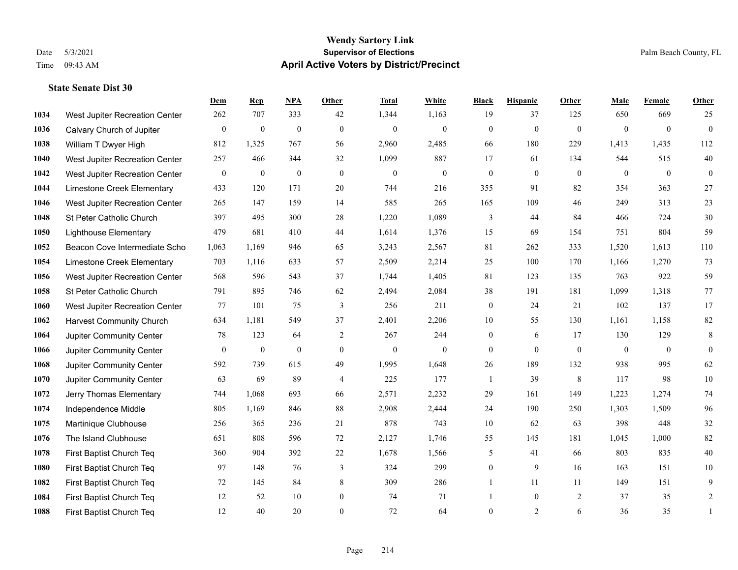#### **Wendy Sartory Link** Date 5/3/2021 **Supervisor of Elections** Palm Beach County, FL Time 09:43 AM **April Active Voters by District/Precinct**

#### **State Senate Dist 30**

|      |                                 | Dem          | <b>Rep</b>       | NPA              | <b>Other</b>     | <b>Total</b>     | <b>White</b>     | <b>Black</b>     | <b>Hispanic</b> | Other          | <b>Male</b>    | Female           | <b>Other</b>     |
|------|---------------------------------|--------------|------------------|------------------|------------------|------------------|------------------|------------------|-----------------|----------------|----------------|------------------|------------------|
| 1034 | West Jupiter Recreation Center  | 262          | 707              | 333              | 42               | 1,344            | 1,163            | 19               | 37              | 125            | 650            | 669              | 25               |
| 1036 | Calvary Church of Jupiter       | $\mathbf{0}$ | $\mathbf{0}$     | $\mathbf{0}$     | $\mathbf{0}$     | $\mathbf{0}$     | $\overline{0}$   | $\mathbf{0}$     | $\mathbf{0}$    | $\mathbf{0}$   | $\overline{0}$ | $\overline{0}$   | $\overline{0}$   |
| 1038 | William T Dwyer High            | 812          | 1,325            | 767              | 56               | 2,960            | 2,485            | 66               | 180             | 229            | 1,413          | 1,435            | 112              |
| 1040 | West Jupiter Recreation Center  | 257          | 466              | 344              | 32               | 1,099            | 887              | 17               | 61              | 134            | 544            | 515              | $40\,$           |
| 1042 | West Jupiter Recreation Center  | $\mathbf{0}$ | $\mathbf{0}$     | $\mathbf{0}$     | $\theta$         | $\mathbf{0}$     | $\overline{0}$   | $\mathbf{0}$     | $\theta$        | $\Omega$       | $\theta$       | $\theta$         | $\overline{0}$   |
| 1044 | Limestone Creek Elementary      | 433          | 120              | 171              | 20               | 744              | 216              | 355              | 91              | 82             | 354            | 363              | $27\,$           |
| 1046 | West Jupiter Recreation Center  | 265          | 147              | 159              | 14               | 585              | 265              | 165              | 109             | 46             | 249            | 313              | 23               |
| 1048 | St Peter Catholic Church        | 397          | 495              | 300              | 28               | 1,220            | 1,089            | 3                | 44              | 84             | 466            | 724              | 30               |
| 1050 | <b>Lighthouse Elementary</b>    | 479          | 681              | 410              | 44               | 1,614            | 1,376            | 15               | 69              | 154            | 751            | 804              | 59               |
| 1052 | Beacon Cove Intermediate Scho   | 1,063        | 1,169            | 946              | 65               | 3,243            | 2,567            | 81               | 262             | 333            | 1,520          | 1,613            | 110              |
| 1054 | Limestone Creek Elementary      | 703          | 1,116            | 633              | 57               | 2,509            | 2,214            | 25               | 100             | 170            | 1,166          | 1,270            | 73               |
| 1056 | West Jupiter Recreation Center  | 568          | 596              | 543              | 37               | 1,744            | 1,405            | 81               | 123             | 135            | 763            | 922              | 59               |
| 1058 | St Peter Catholic Church        | 791          | 895              | 746              | 62               | 2,494            | 2,084            | 38               | 191             | 181            | 1,099          | 1,318            | 77               |
| 1060 | West Jupiter Recreation Center  | 77           | 101              | 75               | $\mathfrak{Z}$   | 256              | 211              | $\boldsymbol{0}$ | 24              | 21             | 102            | 137              | 17               |
| 1062 | <b>Harvest Community Church</b> | 634          | 1,181            | 549              | 37               | 2,401            | 2,206            | 10               | 55              | 130            | 1,161          | 1,158            | 82               |
| 1064 | Jupiter Community Center        | 78           | 123              | 64               | 2                | 267              | 244              | $\overline{0}$   | 6               | 17             | 130            | 129              | 8                |
| 1066 | Jupiter Community Center        | $\mathbf{0}$ | $\boldsymbol{0}$ | $\boldsymbol{0}$ | $\boldsymbol{0}$ | $\boldsymbol{0}$ | $\boldsymbol{0}$ | $\overline{0}$   | $\overline{0}$  | $\mathbf{0}$   | $\mathbf{0}$   | $\boldsymbol{0}$ | $\boldsymbol{0}$ |
| 1068 | Jupiter Community Center        | 592          | 739              | 615              | 49               | 1,995            | 1,648            | 26               | 189             | 132            | 938            | 995              | 62               |
| 1070 | Jupiter Community Center        | 63           | 69               | 89               | $\overline{4}$   | 225              | 177              | $\mathbf{1}$     | 39              | 8              | 117            | 98               | $10\,$           |
| 1072 | Jerry Thomas Elementary         | 744          | 1,068            | 693              | 66               | 2,571            | 2,232            | 29               | 161             | 149            | 1,223          | 1,274            | 74               |
| 1074 | Independence Middle             | 805          | 1,169            | 846              | 88               | 2,908            | 2,444            | 24               | 190             | 250            | 1,303          | 1,509            | 96               |
| 1075 | Martinique Clubhouse            | 256          | 365              | 236              | 21               | 878              | 743              | 10               | 62              | 63             | 398            | 448              | 32               |
| 1076 | The Island Clubhouse            | 651          | 808              | 596              | 72               | 2,127            | 1,746            | 55               | 145             | 181            | 1,045          | 1,000            | 82               |
| 1078 | First Baptist Church Teq        | 360          | 904              | 392              | 22               | 1,678            | 1,566            | 5                | 41              | 66             | 803            | 835              | $40\,$           |
| 1080 | First Baptist Church Teq        | 97           | 148              | 76               | 3                | 324              | 299              | $\overline{0}$   | 9               | 16             | 163            | 151              | 10               |
| 1082 | First Baptist Church Teq        | 72           | 145              | 84               | 8                | 309              | 286              | 1                | 11              | 11             | 149            | 151              | 9                |
| 1084 | First Baptist Church Teq        | 12           | 52               | 10               | $\boldsymbol{0}$ | 74               | 71               |                  | $\overline{0}$  | $\overline{2}$ | 37             | 35               | $\overline{c}$   |
| 1088 | First Baptist Church Teq        | 12           | 40               | 20               | $\theta$         | 72               | 64               | $\overline{0}$   | 2               | 6              | 36             | 35               | 1                |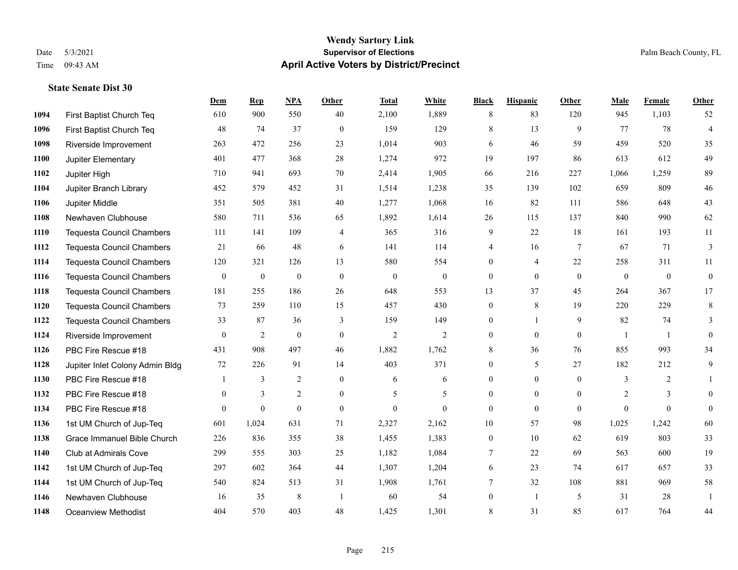#### **Wendy Sartory Link** Date 5/3/2021 **Supervisor of Elections** Palm Beach County, FL Time 09:43 AM **April Active Voters by District/Precinct**

#### **State Senate Dist 30**

|      |                                  | Dem            | <b>Rep</b>       | NPA              | <b>Other</b>   | <b>Total</b>     | White            | <b>Black</b>     | <b>Hispanic</b>  | <b>Other</b>    | <b>Male</b>  | Female         | Other            |
|------|----------------------------------|----------------|------------------|------------------|----------------|------------------|------------------|------------------|------------------|-----------------|--------------|----------------|------------------|
| 1094 | First Baptist Church Teq         | 610            | 900              | 550              | 40             | 2,100            | 1,889            | 8                | 83               | 120             | 945          | 1,103          | 52               |
| 1096 | First Baptist Church Teq         | 48             | 74               | 37               | $\mathbf{0}$   | 159              | 129              | 8                | 13               | 9               | 77           | 78             | $\overline{4}$   |
| 1098 | Riverside Improvement            | 263            | 472              | 256              | 23             | 1,014            | 903              | 6                | 46               | 59              | 459          | 520            | 35               |
| 1100 | Jupiter Elementary               | 401            | 477              | 368              | 28             | 1,274            | 972              | 19               | 197              | 86              | 613          | 612            | 49               |
| 1102 | Jupiter High                     | 710            | 941              | 693              | 70             | 2,414            | 1,905            | 66               | 216              | 227             | 1,066        | 1,259          | 89               |
| 1104 | Jupiter Branch Library           | 452            | 579              | 452              | 31             | 1,514            | 1,238            | 35               | 139              | 102             | 659          | 809            | $46\,$           |
| 1106 | Jupiter Middle                   | 351            | 505              | 381              | 40             | 1,277            | 1,068            | 16               | 82               | 111             | 586          | 648            | $43\,$           |
| 1108 | Newhaven Clubhouse               | 580            | 711              | 536              | 65             | 1,892            | 1,614            | 26               | 115              | 137             | 840          | 990            | 62               |
| 1110 | <b>Tequesta Council Chambers</b> | 111            | 141              | 109              | $\overline{4}$ | 365              | 316              | 9                | 22               | 18              | 161          | 193            | 11               |
| 1112 | <b>Tequesta Council Chambers</b> | 21             | 66               | 48               | 6              | 141              | 114              | 4                | 16               | $7\phantom{.0}$ | 67           | 71             | 3                |
| 1114 | <b>Tequesta Council Chambers</b> | 120            | 321              | 126              | 13             | 580              | 554              | $\mathbf{0}$     | 4                | 22              | 258          | 311            | 11               |
| 1116 | <b>Tequesta Council Chambers</b> | $\mathbf{0}$   | $\boldsymbol{0}$ | $\boldsymbol{0}$ | $\mathbf{0}$   | $\boldsymbol{0}$ | $\boldsymbol{0}$ | $\boldsymbol{0}$ | $\mathbf{0}$     | $\overline{0}$  | $\mathbf{0}$ | $\mathbf{0}$   | $\boldsymbol{0}$ |
| 1118 | <b>Tequesta Council Chambers</b> | 181            | 255              | 186              | 26             | 648              | 553              | 13               | 37               | 45              | 264          | 367            | 17               |
| 1120 | <b>Tequesta Council Chambers</b> | 73             | 259              | 110              | 15             | 457              | 430              | $\boldsymbol{0}$ | 8                | 19              | 220          | 229            | $\,8\,$          |
| 1122 | <b>Tequesta Council Chambers</b> | 33             | 87               | 36               | 3              | 159              | 149              | $\mathbf{0}$     | $\mathbf{1}$     | 9               | 82           | 74             | 3                |
| 1124 | Riverside Improvement            | $\mathbf{0}$   | 2                | $\mathbf{0}$     | $\mathbf{0}$   | $\overline{2}$   | $\overline{2}$   | $\mathbf{0}$     | $\mathbf{0}$     | $\overline{0}$  | $\mathbf{1}$ | -1             | $\mathbf{0}$     |
| 1126 | PBC Fire Rescue #18              | 431            | 908              | 497              | 46             | 1,882            | 1,762            | 8                | 36               | 76              | 855          | 993            | 34               |
| 1128 | Jupiter Inlet Colony Admin Bldg  | 72             | 226              | 91               | 14             | 403              | 371              | $\mathbf{0}$     | 5                | 27              | 182          | 212            | 9                |
| 1130 | PBC Fire Rescue #18              |                | 3                | $\overline{c}$   | $\mathbf{0}$   | 6                | 6                | $\boldsymbol{0}$ | $\boldsymbol{0}$ | $\overline{0}$  | 3            | $\overline{c}$ |                  |
| 1132 | PBC Fire Rescue #18              | $\overline{0}$ | 3                | $\overline{2}$   | $\overline{0}$ | 5                | 5                | $\mathbf{0}$     | $\overline{0}$   | $\theta$        | 2            | 3              | $\mathbf{0}$     |
| 1134 | PBC Fire Rescue #18              | $\theta$       | $\theta$         | $\theta$         | $\theta$       | $\theta$         | $\theta$         | $\mathbf{0}$     | $\theta$         | $\theta$        | $\Omega$     | $\theta$       | $\theta$         |
| 1136 | 1st UM Church of Jup-Teq         | 601            | 1,024            | 631              | 71             | 2,327            | 2,162            | 10               | 57               | 98              | 1,025        | 1,242          | 60               |
| 1138 | Grace Immanuel Bible Church      | 226            | 836              | 355              | 38             | 1,455            | 1,383            | $\mathbf{0}$     | 10               | 62              | 619          | 803            | 33               |
| 1140 | Club at Admirals Cove            | 299            | 555              | 303              | 25             | 1,182            | 1,084            | 7                | 22               | 69              | 563          | 600            | 19               |
| 1142 | 1st UM Church of Jup-Teq         | 297            | 602              | 364              | 44             | 1,307            | 1,204            | 6                | 23               | 74              | 617          | 657            | 33               |
| 1144 | 1st UM Church of Jup-Teq         | 540            | 824              | 513              | 31             | 1,908            | 1,761            | $7\phantom{.0}$  | 32               | 108             | 881          | 969            | $58\,$           |
| 1146 | Newhaven Clubhouse               | 16             | 35               | 8                | $\overline{1}$ | 60               | 54               | $\boldsymbol{0}$ | $\mathbf{1}$     | 5               | 31           | 28             | 1                |
| 1148 | <b>Oceanview Methodist</b>       | 404            | 570              | 403              | 48             | 1,425            | 1,301            | 8                | 31               | 85              | 617          | 764            | 44               |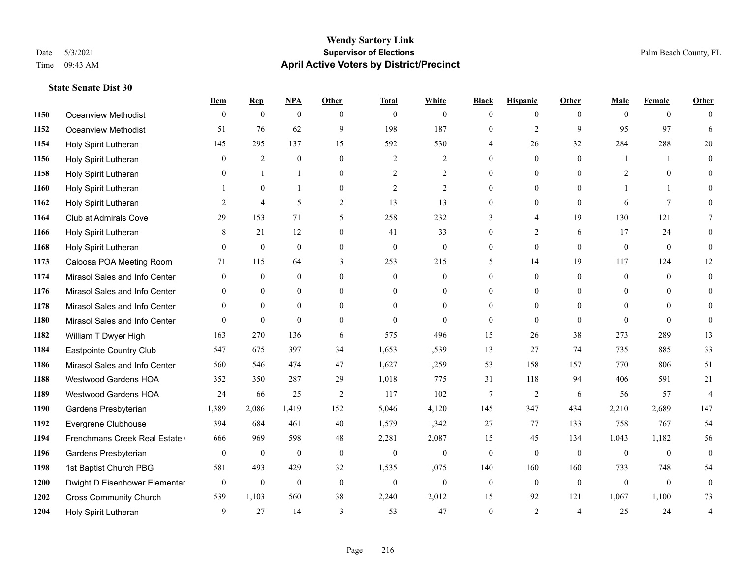#### **Wendy Sartory Link** Date 5/3/2021 **Supervisor of Elections Supervisor of Elections** Palm Beach County, FL Time 09:43 AM **April Active Voters by District/Precinct**

|      |                               | Dem            | $\mathbf{Rep}$   | <b>NPA</b>       | Other            | <b>Total</b>     | White          | <b>Black</b>     | <b>Hispanic</b> | Other          | Male           | Female          | Other            |
|------|-------------------------------|----------------|------------------|------------------|------------------|------------------|----------------|------------------|-----------------|----------------|----------------|-----------------|------------------|
| 1150 | Oceanview Methodist           | $\Omega$       | $\mathbf{0}$     | $\mathbf{0}$     | $\Omega$         | $\theta$         | $\Omega$       | $\theta$         | $\theta$        | $\Omega$       | $\Omega$       | $\theta$        | $\theta$         |
| 1152 | Oceanview Methodist           | 51             | 76               | 62               | 9                | 198              | 187            | $\theta$         | $\overline{2}$  | 9              | 95             | 97              | 6                |
| 1154 | Holy Spirit Lutheran          | 145            | 295              | 137              | 15               | 592              | 530            | 4                | 26              | 32             | 284            | 288             | 20               |
| 1156 | Holy Spirit Lutheran          | $\theta$       | 2                | $\theta$         | $\theta$         | 2                | $\overline{2}$ | $\theta$         | $\theta$        | $\Omega$       | $\mathbf{1}$   | $\overline{1}$  | $\theta$         |
| 1158 | Holy Spirit Lutheran          | $\overline{0}$ | $\mathbf{1}$     | $\mathbf{1}$     | $\mathbf{0}$     | $\mathfrak{2}$   | $\overline{c}$ | $\overline{0}$   | $\mathbf{0}$    | $\theta$       | $\overline{2}$ | $\mathbf{0}$    | $\theta$         |
| 1160 | Holy Spirit Lutheran          |                | $\mathbf{0}$     | 1                | $\theta$         | $\overline{2}$   | $\overline{2}$ | $\theta$         | $\overline{0}$  | $\Omega$       | $\mathbf{1}$   |                 | $\theta$         |
| 1162 | Holy Spirit Lutheran          | $\overline{2}$ | 4                | 5                | 2                | 13               | 13             | $\theta$         | $\theta$        | $\theta$       | 6              | $7\phantom{.0}$ | $\Omega$         |
| 1164 | Club at Admirals Cove         | 29             | 153              | 71               | 5                | 258              | 232            | 3                | $\overline{4}$  | 19             | 130            | 121             | 7                |
| 1166 | Holy Spirit Lutheran          | 8              | 21               | 12               | $\theta$         | 41               | 33             | $\theta$         | $\overline{2}$  | 6              | 17             | 24              | $\theta$         |
| 1168 | Holy Spirit Lutheran          | $\mathbf{0}$   | $\mathbf{0}$     | $\mathbf{0}$     | $\boldsymbol{0}$ | $\boldsymbol{0}$ | $\mathbf{0}$   | $\boldsymbol{0}$ | $\mathbf{0}$    | $\mathbf{0}$   | $\mathbf{0}$   | $\mathbf{0}$    | $\theta$         |
| 1173 | Caloosa POA Meeting Room      | 71             | 115              | 64               | 3                | 253              | 215            | 5                | 14              | 19             | 117            | 124             | 12               |
| 1174 | Mirasol Sales and Info Center | $\theta$       | $\mathbf{0}$     | $\overline{0}$   | $\theta$         | $\overline{0}$   | $\overline{0}$ | $\theta$         | $\mathbf{0}$    | $\theta$       | $\theta$       | $\theta$        | $\theta$         |
| 1176 | Mirasol Sales and Info Center | 0              | $\mathbf{0}$     | $\overline{0}$   | $\mathbf{0}$     | $\theta$         | $\overline{0}$ | $\mathbf{0}$     | $\mathbf{0}$    | $\theta$       | $\overline{0}$ | $\theta$        | $\theta$         |
| 1178 | Mirasol Sales and Info Center | $\Omega$       | $\Omega$         | $\theta$         | $\Omega$         | $\Omega$         | $\theta$       | $\theta$         | $\theta$        | $\Omega$       | $\Omega$       | $\Omega$        | $\Omega$         |
| 1180 | Mirasol Sales and Info Center | $\theta$       | $\mathbf{0}$     | $\theta$         | $\theta$         | $\theta$         | $\theta$       | $\theta$         | $\theta$        | $\theta$       | $\theta$       | $\theta$        | $\theta$         |
| 1182 | William T Dwyer High          | 163            | 270              | 136              | 6                | 575              | 496            | 15               | 26              | 38             | 273            | 289             | 13               |
| 1184 | Eastpointe Country Club       | 547            | 675              | 397              | 34               | 1,653            | 1,539          | 13               | 27              | 74             | 735            | 885             | 33               |
| 1186 | Mirasol Sales and Info Center | 560            | 546              | 474              | 47               | 1,627            | 1,259          | 53               | 158             | 157            | 770            | 806             | 51               |
| 1188 | <b>Westwood Gardens HOA</b>   | 352            | 350              | 287              | 29               | 1,018            | 775            | 31               | 118             | 94             | 406            | 591             | 21               |
| 1189 | <b>Westwood Gardens HOA</b>   | 24             | 66               | 25               | 2                | 117              | 102            | $\overline{7}$   | $\overline{2}$  | 6              | 56             | 57              | $\overline{A}$   |
| 1190 | Gardens Presbyterian          | 1,389          | 2,086            | 1,419            | 152              | 5,046            | 4,120          | 145              | 347             | 434            | 2,210          | 2,689           | 147              |
| 1192 | Evergrene Clubhouse           | 394            | 684              | 461              | 40               | 1,579            | 1,342          | 27               | 77              | 133            | 758            | 767             | 54               |
| 1194 | Frenchmans Creek Real Estate  | 666            | 969              | 598              | 48               | 2,281            | 2,087          | 15               | 45              | 134            | 1,043          | 1,182           | 56               |
| 1196 | Gardens Presbyterian          | $\mathbf{0}$   | $\boldsymbol{0}$ | $\boldsymbol{0}$ | $\mathbf{0}$     | $\mathbf{0}$     | $\overline{0}$ | $\mathbf{0}$     | $\mathbf{0}$    | $\theta$       | $\mathbf{0}$   | $\mathbf{0}$    | $\mathbf{0}$     |
| 1198 | 1st Baptist Church PBG        | 581            | 493              | 429              | 32               | 1,535            | 1,075          | 140              | 160             | 160            | 733            | 748             | 54               |
| 1200 | Dwight D Eisenhower Elementar | $\mathbf{0}$   | $\mathbf{0}$     | $\boldsymbol{0}$ | $\mathbf{0}$     | $\mathbf{0}$     | $\mathbf{0}$   | $\boldsymbol{0}$ | $\mathbf{0}$    | $\mathbf{0}$   | $\mathbf{0}$   | $\mathbf{0}$    | $\boldsymbol{0}$ |
| 1202 | <b>Cross Community Church</b> | 539            | 1,103            | 560              | 38               | 2,240            | 2,012          | 15               | 92              | 121            | 1,067          | 1,100           | 73               |
| 1204 | Holy Spirit Lutheran          | 9              | 27               | 14               | 3                | 53               | 47             | $\theta$         | $\overline{2}$  | $\overline{4}$ | 25             | 24              | $\overline{4}$   |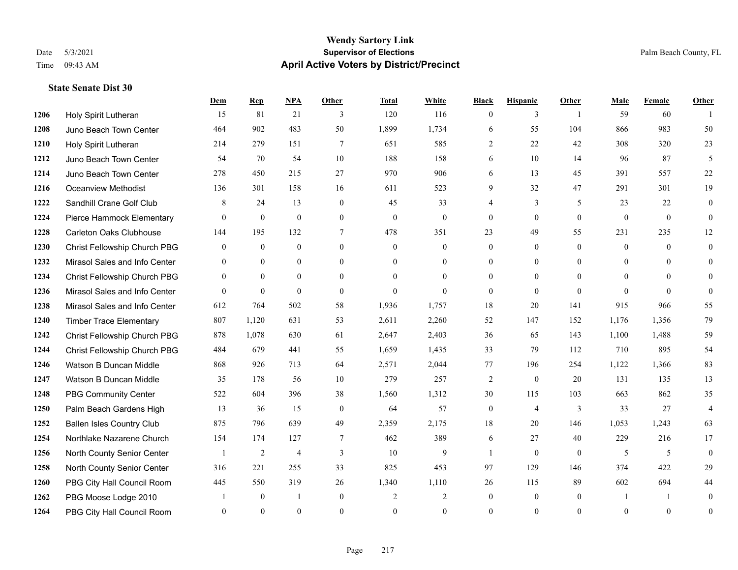## **Wendy Sartory Link** Date 5/3/2021 **Supervisor of Elections** Palm Beach County, FL Time 09:43 AM **April Active Voters by District/Precinct**

## **Dem Rep NPA Other Total White Black Hispanic Other Male Female Other** Holy Spirit Lutheran 15 81 21 3 120 116 0 3 1 59 60 1 Juno Beach Town Center 464 902 483 50 1,899 1,734 6 55 104 866 983 50 Holy Spirit Lutheran 214 279 151 7 651 585 2 22 42 308 320 23 Juno Beach Town Center 54 70 54 10 188 158 6 10 14 96 87 5 Juno Beach Town Center 278 450 215 27 970 906 6 13 45 391 557 22 Oceanview Methodist 136 301 158 16 611 523 9 32 47 291 301 19 **1222 Sandhill Crane Golf Club** 8 24 13 0 45 33 4 3 5 23 22 0 Pierce Hammock Elementary 0 0 0 0 0 0 0 0 0 0 0 0 Carleton Oaks Clubhouse 144 195 132 7 478 351 23 49 55 231 235 12 Christ Fellowship Church PBG 0 0 0 0 0 0 0 0 0 0 0 0 Mirasol Sales and Info Center 0 0 0 0 0 0 0 0 0 0 0 0 Christ Fellowship Church PBG 0 0 0 0 0 0 0 0 0 0 0 0 Mirasol Sales and Info Center 0 0 0 0 0 0 0 0 0 0 0 0 Mirasol Sales and Info Center 612 764 502 58 1,936 1,757 18 20 141 915 966 55 Timber Trace Elementary 807 1,120 631 53 2,611 2,260 52 147 152 1,176 1,356 79 Christ Fellowship Church PBG 878 1,078 630 61 2,647 2,403 36 65 143 1,100 1,488 59 Christ Fellowship Church PBG 484 679 441 55 1,659 1,435 33 79 112 710 895 54 Watson B Duncan Middle 868 926 713 64 2,571 2,044 77 196 254 1,122 1,366 83 Watson B Duncan Middle 35 178 56 10 279 257 2 0 20 131 135 13 PBG Community Center 522 604 396 38 1,560 1,312 30 115 103 663 862 35 Palm Beach Gardens High 13 36 15 0 64 57 0 4 3 33 27 4 Ballen Isles Country Club 875 796 639 49 2,359 2,175 18 20 146 1,053 1,243 63 Northlake Nazarene Church 154 174 127 7 462 389 6 27 40 229 216 17 North County Senior Center 1 2 4 3 10 9 1 0 0 5 5 0 North County Senior Center 316 221 255 33 825 453 97 129 146 374 422 29 PBG City Hall Council Room 445 550 319 26 1,340 1,110 26 115 89 602 694 44 PBG Moose Lodge 2010 1 0 1 0 2 2 0 0 0 1 1 0 PBG City Hall Council Room 0 0 0 0 0 0 0 0 0 0 0 0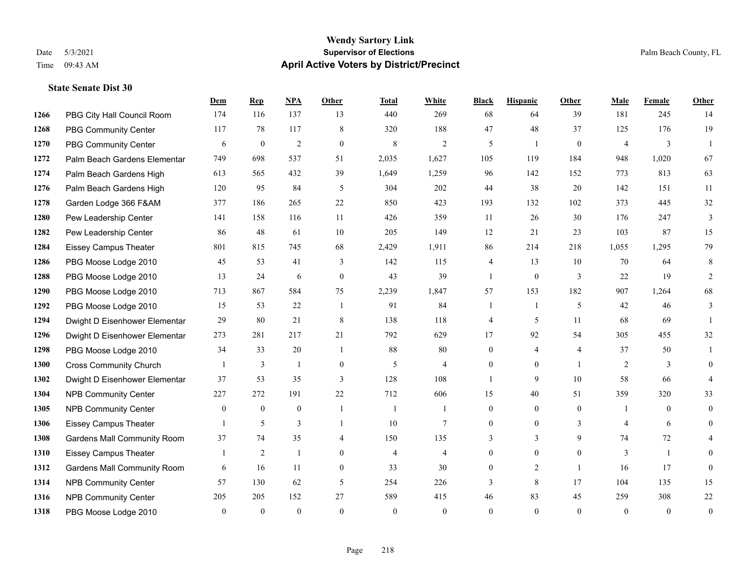|      |                                    | Dem          | <b>Rep</b>       | NPA            | <b>Other</b>   | <b>Total</b>   | <b>White</b>   | <b>Black</b>     | <b>Hispanic</b> | <b>Other</b>   | <b>Male</b>    | <b>Female</b> | <b>Other</b>     |
|------|------------------------------------|--------------|------------------|----------------|----------------|----------------|----------------|------------------|-----------------|----------------|----------------|---------------|------------------|
| 1266 | PBG City Hall Council Room         | 174          | 116              | 137            | 13             | 440            | 269            | 68               | 64              | 39             | 181            | 245           | 14               |
| 1268 | <b>PBG Community Center</b>        | 117          | 78               | 117            | 8              | 320            | 188            | 47               | 48              | 37             | 125            | 176           | 19               |
| 1270 | <b>PBG Community Center</b>        | 6            | $\boldsymbol{0}$ | $\overline{c}$ | $\mathbf{0}$   | 8              | 2              | 5                | 1               | $\mathbf{0}$   | 4              | 3             | $\mathbf{1}$     |
| 1272 | Palm Beach Gardens Elementar       | 749          | 698              | 537            | 51             | 2,035          | 1,627          | 105              | 119             | 184            | 948            | 1,020         | 67               |
| 1274 | Palm Beach Gardens High            | 613          | 565              | 432            | 39             | 1,649          | 1,259          | 96               | 142             | 152            | 773            | 813           | 63               |
| 1276 | Palm Beach Gardens High            | 120          | 95               | 84             | 5              | 304            | 202            | 44               | 38              | 20             | 142            | 151           | 11               |
| 1278 | Garden Lodge 366 F&AM              | 377          | 186              | 265            | 22             | 850            | 423            | 193              | 132             | 102            | 373            | 445           | 32               |
| 1280 | Pew Leadership Center              | 141          | 158              | 116            | 11             | 426            | 359            | 11               | 26              | 30             | 176            | 247           | $\overline{3}$   |
| 1282 | Pew Leadership Center              | 86           | 48               | 61             | 10             | 205            | 149            | 12               | 21              | 23             | 103            | 87            | 15               |
| 1284 | <b>Eissey Campus Theater</b>       | 801          | 815              | 745            | 68             | 2,429          | 1,911          | 86               | 214             | 218            | 1,055          | 1,295         | 79               |
| 1286 | PBG Moose Lodge 2010               | 45           | 53               | 41             | 3              | 142            | 115            | 4                | 13              | 10             | 70             | 64            | 8                |
| 1288 | PBG Moose Lodge 2010               | 13           | 24               | 6              | $\mathbf{0}$   | 43             | 39             | 1                | $\overline{0}$  | 3              | 22             | 19            | 2                |
| 1290 | PBG Moose Lodge 2010               | 713          | 867              | 584            | 75             | 2,239          | 1,847          | 57               | 153             | 182            | 907            | 1,264         | 68               |
| 1292 | PBG Moose Lodge 2010               | 15           | 53               | 22             | -1             | 91             | 84             | 1                | 1               | 5              | 42             | 46            | 3                |
| 1294 | Dwight D Eisenhower Elementar      | 29           | 80               | 21             | 8              | 138            | 118            | 4                | 5               | 11             | 68             | 69            |                  |
| 1296 | Dwight D Eisenhower Elementar      | 273          | 281              | 217            | 21             | 792            | 629            | 17               | 92              | 54             | 305            | 455           | 32               |
| 1298 | PBG Moose Lodge 2010               | 34           | 33               | 20             | -1             | 88             | $80\,$         | $\boldsymbol{0}$ | $\overline{4}$  | $\overline{4}$ | 37             | 50            |                  |
| 1300 | <b>Cross Community Church</b>      |              | 3                | -1             | $\mathbf{0}$   | 5              | 4              | $\overline{0}$   | $\overline{0}$  |                | 2              | 3             | $\mathbf{0}$     |
| 1302 | Dwight D Eisenhower Elementar      | 37           | 53               | 35             | 3              | 128            | 108            |                  | 9               | 10             | 58             | 66            | $\overline{4}$   |
| 1304 | <b>NPB Community Center</b>        | 227          | 272              | 191            | 22             | 712            | 606            | 15               | 40              | 51             | 359            | 320           | 33               |
| 1305 | <b>NPB Community Center</b>        | $\mathbf{0}$ | $\overline{0}$   | $\mathbf{0}$   | $\overline{1}$ | $\overline{1}$ | 1              | $\overline{0}$   | $\overline{0}$  | $\theta$       | $\overline{1}$ | $\theta$      | $\theta$         |
| 1306 | <b>Eissey Campus Theater</b>       |              | 5                | 3              | $\overline{1}$ | 10             | $\tau$         | $\overline{0}$   | $\overline{0}$  | 3              | 4              | 6             | $\theta$         |
| 1308 | <b>Gardens Mall Community Room</b> | 37           | 74               | 35             | 4              | 150            | 135            | 3                | 3               | 9              | 74             | 72            | 4                |
| 1310 | <b>Eissey Campus Theater</b>       |              | 2                | $\overline{1}$ | $\mathbf{0}$   | $\overline{4}$ | $\overline{4}$ | $\overline{0}$   | $\overline{0}$  | $\mathbf{0}$   | 3              | $\mathbf{1}$  | $\theta$         |
| 1312 | <b>Gardens Mall Community Room</b> | 6            | 16               | 11             | $\overline{0}$ | 33             | 30             | $\overline{0}$   | $\overline{2}$  | $\overline{1}$ | 16             | 17            | $\theta$         |
| 1314 | <b>NPB Community Center</b>        | 57           | 130              | 62             | 5              | 254            | 226            | 3                | 8               | 17             | 104            | 135           | 15               |
| 1316 | <b>NPB Community Center</b>        | 205          | 205              | 152            | 27             | 589            | 415            | 46               | 83              | 45             | 259            | 308           | $22\,$           |
| 1318 | PBG Moose Lodge 2010               | $\theta$     | $\mathbf{0}$     | $\mathbf{0}$   | $\theta$       | $\theta$       | $\overline{0}$ | $\Omega$         | $\Omega$        | $\theta$       | $\theta$       | $\theta$      | $\boldsymbol{0}$ |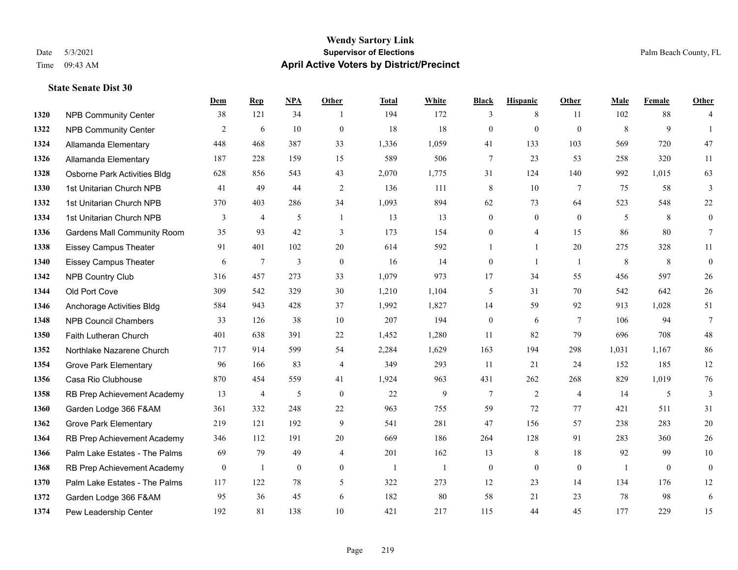## **Wendy Sartory Link** Date 5/3/2021 **Supervisor of Elections** Palm Beach County, FL Time 09:43 AM **April Active Voters by District/Precinct**

## **Dem Rep NPA Other Total White Black Hispanic Other Male Female Other 1320 NPB Community Center** 38 121 34 1 194 172 3 8 11 102 88 4 NPB Community Center 2 6 10 0 18 18 0 0 0 8 9 1 Allamanda Elementary 448 468 387 33 1,336 1,059 41 133 103 569 720 47 Allamanda Elementary 187 228 159 15 589 506 7 23 53 258 320 11 Osborne Park Activities Bldg 628 856 543 43 2,070 1,775 31 124 140 992 1,015 63 1st Unitarian Church NPB 41 49 44 2 136 111 8 10 7 75 58 3 1st Unitarian Church NPB 370 403 286 34 1,093 894 62 73 64 523 548 22 1334 1st Unitarian Church NPB 3 4 5 1 13 13 0 0 0 5 8 0 Gardens Mall Community Room 35 93 42 3 173 154 0 4 15 86 80 7 Eissey Campus Theater 91 401 102 20 614 592 1 1 20 275 328 11 Eissey Campus Theater 6 7 3 0 16 14 0 1 1 8 8 0 NPB Country Club 316 457 273 33 1,079 973 17 34 55 456 597 26 Old Port Cove 309 542 329 30 1,210 1,104 5 31 70 542 642 26 Anchorage Activities Bldg 584 943 428 37 1,992 1,827 14 59 92 913 1,028 51 NPB Council Chambers 33 126 38 10 207 194 0 6 7 106 94 7 Faith Lutheran Church 401 638 391 22 1,452 1,280 11 82 79 696 708 48 Northlake Nazarene Church 717 914 599 54 2,284 1,629 163 194 298 1,031 1,167 86 Grove Park Elementary 96 166 83 4 349 293 11 21 24 152 185 12 Casa Rio Clubhouse 870 454 559 41 1,924 963 431 262 268 829 1,019 76 RB Prep Achievement Academy 13 4 5 0 22 9 7 2 4 14 5 3 Garden Lodge 366 F&AM 361 332 248 22 963 755 59 72 77 421 511 31 Grove Park Elementary 219 121 192 9 541 281 47 156 57 238 283 20 RB Prep Achievement Academy 346 112 191 20 669 186 264 128 91 283 360 26 Palm Lake Estates - The Palms 69 79 49 4 201 162 13 8 18 92 99 10 1368 RB Prep Achievement Academy 0 1 0 0 1 1 1 0 0 0 0 0 1 0 0 Palm Lake Estates - The Palms 117 122 78 5 322 273 12 23 14 134 176 12 Garden Lodge 366 F&AM 95 36 45 6 182 80 58 21 23 78 98 6 Pew Leadership Center 192 81 138 10 421 217 115 44 45 177 229 15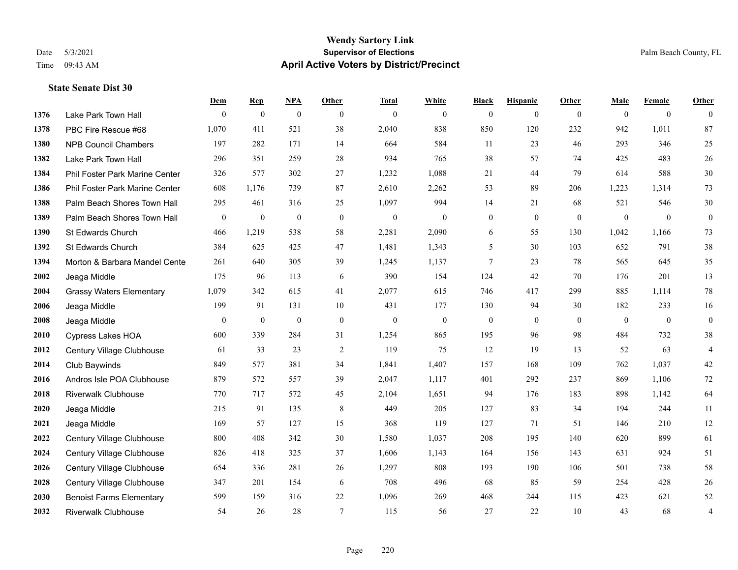## **Wendy Sartory Link** Date 5/3/2021 **Supervisor of Elections Supervisor of Elections** Palm Beach County, FL Time 09:43 AM **April Active Voters by District/Precinct**

|      |                                 | Dem              | <b>Rep</b>       | <b>NPA</b>       | Other            | <b>Total</b>     | White          | <b>Black</b>     | <b>Hispanic</b>  | <b>Other</b> | Male             | Female           | Other            |
|------|---------------------------------|------------------|------------------|------------------|------------------|------------------|----------------|------------------|------------------|--------------|------------------|------------------|------------------|
| 1376 | Lake Park Town Hall             | $\theta$         | $\mathbf{0}$     | $\mathbf{0}$     | $\theta$         | $\mathbf{0}$     | $\mathbf{0}$   | $\mathbf{0}$     | $\mathbf{0}$     | $\theta$     | $\theta$         | $\mathbf{0}$     | $\mathbf{0}$     |
| 1378 | PBC Fire Rescue #68             | 1,070            | 411              | 521              | 38               | 2,040            | 838            | 850              | 120              | 232          | 942              | 1,011            | 87               |
| 1380 | <b>NPB Council Chambers</b>     | 197              | 282              | 171              | 14               | 664              | 584            | 11               | 23               | 46           | 293              | 346              | 25               |
| 1382 | Lake Park Town Hall             | 296              | 351              | 259              | 28               | 934              | 765            | 38               | 57               | 74           | 425              | 483              | 26               |
| 1384 | Phil Foster Park Marine Center  | 326              | 577              | 302              | 27               | 1,232            | 1,088          | 21               | 44               | 79           | 614              | 588              | 30               |
| 1386 | Phil Foster Park Marine Center  | 608              | 1,176            | 739              | 87               | 2,610            | 2,262          | 53               | 89               | 206          | 1,223            | 1,314            | 73               |
| 1388 | Palm Beach Shores Town Hall     | 295              | 461              | 316              | 25               | 1,097            | 994            | 14               | 21               | 68           | 521              | 546              | $30\,$           |
| 1389 | Palm Beach Shores Town Hall     | $\mathbf{0}$     | $\boldsymbol{0}$ | $\boldsymbol{0}$ | $\mathbf{0}$     | $\boldsymbol{0}$ | $\overline{0}$ | $\boldsymbol{0}$ | $\mathbf{0}$     | $\mathbf{0}$ | $\mathbf{0}$     | $\mathbf{0}$     | $\boldsymbol{0}$ |
| 1390 | St Edwards Church               | 466              | 1,219            | 538              | 58               | 2,281            | 2,090          | 6                | 55               | 130          | 1,042            | 1,166            | 73               |
| 1392 | St Edwards Church               | 384              | 625              | 425              | 47               | 1,481            | 1,343          | 5                | 30               | 103          | 652              | 791              | 38               |
| 1394 | Morton & Barbara Mandel Cente   | 261              | 640              | 305              | 39               | 1,245            | 1,137          | 7                | 23               | 78           | 565              | 645              | 35               |
| 2002 | Jeaga Middle                    | 175              | 96               | 113              | 6                | 390              | 154            | 124              | 42               | 70           | 176              | 201              | 13               |
| 2004 | <b>Grassy Waters Elementary</b> | 1,079            | 342              | 615              | 41               | 2,077            | 615            | 746              | 417              | 299          | 885              | 1,114            | 78               |
| 2006 | Jeaga Middle                    | 199              | 91               | 131              | 10               | 431              | 177            | 130              | 94               | 30           | 182              | 233              | 16               |
| 2008 | Jeaga Middle                    | $\boldsymbol{0}$ | $\boldsymbol{0}$ | $\boldsymbol{0}$ | $\boldsymbol{0}$ | $\boldsymbol{0}$ | $\mathbf{0}$   | $\boldsymbol{0}$ | $\boldsymbol{0}$ | $\mathbf{0}$ | $\boldsymbol{0}$ | $\boldsymbol{0}$ | $\boldsymbol{0}$ |
| 2010 | <b>Cypress Lakes HOA</b>        | 600              | 339              | 284              | 31               | 1,254            | 865            | 195              | 96               | 98           | 484              | 732              | 38               |
| 2012 | Century Village Clubhouse       | 61               | 33               | 23               | 2                | 119              | 75             | 12               | 19               | 13           | 52               | 63               | $\overline{4}$   |
| 2014 | Club Baywinds                   | 849              | 577              | 381              | 34               | 1,841            | 1,407          | 157              | 168              | 109          | 762              | 1,037            | 42               |
| 2016 | Andros Isle POA Clubhouse       | 879              | 572              | 557              | 39               | 2,047            | 1,117          | 401              | 292              | 237          | 869              | 1,106            | 72               |
| 2018 | <b>Riverwalk Clubhouse</b>      | 770              | 717              | 572              | 45               | 2,104            | 1,651          | 94               | 176              | 183          | 898              | 1,142            | 64               |
| 2020 | Jeaga Middle                    | 215              | 91               | 135              | 8                | 449              | 205            | 127              | 83               | 34           | 194              | 244              | 11               |
| 2021 | Jeaga Middle                    | 169              | 57               | 127              | 15               | 368              | 119            | 127              | 71               | 51           | 146              | 210              | 12               |
| 2022 | Century Village Clubhouse       | 800              | 408              | 342              | 30               | 1,580            | 1,037          | 208              | 195              | 140          | 620              | 899              | 61               |
| 2024 | Century Village Clubhouse       | 826              | 418              | 325              | 37               | 1,606            | 1,143          | 164              | 156              | 143          | 631              | 924              | 51               |
| 2026 | Century Village Clubhouse       | 654              | 336              | 281              | 26               | 1,297            | 808            | 193              | 190              | 106          | 501              | 738              | 58               |
| 2028 | Century Village Clubhouse       | 347              | 201              | 154              | 6                | 708              | 496            | 68               | 85               | 59           | 254              | 428              | 26               |
| 2030 | <b>Benoist Farms Elementary</b> | 599              | 159              | 316              | 22               | 1,096            | 269            | 468              | 244              | 115          | 423              | 621              | 52               |
| 2032 | <b>Riverwalk Clubhouse</b>      | 54               | 26               | 28               | $\tau$           | 115              | 56             | 27               | 22               | 10           | 43               | 68               | $\overline{4}$   |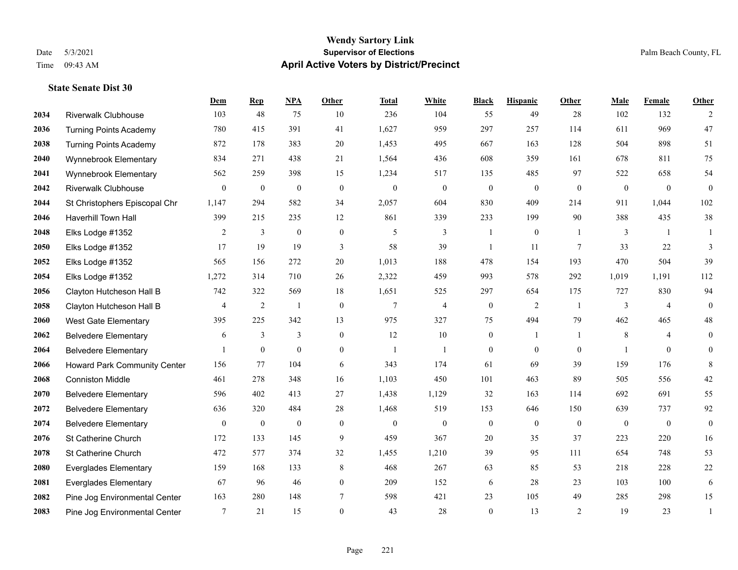## **Wendy Sartory Link** Date 5/3/2021 **Supervisor of Elections** Palm Beach County, FL Time 09:43 AM **April Active Voters by District/Precinct**

## **Dem Rep NPA Other Total White Black Hispanic Other Male Female Other** Riverwalk Clubhouse 103 48 75 10 236 104 55 49 28 102 132 2 Turning Points Academy 780 415 391 41 1,627 959 297 257 114 611 969 47 Turning Points Academy 872 178 383 20 1,453 495 667 163 128 504 898 51 Wynnebrook Elementary 834 271 438 21 1,564 436 608 359 161 678 811 75 Wynnebrook Elementary 562 259 398 15 1,234 517 135 485 97 522 658 54 Riverwalk Clubhouse 0 0 0 0 0 0 0 0 0 0 0 0 St Christophers Episcopal Chr 1,147 294 582 34 2,057 604 830 409 214 911 1,044 102 Haverhill Town Hall 399 215 235 12 861 339 233 199 90 388 435 38 Elks Lodge #1352 2 3 0 0 5 3 1 0 1 3 1 1 Elks Lodge #1352 17 19 19 3 58 39 1 11 7 33 22 3 Elks Lodge #1352 565 156 272 20 1,013 188 478 154 193 470 504 39 Elks Lodge #1352 1,272 314 710 26 2,322 459 993 578 292 1,019 1,191 112 Clayton Hutcheson Hall B 742 322 569 18 1,651 525 297 654 175 727 830 94 Clayton Hutcheson Hall B 4 2 1 0 7 4 0 2 1 3 4 0 West Gate Elementary 395 225 342 13 975 327 75 494 79 462 465 48 Belvedere Elementary 6 3 3 0 12 10 0 1 1 8 4 0 Belvedere Elementary 1 0 0 0 1 1 0 0 0 1 0 0 Howard Park Community Center 156 77 104 6 343 174 61 69 39 159 176 8 Conniston Middle 461 278 348 16 1,103 450 101 463 89 505 556 42 Belvedere Elementary 596 402 413 27 1,438 1,129 32 163 114 692 691 55 Belvedere Elementary 636 320 484 28 1,468 519 153 646 150 639 737 92 Belvedere Elementary 0 0 0 0 0 0 0 0 0 0 0 0 St Catherine Church 172 133 145 9 459 367 20 35 37 223 220 16 St Catherine Church 472 577 374 32 1,455 1,210 39 95 111 654 748 53 Everglades Elementary 159 168 133 8 468 267 63 85 53 218 228 22 Everglades Elementary 67 96 46 0 209 152 6 28 23 103 100 6 Pine Jog Environmental Center 163 280 148 7 598 421 23 105 49 285 298 15 Pine Jog Environmental Center 7 21 15 0 43 28 0 13 2 19 23 1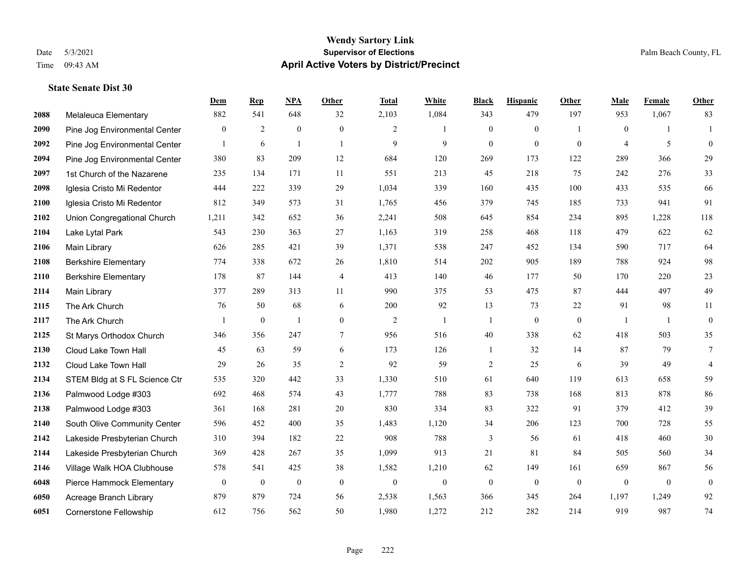## **Wendy Sartory Link** Date 5/3/2021 **Supervisor of Elections** Palm Beach County, FL Time 09:43 AM **April Active Voters by District/Precinct**

## **Dem Rep NPA Other Total White Black Hispanic Other Male Female Other** Melaleuca Elementary 882 541 648 32 2,103 1,084 343 479 197 953 1,067 83 Pine Jog Environmental Center  $\begin{array}{ccccccccccccc}\n0 & 2 & 0 & 0 & 2 & 1 & 0 & 1 & 0 & 1\n\end{array}$  Pine Jog Environmental Center 1 6 1 1 9 9 9 0 0 0 4 5 0 Pine Jog Environmental Center 380 83 209 12 684 120 269 173 122 289 366 29 1st Church of the Nazarene 235 134 171 11 551 213 45 218 75 242 276 33 Iglesia Cristo Mi Redentor 444 222 339 29 1,034 339 160 435 100 433 535 66 Iglesia Cristo Mi Redentor 812 349 573 31 1,765 456 379 745 185 733 941 91 Union Congregational Church 1,211 342 652 36 2,241 508 645 854 234 895 1,228 118 Lake Lytal Park 543 230 363 27 1,163 319 258 468 118 479 622 62 Main Library 626 285 421 39 1,371 538 247 452 134 590 717 64 Berkshire Elementary 774 338 672 26 1,810 514 202 905 189 788 924 98 Berkshire Elementary 178 87 144 4 413 140 46 177 50 170 220 23 Main Library 377 289 313 11 990 375 53 475 87 444 497 49 The Ark Church 76 50 68 6 200 92 13 73 22 91 98 11 The Ark Church 1 0 1 0 2 1 1 0 0 1 1 0 St Marys Orthodox Church 346 356 247 7 956 516 40 338 62 418 503 35 Cloud Lake Town Hall 45 63 59 6 173 126 1 32 14 87 79 7 Cloud Lake Town Hall 29 26 35 2 92 59 2 25 6 39 49 4 STEM Bldg at S FL Science Ctr 535 320 442 33 1,330 510 61 640 119 613 658 59 Palmwood Lodge #303 692 468 574 43 1,777 788 83 738 168 813 878 86 Palmwood Lodge #303 361 168 281 20 830 334 83 322 91 379 412 39 South Olive Community Center 596 452 400 35 1,483 1,120 34 206 123 700 728 55 Lakeside Presbyterian Church 310 394 182 22 908 788 3 56 61 418 460 30 Lakeside Presbyterian Church 369 428 267 35 1,099 913 21 81 84 505 560 34 Village Walk HOA Clubhouse 578 541 425 38 1,582 1,210 62 149 161 659 867 56 Pierce Hammock Elementary 0 0 0 0 0 0 0 0 0 0 0 0 Acreage Branch Library 879 879 724 56 2,538 1,563 366 345 264 1,197 1,249 92 Cornerstone Fellowship 612 756 562 50 1,980 1,272 212 282 214 919 987 74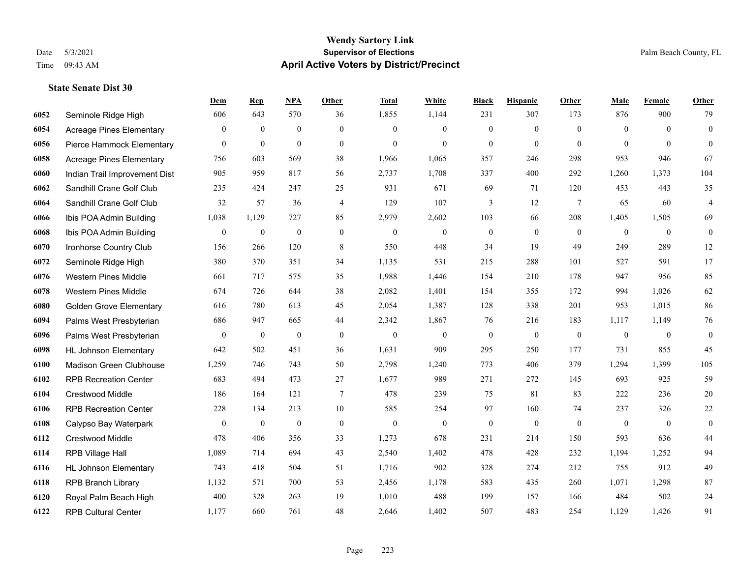|      |                                 | Dem          | <b>Rep</b>       | NPA              | <b>Other</b>     | <b>Total</b>     | <b>White</b>     | <b>Black</b>     | <b>Hispanic</b>  | Other          | <b>Male</b>    | <b>Female</b> | <b>Other</b>     |
|------|---------------------------------|--------------|------------------|------------------|------------------|------------------|------------------|------------------|------------------|----------------|----------------|---------------|------------------|
| 6052 | Seminole Ridge High             | 606          | 643              | 570              | 36               | 1,855            | 1,144            | 231              | 307              | 173            | 876            | 900           | 79               |
| 6054 | <b>Acreage Pines Elementary</b> | $\mathbf{0}$ | $\mathbf{0}$     | $\mathbf{0}$     | $\overline{0}$   | $\theta$         | $\overline{0}$   | $\mathbf{0}$     | $\mathbf{0}$     | $\theta$       | $\mathbf{0}$   | $\theta$      | $\mathbf{0}$     |
| 6056 | Pierce Hammock Elementary       | $\theta$     | $\mathbf{0}$     | $\mathbf{0}$     | $\Omega$         | $\theta$         | $\Omega$         | $\theta$         | $\mathbf{0}$     | $\Omega$       | $\theta$       | $\theta$      | $\theta$         |
| 6058 | <b>Acreage Pines Elementary</b> | 756          | 603              | 569              | 38               | 1,966            | 1,065            | 357              | 246              | 298            | 953            | 946           | 67               |
| 6060 | Indian Trail Improvement Dist   | 905          | 959              | 817              | 56               | 2,737            | 1,708            | 337              | 400              | 292            | 1,260          | 1,373         | 104              |
| 6062 | Sandhill Crane Golf Club        | 235          | 424              | 247              | 25               | 931              | 671              | 69               | 71               | 120            | 453            | 443           | 35               |
| 6064 | Sandhill Crane Golf Club        | 32           | 57               | 36               | $\overline{4}$   | 129              | 107              | 3                | 12               | $\overline{7}$ | 65             | 60            | $\overline{4}$   |
| 6066 | Ibis POA Admin Building         | 1,038        | 1,129            | 727              | 85               | 2,979            | 2,602            | 103              | 66               | 208            | 1,405          | 1,505         | 69               |
| 6068 | Ibis POA Admin Building         | $\mathbf{0}$ | $\boldsymbol{0}$ | $\boldsymbol{0}$ | $\mathbf{0}$     | $\boldsymbol{0}$ | $\boldsymbol{0}$ | $\boldsymbol{0}$ | $\mathbf{0}$     | $\mathbf{0}$   | $\mathbf{0}$   | $\mathbf{0}$  | $\boldsymbol{0}$ |
| 6070 | Ironhorse Country Club          | 156          | 266              | 120              | 8                | 550              | 448              | 34               | 19               | 49             | 249            | 289           | 12               |
| 6072 | Seminole Ridge High             | 380          | 370              | 351              | 34               | 1,135            | 531              | 215              | 288              | 101            | 527            | 591           | 17               |
| 6076 | <b>Western Pines Middle</b>     | 661          | 717              | 575              | 35               | 1,988            | 1,446            | 154              | 210              | 178            | 947            | 956           | 85               |
| 6078 | <b>Western Pines Middle</b>     | 674          | 726              | 644              | 38               | 2,082            | 1,401            | 154              | 355              | 172            | 994            | 1,026         | 62               |
| 6080 | <b>Golden Grove Elementary</b>  | 616          | 780              | 613              | 45               | 2,054            | 1,387            | 128              | 338              | 201            | 953            | 1,015         | 86               |
| 6094 | Palms West Presbyterian         | 686          | 947              | 665              | 44               | 2,342            | 1,867            | 76               | 216              | 183            | 1,117          | 1,149         | 76               |
| 6096 | Palms West Presbyterian         | $\mathbf{0}$ | $\boldsymbol{0}$ | $\boldsymbol{0}$ | $\mathbf{0}$     | $\mathbf{0}$     | $\boldsymbol{0}$ | $\boldsymbol{0}$ | $\mathbf{0}$     | $\mathbf{0}$   | $\overline{0}$ | $\mathbf{0}$  | $\mathbf{0}$     |
| 6098 | <b>HL Johnson Elementary</b>    | 642          | 502              | 451              | 36               | 1,631            | 909              | 295              | 250              | 177            | 731            | 855           | 45               |
| 6100 | Madison Green Clubhouse         | 1,259        | 746              | 743              | 50               | 2,798            | 1,240            | 773              | 406              | 379            | 1,294          | 1,399         | 105              |
| 6102 | <b>RPB Recreation Center</b>    | 683          | 494              | 473              | 27               | 1,677            | 989              | 271              | 272              | 145            | 693            | 925           | 59               |
| 6104 | Crestwood Middle                | 186          | 164              | 121              | $\overline{7}$   | 478              | 239              | 75               | 81               | 83             | 222            | 236           | $20\,$           |
| 6106 | <b>RPB Recreation Center</b>    | 228          | 134              | 213              | 10               | 585              | 254              | 97               | 160              | 74             | 237            | 326           | $22\,$           |
| 6108 | Calypso Bay Waterpark           | $\bf{0}$     | $\boldsymbol{0}$ | $\boldsymbol{0}$ | $\boldsymbol{0}$ | $\boldsymbol{0}$ | $\boldsymbol{0}$ | $\boldsymbol{0}$ | $\boldsymbol{0}$ | $\mathbf{0}$   | $\mathbf{0}$   | $\mathbf{0}$  | $\boldsymbol{0}$ |
| 6112 | Crestwood Middle                | 478          | 406              | 356              | 33               | 1,273            | 678              | 231              | 214              | 150            | 593            | 636           | $44$             |
| 6114 | RPB Village Hall                | 1,089        | 714              | 694              | 43               | 2,540            | 1,402            | 478              | 428              | 232            | 1,194          | 1,252         | 94               |
| 6116 | <b>HL Johnson Elementary</b>    | 743          | 418              | 504              | 51               | 1,716            | 902              | 328              | 274              | 212            | 755            | 912           | 49               |
| 6118 | <b>RPB Branch Library</b>       | 1,132        | 571              | 700              | 53               | 2,456            | 1,178            | 583              | 435              | 260            | 1,071          | 1,298         | 87               |
| 6120 | Royal Palm Beach High           | 400          | 328              | 263              | 19               | 1,010            | 488              | 199              | 157              | 166            | 484            | 502           | 24               |
| 6122 | <b>RPB Cultural Center</b>      | 1,177        | 660              | 761              | 48               | 2,646            | 1,402            | 507              | 483              | 254            | 1,129          | 1,426         | 91               |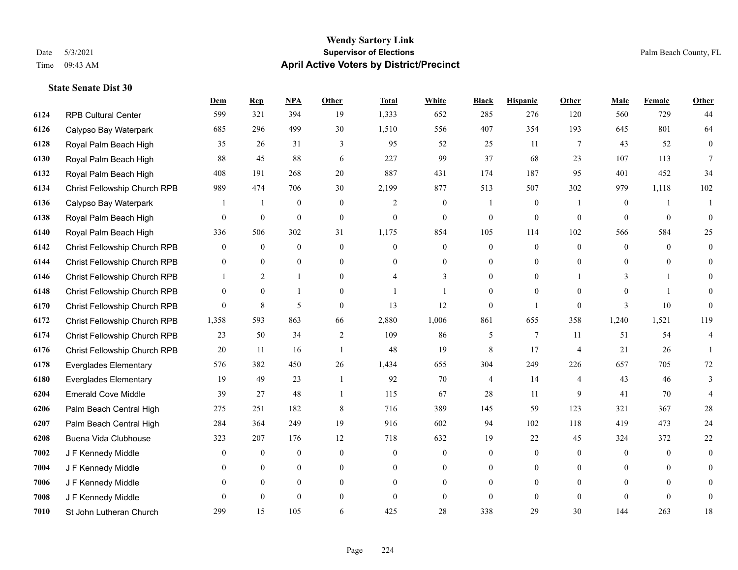## **Wendy Sartory Link** Date 5/3/2021 **Supervisor of Elections** Palm Beach County, FL Time 09:43 AM **April Active Voters by District/Precinct**

## **Dem Rep NPA Other Total White Black Hispanic Other Male Female Other** RPB Cultural Center 599 321 394 19 1,333 652 285 276 120 560 729 44 Calypso Bay Waterpark 685 296 499 30 1,510 556 407 354 193 645 801 64 Royal Palm Beach High 35 26 31 3 95 52 25 11 7 43 52 0 Royal Palm Beach High 88 45 88 6 227 99 37 68 23 107 113 7 Royal Palm Beach High 408 191 268 20 887 431 174 187 95 401 452 34 Christ Fellowship Church RPB 989 474 706 30 2,199 877 513 507 302 979 1,118 102 Calypso Bay Waterpark 1 1 0 0 2 0 1 0 1 0 1 1 Royal Palm Beach High 0 0 0 0 0 0 0 0 0 0 0 0 Royal Palm Beach High 336 506 302 31 1,175 854 105 114 102 566 584 25 Christ Fellowship Church RPB 0 0 0 0 0 0 0 0 0 0 0 0 Christ Fellowship Church RPB 0 0 0 0 0 0 0 0 0 0 0 0 Christ Fellowship Church RPB 1 2 1 0 4 3 0 0 1 3 1 0 Christ Fellowship Church RPB 0 0 1 0 1 1 0 0 0 0 1 0 Christ Fellowship Church RPB 0 8 5 0 13 12 0 1 0 3 10 0 Christ Fellowship Church RPB 1,358 593 863 66 2,880 1,006 861 655 358 1,240 1,521 119 Christ Fellowship Church RPB 23 50 34 2 109 86 5 7 11 51 54 4 Christ Fellowship Church RPB 20 11 16 1 48 19 8 17 4 21 26 1 Everglades Elementary 576 382 450 26 1,434 655 304 249 226 657 705 72 Everglades Elementary 19 49 23 1 92 70 4 14 4 43 46 3 Emerald Cove Middle 39 27 48 1 115 67 28 11 9 41 70 4 Palm Beach Central High 275 251 182 8 716 389 145 59 123 321 367 28 Palm Beach Central High 284 364 249 19 916 602 94 102 118 419 473 24 Buena Vida Clubhouse 323 207 176 12 718 632 19 22 45 324 372 22 J F Kennedy Middle 0 0 0 0 0 0 0 0 0 0 0 0 J F Kennedy Middle 0 0 0 0 0 0 0 0 0 0 0 0 J F Kennedy Middle 0 0 0 0 0 0 0 0 0 0 0 0 J F Kennedy Middle 0 0 0 0 0 0 0 0 0 0 0 0 St John Lutheran Church 299 15 105 6 425 28 338 29 30 144 263 18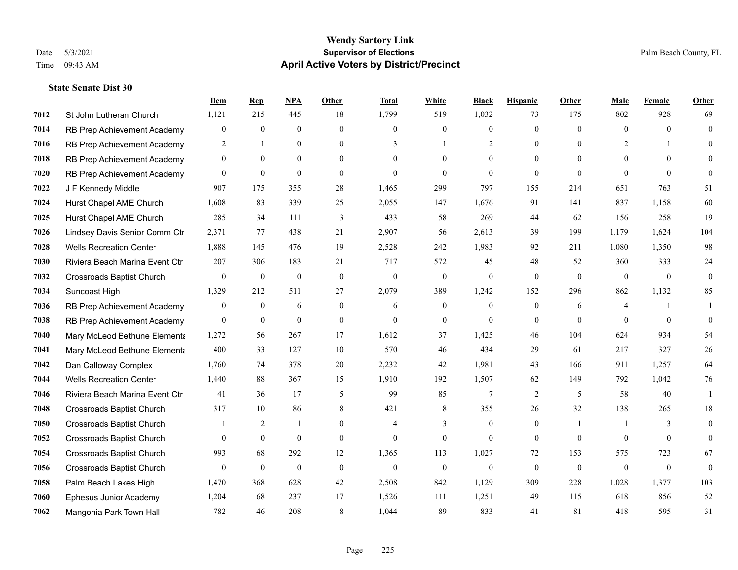|      |                                  | Dem              | <b>Rep</b>       | <u>NPA</u>       | <b>Other</b>     | <b>Total</b>     | <b>White</b>     | <b>Black</b>     | <b>Hispanic</b> | <b>Other</b>             | <b>Male</b>    | Female       | <b>Other</b>   |
|------|----------------------------------|------------------|------------------|------------------|------------------|------------------|------------------|------------------|-----------------|--------------------------|----------------|--------------|----------------|
| 7012 | St John Lutheran Church          | 1,121            | 215              | 445              | 18               | 1,799            | 519              | 1,032            | 73              | 175                      | 802            | 928          | 69             |
| 7014 | RB Prep Achievement Academy      | $\boldsymbol{0}$ | $\mathbf{0}$     | $\theta$         | $\theta$         | $\theta$         | $\mathbf{0}$     | $\overline{0}$   | $\overline{0}$  | $\Omega$                 | $\theta$       | $\Omega$     | $\mathbf{0}$   |
| 7016 | RB Prep Achievement Academy      | $\overline{2}$   | $\mathbf{1}$     | $\theta$         | $\theta$         | 3                | $\mathbf{1}$     | $\overline{2}$   | $\theta$        | $\Omega$                 | 2              | 1            | $\Omega$       |
| 7018 | RB Prep Achievement Academy      | $\overline{0}$   | $\mathbf{0}$     | $\mathbf{0}$     | $\overline{0}$   | $\overline{0}$   | $\overline{0}$   | $\boldsymbol{0}$ | $\mathbf{0}$    | $\overline{0}$           | $\mathbf{0}$   | $\theta$     | $\theta$       |
| 7020 | RB Prep Achievement Academy      | $\overline{0}$   | $\overline{0}$   | $\mathbf{0}$     | $\theta$         | $\Omega$         | $\mathbf{0}$     | $\theta$         | $\overline{0}$  | $\theta$                 | $\theta$       | $\Omega$     | $\theta$       |
| 7022 | J F Kennedy Middle               | 907              | 175              | 355              | 28               | 1,465            | 299              | 797              | 155             | 214                      | 651            | 763          | 51             |
| 7024 | Hurst Chapel AME Church          | 1,608            | 83               | 339              | 25               | 2,055            | 147              | 1,676            | 91              | 141                      | 837            | 1,158        | 60             |
| 7025 | Hurst Chapel AME Church          | 285              | 34               | 111              | 3                | 433              | 58               | 269              | 44              | 62                       | 156            | 258          | 19             |
| 7026 | Lindsey Davis Senior Comm Ctr    | 2,371            | 77               | 438              | 21               | 2,907            | 56               | 2,613            | 39              | 199                      | 1,179          | 1,624        | 104            |
| 7028 | <b>Wells Recreation Center</b>   | 1,888            | 145              | 476              | 19               | 2,528            | 242              | 1,983            | 92              | 211                      | 1,080          | 1,350        | 98             |
| 7030 | Riviera Beach Marina Event Ctr   | 207              | 306              | 183              | 21               | 717              | 572              | 45               | 48              | 52                       | 360            | 333          | 24             |
| 7032 | <b>Crossroads Baptist Church</b> | $\overline{0}$   | $\mathbf{0}$     | $\boldsymbol{0}$ | $\mathbf{0}$     | $\theta$         | $\mathbf{0}$     | $\boldsymbol{0}$ | $\overline{0}$  | $\theta$                 | $\mathbf{0}$   | $\mathbf{0}$ | $\overline{0}$ |
| 7034 | Suncoast High                    | 1,329            | 212              | 511              | 27               | 2,079            | 389              | 1,242            | 152             | 296                      | 862            | 1,132        | 85             |
| 7036 | RB Prep Achievement Academy      | $\boldsymbol{0}$ | $\mathbf{0}$     | 6                | $\boldsymbol{0}$ | 6                | $\boldsymbol{0}$ | $\boldsymbol{0}$ | $\mathbf{0}$    | 6                        | $\overline{4}$ | 1            |                |
| 7038 | RB Prep Achievement Academy      | $\boldsymbol{0}$ | $\mathbf{0}$     | $\mathbf{0}$     | $\mathbf{0}$     | $\theta$         | $\mathbf{0}$     | $\mathbf{0}$     | $\mathbf{0}$    | $\theta$                 | $\theta$       | $\theta$     | $\theta$       |
| 7040 | Mary McLeod Bethune Elementa     | 1,272            | 56               | 267              | 17               | 1,612            | 37               | 1,425            | 46              | 104                      | 624            | 934          | 54             |
| 7041 | Mary McLeod Bethune Elementa     | 400              | 33               | 127              | $10\,$           | 570              | 46               | 434              | 29              | 61                       | 217            | 327          | 26             |
| 7042 | Dan Calloway Complex             | 1,760            | 74               | 378              | 20               | 2,232            | 42               | 1,981            | 43              | 166                      | 911            | 1,257        | 64             |
| 7044 | <b>Wells Recreation Center</b>   | 1,440            | 88               | 367              | 15               | 1,910            | 192              | 1,507            | 62              | 149                      | 792            | 1,042        | 76             |
| 7046 | Riviera Beach Marina Event Ctr   | 41               | 36               | 17               | 5                | 99               | 85               | $7\phantom{.0}$  | 2               | 5                        | 58             | 40           | $\mathbf{1}$   |
| 7048 | Crossroads Baptist Church        | 317              | 10               | 86               | 8                | 421              | 8                | 355              | 26              | 32                       | 138            | 265          | 18             |
| 7050 | <b>Crossroads Baptist Church</b> |                  | 2                | -1               | $\boldsymbol{0}$ |                  | 3                | $\boldsymbol{0}$ | $\mathbf{0}$    | $\overline{\phantom{0}}$ |                | 3            | $\mathbf{0}$   |
| 7052 | <b>Crossroads Baptist Church</b> | $\overline{0}$   | $\mathbf{0}$     | $\mathbf{0}$     | $\overline{0}$   | $\theta$         | $\mathbf{0}$     | $\theta$         | $\theta$        | $\theta$                 | $\theta$       | $\theta$     | $\mathbf{0}$   |
| 7054 | <b>Crossroads Baptist Church</b> | 993              | 68               | 292              | 12               | 1,365            | 113              | 1,027            | 72              | 153                      | 575            | 723          | 67             |
| 7056 | Crossroads Baptist Church        | $\boldsymbol{0}$ | $\boldsymbol{0}$ | $\boldsymbol{0}$ | $\mathbf{0}$     | $\boldsymbol{0}$ | $\boldsymbol{0}$ | $\boldsymbol{0}$ | $\mathbf{0}$    | $\mathbf{0}$             | $\overline{0}$ | $\mathbf{0}$ | $\mathbf{0}$   |
| 7058 | Palm Beach Lakes High            | 1,470            | 368              | 628              | 42               | 2,508            | 842              | 1,129            | 309             | 228                      | 1,028          | 1,377        | 103            |
| 7060 | Ephesus Junior Academy           | 1,204            | 68               | 237              | 17               | 1,526            | 111              | 1,251            | 49              | 115                      | 618            | 856          | 52             |
| 7062 | Mangonia Park Town Hall          | 782              | 46               | 208              | 8                | 1,044            | 89               | 833              | 41              | 81                       | 418            | 595          | 31             |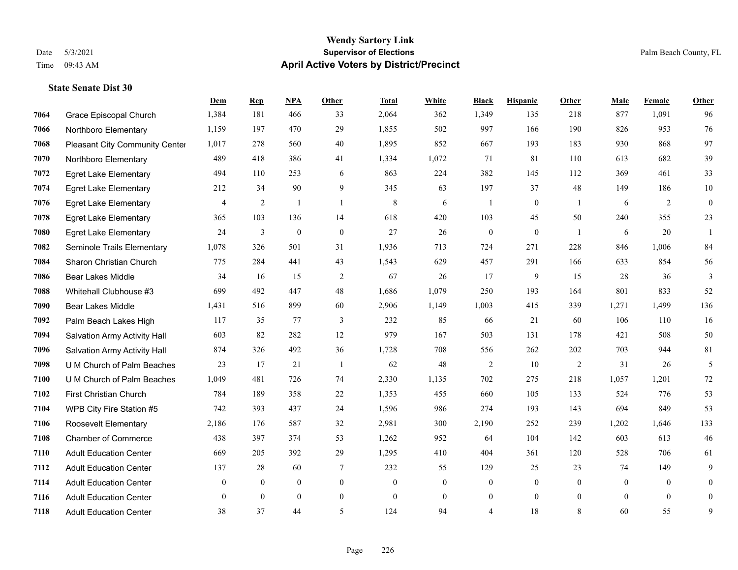|      |                                | Dem            | <b>Rep</b>       | NPA          | <b>Other</b>   | <b>Total</b>     | <b>White</b>     | <b>Black</b>     | <b>Hispanic</b>  | Other          | <b>Male</b>  | Female         | <b>Other</b>     |
|------|--------------------------------|----------------|------------------|--------------|----------------|------------------|------------------|------------------|------------------|----------------|--------------|----------------|------------------|
| 7064 | Grace Episcopal Church         | 1,384          | 181              | 466          | 33             | 2,064            | 362              | 1,349            | 135              | 218            | 877          | 1,091          | 96               |
| 7066 | Northboro Elementary           | 1,159          | 197              | 470          | 29             | 1,855            | 502              | 997              | 166              | 190            | 826          | 953            | 76               |
| 7068 | Pleasant City Community Center | 1,017          | 278              | 560          | 40             | 1,895            | 852              | 667              | 193              | 183            | 930          | 868            | 97               |
| 7070 | Northboro Elementary           | 489            | 418              | 386          | 41             | 1,334            | 1,072            | 71               | 81               | 110            | 613          | 682            | 39               |
| 7072 | <b>Egret Lake Elementary</b>   | 494            | 110              | 253          | 6              | 863              | 224              | 382              | 145              | 112            | 369          | 461            | 33               |
| 7074 | <b>Egret Lake Elementary</b>   | 212            | 34               | 90           | 9              | 345              | 63               | 197              | 37               | 48             | 149          | 186            | $10\,$           |
| 7076 | <b>Egret Lake Elementary</b>   | $\overline{4}$ | $\overline{2}$   | $\mathbf{1}$ | $\overline{1}$ | $\,8\,$          | 6                | 1                | $\boldsymbol{0}$ | $\mathbf{1}$   | 6            | 2              | $\boldsymbol{0}$ |
| 7078 | <b>Egret Lake Elementary</b>   | 365            | 103              | 136          | 14             | 618              | 420              | 103              | 45               | 50             | 240          | 355            | 23               |
| 7080 | <b>Egret Lake Elementary</b>   | 24             | 3                | $\mathbf{0}$ | $\mathbf{0}$   | 27               | 26               | $\boldsymbol{0}$ | $\mathbf{0}$     | $\overline{1}$ | 6            | 20             | $\mathbf{1}$     |
| 7082 | Seminole Trails Elementary     | 1,078          | 326              | 501          | 31             | 1,936            | 713              | 724              | 271              | 228            | 846          | 1,006          | 84               |
| 7084 | Sharon Christian Church        | 775            | 284              | 441          | 43             | 1,543            | 629              | 457              | 291              | 166            | 633          | 854            | 56               |
| 7086 | <b>Bear Lakes Middle</b>       | 34             | 16               | 15           | 2              | 67               | 26               | 17               | 9                | 15             | 28           | 36             | 3                |
| 7088 | Whitehall Clubhouse #3         | 699            | 492              | 447          | 48             | 1,686            | 1,079            | 250              | 193              | 164            | 801          | 833            | 52               |
| 7090 | <b>Bear Lakes Middle</b>       | 1,431          | 516              | 899          | 60             | 2,906            | 1,149            | 1,003            | 415              | 339            | 1,271        | 1,499          | 136              |
| 7092 | Palm Beach Lakes High          | 117            | 35               | 77           | 3              | 232              | 85               | 66               | 21               | 60             | 106          | 110            | 16               |
| 7094 | Salvation Army Activity Hall   | 603            | 82               | 282          | 12             | 979              | 167              | 503              | 131              | 178            | 421          | 508            | 50               |
| 7096 | Salvation Army Activity Hall   | 874            | 326              | 492          | 36             | 1,728            | 708              | 556              | 262              | 202            | 703          | 944            | 81               |
| 7098 | U M Church of Palm Beaches     | 23             | 17               | 21           | $\overline{1}$ | 62               | 48               | 2                | 10               | 2              | 31           | 26             | 5                |
| 7100 | U M Church of Palm Beaches     | 1,049          | 481              | 726          | 74             | 2,330            | 1,135            | 702              | 275              | 218            | 1,057        | 1,201          | $72\,$           |
| 7102 | First Christian Church         | 784            | 189              | 358          | 22             | 1,353            | 455              | 660              | 105              | 133            | 524          | 776            | 53               |
| 7104 | WPB City Fire Station #5       | 742            | 393              | 437          | 24             | 1,596            | 986              | 274              | 193              | 143            | 694          | 849            | 53               |
| 7106 | Roosevelt Elementary           | 2,186          | 176              | 587          | 32             | 2,981            | 300              | 2,190            | 252              | 239            | 1,202        | 1,646          | 133              |
| 7108 | <b>Chamber of Commerce</b>     | 438            | 397              | 374          | 53             | 1,262            | 952              | 64               | 104              | 142            | 603          | 613            | 46               |
| 7110 | <b>Adult Education Center</b>  | 669            | 205              | 392          | 29             | 1,295            | 410              | 404              | 361              | 120            | 528          | 706            | 61               |
| 7112 | <b>Adult Education Center</b>  | 137            | 28               | 60           | 7              | 232              | 55               | 129              | 25               | 23             | 74           | 149            | 9                |
| 7114 | <b>Adult Education Center</b>  | $\mathbf{0}$   | $\boldsymbol{0}$ | $\mathbf{0}$ | $\overline{0}$ | $\boldsymbol{0}$ | $\boldsymbol{0}$ | $\boldsymbol{0}$ | $\boldsymbol{0}$ | $\mathbf{0}$   | $\mathbf{0}$ | $\overline{0}$ | $\mathbf{0}$     |
| 7116 | <b>Adult Education Center</b>  | $\mathbf{0}$   | $\mathbf{0}$     | $\mathbf{0}$ | $\overline{0}$ | $\theta$         | $\overline{0}$   | $\boldsymbol{0}$ | $\mathbf{0}$     | $\overline{0}$ | $\theta$     | $\theta$       | $\mathbf{0}$     |
| 7118 | <b>Adult Education Center</b>  | 38             | 37               | 44           | 5              | 124              | 94               | 4                | 18               | 8              | 60           | 55             | 9                |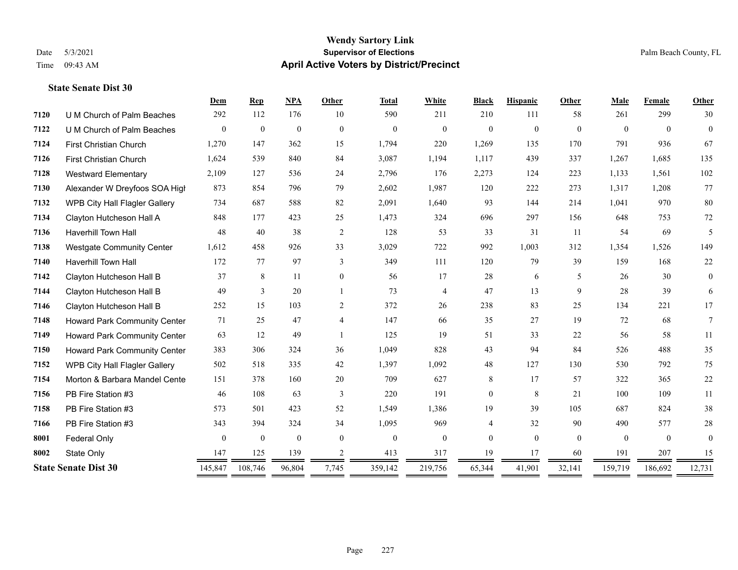## **Wendy Sartory Link** Date 5/3/2021 **Supervisor of Elections** Palm Beach County, FL Time 09:43 AM **April Active Voters by District/Precinct**

**Dem Rep NPA Other Total White Black Hispanic Other Male Female Other**

# U M Church of Palm Beaches 292 112 176 10 590 211 210 111 58 261 299 30 U M Church of Palm Beaches 0 0 0 0 0 0 0 0 0 0 0 0 First Christian Church 1,270 147 362 15 1,794 220 1,269 135 170 791 936 67 First Christian Church 1,624 539 840 84 3,087 1,194 1,117 439 337 1,267 1,685 135 Westward Elementary 2,109 127 536 24 2,796 176 2,273 124 223 1,133 1,561 102 Alexander W Dreyfoos SOA High 873 854 796 79 2,602 1,987 120 222 273 1,317 1,208 77 WPB City Hall Flagler Gallery 734 687 588 82 2,091 1,640 93 144 214 1,041 970 80 Clayton Hutcheson Hall A 848 177 423 25 1,473 324 696 297 156 648 753 72 Haverhill Town Hall 48 40 38 2 128 53 33 31 11 54 69 5 Westgate Community Center 1,612 458 926 33 3,029 722 992 1,003 312 1,354 1,526 149 Haverhill Town Hall 172 77 97 3 349 111 120 79 39 159 168 22 Clayton Hutcheson Hall B 37 8 11 0 56 17 28 6 5 26 30 0 Clayton Hutcheson Hall B 49 3 20 1 73 4 47 13 9 28 39 6 Clayton Hutcheson Hall B 252 15 103 2 372 26 238 83 25 134 221 17 Howard Park Community Center 71 25 47 4 147 66 35 27 19 72 68 7 Howard Park Community Center 63 12 49 1 125 19 51 33 22 56 58 11 Howard Park Community Center 383 306 324 36 1,049 828 43 94 84 526 488 35 WPB City Hall Flagler Gallery 502 518 335 42 1,397 1,092 48 127 130 530 792 75 Morton & Barbara Mandel Center 151 378 160 20 709 627 8 17 57 322 365 22 PB Fire Station #3 46 108 63 3 220 191 0 8 21 100 109 11

| 8002 | State Only<br><b>State Senate Dist 30</b> | 147<br>145,847 | 125<br>108,746 | 139<br>96,804 | 7,745 | 413<br>359,142 | 317<br>219,756 | 19<br>65,344 | 17<br>41,901 | 60<br>32,141 | 191<br>159,719 | 207<br>186,692 | 15<br>12,731 |
|------|-------------------------------------------|----------------|----------------|---------------|-------|----------------|----------------|--------------|--------------|--------------|----------------|----------------|--------------|
| 8001 | Federal Only                              | 0              |                | $\Omega$      |       |                |                | $\Omega$     | $\mathbf{U}$ | 0            |                | $\theta$       | $\mathbf{0}$ |
| 7166 | PB Fire Station #3                        | 343            | 394            | 324           | 34    | 1.095          | 969            |              | 32           | 90           | 490            | 577            | 28           |
| 7158 | PB Fire Station #3                        | 573            | 501            | 423           | 52    | .549           | .386           | 19           | 39           | 105          | 687            | 824            | 38           |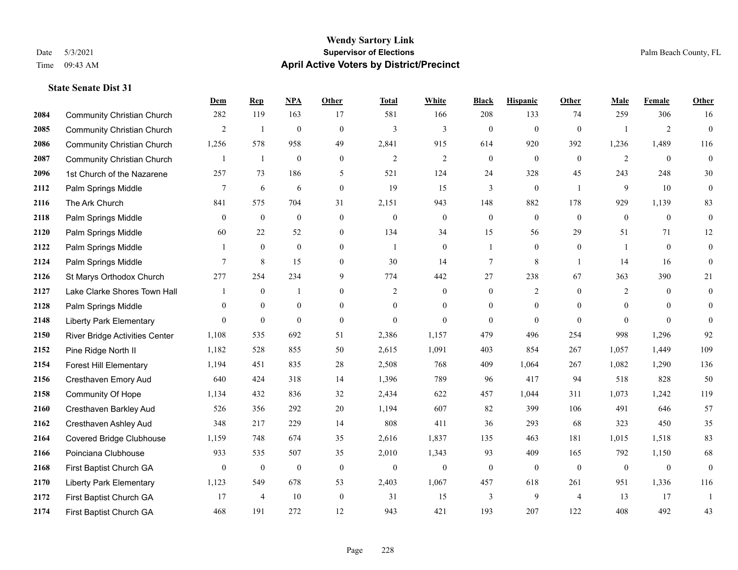|      |                                   | Dem            | <b>Rep</b>       | NPA          | <b>Other</b>   | <b>Total</b>   | <b>White</b>     | <b>Black</b>     | <b>Hispanic</b> | <b>Other</b>   | <b>Male</b>    | Female         | <b>Other</b>     |
|------|-----------------------------------|----------------|------------------|--------------|----------------|----------------|------------------|------------------|-----------------|----------------|----------------|----------------|------------------|
| 2084 | <b>Community Christian Church</b> | 282            | 119              | 163          | 17             | 581            | 166              | 208              | 133             | 74             | 259            | 306            | 16               |
| 2085 | <b>Community Christian Church</b> | 2              | $\mathbf{1}$     | $\mathbf{0}$ | $\theta$       | $\overline{3}$ | 3                | $\mathbf{0}$     | $\mathbf{0}$    | $\theta$       |                | $\overline{2}$ | $\mathbf{0}$     |
| 2086 | <b>Community Christian Church</b> | 1,256          | 578              | 958          | 49             | 2,841          | 915              | 614              | 920             | 392            | 1,236          | 1,489          | 116              |
| 2087 | <b>Community Christian Church</b> |                | $\mathbf{1}$     | $\mathbf{0}$ | $\mathbf{0}$   | $\overline{2}$ | $\overline{c}$   | $\boldsymbol{0}$ | $\mathbf{0}$    | $\mathbf{0}$   | $\overline{2}$ | $\theta$       | $\mathbf{0}$     |
| 2096 | 1st Church of the Nazarene        | 257            | 73               | 186          | 5              | 521            | 124              | 24               | 328             | 45             | 243            | 248            | $30\,$           |
| 2112 | Palm Springs Middle               | 7              | 6                | 6            | $\mathbf{0}$   | 19             | 15               | 3                | $\mathbf{0}$    | -1             | 9              | 10             | $\mathbf{0}$     |
| 2116 | The Ark Church                    | 841            | 575              | 704          | 31             | 2,151          | 943              | 148              | 882             | 178            | 929            | 1,139          | 83               |
| 2118 | Palm Springs Middle               | $\overline{0}$ | $\mathbf{0}$     | $\mathbf{0}$ | $\overline{0}$ | $\mathbf{0}$   | $\boldsymbol{0}$ | $\boldsymbol{0}$ | $\mathbf{0}$    | $\theta$       | $\overline{0}$ | $\overline{0}$ | $\mathbf{0}$     |
| 2120 | Palm Springs Middle               | 60             | 22               | 52           | $\overline{0}$ | 134            | 34               | 15               | 56              | 29             | 51             | 71             | 12               |
| 2122 | Palm Springs Middle               |                | $\mathbf{0}$     | $\theta$     | $\theta$       | $\overline{1}$ | $\overline{0}$   | 1                | $\mathbf{0}$    | $\theta$       | 1              | $\theta$       | $\mathbf{0}$     |
| 2124 | Palm Springs Middle               | 7              | 8                | 15           | $\overline{0}$ | 30             | 14               | 7                | 8               | $\overline{1}$ | 14             | 16             | $\mathbf{0}$     |
| 2126 | St Marys Orthodox Church          | 277            | 254              | 234          | 9              | 774            | 442              | 27               | 238             | 67             | 363            | 390            | 21               |
| 2127 | Lake Clarke Shores Town Hall      |                | $\boldsymbol{0}$ | $\mathbf{1}$ | $\overline{0}$ | $\overline{2}$ | $\boldsymbol{0}$ | $\boldsymbol{0}$ | $\overline{2}$  | $\theta$       | $\overline{2}$ | $\theta$       | $\boldsymbol{0}$ |
| 2128 | Palm Springs Middle               | $\theta$       | $\mathbf{0}$     | $\mathbf{0}$ | $\overline{0}$ | $\theta$       | $\overline{0}$   | $\boldsymbol{0}$ | $\mathbf{0}$    | $\theta$       | $\mathbf{0}$   | $\theta$       | $\mathbf{0}$     |
| 2148 | <b>Liberty Park Elementary</b>    | $\Omega$       | $\mathbf{0}$     | $\theta$     | $\theta$       | $\theta$       | $\Omega$         | $\theta$         | $\theta$        | $\theta$       | $\Omega$       | $\Omega$       | $\Omega$         |
| 2150 | River Bridge Activities Center    | 1,108          | 535              | 692          | 51             | 2,386          | 1,157            | 479              | 496             | 254            | 998            | 1,296          | 92               |
| 2152 | Pine Ridge North II               | 1,182          | 528              | 855          | 50             | 2,615          | 1,091            | 403              | 854             | 267            | 1.057          | 1,449          | 109              |
| 2154 | <b>Forest Hill Elementary</b>     | 1,194          | 451              | 835          | 28             | 2,508          | 768              | 409              | 1,064           | 267            | 1,082          | 1,290          | 136              |
| 2156 | Cresthaven Emory Aud              | 640            | 424              | 318          | 14             | 1,396          | 789              | 96               | 417             | 94             | 518            | 828            | 50               |
| 2158 | <b>Community Of Hope</b>          | 1,134          | 432              | 836          | 32             | 2,434          | 622              | 457              | 1,044           | 311            | 1,073          | 1,242          | 119              |
| 2160 | Cresthaven Barkley Aud            | 526            | 356              | 292          | 20             | 1,194          | 607              | 82               | 399             | 106            | 491            | 646            | 57               |
| 2162 | Cresthaven Ashley Aud             | 348            | 217              | 229          | 14             | 808            | 411              | 36               | 293             | 68             | 323            | 450            | 35               |
| 2164 | Covered Bridge Clubhouse          | 1,159          | 748              | 674          | 35             | 2,616          | 1,837            | 135              | 463             | 181            | 1,015          | 1,518          | 83               |
| 2166 | Poinciana Clubhouse               | 933            | 535              | 507          | 35             | 2,010          | 1,343            | 93               | 409             | 165            | 792            | 1,150          | 68               |
| 2168 | First Baptist Church GA           | $\mathbf{0}$   | $\mathbf{0}$     | $\mathbf{0}$ | $\mathbf{0}$   | $\theta$       | $\overline{0}$   | $\boldsymbol{0}$ | $\mathbf{0}$    | $\mathbf{0}$   | $\mathbf{0}$   | $\mathbf{0}$   | $\mathbf{0}$     |
| 2170 | <b>Liberty Park Elementary</b>    | 1,123          | 549              | 678          | 53             | 2,403          | 1,067            | 457              | 618             | 261            | 951            | 1,336          | 116              |
| 2172 | First Baptist Church GA           | 17             | $\overline{4}$   | 10           | $\mathbf{0}$   | 31             | 15               | 3                | 9               | $\overline{4}$ | 13             | 17             | 1                |
| 2174 | First Baptist Church GA           | 468            | 191              | 272          | 12             | 943            | 421              | 193              | 207             | 122            | 408            | 492            | 43               |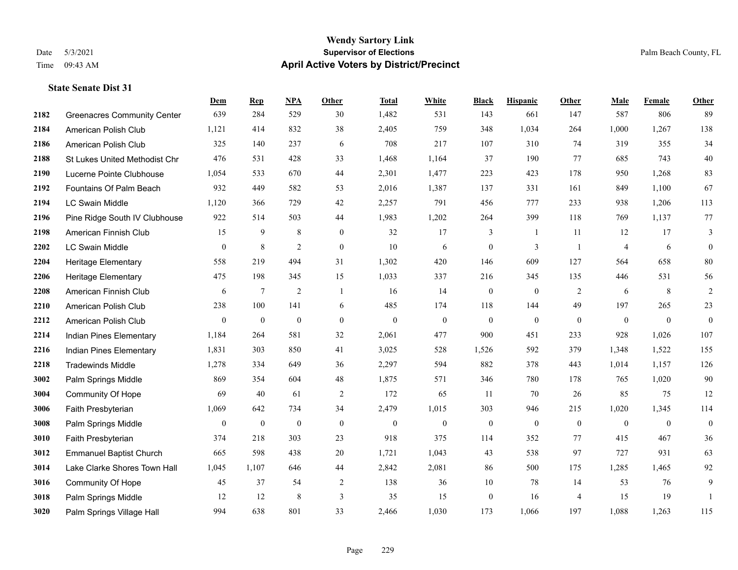|      |                                    | Dem              | <b>Rep</b>       | NPA              | <b>Other</b>   | <b>Total</b> | <b>White</b>     | <b>Black</b>     | <b>Hispanic</b> | Other          | <b>Male</b>  | <b>Female</b>  | Other            |
|------|------------------------------------|------------------|------------------|------------------|----------------|--------------|------------------|------------------|-----------------|----------------|--------------|----------------|------------------|
| 2182 | <b>Greenacres Community Center</b> | 639              | 284              | 529              | 30             | 1,482        | 531              | 143              | 661             | 147            | 587          | 806            | 89               |
| 2184 | American Polish Club               | 1,121            | 414              | 832              | 38             | 2,405        | 759              | 348              | 1,034           | 264            | 1,000        | 1,267          | 138              |
| 2186 | American Polish Club               | 325              | 140              | 237              | 6              | 708          | 217              | 107              | 310             | 74             | 319          | 355            | 34               |
| 2188 | St Lukes United Methodist Chr      | 476              | 531              | 428              | 33             | 1,468        | 1,164            | 37               | 190             | 77             | 685          | 743            | $40\,$           |
| 2190 | Lucerne Pointe Clubhouse           | 1,054            | 533              | 670              | 44             | 2,301        | 1,477            | 223              | 423             | 178            | 950          | 1,268          | 83               |
| 2192 | Fountains Of Palm Beach            | 932              | 449              | 582              | 53             | 2,016        | 1,387            | 137              | 331             | 161            | 849          | 1,100          | 67               |
| 2194 | <b>LC Swain Middle</b>             | 1,120            | 366              | 729              | 42             | 2,257        | 791              | 456              | 777             | 233            | 938          | 1,206          | 113              |
| 2196 | Pine Ridge South IV Clubhouse      | 922              | 514              | 503              | 44             | 1,983        | 1,202            | 264              | 399             | 118            | 769          | 1,137          | 77               |
| 2198 | American Finnish Club              | 15               | 9                | $\,8\,$          | $\overline{0}$ | 32           | 17               | 3                | 1               | 11             | 12           | 17             | 3                |
| 2202 | <b>LC Swain Middle</b>             | $\boldsymbol{0}$ | 8                | $\overline{2}$   | $\overline{0}$ | 10           | 6                | $\boldsymbol{0}$ | 3               | $\overline{1}$ | 4            | 6              | $\overline{0}$   |
| 2204 | Heritage Elementary                | 558              | 219              | 494              | 31             | 1,302        | 420              | 146              | 609             | 127            | 564          | 658            | $80\,$           |
| 2206 | <b>Heritage Elementary</b>         | 475              | 198              | 345              | 15             | 1,033        | 337              | 216              | 345             | 135            | 446          | 531            | 56               |
| 2208 | American Finnish Club              | 6                | $\tau$           | $\overline{2}$   | $\overline{1}$ | 16           | 14               | $\boldsymbol{0}$ | $\mathbf{0}$    | 2              | 6            | 8              | $\sqrt{2}$       |
| 2210 | American Polish Club               | 238              | 100              | 141              | 6              | 485          | 174              | 118              | 144             | 49             | 197          | 265            | 23               |
| 2212 | American Polish Club               | $\overline{0}$   | $\mathbf{0}$     | $\mathbf{0}$     | $\overline{0}$ | $\mathbf{0}$ | $\mathbf{0}$     | $\mathbf{0}$     | $\mathbf{0}$    | $\theta$       | $\mathbf{0}$ | $\overline{0}$ | $\overline{0}$   |
| 2214 | Indian Pines Elementary            | 1,184            | 264              | 581              | 32             | 2,061        | 477              | 900              | 451             | 233            | 928          | 1,026          | 107              |
| 2216 | Indian Pines Elementary            | 1,831            | 303              | 850              | 41             | 3,025        | 528              | 1,526            | 592             | 379            | 1,348        | 1,522          | 155              |
| 2218 | <b>Tradewinds Middle</b>           | 1,278            | 334              | 649              | 36             | 2,297        | 594              | 882              | 378             | 443            | 1,014        | 1,157          | 126              |
| 3002 | Palm Springs Middle                | 869              | 354              | 604              | 48             | 1,875        | 571              | 346              | 780             | 178            | 765          | 1,020          | $90\,$           |
| 3004 | Community Of Hope                  | 69               | 40               | 61               | $\overline{2}$ | 172          | 65               | 11               | 70              | 26             | 85           | 75             | 12               |
| 3006 | Faith Presbyterian                 | 1,069            | 642              | 734              | 34             | 2,479        | 1,015            | 303              | 946             | 215            | 1,020        | 1,345          | 114              |
| 3008 | Palm Springs Middle                | $\mathbf{0}$     | $\boldsymbol{0}$ | $\boldsymbol{0}$ | $\mathbf{0}$   | $\mathbf{0}$ | $\boldsymbol{0}$ | $\boldsymbol{0}$ | $\mathbf{0}$    | $\mathbf{0}$   | $\mathbf{0}$ | $\overline{0}$ | $\boldsymbol{0}$ |
| 3010 | Faith Presbyterian                 | 374              | 218              | 303              | 23             | 918          | 375              | 114              | 352             | 77             | 415          | 467            | 36               |
| 3012 | <b>Emmanuel Baptist Church</b>     | 665              | 598              | 438              | 20             | 1,721        | 1,043            | 43               | 538             | 97             | 727          | 931            | 63               |
| 3014 | Lake Clarke Shores Town Hall       | 1,045            | 1,107            | 646              | 44             | 2,842        | 2,081            | 86               | 500             | 175            | 1,285        | 1,465          | 92               |
| 3016 | Community Of Hope                  | 45               | 37               | 54               | $\overline{c}$ | 138          | 36               | 10               | 78              | 14             | 53           | 76             | 9                |
| 3018 | Palm Springs Middle                | 12               | 12               | 8                | 3              | 35           | 15               | $\boldsymbol{0}$ | 16              | $\overline{4}$ | 15           | 19             | $\mathbf{1}$     |
| 3020 | Palm Springs Village Hall          | 994              | 638              | 801              | 33             | 2,466        | 1,030            | 173              | 1,066           | 197            | 1,088        | 1,263          | 115              |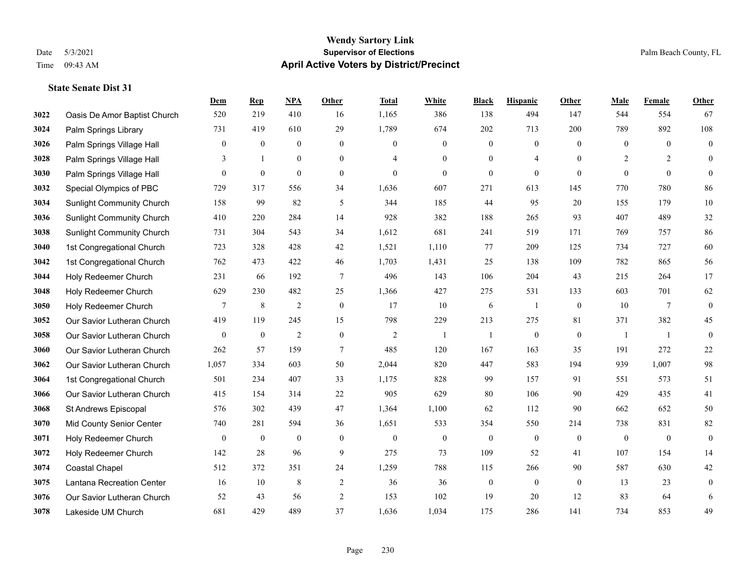|      |                                  | Dem              | <b>Rep</b>       | NPA            | <b>Other</b>     | <b>Total</b>   | <b>White</b>     | <b>Black</b>     | <b>Hispanic</b>  | <b>Other</b> | <b>Male</b>    | Female       | <b>Other</b>     |
|------|----------------------------------|------------------|------------------|----------------|------------------|----------------|------------------|------------------|------------------|--------------|----------------|--------------|------------------|
| 3022 | Oasis De Amor Baptist Church     | 520              | 219              | 410            | 16               | 1,165          | 386              | 138              | 494              | 147          | 544            | 554          | 67               |
| 3024 | Palm Springs Library             | 731              | 419              | 610            | 29               | 1,789          | 674              | 202              | 713              | 200          | 789            | 892          | 108              |
| 3026 | Palm Springs Village Hall        | $\boldsymbol{0}$ | $\boldsymbol{0}$ | $\overline{0}$ | $\overline{0}$   | $\mathbf{0}$   | $\boldsymbol{0}$ | $\boldsymbol{0}$ | $\boldsymbol{0}$ | $\theta$     | $\overline{0}$ | $\theta$     | $\boldsymbol{0}$ |
| 3028 | Palm Springs Village Hall        | 3                | $\mathbf{1}$     | $\mathbf{0}$   | $\overline{0}$   | $\overline{4}$ | $\overline{0}$   | $\boldsymbol{0}$ | $\overline{4}$   | $\theta$     | $\overline{2}$ | 2            | $\mathbf{0}$     |
| 3030 | Palm Springs Village Hall        | $\overline{0}$   | $\boldsymbol{0}$ | $\mathbf{0}$   | $\overline{0}$   | $\mathbf{0}$   | $\overline{0}$   | $\boldsymbol{0}$ | $\mathbf{0}$     | $\mathbf{0}$ | $\mathbf{0}$   | $\theta$     | $\mathbf{0}$     |
| 3032 | Special Olympics of PBC          | 729              | 317              | 556            | 34               | 1,636          | 607              | 271              | 613              | 145          | 770            | 780          | 86               |
| 3034 | <b>Sunlight Community Church</b> | 158              | 99               | 82             | 5                | 344            | 185              | 44               | 95               | 20           | 155            | 179          | $10\,$           |
| 3036 | <b>Sunlight Community Church</b> | 410              | 220              | 284            | 14               | 928            | 382              | 188              | 265              | 93           | 407            | 489          | $32\,$           |
| 3038 | <b>Sunlight Community Church</b> | 731              | 304              | 543            | 34               | 1,612          | 681              | 241              | 519              | 171          | 769            | 757          | 86               |
| 3040 | 1st Congregational Church        | 723              | 328              | 428            | 42               | 1,521          | 1,110            | 77               | 209              | 125          | 734            | 727          | 60               |
| 3042 | 1st Congregational Church        | 762              | 473              | 422            | 46               | 1,703          | 1,431            | 25               | 138              | 109          | 782            | 865          | 56               |
| 3044 | Holy Redeemer Church             | 231              | 66               | 192            | $\overline{7}$   | 496            | 143              | 106              | 204              | 43           | 215            | 264          | 17               |
| 3048 | Holy Redeemer Church             | 629              | 230              | 482            | 25               | 1,366          | 427              | 275              | 531              | 133          | 603            | 701          | 62               |
| 3050 | Holy Redeemer Church             | $\overline{7}$   | $\,8\,$          | $\overline{2}$ | $\boldsymbol{0}$ | 17             | $10\,$           | 6                | $\mathbf{1}$     | $\mathbf{0}$ | 10             | $\tau$       | $\boldsymbol{0}$ |
| 3052 | Our Savior Lutheran Church       | 419              | 119              | 245            | 15               | 798            | 229              | 213              | 275              | 81           | 371            | 382          | 45               |
| 3058 | Our Savior Lutheran Church       | $\mathbf{0}$     | $\boldsymbol{0}$ | $\overline{2}$ | $\mathbf{0}$     | $\overline{2}$ | -1               | $\overline{1}$   | $\boldsymbol{0}$ | $\mathbf{0}$ | $\overline{1}$ | -1           | $\boldsymbol{0}$ |
| 3060 | Our Savior Lutheran Church       | 262              | 57               | 159            | $\tau$           | 485            | 120              | 167              | 163              | 35           | 191            | 272          | $22\,$           |
| 3062 | Our Savior Lutheran Church       | 1,057            | 334              | 603            | 50               | 2,044          | 820              | 447              | 583              | 194          | 939            | 1,007        | 98               |
| 3064 | 1st Congregational Church        | 501              | 234              | 407            | 33               | 1,175          | 828              | 99               | 157              | 91           | 551            | 573          | 51               |
| 3066 | Our Savior Lutheran Church       | 415              | 154              | 314            | $22\,$           | 905            | 629              | 80               | 106              | 90           | 429            | 435          | 41               |
| 3068 | St Andrews Episcopal             | 576              | 302              | 439            | 47               | 1,364          | 1,100            | 62               | 112              | 90           | 662            | 652          | 50               |
| 3070 | Mid County Senior Center         | 740              | 281              | 594            | 36               | 1,651          | 533              | 354              | 550              | 214          | 738            | 831          | $82\,$           |
| 3071 | Holy Redeemer Church             | $\mathbf{0}$     | $\bf{0}$         | $\mathbf{0}$   | $\mathbf{0}$     | $\mathbf{0}$   | $\mathbf{0}$     | $\boldsymbol{0}$ | $\mathbf{0}$     | $\theta$     | $\mathbf{0}$   | $\mathbf{0}$ | $\boldsymbol{0}$ |
| 3072 | Holy Redeemer Church             | 142              | 28               | 96             | 9                | 275            | 73               | 109              | 52               | 41           | 107            | 154          | 14               |
| 3074 | <b>Coastal Chapel</b>            | 512              | 372              | 351            | 24               | 1,259          | 788              | 115              | 266              | 90           | 587            | 630          | $42\,$           |
| 3075 | Lantana Recreation Center        | 16               | 10               | $\,8\,$        | $\sqrt{2}$       | 36             | 36               | $\boldsymbol{0}$ | $\boldsymbol{0}$ | $\mathbf{0}$ | 13             | 23           | $\boldsymbol{0}$ |
| 3076 | Our Savior Lutheran Church       | 52               | 43               | 56             | 2                | 153            | 102              | 19               | 20               | 12           | 83             | 64           | 6                |
| 3078 | Lakeside UM Church               | 681              | 429              | 489            | 37               | 1,636          | 1,034            | 175              | 286              | 141          | 734            | 853          | 49               |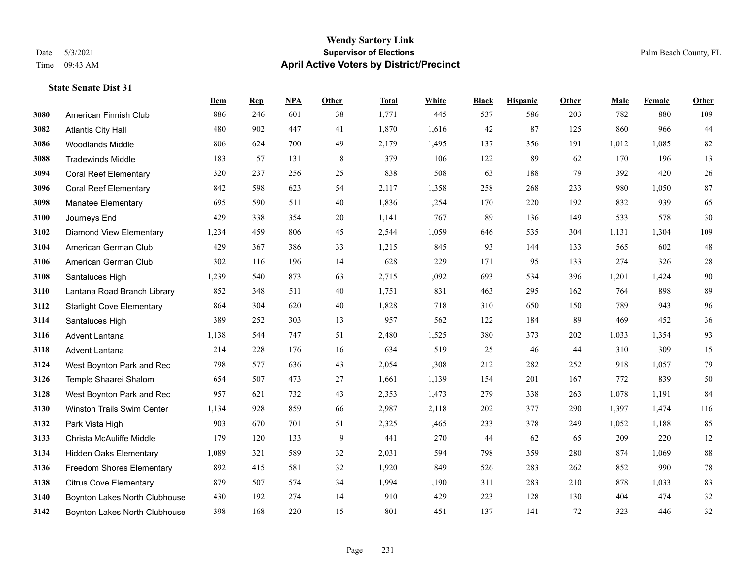#### **Wendy Sartory Link** Date 5/3/2021 **Supervisor of Elections** Palm Beach County, FL Time 09:43 AM **April Active Voters by District/Precinct**

**Dem Rep NPA Other Total White Black Hispanic Other Male Female Other**

## American Finnish Club 886 246 601 38 1,771 445 537 586 203 782 880 109 Atlantis City Hall 480 902 447 41 1,870 1,616 42 87 125 860 966 44 Woodlands Middle 806 624 700 49 2,179 1,495 137 356 191 1,012 1,085 82 Tradewinds Middle 183 57 131 8 379 106 122 89 62 170 196 13 Coral Reef Elementary 320 237 256 25 838 508 63 188 79 392 420 26 Coral Reef Elementary 842 598 623 54 2,117 1,358 258 268 233 980 1,050 87 Manatee Elementary 695 590 511 40 1,836 1,254 170 220 192 832 939 65 Journeys End 429 338 354 20 1,141 767 89 136 149 533 578 30 Diamond View Elementary 1,234 459 806 45 2,544 1,059 646 535 304 1,131 1,304 109 American German Club 429 367 386 33 1,215 845 93 144 133 565 602 48 American German Club 302 116 196 14 628 229 171 95 133 274 326 28 Santaluces High 1,239 540 873 63 2,715 1,092 693 534 396 1,201 1,424 90 Lantana Road Branch Library 852 348 511 40 1,751 831 463 295 162 764 898 89 Starlight Cove Elementary 864 304 620 40 1,828 718 310 650 150 789 943 96 Santaluces High 389 252 303 13 957 562 122 184 89 469 452 36 Advent Lantana 1,138 544 747 51 2,480 1,525 380 373 202 1,033 1,354 93 Advent Lantana 214 228 176 16 634 519 25 46 44 310 309 15 West Boynton Park and Rec 798 577 636 43 2,054 1,308 212 282 252 918 1,057 79 Temple Shaarei Shalom 654 507 473 27 1,661 1,139 154 201 167 772 839 50 West Boynton Park and Rec 957 621 732 43 2,353 1,473 279 338 263 1,078 1,191 84 Winston Trails Swim Center 1,134 928 859 66 2,987 2,118 202 377 290 1,397 1,474 116 Park Vista High 903 670 701 51 2,325 1,465 233 378 249 1,052 1,188 85 Christa McAuliffe Middle 179 120 133 9 441 270 44 62 65 209 220 12 Hidden Oaks Elementary 1,089 321 589 32 2,031 594 798 359 280 874 1,069 88 Freedom Shores Elementary 892 415 581 32 1,920 849 526 283 262 852 990 78 Citrus Cove Elementary 879 507 574 34 1,994 1,190 311 283 210 878 1,033 83

 Boynton Lakes North Clubhouse 430 192 274 14 910 429 223 128 130 404 474 32 Boynton Lakes North Clubhouse 398 168 220 15 801 451 137 141 72 323 446 32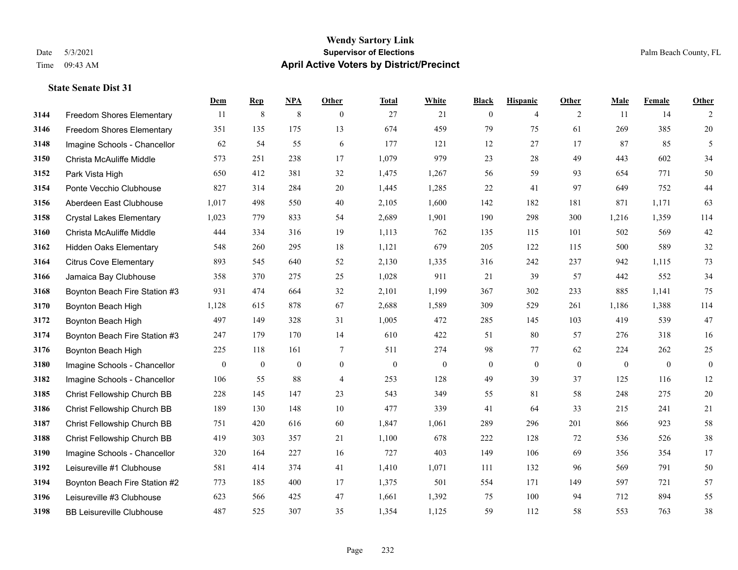#### **Wendy Sartory Link** Date 5/3/2021 **Supervisor of Elections** Palm Beach County, FL Time 09:43 AM **April Active Voters by District/Precinct**

## **Dem Rep NPA Other Total White Black Hispanic Other Male Female Other** Freedom Shores Elementary 11 8 8 0 27 21 0 4 2 11 14 2 Freedom Shores Elementary 351 135 175 13 674 459 79 75 61 269 385 20 Imagine Schools - Chancellor 62 54 55 6 177 121 12 27 17 87 85 5 Christa McAuliffe Middle 573 251 238 17 1,079 979 23 28 49 443 602 34 Park Vista High 650 412 381 32 1,475 1,267 56 59 93 654 771 50 Ponte Vecchio Clubhouse 827 314 284 20 1,445 1,285 22 41 97 649 752 44 Aberdeen East Clubhouse 1,017 498 550 40 2,105 1,600 142 182 181 871 1,171 63 Crystal Lakes Elementary 1,023 779 833 54 2,689 1,901 190 298 300 1,216 1,359 114 Christa McAuliffe Middle 444 334 316 19 1,113 762 135 115 101 502 569 42 Hidden Oaks Elementary 548 260 295 18 1,121 679 205 122 115 500 589 32 Citrus Cove Elementary 893 545 640 52 2,130 1,335 316 242 237 942 1,115 73 Jamaica Bay Clubhouse 358 370 275 25 1,028 911 21 39 57 442 552 34 Boynton Beach Fire Station #3 931 474 664 32 2,101 1,199 367 302 233 885 1,141 75 Boynton Beach High 1,128 615 878 67 2,688 1,589 309 529 261 1,186 1,388 114 Boynton Beach High 497 149 328 31 1,005 472 285 145 103 419 539 47 Boynton Beach Fire Station #3 247 179 170 14 610 422 51 80 57 276 318 16 Boynton Beach High 225 118 161 7 511 274 98 77 62 224 262 25 Imagine Schools - Chancellor 0 0 0 0 0 0 0 0 0 0 0 0 Imagine Schools - Chancellor 106 55 88 4 253 128 49 39 37 125 116 12 Christ Fellowship Church BB 228 145 147 23 543 349 55 81 58 248 275 20 Christ Fellowship Church BB 189 130 148 10 477 339 41 64 33 215 241 21 Christ Fellowship Church BB 751 420 616 60 1,847 1,061 289 296 201 866 923 58 Christ Fellowship Church BB 419 303 357 21 1,100 678 222 128 72 536 526 38 Imagine Schools - Chancellor 320 164 227 16 727 403 149 106 69 356 354 17 Leisureville #1 Clubhouse 581 414 374 41 1,410 1,071 111 132 96 569 791 50 Boynton Beach Fire Station #2 773 185 400 17 1,375 501 554 171 149 597 721 57 Leisureville #3 Clubhouse 623 566 425 47 1,661 1,392 75 100 94 712 894 55 BB Leisureville Clubhouse 487 525 307 35 1,354 1,125 59 112 58 553 763 38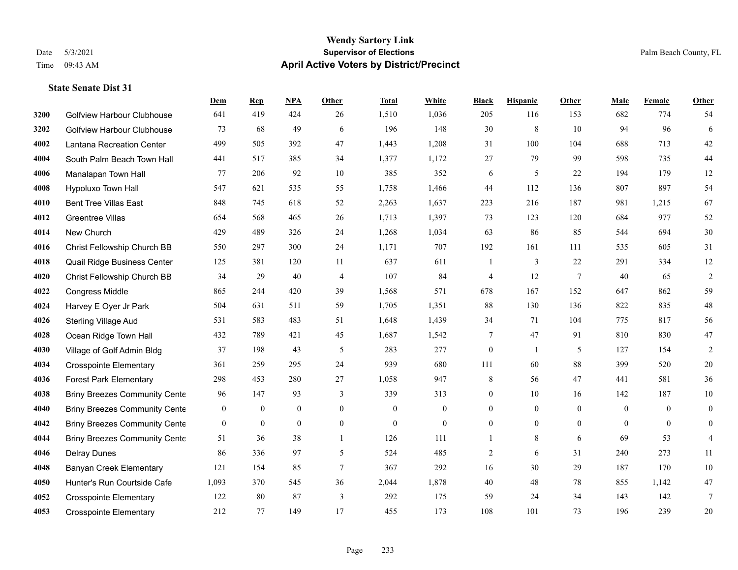## **Wendy Sartory Link** Date 5/3/2021 **Supervisor of Elections** Palm Beach County, FL Time 09:43 AM **April Active Voters by District/Precinct**

**Dem Rep NPA Other Total White Black Hispanic Other Male Female Other**

## Golfview Harbour Clubhouse 641 419 424 26 1,510 1,036 205 116 153 682 774 54 Golfview Harbour Clubhouse 73 68 49 6 196 148 30 8 10 94 96 6 Lantana Recreation Center 499 505 392 47 1,443 1,208 31 100 104 688 713 42 South Palm Beach Town Hall 441 517 385 34 1,377 1,172 27 79 99 598 735 44 Manalapan Town Hall 77 206 92 10 385 352 6 5 22 194 179 12 Hypoluxo Town Hall 547 621 535 55 1,758 1,466 44 112 136 807 897 54 Bent Tree Villas East 848 745 618 52 2,263 1,637 223 216 187 981 1,215 67 Greentree Villas 654 568 465 26 1,713 1,397 73 123 120 684 977 52 New Church 429 489 326 24 1,268 1,034 63 86 85 544 694 30 Christ Fellowship Church BB 550 297 300 24 1,171 707 192 161 111 535 605 31 Quail Ridge Business Center 125 381 120 11 637 611 1 3 22 291 334 12 Christ Fellowship Church BB 34 29 40 4 107 84 4 12 7 40 65 2 Congress Middle 865 244 420 39 1,568 571 678 167 152 647 862 59 Harvey E Oyer Jr Park 504 631 511 59 1,705 1,351 88 130 136 822 835 48 Sterling Village Aud 531 583 483 51 1,648 1,439 34 71 104 775 817 56 Ocean Ridge Town Hall 432 789 421 45 1,687 1,542 7 47 91 810 830 47 Village of Golf Admin Bldg 37 198 43 5 283 277 0 1 5 127 154 2 Crosspointe Elementary 361 259 295 24 939 680 111 60 88 399 520 20 Forest Park Elementary 298 453 280 27 1,058 947 8 56 47 441 581 36 **4038 Briny Breezes Community Cente** 96 147 93 339 313 0 10 16 142 187 10 Briny Breezes Community Center 0 0 0 0 0 0 0 0 0 0 0 0 Briny Breezes Community Center 0 0 0 0 0 0 0 0 0 0 0 0 Briny Breezes Community Cente 51 36 38 1 126 111 1 8 6 69 53 4 Delray Dunes 86 336 97 5 524 485 2 6 31 240 273 11 Banyan Creek Elementary 121 154 85 7 367 292 16 30 29 187 170 10

 Hunter's Run Courtside Cafe 1,093 370 545 36 2,044 1,878 40 48 78 855 1,142 47 Crosspointe Elementary 122 80 87 3 292 175 59 24 34 143 142 7 Crosspointe Elementary 212 77 149 17 455 173 108 101 73 196 239 20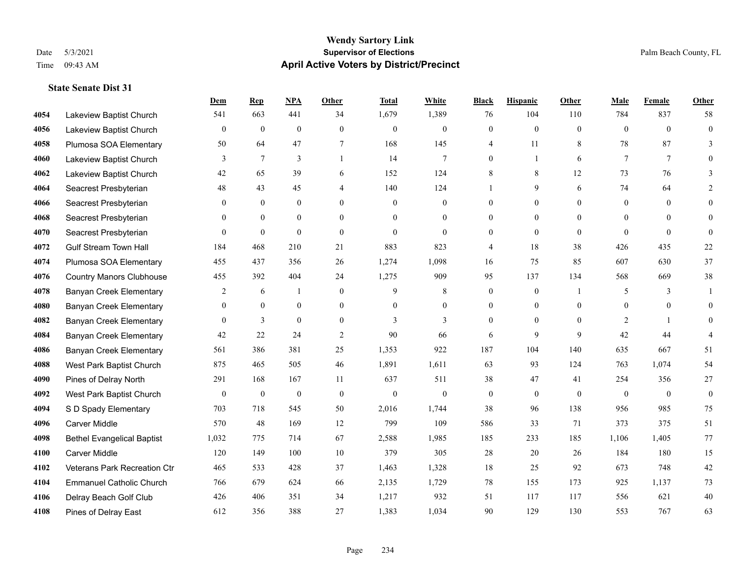## **Wendy Sartory Link** Date 5/3/2021 **Supervisor of Elections** Palm Beach County, FL Time 09:43 AM **April Active Voters by District/Precinct**

## **Dem Rep NPA Other Total White Black Hispanic Other Male Female Other** Lakeview Baptist Church 541 663 441 34 1,679 1,389 76 104 110 784 837 58 Lakeview Baptist Church 0 0 0 0 0 0 0 0 0 0 0 0 Plumosa SOA Elementary 50 64 47 7 168 145 4 11 8 78 87 3 Lakeview Baptist Church 3 7 3 1 14 7 0 1 6 7 7 0 Lakeview Baptist Church 42 65 39 6 152 124 8 8 12 73 76 3 Seacrest Presbyterian **48** 43 45 4 140 124 1 9 6 74 64 2 Seacrest Presbyterian 0 0 0 0 0 0 0 0 0 0 0 0 Seacrest Presbyterian 0 0 0 0 0 0 0 0 0 0 0 0 Seacrest Presbyterian 0 0 0 0 0 0 0 0 0 0 0 0 Gulf Stream Town Hall 184 468 210 21 883 823 4 18 38 426 435 22 Plumosa SOA Elementary 455 437 356 26 1,274 1,098 16 75 85 607 630 37 Country Manors Clubhouse 455 392 404 24 1,275 909 95 137 134 568 669 38 **4078 Banyan Creek Elementary 2 6 1 0 9 8 0 0 1 5 3 1**  Banyan Creek Elementary 0 0 0 0 0 0 0 0 0 0 0 0 **4082 Banyan Creek Elementary 0 3 0 0 3 3 3 0 0 0 2 1 0**  Banyan Creek Elementary 42 22 24 2 90 66 6 9 9 42 44 4 Banyan Creek Elementary 561 386 381 25 1,353 922 187 104 140 635 667 51 West Park Baptist Church 875 465 505 46 1,891 1,611 63 93 124 763 1,074 54 Pines of Delray North 291 168 167 11 637 511 38 47 41 254 356 27 West Park Baptist Church 0 0 0 0 0 0 0 0 0 0 0 0 S D Spady Elementary 703 718 545 50 2,016 1,744 38 96 138 956 985 75 Carver Middle 570 48 169 12 799 109 586 33 71 373 375 51 Bethel Evangelical Baptist 1,032 775 714 67 2,588 1,985 185 233 185 1,106 1,405 77 Carver Middle 120 149 100 10 379 305 28 20 26 184 180 15 Veterans Park Recreation Ctr 465 533 428 37 1,463 1,328 18 25 92 673 748 42 Emmanuel Catholic Church 766 679 624 66 2,135 1,729 78 155 173 925 1,137 73 Delray Beach Golf Club 426 406 351 34 1,217 932 51 117 117 556 621 40 Pines of Delray East 612 356 388 27 1,383 1,034 90 129 130 553 767 63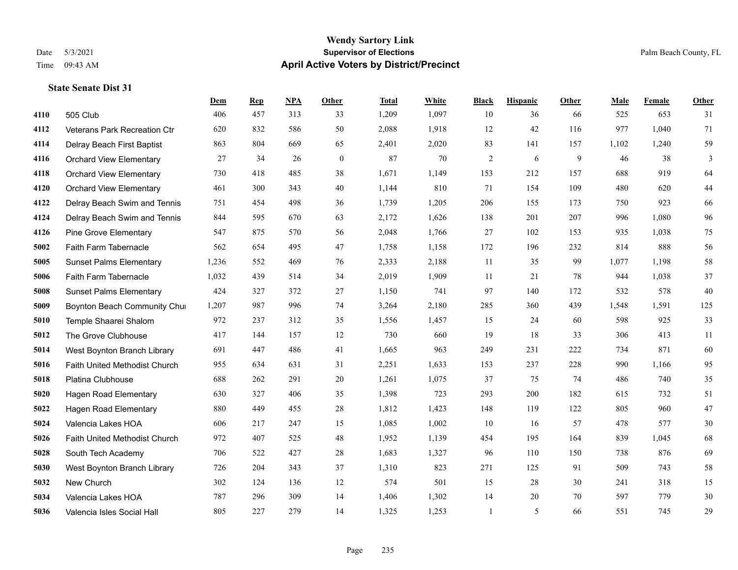#### **Wendy Sartory Link** Date 5/3/2021 **Supervisor of Elections** Palm Beach County, FL Time 09:43 AM **April Active Voters by District/Precinct**

## **Dem Rep NPA Other Total White Black Hispanic Other Male Female Other** 505 Club 406 457 313 33 1,209 1,097 10 36 66 525 653 31 Veterans Park Recreation Ctr 620 832 586 50 2,088 1,918 12 42 116 977 1,040 71 Delray Beach First Baptist 863 804 669 65 2,401 2,020 83 141 157 1,102 1,240 59 Orchard View Elementary 27 34 26 0 87 70 2 6 9 46 38 3 Orchard View Elementary 730 418 485 38 1,671 1,149 153 212 157 688 919 64 Orchard View Elementary 461 300 343 40 1,144 810 71 154 109 480 620 44 Delray Beach Swim and Tennis 751 454 498 36 1,739 1,205 206 155 173 750 923 66 Delray Beach Swim and Tennis 844 595 670 63 2,172 1,626 138 201 207 996 1,080 96 Pine Grove Elementary 547 875 570 56 2,048 1,766 27 102 153 935 1,038 75 Faith Farm Tabernacle 562 654 495 47 1,758 1,158 172 196 232 814 888 56 Sunset Palms Elementary 1,236 552 469 76 2,333 2,188 11 35 99 1,077 1,198 58 Faith Farm Tabernacle 1,032 439 514 34 2,019 1,909 11 21 78 944 1,038 37 Sunset Palms Elementary 424 327 372 27 1,150 741 97 140 172 532 578 40 Boynton Beach Community Church 1,207 987 996 74 3,264 2,180 285 360 439 1,548 1,591 125 Temple Shaarei Shalom 972 237 312 35 1,556 1,457 15 24 60 598 925 33 The Grove Clubhouse 417 144 157 12 730 660 19 18 33 306 413 11 West Boynton Branch Library 691 447 486 41 1,665 963 249 231 222 734 871 60 Faith United Methodist Church 955 634 631 31 2,251 1,633 153 237 228 990 1,166 95 Platina Clubhouse 688 262 291 20 1,261 1,075 37 75 74 486 740 35 Hagen Road Elementary 630 327 406 35 1,398 723 293 200 182 615 732 51 Hagen Road Elementary 880 449 455 28 1,812 1,423 148 119 122 805 960 47 Valencia Lakes HOA 606 217 247 15 1,085 1,002 10 16 57 478 577 30 Faith United Methodist Church 972 407 525 48 1,952 1,139 454 195 164 839 1,045 68 South Tech Academy 706 522 427 28 1,683 1,327 96 110 150 738 876 69 West Boynton Branch Library 726 204 343 37 1,310 823 271 125 91 509 743 58 New Church 302 124 136 12 574 501 15 28 30 241 318 15 Valencia Lakes HOA 787 296 309 14 1,406 1,302 14 20 70 597 779 30 Valencia Isles Social Hall 805 227 279 14 1,325 1,253 1 5 66 551 745 29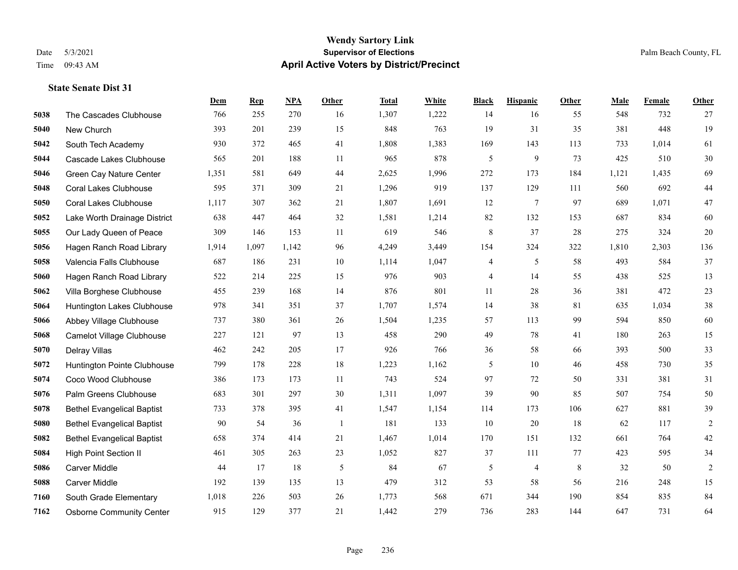#### **Wendy Sartory Link** Date 5/3/2021 **Supervisor of Elections** Palm Beach County, FL Time 09:43 AM **April Active Voters by District/Precinct**

## **Dem Rep NPA Other Total White Black Hispanic Other Male Female Other** The Cascades Clubhouse 766 255 270 16 1,307 1,222 14 16 55 548 732 27 New Church 393 201 239 15 848 763 19 31 35 381 448 19 South Tech Academy 930 372 465 41 1,808 1,383 169 143 113 733 1,014 61 Cascade Lakes Clubhouse 565 201 188 11 965 878 5 9 73 425 510 30 Green Cay Nature Center 1,351 581 649 44 2,625 1,996 272 173 184 1,121 1,435 69 Coral Lakes Clubhouse 595 371 309 21 1,296 919 137 129 111 560 692 44 Coral Lakes Clubhouse 1,117 307 362 21 1,807 1,691 12 7 97 689 1,071 47 Lake Worth Drainage District 638 447 464 32 1,581 1,214 82 132 153 687 834 60 Our Lady Queen of Peace 309 146 153 11 619 546 8 37 28 275 324 20 Hagen Ranch Road Library 1,914 1,097 1,142 96 4,249 3,449 154 324 322 1,810 2,303 136 Valencia Falls Clubhouse 687 186 231 10 1,114 1,047 4 5 58 493 584 37 Hagen Ranch Road Library 522 214 225 15 976 903 4 14 55 438 525 13 Villa Borghese Clubhouse 455 239 168 14 876 801 11 28 36 381 472 23 Huntington Lakes Clubhouse 978 341 351 37 1,707 1,574 14 38 81 635 1,034 38 Abbey Village Clubhouse 737 380 361 26 1,504 1,235 57 113 99 594 850 60 Camelot Village Clubhouse 227 121 97 13 458 290 49 78 41 180 263 15 Delray Villas 462 242 205 17 926 766 36 58 66 393 500 33 Huntington Pointe Clubhouse 799 178 228 18 1,223 1,162 5 10 46 458 730 35 Coco Wood Clubhouse 386 173 173 11 743 524 97 72 50 331 381 31 Palm Greens Clubhouse 683 301 297 30 1,311 1,097 39 90 85 507 754 50 Bethel Evangelical Baptist 733 378 395 41 1,547 1,154 114 173 106 627 881 39 Bethel Evangelical Baptist 90 54 36 1 181 133 10 20 18 62 117 2 Bethel Evangelical Baptist 658 374 414 21 1,467 1,014 170 151 132 661 764 42 High Point Section II 461 305 263 23 1,052 827 37 111 77 423 595 34 Carver Middle 44 17 18 5 84 67 5 4 8 32 50 2 Carver Middle 192 139 135 13 479 312 53 58 56 216 248 15 South Grade Elementary 1,018 226 503 26 1,773 568 671 344 190 854 835 84 Osborne Community Center 915 129 377 21 1,442 279 736 283 144 647 731 64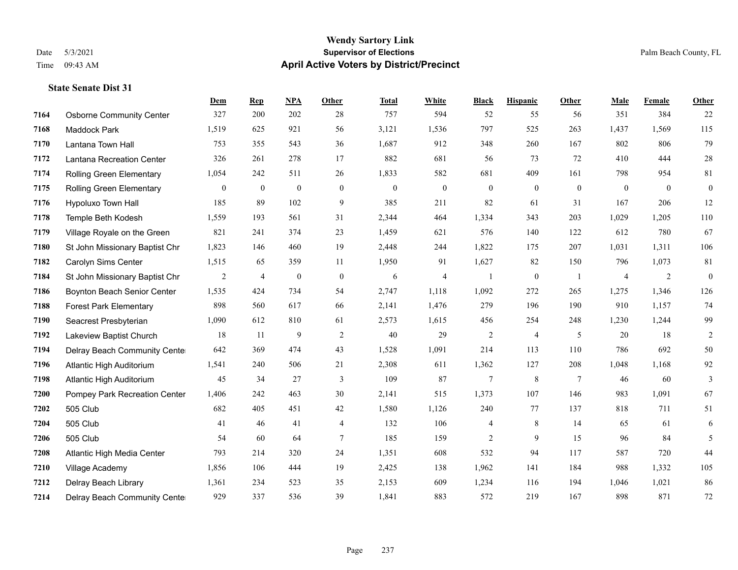#### **Wendy Sartory Link** Date 5/3/2021 **Supervisor of Elections** Palm Beach County, FL Time 09:43 AM **April Active Voters by District/Precinct**

## **Dem Rep NPA Other Total White Black Hispanic Other Male Female Other** Osborne Community Center 327 200 202 28 757 594 52 55 56 351 384 22 Maddock Park 1,519 625 921 56 3,121 1,536 797 525 263 1,437 1,569 115 Lantana Town Hall 753 355 543 36 1,687 912 348 260 167 802 806 79 Lantana Recreation Center 326 261 278 17 882 681 56 73 72 410 444 28 Rolling Green Elementary 1,054 242 511 26 1,833 582 681 409 161 798 954 81 Rolling Green Elementary 0 0 0 0 0 0 0 0 0 0 0 0 Hypoluxo Town Hall 185 89 102 9 385 211 82 61 31 167 206 12 Temple Beth Kodesh 1,559 193 561 31 2,344 464 1,334 343 203 1,029 1,205 110 Village Royale on the Green 821 241 374 23 1,459 621 576 140 122 612 780 67 St John Missionary Baptist Chr 1,823 146 460 19 2,448 244 1,822 175 207 1,031 1,311 106 Carolyn Sims Center 1,515 65 359 11 1,950 91 1,627 82 150 796 1,073 81 St John Missionary Baptist Chr 2 4 0 0 6 4 1 0 1 4 2 0 Boynton Beach Senior Center 1,535 424 734 54 2,747 1,118 1,092 272 265 1,275 1,346 126 Forest Park Elementary 898 560 617 66 2,141 1,476 279 196 190 910 1,157 74 Seacrest Presbyterian 1,090 612 810 61 2,573 1,615 456 254 248 1,230 1,244 99 Lakeview Baptist Church 18 11 9 2 40 29 2 4 5 20 18 2 Delray Beach Community Center 642 369 474 43 1,528 1,091 214 113 110 786 692 50 Atlantic High Auditorium 1,541 240 506 21 2,308 611 1,362 127 208 1,048 1,168 92 Atlantic High Auditorium 45 34 27 3 109 87 7 8 7 46 60 3 Pompey Park Recreation Center 1,406 242 463 30 2,141 515 1,373 107 146 983 1,091 67 505 Club 682 405 451 42 1,580 1,126 240 77 137 818 711 51 505 Club 41 46 41 4 132 106 4 8 14 65 61 6 505 Club 54 60 64 7 185 159 2 9 15 96 84 5 Atlantic High Media Center 793 214 320 24 1,351 608 532 94 117 587 720 44 Village Academy 1,856 106 444 19 2,425 138 1,962 141 184 988 1,332 105 Delray Beach Library 1,361 234 523 35 2,153 609 1,234 116 194 1,046 1,021 86 Delray Beach Community Center 929 337 536 39 1,841 883 572 219 167 898 871 72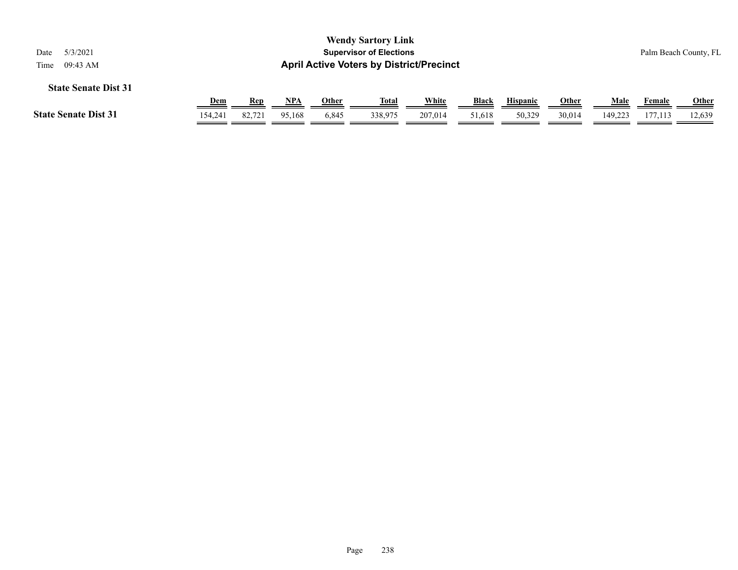| 5/3/2021<br>Date<br>09:43 AM<br>Time |                  |                      |                      |                       | <b>Wendy Sartory Link</b><br><b>Supervisor of Elections</b><br><b>April Active Voters by District/Precinct</b> |                         |                        |                           |                        |                 |                          | Palm Beach County, FL  |  |
|--------------------------------------|------------------|----------------------|----------------------|-----------------------|----------------------------------------------------------------------------------------------------------------|-------------------------|------------------------|---------------------------|------------------------|-----------------|--------------------------|------------------------|--|
| <b>State Senate Dist 31</b>          |                  |                      |                      |                       |                                                                                                                |                         |                        |                           |                        |                 |                          |                        |  |
| <b>State Senate Dist 31</b>          | $Dem$<br>154,241 | <b>Rep</b><br>82.721 | <u>NPA</u><br>95.168 | <u>Other</u><br>6,845 | <u>Total</u><br>338,975                                                                                        | <u>White</u><br>207.014 | <b>Black</b><br>51,618 | <b>Hispanic</b><br>50.329 | <b>Other</b><br>30,014 | Male<br>149.223 | <b>Female</b><br>177,113 | <b>Other</b><br>12,639 |  |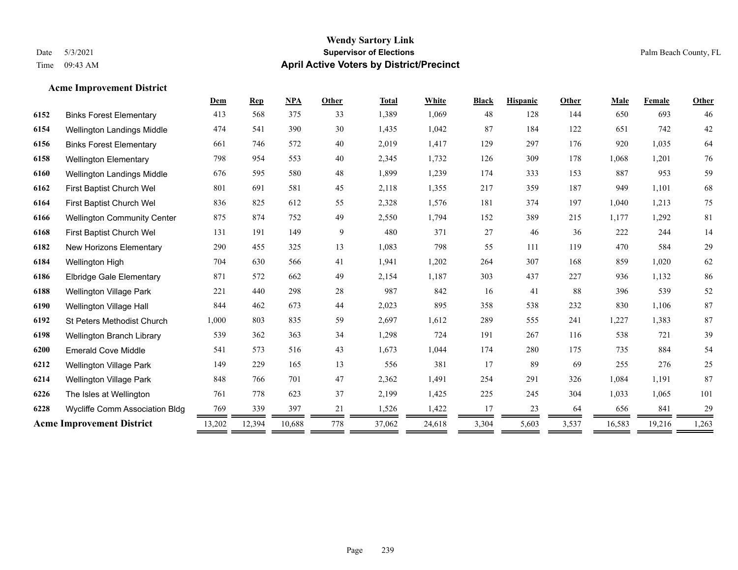**Acme Improvement District**

## **Wendy Sartory Link** Date 5/3/2021 **Supervisor of Elections** Palm Beach County, FL Time 09:43 AM **April Active Voters by District/Precinct**

|      |                                       | Dem    | $\mathbf{Rep}$ | <b>NPA</b> | Other | <b>Total</b> | <b>White</b> | <b>Black</b> | <b>Hispanic</b> | Other | Male   | Female | Other  |
|------|---------------------------------------|--------|----------------|------------|-------|--------------|--------------|--------------|-----------------|-------|--------|--------|--------|
| 6152 | <b>Binks Forest Elementary</b>        | 413    | 568            | 375        | 33    | 1,389        | 1,069        | 48           | 128             | 144   | 650    | 693    | 46     |
| 6154 | Wellington Landings Middle            | 474    | 541            | 390        | 30    | 1,435        | 1,042        | 87           | 184             | 122   | 651    | 742    | $42\,$ |
| 6156 | <b>Binks Forest Elementary</b>        | 661    | 746            | 572        | 40    | 2,019        | 1,417        | 129          | 297             | 176   | 920    | 1,035  | 64     |
| 6158 | <b>Wellington Elementary</b>          | 798    | 954            | 553        | 40    | 2,345        | 1,732        | 126          | 309             | 178   | 1,068  | 1,201  | 76     |
| 6160 | Wellington Landings Middle            | 676    | 595            | 580        | 48    | 1,899        | 1,239        | 174          | 333             | 153   | 887    | 953    | 59     |
| 6162 | First Baptist Church Wel              | 801    | 691            | 581        | 45    | 2,118        | 1,355        | 217          | 359             | 187   | 949    | 1,101  | 68     |
| 6164 | First Baptist Church Wel              | 836    | 825            | 612        | 55    | 2,328        | 1,576        | 181          | 374             | 197   | 1,040  | 1,213  | 75     |
| 6166 | <b>Wellington Community Center</b>    | 875    | 874            | 752        | 49    | 2,550        | 1,794        | 152          | 389             | 215   | 1,177  | 1,292  | 81     |
| 6168 | First Baptist Church Wel              | 131    | 191            | 149        | 9     | 480          | 371          | 27           | 46              | 36    | 222    | 244    | 14     |
| 6182 | New Horizons Elementary               | 290    | 455            | 325        | 13    | 1,083        | 798          | 55           | 111             | 119   | 470    | 584    | 29     |
| 6184 | Wellington High                       | 704    | 630            | 566        | 41    | 1,941        | 1,202        | 264          | 307             | 168   | 859    | 1,020  | 62     |
| 6186 | <b>Elbridge Gale Elementary</b>       | 871    | 572            | 662        | 49    | 2,154        | 1,187        | 303          | 437             | 227   | 936    | 1,132  | 86     |
| 6188 | <b>Wellington Village Park</b>        | 221    | 440            | 298        | 28    | 987          | 842          | 16           | 41              | 88    | 396    | 539    | 52     |
| 6190 | <b>Wellington Village Hall</b>        | 844    | 462            | 673        | 44    | 2,023        | 895          | 358          | 538             | 232   | 830    | 1,106  | 87     |
| 6192 | <b>St Peters Methodist Church</b>     | 1,000  | 803            | 835        | 59    | 2,697        | 1,612        | 289          | 555             | 241   | 1,227  | 1,383  | 87     |
| 6198 | Wellington Branch Library             | 539    | 362            | 363        | 34    | 1,298        | 724          | 191          | 267             | 116   | 538    | 721    | 39     |
| 6200 | <b>Emerald Cove Middle</b>            | 541    | 573            | 516        | 43    | 1,673        | 1,044        | 174          | 280             | 175   | 735    | 884    | 54     |
| 6212 | <b>Wellington Village Park</b>        | 149    | 229            | 165        | 13    | 556          | 381          | 17           | 89              | 69    | 255    | 276    | 25     |
| 6214 | <b>Wellington Village Park</b>        | 848    | 766            | 701        | 47    | 2,362        | 1,491        | 254          | 291             | 326   | 1,084  | 1,191  | 87     |
| 6226 | The Isles at Wellington               | 761    | 778            | 623        | 37    | 2,199        | 1,425        | 225          | 245             | 304   | 1,033  | 1,065  | 101    |
| 6228 | <b>Wycliffe Comm Association Bldg</b> | 769    | 339            | 397        | 21    | 1,526        | 1,422        | 17           | 23              | 64    | 656    | 841    | 29     |
|      | <b>Acme Improvement District</b>      | 13,202 | 12,394         | 10,688     | 778   | 37,062       | 24,618       | 3,304        | 5,603           | 3,537 | 16,583 | 19,216 | 1,263  |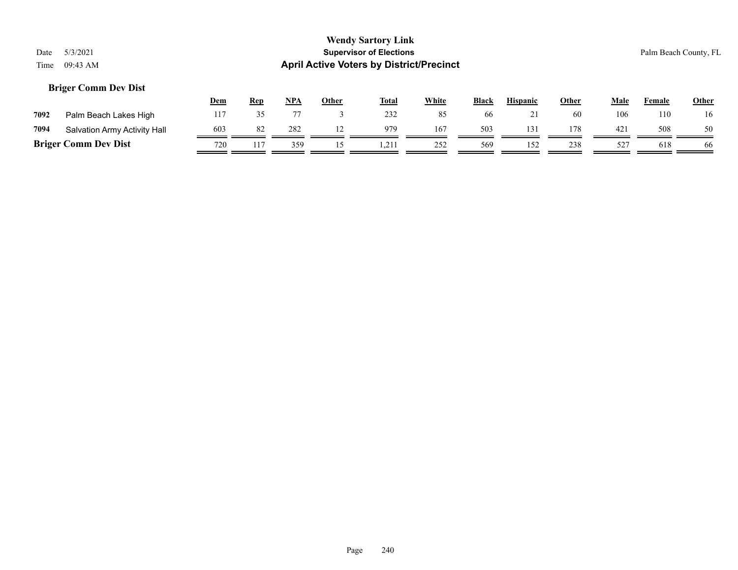## **Briger Comm Dev Dist**

|      |                              | <u>Dem</u> | <b>Rep</b> | NPA | Other | <b>Total</b> | White | <b>Black</b> | <b>Hispanic</b> | Other | Male         | Female | <b>Other</b> |
|------|------------------------------|------------|------------|-----|-------|--------------|-------|--------------|-----------------|-------|--------------|--------|--------------|
| 7092 | Palm Beach Lakes High        |            |            |     |       | 232          |       | 66           | $\sim$ 1        | 60    | 106          | 110    | 16           |
| 7094 | Salvation Army Activity Hall | 603        | 82         | 282 |       | 979          | 167   | 503          | 131             | 178   | 421          | 508    | 50           |
|      | <b>Briger Comm Dev Dist</b>  | 720        | 117        | 359 |       | 1.211        | 252   | 569          | 152             | 238   | $52^{\circ}$ | 618    | 66           |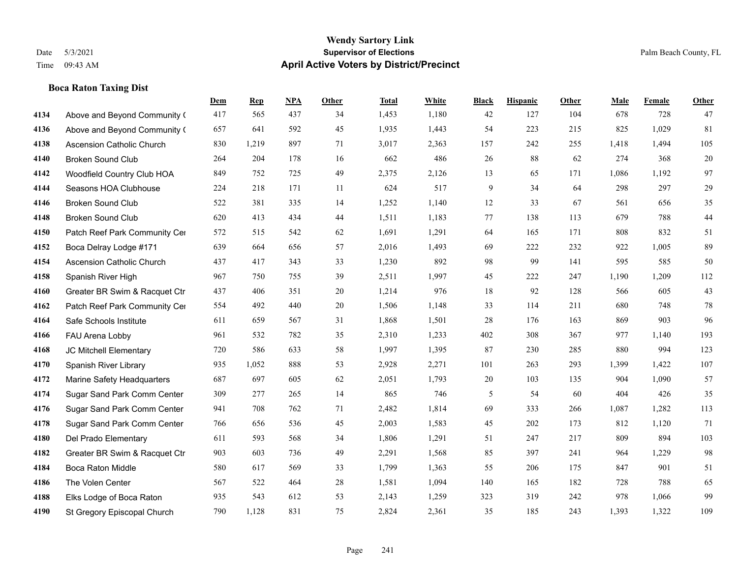**Boca Raton Taxing Dist**

## **Wendy Sartory Link** Date 5/3/2021 **Supervisor of Elections** Palm Beach County, FL Time 09:43 AM **April Active Voters by District/Precinct**

**Dem Rep NPA Other Total White Black Hispanic Other Male Female Other**

# Above and Beyond Community (417 565 437 34 1,453 1,180 42 127 104 678 728 47 Above and Beyond Community (657 641 592 45 1,935 1,443 54 223 215 825 1,029 81

| 4138 | <b>Ascension Catholic Church</b> | 830 | 1,219 | 897 | 71 | 3,017 | 2,363 | 157 | 242 | 255 | 1,418 | 1,494 | 105 |
|------|----------------------------------|-----|-------|-----|----|-------|-------|-----|-----|-----|-------|-------|-----|
| 4140 | <b>Broken Sound Club</b>         | 264 | 204   | 178 | 16 | 662   | 486   | 26  | 88  | 62  | 274   | 368   | 20  |
| 4142 | Woodfield Country Club HOA       | 849 | 752   | 725 | 49 | 2,375 | 2,126 | 13  | 65  | 171 | 1,086 | 1,192 | 97  |
| 4144 | Seasons HOA Clubhouse            | 224 | 218   | 171 | 11 | 624   | 517   | 9   | 34  | 64  | 298   | 297   | 29  |
| 4146 | <b>Broken Sound Club</b>         | 522 | 381   | 335 | 14 | 1,252 | 1,140 | 12  | 33  | 67  | 561   | 656   | 35  |
| 4148 | <b>Broken Sound Club</b>         | 620 | 413   | 434 | 44 | 1,511 | 1,183 | 77  | 138 | 113 | 679   | 788   | 44  |
| 4150 | Patch Reef Park Community Cer    | 572 | 515   | 542 | 62 | 1,691 | 1,291 | 64  | 165 | 171 | 808   | 832   | 51  |
| 4152 | Boca Delray Lodge #171           | 639 | 664   | 656 | 57 | 2,016 | 1,493 | 69  | 222 | 232 | 922   | 1,005 | 89  |
| 4154 | Ascension Catholic Church        | 437 | 417   | 343 | 33 | 1,230 | 892   | 98  | 99  | 141 | 595   | 585   | 50  |
| 4158 | Spanish River High               | 967 | 750   | 755 | 39 | 2,511 | 1,997 | 45  | 222 | 247 | 1,190 | 1,209 | 112 |
| 4160 | Greater BR Swim & Racquet Ctr    | 437 | 406   | 351 | 20 | 1,214 | 976   | 18  | 92  | 128 | 566   | 605   | 43  |
| 4162 | Patch Reef Park Community Cer    | 554 | 492   | 440 | 20 | 1,506 | 1,148 | 33  | 114 | 211 | 680   | 748   | 78  |
| 4164 | Safe Schools Institute           | 611 | 659   | 567 | 31 | 1,868 | 1,501 | 28  | 176 | 163 | 869   | 903   | 96  |
| 4166 | FAU Arena Lobby                  | 961 | 532   | 782 | 35 | 2,310 | 1,233 | 402 | 308 | 367 | 977   | 1,140 | 193 |
| 4168 | JC Mitchell Elementary           | 720 | 586   | 633 | 58 | 1,997 | 1,395 | 87  | 230 | 285 | 880   | 994   | 123 |
| 4170 | Spanish River Library            | 935 | 1,052 | 888 | 53 | 2,928 | 2,271 | 101 | 263 | 293 | 1,399 | 1,422 | 107 |
| 4172 | Marine Safety Headquarters       | 687 | 697   | 605 | 62 | 2,051 | 1,793 | 20  | 103 | 135 | 904   | 1,090 | 57  |
| 4174 | Sugar Sand Park Comm Center      | 309 | 277   | 265 | 14 | 865   | 746   | 5   | 54  | 60  | 404   | 426   | 35  |
| 4176 | Sugar Sand Park Comm Center      | 941 | 708   | 762 | 71 | 2,482 | 1,814 | 69  | 333 | 266 | 1,087 | 1,282 | 113 |
| 4178 | Sugar Sand Park Comm Center      | 766 | 656   | 536 | 45 | 2,003 | 1,583 | 45  | 202 | 173 | 812   | 1,120 | 71  |
| 4180 | Del Prado Elementary             | 611 | 593   | 568 | 34 | 1,806 | 1,291 | 51  | 247 | 217 | 809   | 894   | 103 |
| 4182 | Greater BR Swim & Racquet Ctr    | 903 | 603   | 736 | 49 | 2,291 | 1,568 | 85  | 397 | 241 | 964   | 1,229 | 98  |
| 4184 | <b>Boca Raton Middle</b>         | 580 | 617   | 569 | 33 | 1,799 | 1,363 | 55  | 206 | 175 | 847   | 901   | 51  |
| 4186 | The Volen Center                 | 567 | 522   | 464 | 28 | 1,581 | 1,094 | 140 | 165 | 182 | 728   | 788   | 65  |
| 4188 | Elks Lodge of Boca Raton         | 935 | 543   | 612 | 53 | 2,143 | 1,259 | 323 | 319 | 242 | 978   | 1,066 | 99  |
| 4190 | St Gregory Episcopal Church      | 790 | 1,128 | 831 | 75 | 2,824 | 2,361 | 35  | 185 | 243 | 1,393 | 1,322 | 109 |
|      |                                  |     |       |     |    |       |       |     |     |     |       |       |     |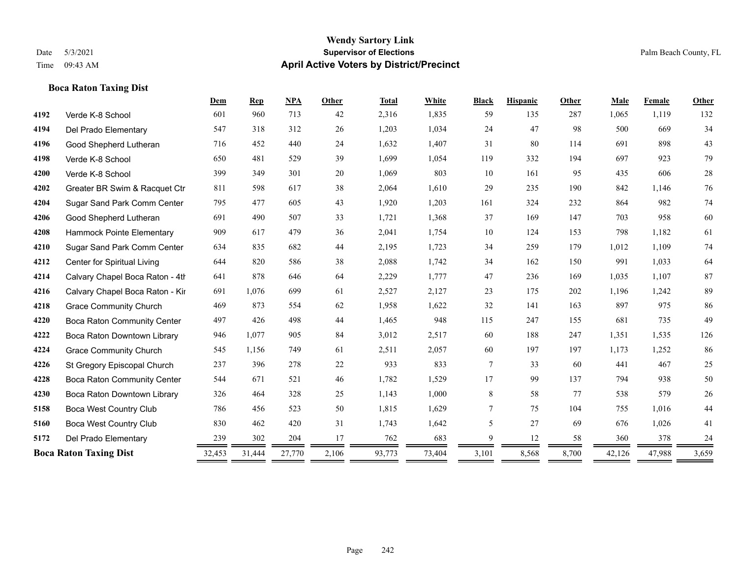## **Boca Raton Taxing Dist**

|      |                                    | Dem    | <b>Rep</b> | <b>NPA</b> | Other | <b>Total</b> | White  | <b>Black</b> | <b>Hispanic</b> | Other | Male   | Female | Other  |
|------|------------------------------------|--------|------------|------------|-------|--------------|--------|--------------|-----------------|-------|--------|--------|--------|
| 4192 | Verde K-8 School                   | 601    | 960        | 713        | 42    | 2,316        | 1,835  | 59           | 135             | 287   | 1,065  | 1,119  | 132    |
| 4194 | Del Prado Elementary               | 547    | 318        | 312        | 26    | 1,203        | 1,034  | 24           | 47              | 98    | 500    | 669    | 34     |
| 4196 | Good Shepherd Lutheran             | 716    | 452        | 440        | 24    | 1,632        | 1,407  | 31           | 80              | 114   | 691    | 898    | 43     |
| 4198 | Verde K-8 School                   | 650    | 481        | 529        | 39    | 1,699        | 1,054  | 119          | 332             | 194   | 697    | 923    | 79     |
| 4200 | Verde K-8 School                   | 399    | 349        | 301        | 20    | 1,069        | 803    | 10           | 161             | 95    | 435    | 606    | $28\,$ |
| 4202 | Greater BR Swim & Racquet Ctr      | 811    | 598        | 617        | 38    | 2,064        | 1,610  | 29           | 235             | 190   | 842    | 1,146  | 76     |
| 4204 | Sugar Sand Park Comm Center        | 795    | 477        | 605        | 43    | 1,920        | 1,203  | 161          | 324             | 232   | 864    | 982    | $74\,$ |
| 4206 | Good Shepherd Lutheran             | 691    | 490        | 507        | 33    | 1,721        | 1,368  | 37           | 169             | 147   | 703    | 958    | 60     |
| 4208 | Hammock Pointe Elementary          | 909    | 617        | 479        | 36    | 2,041        | 1,754  | 10           | 124             | 153   | 798    | 1,182  | 61     |
| 4210 | Sugar Sand Park Comm Center        | 634    | 835        | 682        | 44    | 2,195        | 1,723  | 34           | 259             | 179   | 1,012  | 1,109  | 74     |
| 4212 | Center for Spiritual Living        | 644    | 820        | 586        | 38    | 2,088        | 1,742  | 34           | 162             | 150   | 991    | 1,033  | 64     |
| 4214 | Calvary Chapel Boca Raton - 4th    | 641    | 878        | 646        | 64    | 2,229        | 1,777  | 47           | 236             | 169   | 1,035  | 1,107  | 87     |
| 4216 | Calvary Chapel Boca Raton - Kir    | 691    | 1,076      | 699        | 61    | 2,527        | 2,127  | 23           | 175             | 202   | 1,196  | 1,242  | 89     |
| 4218 | <b>Grace Community Church</b>      | 469    | 873        | 554        | 62    | 1,958        | 1,622  | 32           | 141             | 163   | 897    | 975    | 86     |
| 4220 | <b>Boca Raton Community Center</b> | 497    | 426        | 498        | 44    | 1,465        | 948    | 115          | 247             | 155   | 681    | 735    | 49     |
| 4222 | Boca Raton Downtown Library        | 946    | 1,077      | 905        | 84    | 3,012        | 2,517  | 60           | 188             | 247   | 1,351  | 1,535  | 126    |
| 4224 | <b>Grace Community Church</b>      | 545    | 1,156      | 749        | 61    | 2,511        | 2,057  | 60           | 197             | 197   | 1,173  | 1,252  | 86     |
| 4226 | St Gregory Episcopal Church        | 237    | 396        | 278        | 22    | 933          | 833    | 7            | 33              | 60    | 441    | 467    | $25\,$ |
| 4228 | Boca Raton Community Center        | 544    | 671        | 521        | 46    | 1,782        | 1,529  | 17           | 99              | 137   | 794    | 938    | 50     |
| 4230 | Boca Raton Downtown Library        | 326    | 464        | 328        | 25    | 1,143        | 1,000  | 8            | 58              | 77    | 538    | 579    | $26\,$ |
| 5158 | <b>Boca West Country Club</b>      | 786    | 456        | 523        | 50    | 1,815        | 1,629  | $\tau$       | 75              | 104   | 755    | 1,016  | 44     |
| 5160 | Boca West Country Club             | 830    | 462        | 420        | 31    | 1,743        | 1,642  | 5            | 27              | 69    | 676    | 1,026  | 41     |
| 5172 | Del Prado Elementary               | 239    | 302        | 204        | 17    | 762          | 683    | 9            | 12              | 58    | 360    | 378    | 24     |
|      | <b>Boca Raton Taxing Dist</b>      | 32,453 | 31,444     | 27,770     | 2,106 | 93,773       | 73,404 | 3,101        | 8,568           | 8,700 | 42,126 | 47,988 | 3,659  |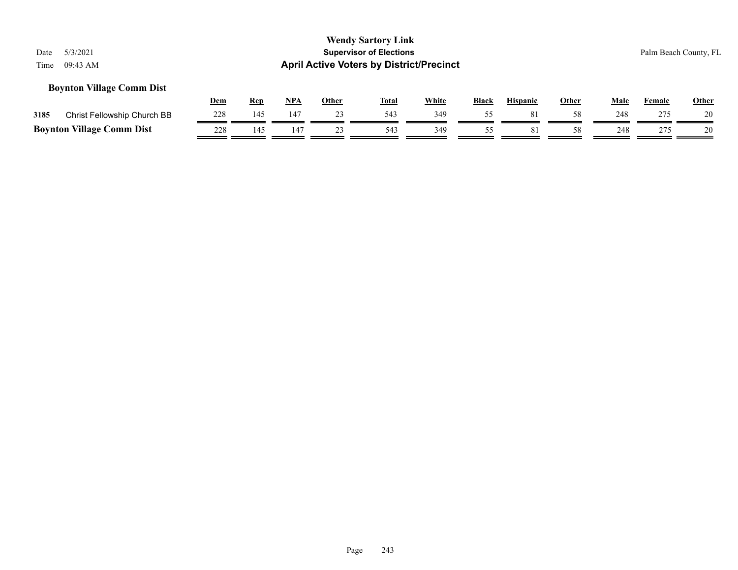## **Boynton Village Comm Dist**

|      |                                  | Dem | Rep | NP/ | Other | <b>Total</b> | <b>White</b> | <b>Black</b> | <b>Hispanic</b> | Other | Male | Female | <b>Other</b> |
|------|----------------------------------|-----|-----|-----|-------|--------------|--------------|--------------|-----------------|-------|------|--------|--------------|
| 3185 | Christ Fellowship Church BB      | 228 | 145 | 147 |       | 543          | 349          |              | 81              |       | 248  | 275    |              |
|      | <b>Boynton Village Comm Dist</b> | 228 | 4٠، |     |       | 543          | 349          |              |                 |       | 248  | つつら    |              |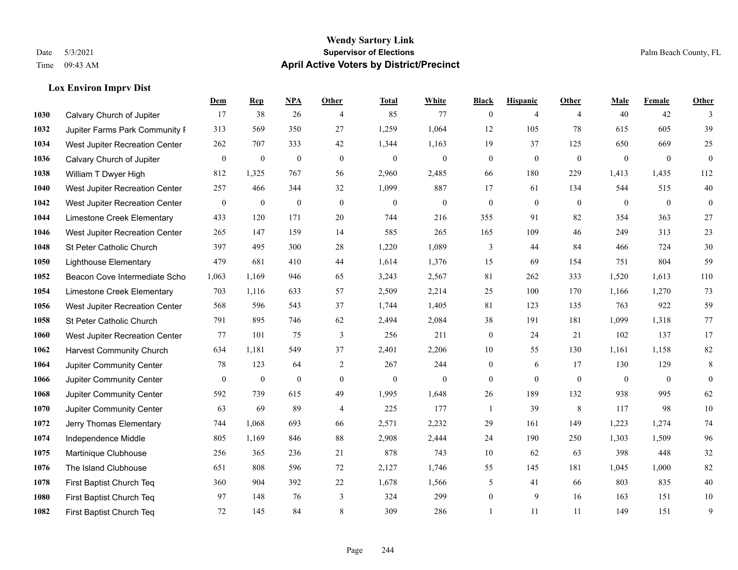**Lox Environ Imprv Dist**

#### **Wendy Sartory Link** Date 5/3/2021 **Supervisor of Elections** Palm Beach County, FL Time 09:43 AM **April Active Voters by District/Precinct**

## **Dem Rep NPA Other Total White Black Hispanic Other Male Female Other 1030 Calvary Church of Jupiter 17** 38 26 4 85 77 0 4 4 40 42 3 Jupiter Farms Park Community Farm 313 569 350 27 1,259 1,064 12 105 78 615 605 39 West Jupiter Recreation Center 262 707 333 42 1,344 1,163 19 37 125 650 669 25 Calvary Church of Jupiter 0 0 0 0 0 0 0 0 0 0 0 0 William T Dwyer High 812 1,325 767 56 2,960 2,485 66 180 229 1,413 1,435 112 West Jupiter Recreation Center 257 466 344 32 1,099 887 17 61 134 544 515 40 West Jupiter Recreation Center 0 0 0 0 0 0 0 0 0 0 0 0 Limestone Creek Elementary 433 120 171 20 744 216 355 91 82 354 363 27 West Jupiter Recreation Center 265 147 159 14 585 265 165 109 46 249 313 23 St Peter Catholic Church 397 495 300 28 1,220 1,089 3 44 84 466 724 30 Lighthouse Elementary 479 681 410 44 1,614 1,376 15 69 154 751 804 59 Beacon Cove Intermediate School 1,063 1,169 946 65 3,243 2,567 81 262 333 1,520 1,613 110 Limestone Creek Elementary 703 1,116 633 57 2,509 2,214 25 100 170 1,166 1,270 73 West Jupiter Recreation Center 568 596 543 37 1,744 1,405 81 123 135 763 922 59 St Peter Catholic Church 791 895 746 62 2,494 2,084 38 191 181 1,099 1,318 77 West Jupiter Recreation Center 77 101 75 3 256 211 0 24 21 102 137 17 Harvest Community Church 634 1,181 549 37 2,401 2,206 10 55 130 1,161 1,158 82 Jupiter Community Center **78** 123 64 2 267 244 0 6 17 130 129 8 Jupiter Community Center 0 0 0 0 0 0 0 0 0 0 0 0 Jupiter Community Center 592 739 615 49 1,995 1,648 26 189 132 938 995 62 Jupiter Community Center 63 69 89 4 225 177 1 39 8 117 98 10 Jerry Thomas Elementary 744 1,068 693 66 2,571 2,232 29 161 149 1,223 1,274 74 Independence Middle 805 1,169 846 88 2,908 2,444 24 190 250 1,303 1,509 96 Martinique Clubhouse 256 365 236 21 878 743 10 62 63 398 448 32 The Island Clubhouse 651 808 596 72 2,127 1,746 55 145 181 1,045 1,000 82 First Baptist Church Teq 360 904 392 22 1,678 1,566 5 41 66 803 835 40 First Baptist Church Teq 97 148 76 3 324 299 0 9 16 163 151 10 First Baptist Church Teq 72 145 84 8 309 286 1 11 11 149 151 9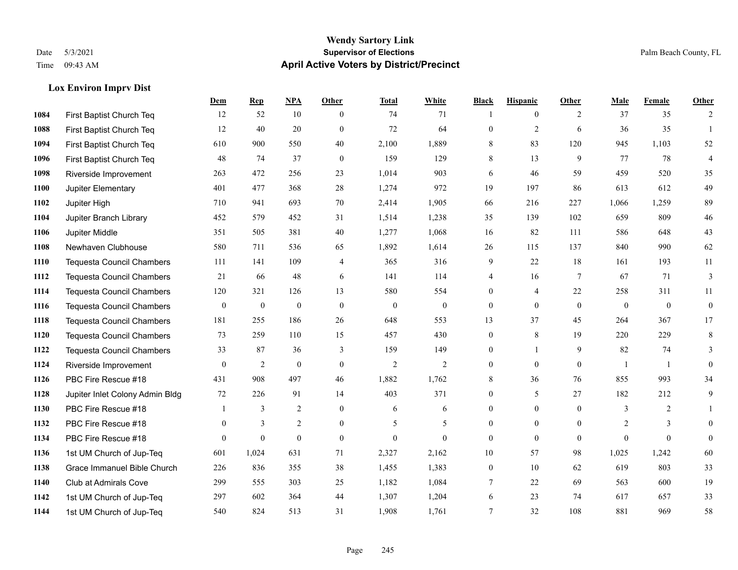## **Lox Environ Imprv Dist**

|             |                                  | Dem          | <b>Rep</b>       | NPA            | <b>Other</b>   | <b>Total</b>   | <b>White</b>     | <b>Black</b>     | <b>Hispanic</b> | <b>Other</b>    | <b>Male</b>  | Female         | <b>Other</b>     |
|-------------|----------------------------------|--------------|------------------|----------------|----------------|----------------|------------------|------------------|-----------------|-----------------|--------------|----------------|------------------|
| 1084        | First Baptist Church Teq         | 12           | 52               | 10             | $\theta$       | 74             | 71               | $\mathbf{1}$     | $\overline{0}$  | 2               | 37           | 35             | 2                |
| 1088        | First Baptist Church Teq         | 12           | 40               | 20             | $\theta$       | 72             | 64               | $\mathbf{0}$     | $\overline{2}$  | 6               | 36           | 35             | $\mathbf{1}$     |
| 1094        | First Baptist Church Teq         | 610          | 900              | 550            | 40             | 2,100          | 1,889            | 8                | 83              | 120             | 945          | 1,103          | 52               |
| 1096        | First Baptist Church Teq         | 48           | 74               | 37             | $\mathbf{0}$   | 159            | 129              | 8                | 13              | 9               | 77           | 78             | $\overline{4}$   |
| 1098        | Riverside Improvement            | 263          | 472              | 256            | 23             | 1,014          | 903              | 6                | 46              | 59              | 459          | 520            | 35               |
| 1100        | Jupiter Elementary               | 401          | 477              | 368            | 28             | 1,274          | 972              | 19               | 197             | 86              | 613          | 612            | 49               |
| 1102        | Jupiter High                     | 710          | 941              | 693            | 70             | 2,414          | 1,905            | 66               | 216             | 227             | 1,066        | 1,259          | 89               |
| 1104        | Jupiter Branch Library           | 452          | 579              | 452            | 31             | 1,514          | 1,238            | 35               | 139             | 102             | 659          | 809            | $46\,$           |
| 1106        | Jupiter Middle                   | 351          | 505              | 381            | 40             | 1,277          | 1,068            | 16               | 82              | 111             | 586          | 648            | 43               |
| 1108        | Newhaven Clubhouse               | 580          | 711              | 536            | 65             | 1,892          | 1,614            | 26               | 115             | 137             | 840          | 990            | 62               |
| 1110        | <b>Tequesta Council Chambers</b> | 111          | 141              | 109            | $\overline{4}$ | 365            | 316              | 9                | 22              | 18              | 161          | 193            | 11               |
| 1112        | <b>Tequesta Council Chambers</b> | 21           | 66               | 48             | 6              | 141            | 114              | 4                | 16              | $7\phantom{.0}$ | 67           | 71             | $\mathfrak{Z}$   |
| 1114        | <b>Tequesta Council Chambers</b> | 120          | 321              | 126            | 13             | 580            | 554              | $\mathbf{0}$     | 4               | 22              | 258          | 311            | 11               |
| 1116        | <b>Tequesta Council Chambers</b> | $\mathbf{0}$ | $\boldsymbol{0}$ | $\mathbf{0}$   | $\mathbf{0}$   | $\mathbf{0}$   | $\boldsymbol{0}$ | $\boldsymbol{0}$ | $\mathbf{0}$    | $\overline{0}$  | $\mathbf{0}$ | $\mathbf{0}$   | $\boldsymbol{0}$ |
| 1118        | Tequesta Council Chambers        | 181          | 255              | 186            | 26             | 648            | 553              | 13               | 37              | 45              | 264          | 367            | 17               |
| <b>1120</b> | <b>Tequesta Council Chambers</b> | 73           | 259              | 110            | 15             | 457            | 430              | $\boldsymbol{0}$ | 8               | 19              | 220          | 229            | 8                |
| 1122        | <b>Tequesta Council Chambers</b> | 33           | 87               | 36             | 3              | 159            | 149              | $\mathbf{0}$     | $\mathbf{1}$    | 9               | 82           | 74             | 3                |
| 1124        | Riverside Improvement            | $\mathbf{0}$ | $\overline{2}$   | $\mathbf{0}$   | $\mathbf{0}$   | $\overline{2}$ | $\overline{c}$   | $\boldsymbol{0}$ | $\mathbf{0}$    | $\overline{0}$  | $\mathbf{1}$ | $\overline{1}$ | $\mathbf{0}$     |
| 1126        | PBC Fire Rescue #18              | 431          | 908              | 497            | 46             | 1,882          | 1,762            | 8                | 36              | 76              | 855          | 993            | 34               |
| 1128        | Jupiter Inlet Colony Admin Bldg  | 72           | 226              | 91             | 14             | 403            | 371              | $\mathbf{0}$     | 5               | 27              | 182          | 212            | 9                |
| 1130        | PBC Fire Rescue #18              |              | 3                | 2              | $\mathbf{0}$   | 6              | 6                | $\boldsymbol{0}$ | $\mathbf{0}$    | $\overline{0}$  | 3            | 2              | 1                |
| 1132        | PBC Fire Rescue #18              | $\theta$     | 3                | $\overline{2}$ | $\mathbf{0}$   | 5              | 5                | $\mathbf{0}$     | $\theta$        | $\theta$        | 2            | 3              | $\theta$         |
| 1134        | PBC Fire Rescue #18              | $\theta$     | $\mathbf{0}$     | $\mathbf{0}$   | $\theta$       | $\theta$       | $\theta$         | $\mathbf{0}$     | $\theta$        | $\theta$        | $\Omega$     | $\theta$       | $\mathbf{0}$     |
| 1136        | 1st UM Church of Jup-Teq         | 601          | 1,024            | 631            | 71             | 2,327          | 2,162            | 10               | 57              | 98              | 1,025        | 1,242          | 60               |
| 1138        | Grace Immanuel Bible Church      | 226          | 836              | 355            | 38             | 1,455          | 1,383            | $\boldsymbol{0}$ | 10              | 62              | 619          | 803            | 33               |
| 1140        | Club at Admirals Cove            | 299          | 555              | 303            | 25             | 1,182          | 1,084            | 7                | 22              | 69              | 563          | 600            | 19               |
| 1142        | 1st UM Church of Jup-Teq         | 297          | 602              | 364            | 44             | 1,307          | 1,204            | 6                | 23              | 74              | 617          | 657            | 33               |
| 1144        | 1st UM Church of Jup-Teq         | 540          | 824              | 513            | 31             | 1,908          | 1,761            | $\overline{7}$   | 32              | 108             | 881          | 969            | 58               |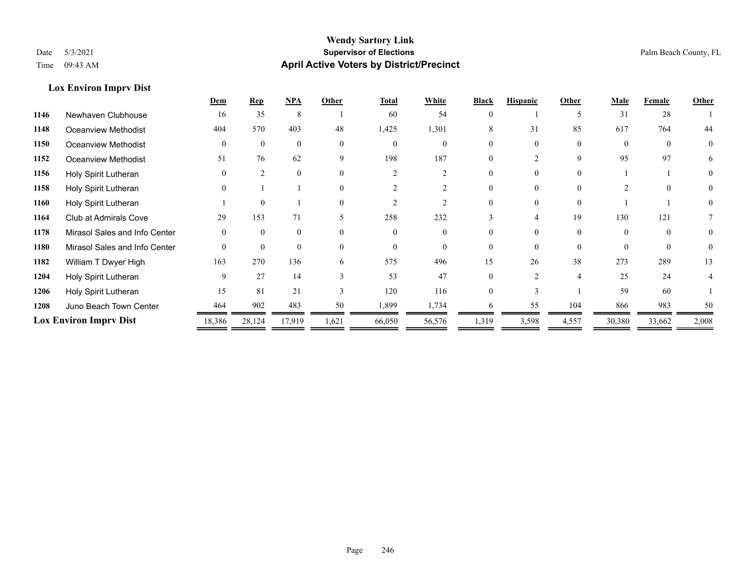## **Lox Environ Imprv Dist**

|      |                               | Dem      | $\mathbf{Rep}$ | NPA      | Other    | <b>Total</b> | White    | <b>Black</b> | <b>Hispanic</b> | Other    | <b>Male</b> | Female   | Other    |
|------|-------------------------------|----------|----------------|----------|----------|--------------|----------|--------------|-----------------|----------|-------------|----------|----------|
| 1146 | Newhaven Clubhouse            | 16       | 35             | 8        |          | 60           | 54       |              |                 |          | 31          | 28       |          |
| 1148 | Oceanview Methodist           | 404      | 570            | 403      | 48       | 1,425        | 1,301    | 8            | 31              | 85       | 617         | 764      | 44       |
| 1150 | <b>Oceanview Methodist</b>    |          | $\Omega$       | $\theta$ | $\theta$ | $\Omega$     | $\theta$ |              | $\Omega$        | $\Omega$ | $\Omega$    | $\Omega$ | $\theta$ |
| 1152 | Oceanview Methodist           | 51       | 76             | 62       | 9        | 198          | 187      |              |                 | 9        | 95          | 97       | 6        |
| 1156 | Holy Spirit Lutheran          |          | $\mathfrak{D}$ | $\theta$ | $\theta$ |              |          | 0            | $\Omega$        | $\Omega$ |             |          | $\theta$ |
| 1158 | Holy Spirit Lutheran          |          |                |          | $\Omega$ |              |          |              | 0               | $\Omega$ |             | $\Omega$ |          |
| 1160 | Holy Spirit Lutheran          |          | $\Omega$       |          | $\Omega$ |              |          |              |                 | $\Omega$ |             |          |          |
| 1164 | Club at Admirals Cove         | 29       | 153            | 71       | 5        | 258          | 232      |              | $\overline{4}$  | 19       | 130         | 121      |          |
| 1178 | Mirasol Sales and Info Center |          | $\Omega$       | $\theta$ | $\Omega$ | $\Omega$     | $\Omega$ |              | $\Omega$        | $\Omega$ | $\Omega$    | $\Omega$ | $\theta$ |
| 1180 | Mirasol Sales and Info Center | $\theta$ | $\theta$       | $\theta$ | $\theta$ | $\Omega$     | $\theta$ |              | $\Omega$        | $\theta$ | $\Omega$    | $\theta$ | $\theta$ |
| 1182 | William T Dwyer High          | 163      | 270            | 136      | 6        | 575          | 496      | 15           | 26              | 38       | 273         | 289      | 13       |
| 1204 | Holy Spirit Lutheran          | 9        | 27             | 14       |          | 53           | 47       | 0            | $\mathfrak{D}$  | 4        | 25          | 24       |          |
| 1206 | Holy Spirit Lutheran          | 15       | 81             | 21       |          | 120          | 116      |              |                 |          | 59          | 60       |          |
| 1208 | Juno Beach Town Center        | 464      | 902            | 483      | 50       | 1,899        | 1,734    | 6            | 55              | 104      | 866         | 983      | 50       |
|      | <b>Lox Environ Impry Dist</b> |          | 28,124         | 17,919   | 1,621    | 66,050       | 56,576   | 1,319        | 3,598           | 4,557    | 30,380      | 33,662   | 2,008    |
|      |                               |          |                |          |          |              |          |              |                 |          |             |          |          |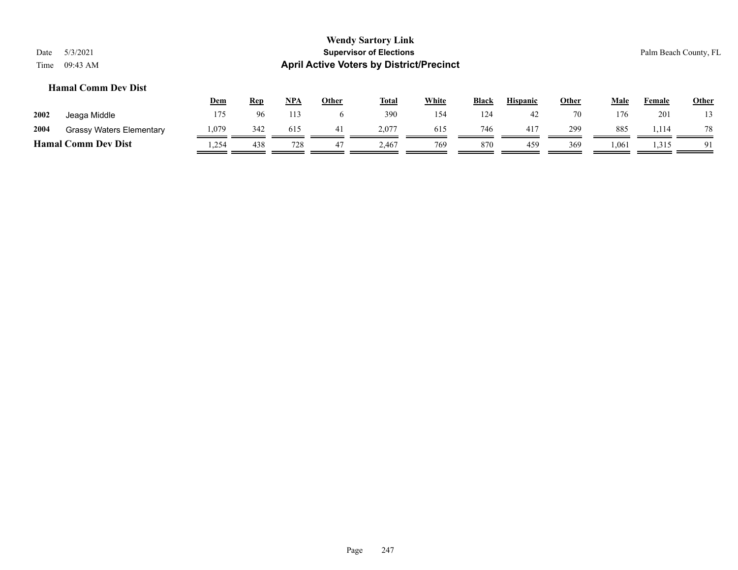## **Hamal Comm Dev Dist**

|                            |                                 | <u>Dem</u> | <u>Rep</u> | <b>NPA</b> | Other | <b>Total</b> | <b>White</b> | Black | <b>Hispanic</b> | Other | Male   | Female | Other |
|----------------------------|---------------------------------|------------|------------|------------|-------|--------------|--------------|-------|-----------------|-------|--------|--------|-------|
| 2002                       | Jeaga Middle                    | 175        | 96         |            |       | 390          | 154          | 124   | 42              | 70    | 176    | 201    | 13    |
| 2004                       | <b>Grassy Waters Elementary</b> | .079       | 342        | 615        |       | 2.077        | 615          | 746   |                 | 299   | 885    | .,114  | 78    |
| <b>Hamal Comm Dev Dist</b> |                                 | .254       | 438        | 728        |       | : 467        | 769          | 870   | 459             | 369   | 061. ا | 1,315  | 91    |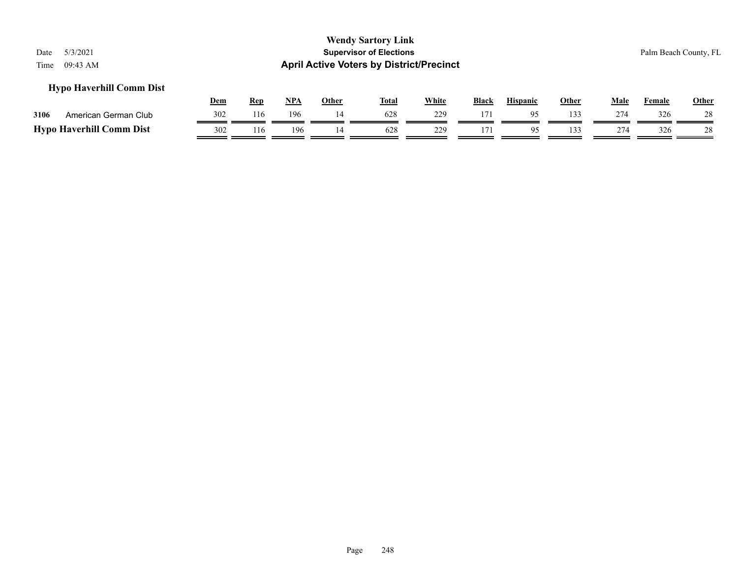## **Hypo Haverhill Comm Dist**

|      |                                 | Dem | Rep | <b>NPA</b> | Other | <b>Total</b> | White | <b>Black</b> | <b>Hispanic</b> | Other | Male | $\mathbf{r}$ . The set of $\mathbf{r}$<br>Female | Other |
|------|---------------------------------|-----|-----|------------|-------|--------------|-------|--------------|-----------------|-------|------|--------------------------------------------------|-------|
| 3106 | American German Club            | 302 | 116 | 196        |       | 628          | 229   | 171          |                 | ' 33  | 274  | 326                                              | 28    |
|      | <b>Hypo Haverhill Comm Dist</b> | 302 | 116 | 196        |       | 628          | 229   |              | 05              | 133   | 274  | 326                                              | 28    |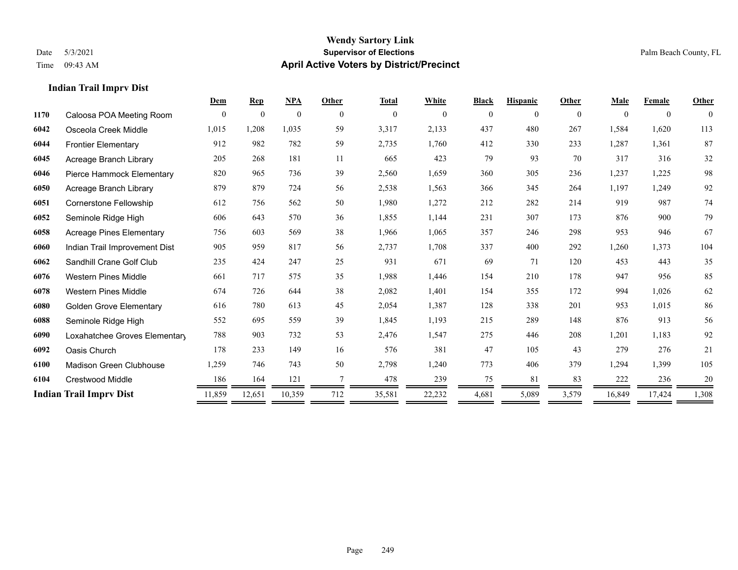**Indian Trail Imprv Dist**

## **Wendy Sartory Link** Date 5/3/2021 **Supervisor of Elections** Palm Beach County, FL Time 09:43 AM **April Active Voters by District/Precinct**

—

# **Dem Rep NPA Other Total White Black Hispanic Other Male Female Other** Caloosa POA Meeting Room 0 0 0 0 0 0 0 0 0 0 0 0 Osceola Creek Middle 1,015 1,208 1,035 59 3,317 2,133 437 480 267 1,584 1,620 113 Frontier Elementary 912 982 782 59 2,735 1,760 412 330 233 1,287 1,361 87 Acreage Branch Library 205 268 181 11 665 423 79 93 70 317 316 32 Pierce Hammock Elementary 820 965 736 39 2,560 1,659 360 305 236 1,237 1,225 98 Acreage Branch Library 879 879 724 56 2,538 1,563 366 345 264 1,197 1,249 92 Cornerstone Fellowship 612 756 562 50 1,980 1,272 212 282 214 919 987 74 Seminole Ridge High 606 643 570 36 1,855 1,144 231 307 173 876 900 79 Acreage Pines Elementary 756 603 569 38 1,966 1,065 357 246 298 953 946 67 Indian Trail Improvement Dist 905 959 817 56 2,737 1,708 337 400 292 1,260 1,373 104 Sandhill Crane Golf Club 235 424 247 25 931 671 69 71 120 453 443 35 Western Pines Middle 661 717 575 35 1,988 1,446 154 210 178 947 956 85 Western Pines Middle 674 726 644 38 2,082 1,401 154 355 172 994 1,026 62 Golden Grove Elementary 616 780 613 45 2,054 1,387 128 338 201 953 1,015 86 Seminole Ridge High 552 695 559 39 1,845 1,193 215 289 148 876 913 56 Loxahatchee Groves Elementary 788 903 732 53 2,476 1,547 275 446 208 1,201 1,183 92 Oasis Church 178 233 149 16 576 381 47 105 43 279 276 21 Madison Green Clubhouse 1,259 746 743 50 2,798 1,240 773 406 379 1,294 1,399 105 Crestwood Middle 186 164 121 7 478 239 75 81 83 222 236 20 **Indian Trail Imprv Dist** 11,859 12,651 10,359 712 35,581 22,232 4,681 5,089 3,579 16,849 17,424 1,308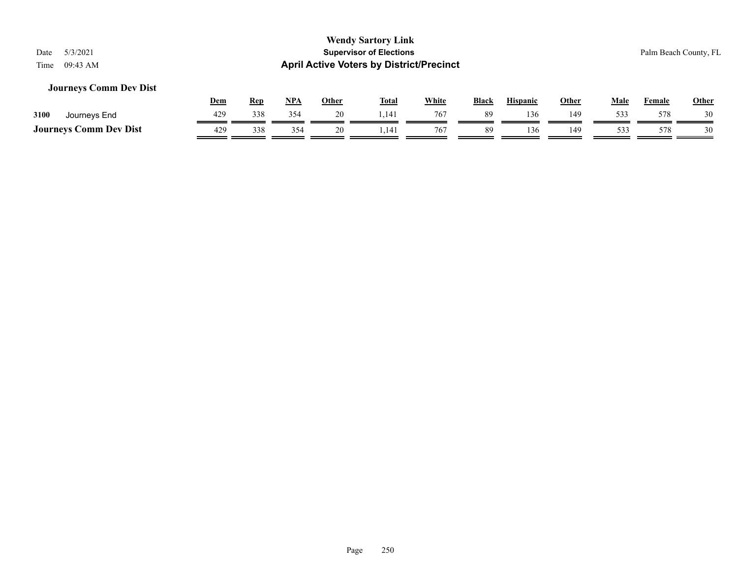## **Journeys Comm Dev Dist**

|                               | Dem | Rep | <b>NPA</b> | Other | <b>Total</b> | <u>White</u> | <b>Black</b> | Hispanic | Other | Male | Female | <b>Other</b> |
|-------------------------------|-----|-----|------------|-------|--------------|--------------|--------------|----------|-------|------|--------|--------------|
| 3100<br>Journeys End          | 429 | 338 | 354        | 20    | 1.141        | 767          | 89           | 136      | 149   | 533  | 578    |              |
| <b>Journeys Comm Dev Dist</b> | 429 | 338 | 354        |       | 1,141        | 767          | 89           | 136      | 149   | 531  | 578    |              |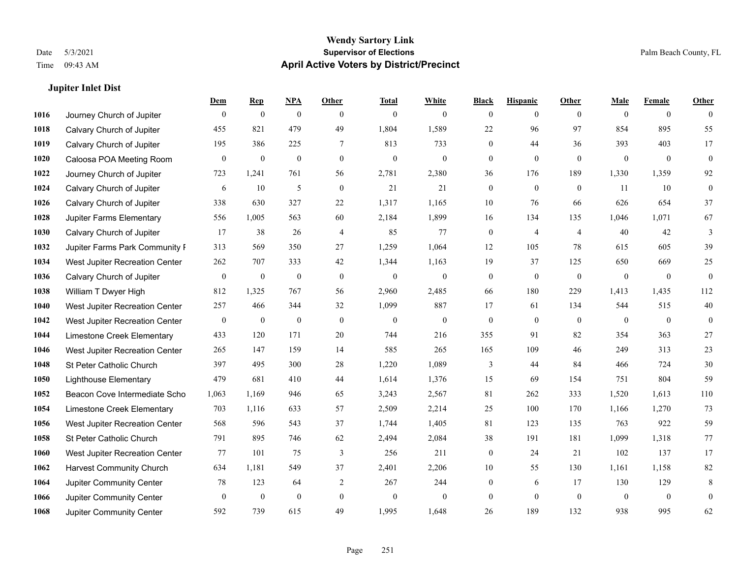**Jupiter Inlet Dist**

## **Wendy Sartory Link** Date 5/3/2021 **Supervisor of Elections** Palm Beach County, FL Time 09:43 AM **April Active Voters by District/Precinct**

## **Dem Rep NPA Other Total White Black Hispanic Other Male Female Other** Journey Church of Jupiter 0 0 0 0 0 0 0 0 0 0 0 0 Calvary Church of Jupiter 455 821 479 49 1,804 1,589 22 96 97 854 895 55 Calvary Church of Jupiter 195 386 225 7 813 733 0 44 36 393 403 17 Caloosa POA Meeting Room 0 0 0 0 0 0 0 0 0 0 0 0 Journey Church of Jupiter 723 1,241 761 56 2,781 2,380 36 176 189 1,330 1,359 92 Calvary Church of Jupiter 6 10 5 0 21 21 0 0 0 11 10 0 Calvary Church of Jupiter 338 630 327 22 1,317 1,165 10 76 66 626 654 37 Jupiter Farms Elementary 556 1,005 563 60 2,184 1,899 16 134 135 1,046 1,071 67 **1030 Calvary Church of Jupiter**  $17$  **38** 26 4 85 77 0 4 4 40 42 3 Jupiter Farms Park Community Favilion 313 569 350 27 1,259 1,064 12 105 78 615 605 39 West Jupiter Recreation Center 262 707 333 42 1,344 1,163 19 37 125 650 669 25 Calvary Church of Jupiter 0 0 0 0 0 0 0 0 0 0 0 0 William T Dwyer High 812 1,325 767 56 2,960 2,485 66 180 229 1,413 1,435 112 West Jupiter Recreation Center 257 466 344 32 1,099 887 17 61 134 544 515 40 West Jupiter Recreation Center 0 0 0 0 0 0 0 0 0 0 0 0 Limestone Creek Elementary 433 120 171 20 744 216 355 91 82 354 363 27 West Jupiter Recreation Center 265 147 159 14 585 265 165 109 46 249 313 23 St Peter Catholic Church 397 495 300 28 1,220 1,089 3 44 84 466 724 30 Lighthouse Elementary 479 681 410 44 1,614 1,376 15 69 154 751 804 59 Beacon Cove Intermediate School 1,063 1,169 946 65 3,243 2,567 81 262 333 1,520 1,613 110 Limestone Creek Elementary 703 1,116 633 57 2,509 2,214 25 100 170 1,166 1,270 73 West Jupiter Recreation Center 568 596 543 37 1,744 1,405 81 123 135 763 922 59 St Peter Catholic Church 791 895 746 62 2,494 2,084 38 191 181 1,099 1,318 77 West Jupiter Recreation Center 77 101 75 3 256 211 0 24 21 102 137 17 Harvest Community Church 634 1,181 549 37 2,401 2,206 10 55 130 1,161 1,158 82 Jupiter Community Center **78** 123 64 2 267 244 0 6 17 130 129 8 Jupiter Community Center 0 0 0 0 0 0 0 0 0 0 0 0

Jupiter Community Center 592 739 615 49 1,995 1,648 26 189 132 938 995 62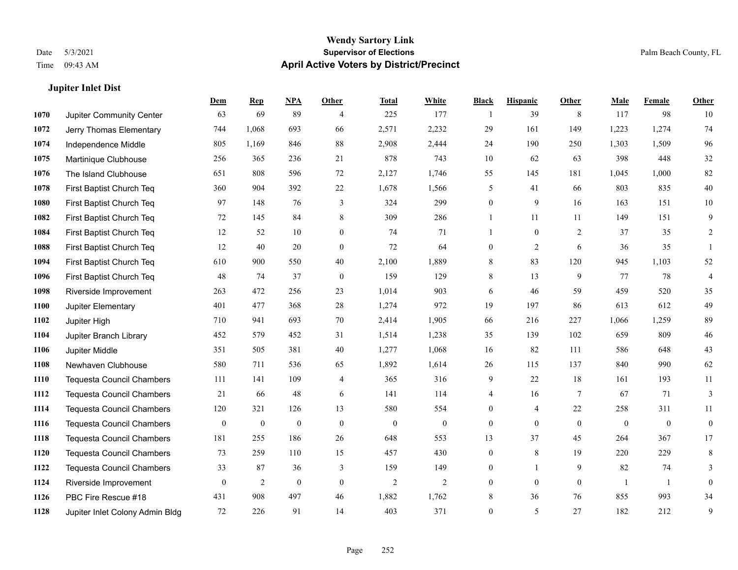**Jupiter Inlet Dist**

## **Wendy Sartory Link** Date 5/3/2021 **Supervisor of Elections** Palm Beach County, FL Time 09:43 AM **April Active Voters by District/Precinct**

## **Dem Rep NPA Other Total White Black Hispanic Other Male Female Other** Jupiter Community Center 63 69 89 4 225 177 1 39 8 117 98 10 Jerry Thomas Elementary 744 1,068 693 66 2,571 2,232 29 161 149 1,223 1,274 74 Independence Middle 805 1,169 846 88 2,908 2,444 24 190 250 1,303 1,509 96 Martinique Clubhouse 256 365 236 21 878 743 10 62 63 398 448 32 The Island Clubhouse 651 808 596 72 2,127 1,746 55 145 181 1,045 1,000 82 First Baptist Church Teq 360 904 392 22 1,678 1,566 5 41 66 803 835 40 First Baptist Church Teq 97 148 76 3 324 299 0 9 16 163 151 10 First Baptist Church Teq 72 145 84 8 309 286 1 11 11 149 151 9 First Baptist Church Teq 12 52 10 0 74 71 1 0 2 37 35 2 First Baptist Church Teq 12 40 20 0 72 64 0 2 6 36 35 1 First Baptist Church Teq 610 900 550 40 2,100 1,889 8 83 120 945 1,103 52 First Baptist Church Teq 48 74 37 0 159 129 8 13 9 77 78 4 Riverside Improvement 263 472 256 23 1,014 903 6 46 59 459 520 35 Jupiter Elementary 401 477 368 28 1,274 972 19 197 86 613 612 49 Jupiter High 710 941 693 70 2,414 1,905 66 216 227 1,066 1,259 89 Jupiter Branch Library 452 579 452 31 1,514 1,238 35 139 102 659 809 46 Jupiter Middle 351 505 381 40 1,277 1,068 16 82 111 586 648 43 Newhaven Clubhouse 580 711 536 65 1,892 1,614 26 115 137 840 990 62 Tequesta Council Chambers 111 141 109 4 365 316 9 22 18 161 193 11 Tequesta Council Chambers 21 66 48 6 141 114 4 16 7 67 71 3 Tequesta Council Chambers 120 321 126 13 580 554 0 4 22 258 311 11 Tequesta Council Chambers 0 0 0 0 0 0 0 0 0 0 0 0 Tequesta Council Chambers 181 255 186 26 648 553 13 37 45 264 367 17 Tequesta Council Chambers 73 259 110 15 457 430 0 8 19 220 229 8 Tequesta Council Chambers 33 87 36 3 159 149 0 1 9 82 74 3 Riverside Improvement 0 0 2 0 0 2 2 2 0 0 0 1 1 0 PBC Fire Rescue #18 431 908 497 46 1,882 1,762 8 36 76 855 993 34 Jupiter Inlet Colony Admin Bldg 72 226 91 14 403 371 0 5 27 182 212 9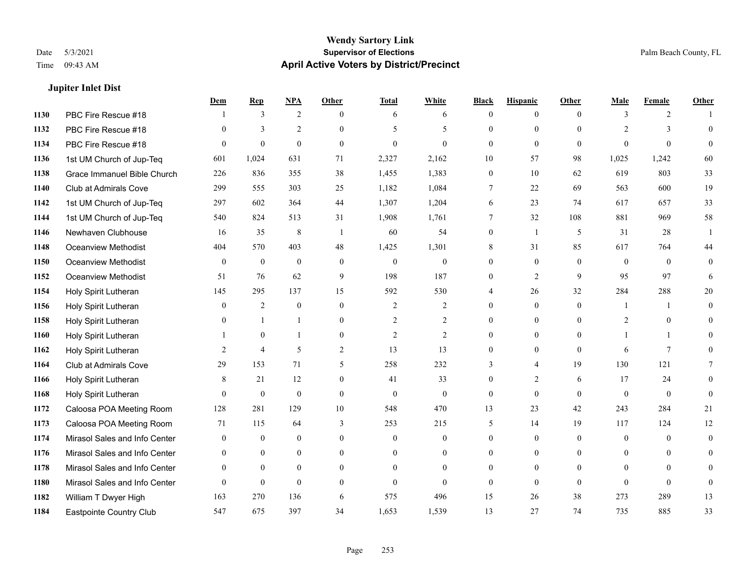**Jupiter Inlet Dist**

#### **Wendy Sartory Link** Date 5/3/2021 **Supervisor of Elections** Palm Beach County, FL Time 09:43 AM **April Active Voters by District/Precinct**

# **Dem Rep NPA Other Total White Black Hispanic Other Male Female Other** PBC Fire Rescue #18 1 3 2 0 6 6 0 0 0 3 2 1 PBC Fire Rescue #18 0 3 2 0 5 5 0 0 0 2 3 0 PBC Fire Rescue #18 0 0 0 0 0 0 0 0 0 0 0 0 1st UM Church of Jup-Teq 601 1,024 631 71 2,327 2,162 10 57 98 1,025 1,242 60 Grace Immanuel Bible Church 226 836 355 38 1,455 1,383 0 10 62 619 803 33 Club at Admirals Cove 299 555 303 25 1,182 1,084 7 22 69 563 600 19 1st UM Church of Jup-Teq 297 602 364 44 1,307 1,204 6 23 74 617 657 33 1st UM Church of Jup-Teq 540 824 513 31 1,908 1,761 7 32 108 881 969 58 Newhaven Clubhouse 16 35 8 1 60 54 0 1 5 31 28 1 Oceanview Methodist 404 570 403 48 1,425 1,301 8 31 85 617 764 44 Oceanview Methodist 0 0 0 0 0 0 0 0 0 0 0 0 Oceanview Methodist 51 76 62 9 198 187 0 2 9 95 97 6 Holy Spirit Lutheran 145 295 137 15 592 530 4 26 32 284 288 20 Holy Spirit Lutheran 0 2 0 0 2 2 0 0 0 1 1 0 1158 Holy Spirit Lutheran 0 1 1 0 2 2 0 0 2 0 0 Holy Spirit Lutheran 1 0 1 0 2 2 0 0 0 1 1 0 Holy Spirit Lutheran 2 4 5 2 13 13 0 0 0 6 7 0 Club at Admirals Cove 29 153 71 5 258 232 3 4 19 130 121 7 Holy Spirit Lutheran 8 21 12 0 41 33 0 2 6 17 24 0 Holy Spirit Lutheran 0 0 0 0 0 0 0 0 0 0 0 0 Caloosa POA Meeting Room 128 281 129 10 548 470 13 23 42 243 284 21 Caloosa POA Meeting Room 71 115 64 3 253 215 5 14 19 117 124 12 Mirasol Sales and Info Center 0 0 0 0 0 0 0 0 0 0 0 0 Mirasol Sales and Info Center 0 0 0 0 0 0 0 0 0 0 0 0 Mirasol Sales and Info Center 0 0 0 0 0 0 0 0 0 0 0 0 Mirasol Sales and Info Center 0 0 0 0 0 0 0 0 0 0 0 0 William T Dwyer High 163 270 136 6 575 496 15 26 38 273 289 13 Eastpointe Country Club 547 675 397 34 1,653 1,539 13 27 74 735 885 33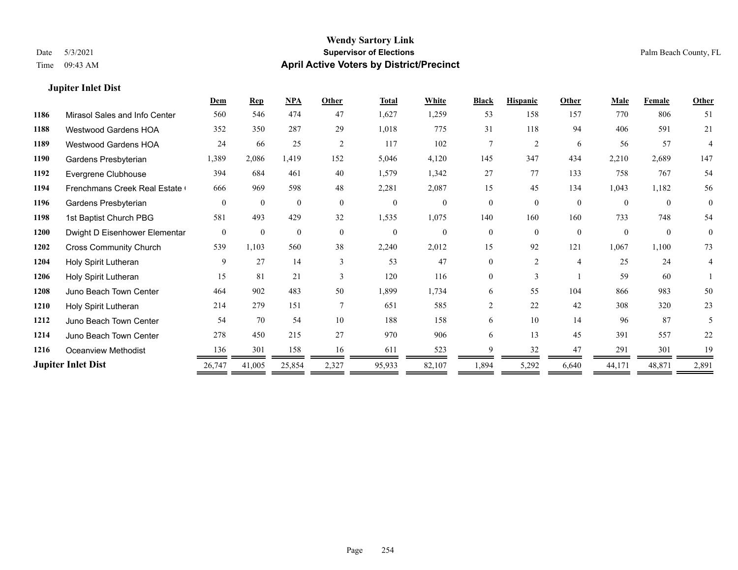### **Jupiter Inlet Dist**

|      |                               | Dem            | <b>Rep</b>   | NPA          | Other          | <b>Total</b> | White          | <b>Black</b>   | <b>Hispanic</b> | Other          | Male     | <b>Female</b> | <b>Other</b>   |
|------|-------------------------------|----------------|--------------|--------------|----------------|--------------|----------------|----------------|-----------------|----------------|----------|---------------|----------------|
| 1186 | Mirasol Sales and Info Center | 560            | 546          | 474          | 47             | 1,627        | 1,259          | 53             | 158             | 157            | 770      | 806           | 51             |
| 1188 | Westwood Gardens HOA          | 352            | 350          | 287          | 29             | 1,018        | 775            | 31             | 118             | 94             | 406      | 591           | 21             |
| 1189 | <b>Westwood Gardens HOA</b>   | 24             | 66           | 25           | 2              | 117          | 102            | $\tau$         | 2               | 6              | 56       | 57            | 4              |
| 1190 | Gardens Presbyterian          | 1,389          | 2,086        | 1,419        | 152            | 5,046        | 4,120          | 145            | 347             | 434            | 2,210    | 2,689         | 147            |
| 1192 | Evergrene Clubhouse           | 394            | 684          | 461          | 40             | 1,579        | 1,342          | 27             | 77              | 133            | 758      | 767           | 54             |
| 1194 | Frenchmans Creek Real Estate  | 666            | 969          | 598          | 48             | 2,281        | 2,087          | 15             | 45              | 134            | 1,043    | 1,182         | 56             |
| 1196 | Gardens Presbyterian          | $\theta$       | $\theta$     | $\Omega$     | $\theta$       | $\theta$     | $\theta$       | $\theta$       | $\theta$        | $\theta$       | $\theta$ | $\theta$      | $\theta$       |
| 1198 | 1st Baptist Church PBG        | 581            | 493          | 429          | 32             | 1,535        | 1,075          | 140            | 160             | 160            | 733      | 748           | 54             |
| 1200 | Dwight D Eisenhower Elementar | $\overline{0}$ | $\mathbf{0}$ | $\mathbf{0}$ | $\overline{0}$ | $\mathbf{0}$ | $\overline{0}$ | $\theta$       | $\theta$        | $\mathbf{0}$   | $\Omega$ | $\theta$      | $\overline{0}$ |
| 1202 | <b>Cross Community Church</b> | 539            | 1,103        | 560          | 38             | 2,240        | 2,012          | 15             | 92              | 121            | 1,067    | 1,100         | 73             |
| 1204 | Holy Spirit Lutheran          | 9              | 27           | 14           | $\mathbf{3}$   | 53           | 47             | 0              | $\overline{2}$  | $\overline{4}$ | 25       | 24            | 4              |
| 1206 | Holy Spirit Lutheran          | 15             | 81           | 21           | $\mathbf{3}$   | 120          | 116            | $\Omega$       | 3               |                | 59       | 60            |                |
| 1208 | Juno Beach Town Center        | 464            | 902          | 483          | 50             | 1,899        | 1,734          | 6              | 55              | 104            | 866      | 983           | 50             |
| 1210 | Holy Spirit Lutheran          | 214            | 279          | 151          |                | 651          | 585            | $\overline{c}$ | 22              | 42             | 308      | 320           | 23             |
| 1212 | Juno Beach Town Center        | 54             | 70           | 54           | 10             | 188          | 158            | 6              | 10              | 14             | 96       | 87            | 5              |
| 1214 | Juno Beach Town Center        | 278            | 450          | 215          | 27             | 970          | 906            | 6              | 13              | 45             | 391      | 557           | 22             |
| 1216 | Oceanview Methodist           | 136            | 301          | 158          | 16             | 611          | 523            | Q              | 32              | 47             | 291      | 301           | 19             |
|      | <b>Jupiter Inlet Dist</b>     | 26,747         | 41,005       | 25,854       | 2,327          | 95,933       | 82,107         | 1,894          | 5,292           | 6,640          | 44,171   | 48,871        | 2,891          |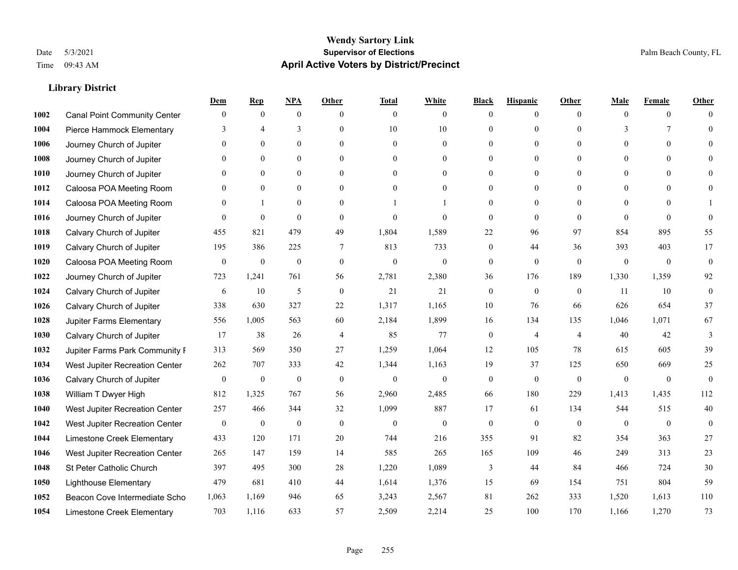|      |                                     | Dem              | <b>Rep</b>       | NPA              | <b>Other</b>   | <b>Total</b>     | <b>White</b>     | <b>Black</b>     | <b>Hispanic</b>  | <b>Other</b>   | <b>Male</b>  | <b>Female</b> | <b>Other</b>     |
|------|-------------------------------------|------------------|------------------|------------------|----------------|------------------|------------------|------------------|------------------|----------------|--------------|---------------|------------------|
| 1002 | <b>Canal Point Community Center</b> | $\theta$         | $\boldsymbol{0}$ | $\mathbf{0}$     | $\theta$       | $\mathbf{0}$     | $\overline{0}$   | $\mathbf{0}$     | $\boldsymbol{0}$ | $\theta$       | $\theta$     | $\mathbf{0}$  | $\Omega$         |
| 1004 | Pierce Hammock Elementary           | $\mathcal{R}$    | 4                | 3                | $\theta$       | 10               | 10               | $\mathbf{0}$     | $\mathbf{0}$     | $\Omega$       | 3            | 7             | $\theta$         |
| 1006 | Journey Church of Jupiter           | $\Omega$         | $\theta$         | $\theta$         | $\Omega$       | $\theta$         | $\overline{0}$   | $\theta$         | $\theta$         | $\Omega$       | $\Omega$     | $\Omega$      | $\Omega$         |
| 1008 | Journey Church of Jupiter           |                  | $\mathbf{0}$     | $\mathbf{0}$     | $\overline{0}$ | $\theta$         | $\boldsymbol{0}$ | $\boldsymbol{0}$ | $\mathbf{0}$     | $\mathbf{0}$   | $\mathbf{0}$ | $\mathbf{0}$  | $\theta$         |
| 1010 | Journey Church of Jupiter           |                  | $\mathbf{0}$     | $\mathbf{0}$     | $\theta$       | $\Omega$         | $\overline{0}$   | $\mathbf{0}$     | $\mathbf{0}$     | $\theta$       | $\theta$     | $\theta$      | $\theta$         |
| 1012 | Caloosa POA Meeting Room            |                  | $\mathbf{0}$     | $\mathbf{0}$     | $\theta$       | $\Omega$         | $\mathbf{0}$     | $\mathbf{0}$     | $\mathbf{0}$     | $\Omega$       | $\mathbf{0}$ | $\theta$      | $\mathbf{0}$     |
| 1014 | Caloosa POA Meeting Room            | $\Omega$         |                  | $\theta$         | $\theta$       |                  | 1                | $\mathbf{0}$     | $\mathbf{0}$     | $\Omega$       | $\theta$     | $\Omega$      |                  |
| 1016 | Journey Church of Jupiter           | $\Omega$         | $\mathbf{0}$     | $\mathbf{0}$     | $\theta$       | $\Omega$         | $\overline{0}$   | $\mathbf{0}$     | $\mathbf{0}$     | $\theta$       | $\theta$     | $\Omega$      | $\theta$         |
| 1018 | Calvary Church of Jupiter           | 455              | 821              | 479              | 49             | 1,804            | 1,589            | 22               | 96               | 97             | 854          | 895           | 55               |
| 1019 | Calvary Church of Jupiter           | 195              | 386              | 225              | 7              | 813              | 733              | $\boldsymbol{0}$ | 44               | 36             | 393          | 403           | 17               |
| 1020 | Caloosa POA Meeting Room            | $\mathbf{0}$     | $\mathbf{0}$     | $\mathbf{0}$     | $\theta$       | $\mathbf{0}$     | $\mathbf{0}$     | $\mathbf{0}$     | $\mathbf{0}$     | $\theta$       | $\theta$     | $\mathbf{0}$  | $\mathbf{0}$     |
| 1022 | Journey Church of Jupiter           | 723              | 1,241            | 761              | 56             | 2,781            | 2,380            | 36               | 176              | 189            | 1,330        | 1,359         | 92               |
| 1024 | Calvary Church of Jupiter           | 6                | 10               | 5                | $\mathbf{0}$   | 21               | 21               | $\boldsymbol{0}$ | $\mathbf{0}$     | $\mathbf{0}$   | 11           | 10            | $\boldsymbol{0}$ |
| 1026 | Calvary Church of Jupiter           | 338              | 630              | 327              | 22             | 1,317            | 1,165            | 10               | 76               | 66             | 626          | 654           | 37               |
| 1028 | Jupiter Farms Elementary            | 556              | 1,005            | 563              | 60             | 2,184            | 1,899            | 16               | 134              | 135            | 1,046        | 1,071         | 67               |
| 1030 | Calvary Church of Jupiter           | 17               | 38               | 26               | $\overline{4}$ | 85               | 77               | $\boldsymbol{0}$ | 4                | $\overline{4}$ | 40           | 42            | 3                |
| 1032 | Jupiter Farms Park Community I      | 313              | 569              | 350              | 27             | 1,259            | 1,064            | 12               | 105              | 78             | 615          | 605           | 39               |
| 1034 | West Jupiter Recreation Center      | 262              | 707              | 333              | 42             | 1,344            | 1,163            | 19               | 37               | 125            | 650          | 669           | 25               |
| 1036 | Calvary Church of Jupiter           | $\theta$         | $\mathbf{0}$     | $\mathbf{0}$     | $\theta$       | $\mathbf{0}$     | $\mathbf{0}$     | $\mathbf{0}$     | $\mathbf{0}$     | $\theta$       | $\mathbf{0}$ | $\mathbf{0}$  | $\mathbf{0}$     |
| 1038 | William T Dwyer High                | 812              | 1,325            | 767              | 56             | 2,960            | 2,485            | 66               | 180              | 229            | 1,413        | 1,435         | 112              |
| 1040 | West Jupiter Recreation Center      | 257              | 466              | 344              | 32             | 1,099            | 887              | 17               | 61               | 134            | 544          | 515           | $40\,$           |
| 1042 | West Jupiter Recreation Center      | $\boldsymbol{0}$ | $\boldsymbol{0}$ | $\boldsymbol{0}$ | $\mathbf{0}$   | $\boldsymbol{0}$ | $\boldsymbol{0}$ | $\boldsymbol{0}$ | $\boldsymbol{0}$ | $\mathbf{0}$   | $\mathbf{0}$ | $\mathbf{0}$  | $\mathbf{0}$     |
| 1044 | Limestone Creek Elementary          | 433              | 120              | 171              | 20             | 744              | 216              | 355              | 91               | 82             | 354          | 363           | 27               |
| 1046 | West Jupiter Recreation Center      | 265              | 147              | 159              | 14             | 585              | 265              | 165              | 109              | 46             | 249          | 313           | 23               |
| 1048 | St Peter Catholic Church            | 397              | 495              | 300              | 28             | 1,220            | 1,089            | 3                | 44               | 84             | 466          | 724           | 30               |
| 1050 | <b>Lighthouse Elementary</b>        | 479              | 681              | 410              | 44             | 1,614            | 1,376            | 15               | 69               | 154            | 751          | 804           | 59               |
| 1052 | Beacon Cove Intermediate Scho       | 1,063            | 1,169            | 946              | 65             | 3,243            | 2,567            | 81               | 262              | 333            | 1,520        | 1,613         | 110              |
| 1054 | Limestone Creek Elementary          | 703              | 1.116            | 633              | 57             | 2,509            | 2,214            | 25               | 100              | 170            | 1.166        | 1,270         | 73               |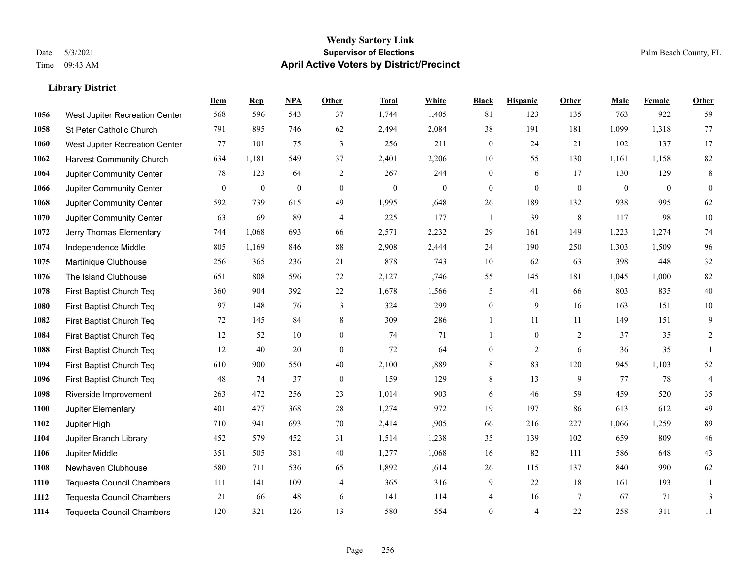|      |                                  | Dem          | <b>Rep</b>       | NPA              | <b>Other</b>   | <b>Total</b>     | <b>White</b>     | <b>Black</b>     | <b>Hispanic</b>  | <b>Other</b>     | <b>Male</b>  | <b>Female</b> | <b>Other</b>   |
|------|----------------------------------|--------------|------------------|------------------|----------------|------------------|------------------|------------------|------------------|------------------|--------------|---------------|----------------|
| 1056 | West Jupiter Recreation Center   | 568          | 596              | 543              | 37             | 1,744            | 1,405            | 81               | 123              | 135              | 763          | 922           | 59             |
| 1058 | St Peter Catholic Church         | 791          | 895              | 746              | 62             | 2,494            | 2,084            | 38               | 191              | 181              | 1,099        | 1,318         | 77             |
| 1060 | West Jupiter Recreation Center   | 77           | 101              | 75               | 3              | 256              | 211              | $\boldsymbol{0}$ | 24               | 21               | 102          | 137           | 17             |
| 1062 | <b>Harvest Community Church</b>  | 634          | 1,181            | 549              | 37             | 2,401            | 2,206            | $10\,$           | 55               | 130              | 1,161        | 1,158         | $82\,$         |
| 1064 | Jupiter Community Center         | 78           | 123              | 64               | $\overline{2}$ | 267              | 244              | $\mathbf{0}$     | 6                | 17               | 130          | 129           | $\,8\,$        |
| 1066 | Jupiter Community Center         | $\mathbf{0}$ | $\boldsymbol{0}$ | $\boldsymbol{0}$ | $\overline{0}$ | $\boldsymbol{0}$ | $\boldsymbol{0}$ | $\mathbf{0}$     | $\boldsymbol{0}$ | $\boldsymbol{0}$ | $\mathbf{0}$ | $\mathbf{0}$  | $\mathbf{0}$   |
| 1068 | Jupiter Community Center         | 592          | 739              | 615              | 49             | 1,995            | 1,648            | 26               | 189              | 132              | 938          | 995           | 62             |
| 1070 | Jupiter Community Center         | 63           | 69               | 89               | $\overline{4}$ | 225              | 177              | 1                | 39               | 8                | 117          | 98            | 10             |
| 1072 | Jerry Thomas Elementary          | 744          | 1,068            | 693              | 66             | 2,571            | 2,232            | 29               | 161              | 149              | 1,223        | 1,274         | 74             |
| 1074 | Independence Middle              | 805          | 1,169            | 846              | 88             | 2,908            | 2,444            | 24               | 190              | 250              | 1,303        | 1,509         | 96             |
| 1075 | Martinique Clubhouse             | 256          | 365              | 236              | 21             | 878              | 743              | 10               | 62               | 63               | 398          | 448           | $32\,$         |
| 1076 | The Island Clubhouse             | 651          | 808              | 596              | 72             | 2,127            | 1,746            | 55               | 145              | 181              | 1,045        | 1,000         | $82\,$         |
| 1078 | First Baptist Church Teq         | 360          | 904              | 392              | 22             | 1,678            | 1,566            | 5                | 41               | 66               | 803          | 835           | $40\,$         |
| 1080 | First Baptist Church Teq         | 97           | 148              | 76               | 3              | 324              | 299              | $\boldsymbol{0}$ | 9                | 16               | 163          | 151           | $10\,$         |
| 1082 | First Baptist Church Teq         | 72           | 145              | 84               | 8              | 309              | 286              | 1                | 11               | 11               | 149          | 151           | 9              |
| 1084 | First Baptist Church Teq         | 12           | 52               | 10               | $\overline{0}$ | 74               | 71               | $\mathbf{1}$     | $\mathbf{0}$     | 2                | 37           | 35            | 2              |
| 1088 | First Baptist Church Teq         | 12           | 40               | 20               | $\mathbf{0}$   | 72               | 64               | $\boldsymbol{0}$ | $\overline{2}$   | 6                | 36           | 35            | $\mathbf{1}$   |
| 1094 | First Baptist Church Teq         | 610          | 900              | 550              | 40             | 2,100            | 1,889            | 8                | 83               | 120              | 945          | 1,103         | $52\,$         |
| 1096 | First Baptist Church Teq         | 48           | 74               | 37               | $\mathbf{0}$   | 159              | 129              | 8                | 13               | 9                | 77           | 78            | $\overline{4}$ |
| 1098 | Riverside Improvement            | 263          | 472              | 256              | 23             | 1,014            | 903              | $\sqrt{6}$       | 46               | 59               | 459          | 520           | 35             |
| 1100 | Jupiter Elementary               | 401          | 477              | 368              | 28             | 1,274            | 972              | 19               | 197              | 86               | 613          | 612           | 49             |
| 1102 | Jupiter High                     | 710          | 941              | 693              | 70             | 2,414            | 1,905            | 66               | 216              | 227              | 1,066        | 1,259         | 89             |
| 1104 | Jupiter Branch Library           | 452          | 579              | 452              | 31             | 1,514            | 1,238            | 35               | 139              | 102              | 659          | 809           | $46\,$         |
| 1106 | Jupiter Middle                   | 351          | 505              | 381              | 40             | 1,277            | 1,068            | 16               | 82               | 111              | 586          | 648           | 43             |
| 1108 | Newhaven Clubhouse               | 580          | 711              | 536              | 65             | 1,892            | 1,614            | 26               | 115              | 137              | 840          | 990           | 62             |
| 1110 | <b>Tequesta Council Chambers</b> | 111          | 141              | 109              | 4              | 365              | 316              | 9                | 22               | 18               | 161          | 193           | 11             |
| 1112 | <b>Tequesta Council Chambers</b> | 21           | 66               | 48               | 6              | 141              | 114              | 4                | 16               | $7\phantom{.0}$  | 67           | 71            | 3              |
| 1114 | <b>Tequesta Council Chambers</b> | 120          | 321              | 126              | 13             | 580              | 554              | $\overline{0}$   | 4                | 22               | 258          | 311           | 11             |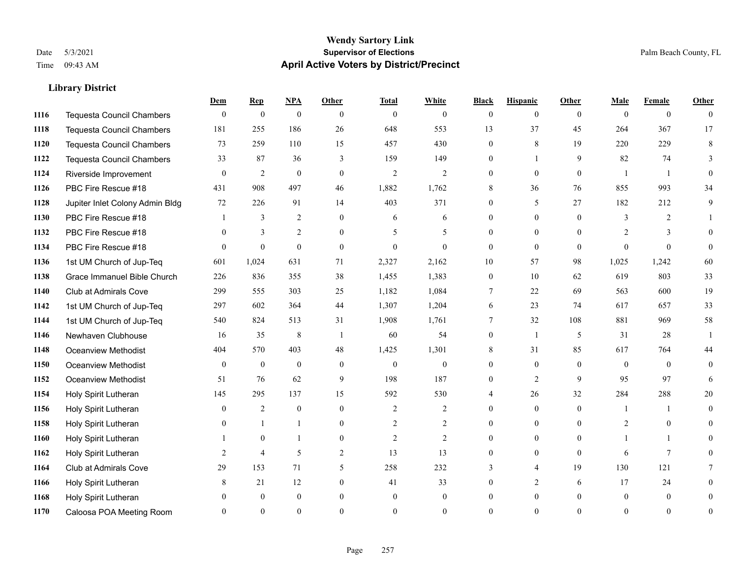#### **Wendy Sartory Link** Date 5/3/2021 **Supervisor of Elections** Palm Beach County, FL Time 09:43 AM **April Active Voters by District/Precinct**

# **Dem Rep NPA Other Total White Black Hispanic Other Male Female Other** Tequesta Council Chambers 0 0 0 0 0 0 0 0 0 0 0 0 Tequesta Council Chambers 181 255 186 26 648 553 13 37 45 264 367 17 Tequesta Council Chambers 73 259 110 15 457 430 0 8 19 220 229 8 Tequesta Council Chambers 33 87 36 3 159 149 0 1 9 82 74 3 Riverside Improvement 0 0 2 0 0 2 2 2 0 0 0 0 1 1 0 PBC Fire Rescue #18 431 908 497 46 1,882 1,762 8 36 76 855 993 34 Jupiter Inlet Colony Admin Bldg 72 226 91 14 403 371 0 5 27 182 212 9 PBC Fire Rescue #18 **1** 3 2 0 6 6 0 0 0 3 2 1 1132 PBC Fire Rescue #18 0 3 2 0 5 5 0 0 0 2 3 0 PBC Fire Rescue #18 0 0 0 0 0 0 0 0 0 0 0 0 1st UM Church of Jup-Teq 601 1,024 631 71 2,327 2,162 10 57 98 1,025 1,242 60 Grace Immanuel Bible Church 226 836 355 38 1,455 1,383 0 10 62 619 803 33 Club at Admirals Cove 299 555 303 25 1,182 1,084 7 22 69 563 600 19 1st UM Church of Jup-Teq 297 602 364 44 1,307 1,204 6 23 74 617 657 33 1st UM Church of Jup-Teq 540 824 513 31 1,908 1,761 7 32 108 881 969 58 Newhaven Clubhouse 16 35 8 1 60 54 0 1 5 31 28 1 Oceanview Methodist 404 570 403 48 1,425 1,301 8 31 85 617 764 44 Oceanview Methodist 0 0 0 0 0 0 0 0 0 0 0 0 Oceanview Methodist 51 76 62 9 198 187 0 2 9 95 97 6 Holy Spirit Lutheran 145 295 137 15 592 530 4 26 32 284 288 20 Holy Spirit Lutheran **0** 2 0 0 2 2 2 0 0 0 1 1 0 Holy Spirit Lutheran **0** 1 1 0 2 2 0 0 0 2 0 0 Holy Spirit Lutheran 1 0 1 0 2 2 0 0 0 1 1 0 Holy Spirit Lutheran **2** 4 5 2 13 13 0 0 0 6 7 0 Club at Admirals Cove 29 153 71 5 258 232 3 4 19 130 121 7 Holy Spirit Lutheran **8** 21 12 0 41 33 0 2 6 17 24 0 Holy Spirit Lutheran 0 0 0 0 0 0 0 0 0 0 0 0 Caloosa POA Meeting Room 0 0 0 0 0 0 0 0 0 0 0 0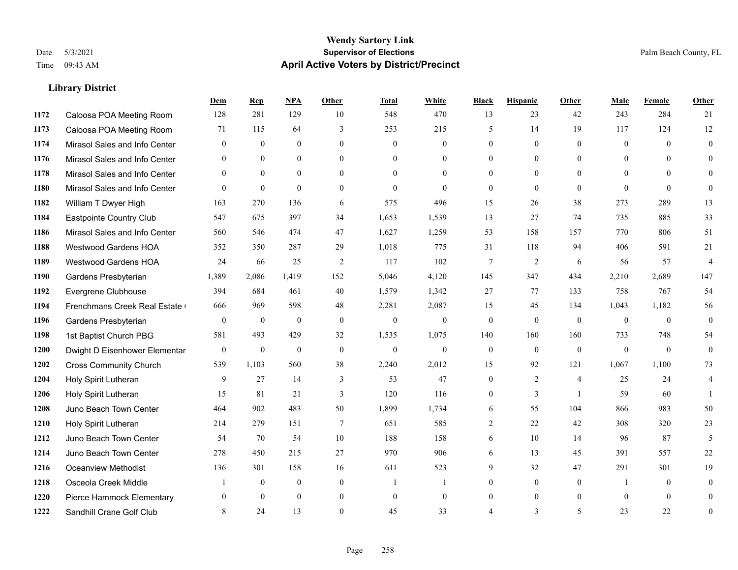#### **Wendy Sartory Link** Date 5/3/2021 **Supervisor of Elections** Palm Beach County, FL Time 09:43 AM **April Active Voters by District/Precinct**

# **Dem Rep NPA Other Total White Black Hispanic Other Male Female Other** Caloosa POA Meeting Room 128 281 129 10 548 470 13 23 42 243 284 21 Caloosa POA Meeting Room 71 115 64 3 253 215 5 14 19 117 124 12 Mirasol Sales and Info Center 0 0 0 0 0 0 0 0 0 0 0 0 Mirasol Sales and Info Center 0 0 0 0 0 0 0 0 0 0 0 0 Mirasol Sales and Info Center 0 0 0 0 0 0 0 0 0 0 0 0 Mirasol Sales and Info Center 0 0 0 0 0 0 0 0 0 0 0 0 William T Dwyer High 163 270 136 6 575 496 15 26 38 273 289 13 Eastpointe Country Club 547 675 397 34 1,653 1,539 13 27 74 735 885 33 Mirasol Sales and Info Center 560 546 474 47 1,627 1,259 53 158 157 770 806 51 Westwood Gardens HOA 352 350 287 29 1,018 775 31 118 94 406 591 21 Westwood Gardens HOA 24 66 25 2 117 102 7 2 6 56 57 4 Gardens Presbyterian 1,389 2,086 1,419 152 5,046 4,120 145 347 434 2,210 2,689 147 Evergrene Clubhouse 394 684 461 40 1,579 1,342 27 77 133 758 767 54 1194 Frenchmans Creek Real Estate 666 969 598 48 2,281 2,087 15 45 134 1,043 1,182 56 Gardens Presbyterian 0 0 0 0 0 0 0 0 0 0 0 0 1st Baptist Church PBG 581 493 429 32 1,535 1,075 140 160 160 733 748 54 Dwight D Eisenhower Elementary 0 0 0 0 0 0 0 0 0 0 0 0 Cross Community Church 539 1,103 560 38 2,240 2,012 15 92 121 1,067 1,100 73 Holy Spirit Lutheran 9 27 14 3 53 47 0 2 4 25 24 4 Holy Spirit Lutheran **15** 81 21 3 120 116 0 3 1 59 60 1 Juno Beach Town Center 464 902 483 50 1,899 1,734 6 55 104 866 983 50 Holy Spirit Lutheran 214 279 151 7 651 585 2 22 42 308 320 23 Juno Beach Town Center 54 70 54 10 188 158 6 10 14 96 87 5 Juno Beach Town Center 278 450 215 27 970 906 6 13 45 391 557 22 Oceanview Methodist 136 301 158 16 611 523 9 32 47 291 301 19 Osceola Creek Middle  $\begin{array}{cccccccc} 1 & 0 & 0 & 0 & 1 & 1 & 0 & 0 & 0 \end{array}$  Pierce Hammock Elementary 0 0 0 0 0 0 0 0 0 0 0 0 Sandhill Crane Golf Club 8 24 13 0 45 33 4 3 5 23 22 0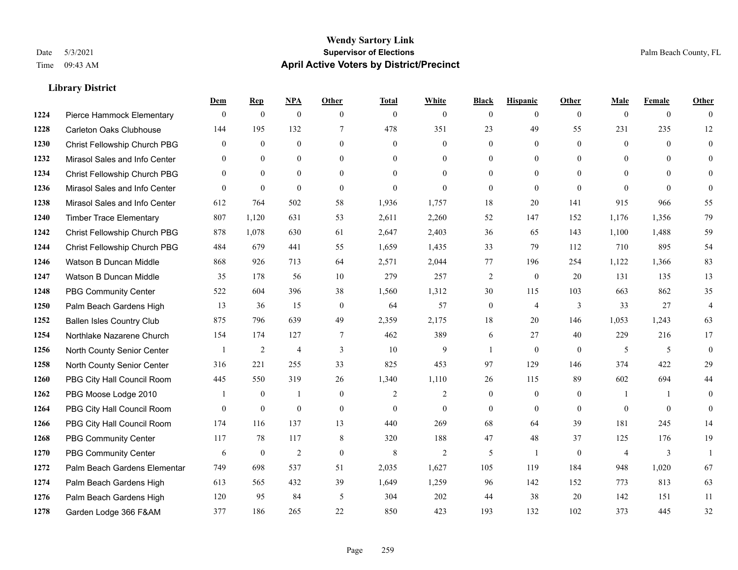#### **Wendy Sartory Link** Date 5/3/2021 **Supervisor of Elections** Palm Beach County, FL Time 09:43 AM **April Active Voters by District/Precinct**

# **Dem Rep NPA Other Total White Black Hispanic Other Male Female Other** Pierce Hammock Elementary 0 0 0 0 0 0 0 0 0 0 0 0 Carleton Oaks Clubhouse 144 195 132 7 478 351 23 49 55 231 235 12 Christ Fellowship Church PBG 0 0 0 0 0 0 0 0 0 0 0 0 Mirasol Sales and Info Center 0 0 0 0 0 0 0 0 0 0 0 0 Christ Fellowship Church PBG 0 0 0 0 0 0 0 0 0 0 0 0 Mirasol Sales and Info Center 0 0 0 0 0 0 0 0 0 0 0 0 Mirasol Sales and Info Center 612 764 502 58 1,936 1,757 18 20 141 915 966 55 Timber Trace Elementary 807 1,120 631 53 2,611 2,260 52 147 152 1,176 1,356 79 Christ Fellowship Church PBG 878 1,078 630 61 2,647 2,403 36 65 143 1,100 1,488 59 Christ Fellowship Church PBG 484 679 441 55 1,659 1,435 33 79 112 710 895 54 Watson B Duncan Middle 868 926 713 64 2,571 2,044 77 196 254 1,122 1,366 83 Watson B Duncan Middle 35 178 56 10 279 257 2 0 20 131 135 13 PBG Community Center 522 604 396 38 1,560 1,312 30 115 103 663 862 35 Palm Beach Gardens High 13 36 15 0 64 57 0 4 3 33 27 4 Ballen Isles Country Club 875 796 639 49 2,359 2,175 18 20 146 1,053 1,243 63 Northlake Nazarene Church 154 174 127 7 462 389 6 27 40 229 216 17 North County Senior Center 1 2 4 3 10 9 1 0 0 5 5 5 0 North County Senior Center 316 221 255 33 825 453 97 129 146 374 422 29 PBG City Hall Council Room 445 550 319 26 1,340 1,110 26 115 89 602 694 44 PBG Moose Lodge 2010 1 0 1 0 1 0 2 2 0 0 0 1 1 0 PBG City Hall Council Room 0 0 0 0 0 0 0 0 0 0 0 0 PBG City Hall Council Room 174 116 137 13 440 269 68 64 39 181 245 14 PBG Community Center 117 78 117 8 320 188 47 48 37 125 176 19 PBG Community Center 6 6 0 2 0 8 2 5 1 0 4 3 1 Palm Beach Gardens Elementary 749 698 537 51 2,035 1,627 105 119 184 948 1,020 67 Palm Beach Gardens High 613 565 432 39 1,649 1,259 96 142 152 773 813 63 Palm Beach Gardens High 120 95 84 5 304 202 44 38 20 142 151 11 Garden Lodge 366 F&AM 377 186 265 22 850 423 193 132 102 373 445 32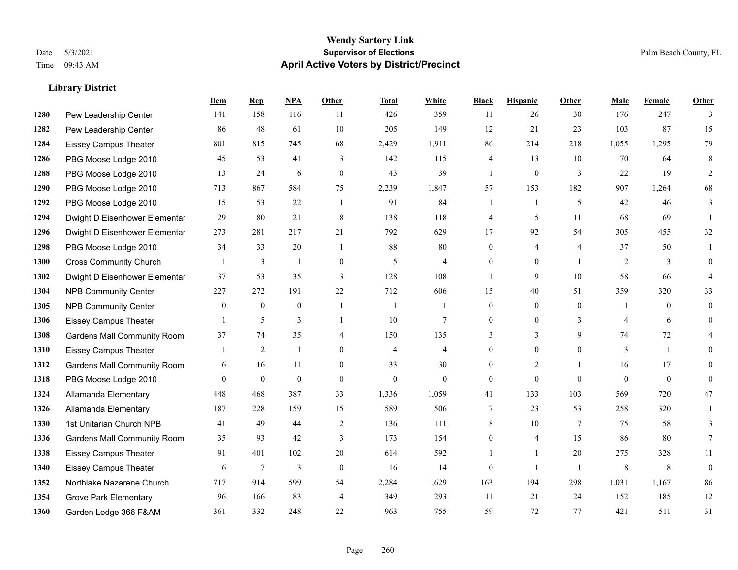#### **Wendy Sartory Link** Date 5/3/2021 **Supervisor of Elections** Palm Beach County, FL Time 09:43 AM **April Active Voters by District/Precinct**

# **Dem Rep NPA Other Total White Black Hispanic Other Male Female Other** Pew Leadership Center 141 158 116 11 426 359 11 26 30 176 247 3 Pew Leadership Center 86 48 61 10 205 149 12 21 23 103 87 15 Eissey Campus Theater 801 815 745 68 2,429 1,911 86 214 218 1,055 1,295 79 PBG Moose Lodge 2010 45 53 41 3 142 115 4 13 10 70 64 8 PBG Moose Lodge 2010 13 24 6 0 43 39 1 0 3 22 19 2 PBG Moose Lodge 2010 713 867 584 75 2,239 1,847 57 153 182 907 1,264 68 PBG Moose Lodge 2010 15 53 22 1 91 84 1 1 5 42 46 3 Dwight D Eisenhower Elementar 29 80 21 8 138 118 4 5 11 68 69 1 Dwight D Eisenhower Elementary 273 281 217 21 792 629 17 92 54 305 455 32 PBG Moose Lodge 2010 34 33 20 1 88 80 0 4 4 37 50 1 Cross Community Church 1 3 1 0 5 4 0 0 1 2 3 0 Dwight D Eisenhower Elementar 37 53 35 3 128 108 1 9 10 58 66 4 NPB Community Center 227 272 191 22 712 606 15 40 51 359 320 33 NPB Community Center 0 0 0 1 1 1 0 0 0 1 0 0 Eissey Campus Theater 1 5 3 1 10 7 0 0 3 4 6 0 Gardens Mall Community Room 37 74 35 4 150 135 3 3 9 74 72 4 Eissey Campus Theater 1 2 1 0 4 4 0 0 0 3 1 0 Gardens Mall Community Room 6 16 11 0 33 30 0 2 1 16 17 0 PBG Moose Lodge 2010 0 0 0 0 0 0 0 0 0 0 0 0 Allamanda Elementary 448 468 387 33 1,336 1,059 41 133 103 569 720 47 Allamanda Elementary 187 228 159 15 589 506 7 23 53 258 320 11 1st Unitarian Church NPB 41 49 44 2 136 111 8 10 7 75 58 3 Gardens Mall Community Room 35 93 42 3 173 154 0 4 15 86 80 7 Eissey Campus Theater 91 401 102 20 614 592 1 1 20 275 328 11 Eissey Campus Theater 6 7 3 0 16 14 0 1 1 8 8 0 Northlake Nazarene Church 717 914 599 54 2,284 1,629 163 194 298 1,031 1,167 86 Grove Park Elementary 96 166 83 4 349 293 11 21 24 152 185 12 Garden Lodge 366 F&AM 361 332 248 22 963 755 59 72 77 421 511 31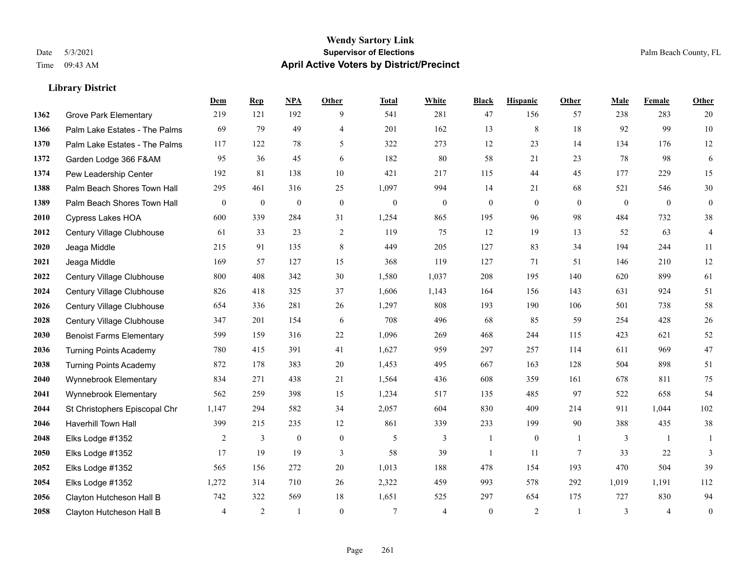#### **Wendy Sartory Link** Date 5/3/2021 **Supervisor of Elections** Palm Beach County, FL Time 09:43 AM **April Active Voters by District/Precinct**

Grove Park Elementary 219 121 192 9 541 281 47 156 57 238 283 20

**Dem Rep NPA Other Total White Black Hispanic Other Male Female Other**

# Palm Lake Estates - The Palms 69 79 49 4 201 162 13 8 18 92 99 10 Palm Lake Estates - The Palms 117 122 78 5 322 273 12 23 14 134 176 12 Garden Lodge 366 F&AM 95 36 45 6 182 80 58 21 23 78 98 6 Pew Leadership Center 192 81 138 10 421 217 115 44 45 177 229 15 Palm Beach Shores Town Hall 295 461 316 25 1,097 994 14 21 68 521 546 30 Palm Beach Shores Town Hall 0 0 0 0 0 0 0 0 0 0 0 0 Cypress Lakes HOA 600 339 284 31 1,254 865 195 96 98 484 732 38 Century Village Clubhouse 61 33 23 2 119 75 12 19 13 52 63 4 Jeaga Middle 215 91 135 8 449 205 127 83 34 194 244 11 Jeaga Middle 169 57 127 15 368 119 127 71 51 146 210 12 Century Village Clubhouse 800 408 342 30 1,580 1,037 208 195 140 620 899 61 Century Village Clubhouse 826 418 325 37 1,606 1,143 164 156 143 631 924 51 Century Village Clubhouse 654 336 281 26 1,297 808 193 190 106 501 738 58 Century Village Clubhouse 347 201 154 6 708 496 68 85 59 254 428 26 Benoist Farms Elementary 599 159 316 22 1,096 269 468 244 115 423 621 52 Turning Points Academy 780 415 391 41 1,627 959 297 257 114 611 969 47 Turning Points Academy 872 178 383 20 1,453 495 667 163 128 504 898 51 Wynnebrook Elementary 834 271 438 21 1,564 436 608 359 161 678 811 75 Wynnebrook Elementary 562 259 398 15 1,234 517 135 485 97 522 658 54 St Christophers Episcopal Chr 1,147 294 582 34 2,057 604 830 409 214 911 1,044 102 Haverhill Town Hall 399 215 235 12 861 339 233 199 90 388 435 38 Elks Lodge #1352 2 3 0 0 5 3 1 0 1 3 1 1 Elks Lodge #1352 17 19 19 3 58 39 1 11 7 33 22 3

 Elks Lodge #1352 565 156 272 20 1,013 188 478 154 193 470 504 39 Elks Lodge #1352 1,272 314 710 26 2,322 459 993 578 292 1,019 1,191 112 Clayton Hutcheson Hall B 742 322 569 18 1,651 525 297 654 175 727 830 94 Clayton Hutcheson Hall B 4 2 1 0 7 4 0 2 1 3 4 0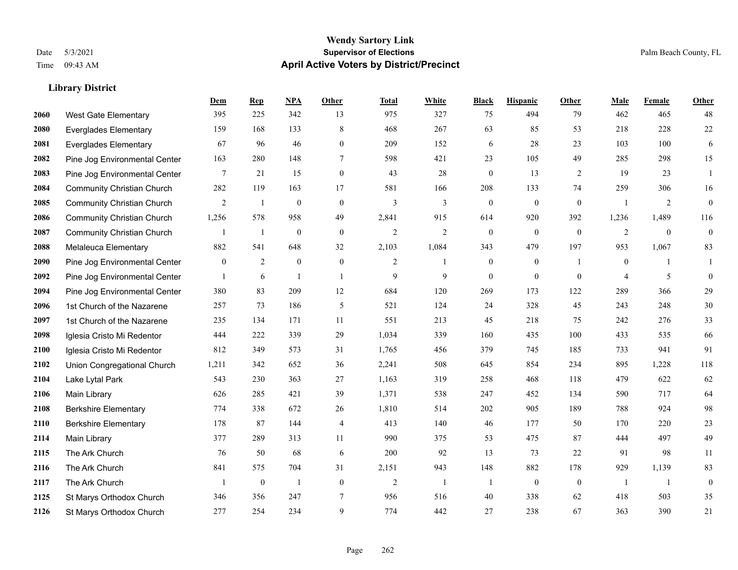#### **Wendy Sartory Link** Date 5/3/2021 **Supervisor of Elections** Palm Beach County, FL Time 09:43 AM **April Active Voters by District/Precinct**

# **Dem Rep NPA Other Total White Black Hispanic Other Male Female Other** West Gate Elementary 395 225 342 13 975 327 75 494 79 462 465 48 Everglades Elementary 159 168 133 8 468 267 63 85 53 218 228 22 Everglades Elementary 67 96 46 0 209 152 6 28 23 103 100 6 Pine Jog Environmental Center 163 280 148 7 598 421 23 105 49 285 298 15 Pine Jog Environmental Center 7 21 15 0 43 28 0 13 2 19 23 1 Community Christian Church 282 119 163 17 581 166 208 133 74 259 306 16 Community Christian Church 2 1 0 0 3 3 0 0 0 1 2 0 Community Christian Church 1,256 578 958 49 2,841 915 614 920 392 1,236 1,489 116 Community Christian Church 1 1 0 0 2 2 0 0 0 2 0 0 Melaleuca Elementary 882 541 648 32 2,103 1,084 343 479 197 953 1,067 83 Pine Jog Environmental Center  $\begin{array}{cccccccc} 0 & 2 & 0 & 0 & 2 & 1 & 0 & 1 & 0 & 1 \end{array}$ **2092** Pine Jog Environmental Center  $\begin{array}{cccccccc} 1 & 6 & 1 & 1 & 9 & 9 & 0 & 0 & 0 & 4 & 5 & 0 \end{array}$  Pine Jog Environmental Center 380 83 209 12 684 120 269 173 122 289 366 29 1st Church of the Nazarene 257 73 186 5 521 124 24 328 45 243 248 30 1st Church of the Nazarene 235 134 171 11 551 213 45 218 75 242 276 33 Iglesia Cristo Mi Redentor 444 222 339 29 1,034 339 160 435 100 433 535 66 Iglesia Cristo Mi Redentor 812 349 573 31 1,765 456 379 745 185 733 941 91 Union Congregational Church 1,211 342 652 36 2,241 508 645 854 234 895 1,228 118 Lake Lytal Park 543 230 363 27 1,163 319 258 468 118 479 622 62 Main Library 626 285 421 39 1,371 538 247 452 134 590 717 64 Berkshire Elementary 774 338 672 26 1,810 514 202 905 189 788 924 98 Berkshire Elementary 178 87 144 4 413 140 46 177 50 170 220 23 Main Library 377 289 313 11 990 375 53 475 87 444 497 49 The Ark Church 76 50 68 6 200 92 13 73 22 91 98 11 The Ark Church 841 575 704 31 2,151 943 148 882 178 929 1,139 83 The Ark Church 1 0 1 0 2 1 1 0 0 1 1 0 St Marys Orthodox Church 346 356 247 7 956 516 40 338 62 418 503 35 St Marys Orthodox Church 277 254 234 9 774 442 27 238 67 363 390 21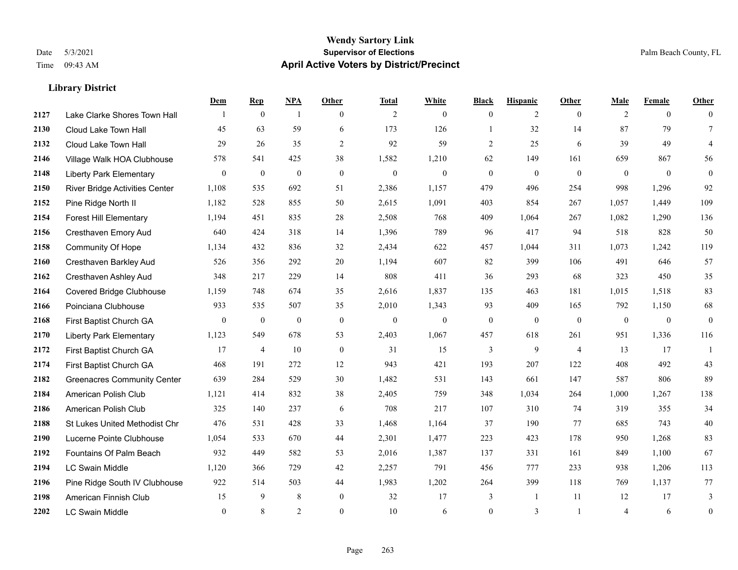#### **Wendy Sartory Link** Date 5/3/2021 **Supervisor of Elections** Palm Beach County, FL Time 09:43 AM **April Active Voters by District/Precinct**

# **Dem Rep NPA Other Total White Black Hispanic Other Male Female Other** Lake Clarke Shores Town Hall  $\begin{array}{ccccccccc} 1 & 0 & 1 & 0 & 2 & 0 & 0 & 2 & 0 & 2 & 0 & 0 \end{array}$  Cloud Lake Town Hall 45 63 59 6 173 126 1 32 14 87 79 7 Cloud Lake Town Hall 29 26 35 2 92 59 2 25 6 39 49 4 Village Walk HOA Clubhouse 578 541 425 38 1,582 1,210 62 149 161 659 867 56 Liberty Park Elementary 0 0 0 0 0 0 0 0 0 0 0 0 River Bridge Activities Center 1,108 535 692 51 2,386 1,157 479 496 254 998 1,296 92 Pine Ridge North II 1,182 528 855 50 2,615 1,091 403 854 267 1,057 1,449 109 Forest Hill Elementary 1,194 451 835 28 2,508 768 409 1,064 267 1,082 1,290 136 Cresthaven Emory Aud 640 424 318 14 1,396 789 96 417 94 518 828 50 Community Of Hope 1,134 432 836 32 2,434 622 457 1,044 311 1,073 1,242 119 Cresthaven Barkley Aud 526 356 292 20 1,194 607 82 399 106 491 646 57 Cresthaven Ashley Aud 348 217 229 14 808 411 36 293 68 323 450 35 Covered Bridge Clubhouse 1,159 748 674 35 2,616 1,837 135 463 181 1,015 1,518 83 Poinciana Clubhouse 933 535 507 35 2,010 1,343 93 409 165 792 1,150 68 First Baptist Church GA 0 0 0 0 0 0 0 0 0 0 0 0 Liberty Park Elementary 1,123 549 678 53 2,403 1,067 457 618 261 951 1,336 116 First Baptist Church GA 17 4 10 0 31 15 3 9 4 13 17 1 First Baptist Church GA 468 191 272 12 943 421 193 207 122 408 492 43 Greenacres Community Center 639 284 529 30 1,482 531 143 661 147 587 806 89 American Polish Club 1,121 414 832 38 2,405 759 348 1,034 264 1,000 1,267 138 American Polish Club 325 140 237 6 708 217 107 310 74 319 355 34 St Lukes United Methodist Chr 476 531 428 33 1,468 1,164 37 190 77 685 743 40 Lucerne Pointe Clubhouse 1,054 533 670 44 2,301 1,477 223 423 178 950 1,268 83 Fountains Of Palm Beach 932 449 582 53 2,016 1,387 137 331 161 849 1,100 67 LC Swain Middle 1,120 366 729 42 2,257 791 456 777 233 938 1,206 113 Pine Ridge South IV Clubhouse 922 514 503 44 1,983 1,202 264 399 118 769 1,137 77 American Finnish Club 15 9 8 0 32 17 3 1 11 12 17 3 LC Swain Middle 0 8 2 0 10 6 0 3 1 4 6 0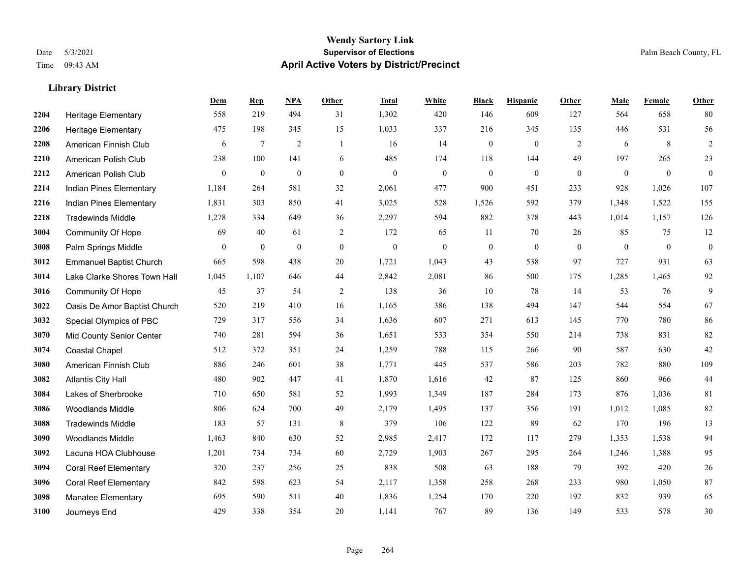#### **Wendy Sartory Link** Date 5/3/2021 **Supervisor of Elections** Palm Beach County, FL Time 09:43 AM **April Active Voters by District/Precinct**

# **Dem Rep NPA Other Total White Black Hispanic Other Male Female Other** Heritage Elementary 558 219 494 31 1,302 420 146 609 127 564 658 80 Heritage Elementary 475 198 345 15 1,033 337 216 345 135 446 531 56 American Finnish Club 6 7 2 1 16 14 0 0 2 6 8 2 American Polish Club 238 100 141 6 485 174 118 144 49 197 265 23 American Polish Club 0 0 0 0 0 0 0 0 0 0 0 0 Indian Pines Elementary 1,184 264 581 32 2,061 477 900 451 233 928 1,026 107 Indian Pines Elementary 1,831 303 850 41 3,025 528 1,526 592 379 1,348 1,522 155 Tradewinds Middle 1,278 334 649 36 2,297 594 882 378 443 1,014 1,157 126 Community Of Hope 69 40 61 2 172 65 11 70 26 85 75 12 Palm Springs Middle 0 0 0 0 0 0 0 0 0 0 0 0 Emmanuel Baptist Church 665 598 438 20 1,721 1,043 43 538 97 727 931 63 Lake Clarke Shores Town Hall 1,045 1,107 646 44 2,842 2,081 86 500 175 1,285 1,465 92 Community Of Hope 45 37 54 2 138 36 10 78 14 53 76 9 Oasis De Amor Baptist Church 520 219 410 16 1,165 386 138 494 147 544 554 67 Special Olympics of PBC 729 317 556 34 1,636 607 271 613 145 770 780 86 Mid County Senior Center 740 281 594 36 1,651 533 354 550 214 738 831 82 Coastal Chapel 512 372 351 24 1,259 788 115 266 90 587 630 42 American Finnish Club 886 246 601 38 1,771 445 537 586 203 782 880 109 Atlantis City Hall 480 902 447 41 1,870 1,616 42 87 125 860 966 44 Lakes of Sherbrooke 710 650 581 52 1,993 1,349 187 284 173 876 1,036 81 Woodlands Middle 806 624 700 49 2,179 1,495 137 356 191 1,012 1,085 82 Tradewinds Middle 183 57 131 8 379 106 122 89 62 170 196 13 Woodlands Middle 1,463 840 630 52 2,985 2,417 172 117 279 1,353 1,538 94 Lacuna HOA Clubhouse 1,201 734 734 60 2,729 1,903 267 295 264 1,246 1,388 95 Coral Reef Elementary 320 237 256 25 838 508 63 188 79 392 420 26 Coral Reef Elementary 842 598 623 54 2,117 1,358 258 268 233 980 1,050 87 Manatee Elementary 695 590 511 40 1,836 1,254 170 220 192 832 939 65 Journeys End 429 338 354 20 1,141 767 89 136 149 533 578 30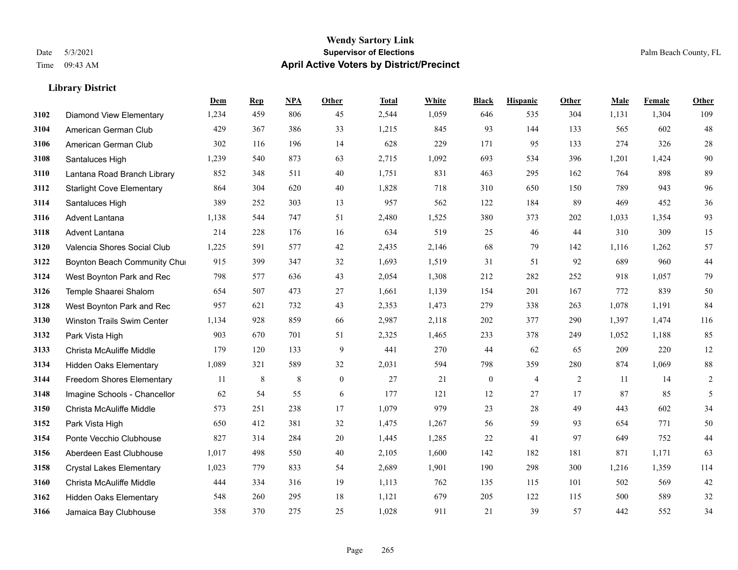|      |                                   | Dem   | <b>Rep</b> | NPA     | <b>Other</b> | <b>Total</b> | White | <b>Black</b>     | <b>Hispanic</b> | Other | <b>Male</b> | Female | <b>Other</b> |
|------|-----------------------------------|-------|------------|---------|--------------|--------------|-------|------------------|-----------------|-------|-------------|--------|--------------|
| 3102 | <b>Diamond View Elementary</b>    | 1,234 | 459        | 806     | 45           | 2,544        | 1,059 | 646              | 535             | 304   | 1,131       | 1,304  | 109          |
| 3104 | American German Club              | 429   | 367        | 386     | 33           | 1,215        | 845   | 93               | 144             | 133   | 565         | 602    | 48           |
| 3106 | American German Club              | 302   | 116        | 196     | 14           | 628          | 229   | 171              | 95              | 133   | 274         | 326    | $28\,$       |
| 3108 | Santaluces High                   | 1,239 | 540        | 873     | 63           | 2,715        | 1,092 | 693              | 534             | 396   | 1,201       | 1,424  | 90           |
| 3110 | Lantana Road Branch Library       | 852   | 348        | 511     | 40           | 1.751        | 831   | 463              | 295             | 162   | 764         | 898    | 89           |
| 3112 | <b>Starlight Cove Elementary</b>  | 864   | 304        | 620     | 40           | 1,828        | 718   | 310              | 650             | 150   | 789         | 943    | 96           |
| 3114 | Santaluces High                   | 389   | 252        | 303     | 13           | 957          | 562   | 122              | 184             | 89    | 469         | 452    | 36           |
| 3116 | Advent Lantana                    | 1,138 | 544        | 747     | 51           | 2,480        | 1,525 | 380              | 373             | 202   | 1,033       | 1,354  | 93           |
| 3118 | Advent Lantana                    | 214   | 228        | 176     | 16           | 634          | 519   | 25               | 46              | 44    | 310         | 309    | 15           |
| 3120 | Valencia Shores Social Club       | 1,225 | 591        | 577     | 42           | 2,435        | 2,146 | 68               | 79              | 142   | 1,116       | 1,262  | 57           |
| 3122 | Boynton Beach Community Chur      | 915   | 399        | 347     | 32           | 1,693        | 1,519 | 31               | 51              | 92    | 689         | 960    | $44\,$       |
| 3124 | West Boynton Park and Rec         | 798   | 577        | 636     | 43           | 2,054        | 1,308 | 212              | 282             | 252   | 918         | 1,057  | 79           |
| 3126 | Temple Shaarei Shalom             | 654   | 507        | 473     | 27           | 1,661        | 1,139 | 154              | 201             | 167   | 772         | 839    | 50           |
| 3128 | West Boynton Park and Rec         | 957   | 621        | 732     | 43           | 2,353        | 1,473 | 279              | 338             | 263   | 1,078       | 1,191  | 84           |
| 3130 | <b>Winston Trails Swim Center</b> | 1,134 | 928        | 859     | 66           | 2,987        | 2,118 | 202              | 377             | 290   | 1,397       | 1,474  | 116          |
| 3132 | Park Vista High                   | 903   | 670        | 701     | 51           | 2,325        | 1,465 | 233              | 378             | 249   | 1,052       | 1,188  | 85           |
| 3133 | Christa McAuliffe Middle          | 179   | 120        | 133     | 9            | 441          | 270   | 44               | 62              | 65    | 209         | 220    | 12           |
| 3134 | <b>Hidden Oaks Elementary</b>     | 1,089 | 321        | 589     | 32           | 2,031        | 594   | 798              | 359             | 280   | 874         | 1,069  | $88\,$       |
| 3144 | <b>Freedom Shores Elementary</b>  | 11    | $\,8\,$    | $\,8\,$ | $\mathbf{0}$ | 27           | 21    | $\boldsymbol{0}$ | 4               | 2     | 11          | 14     | 2            |
| 3148 | Imagine Schools - Chancellor      | 62    | 54         | 55      | 6            | 177          | 121   | 12               | 27              | 17    | 87          | 85     | 5            |
| 3150 | Christa McAuliffe Middle          | 573   | 251        | 238     | 17           | 1,079        | 979   | 23               | 28              | 49    | 443         | 602    | 34           |
| 3152 | Park Vista High                   | 650   | 412        | 381     | 32           | 1,475        | 1,267 | 56               | 59              | 93    | 654         | 771    | 50           |
| 3154 | Ponte Vecchio Clubhouse           | 827   | 314        | 284     | 20           | 1,445        | 1,285 | 22               | 41              | 97    | 649         | 752    | $44\,$       |
| 3156 | Aberdeen East Clubhouse           | 1,017 | 498        | 550     | 40           | 2,105        | 1,600 | 142              | 182             | 181   | 871         | 1,171  | 63           |
| 3158 | <b>Crystal Lakes Elementary</b>   | 1,023 | 779        | 833     | 54           | 2,689        | 1,901 | 190              | 298             | 300   | 1,216       | 1,359  | 114          |
| 3160 | Christa McAuliffe Middle          | 444   | 334        | 316     | 19           | 1,113        | 762   | 135              | 115             | 101   | 502         | 569    | $42\,$       |
| 3162 | <b>Hidden Oaks Elementary</b>     | 548   | 260        | 295     | 18           | 1,121        | 679   | 205              | 122             | 115   | 500         | 589    | $32\,$       |
| 3166 | Jamaica Bay Clubhouse             | 358   | 370        | 275     | 25           | 1,028        | 911   | 21               | 39              | 57    | 442         | 552    | 34           |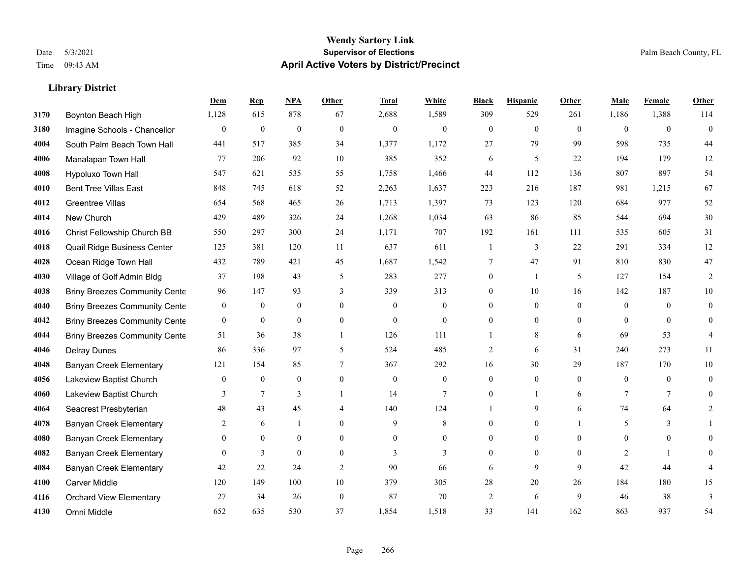|      |                                      | Dem              | <b>Rep</b>       | NPA              | <b>Other</b> | <b>Total</b>     | <b>White</b>     | <b>Black</b>     | <b>Hispanic</b>  | <b>Other</b> | <b>Male</b>      | <b>Female</b>  | <b>Other</b>   |
|------|--------------------------------------|------------------|------------------|------------------|--------------|------------------|------------------|------------------|------------------|--------------|------------------|----------------|----------------|
| 3170 | Boynton Beach High                   | 1,128            | 615              | 878              | 67           | 2,688            | 1,589            | 309              | 529              | 261          | 1,186            | 1,388          | 114            |
| 3180 | Imagine Schools - Chancellor         | $\mathbf{0}$     | $\boldsymbol{0}$ | $\mathbf{0}$     | $\theta$     | $\mathbf{0}$     | $\mathbf{0}$     | $\overline{0}$   | $\overline{0}$   | $\theta$     | $\theta$         | $\theta$       | $\mathbf{0}$   |
| 4004 | South Palm Beach Town Hall           | 441              | 517              | 385              | 34           | 1,377            | 1,172            | 27               | 79               | 99           | 598              | 735            | 44             |
| 4006 | Manalapan Town Hall                  | 77               | 206              | 92               | 10           | 385              | 352              | 6                | 5                | 22           | 194              | 179            | 12             |
| 4008 | Hypoluxo Town Hall                   | 547              | 621              | 535              | 55           | 1.758            | 1,466            | 44               | 112              | 136          | 807              | 897            | 54             |
| 4010 | <b>Bent Tree Villas East</b>         | 848              | 745              | 618              | 52           | 2,263            | 1,637            | 223              | 216              | 187          | 981              | 1,215          | 67             |
| 4012 | Greentree Villas                     | 654              | 568              | 465              | 26           | 1,713            | 1,397            | 73               | 123              | 120          | 684              | 977            | 52             |
| 4014 | New Church                           | 429              | 489              | 326              | 24           | 1,268            | 1,034            | 63               | 86               | 85           | 544              | 694            | 30             |
| 4016 | Christ Fellowship Church BB          | 550              | 297              | 300              | 24           | 1,171            | 707              | 192              | 161              | 111          | 535              | 605            | 31             |
| 4018 | Quail Ridge Business Center          | 125              | 381              | 120              | 11           | 637              | 611              | 1                | 3                | 22           | 291              | 334            | 12             |
| 4028 | Ocean Ridge Town Hall                | 432              | 789              | 421              | 45           | 1,687            | 1,542            | 7                | 47               | 91           | 810              | 830            | 47             |
| 4030 | Village of Golf Admin Bldg           | 37               | 198              | 43               | 5            | 283              | 277              | $\boldsymbol{0}$ | $\mathbf{1}$     | 5            | 127              | 154            | $\overline{2}$ |
| 4038 | <b>Briny Breezes Community Cente</b> | 96               | 147              | 93               | 3            | 339              | 313              | $\overline{0}$   | 10               | 16           | 142              | 187            | 10             |
| 4040 | <b>Briny Breezes Community Cente</b> | $\boldsymbol{0}$ | $\boldsymbol{0}$ | $\boldsymbol{0}$ | $\mathbf{0}$ | $\boldsymbol{0}$ | $\boldsymbol{0}$ | $\boldsymbol{0}$ | $\boldsymbol{0}$ | $\mathbf{0}$ | $\boldsymbol{0}$ | $\overline{0}$ | $\overline{0}$ |
| 4042 | <b>Briny Breezes Community Cente</b> | $\bf{0}$         | $\mathbf{0}$     | $\mathbf{0}$     | $\mathbf{0}$ | $\mathbf{0}$     | $\overline{0}$   | $\overline{0}$   | $\overline{0}$   | $\theta$     | $\theta$         | $\theta$       | $\overline{0}$ |
| 4044 | <b>Briny Breezes Community Cente</b> | 51               | 36               | 38               | $\mathbf{1}$ | 126              | 111              |                  | 8                | 6            | 69               | 53             | 4              |
| 4046 | <b>Delray Dunes</b>                  | 86               | 336              | 97               | 5            | 524              | 485              | $\overline{2}$   | 6                | 31           | 240              | 273            | 11             |
| 4048 | Banyan Creek Elementary              | 121              | 154              | 85               | 7            | 367              | 292              | 16               | 30               | 29           | 187              | 170            | 10             |
| 4056 | Lakeview Baptist Church              | $\mathbf{0}$     | $\boldsymbol{0}$ | $\mathbf{0}$     | $\mathbf{0}$ | $\mathbf{0}$     | $\boldsymbol{0}$ | $\overline{0}$   | $\overline{0}$   | $\theta$     | $\mathbf{0}$     | $\overline{0}$ | $\overline{0}$ |
| 4060 | Lakeview Baptist Church              | 3                | $\tau$           | 3                |              | 14               | $\overline{7}$   | $\boldsymbol{0}$ | $\mathbf{1}$     | 6            | $\tau$           | $\tau$         | $\overline{0}$ |
| 4064 | Seacrest Presbyterian                | 48               | 43               | 45               | 4            | 140              | 124              | $\mathbf{1}$     | 9                | 6            | 74               | 64             | 2              |
| 4078 | <b>Banyan Creek Elementary</b>       | 2                | 6                |                  | $\theta$     | 9                | 8                | $\theta$         | $\mathbf{0}$     |              | 5                | 3              |                |
| 4080 | Banyan Creek Elementary              | $\overline{0}$   | $\mathbf{0}$     | $\boldsymbol{0}$ | $\theta$     | $\overline{0}$   | $\boldsymbol{0}$ | $\overline{0}$   | $\boldsymbol{0}$ | $\theta$     | $\overline{0}$   | $\overline{0}$ | 0              |
| 4082 | <b>Banyan Creek Elementary</b>       | $\overline{0}$   | 3                | $\mathbf{0}$     | $\mathbf{0}$ | 3                | 3                | $\overline{0}$   | $\overline{0}$   | $\theta$     | 2                | $\mathbf{1}$   | 0              |
| 4084 | <b>Banyan Creek Elementary</b>       | 42               | 22               | 24               | 2            | 90               | 66               | 6                | 9                | $\mathbf{Q}$ | 42               | 44             |                |
| 4100 | <b>Carver Middle</b>                 | 120              | 149              | 100              | 10           | 379              | 305              | 28               | 20               | 26           | 184              | 180            | 15             |
| 4116 | <b>Orchard View Elementary</b>       | 27               | 34               | 26               | $\mathbf{0}$ | 87               | 70               | $\overline{c}$   | 6                | 9            | 46               | 38             | 3              |
| 4130 | Omni Middle                          | 652              | 635              | 530              | 37           | 1,854            | 1,518            | 33               | 141              | 162          | 863              | 937            | 54             |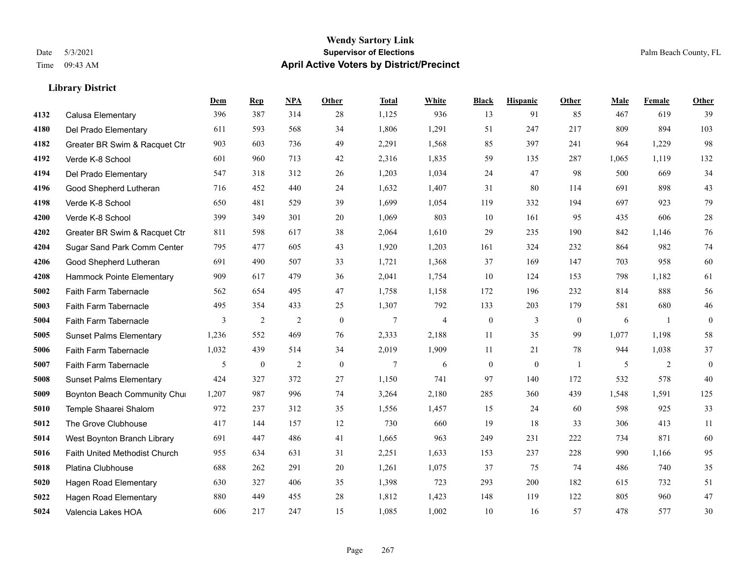#### **Wendy Sartory Link** Date 5/3/2021 **Supervisor of Elections** Palm Beach County, FL Time 09:43 AM **April Active Voters by District/Precinct**

# **Dem Rep NPA Other Total White Black Hispanic Other Male Female Other** Calusa Elementary 396 387 314 28 1,125 936 13 91 85 467 619 39 Del Prado Elementary 611 593 568 34 1,806 1,291 51 247 217 809 894 103 Greater BR Swim & Racquet Ctr 903 603 736 49 2,291 1,568 85 397 241 964 1,229 98 Verde K-8 School 601 960 713 42 2,316 1,835 59 135 287 1,065 1,119 132 Del Prado Elementary 547 318 312 26 1,203 1,034 24 47 98 500 669 34 Good Shepherd Lutheran 716 452 440 24 1,632 1,407 31 80 114 691 898 43 Verde K-8 School 650 481 529 39 1,699 1,054 119 332 194 697 923 79 Verde K-8 School 399 349 301 20 1,069 803 10 161 95 435 606 28 Greater BR Swim & Racquet Ctr 811 598 617 38 2,064 1,610 29 235 190 842 1,146 76 Sugar Sand Park Comm Center 795 477 605 43 1,920 1,203 161 324 232 864 982 74 Good Shepherd Lutheran 691 490 507 33 1,721 1,368 37 169 147 703 958 60 Hammock Pointe Elementary 909 617 479 36 2,041 1,754 10 124 153 798 1,182 61 Faith Farm Tabernacle 562 654 495 47 1,758 1,158 172 196 232 814 888 56 Faith Farm Tabernacle 495 354 433 25 1,307 792 133 203 179 581 680 46 Faith Farm Tabernacle 3 2 2 0 7 4 0 3 0 6 1 0 Sunset Palms Elementary 1,236 552 469 76 2,333 2,188 11 35 99 1,077 1,198 58 Faith Farm Tabernacle 1,032 439 514 34 2,019 1,909 11 21 78 944 1,038 37 Faith Farm Tabernacle 5 0 2 0 7 6 0 0 1 5 2 0 Sunset Palms Elementary 424 327 372 27 1,150 741 97 140 172 532 578 40 Boynton Beach Community Church 1,207 987 996 74 3,264 2,180 285 360 439 1,548 1,591 125 Temple Shaarei Shalom 972 237 312 35 1,556 1,457 15 24 60 598 925 33 The Grove Clubhouse 417 144 157 12 730 660 19 18 33 306 413 11 West Boynton Branch Library 691 447 486 41 1,665 963 249 231 222 734 871 60 Faith United Methodist Church 955 634 631 31 2,251 1,633 153 237 228 990 1,166 95 Platina Clubhouse 688 262 291 20 1,261 1,075 37 75 74 486 740 35 Hagen Road Elementary 630 327 406 35 1,398 723 293 200 182 615 732 51 Hagen Road Elementary 880 449 455 28 1,812 1,423 148 119 122 805 960 47 Valencia Lakes HOA 606 217 247 15 1,085 1,002 10 16 57 478 577 30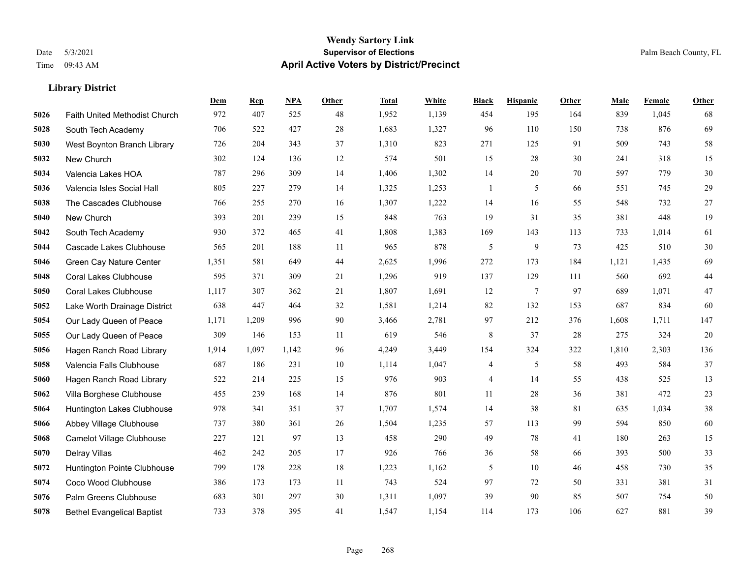|      |                                      | Dem   | <b>Rep</b> | NPA   | <b>Other</b> | <b>Total</b> | White | <b>Black</b>             | <b>Hispanic</b> | Other | <b>Male</b> | Female | <b>Other</b> |
|------|--------------------------------------|-------|------------|-------|--------------|--------------|-------|--------------------------|-----------------|-------|-------------|--------|--------------|
| 5026 | <b>Faith United Methodist Church</b> | 972   | 407        | 525   | 48           | 1,952        | 1,139 | 454                      | 195             | 164   | 839         | 1,045  | 68           |
| 5028 | South Tech Academy                   | 706   | 522        | 427   | 28           | 1,683        | 1,327 | 96                       | 110             | 150   | 738         | 876    | 69           |
| 5030 | West Boynton Branch Library          | 726   | 204        | 343   | 37           | 1,310        | 823   | 271                      | 125             | 91    | 509         | 743    | $58\,$       |
| 5032 | New Church                           | 302   | 124        | 136   | 12           | 574          | 501   | 15                       | 28              | 30    | 241         | 318    | 15           |
| 5034 | Valencia Lakes HOA                   | 787   | 296        | 309   | 14           | 1,406        | 1,302 | 14                       | 20              | 70    | 597         | 779    | $30\,$       |
| 5036 | Valencia Isles Social Hall           | 805   | 227        | 279   | 14           | 1,325        | 1,253 | 1                        | 5               | 66    | 551         | 745    | 29           |
| 5038 | The Cascades Clubhouse               | 766   | 255        | 270   | 16           | 1,307        | 1,222 | 14                       | 16              | 55    | 548         | 732    | 27           |
| 5040 | New Church                           | 393   | 201        | 239   | 15           | 848          | 763   | 19                       | 31              | 35    | 381         | 448    | 19           |
| 5042 | South Tech Academy                   | 930   | 372        | 465   | 41           | 1,808        | 1,383 | 169                      | 143             | 113   | 733         | 1,014  | 61           |
| 5044 | Cascade Lakes Clubhouse              | 565   | 201        | 188   | 11           | 965          | 878   | 5                        | 9               | 73    | 425         | 510    | $30\,$       |
| 5046 | Green Cay Nature Center              | 1,351 | 581        | 649   | 44           | 2,625        | 1,996 | 272                      | 173             | 184   | 1,121       | 1,435  | 69           |
| 5048 | <b>Coral Lakes Clubhouse</b>         | 595   | 371        | 309   | 21           | 1,296        | 919   | 137                      | 129             | 111   | 560         | 692    | $44\,$       |
| 5050 | <b>Coral Lakes Clubhouse</b>         | 1,117 | 307        | 362   | 21           | 1,807        | 1,691 | 12                       | 7               | 97    | 689         | 1,071  | $47\,$       |
| 5052 | Lake Worth Drainage District         | 638   | 447        | 464   | 32           | 1,581        | 1,214 | 82                       | 132             | 153   | 687         | 834    | 60           |
| 5054 | Our Lady Queen of Peace              | 1,171 | 1,209      | 996   | 90           | 3,466        | 2,781 | 97                       | 212             | 376   | 1,608       | 1,711  | 147          |
| 5055 | Our Lady Queen of Peace              | 309   | 146        | 153   | 11           | 619          | 546   | 8                        | 37              | 28    | 275         | 324    | $20\,$       |
| 5056 | Hagen Ranch Road Library             | 1,914 | 1,097      | 1,142 | 96           | 4,249        | 3,449 | 154                      | 324             | 322   | 1,810       | 2,303  | 136          |
| 5058 | Valencia Falls Clubhouse             | 687   | 186        | 231   | 10           | 1,114        | 1,047 | 4                        | 5               | 58    | 493         | 584    | 37           |
| 5060 | Hagen Ranch Road Library             | 522   | 214        | 225   | 15           | 976          | 903   | $\overline{\mathcal{A}}$ | 14              | 55    | 438         | 525    | 13           |
| 5062 | Villa Borghese Clubhouse             | 455   | 239        | 168   | 14           | 876          | 801   | 11                       | 28              | 36    | 381         | 472    | $23\,$       |
| 5064 | Huntington Lakes Clubhouse           | 978   | 341        | 351   | 37           | 1,707        | 1,574 | 14                       | 38              | 81    | 635         | 1,034  | 38           |
| 5066 | Abbey Village Clubhouse              | 737   | 380        | 361   | 26           | 1,504        | 1,235 | 57                       | 113             | 99    | 594         | 850    | 60           |
| 5068 | Camelot Village Clubhouse            | 227   | 121        | 97    | 13           | 458          | 290   | 49                       | 78              | 41    | 180         | 263    | 15           |
| 5070 | Delray Villas                        | 462   | 242        | 205   | 17           | 926          | 766   | 36                       | 58              | 66    | 393         | 500    | 33           |
| 5072 | Huntington Pointe Clubhouse          | 799   | 178        | 228   | 18           | 1,223        | 1,162 | 5                        | 10              | 46    | 458         | 730    | 35           |
| 5074 | Coco Wood Clubhouse                  | 386   | 173        | 173   | 11           | 743          | 524   | 97                       | 72              | 50    | 331         | 381    | 31           |
| 5076 | <b>Palm Greens Clubhouse</b>         | 683   | 301        | 297   | 30           | 1,311        | 1,097 | 39                       | 90              | 85    | 507         | 754    | 50           |
| 5078 | <b>Bethel Evangelical Baptist</b>    | 733   | 378        | 395   | 41           | 1,547        | 1,154 | 114                      | 173             | 106   | 627         | 881    | 39           |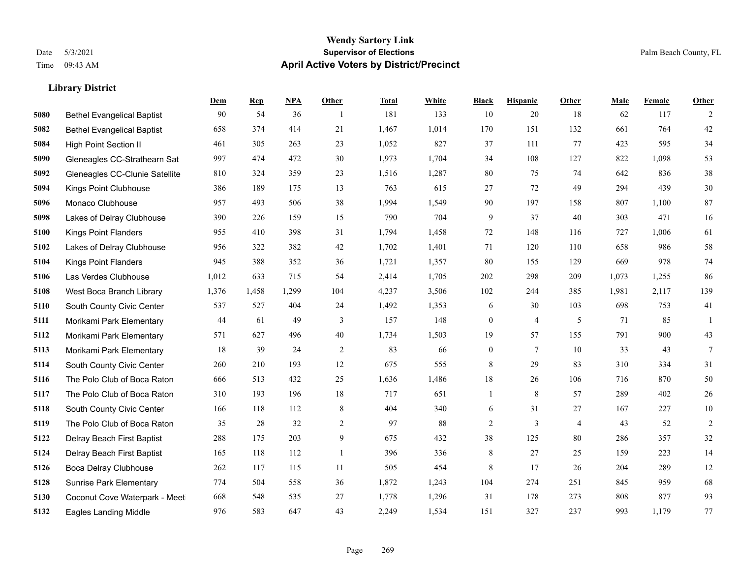#### **Wendy Sartory Link** Date 5/3/2021 **Supervisor of Elections** Palm Beach County, FL Time 09:43 AM **April Active Voters by District/Precinct**

# **Dem Rep NPA Other Total White Black Hispanic Other Male Female Other** Bethel Evangelical Baptist 90 54 36 1 181 133 10 20 18 62 117 2 Bethel Evangelical Baptist 658 374 414 21 1,467 1,014 170 151 132 661 764 42 High Point Section II 461 305 263 23 1,052 827 37 111 77 423 595 34 Gleneagles CC-Strathearn Sat 997 474 472 30 1,973 1,704 34 108 127 822 1,098 53 Gleneagles CC-Clunie Satellite 810 324 359 23 1,516 1,287 80 75 74 642 836 38 Kings Point Clubhouse 386 189 175 13 763 615 27 72 49 294 439 30 Monaco Clubhouse 957 493 506 38 1,994 1,549 90 197 158 807 1,100 87 Lakes of Delray Clubhouse 390 226 159 15 790 704 9 37 40 303 471 16 Kings Point Flanders 955 410 398 31 1,794 1,458 72 148 116 727 1,006 61 Lakes of Delray Clubhouse 956 322 382 42 1,702 1,401 71 120 110 658 986 58 Kings Point Flanders 945 388 352 36 1,721 1,357 80 155 129 669 978 74 Las Verdes Clubhouse 1,012 633 715 54 2,414 1,705 202 298 209 1,073 1,255 86 West Boca Branch Library 1,376 1,458 1,299 104 4,237 3,506 102 244 385 1,981 2,117 139 South County Civic Center 537 527 404 24 1,492 1,353 6 30 103 698 753 41 Morikami Park Elementary 44 61 49 3 157 148 0 4 5 71 85 1 Morikami Park Elementary 571 627 496 40 1,734 1,503 19 57 155 791 900 43 Morikami Park Elementary 18 39 24 2 83 66 0 7 10 33 43 7 South County Civic Center 260 210 193 12 675 555 8 29 83 310 334 31 The Polo Club of Boca Raton 666 513 432 25 1,636 1,486 18 26 106 716 870 50 The Polo Club of Boca Raton 310 193 196 18 717 651 1 8 57 289 402 26 South County Civic Center 166 118 112 8 404 340 6 31 27 167 227 10 The Polo Club of Boca Raton 35 28 32 2 97 88 2 3 4 43 52 2 Delray Beach First Baptist 288 175 203 9 675 432 38 125 80 286 357 32 Delray Beach First Baptist 165 118 112 1 396 336 8 27 25 159 223 14 Boca Delray Clubhouse 262 117 115 11 505 454 8 17 26 204 289 12 Sunrise Park Elementary 774 504 558 36 1,872 1,243 104 274 251 845 959 68 Coconut Cove Waterpark - Meet 668 548 535 27 1,778 1,296 31 178 273 808 877 93 Eagles Landing Middle 976 583 647 43 2,249 1,534 151 327 237 993 1,179 77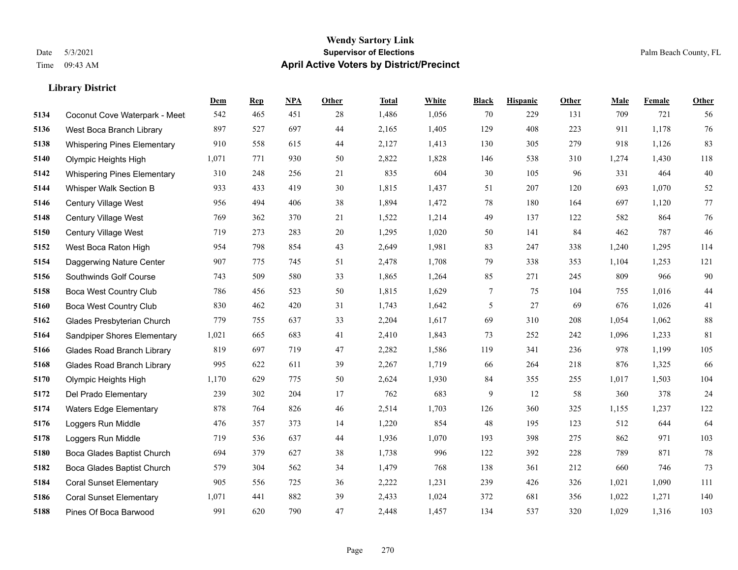|      |                                    | Dem   | <b>Rep</b> | NPA | <b>Other</b> | <b>Total</b> | <b>White</b> | <b>Black</b> | <b>Hispanic</b> | <b>Other</b> | <b>Male</b> | Female | <b>Other</b> |
|------|------------------------------------|-------|------------|-----|--------------|--------------|--------------|--------------|-----------------|--------------|-------------|--------|--------------|
| 5134 | Coconut Cove Waterpark - Meet      | 542   | 465        | 451 | 28           | 1,486        | 1,056        | 70           | 229             | 131          | 709         | 721    | 56           |
| 5136 | West Boca Branch Library           | 897   | 527        | 697 | 44           | 2,165        | 1,405        | 129          | 408             | 223          | 911         | 1,178  | 76           |
| 5138 | <b>Whispering Pines Elementary</b> | 910   | 558        | 615 | 44           | 2,127        | 1,413        | 130          | 305             | 279          | 918         | 1,126  | 83           |
| 5140 | Olympic Heights High               | 1,071 | 771        | 930 | 50           | 2,822        | 1,828        | 146          | 538             | 310          | 1,274       | 1,430  | 118          |
| 5142 | <b>Whispering Pines Elementary</b> | 310   | 248        | 256 | 21           | 835          | 604          | 30           | 105             | 96           | 331         | 464    | 40           |
| 5144 | Whisper Walk Section B             | 933   | 433        | 419 | 30           | 1,815        | 1,437        | 51           | 207             | 120          | 693         | 1,070  | 52           |
| 5146 | Century Village West               | 956   | 494        | 406 | 38           | 1,894        | 1,472        | 78           | 180             | 164          | 697         | 1,120  | 77           |
| 5148 | Century Village West               | 769   | 362        | 370 | 21           | 1,522        | 1,214        | 49           | 137             | 122          | 582         | 864    | $76\,$       |
| 5150 | Century Village West               | 719   | 273        | 283 | $20\,$       | 1,295        | 1,020        | 50           | 141             | 84           | 462         | 787    | 46           |
| 5152 | West Boca Raton High               | 954   | 798        | 854 | 43           | 2,649        | 1,981        | 83           | 247             | 338          | 1,240       | 1,295  | 114          |
| 5154 | Daggerwing Nature Center           | 907   | 775        | 745 | 51           | 2,478        | 1,708        | 79           | 338             | 353          | 1,104       | 1,253  | 121          |
| 5156 | Southwinds Golf Course             | 743   | 509        | 580 | 33           | 1,865        | 1,264        | 85           | 271             | 245          | 809         | 966    | $90\,$       |
| 5158 | <b>Boca West Country Club</b>      | 786   | 456        | 523 | 50           | 1,815        | 1,629        | 7            | 75              | 104          | 755         | 1,016  | 44           |
| 5160 | <b>Boca West Country Club</b>      | 830   | 462        | 420 | 31           | 1,743        | 1,642        | 5            | 27              | 69           | 676         | 1,026  | 41           |
| 5162 | Glades Presbyterian Church         | 779   | 755        | 637 | 33           | 2,204        | 1,617        | 69           | 310             | 208          | 1,054       | 1,062  | 88           |
| 5164 | <b>Sandpiper Shores Elementary</b> | 1,021 | 665        | 683 | 41           | 2,410        | 1,843        | 73           | 252             | 242          | 1,096       | 1,233  | 81           |
| 5166 | <b>Glades Road Branch Library</b>  | 819   | 697        | 719 | 47           | 2,282        | 1,586        | 119          | 341             | 236          | 978         | 1,199  | 105          |
| 5168 | <b>Glades Road Branch Library</b>  | 995   | 622        | 611 | 39           | 2,267        | 1,719        | 66           | 264             | 218          | 876         | 1,325  | 66           |
| 5170 | Olympic Heights High               | 1,170 | 629        | 775 | 50           | 2,624        | 1,930        | 84           | 355             | 255          | 1,017       | 1,503  | 104          |
| 5172 | Del Prado Elementary               | 239   | 302        | 204 | 17           | 762          | 683          | 9            | 12              | 58           | 360         | 378    | 24           |
| 5174 | <b>Waters Edge Elementary</b>      | 878   | 764        | 826 | 46           | 2,514        | 1,703        | 126          | 360             | 325          | 1,155       | 1,237  | 122          |
| 5176 | Loggers Run Middle                 | 476   | 357        | 373 | 14           | 1,220        | 854          | 48           | 195             | 123          | 512         | 644    | 64           |
| 5178 | Loggers Run Middle                 | 719   | 536        | 637 | 44           | 1,936        | 1,070        | 193          | 398             | 275          | 862         | 971    | 103          |
| 5180 | Boca Glades Baptist Church         | 694   | 379        | 627 | 38           | 1,738        | 996          | 122          | 392             | 228          | 789         | 871    | 78           |
| 5182 | Boca Glades Baptist Church         | 579   | 304        | 562 | 34           | 1,479        | 768          | 138          | 361             | 212          | 660         | 746    | 73           |
| 5184 | <b>Coral Sunset Elementary</b>     | 905   | 556        | 725 | 36           | 2,222        | 1,231        | 239          | 426             | 326          | 1,021       | 1,090  | 111          |
| 5186 | <b>Coral Sunset Elementary</b>     | 1,071 | 441        | 882 | 39           | 2,433        | 1,024        | 372          | 681             | 356          | 1,022       | 1,271  | 140          |
| 5188 | Pines Of Boca Barwood              | 991   | 620        | 790 | 47           | 2,448        | 1,457        | 134          | 537             | 320          | 1,029       | 1,316  | 103          |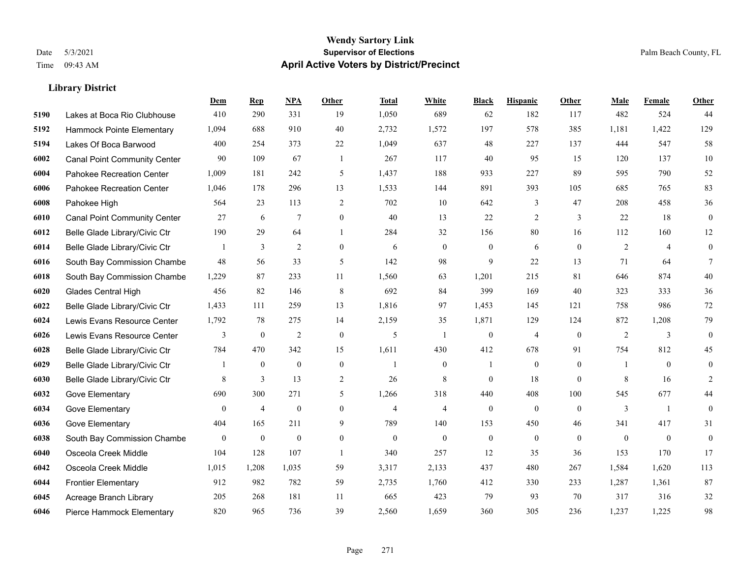|      |                                     | Dem            | <b>Rep</b>       | NPA              | <b>Other</b>   | <b>Total</b>   | <b>White</b>     | <b>Black</b>     | <b>Hispanic</b>  | Other        | <b>Male</b>  | Female         | <b>Other</b>     |
|------|-------------------------------------|----------------|------------------|------------------|----------------|----------------|------------------|------------------|------------------|--------------|--------------|----------------|------------------|
| 5190 | Lakes at Boca Rio Clubhouse         | 410            | 290              | 331              | 19             | 1,050          | 689              | 62               | 182              | 117          | 482          | 524            | 44               |
| 5192 | Hammock Pointe Elementary           | 1,094          | 688              | 910              | 40             | 2,732          | 1,572            | 197              | 578              | 385          | 1,181        | 1,422          | 129              |
| 5194 | Lakes Of Boca Barwood               | 400            | 254              | 373              | 22             | 1,049          | 637              | 48               | 227              | 137          | 444          | 547            | 58               |
| 6002 | <b>Canal Point Community Center</b> | 90             | 109              | 67               | -1             | 267            | 117              | 40               | 95               | 15           | 120          | 137            | $10\,$           |
| 6004 | Pahokee Recreation Center           | 1,009          | 181              | 242              | 5              | 1.437          | 188              | 933              | 227              | 89           | 595          | 790            | 52               |
| 6006 | Pahokee Recreation Center           | 1,046          | 178              | 296              | 13             | 1,533          | 144              | 891              | 393              | 105          | 685          | 765            | 83               |
| 6008 | Pahokee High                        | 564            | 23               | 113              | 2              | 702            | 10               | 642              | 3                | 47           | 208          | 458            | 36               |
| 6010 | <b>Canal Point Community Center</b> | 27             | 6                | $\tau$           | $\theta$       | 40             | 13               | 22               | 2                | 3            | 22           | 18             | $\overline{0}$   |
| 6012 | Belle Glade Library/Civic Ctr       | 190            | 29               | 64               |                | 284            | 32               | 156              | 80               | 16           | 112          | 160            | 12               |
| 6014 | Belle Glade Library/Civic Ctr       |                | 3                | $\overline{2}$   | $\mathbf{0}$   | 6              | $\boldsymbol{0}$ | $\overline{0}$   | 6                | $\mathbf{0}$ | 2            | $\overline{4}$ | $\overline{0}$   |
| 6016 | South Bay Commission Chambe         | 48             | 56               | 33               | 5              | 142            | 98               | 9                | 22               | 13           | 71           | 64             | $\tau$           |
| 6018 | South Bay Commission Chambe         | 1,229          | 87               | 233              | 11             | 1,560          | 63               | 1,201            | 215              | 81           | 646          | 874            | 40               |
| 6020 | Glades Central High                 | 456            | 82               | 146              | 8              | 692            | 84               | 399              | 169              | 40           | 323          | 333            | 36               |
| 6022 | Belle Glade Library/Civic Ctr       | 1,433          | 111              | 259              | 13             | 1,816          | 97               | 1,453            | 145              | 121          | 758          | 986            | 72               |
| 6024 | Lewis Evans Resource Center         | 1,792          | 78               | 275              | 14             | 2,159          | 35               | 1,871            | 129              | 124          | 872          | 1,208          | 79               |
| 6026 | Lewis Evans Resource Center         | 3              | $\boldsymbol{0}$ | $\overline{2}$   | $\mathbf{0}$   | 5              | $\mathbf{1}$     | $\mathbf{0}$     | 4                | $\mathbf{0}$ | 2            | 3              | $\overline{0}$   |
| 6028 | Belle Glade Library/Civic Ctr       | 784            | 470              | 342              | 15             | 1,611          | 430              | 412              | 678              | 91           | 754          | 812            | 45               |
| 6029 | Belle Glade Library/Civic Ctr       |                | $\mathbf{0}$     | $\mathbf{0}$     | $\theta$       | 1              | $\overline{0}$   |                  | $\overline{0}$   | $\theta$     |              | $\theta$       | $\mathbf{0}$     |
| 6030 | Belle Glade Library/Civic Ctr       | 8              | 3                | 13               | $\overline{2}$ | 26             | 8                | $\overline{0}$   | 18               | $\theta$     | 8            | 16             | 2                |
| 6032 | Gove Elementary                     | 690            | 300              | 271              | 5              | 1,266          | 318              | 440              | 408              | 100          | 545          | 677            | 44               |
| 6034 | Gove Elementary                     | $\theta$       | $\overline{4}$   | $\theta$         | $\theta$       | $\overline{4}$ | $\overline{4}$   | $\mathbf{0}$     | $\overline{0}$   | $\theta$     | 3            | $\mathbf{1}$   | $\overline{0}$   |
| 6036 | Gove Elementary                     | 404            | 165              | 211              | 9              | 789            | 140              | 153              | 450              | 46           | 341          | 417            | 31               |
| 6038 | South Bay Commission Chambe         | $\overline{0}$ | $\boldsymbol{0}$ | $\boldsymbol{0}$ | $\mathbf{0}$   | $\mathbf{0}$   | $\mathbf{0}$     | $\boldsymbol{0}$ | $\boldsymbol{0}$ | $\theta$     | $\mathbf{0}$ | $\overline{0}$ | $\boldsymbol{0}$ |
| 6040 | Osceola Creek Middle                | 104            | 128              | 107              | $\overline{1}$ | 340            | 257              | 12               | 35               | 36           | 153          | 170            | 17               |
| 6042 | Osceola Creek Middle                | 1.015          | 1,208            | 1,035            | 59             | 3,317          | 2,133            | 437              | 480              | 267          | 1,584        | 1,620          | 113              |
| 6044 | <b>Frontier Elementary</b>          | 912            | 982              | 782              | 59             | 2,735          | 1,760            | 412              | 330              | 233          | 1,287        | 1,361          | 87               |
| 6045 | Acreage Branch Library              | 205            | 268              | 181              | 11             | 665            | 423              | 79               | 93               | 70           | 317          | 316            | 32               |
| 6046 | Pierce Hammock Elementary           | 820            | 965              | 736              | 39             | 2,560          | 1,659            | 360              | 305              | 236          | 1,237        | 1,225          | 98               |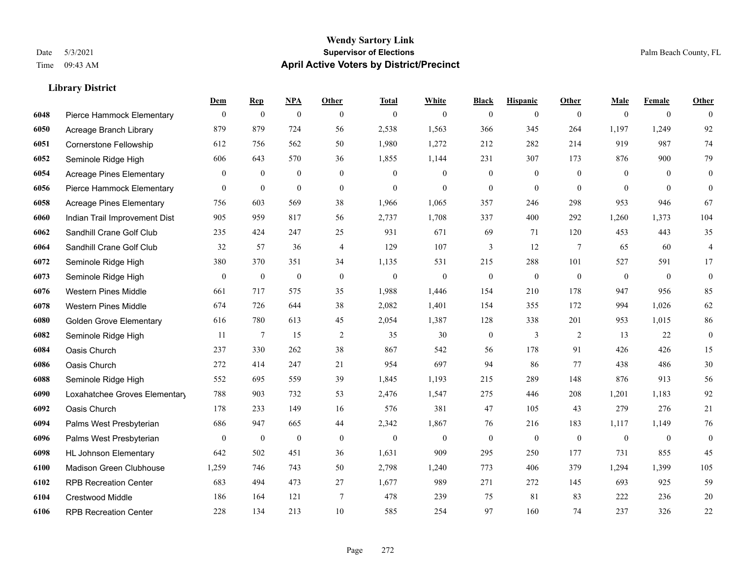#### **Wendy Sartory Link** Date 5/3/2021 **Supervisor of Elections** Palm Beach County, FL Time 09:43 AM **April Active Voters by District/Precinct**

# **Dem Rep NPA Other Total White Black Hispanic Other Male Female Other** Pierce Hammock Elementary 0 0 0 0 0 0 0 0 0 0 0 0 Acreage Branch Library 879 879 724 56 2,538 1,563 366 345 264 1,197 1,249 92 Cornerstone Fellowship 612 756 562 50 1,980 1,272 212 282 214 919 987 74 Seminole Ridge High 606 643 570 36 1,855 1,144 231 307 173 876 900 79 Acreage Pines Elementary 0 0 0 0 0 0 0 0 0 0 0 0 Pierce Hammock Elementary 0 0 0 0 0 0 0 0 0 0 0 0 Acreage Pines Elementary 756 603 569 38 1,966 1,065 357 246 298 953 946 67 Indian Trail Improvement Dist 905 959 817 56 2,737 1,708 337 400 292 1,260 1,373 104 Sandhill Crane Golf Club 235 424 247 25 931 671 69 71 120 453 443 35 Sandhill Crane Golf Club 32 57 36 4 129 107 3 12 7 65 60 4 Seminole Ridge High 380 370 351 34 1,135 531 215 288 101 527 591 17 Seminole Ridge High 0 0 0 0 0 0 0 0 0 0 0 0 Western Pines Middle 661 717 575 35 1,988 1,446 154 210 178 947 956 85 Western Pines Middle 674 726 644 38 2,082 1,401 154 355 172 994 1,026 62 Golden Grove Elementary 616 780 613 45 2,054 1,387 128 338 201 953 1,015 86 Seminole Ridge High 11 7 15 2 35 30 0 3 2 13 22 0 Oasis Church 237 330 262 38 867 542 56 178 91 426 426 15 Oasis Church 272 414 247 21 954 697 94 86 77 438 486 30 Seminole Ridge High 552 695 559 39 1,845 1,193 215 289 148 876 913 56 Loxahatchee Groves Elementary 788 903 732 53 2,476 1,547 275 446 208 1,201 1,183 92 Oasis Church 178 233 149 16 576 381 47 105 43 279 276 21 Palms West Presbyterian 686 947 665 44 2,342 1,867 76 216 183 1,117 1,149 76 Palms West Presbyterian 0 0 0 0 0 0 0 0 0 0 0 0 HL Johnson Elementary 642 502 451 36 1,631 909 295 250 177 731 855 45 Madison Green Clubhouse 1,259 746 743 50 2,798 1,240 773 406 379 1,294 1,399 105 RPB Recreation Center 683 494 473 27 1,677 989 271 272 145 693 925 59 Crestwood Middle 186 164 121 7 478 239 75 81 83 222 236 20 RPB Recreation Center 228 134 213 10 585 254 97 160 74 237 326 22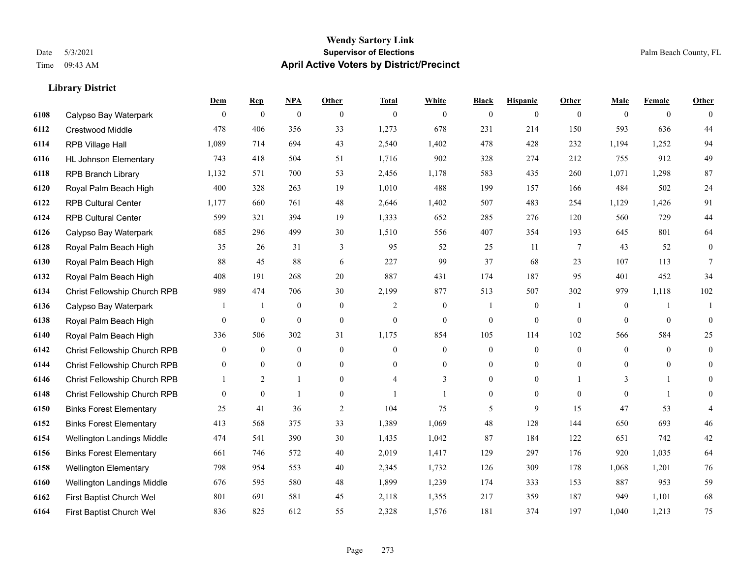#### **Wendy Sartory Link** Date 5/3/2021 **Supervisor of Elections** Palm Beach County, FL Time 09:43 AM **April Active Voters by District/Precinct**

# **Dem Rep NPA Other Total White Black Hispanic Other Male Female Other** Calypso Bay Waterpark 0 0 0 0 0 0 0 0 0 0 0 0 Crestwood Middle 478 406 356 33 1,273 678 231 214 150 593 636 44 RPB Village Hall 1,089 714 694 43 2,540 1,402 478 428 232 1,194 1,252 94 HL Johnson Elementary 743 418 504 51 1,716 902 328 274 212 755 912 49 RPB Branch Library 1,132 571 700 53 2,456 1,178 583 435 260 1,071 1,298 87 Royal Palm Beach High 400 328 263 19 1,010 488 199 157 166 484 502 24 RPB Cultural Center 1,177 660 761 48 2,646 1,402 507 483 254 1,129 1,426 91 RPB Cultural Center 599 321 394 19 1,333 652 285 276 120 560 729 44 Calypso Bay Waterpark 685 296 499 30 1,510 556 407 354 193 645 801 64 Royal Palm Beach High 35 26 31 3 95 52 25 11 7 43 52 0 Royal Palm Beach High 88 45 88 6 227 99 37 68 23 107 113 7 Royal Palm Beach High 408 191 268 20 887 431 174 187 95 401 452 34 Christ Fellowship Church RPB 989 474 706 30 2,199 877 513 507 302 979 1,118 102 Calypso Bay Waterpark 1 1 0 0 0 2 0 1 0 1 0 1 1 Royal Palm Beach High 0 0 0 0 0 0 0 0 0 0 0 0 Royal Palm Beach High 336 506 302 31 1,175 854 105 114 102 566 584 25 Christ Fellowship Church RPB 0 0 0 0 0 0 0 0 0 0 0 0 Christ Fellowship Church RPB 0 0 0 0 0 0 0 0 0 0 0 0 Christ Fellowship Church RPB 1 2 1 0 4 3 0 0 1 3 1 0 Christ Fellowship Church RPB 0 0 1 0 1 1 0 0 0 0 1 0 Binks Forest Elementary 25 41 36 2 104 75 5 9 15 47 53 4 Binks Forest Elementary 413 568 375 33 1,389 1,069 48 128 144 650 693 46 Wellington Landings Middle 474 541 390 30 1,435 1,042 87 184 122 651 742 42 Binks Forest Elementary 661 746 572 40 2,019 1,417 129 297 176 920 1,035 64 Wellington Elementary 798 954 553 40 2,345 1,732 126 309 178 1,068 1,201 76 Wellington Landings Middle 676 595 580 48 1,899 1,239 174 333 153 887 953 59 First Baptist Church Wel 801 691 581 45 2,118 1,355 217 359 187 949 1,101 68 First Baptist Church Wel 836 825 612 55 2,328 1,576 181 374 197 1,040 1,213 75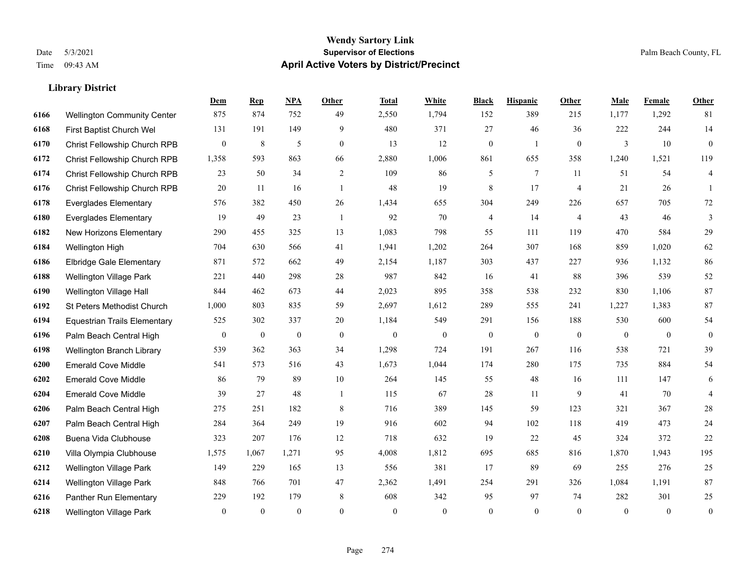|      |                                     | Dem              | <b>Rep</b>       | NPA              | <b>Other</b>   | <b>Total</b> | White            | <b>Black</b>     | <b>Hispanic</b> | <b>Other</b>   | <b>Male</b>  | Female       | <b>Other</b>     |
|------|-------------------------------------|------------------|------------------|------------------|----------------|--------------|------------------|------------------|-----------------|----------------|--------------|--------------|------------------|
| 6166 | <b>Wellington Community Center</b>  | 875              | 874              | 752              | 49             | 2,550        | 1,794            | 152              | 389             | 215            | 1,177        | 1,292        | 81               |
| 6168 | First Baptist Church Wel            | 131              | 191              | 149              | 9              | 480          | 371              | 27               | 46              | 36             | 222          | 244          | 14               |
| 6170 | Christ Fellowship Church RPB        | $\boldsymbol{0}$ | 8                | 5                | $\overline{0}$ | 13           | 12               | $\boldsymbol{0}$ | 1               | $\overline{0}$ | 3            | 10           | $\mathbf{0}$     |
| 6172 | Christ Fellowship Church RPB        | 1,358            | 593              | 863              | 66             | 2,880        | 1,006            | 861              | 655             | 358            | 1,240        | 1,521        | 119              |
| 6174 | Christ Fellowship Church RPB        | 23               | 50               | 34               | 2              | 109          | 86               | 5                | $\tau$          | 11             | 51           | 54           | $\overline{4}$   |
| 6176 | Christ Fellowship Church RPB        | 20               | 11               | 16               | $\mathbf{1}$   | 48           | 19               | $\,$ 8 $\,$      | 17              | $\overline{4}$ | 21           | 26           | -1               |
| 6178 | <b>Everglades Elementary</b>        | 576              | 382              | 450              | 26             | 1,434        | 655              | 304              | 249             | 226            | 657          | 705          | $72\,$           |
| 6180 | <b>Everglades Elementary</b>        | 19               | 49               | 23               | $\overline{1}$ | 92           | 70               | 4                | 14              | $\overline{4}$ | 43           | 46           | 3                |
| 6182 | New Horizons Elementary             | 290              | 455              | 325              | 13             | 1,083        | 798              | 55               | 111             | 119            | 470          | 584          | 29               |
| 6184 | Wellington High                     | 704              | 630              | 566              | 41             | 1,941        | 1,202            | 264              | 307             | 168            | 859          | 1,020        | 62               |
| 6186 | <b>Elbridge Gale Elementary</b>     | 871              | 572              | 662              | 49             | 2,154        | 1,187            | 303              | 437             | 227            | 936          | 1,132        | 86               |
| 6188 | Wellington Village Park             | 221              | 440              | 298              | 28             | 987          | 842              | 16               | 41              | 88             | 396          | 539          | 52               |
| 6190 | Wellington Village Hall             | 844              | 462              | 673              | 44             | 2,023        | 895              | 358              | 538             | 232            | 830          | 1,106        | $87\,$           |
| 6192 | St Peters Methodist Church          | 1,000            | 803              | 835              | 59             | 2,697        | 1,612            | 289              | 555             | 241            | 1,227        | 1,383        | $87\,$           |
| 6194 | <b>Equestrian Trails Elementary</b> | 525              | 302              | 337              | 20             | 1,184        | 549              | 291              | 156             | 188            | 530          | 600          | 54               |
| 6196 | Palm Beach Central High             | $\overline{0}$   | $\boldsymbol{0}$ | $\boldsymbol{0}$ | $\mathbf{0}$   | $\mathbf{0}$ | $\boldsymbol{0}$ | $\boldsymbol{0}$ | $\mathbf{0}$    | $\mathbf{0}$   | $\mathbf{0}$ | $\mathbf{0}$ | $\mathbf{0}$     |
| 6198 | Wellington Branch Library           | 539              | 362              | 363              | 34             | 1,298        | 724              | 191              | 267             | 116            | 538          | 721          | 39               |
| 6200 | <b>Emerald Cove Middle</b>          | 541              | 573              | 516              | 43             | 1,673        | 1,044            | 174              | 280             | 175            | 735          | 884          | 54               |
| 6202 | <b>Emerald Cove Middle</b>          | 86               | 79               | 89               | $10\,$         | 264          | 145              | 55               | 48              | 16             | 111          | 147          | $\sqrt{6}$       |
| 6204 | <b>Emerald Cove Middle</b>          | 39               | 27               | 48               | $\overline{1}$ | 115          | 67               | 28               | 11              | 9              | 41           | 70           | $\overline{4}$   |
| 6206 | Palm Beach Central High             | 275              | 251              | 182              | 8              | 716          | 389              | 145              | 59              | 123            | 321          | 367          | $28\,$           |
| 6207 | Palm Beach Central High             | 284              | 364              | 249              | 19             | 916          | 602              | 94               | 102             | 118            | 419          | 473          | $24\,$           |
| 6208 | Buena Vida Clubhouse                | 323              | 207              | 176              | 12             | 718          | 632              | 19               | 22              | 45             | 324          | 372          | $22\,$           |
| 6210 | Villa Olympia Clubhouse             | 1,575            | 1,067            | 1,271            | 95             | 4,008        | 1,812            | 695              | 685             | 816            | 1,870        | 1,943        | 195              |
| 6212 | <b>Wellington Village Park</b>      | 149              | 229              | 165              | 13             | 556          | 381              | 17               | 89              | 69             | 255          | 276          | 25               |
| 6214 | Wellington Village Park             | 848              | 766              | 701              | 47             | 2,362        | 1,491            | 254              | 291             | 326            | 1,084        | 1,191        | $87\,$           |
| 6216 | Panther Run Elementary              | 229              | 192              | 179              | 8              | 608          | 342              | 95               | 97              | 74             | 282          | 301          | $25\,$           |
| 6218 | Wellington Village Park             | $\mathbf{0}$     | $\mathbf{0}$     | $\theta$         | $\Omega$       | $\mathbf{0}$ | $\mathbf{0}$     | $\boldsymbol{0}$ | $\theta$        | $\theta$       | $\theta$     | $\theta$     | $\boldsymbol{0}$ |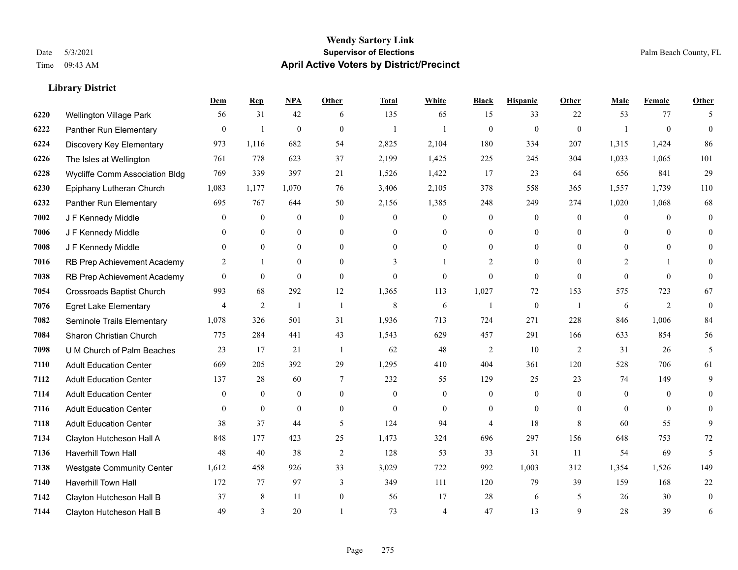|      |                                  | Dem              | <b>Rep</b>     | NPA          | <b>Other</b> | <b>Total</b> | <b>White</b>   | <b>Black</b>   | <b>Hispanic</b>  | Other          | <b>Male</b> | <b>Female</b>  | <b>Other</b> |
|------|----------------------------------|------------------|----------------|--------------|--------------|--------------|----------------|----------------|------------------|----------------|-------------|----------------|--------------|
| 6220 | Wellington Village Park          | 56               | 31             | 42           | 6            | 135          | 65             | 15             | 33               | 22             | 53          | 77             | 5            |
| 6222 | Panther Run Elementary           | $\boldsymbol{0}$ | $\overline{1}$ | $\mathbf{0}$ | $\mathbf{0}$ | $\mathbf{1}$ |                | $\mathbf{0}$   | $\boldsymbol{0}$ | $\mathbf{0}$   |             | $\mathbf{0}$   | $\theta$     |
| 6224 | Discovery Key Elementary         | 973              | 1,116          | 682          | 54           | 2,825        | 2,104          | 180            | 334              | 207            | 1,315       | 1,424          | 86           |
| 6226 | The Isles at Wellington          | 761              | 778            | 623          | 37           | 2,199        | 1,425          | 225            | 245              | 304            | 1,033       | 1,065          | 101          |
| 6228 | Wycliffe Comm Association Bldg   | 769              | 339            | 397          | 21           | 1,526        | 1,422          | 17             | 23               | 64             | 656         | 841            | 29           |
| 6230 | Epiphany Lutheran Church         | 1,083            | 1,177          | 1,070        | 76           | 3,406        | 2,105          | 378            | 558              | 365            | 1,557       | 1,739          | 110          |
| 6232 | Panther Run Elementary           | 695              | 767            | 644          | 50           | 2,156        | 1,385          | 248            | 249              | 274            | 1,020       | 1,068          | 68           |
| 7002 | J F Kennedy Middle               | $\theta$         | $\mathbf{0}$   | $\mathbf{0}$ | $\theta$     | $\theta$     | $\overline{0}$ | $\mathbf{0}$   | $\overline{0}$   | $\theta$       | $\theta$    | $\theta$       | $\theta$     |
| 7006 | J F Kennedy Middle               | $\theta$         | $\overline{0}$ | $\mathbf{0}$ | $\Omega$     | $\Omega$     | $\overline{0}$ | $\Omega$       | $\overline{0}$   | $\Omega$       | $\theta$    | $\Omega$       | $\Omega$     |
| 7008 | J F Kennedy Middle               | $\overline{0}$   | $\overline{0}$ | $\mathbf{0}$ | $\theta$     | $\Omega$     | $\overline{0}$ | 0              | $\overline{0}$   | $\theta$       | $\theta$    | $\theta$       | 0            |
| 7016 | RB Prep Achievement Academy      | 2                | $\mathbf{1}$   | $\theta$     | $\Omega$     | 3            |                | $\overline{2}$ | $\overline{0}$   | $\theta$       | 2           |                | 0            |
| 7038 | RB Prep Achievement Academy      | $\theta$         | $\overline{0}$ | $\mathbf{0}$ | $\theta$     | $\theta$     | $\overline{0}$ | $\mathbf{0}$   | $\overline{0}$   | $\theta$       | $\Omega$    | $\theta$       | $\theta$     |
| 7054 | <b>Crossroads Baptist Church</b> | 993              | 68             | 292          | 12           | 1,365        | 113            | 1,027          | 72               | 153            | 575         | 723            | 67           |
| 7076 | <b>Egret Lake Elementary</b>     | 4                | $\overline{2}$ | $\mathbf{1}$ | -1           | 8            | 6              | $\overline{1}$ | $\boldsymbol{0}$ | $\mathbf{1}$   | 6           | $\overline{2}$ | $\mathbf{0}$ |
| 7082 | Seminole Trails Elementary       | 1,078            | 326            | 501          | 31           | 1,936        | 713            | 724            | 271              | 228            | 846         | 1,006          | 84           |
| 7084 | Sharon Christian Church          | 775              | 284            | 441          | 43           | 1,543        | 629            | 457            | 291              | 166            | 633         | 854            | 56           |
| 7098 | U M Church of Palm Beaches       | 23               | 17             | 21           | -1           | 62           | 48             | $\overline{c}$ | 10               | $\overline{2}$ | 31          | 26             | 5            |
| 7110 | <b>Adult Education Center</b>    | 669              | 205            | 392          | 29           | 1,295        | 410            | 404            | 361              | 120            | 528         | 706            | 61           |
| 7112 | <b>Adult Education Center</b>    | 137              | 28             | 60           | 7            | 232          | 55             | 129            | 25               | 23             | 74          | 149            | 9            |
| 7114 | <b>Adult Education Center</b>    | $\mathbf{0}$     | $\mathbf{0}$   | $\mathbf{0}$ | $\mathbf{0}$ | $\theta$     | 0              | $\theta$       | $\overline{0}$   | $\theta$       | $\theta$    | $\theta$       | 0            |
| 7116 | <b>Adult Education Center</b>    | $\theta$         | $\theta$       | $\theta$     | $\theta$     | $\theta$     | $\overline{0}$ | $\theta$       | $\Omega$         | $\theta$       | $\Omega$    | $\theta$       | $\Omega$     |
| 7118 | <b>Adult Education Center</b>    | 38               | 37             | 44           | 5            | 124          | 94             | 4              | 18               | 8              | 60          | 55             | 9            |
| 7134 | Clayton Hutcheson Hall A         | 848              | 177            | 423          | 25           | 1,473        | 324            | 696            | 297              | 156            | 648         | 753            | 72           |
| 7136 | Haverhill Town Hall              | 48               | 40             | 38           | 2            | 128          | 53             | 33             | 31               | 11             | 54          | 69             | 5            |
| 7138 | <b>Westgate Community Center</b> | 1,612            | 458            | 926          | 33           | 3,029        | 722            | 992            | 1,003            | 312            | 1,354       | 1,526          | 149          |
| 7140 | Haverhill Town Hall              | 172              | 77             | 97           | 3            | 349          | 111            | 120            | 79               | 39             | 159         | 168            | 22           |
| 7142 | Clayton Hutcheson Hall B         | 37               | 8              | 11           | $\mathbf{0}$ | 56           | 17             | 28             | 6                | 5              | 26          | 30             | $\mathbf{0}$ |
| 7144 | Clayton Hutcheson Hall B         | 49               | 3              | 20           |              | 73           | 4              | 47             | 13               | $\mathbf{Q}$   | 28          | 39             | 6            |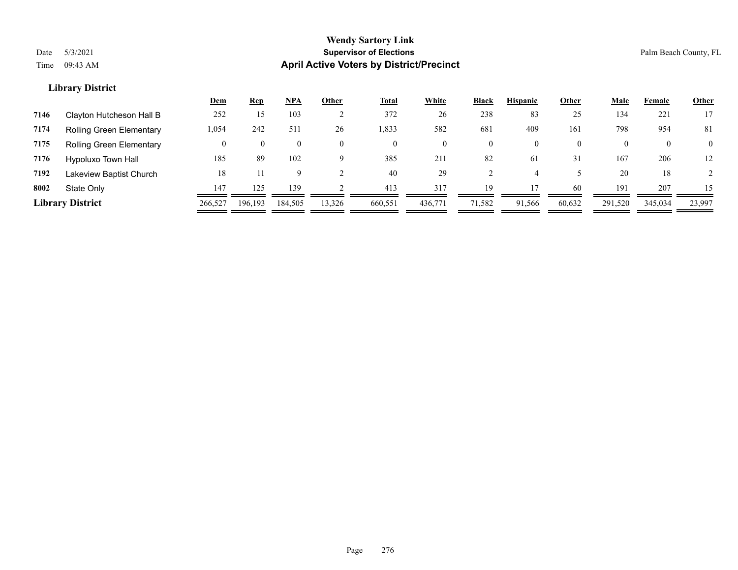|      |                                 | <u>Dem</u> | <b>Rep</b> | <b>NPA</b> | Other    | <b>Total</b> | White   | Black          | <b>Hispanic</b> | Other    | <u>Male</u> | Female   | <b>Other</b>   |
|------|---------------------------------|------------|------------|------------|----------|--------------|---------|----------------|-----------------|----------|-------------|----------|----------------|
| 7146 | Clayton Hutcheson Hall B        | 252        | 15         | 103        |          | 372          | 26      | 238            | 83              | 25       | 134         | 221      | 17             |
| 7174 | <b>Rolling Green Elementary</b> | 1,054      | 242        | 511        | 26       | 1,833        | 582     | 681            | 409             | 161      | 798         | 954      | -81            |
| 7175 | <b>Rolling Green Elementary</b> |            |            | $\bf{0}$   |          | $\mathbf{0}$ |         | $\overline{0}$ | $\overline{0}$  | $\theta$ |             | $\theta$ | $\overline{0}$ |
| 7176 | Hypoluxo Town Hall              | 185        | 89         | 102        | $\Omega$ | 385          | 211     | 82             | -61             | 31       | 167         | 206      | 12             |
| 7192 | Lakeview Baptist Church         | 18         |            | Q          |          | 40           | 29      |                |                 |          | 20          | 18       |                |
| 8002 | State Only                      | 147        | 125        | 139        |          | 413          | 317     | 19             |                 | 60       | 191         | 207      | 15             |
|      | <b>Library District</b>         | 266,527    | 196.193    | 184,505    | 13,326   | 660,551      | 436,771 | 71,582         | 91.566          | 60,632   | 291,520     | 345,034  | 23,997         |
|      |                                 |            |            |            |          |              |         |                |                 |          |             |          |                |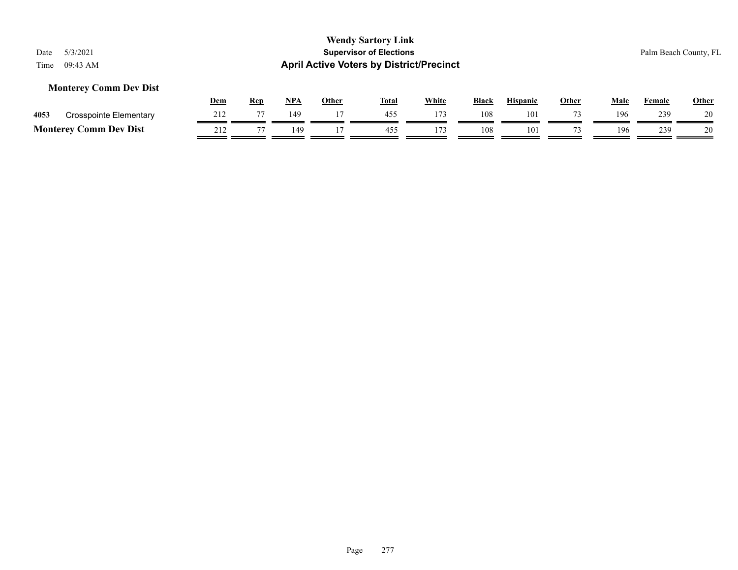### **Monterey Comm Dev Dist**

|                 |                               | Dem             | Rep            | NP/ | Other | <b>Total</b> | <b>White</b> | <b>Black</b> | <b>Hispanic</b> | Other | Male | Female | <u>Other</u> |
|-----------------|-------------------------------|-----------------|----------------|-----|-------|--------------|--------------|--------------|-----------------|-------|------|--------|--------------|
| 4053            | <b>Crosspointe Elementary</b> | .               |                | 149 |       | 455          | 173          | 108          | 101             |       | 196  | 239    | 20           |
| <b>Monterey</b> | Comm Dev Dist                 | 21 <sup>2</sup> | $\overline{ }$ | 49  |       | 455          | 173          | 108          | 101             |       | 196  | 239    | 20           |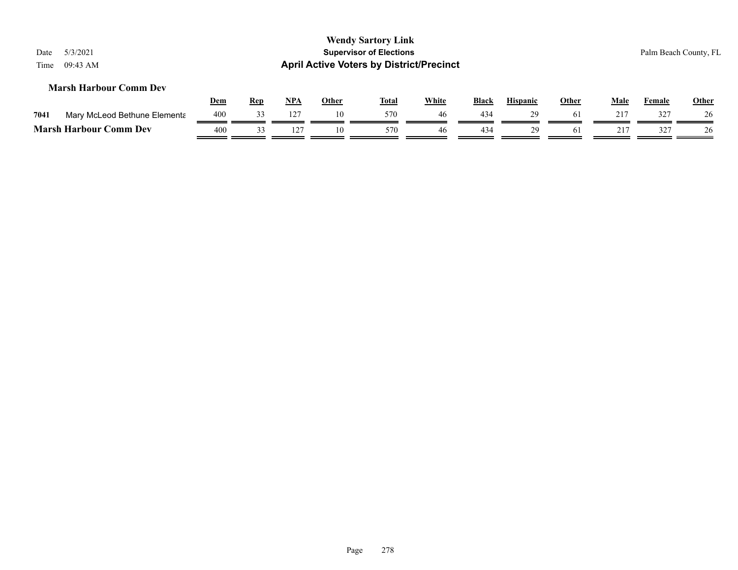| <b>Wendy Sartory Link</b><br>5/3/2021<br><b>Supervisor of Elections</b><br>Palm Beach County, FL<br>Date<br><b>April Active Voters by District/Precinct</b><br>09:43 AM<br>Time |            |            |            |              |              |              |              |                 |              |             |        |              |
|---------------------------------------------------------------------------------------------------------------------------------------------------------------------------------|------------|------------|------------|--------------|--------------|--------------|--------------|-----------------|--------------|-------------|--------|--------------|
| <b>Marsh Harbour Comm Dev</b>                                                                                                                                                   | <u>Dem</u> | <u>Rep</u> | <u>NPA</u> | <b>Other</b> | <u>Total</u> | <b>White</b> | <b>Black</b> | <b>Hispanic</b> | <b>Other</b> | <u>Male</u> | Female | <b>Other</b> |
| Mary McLeod Bethune Elementa<br>7041                                                                                                                                            | 400        | 33         | 127        | 10           | 570          | 46           | 434          | 29              | 61           | 217         | 327    | 26           |
| <b>Marsh Harbour Comm Dev</b>                                                                                                                                                   | 400        | 33         | 127        | 10           | 570          | 46           | 434          | 29              | 61           | 217         | 327    | 26           |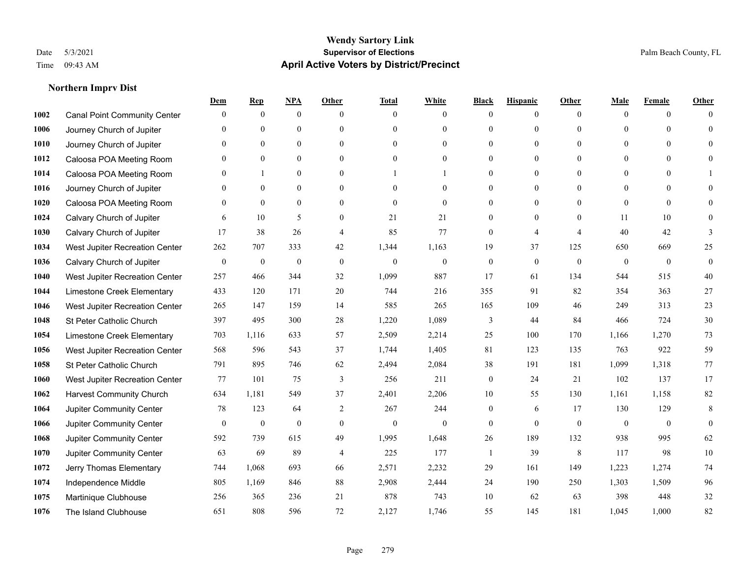### **Northern Imprv Dist**

|      |                                     | Dem              | <b>Rep</b>       | NPA              | <b>Other</b>     | <b>Total</b>     | <b>White</b>   | <b>Black</b>     | <b>Hispanic</b>  | <b>Other</b>   | Male           | <b>Female</b>  | <b>Other</b>     |
|------|-------------------------------------|------------------|------------------|------------------|------------------|------------------|----------------|------------------|------------------|----------------|----------------|----------------|------------------|
| 1002 | <b>Canal Point Community Center</b> | $\mathbf{0}$     | $\mathbf{0}$     | $\mathbf{0}$     | $\theta$         | $\theta$         | $\overline{0}$ | $\Omega$         | $\overline{0}$   | $\theta$       | $\mathbf{0}$   | $\overline{0}$ | $\Omega$         |
| 1006 | Journey Church of Jupiter           | $\Omega$         | $\mathbf{0}$     | $\mathbf{0}$     | $\theta$         | $\theta$         | $\overline{0}$ | $\theta$         | $\overline{0}$   | $\Omega$       | $\Omega$       | $\Omega$       | $\theta$         |
| 1010 | Journey Church of Jupiter           | $\Omega$         | $\theta$         | $\theta$         | $\Omega$         | $\Omega$         | $\theta$       | $\Omega$         | $\Omega$         | $\Omega$       | $\Omega$       | $\Omega$       | $\Omega$         |
| 1012 | Caloosa POA Meeting Room            | $\mathbf{0}$     | $\mathbf{0}$     | $\mathbf{0}$     | $\mathbf{0}$     | $\boldsymbol{0}$ | $\overline{0}$ | $\theta$         | $\boldsymbol{0}$ | $\theta$       | $\mathbf{0}$   | $\overline{0}$ | $\Omega$         |
| 1014 | Caloosa POA Meeting Room            | $\Omega$         | 1                | $\mathbf{0}$     | $\theta$         |                  |                | 0                | $\overline{0}$   | $\theta$       | $\theta$       | $\theta$       |                  |
| 1016 | Journey Church of Jupiter           | $\mathbf{0}$     | $\mathbf{0}$     | $\mathbf{0}$     | $\theta$         | $\theta$         | $\overline{0}$ | $\theta$         | $\overline{0}$   | $\Omega$       | $\overline{0}$ | $\Omega$       | $\Omega$         |
| 1020 | Caloosa POA Meeting Room            | $\mathbf{0}$     | $\mathbf{0}$     | $\mathbf{0}$     | $\mathbf{0}$     | $\mathbf{0}$     | $\overline{0}$ | $\overline{0}$   | $\boldsymbol{0}$ | $\theta$       | $\overline{0}$ | $\mathbf{0}$   | $\theta$         |
| 1024 | Calvary Church of Jupiter           | 6                | 10               | 5                | $\theta$         | 21               | 21             | $\overline{0}$   | $\overline{0}$   | $\theta$       | 11             | 10             | $\Omega$         |
| 1030 | Calvary Church of Jupiter           | 17               | 38               | 26               | $\overline{4}$   | 85               | 77             | $\overline{0}$   | 4                | $\overline{4}$ | 40             | 42             | 3                |
| 1034 | West Jupiter Recreation Center      | 262              | 707              | 333              | 42               | 1,344            | 1,163          | 19               | 37               | 125            | 650            | 669            | 25               |
| 1036 | Calvary Church of Jupiter           | $\boldsymbol{0}$ | $\boldsymbol{0}$ | $\boldsymbol{0}$ | $\mathbf{0}$     | $\mathbf{0}$     | $\mathbf{0}$   | $\overline{0}$   | $\overline{0}$   | $\mathbf{0}$   | $\mathbf{0}$   | $\overline{0}$ | $\boldsymbol{0}$ |
| 1040 | West Jupiter Recreation Center      | 257              | 466              | 344              | 32               | 1,099            | 887            | 17               | 61               | 134            | 544            | 515            | 40               |
| 1044 | Limestone Creek Elementary          | 433              | 120              | 171              | 20               | 744              | 216            | 355              | 91               | 82             | 354            | 363            | 27               |
| 1046 | West Jupiter Recreation Center      | 265              | 147              | 159              | 14               | 585              | 265            | 165              | 109              | 46             | 249            | 313            | 23               |
| 1048 | St Peter Catholic Church            | 397              | 495              | 300              | 28               | 1,220            | 1,089          | 3                | 44               | 84             | 466            | 724            | $30\,$           |
| 1054 | Limestone Creek Elementary          | 703              | 1,116            | 633              | 57               | 2,509            | 2,214          | 25               | 100              | 170            | 1,166          | 1,270          | 73               |
| 1056 | West Jupiter Recreation Center      | 568              | 596              | 543              | 37               | 1,744            | 1,405          | 81               | 123              | 135            | 763            | 922            | 59               |
| 1058 | St Peter Catholic Church            | 791              | 895              | 746              | 62               | 2,494            | 2,084          | 38               | 191              | 181            | 1,099          | 1,318          | 77               |
| 1060 | West Jupiter Recreation Center      | 77               | 101              | 75               | 3                | 256              | 211            | $\overline{0}$   | 24               | 21             | 102            | 137            | 17               |
| 1062 | <b>Harvest Community Church</b>     | 634              | 1.181            | 549              | 37               | 2,401            | 2,206          | 10               | 55               | 130            | 1,161          | 1,158          | 82               |
| 1064 | Jupiter Community Center            | 78               | 123              | 64               | 2                | 267              | 244            | $\overline{0}$   | 6                | 17             | 130            | 129            | 8                |
| 1066 | Jupiter Community Center            | $\boldsymbol{0}$ | $\boldsymbol{0}$ | $\boldsymbol{0}$ | $\boldsymbol{0}$ | $\boldsymbol{0}$ | $\mathbf{0}$   | $\boldsymbol{0}$ | $\mathbf{0}$     | $\mathbf{0}$   | $\mathbf{0}$   | $\overline{0}$ | $\mathbf{0}$     |
| 1068 | Jupiter Community Center            | 592              | 739              | 615              | 49               | 1,995            | 1,648          | 26               | 189              | 132            | 938            | 995            | 62               |
| 1070 | Jupiter Community Center            | 63               | 69               | 89               | $\overline{4}$   | 225              | 177            | $\mathbf{1}$     | 39               | 8              | 117            | 98             | 10               |
| 1072 | Jerry Thomas Elementary             | 744              | 1,068            | 693              | 66               | 2,571            | 2,232          | 29               | 161              | 149            | 1,223          | 1,274          | $74\,$           |
| 1074 | Independence Middle                 | 805              | 1,169            | 846              | 88               | 2,908            | 2,444          | 24               | 190              | 250            | 1,303          | 1,509          | 96               |
| 1075 | Martinique Clubhouse                | 256              | 365              | 236              | 21               | 878              | 743            | 10               | 62               | 63             | 398            | 448            | $32\,$           |
| 1076 | The Island Clubhouse                | 651              | 808              | 596              | 72               | 2,127            | 1,746          | 55               | 145              | 181            | 1,045          | 1,000          | 82               |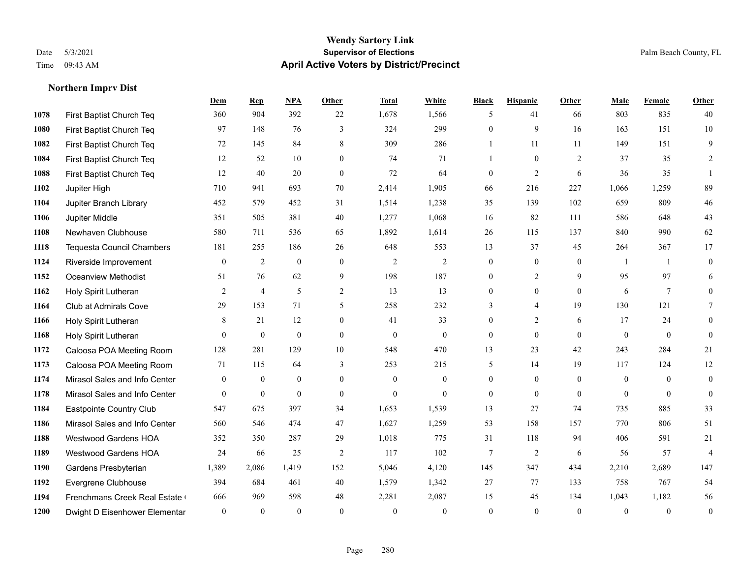### **Wendy Sartory Link** Date 5/3/2021 **Supervisor of Elections** Palm Beach County, FL Time 09:43 AM **April Active Voters by District/Precinct**

|      |                                  | Dem          | <b>Rep</b>     | <b>NPA</b>       | <b>Other</b>     | <b>Total</b>   | White          | <b>Black</b>     | <b>Hispanic</b> | <b>Other</b>   | Male         | Female          | Other            |
|------|----------------------------------|--------------|----------------|------------------|------------------|----------------|----------------|------------------|-----------------|----------------|--------------|-----------------|------------------|
| 1078 | First Baptist Church Teq         | 360          | 904            | 392              | 22               | 1,678          | 1,566          | 5                | 41              | 66             | 803          | 835             | 40               |
| 1080 | First Baptist Church Teq         | 97           | 148            | 76               | 3                | 324            | 299            | $\mathbf{0}$     | 9               | 16             | 163          | 151             | 10               |
| 1082 | First Baptist Church Teq         | 72           | 145            | 84               | 8                | 309            | 286            | 1                | 11              | 11             | 149          | 151             | 9                |
| 1084 | First Baptist Church Teq         | 12           | 52             | 10               | $\theta$         | 74             | 71             | $\mathbf{1}$     | $\theta$        | 2              | 37           | 35              | 2                |
| 1088 | First Baptist Church Teq         | 12           | 40             | 20               | $\mathbf{0}$     | 72             | 64             | $\mathbf{0}$     | $\overline{2}$  | 6              | 36           | 35              |                  |
| 1102 | Jupiter High                     | 710          | 941            | 693              | 70               | 2,414          | 1,905          | 66               | 216             | 227            | 1,066        | 1,259           | 89               |
| 1104 | Jupiter Branch Library           | 452          | 579            | 452              | 31               | 1,514          | 1,238          | 35               | 139             | 102            | 659          | 809             | $46\,$           |
| 1106 | Jupiter Middle                   | 351          | 505            | 381              | 40               | 1,277          | 1,068          | 16               | 82              | 111            | 586          | 648             | 43               |
| 1108 | Newhaven Clubhouse               | 580          | 711            | 536              | 65               | 1,892          | 1,614          | 26               | 115             | 137            | 840          | 990             | 62               |
| 1118 | <b>Tequesta Council Chambers</b> | 181          | 255            | 186              | 26               | 648            | 553            | 13               | 37              | 45             | 264          | 367             | 17               |
| 1124 | Riverside Improvement            | $\mathbf{0}$ | $\overline{c}$ | $\boldsymbol{0}$ | $\mathbf{0}$     | $\mathfrak{2}$ | $\overline{c}$ | $\boldsymbol{0}$ | $\overline{0}$  | $\overline{0}$ |              | -1              | $\boldsymbol{0}$ |
| 1152 | <b>Oceanview Methodist</b>       | 51           | 76             | 62               | 9                | 198            | 187            | 0                | $\overline{c}$  | 9              | 95           | 97              | 6                |
| 1162 | Holy Spirit Lutheran             | 2            | $\overline{4}$ | 5                | 2                | 13             | 13             | $\mathbf{0}$     | $\mathbf{0}$    | $\theta$       | 6            | $7\phantom{.0}$ | $\theta$         |
| 1164 | <b>Club at Admirals Cove</b>     | 29           | 153            | 71               | 5                | 258            | 232            | 3                | $\overline{4}$  | 19             | 130          | 121             | $\tau$           |
| 1166 | Holy Spirit Lutheran             | 8            | 21             | 12               | $\boldsymbol{0}$ | 41             | 33             | $\boldsymbol{0}$ | $\overline{2}$  | 6              | 17           | 24              | $\mathbf{0}$     |
| 1168 | Holy Spirit Lutheran             | $\Omega$     | $\overline{0}$ | $\mathbf{0}$     | $\theta$         | $\mathbf{0}$   | $\mathbf{0}$   | $\mathbf{0}$     | $\Omega$        | $\theta$       | $\mathbf{0}$ | $\theta$        | $\mathbf{0}$     |
| 1172 | Caloosa POA Meeting Room         | 128          | 281            | 129              | 10               | 548            | 470            | 13               | 23              | 42             | 243          | 284             | 21               |
| 1173 | Caloosa POA Meeting Room         | 71           | 115            | 64               | 3                | 253            | 215            | 5                | 14              | 19             | 117          | 124             | 12               |
| 1174 | Mirasol Sales and Info Center    | $\Omega$     | $\mathbf{0}$   | $\overline{0}$   | $\theta$         | $\theta$       | $\mathbf{0}$   | $\mathbf{0}$     | $\overline{0}$  | $\theta$       | $\mathbf{0}$ | $\theta$        | $\mathbf{0}$     |
| 1178 | Mirasol Sales and Info Center    | $\theta$     | $\overline{0}$ | $\overline{0}$   | $\mathbf{0}$     | $\mathbf{0}$   | $\mathbf{0}$   | $\boldsymbol{0}$ | $\mathbf{0}$    | $\mathbf{0}$   | $\theta$     | $\mathbf{0}$    | $\mathbf{0}$     |
| 1184 | Eastpointe Country Club          | 547          | 675            | 397              | 34               | 1,653          | 1,539          | 13               | 27              | 74             | 735          | 885             | 33               |
| 1186 | Mirasol Sales and Info Center    | 560          | 546            | 474              | 47               | 1,627          | 1,259          | 53               | 158             | 157            | 770          | 806             | 51               |
| 1188 | Westwood Gardens HOA             | 352          | 350            | 287              | 29               | 1,018          | 775            | 31               | 118             | 94             | 406          | 591             | 21               |
| 1189 | Westwood Gardens HOA             | 24           | 66             | 25               | 2                | 117            | 102            | 7                | $\overline{2}$  | 6              | 56           | 57              | $\overline{4}$   |
| 1190 | Gardens Presbyterian             | 1,389        | 2,086          | 1,419            | 152              | 5,046          | 4,120          | 145              | 347             | 434            | 2,210        | 2,689           | 147              |
| 1192 | Evergrene Clubhouse              | 394          | 684            | 461              | 40               | 1,579          | 1,342          | 27               | 77              | 133            | 758          | 767             | 54               |
| 1194 | Frenchmans Creek Real Estate     | 666          | 969            | 598              | 48               | 2,281          | 2,087          | 15               | 45              | 134            | 1,043        | 1,182           | 56               |
| 1200 | Dwight D Eisenhower Elementar    | $\theta$     | $\theta$       | $\theta$         | $\theta$         | $\theta$       | $\Omega$       | $\theta$         | $\theta$        | $\theta$       | $\theta$     | $\theta$        | $\boldsymbol{0}$ |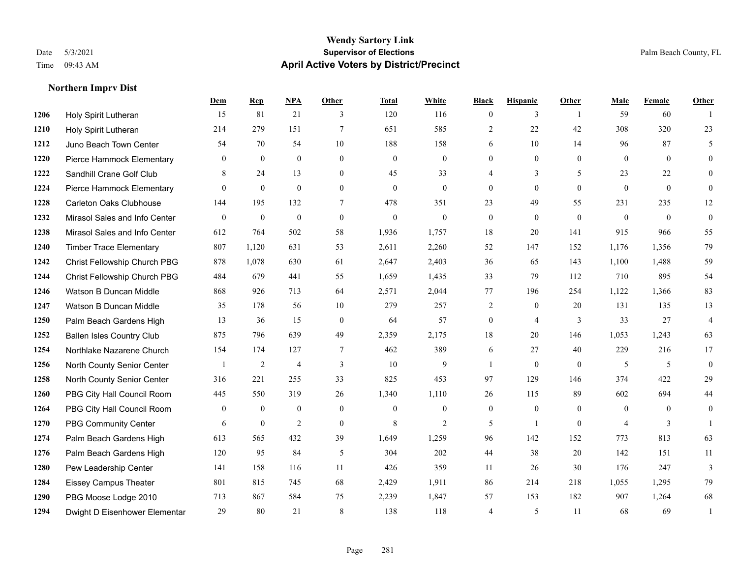#### **Wendy Sartory Link** Date 5/3/2021 **Supervisor of Elections** Palm Beach County, FL Time 09:43 AM **April Active Voters by District/Precinct**

# **Dem Rep NPA Other Total White Black Hispanic Other Male Female Other** Holy Spirit Lutheran 15 81 21 3 120 116 0 3 1 59 60 1 Holy Spirit Lutheran 214 279 151 7 651 585 2 22 42 308 320 23 Juno Beach Town Center 54 70 54 10 188 158 6 10 14 96 87 5 Pierce Hammock Elementary 0 0 0 0 0 0 0 0 0 0 0 0 **1222 Sandhill Crane Golf Club** 8 24 13 0 45 33 4 3 5 23 22 0 Pierce Hammock Elementary 0 0 0 0 0 0 0 0 0 0 0 0 Carleton Oaks Clubhouse 144 195 132 7 478 351 23 49 55 231 235 12 Mirasol Sales and Info Center 0 0 0 0 0 0 0 0 0 0 0 0 Mirasol Sales and Info Center 612 764 502 58 1,936 1,757 18 20 141 915 966 55 Timber Trace Elementary 807 1,120 631 53 2,611 2,260 52 147 152 1,176 1,356 79 Christ Fellowship Church PBG 878 1,078 630 61 2,647 2,403 36 65 143 1,100 1,488 59 Christ Fellowship Church PBG 484 679 441 55 1,659 1,435 33 79 112 710 895 54 Watson B Duncan Middle 868 926 713 64 2,571 2,044 77 196 254 1,122 1,366 83 Watson B Duncan Middle 35 178 56 10 279 257 2 0 20 131 135 13 Palm Beach Gardens High 13 36 15 0 64 57 0 4 3 33 27 4 Ballen Isles Country Club 875 796 639 49 2,359 2,175 18 20 146 1,053 1,243 63 Northlake Nazarene Church 154 174 127 7 462 389 6 27 40 229 216 17 North County Senior Center 1 2 4 3 10 9 1 0 0 5 5 5 0 North County Senior Center 316 221 255 33 825 453 97 129 146 374 422 29 PBG City Hall Council Room 445 550 319 26 1,340 1,110 26 115 89 602 694 44 PBG City Hall Council Room 0 0 0 0 0 0 0 0 0 0 0 0 PBG Community Center 6 6 0 2 0 8 2 5 1 0 4 3 1 Palm Beach Gardens High 613 565 432 39 1,649 1,259 96 142 152 773 813 63 Palm Beach Gardens High 120 95 84 5 304 202 44 38 20 142 151 11 Pew Leadership Center 141 158 116 11 426 359 11 26 30 176 247 3 Eissey Campus Theater 801 815 745 68 2,429 1,911 86 214 218 1,055 1,295 79 PBG Moose Lodge 2010 713 867 584 75 2,239 1,847 57 153 182 907 1,264 68 Dwight D Eisenhower Elementar 29 80 21 8 138 118 4 5 11 68 69 1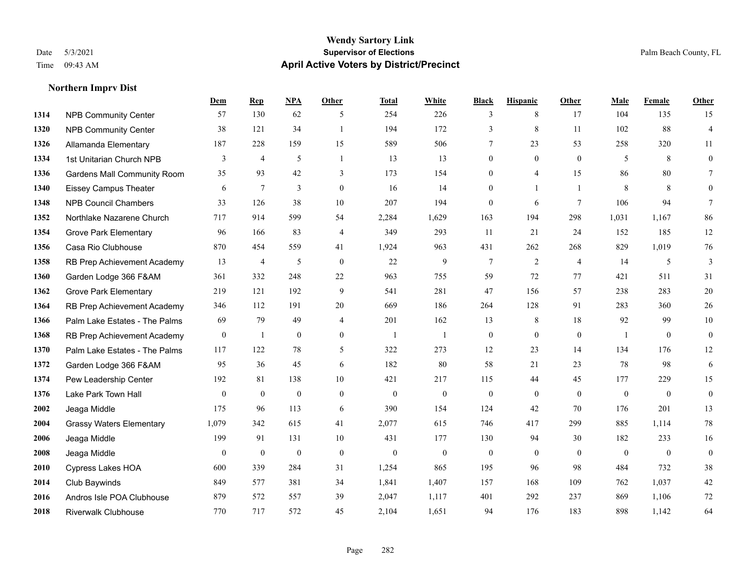#### **Wendy Sartory Link** Date 5/3/2021 **Supervisor of Elections** Palm Beach County, FL Time 09:43 AM **April Active Voters by District/Precinct**

# **Dem Rep NPA Other Total White Black Hispanic Other Male Female Other** NPB Community Center 57 130 62 5 254 226 3 8 17 104 135 15 NPB Community Center 38 121 34 1 194 172 3 8 11 102 88 4 Allamanda Elementary 187 228 159 15 589 506 7 23 53 258 320 11 1334 1st Unitarian Church NPB 3 4 5 1 13 13 0 0 0 5 8 0 Gardens Mall Community Room 35 93 42 3 173 154 0 4 15 86 80 7 Eissey Campus Theater 6 7 3 0 16 14 0 1 1 8 8 0 NPB Council Chambers 33 126 38 10 207 194 0 6 7 106 94 7 Northlake Nazarene Church 717 914 599 54 2,284 1,629 163 194 298 1,031 1,167 86 Grove Park Elementary 96 166 83 4 349 293 11 21 24 152 185 12 Casa Rio Clubhouse 870 454 559 41 1,924 963 431 262 268 829 1,019 76 RB Prep Achievement Academy 13 4 5 0 22 9 7 2 4 14 5 3 Garden Lodge 366 F&AM 361 332 248 22 963 755 59 72 77 421 511 31 Grove Park Elementary 219 121 192 9 541 281 47 156 57 238 283 20 RB Prep Achievement Academy 346 112 191 20 669 186 264 128 91 283 360 26 Palm Lake Estates - The Palms 69 79 49 4 201 162 13 8 18 92 99 10 RB Prep Achievement Academy 0 1 0 0 1 1 1 0 0 0 0 1 0 0 0 Palm Lake Estates - The Palms 117 122 78 5 322 273 12 23 14 134 176 12 Garden Lodge 366 F&AM 95 36 45 6 182 80 58 21 23 78 98 6 Pew Leadership Center 192 81 138 10 421 217 115 44 45 177 229 15 Lake Park Town Hall 0 0 0 0 0 0 0 0 0 0 0 0 Jeaga Middle 175 96 113 6 390 154 124 42 70 176 201 13 Grassy Waters Elementary 1,079 342 615 41 2,077 615 746 417 299 885 1,114 78 Jeaga Middle 199 91 131 10 431 177 130 94 30 182 233 16 Jeaga Middle 0 0 0 0 0 0 0 0 0 0 0 0 Cypress Lakes HOA 600 339 284 31 1,254 865 195 96 98 484 732 38 Club Baywinds 849 577 381 34 1,841 1,407 157 168 109 762 1,037 42 Andros Isle POA Clubhouse 879 572 557 39 2,047 1,117 401 292 237 869 1,106 72 Riverwalk Clubhouse 770 717 572 45 2,104 1,651 94 176 183 898 1,142 64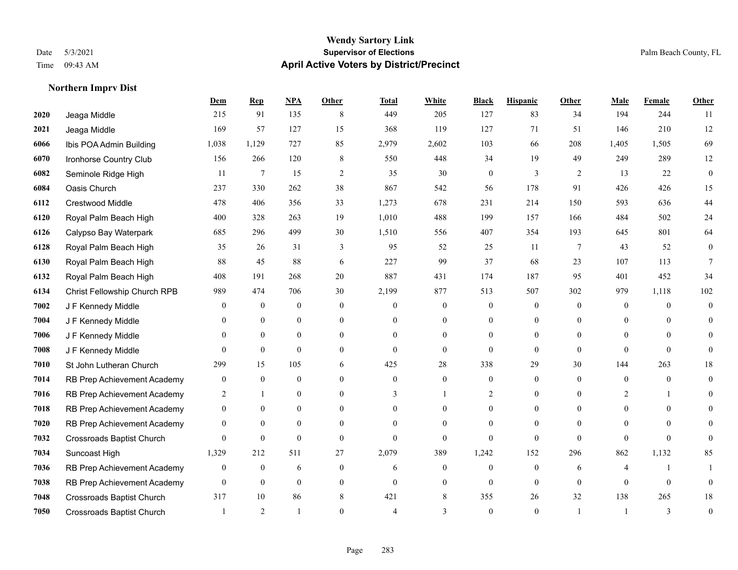#### **Wendy Sartory Link** Date 5/3/2021 **Supervisor of Elections** Palm Beach County, FL Time 09:43 AM **April Active Voters by District/Precinct**

# **Dem Rep NPA Other Total White Black Hispanic Other Male Female Other** Jeaga Middle 215 91 135 8 449 205 127 83 34 194 244 11 Jeaga Middle 169 57 127 15 368 119 127 71 51 146 210 12 Ibis POA Admin Building 1,038 1,129 727 85 2,979 2,602 103 66 208 1,405 1,505 69 Ironhorse Country Club 156 266 120 8 550 448 34 19 49 249 289 12 Seminole Ridge High 11 7 15 2 35 30 0 3 2 13 22 0 Oasis Church 237 330 262 38 867 542 56 178 91 426 426 15 Crestwood Middle 478 406 356 33 1,273 678 231 214 150 593 636 44 Royal Palm Beach High 400 328 263 19 1,010 488 199 157 166 484 502 24 Calypso Bay Waterpark 685 296 499 30 1,510 556 407 354 193 645 801 64 Royal Palm Beach High 35 26 31 3 95 52 25 11 7 43 52 0 Royal Palm Beach High 88 45 88 6 227 99 37 68 23 107 113 7 Royal Palm Beach High 408 191 268 20 887 431 174 187 95 401 452 34 Christ Fellowship Church RPB 989 474 706 30 2,199 877 513 507 302 979 1,118 102 J F Kennedy Middle 0 0 0 0 0 0 0 0 0 0 0 0 J F Kennedy Middle 0 0 0 0 0 0 0 0 0 0 0 0 J F Kennedy Middle 0 0 0 0 0 0 0 0 0 0 0 0 J F Kennedy Middle 0 0 0 0 0 0 0 0 0 0 St John Lutheran Church 299 15 105 6 425 28 338 29 30 144 263 18 RB Prep Achievement Academy 0 0 0 0 0 0 0 0 0 0 0 0 RB Prep Achievement Academy 2 1 0 0 3 1 2 0 0 2 1 0 RB Prep Achievement Academy 0 0 0 0 0 0 0 0 0 0 0 0 RB Prep Achievement Academy 0 0 0 0 0 0 0 0 0 0 0 0 Crossroads Baptist Church 0 0 0 0 0 0 0 0 0 0 0 0 Suncoast High 1,329 212 511 27 2,079 389 1,242 152 296 862 1,132 85 RB Prep Achievement Academy 0 0 0 6 0 0 6 0 0 0 0 6 4 1 1 RB Prep Achievement Academy 0 0 0 0 0 0 0 0 0 0 0 0 Crossroads Baptist Church 317 10 86 8 421 8 355 26 32 138 265 18 Crossroads Baptist Church 1 2 1 0 4 3 0 1 1 3 0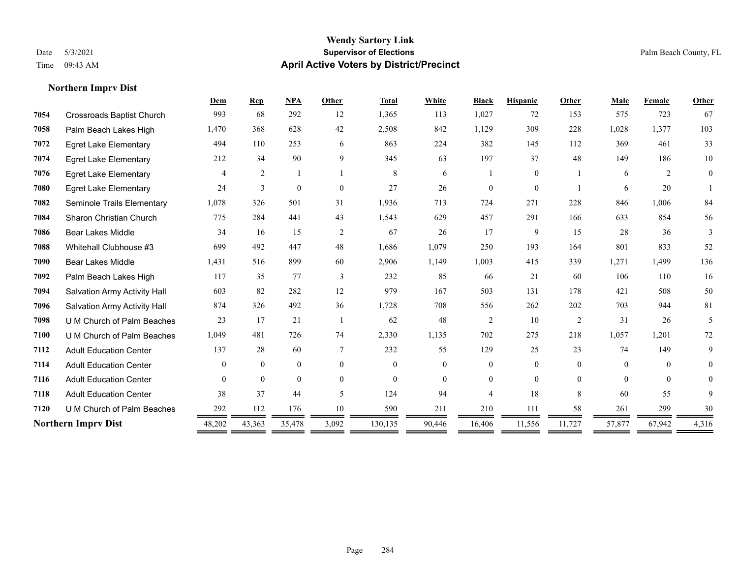### **Wendy Sartory Link** Date 5/3/2021 **Supervisor of Elections** Palm Beach County, FL Time 09:43 AM **April Active Voters by District/Precinct**

|      |                                  | Dem            | <b>Rep</b>     | <b>NPA</b>   | Other        | <b>Total</b> | White    | <b>Black</b>   | <b>Hispanic</b> | Other          | Male     | Female         | Other          |
|------|----------------------------------|----------------|----------------|--------------|--------------|--------------|----------|----------------|-----------------|----------------|----------|----------------|----------------|
| 7054 | <b>Crossroads Baptist Church</b> | 993            | 68             | 292          | 12           | 1,365        | 113      | 1,027          | 72              | 153            | 575      | 723            | 67             |
| 7058 | Palm Beach Lakes High            | 1,470          | 368            | 628          | 42           | 2,508        | 842      | 1,129          | 309             | 228            | 1,028    | 1,377          | 103            |
| 7072 | <b>Egret Lake Elementary</b>     | 494            | 110            | 253          | 6            | 863          | 224      | 382            | 145             | 112            | 369      | 461            | 33             |
| 7074 | <b>Egret Lake Elementary</b>     | 212            | 34             | 90           | 9            | 345          | 63       | 197            | 37              | 48             | 149      | 186            | $10\,$         |
| 7076 | <b>Egret Lake Elementary</b>     | $\overline{4}$ | 2              |              |              | 8            | 6        |                | $\theta$        |                | 6        | $\mathfrak{D}$ | $\overline{0}$ |
| 7080 | <b>Egret Lake Elementary</b>     | 24             | 3              | $\mathbf{0}$ | $\mathbf{0}$ | 27           | 26       | $\Omega$       | $\mathbf{0}$    |                | 6        | 20             |                |
| 7082 | Seminole Trails Elementary       | 1,078          | 326            | 501          | 31           | 1,936        | 713      | 724            | 271             | 228            | 846      | 1,006          | 84             |
| 7084 | Sharon Christian Church          | 775            | 284            | 441          | 43           | 1,543        | 629      | 457            | 291             | 166            | 633      | 854            | 56             |
| 7086 | <b>Bear Lakes Middle</b>         | 34             | 16             | 15           | 2            | 67           | 26       | 17             | 9               | 15             | 28       | 36             | 3              |
| 7088 | Whitehall Clubhouse #3           | 699            | 492            | 447          | 48           | 1,686        | 1,079    | 250            | 193             | 164            | 801      | 833            | 52             |
| 7090 | Bear Lakes Middle                | 1,431          | 516            | 899          | 60           | 2,906        | 1,149    | 1,003          | 415             | 339            | 1,271    | 1,499          | 136            |
| 7092 | Palm Beach Lakes High            | 117            | 35             | 77           | 3            | 232          | 85       | 66             | 21              | 60             | 106      | 110            | 16             |
| 7094 | Salvation Army Activity Hall     | 603            | 82             | 282          | 12           | 979          | 167      | 503            | 131             | 178            | 421      | 508            | 50             |
| 7096 | Salvation Army Activity Hall     | 874            | 326            | 492          | 36           | 1,728        | 708      | 556            | 262             | 202            | 703      | 944            | 81             |
| 7098 | U M Church of Palm Beaches       | 23             | 17             | 21           |              | 62           | 48       | 2              | 10              | $\overline{c}$ | 31       | 26             | 5              |
| 7100 | U M Church of Palm Beaches       | 1,049          | 481            | 726          | 74           | 2,330        | 1,135    | 702            | 275             | 218            | 1,057    | 1,201          | 72             |
| 7112 | <b>Adult Education Center</b>    | 137            | 28             | 60           | 7            | 232          | 55       | 129            | 25              | 23             | 74       | 149            | 9              |
| 7114 | <b>Adult Education Center</b>    | $\theta$       | $\theta$       | $\mathbf{0}$ | $\Omega$     | $\mathbf{0}$ | $\theta$ | $\Omega$       | $\theta$        | $\Omega$       | $\theta$ | $\theta$       | $\Omega$       |
| 7116 | <b>Adult Education Center</b>    | $\theta$       | $\overline{0}$ | $\mathbf{0}$ | $\Omega$     | $\theta$     | $\theta$ | $\theta$       | $\theta$        | $\Omega$       | $\theta$ | $\mathbf{0}$   |                |
| 7118 | <b>Adult Education Center</b>    | 38             | 37             | 44           | $\sim$       | 124          | 94       | $\overline{4}$ | 18              | 8              | 60       | 55             | 9              |
| 7120 | U M Church of Palm Beaches       | 292            | 112            | 176          | 10           | 590          | 211      | 210            | 111             | 58             | 261      | 299            | 30             |
|      | <b>Northern Imprv Dist</b>       | 48,202         | 43,363         | 35,478       | 3,092        | 130,135      | 90,446   | 16,406         | 11,556          | 11,727         | 57,877   | 67,942         | 4,316          |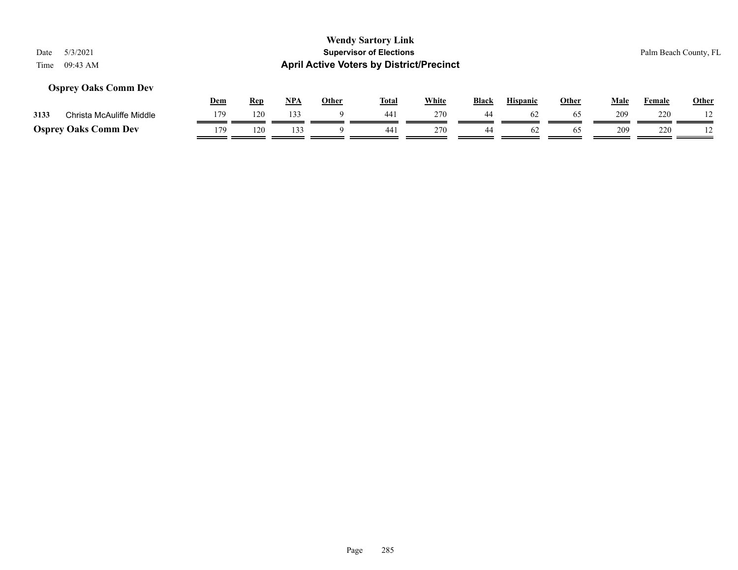## **Osprey Oaks Comm Dev**

|      |                             | Dem | <b>Rep</b> | <b>NPA</b> | Other | Tota. | White | <b>Black</b> | <b>Hispanic</b> | Other | Male | Female | <b>Other</b> |
|------|-----------------------------|-----|------------|------------|-------|-------|-------|--------------|-----------------|-------|------|--------|--------------|
| 3133 | Christa McAuliffe Middle    | 17Q | 120        | 133        |       | 441   | 270   |              | ωZ              | -65   | 209  | 220    |              |
|      | <b>Osprey Oaks Comm Dev</b> | 179 | 120        |            |       | 44    | 270   |              | OZ.             | 65    | 209  | 220    |              |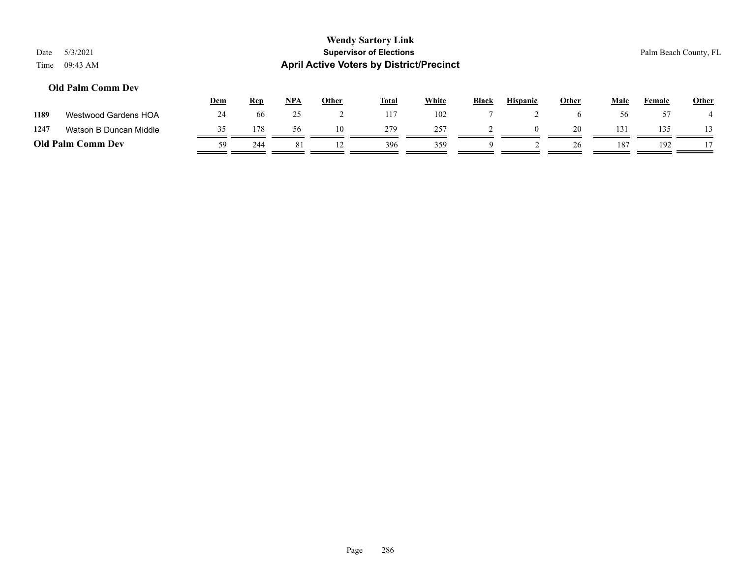### **Old Palm Comm Dev**

|                          |                        | <u>Dem</u> | <u>Rep</u> | <b>NPA</b> | Other | <b>Total</b> | White | <b>Black</b> | <b>Hispanic</b> | Other | Male | Female | <b>Other</b> |
|--------------------------|------------------------|------------|------------|------------|-------|--------------|-------|--------------|-----------------|-------|------|--------|--------------|
| 1189                     | Westwood Gardens HOA   | 24         | 66         |            |       | 117          | 102   |              |                 |       |      |        |              |
| 1247                     | Watson B Duncan Middle |            | 178        | 56         | 10    | 279          | 257   |              |                 | 20    | 131  | 135    |              |
| <b>Old Palm Comm Dev</b> |                        | 59         | 244        | 81         |       | 396          | 359   |              |                 | 26    | 187  | 192    |              |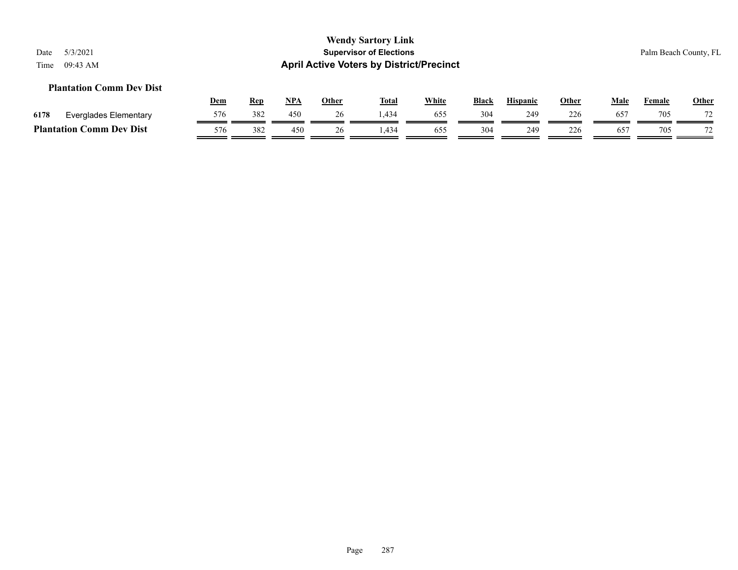## **Plantation Comm Dev Dist**

|      |                                              | Dem | Rep | <b>NPA</b> | Other | <b>Total</b> | White | <b>Black</b> | <b>Hispanic</b> | Other | Male         | Female | <b>Other</b>   |
|------|----------------------------------------------|-----|-----|------------|-------|--------------|-------|--------------|-----------------|-------|--------------|--------|----------------|
| 6178 | Everglades Elementary                        | 576 | 382 | 450        |       |              | 655   | 304          | 249             | 226   | $65^{\circ}$ | 705    | 70             |
|      | <b>Plantation (</b><br>C <b>omm Dev Dist</b> | 576 | 382 | 450        | 26    | 434          | 655   | 304          | 249             | 226   | $65^{\circ}$ | 705    | $\overline{ }$ |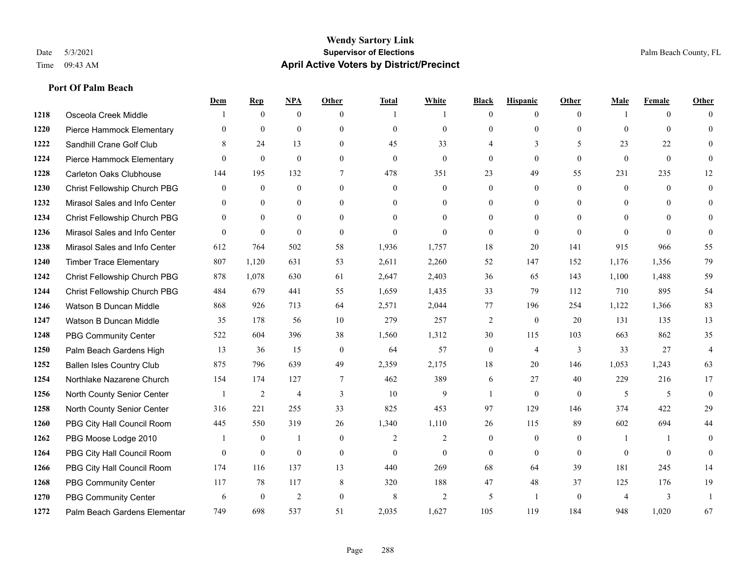## **Port Of Palm Beach**

|      |                                  | Dem          | <b>Rep</b>   | NPA            | <b>Other</b>   | <b>Total</b> | <b>White</b>   | <b>Black</b>     | <b>Hispanic</b> | <b>Other</b> | <b>Male</b>    | <b>Female</b>  | <b>Other</b>   |
|------|----------------------------------|--------------|--------------|----------------|----------------|--------------|----------------|------------------|-----------------|--------------|----------------|----------------|----------------|
| 1218 | Osceola Creek Middle             |              | $\mathbf{0}$ | $\mathbf{0}$   | $\theta$       |              | $\overline{1}$ | $\mathbf{0}$     | $\overline{0}$  | $\theta$     |                | $\overline{0}$ | $\Omega$       |
| 1220 | Pierce Hammock Elementary        | $\mathbf{0}$ | $\theta$     | $\mathbf{0}$   | $\Omega$       | $\theta$     | $\mathbf{0}$   | $\theta$         | $\mathbf{0}$    | $\theta$     | $\theta$       | $\theta$       | $\Omega$       |
| 1222 | Sandhill Crane Golf Club         | 8            | 24           | 13             | $\Omega$       | 45           | 33             | 4                | 3               | 5            | 23             | 22             | $\Omega$       |
| 1224 | Pierce Hammock Elementary        | $\mathbf{0}$ | $\mathbf{0}$ | $\mathbf{0}$   | $\overline{0}$ | $\mathbf{0}$ | $\overline{0}$ | $\boldsymbol{0}$ | $\mathbf{0}$    | $\mathbf{0}$ | $\mathbf{0}$   | $\mathbf{0}$   | $\Omega$       |
| 1228 | <b>Carleton Oaks Clubhouse</b>   | 144          | 195          | 132            | 7              | 478          | 351            | 23               | 49              | 55           | 231            | 235            | 12             |
| 1230 | Christ Fellowship Church PBG     | $\mathbf{0}$ | $\mathbf{0}$ | $\mathbf{0}$   | $\Omega$       | $\mathbf{0}$ | $\overline{0}$ | $\mathbf{0}$     | $\mathbf{0}$    | $\theta$     | $\mathbf{0}$   | $\theta$       | $\Omega$       |
| 1232 | Mirasol Sales and Info Center    | $\theta$     | $\theta$     | $\overline{0}$ | $\Omega$       | $\Omega$     | $\overline{0}$ | $\mathbf{0}$     | $\mathbf{0}$    | $\theta$     | $\theta$       | $\Omega$       | $\Omega$       |
| 1234 | Christ Fellowship Church PBG     | $\theta$     | $\mathbf{0}$ | $\overline{0}$ | $\Omega$       | $\Omega$     | $\overline{0}$ | $\mathbf{0}$     | $\overline{0}$  | $\theta$     | $\theta$       | $\Omega$       |                |
| 1236 | Mirasol Sales and Info Center    | $\theta$     | $\mathbf{0}$ | $\mathbf{0}$   | $\overline{0}$ | $\mathbf{0}$ | $\overline{0}$ | $\mathbf{0}$     | $\mathbf{0}$    | $\mathbf{0}$ | $\theta$       | $\theta$       | $\Omega$       |
| 1238 | Mirasol Sales and Info Center    | 612          | 764          | 502            | 58             | 1,936        | 1,757          | 18               | 20              | 141          | 915            | 966            | 55             |
| 1240 | <b>Timber Trace Elementary</b>   | 807          | 1,120        | 631            | 53             | 2,611        | 2,260          | 52               | 147             | 152          | 1,176          | 1,356          | 79             |
| 1242 | Christ Fellowship Church PBG     | 878          | 1,078        | 630            | 61             | 2,647        | 2,403          | 36               | 65              | 143          | 1,100          | 1,488          | 59             |
| 1244 | Christ Fellowship Church PBG     | 484          | 679          | 441            | 55             | 1,659        | 1,435          | 33               | 79              | 112          | 710            | 895            | 54             |
| 1246 | Watson B Duncan Middle           | 868          | 926          | 713            | 64             | 2,571        | 2,044          | 77               | 196             | 254          | 1,122          | 1,366          | 83             |
| 1247 | Watson B Duncan Middle           | 35           | 178          | 56             | 10             | 279          | 257            | $\overline{c}$   | $\mathbf{0}$    | 20           | 131            | 135            | 13             |
| 1248 | PBG Community Center             | 522          | 604          | 396            | 38             | 1,560        | 1,312          | 30               | 115             | 103          | 663            | 862            | 35             |
| 1250 | Palm Beach Gardens High          | 13           | 36           | 15             | $\mathbf{0}$   | 64           | 57             | $\boldsymbol{0}$ | $\overline{4}$  | 3            | 33             | 27             | $\overline{4}$ |
| 1252 | <b>Ballen Isles Country Club</b> | 875          | 796          | 639            | 49             | 2,359        | 2,175          | 18               | 20              | 146          | 1,053          | 1,243          | 63             |
| 1254 | Northlake Nazarene Church        | 154          | 174          | 127            | $\tau$         | 462          | 389            | 6                | 27              | 40           | 229            | 216            | 17             |
| 1256 | North County Senior Center       | $\mathbf{1}$ | 2            | $\overline{4}$ | 3              | 10           | 9              | $\mathbf{1}$     | $\theta$        | $\theta$     | 5              | 5              | $\theta$       |
| 1258 | North County Senior Center       | 316          | 221          | 255            | 33             | 825          | 453            | 97               | 129             | 146          | 374            | 422            | 29             |
| 1260 | PBG City Hall Council Room       | 445          | 550          | 319            | 26             | 1,340        | 1,110          | 26               | 115             | 89           | 602            | 694            | 44             |
| 1262 | PBG Moose Lodge 2010             |              | $\mathbf{0}$ | 1              | $\overline{0}$ | 2            | 2              | $\mathbf{0}$     | $\mathbf{0}$    | $\theta$     | 1              | $\overline{1}$ | $\Omega$       |
| 1264 | PBG City Hall Council Room       | $\theta$     | $\mathbf{0}$ | $\mathbf{0}$   | $\Omega$       | $\theta$     | $\overline{0}$ | $\mathbf{0}$     | $\theta$        | $\theta$     | $\theta$       | $\theta$       | $\theta$       |
| 1266 | PBG City Hall Council Room       | 174          | 116          | 137            | 13             | 440          | 269            | 68               | 64              | 39           | 181            | 245            | 14             |
| 1268 | <b>PBG Community Center</b>      | 117          | 78           | 117            | 8              | 320          | 188            | 47               | 48              | 37           | 125            | 176            | 19             |
| 1270 | <b>PBG Community Center</b>      | 6            | $\mathbf{0}$ | $\overline{2}$ | $\Omega$       | 8            | $\overline{2}$ | 5                | -1              | $\theta$     | $\overline{4}$ | 3              |                |
| 1272 | Palm Beach Gardens Elementar     | 749          | 698          | 537            | 51             | 2,035        | 1,627          | 105              | 119             | 184          | 948            | 1,020          | 67             |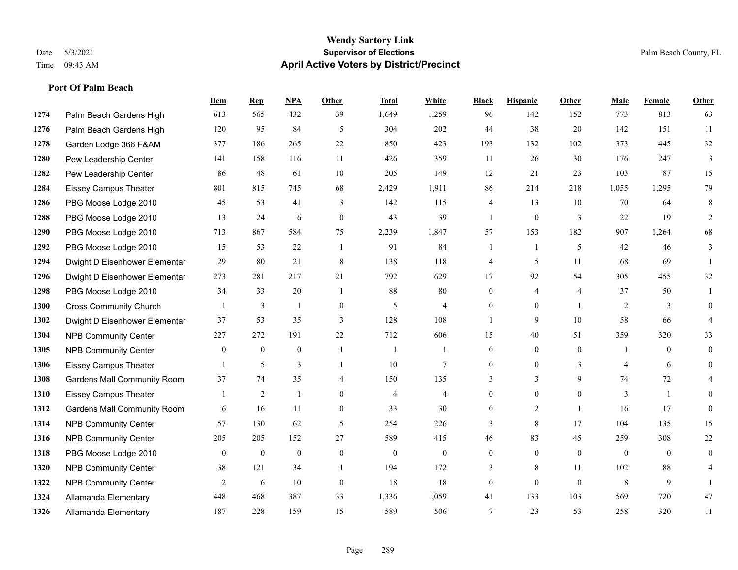#### **Wendy Sartory Link** Date 5/3/2021 **Supervisor of Elections** Palm Beach County, FL Time 09:43 AM **April Active Voters by District/Precinct**

# **Dem Rep NPA Other Total White Black Hispanic Other Male Female Other** Palm Beach Gardens High 613 565 432 39 1,649 1,259 96 142 152 773 813 63 Palm Beach Gardens High 120 95 84 5 304 202 44 38 20 142 151 11 Garden Lodge 366 F&AM 377 186 265 22 850 423 193 132 102 373 445 32 Pew Leadership Center 141 158 116 11 426 359 11 26 30 176 247 3 Pew Leadership Center 86 48 61 10 205 149 12 21 23 103 87 15 Eissey Campus Theater 801 815 745 68 2,429 1,911 86 214 218 1,055 1,295 79 PBG Moose Lodge 2010 45 53 41 3 142 115 4 13 10 70 64 8 PBG Moose Lodge 2010 13 24 6 0 43 39 1 0 3 22 19 2 PBG Moose Lodge 2010 713 867 584 75 2,239 1,847 57 153 182 907 1,264 68 PBG Moose Lodge 2010 15 53 22 1 91 84 1 1 5 42 46 3 Dwight D Eisenhower Elementar 29 80 21 8 138 118 4 5 11 68 69 1 Dwight D Eisenhower Elementar 273 281 217 21 792 629 17 92 54 305 455 32 PBG Moose Lodge 2010 34 33 20 1 88 80 0 4 4 37 50 1 Cross Community Church 1 3 1 0 5 4 0 0 1 2 3 0 Dwight D Eisenhower Elementar 37 53 35 3 128 108 1 9 10 58 66 4 NPB Community Center 227 272 191 22 712 606 15 40 51 359 320 33 NPB Community Center 0 0 0 1 1 1 0 0 0 1 0 0 Eissey Campus Theater 1 5 3 1 10 7 0 0 3 4 6 0 Gardens Mall Community Room 37 74 35 4 150 135 3 3 9 74 72 4 Eissey Campus Theater 1 2 1 0 4 4 0 0 0 3 1 0 Gardens Mall Community Room 6 16 11 0 33 30 0 2 1 16 17 0 NPB Community Center 57 130 62 5 254 226 3 8 17 104 135 15 NPB Community Center 205 205 152 27 589 415 46 83 45 259 308 22 PBG Moose Lodge 2010 0 0 0 0 0 0 0 0 0 0 0 0 **1320 NPB Community Center** 38 121 34 1 194 172 3 8 11 102 88 4 **1322 NPB Community Center**  $\begin{array}{cccccccc} 2 & 6 & 10 & 0 & 18 & 18 & 0 & 0 & 8 & 9 & 1 \end{array}$  Allamanda Elementary 448 468 387 33 1,336 1,059 41 133 103 569 720 47 Allamanda Elementary 187 228 159 15 589 506 7 23 53 258 320 11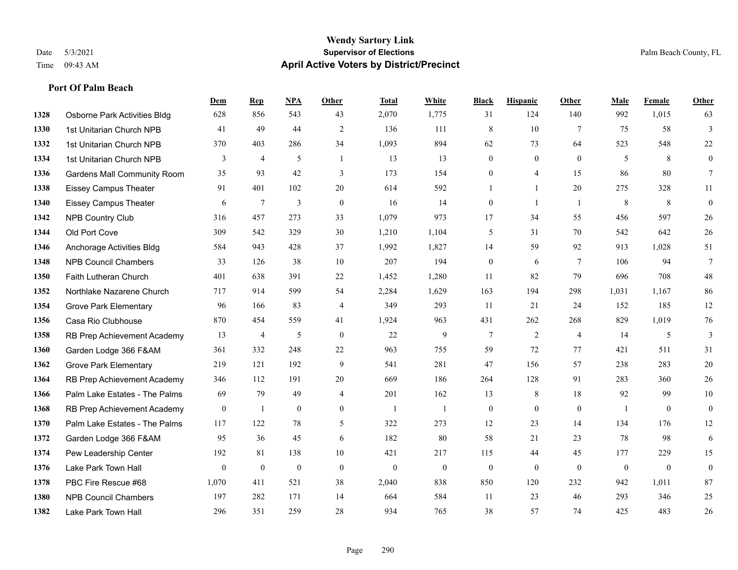#### **Wendy Sartory Link** Date 5/3/2021 **Supervisor of Elections** Palm Beach County, FL Time 09:43 AM **April Active Voters by District/Precinct**

# **Dem Rep NPA Other Total White Black Hispanic Other Male Female Other** Osborne Park Activities Bldg 628 856 543 43 2,070 1,775 31 124 140 992 1,015 63 1st Unitarian Church NPB 41 49 44 2 136 111 8 10 7 75 58 3 1st Unitarian Church NPB 370 403 286 34 1,093 894 62 73 64 523 548 22 1st Unitarian Church NPB 3 4 5 1 13 13 0 0 0 5 8 0 Gardens Mall Community Room 35 93 42 3 173 154 0 4 15 86 80 7 Eissey Campus Theater 91 401 102 20 614 592 1 1 20 275 328 11 Eissey Campus Theater 6 7 3 0 16 14 0 1 1 8 8 0 NPB Country Club 316 457 273 33 1,079 973 17 34 55 456 597 26 Old Port Cove 309 542 329 30 1,210 1,104 5 31 70 542 642 26 Anchorage Activities Bldg 584 943 428 37 1,992 1,827 14 59 92 913 1,028 51 NPB Council Chambers 33 126 38 10 207 194 0 6 7 106 94 7 Faith Lutheran Church 401 638 391 22 1,452 1,280 11 82 79 696 708 48 Northlake Nazarene Church 717 914 599 54 2,284 1,629 163 194 298 1,031 1,167 86 Grove Park Elementary 96 166 83 4 349 293 11 21 24 152 185 12 Casa Rio Clubhouse 870 454 559 41 1,924 963 431 262 268 829 1,019 76 RB Prep Achievement Academy 13 4 5 0 22 9 7 2 4 14 5 3 Garden Lodge 366 F&AM 361 332 248 22 963 755 59 72 77 421 511 31 Grove Park Elementary 219 121 192 9 541 281 47 156 57 238 283 20 RB Prep Achievement Academy 346 112 191 20 669 186 264 128 91 283 360 26 Palm Lake Estates - The Palms 69 79 49 4 201 162 13 8 18 92 99 10 1368 RB Prep Achievement Academy 0 1 0 0 1 1 1 0 0 0 1 0 0 0 Palm Lake Estates - The Palms 117 122 78 5 322 273 12 23 14 134 176 12 Garden Lodge 366 F&AM 95 36 45 6 182 80 58 21 23 78 98 6 Pew Leadership Center 192 81 138 10 421 217 115 44 45 177 229 15 Lake Park Town Hall 0 0 0 0 0 0 0 0 0 0 0 0 PBC Fire Rescue #68 1,070 411 521 38 2,040 838 850 120 232 942 1,011 87 NPB Council Chambers 197 282 171 14 664 584 11 23 46 293 346 25

Lake Park Town Hall 296 351 259 28 934 765 38 57 74 425 483 26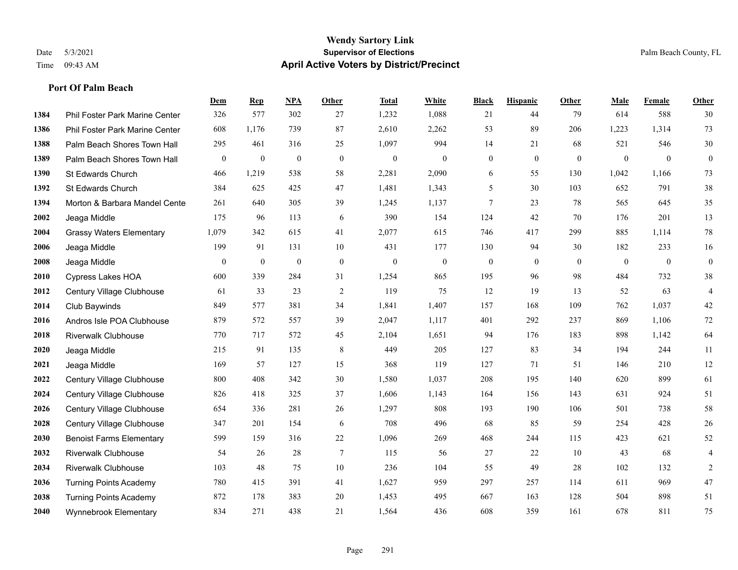#### **Wendy Sartory Link** Date 5/3/2021 **Supervisor of Elections** Palm Beach County, FL Time 09:43 AM **April Active Voters by District/Precinct**

# **Dem Rep NPA Other Total White Black Hispanic Other Male Female Other** Phil Foster Park Marine Center 326 577 302 27 1,232 1,088 21 44 79 614 588 30 Phil Foster Park Marine Center 608 1,176 739 87 2,610 2,262 53 89 206 1,223 1,314 73 Palm Beach Shores Town Hall 295 461 316 25 1,097 994 14 21 68 521 546 30 Palm Beach Shores Town Hall 0 0 0 0 0 0 0 0 0 0 0 0 St Edwards Church 466 1,219 538 58 2,281 2,090 6 55 130 1,042 1,166 73 St Edwards Church 384 625 425 47 1,481 1,343 5 30 103 652 791 38 **1394 Morton & Barbara Mandel Cente** 261 640 305 39 1,245 1,137 7 23 78 565 645 35 Jeaga Middle 175 96 113 6 390 154 124 42 70 176 201 13 Grassy Waters Elementary 1,079 342 615 41 2,077 615 746 417 299 885 1,114 78 Jeaga Middle 199 91 131 10 431 177 130 94 30 182 233 16 Jeaga Middle 0 0 0 0 0 0 0 0 0 0 0 0 Cypress Lakes HOA 600 339 284 31 1,254 865 195 96 98 484 732 38 Century Village Clubhouse 61 33 23 2 119 75 12 19 13 52 63 4 Club Baywinds 849 577 381 34 1,841 1,407 157 168 109 762 1,037 42 Andros Isle POA Clubhouse 879 572 557 39 2,047 1,117 401 292 237 869 1,106 72 Riverwalk Clubhouse 770 717 572 45 2,104 1,651 94 176 183 898 1,142 64 Jeaga Middle 215 91 135 8 449 205 127 83 34 194 244 11 Jeaga Middle 169 57 127 15 368 119 127 71 51 146 210 12 Century Village Clubhouse 800 408 342 30 1,580 1,037 208 195 140 620 899 61 Century Village Clubhouse 826 418 325 37 1,606 1,143 164 156 143 631 924 51 Century Village Clubhouse 654 336 281 26 1,297 808 193 190 106 501 738 58 Century Village Clubhouse 347 201 154 6 708 496 68 85 59 254 428 26 Benoist Farms Elementary 599 159 316 22 1,096 269 468 244 115 423 621 52 Riverwalk Clubhouse 54 26 28 7 115 56 27 22 10 43 68 4 Riverwalk Clubhouse 103 48 75 10 236 104 55 49 28 102 132 2 Turning Points Academy 780 415 391 41 1,627 959 297 257 114 611 969 47 Turning Points Academy 872 178 383 20 1,453 495 667 163 128 504 898 51 Wynnebrook Elementary 834 271 438 21 1,564 436 608 359 161 678 811 75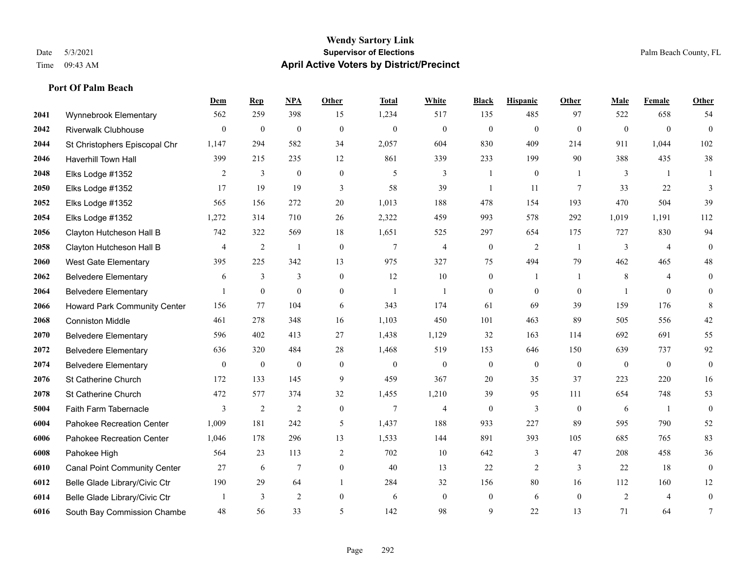#### **Wendy Sartory Link** Date 5/3/2021 **Supervisor of Elections** Palm Beach County, FL Time 09:43 AM **April Active Voters by District/Precinct**

# **Dem Rep NPA Other Total White Black Hispanic Other Male Female Other** Wynnebrook Elementary 562 259 398 15 1,234 517 135 485 97 522 658 54 Riverwalk Clubhouse 0 0 0 0 0 0 0 0 0 0 0 0 St Christophers Episcopal Chr 1,147 294 582 34 2,057 604 830 409 214 911 1,044 102 Haverhill Town Hall 399 215 235 12 861 339 233 199 90 388 435 38 Elks Lodge #1352 2 3 0 0 5 3 1 0 1 3 1 1 Elks Lodge #1352 17 19 19 3 58 39 1 11 7 33 22 3 Elks Lodge #1352 565 156 272 20 1,013 188 478 154 193 470 504 39 Elks Lodge #1352 1,272 314 710 26 2,322 459 993 578 292 1,019 1,191 112 Clayton Hutcheson Hall B 742 322 569 18 1,651 525 297 654 175 727 830 94 Clayton Hutcheson Hall B 4 2 1 0 7 4 0 2 1 3 4 0 West Gate Elementary 395 225 342 13 975 327 75 494 79 462 465 48 Belvedere Elementary 6 3 3 0 12 10 0 1 1 8 4 0 Belvedere Elementary 1 0 0 0 1 1 0 0 0 1 0 0 Howard Park Community Center 156 77 104 6 343 174 61 69 39 159 176 8 Conniston Middle 461 278 348 16 1,103 450 101 463 89 505 556 42 Belvedere Elementary 596 402 413 27 1,438 1,129 32 163 114 692 691 55 Belvedere Elementary 636 320 484 28 1,468 519 153 646 150 639 737 92 Belvedere Elementary 0 0 0 0 0 0 0 0 0 0 0 0 St Catherine Church 172 133 145 9 459 367 20 35 37 223 220 16 St Catherine Church 472 577 374 32 1,455 1,210 39 95 111 654 748 53 Faith Farm Tabernacle 3 2 2 0 7 4 0 3 0 6 1 0 Pahokee Recreation Center 1,009 181 242 5 1,437 188 933 227 89 595 790 52 Pahokee Recreation Center 1,046 178 296 13 1,533 144 891 393 105 685 765 83 Pahokee High 564 23 113 2 702 10 642 3 47 208 458 36 Canal Point Community Center 27 6 7 0 40 13 22 2 3 22 18 0 Belle Glade Library/Civic Ctr 190 29 64 1 284 32 156 80 16 112 160 12 Belle Glade Library/Civic Ctr 1 3 2 0 6 0 0 6 0 2 4 0 South Bay Commission Chambe 48 56 33 5 142 98 9 22 13 71 64 7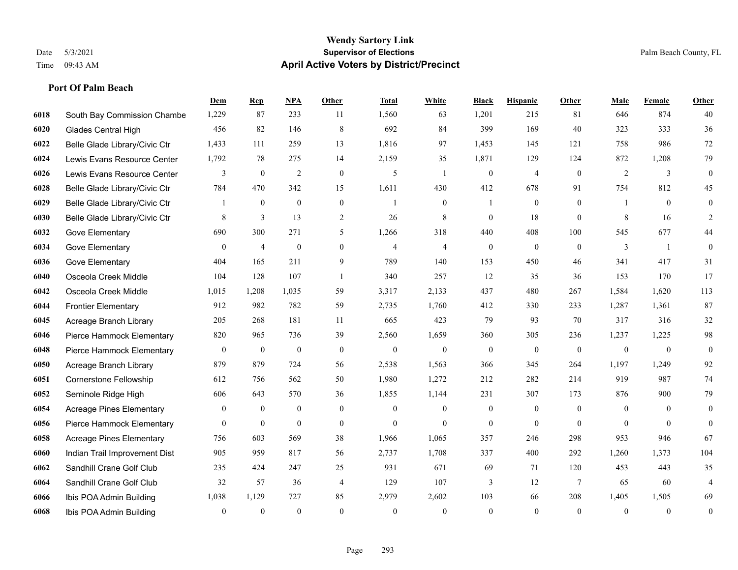#### **Wendy Sartory Link** Date 5/3/2021 **Supervisor of Elections** Palm Beach County, FL Time 09:43 AM **April Active Voters by District/Precinct**

**Dem Rep NPA Other Total White Black Hispanic Other Male Female Other**

# South Bay Commission Chambe 1,229 87 233 11 1,560 63 1,201 215 81 646 874 40 Glades Central High 456 82 146 8 692 84 399 169 40 323 333 36 Belle Glade Library/Civic Ctr 1,433 111 259 13 1,816 97 1,453 145 121 758 986 72 Lewis Evans Resource Center 1,792 78 275 14 2,159 35 1,871 129 124 872 1,208 79 Lewis Evans Resource Center  $\begin{array}{ccccccccccccc}\n & & & & 3 & & 0 & 2 & 0 & 5 & 1 & 0 & 4 & 0 & 2 & 3 & 0\n\end{array}$  Belle Glade Library/Civic Ctr 784 470 342 15 1,611 430 412 678 91 754 812 45 Belle Glade Library/Civic Ctr 1 0 0 0 1 0 1 0 0 1 0 0 Belle Glade Library/Civic Ctr 8 3 13 2 26 8 0 18 0 8 16 2 Gove Elementary 690 300 271 5 1,266 318 440 408 100 545 677 44 Gove Elementary 0 4 0 4 4 0 0 0 3 1 0 Gove Elementary 404 165 211 9 789 140 153 450 46 341 417 31 Osceola Creek Middle 104 128 107 1 340 257 12 35 36 153 170 17 Osceola Creek Middle 1,015 1,208 1,035 59 3,317 2,133 437 480 267 1,584 1,620 113 Frontier Elementary 912 982 782 59 2,735 1,760 412 330 233 1,287 1,361 87 Acreage Branch Library 205 268 181 11 665 423 79 93 70 317 316 32 Pierce Hammock Elementary 820 965 736 39 2,560 1,659 360 305 236 1,237 1,225 98 Pierce Hammock Elementary 0 0 0 0 0 0 0 0 0 0 0 0 Acreage Branch Library 879 879 724 56 2,538 1,563 366 345 264 1,197 1,249 92 Cornerstone Fellowship 612 756 562 50 1,980 1,272 212 282 214 919 987 74 Seminole Ridge High 606 643 570 36 1,855 1,144 231 307 173 876 900 79 Acreage Pines Elementary 0 0 0 0 0 0 0 0 0 0 0 0 Pierce Hammock Elementary 0 0 0 0 0 0 0 0 0 0 0 0 Acreage Pines Elementary 756 603 569 38 1,966 1,065 357 246 298 953 946 67 Indian Trail Improvement Dist 905 959 817 56 2,737 1,708 337 400 292 1,260 1,373 104 Sandhill Crane Golf Club 235 424 247 25 931 671 69 71 120 453 443 35

 Sandhill Crane Golf Club 32 57 36 4 129 107 3 12 7 65 60 4 Ibis POA Admin Building 1,038 1,129 727 85 2,979 2,602 103 66 208 1,405 1,505 69 Ibis POA Admin Building 0 0 0 0 0 0 0 0 0 0 0 0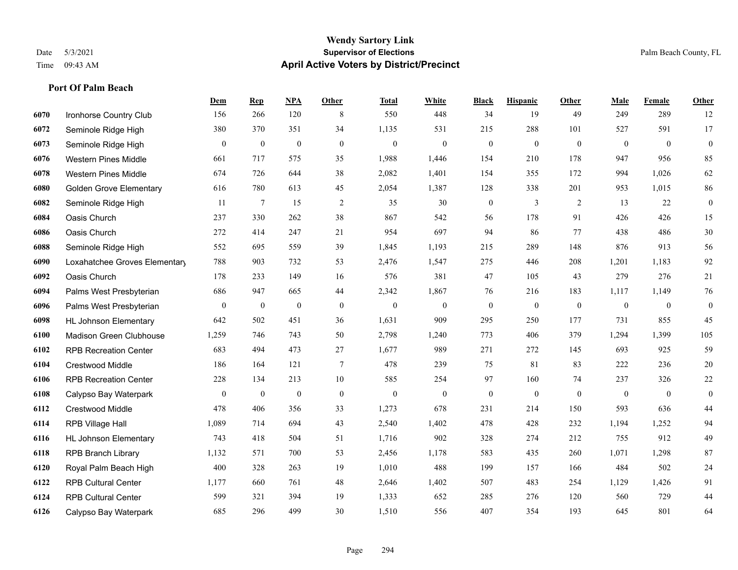#### **Wendy Sartory Link** Date 5/3/2021 **Supervisor of Elections** Palm Beach County, FL Time 09:43 AM **April Active Voters by District/Precinct**

# **Dem Rep NPA Other Total White Black Hispanic Other Male Female Other** Ironhorse Country Club 156 266 120 8 550 448 34 19 49 249 289 12 Seminole Ridge High 380 370 351 34 1,135 531 215 288 101 527 591 17 Seminole Ridge High 0 0 0 0 0 0 0 0 0 0 0 0 Western Pines Middle 661 717 575 35 1,988 1,446 154 210 178 947 956 85 Western Pines Middle 674 726 644 38 2,082 1,401 154 355 172 994 1,026 62 Golden Grove Elementary 616 780 613 45 2,054 1,387 128 338 201 953 1,015 86 Seminole Ridge High 11 7 15 2 35 30 0 3 2 13 22 0 Oasis Church 237 330 262 38 867 542 56 178 91 426 426 15 Oasis Church 272 414 247 21 954 697 94 86 77 438 486 30 Seminole Ridge High 552 695 559 39 1,845 1,193 215 289 148 876 913 56 Loxahatchee Groves Elementary 788 903 732 53 2,476 1,547 275 446 208 1,201 1,183 92 Oasis Church 178 233 149 16 576 381 47 105 43 279 276 21 Palms West Presbyterian 686 947 665 44 2,342 1,867 76 216 183 1,117 1,149 76 Palms West Presbyterian 0 0 0 0 0 0 0 0 0 0 0 0 HL Johnson Elementary 642 502 451 36 1,631 909 295 250 177 731 855 45 Madison Green Clubhouse 1,259 746 743 50 2,798 1,240 773 406 379 1,294 1,399 105 RPB Recreation Center 683 494 473 27 1,677 989 271 272 145 693 925 59 Crestwood Middle 186 164 121 7 478 239 75 81 83 222 236 20 RPB Recreation Center 228 134 213 10 585 254 97 160 74 237 326 22 Calypso Bay Waterpark 0 0 0 0 0 0 0 0 0 0 0 0 Crestwood Middle 478 406 356 33 1,273 678 231 214 150 593 636 44 RPB Village Hall 1,089 714 694 43 2,540 1,402 478 428 232 1,194 1,252 94 HL Johnson Elementary 743 418 504 51 1,716 902 328 274 212 755 912 49 RPB Branch Library 1,132 571 700 53 2,456 1,178 583 435 260 1,071 1,298 87 Royal Palm Beach High 400 328 263 19 1,010 488 199 157 166 484 502 24 RPB Cultural Center 1,177 660 761 48 2,646 1,402 507 483 254 1,129 1,426 91 RPB Cultural Center 599 321 394 19 1,333 652 285 276 120 560 729 44 Calypso Bay Waterpark 685 296 499 30 1,510 556 407 354 193 645 801 64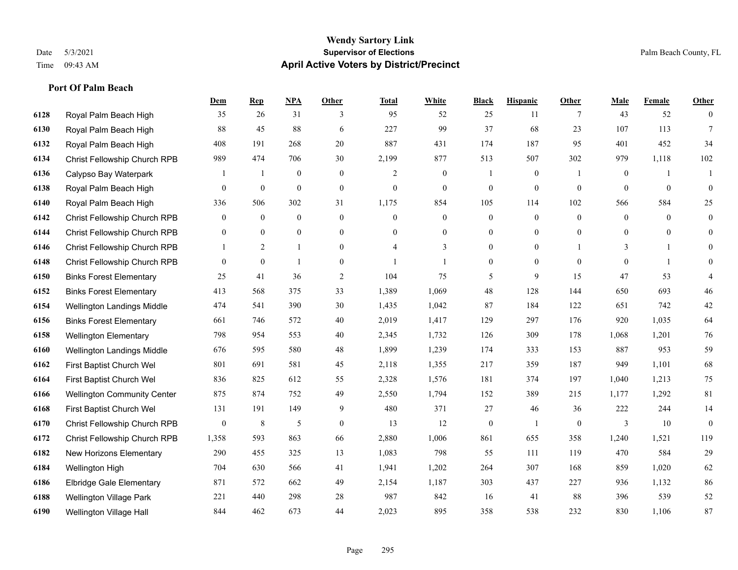#### **Wendy Sartory Link** Date 5/3/2021 **Supervisor of Elections** Palm Beach County, FL Time 09:43 AM **April Active Voters by District/Precinct**

# **Dem Rep NPA Other Total White Black Hispanic Other Male Female Other** Royal Palm Beach High 35 26 31 3 95 52 25 11 7 43 52 0 Royal Palm Beach High 88 45 88 6 227 99 37 68 23 107 113 7 Royal Palm Beach High 408 191 268 20 887 431 174 187 95 401 452 34 Christ Fellowship Church RPB 989 474 706 30 2,199 877 513 507 302 979 1,118 102 Calypso Bay Waterpark 1 1 0 0 2 0 1 0 1 0 1 1 Royal Palm Beach High 0 0 0 0 0 0 0 0 0 0 0 0 Royal Palm Beach High 336 506 302 31 1,175 854 105 114 102 566 584 25 Christ Fellowship Church RPB 0 0 0 0 0 0 0 0 0 0 0 0 Christ Fellowship Church RPB 0 0 0 0 0 0 0 0 0 0 0 0 Christ Fellowship Church RPB 1 2 1 0 4 3 0 0 1 3 1 0 Christ Fellowship Church RPB 0 0 1 0 1 1 0 0 0 0 1 0 Binks Forest Elementary 25 41 36 2 104 75 5 9 15 47 53 4 Binks Forest Elementary 413 568 375 33 1,389 1,069 48 128 144 650 693 46 Wellington Landings Middle 474 541 390 30 1,435 1,042 87 184 122 651 742 42 Binks Forest Elementary 661 746 572 40 2,019 1,417 129 297 176 920 1,035 64 Wellington Elementary 798 954 553 40 2,345 1,732 126 309 178 1,068 1,201 76 Wellington Landings Middle 676 595 580 48 1,899 1,239 174 333 153 887 953 59 First Baptist Church Wel 801 691 581 45 2,118 1,355 217 359 187 949 1,101 68 First Baptist Church Wel 836 825 612 55 2,328 1,576 181 374 197 1,040 1,213 75 Wellington Community Center 875 874 752 49 2,550 1,794 152 389 215 1,177 1,292 81 First Baptist Church Wel 131 191 149 9 480 371 27 46 36 222 244 14 Christ Fellowship Church RPB 0 8 5 0 13 12 0 1 0 3 10 0 Christ Fellowship Church RPB 1,358 593 863 66 2,880 1,006 861 655 358 1,240 1,521 119 New Horizons Elementary 290 455 325 13 1,083 798 55 111 119 470 584 29 Wellington High 704 630 566 41 1,941 1,202 264 307 168 859 1,020 62 Elbridge Gale Elementary 871 572 662 49 2,154 1,187 303 437 227 936 1,132 86 Wellington Village Park 221 440 298 28 987 842 16 41 88 396 539 52 Wellington Village Hall 844 462 673 44 2,023 895 358 538 232 830 1,106 87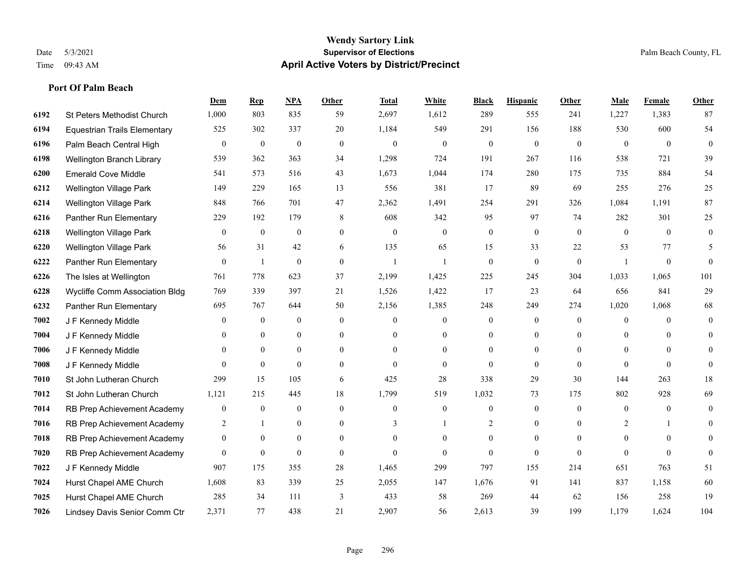# **Port Of Palm Beach**

|      |                                     | Dem            | <b>Rep</b>       | NPA              | <b>Other</b>     | <b>Total</b>   | <b>White</b>     | <b>Black</b>     | <b>Hispanic</b>  | <b>Other</b>   | <b>Male</b>  | <b>Female</b>  | <b>Other</b>   |
|------|-------------------------------------|----------------|------------------|------------------|------------------|----------------|------------------|------------------|------------------|----------------|--------------|----------------|----------------|
| 6192 | St Peters Methodist Church          | 1,000          | 803              | 835              | 59               | 2,697          | 1,612            | 289              | 555              | 241            | 1,227        | 1,383          | 87             |
| 6194 | <b>Equestrian Trails Elementary</b> | 525            | 302              | 337              | 20               | 1,184          | 549              | 291              | 156              | 188            | 530          | 600            | 54             |
| 6196 | Palm Beach Central High             | 0              | $\boldsymbol{0}$ | $\mathbf{0}$     | $\theta$         | $\mathbf{0}$   | $\overline{0}$   | $\mathbf{0}$     | $\mathbf{0}$     | $\theta$       | $\theta$     | $\theta$       | $\overline{0}$ |
| 6198 | Wellington Branch Library           | 539            | 362              | 363              | 34               | 1,298          | 724              | 191              | 267              | 116            | 538          | 721            | 39             |
| 6200 | <b>Emerald Cove Middle</b>          | 541            | 573              | 516              | 43               | 1,673          | 1,044            | 174              | 280              | 175            | 735          | 884            | 54             |
| 6212 | Wellington Village Park             | 149            | 229              | 165              | 13               | 556            | 381              | 17               | 89               | 69             | 255          | 276            | 25             |
| 6214 | <b>Wellington Village Park</b>      | 848            | 766              | 701              | 47               | 2,362          | 1,491            | 254              | 291              | 326            | 1,084        | 1.191          | 87             |
| 6216 | Panther Run Elementary              | 229            | 192              | 179              | 8                | 608            | 342              | 95               | 97               | 74             | 282          | 301            | 25             |
| 6218 | <b>Wellington Village Park</b>      | 0              | $\boldsymbol{0}$ | $\boldsymbol{0}$ | $\boldsymbol{0}$ | $\mathbf{0}$   | $\boldsymbol{0}$ | $\boldsymbol{0}$ | $\boldsymbol{0}$ | $\overline{0}$ | $\mathbf{0}$ | $\mathbf{0}$   | $\overline{0}$ |
| 6220 | Wellington Village Park             | 56             | 31               | 42               | 6                | 135            | 65               | 15               | 33               | 22             | 53           | 77             | 5              |
| 6222 | Panther Run Elementary              | $\overline{0}$ | $\mathbf{1}$     | $\mathbf{0}$     | $\Omega$         | $\overline{1}$ | $\mathbf{1}$     | $\mathbf{0}$     | $\mathbf{0}$     | $\theta$       | $\mathbf{1}$ | $\overline{0}$ | $\theta$       |
| 6226 | The Isles at Wellington             | 761            | 778              | 623              | 37               | 2,199          | 1,425            | 225              | 245              | 304            | 1,033        | 1,065          | 101            |
| 6228 | Wycliffe Comm Association Bldg      | 769            | 339              | 397              | 21               | 1,526          | 1,422            | 17               | 23               | 64             | 656          | 841            | 29             |
| 6232 | Panther Run Elementary              | 695            | 767              | 644              | 50               | 2,156          | 1,385            | 248              | 249              | 274            | 1,020        | 1,068          | 68             |
| 7002 | J F Kennedy Middle                  | 0              | $\mathbf{0}$     | $\mathbf{0}$     | $\Omega$         | $\theta$       | $\overline{0}$   | $\theta$         | $\mathbf{0}$     | $\theta$       | $\theta$     | $\Omega$       | $\overline{0}$ |
| 7004 | J F Kennedy Middle                  | 0              | $\mathbf{0}$     | $\overline{0}$   | $\overline{0}$   | $\theta$       | $\boldsymbol{0}$ | $\overline{0}$   | $\mathbf{0}$     | $\theta$       | $\mathbf{0}$ | $\theta$       | $\overline{0}$ |
| 7006 | J F Kennedy Middle                  | 0              | $\overline{0}$   | $\overline{0}$   | $\overline{0}$   | $\mathbf{0}$   | $\boldsymbol{0}$ | 0                | $\mathbf{0}$     | $\mathbf{0}$   | $\mathbf{0}$ | $\overline{0}$ | $\theta$       |
| 7008 | J F Kennedy Middle                  | 0              | $\overline{0}$   | $\mathbf{0}$     | $\theta$         | $\Omega$       | $\overline{0}$   | $\theta$         | $\theta$         | $\Omega$       | $\theta$     | $\Omega$       | $\Omega$       |
| 7010 | St John Lutheran Church             | 299            | 15               | 105              | 6                | 425            | 28               | 338              | 29               | 30             | 144          | 263            | 18             |
| 7012 | St John Lutheran Church             | 1,121          | 215              | 445              | 18               | 1,799          | 519              | 1,032            | 73               | 175            | 802          | 928            | 69             |
| 7014 | RB Prep Achievement Academy         | $\mathbf{0}$   | $\mathbf{0}$     | $\boldsymbol{0}$ | $\Omega$         | $\theta$       | $\boldsymbol{0}$ | $\overline{0}$   | $\mathbf{0}$     | $\theta$       | $\mathbf{0}$ | $\theta$       | $\mathbf{0}$   |
| 7016 | RB Prep Achievement Academy         | 2              | $\mathbf{1}$     | $\boldsymbol{0}$ | $\overline{0}$   | 3              |                  | 2                | $\mathbf{0}$     | $\Omega$       | 2            |                | $\overline{0}$ |
| 7018 | RB Prep Achievement Academy         | $\overline{0}$ | $\mathbf{0}$     | $\overline{0}$   | $\Omega$         | $\theta$       | $\overline{0}$   | $\overline{0}$   | $\mathbf{0}$     | $\Omega$       | $\theta$     | $\Omega$       | $\overline{0}$ |
| 7020 | RB Prep Achievement Academy         | $\overline{0}$ | $\mathbf{0}$     | $\mathbf{0}$     | $\Omega$         | $\Omega$       | $\theta$         | $\theta$         | $\theta$         | $\Omega$       | $\Omega$     | $\Omega$       | $\theta$       |
| 7022 | J F Kennedy Middle                  | 907            | 175              | 355              | 28               | 1,465          | 299              | 797              | 155              | 214            | 651          | 763            | 51             |
| 7024 | Hurst Chapel AME Church             | 1,608          | 83               | 339              | 25               | 2,055          | 147              | 1,676            | 91               | 141            | 837          | 1,158          | 60             |
| 7025 | Hurst Chapel AME Church             | 285            | 34               | 111              | 3                | 433            | 58               | 269              | 44               | 62             | 156          | 258            | 19             |
| 7026 | Lindsey Davis Senior Comm Ctr       | 2,371          | 77               | 438              | 21               | 2,907          | 56               | 2,613            | 39               | 199            | 1.179        | 1.624          | 104            |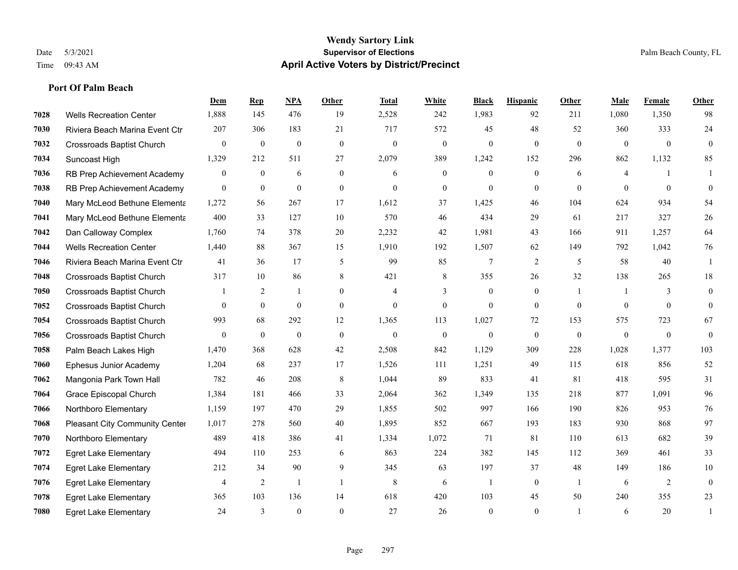### **Port Of Palm Beach**

|      |                                  | Dem              | <b>Rep</b>       | NPA              | <b>Other</b>   | <b>Total</b>     | <b>White</b>     | <b>Black</b>     | <b>Hispanic</b> | Other          | Male           | Female           | <b>Other</b> |
|------|----------------------------------|------------------|------------------|------------------|----------------|------------------|------------------|------------------|-----------------|----------------|----------------|------------------|--------------|
| 7028 | <b>Wells Recreation Center</b>   | 1,888            | 145              | 476              | 19             | 2,528            | 242              | 1,983            | 92              | 211            | 1,080          | 1,350            | 98           |
| 7030 | Riviera Beach Marina Event Ctr   | 207              | 306              | 183              | 21             | 717              | 572              | 45               | 48              | 52             | 360            | 333              | $24\,$       |
| 7032 | <b>Crossroads Baptist Church</b> | $\mathbf{0}$     | $\boldsymbol{0}$ | $\mathbf{0}$     | $\theta$       | $\mathbf{0}$     | $\mathbf{0}$     | $\mathbf{0}$     | $\mathbf{0}$    | $\theta$       | $\overline{0}$ | $\overline{0}$   | $\mathbf{0}$ |
| 7034 | Suncoast High                    | 1,329            | 212              | 511              | 27             | 2,079            | 389              | 1,242            | 152             | 296            | 862            | 1,132            | 85           |
| 7036 | RB Prep Achievement Academy      | $\overline{0}$   | $\overline{0}$   | 6                | $\overline{0}$ | 6                | $\overline{0}$   | $\mathbf{0}$     | $\mathbf{0}$    | 6              | $\overline{4}$ |                  | 1            |
| 7038 | RB Prep Achievement Academy      | $\overline{0}$   | $\mathbf{0}$     | $\mathbf{0}$     | $\overline{0}$ | $\mathbf{0}$     | $\overline{0}$   | $\theta$         | $\mathbf{0}$    | $\theta$       | $\theta$       | $\theta$         | $\theta$     |
| 7040 | Mary McLeod Bethune Elementa     | 1,272            | 56               | 267              | 17             | 1,612            | 37               | 1,425            | 46              | 104            | 624            | 934              | 54           |
| 7041 | Mary McLeod Bethune Elementa     | 400              | 33               | 127              | 10             | 570              | 46               | 434              | 29              | 61             | 217            | 327              | $26\,$       |
| 7042 | Dan Calloway Complex             | 1,760            | 74               | 378              | 20             | 2,232            | 42               | 1,981            | 43              | 166            | 911            | 1,257            | 64           |
| 7044 | <b>Wells Recreation Center</b>   | 1,440            | 88               | 367              | 15             | 1,910            | 192              | 1,507            | 62              | 149            | 792            | 1,042            | 76           |
| 7046 | Riviera Beach Marina Event Ctr   | 41               | 36               | 17               | 5              | 99               | 85               | $\overline{7}$   | $\overline{2}$  | 5              | 58             | 40               | $\mathbf{1}$ |
| 7048 | <b>Crossroads Baptist Church</b> | 317              | 10               | 86               | 8              | 421              | 8                | 355              | 26              | 32             | 138            | 265              | 18           |
| 7050 | Crossroads Baptist Church        |                  | 2                | $\mathbf{1}$     | $\Omega$       | $\overline{4}$   | 3                | $\boldsymbol{0}$ | $\mathbf{0}$    | $\mathbf{1}$   | 1              | 3                | $\mathbf{0}$ |
| 7052 | <b>Crossroads Baptist Church</b> | $\Omega$         | $\mathbf{0}$     | $\theta$         | $\overline{0}$ | $\mathbf{0}$     | $\overline{0}$   | $\mathbf{0}$     | $\mathbf{0}$    | $\theta$       | $\Omega$       | $\theta$         | $\theta$     |
| 7054 | <b>Crossroads Baptist Church</b> | 993              | 68               | 292              | 12             | 1,365            | 113              | 1,027            | 72              | 153            | 575            | 723              | 67           |
| 7056 | Crossroads Baptist Church        | $\boldsymbol{0}$ | $\boldsymbol{0}$ | $\boldsymbol{0}$ | $\mathbf{0}$   | $\boldsymbol{0}$ | $\boldsymbol{0}$ | $\boldsymbol{0}$ | $\mathbf{0}$    | $\mathbf{0}$   | $\mathbf{0}$   | $\boldsymbol{0}$ | $\mathbf{0}$ |
| 7058 | Palm Beach Lakes High            | 1.470            | 368              | 628              | 42             | 2,508            | 842              | 1.129            | 309             | 228            | 1,028          | 1.377            | 103          |
| 7060 | Ephesus Junior Academy           | 1,204            | 68               | 237              | 17             | 1,526            | 111              | 1,251            | 49              | 115            | 618            | 856              | 52           |
| 7062 | Mangonia Park Town Hall          | 782              | 46               | 208              | 8              | 1,044            | 89               | 833              | 41              | 81             | 418            | 595              | 31           |
| 7064 | Grace Episcopal Church           | 1,384            | 181              | 466              | 33             | 2,064            | 362              | 1,349            | 135             | 218            | 877            | 1,091            | 96           |
| 7066 | Northboro Elementary             | 1,159            | 197              | 470              | 29             | 1,855            | 502              | 997              | 166             | 190            | 826            | 953              | 76           |
| 7068 | Pleasant City Community Center   | 1,017            | 278              | 560              | 40             | 1,895            | 852              | 667              | 193             | 183            | 930            | 868              | 97           |
| 7070 | Northboro Elementary             | 489              | 418              | 386              | 41             | 1,334            | 1,072            | 71               | 81              | 110            | 613            | 682              | 39           |
| 7072 | <b>Egret Lake Elementary</b>     | 494              | 110              | 253              | 6              | 863              | 224              | 382              | 145             | 112            | 369            | 461              | 33           |
| 7074 | <b>Egret Lake Elementary</b>     | 212              | 34               | 90               | 9              | 345              | 63               | 197              | 37              | 48             | 149            | 186              | 10           |
| 7076 | <b>Egret Lake Elementary</b>     | $\overline{4}$   | 2                | $\mathbf{1}$     | $\overline{1}$ | 8                | 6                | $\mathbf{1}$     | $\mathbf{0}$    | $\overline{1}$ | 6              | 2                | $\mathbf{0}$ |
| 7078 | <b>Egret Lake Elementary</b>     | 365              | 103              | 136              | 14             | 618              | 420              | 103              | 45              | 50             | 240            | 355              | 23           |
| 7080 | <b>Egret Lake Elementary</b>     | 24               | 3                | $\mathbf{0}$     | $\theta$       | 27               | 26               | $\mathbf{0}$     | $\theta$        |                | 6              | 20               | 1            |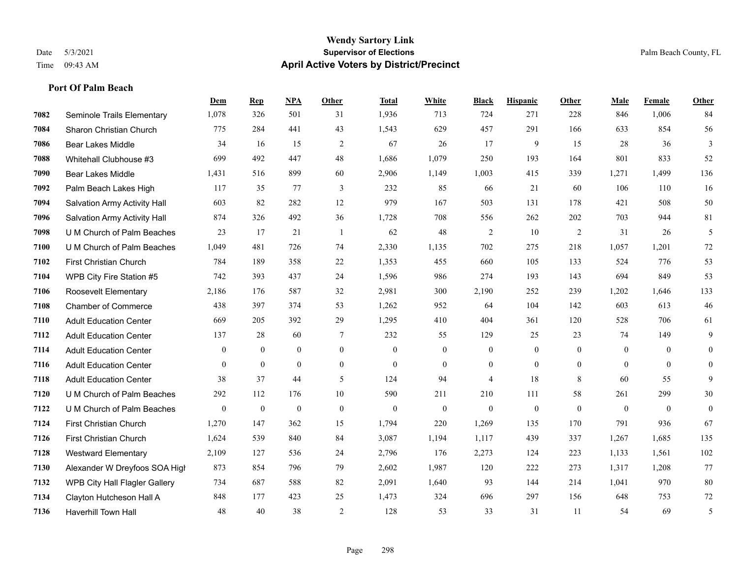#### **Wendy Sartory Link** Date 5/3/2021 **Supervisor of Elections** Palm Beach County, FL Time 09:43 AM **April Active Voters by District/Precinct**

# **Dem Rep NPA Other Total White Black Hispanic Other Male Female Other** Seminole Trails Elementary 1,078 326 501 31 1,936 713 724 271 228 846 1,006 84 Sharon Christian Church 775 284 441 43 1,543 629 457 291 166 633 854 56 Bear Lakes Middle 34 16 15 2 67 26 17 9 15 28 36 3 Whitehall Clubhouse #3 699 492 447 48 1,686 1,079 250 193 164 801 833 52 Bear Lakes Middle 1,431 516 899 60 2,906 1,149 1,003 415 339 1,271 1,499 136 Palm Beach Lakes High 117 35 77 3 232 85 66 21 60 106 110 16 Salvation Army Activity Hall 603 82 282 12 979 167 503 131 178 421 508 50 Salvation Army Activity Hall 874 326 492 36 1,728 708 556 262 202 703 944 81 U M Church of Palm Beaches 23 17 21 1 62 48 2 10 2 31 26 5 U M Church of Palm Beaches 1,049 481 726 74 2,330 1,135 702 275 218 1,057 1,201 72 First Christian Church 784 189 358 22 1,353 455 660 105 133 524 776 53 WPB City Fire Station #5 742 393 437 24 1,596 986 274 193 143 694 849 53 Roosevelt Elementary 2,186 176 587 32 2,981 300 2,190 252 239 1,202 1,646 133 Chamber of Commerce 438 397 374 53 1,262 952 64 104 142 603 613 46 Adult Education Center 669 205 392 29 1,295 410 404 361 120 528 706 61 Adult Education Center 137 28 60 7 232 55 129 25 23 74 149 9 Adult Education Center 0 0 0 0 0 0 0 0 0 0 0 0 Adult Education Center 0 0 0 0 0 0 0 0 0 0 0 0 Adult Education Center 38 37 44 5 124 94 4 18 8 60 55 9 U M Church of Palm Beaches 292 112 176 10 590 211 210 111 58 261 299 30 U M Church of Palm Beaches 0 0 0 0 0 0 0 0 0 0 0 0 First Christian Church 1,270 147 362 15 1,794 220 1,269 135 170 791 936 67 First Christian Church 1,624 539 840 84 3,087 1,194 1,117 439 337 1,267 1,685 135 Westward Elementary 2,109 127 536 24 2,796 176 2,273 124 223 1,133 1,561 102 Alexander W Dreyfoos SOA High 873 854 796 79 2,602 1,987 120 222 273 1,317 1,208 77 WPB City Hall Flagler Gallery 734 687 588 82 2,091 1,640 93 144 214 1,041 970 80 Clayton Hutcheson Hall A 848 177 423 25 1,473 324 696 297 156 648 753 72 Haverhill Town Hall 48 40 38 2 128 53 33 31 11 54 69 5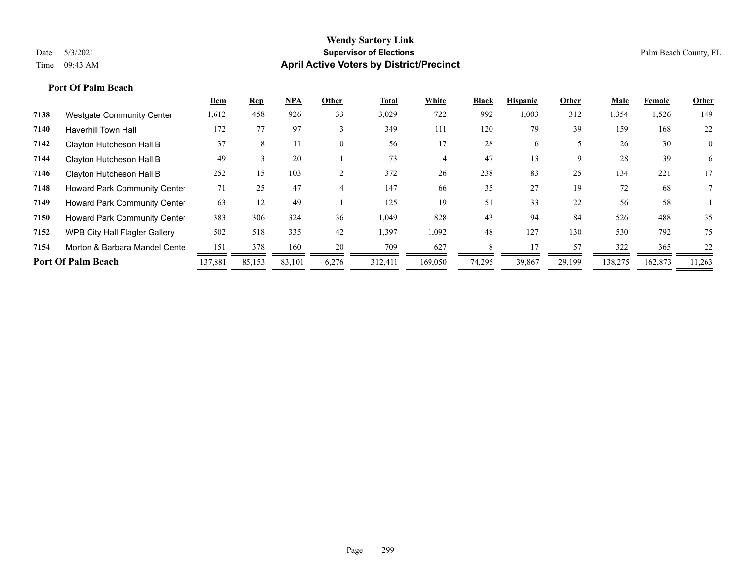### **Port Of Palm Beach**

|      |                                      | <u>Dem</u> | <b>Rep</b> | $NPA$  | Other        | Total   | White   | Black  | <b>Hispanic</b> | Other  | Male    | Female  | Other          |
|------|--------------------------------------|------------|------------|--------|--------------|---------|---------|--------|-----------------|--------|---------|---------|----------------|
| 7138 | <b>Westgate Community Center</b>     | 1,612      | 458        | 926    | 33           | 3,029   | 722     | 992    | 1,003           | 312    | 1,354   | 1,526   | 149            |
| 7140 | <b>Haverhill Town Hall</b>           | 172        | 77         | 97     | $\mathbf{3}$ | 349     | 111     | 120    | 79              | 39     | 159     | 168     | 22             |
| 7142 | Clayton Hutcheson Hall B             | 37         | 8          | 11     | $\theta$     | 56      | 17      | 28     | 6.              |        | 26      | 30      | $\overline{0}$ |
| 7144 | Clayton Hutcheson Hall B             | 49         |            | 20     |              | 73      |         | 47     | 13              | 9      | 28      | 39      | 6              |
| 7146 | Clayton Hutcheson Hall B             | 252        | 15         | 103    | $\sim$       | 372     | 26      | 238    | 83              | 25     | 134     | 221     | 17             |
| 7148 | <b>Howard Park Community Center</b>  | 71         | 25         | 47     |              | 147     | 66      | 35     | 27              | 19     | 72      | 68      |                |
| 7149 | <b>Howard Park Community Center</b>  | 63         | 12         | 49     |              | 125     | 19      | 51     | 33              | 22     | 56      | 58      | 11             |
| 7150 | Howard Park Community Center         | 383        | 306        | 324    | 36           | 1,049   | 828     | 43     | 94              | 84     | 526     | 488     | 35             |
| 7152 | <b>WPB City Hall Flagler Gallery</b> | 502        | 518        | 335    | 42           | 1,397   | 1,092   | 48     | 127             | 130    | 530     | 792     | 75             |
| 7154 | Morton & Barbara Mandel Cente        | 151        | 378        | 160    | 20           | 709     | 627     |        |                 | 57     | 322     | 365     | 22             |
|      | <b>Port Of Palm Beach</b>            | 137,881    | 85,153     | 83,101 | 6,276        | 312,411 | 169,050 | 74,295 | 39,867          | 29,199 | 138,275 | 162,873 | 11,263         |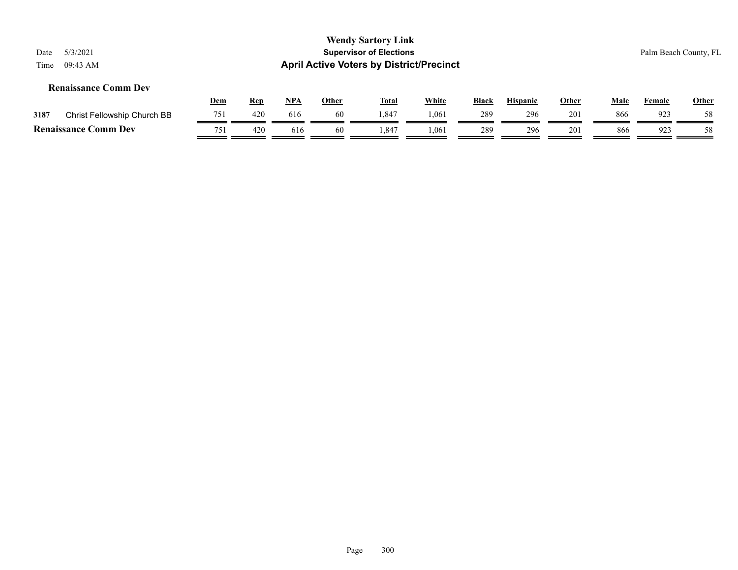### **Renaissance Comm Dev**

|      |                             | <u>Dem</u> | Rep | <b>NPA</b> | Other | <b>Total</b> | <b>White</b> | <b>Black</b> | Hispanic | Other | Male | Female | <b>Other</b> |
|------|-----------------------------|------------|-----|------------|-------|--------------|--------------|--------------|----------|-------|------|--------|--------------|
| 3187 | Christ Fellowship Church BB | 751<br>. ب | 420 | 616        | 60    | 1,847        | 1,061        | 289          | 296      | 201   | 866  | 923    | 58           |
|      | <b>Renaissance Comm Dev</b> | 751        | 420 | 616        | 60    | .347         | 1,061        | 289          | 296      | 201   | 866  | 923    | 58           |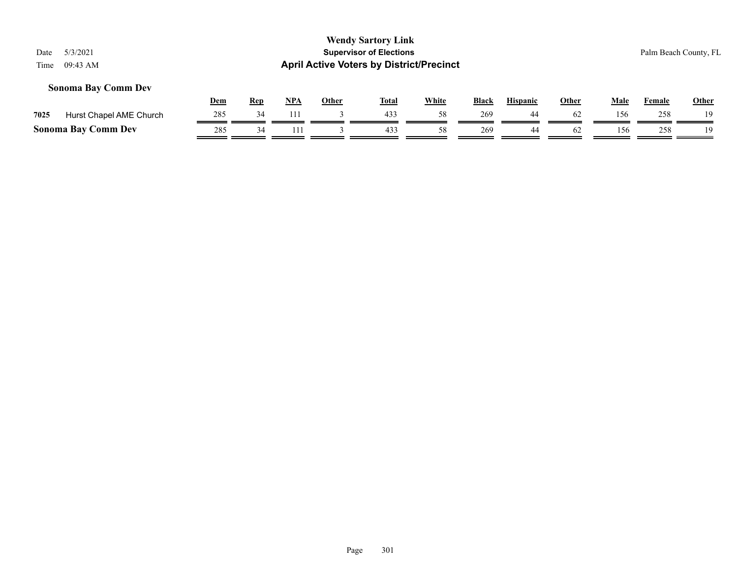#### **Sonoma Bay Comm Dev**

|      |                            | Dem | <b>Rep</b> | <b>NPA</b> | Other | Tota. | White | <b>Black</b> | <b>Hispanic</b> | Other | Male | Female | <b>Other</b> |
|------|----------------------------|-----|------------|------------|-------|-------|-------|--------------|-----------------|-------|------|--------|--------------|
| 7025 | Hurst Chapel AME Church    | 285 |            |            |       | 433   |       | 269          |                 | 62    | 156  | 258    | 10           |
|      | <b>Sonoma Bay Comm Dev</b> | 285 |            |            |       | 433   |       | 269          |                 | 62    | 156  | 258    | 19.          |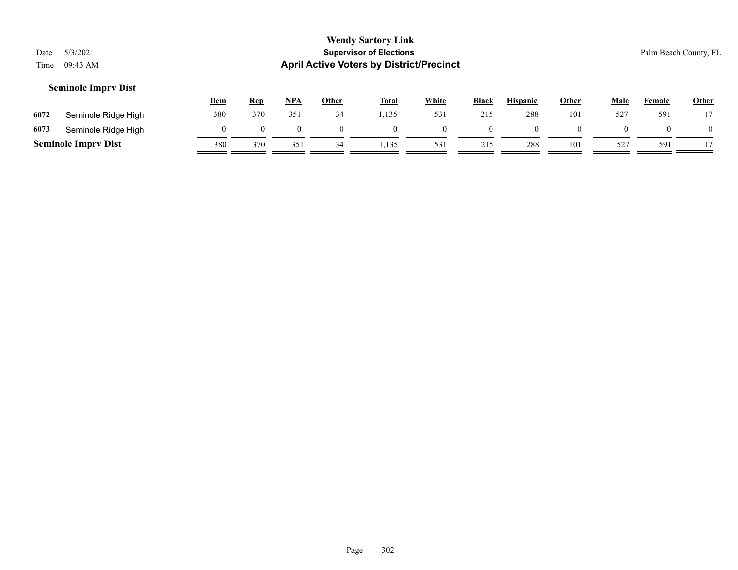#### **Seminole Imprv Dist**

|      |                            | Dem | <u>Rep</u> | <u>NPA</u> | Other | <b>Total</b> | <b>White</b> | <b>Black</b> | <b>Hispanic</b> | Other | Male | Female | <b>Other</b> |
|------|----------------------------|-----|------------|------------|-------|--------------|--------------|--------------|-----------------|-------|------|--------|--------------|
| 6072 | Seminole Ridge High        | 380 | 370        | 351        | 34    | 1,135        | 531          | 215          | 288             | 101   | 527  | 591    |              |
| 6073 | Seminole Ridge High        |     |            |            |       |              |              |              |                 |       |      |        |              |
|      | <b>Seminole Imprv Dist</b> | 380 | 370        | 351        |       | .135         | 531          | 215          | 288             | 101   | 527  | 591    |              |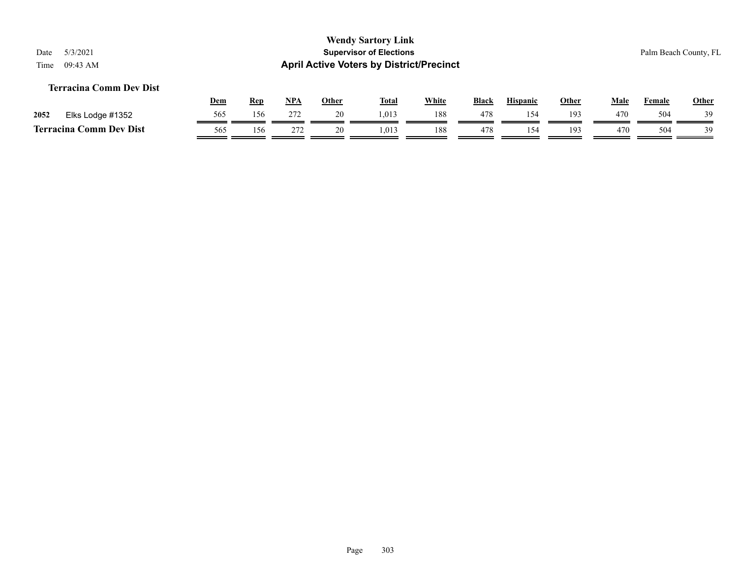### **Terracina Comm Dev Dist**

|      |                                | <u>Dem</u> | <b>Rep</b> | <b>NPA</b> | Other | <b>Total</b> | White | <b>Black</b> | <b>Hispanic</b> | Other | Male | Female | <b>Other</b> |
|------|--------------------------------|------------|------------|------------|-------|--------------|-------|--------------|-----------------|-------|------|--------|--------------|
| 2052 | Elks Lodge #1352               |            | 156        | 272        |       | 1,013        | 188   | 478          | ∆؟ '            | 193   | 470  | 504    | 39           |
|      | <b>Terracina Comm Dev Dist</b> | 565        |            | 272        | ້     | 1,013        | 188   | 478          | 54              | 193   | 470  | 504    | 39           |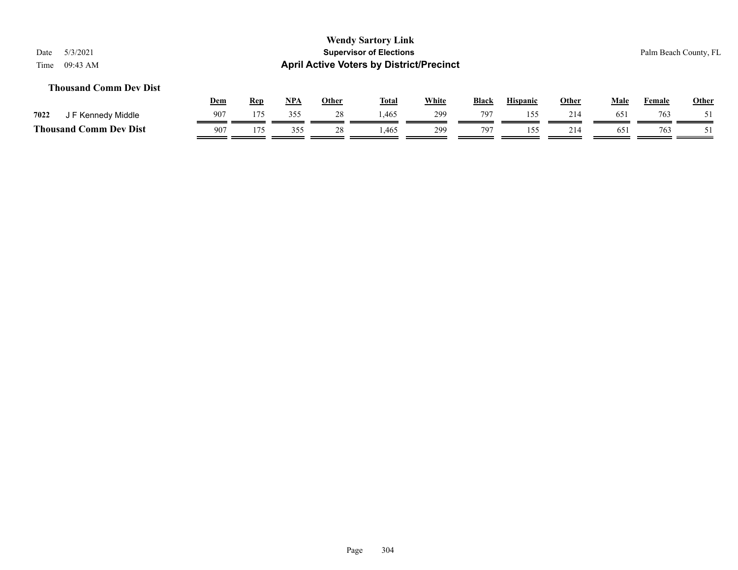### **Thousand Comm Dev Dist**

|                             | Dem      | Rep | <b>NPA</b> | Other   | <b>Total</b> | White | <b>Black</b> | <b>Hispanic</b> | Other | Male       | Female | <u>Other</u> |
|-----------------------------|----------|-----|------------|---------|--------------|-------|--------------|-----------------|-------|------------|--------|--------------|
| 7022<br>F Kennedy Middle    | 907      | 175 | 355        |         | 1,465        | 299   | 797          | 55              | 214   | $65^\circ$ | 763    |              |
| Thousand (<br>Comm Dev Dist | $90^{-}$ | 175 | 355        | 28<br>⊷ | .465         | 299   | 797          |                 | 214   | 65         | 763    |              |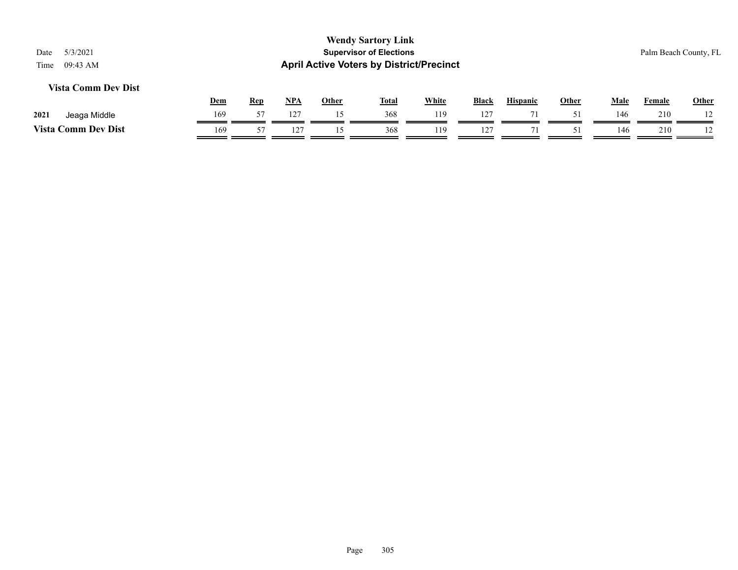### **Vista Comm Dev Dist**

|                         | Dem | Rep | <b>NPA</b>   | Other | <b>Total</b> | <b>White</b> | Black | <b>Hispanic</b> | Other | Male | Female | Other          |
|-------------------------|-----|-----|--------------|-------|--------------|--------------|-------|-----------------|-------|------|--------|----------------|
| 2021<br>Middle<br>Jeaga | 169 | --  | 127          |       | 368          | 119          | 127   |                 |       | 146  | 210    | $\overline{1}$ |
| Vista<br>Comm Dev Dist  | 169 |     | $1^{\prime}$ |       | 368          | 119          | 127   | $\overline{ }$  |       | 146  | 210    | $\overline{1}$ |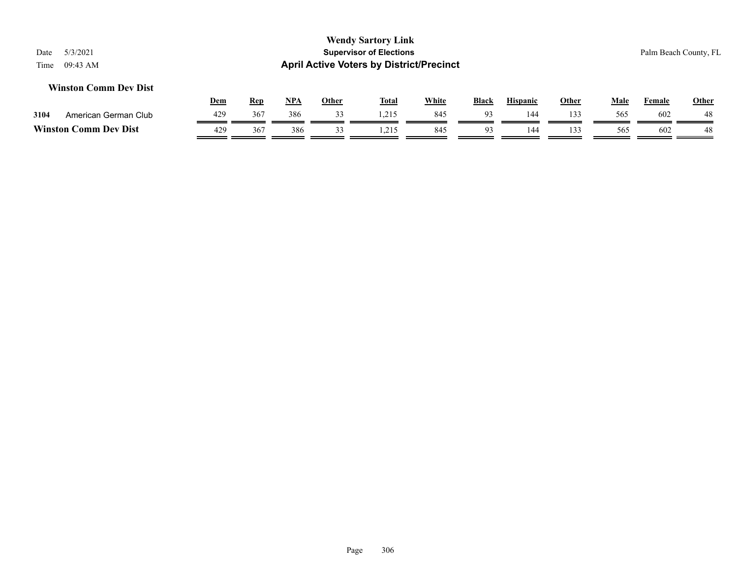#### **Winston Comm Dev Dist**

|         |                      | <u>Dem</u> | Rep | <b>NPA</b> | Other | <b>Total</b> | White | <b>Black</b> | <b>Hispanic</b> | Other | Male | Female | <b>Other</b> |
|---------|----------------------|------------|-----|------------|-------|--------------|-------|--------------|-----------------|-------|------|--------|--------------|
| 3104    | American German Club | 429        | 367 | 386        |       | 1,215        | 845   | $\Omega$     | 144             | 133   | 565  | 602    | 48           |
| Winston | Comm Dev Dist        | 429        | 367 | 386        |       | .            | 845   | $\Omega$     | 14 <sup>d</sup> | 133   | 565  | 602    | 48           |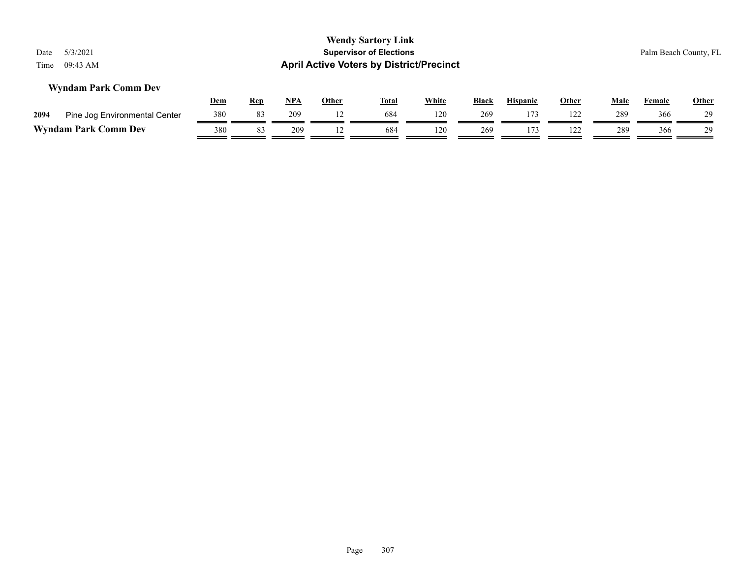|      |                               | <u>Dem</u> | Rep | NPA | Other | <b>Total</b> | <b>White</b> | <b>Black</b> | <b>Hispanic</b> | Other | Male | Female | <b>Other</b> |
|------|-------------------------------|------------|-----|-----|-------|--------------|--------------|--------------|-----------------|-------|------|--------|--------------|
| 2094 | Pine Jog Environmental Center | 380        |     | 209 |       | 684          | 120          | 269          |                 | 122   | 289  | 366    | 29           |
|      | <b>Wyndam Park Comm Dev</b>   | 380        |     | 209 |       | 684          | 120          | 269          |                 | 122   | 289  | 366    | 20           |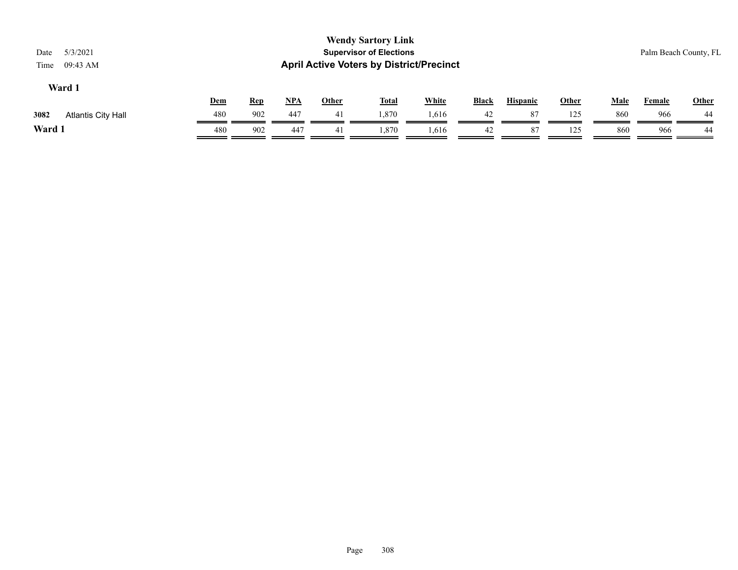|                                   |            |            |            |              | <b>Wendy Sartory Link</b>                       |              |              |                 |              |             |                       |              |
|-----------------------------------|------------|------------|------------|--------------|-------------------------------------------------|--------------|--------------|-----------------|--------------|-------------|-----------------------|--------------|
| 5/3/2021<br>Date                  |            |            |            |              | <b>Supervisor of Elections</b>                  |              |              |                 |              |             | Palm Beach County, FL |              |
| Time<br>09:43 AM                  |            |            |            |              | <b>April Active Voters by District/Precinct</b> |              |              |                 |              |             |                       |              |
| Ward 1                            |            |            |            |              |                                                 |              |              |                 |              |             |                       |              |
|                                   | <u>Dem</u> | <u>Rep</u> | <b>NPA</b> | <u>Other</u> | <b>Total</b>                                    | <b>White</b> | <b>Black</b> | <b>Hispanic</b> | <u>Other</u> | <b>Male</b> | <u>Female</u>         | <b>Other</b> |
| 3082<br><b>Atlantis City Hall</b> | 480        | 902        | 447        | 41           | 1,870                                           | 1,616        | 42           | 87              | 125          | 860         | 966                   | 44           |

**Ward 1** 480 902 447 41 1,870 1,616 42 87 125 860 966 44

 $\overline{\phantom{a}}$ 

 $\overline{\phantom{a}}$ 

 $\overline{\phantom{a}}$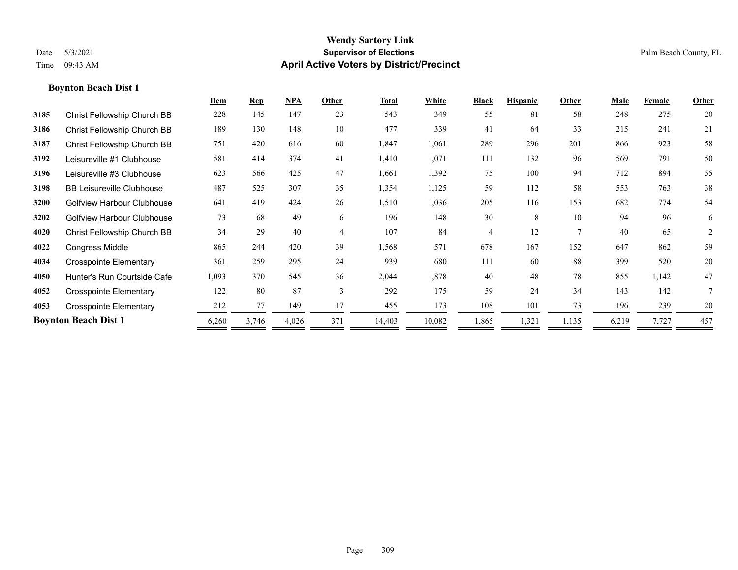|      |                                  | Dem   | <b>Rep</b> | NPA   | Other          | <b>Total</b> | White  | <b>Black</b> | <b>Hispanic</b> | Other | <b>Male</b> | Female | Other  |
|------|----------------------------------|-------|------------|-------|----------------|--------------|--------|--------------|-----------------|-------|-------------|--------|--------|
| 3185 | Christ Fellowship Church BB      | 228   | 145        | 147   | 23             | 543          | 349    | 55           | 81              | 58    | 248         | 275    | 20     |
| 3186 | Christ Fellowship Church BB      | 189   | 130        | 148   | 10             | 477          | 339    | 41           | 64              | 33    | 215         | 241    | 21     |
| 3187 | Christ Fellowship Church BB      | 751   | 420        | 616   | 60             | 1,847        | 1,061  | 289          | 296             | 201   | 866         | 923    | 58     |
| 3192 | Leisureville #1 Clubhouse        | 581   | 414        | 374   | 41             | 1,410        | 1,071  | 111          | 132             | 96    | 569         | 791    | 50     |
| 3196 | Leisureville #3 Clubhouse        | 623   | 566        | 425   | 47             | 1,661        | 1,392  | 75           | 100             | 94    | 712         | 894    | 55     |
| 3198 | <b>BB Leisureville Clubhouse</b> | 487   | 525        | 307   | 35             | 1,354        | 1,125  | 59           | 112             | 58    | 553         | 763    | 38     |
| 3200 | Golfview Harbour Clubhouse       | 641   | 419        | 424   | 26             | 1,510        | 1,036  | 205          | 116             | 153   | 682         | 774    | 54     |
| 3202 | Golfview Harbour Clubhouse       | 73    | 68         | 49    | 6              | 196          | 148    | 30           | 8               | 10    | 94          | 96     | 6      |
| 4020 | Christ Fellowship Church BB      | 34    | 29         | 40    | $\overline{4}$ | 107          | 84     | 4            | 12              | 7     | 40          | 65     | 2      |
| 4022 | Congress Middle                  | 865   | 244        | 420   | 39             | 1,568        | 571    | 678          | 167             | 152   | 647         | 862    | 59     |
| 4034 | <b>Crosspointe Elementary</b>    | 361   | 259        | 295   | 24             | 939          | 680    | 111          | 60              | 88    | 399         | 520    | 20     |
| 4050 | Hunter's Run Courtside Cafe      | 1,093 | 370        | 545   | 36             | 2,044        | 1,878  | 40           | 48              | 78    | 855         | 1,142  | 47     |
| 4052 | <b>Crosspointe Elementary</b>    | 122   | 80         | 87    | 3              | 292          | 175    | 59           | 24              | 34    | 143         | 142    | 7      |
| 4053 | <b>Crosspointe Elementary</b>    | 212   | 77         | 149   | 17             | 455          | 173    | 108          | 101             | 73    | 196         | 239    | $20\,$ |
|      | <b>Boynton Beach Dist 1</b>      | 6,260 | 3,746      | 4,026 | 371            | 14,403       | 10,082 | 1,865        | 1,321           | 1,135 | 6,219       | 7,727  | 457    |
|      |                                  |       |            |       |                |              |        |              |                 |       |             |        |        |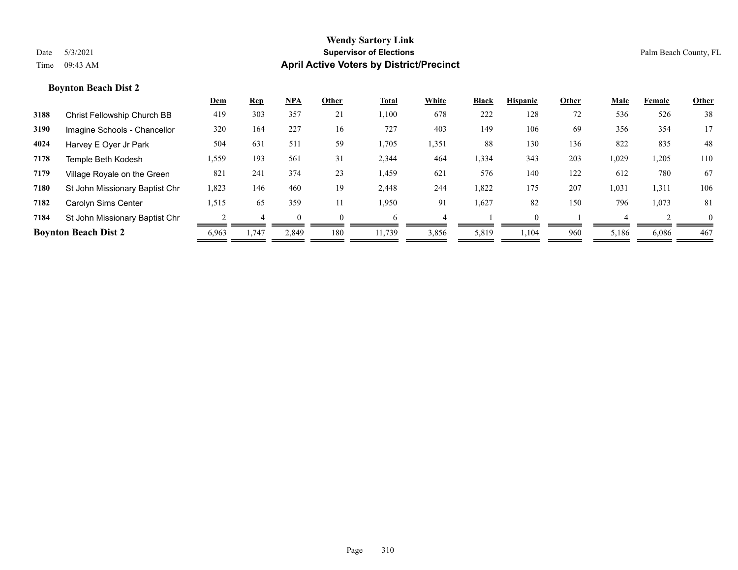|      |                                | <u>Dem</u> | <b>Rep</b> | $NPA$ | Other    | Total  | White | <b>Black</b> | <b>Hispanic</b> | Other | Male  | Female | Other    |
|------|--------------------------------|------------|------------|-------|----------|--------|-------|--------------|-----------------|-------|-------|--------|----------|
| 3188 | Christ Fellowship Church BB    | 419        | 303        | 357   | 21       | 1,100  | 678   | 222          | 128             | 72    | 536   | 526    | 38       |
| 3190 | Imagine Schools - Chancellor   | 320        | 164        | 227   | 16       | 727    | 403   | 149          | 106             | 69    | 356   | 354    | 17       |
| 4024 | Harvey E Oyer Jr Park          | 504        | 631        | 511   | 59       | 1,705  | 1,351 | 88           | 130             | 136   | 822   | 835    | 48       |
| 7178 | Temple Beth Kodesh             | 1,559      | 193        | 561   | 31       | 2,344  | 464   | 1,334        | 343             | 203   | 1,029 | 1,205  | 110      |
| 7179 | Village Royale on the Green    | 821        | 241        | 374   | 23       | 1,459  | 621   | 576          | 140             | 122   | 612   | 780    | 67       |
| 7180 | St John Missionary Baptist Chr | 1,823      | 146        | 460   | 19       | 2,448  | 244   | 1,822        | 175             | 207   | 1,031 | 1,311  | 106      |
| 7182 | Carolyn Sims Center            | 1,515      | 65         | 359   | 11       | 1,950  | 91    | 1,627        | 82              | 150   | 796   | 1,073  | 81       |
| 7184 | St John Missionary Baptist Chr |            |            |       | $\Omega$ | h      |       |              |                 |       |       |        | $\Omega$ |
|      | <b>Boynton Beach Dist 2</b>    | 6,963      | 1,747      | 2,849 | 180      | 11,739 | 3,856 | 5,819        | .104            | 960   | 5,186 | 6,086  | 467      |
|      |                                |            |            |       |          |        |       |              |                 |       |       |        |          |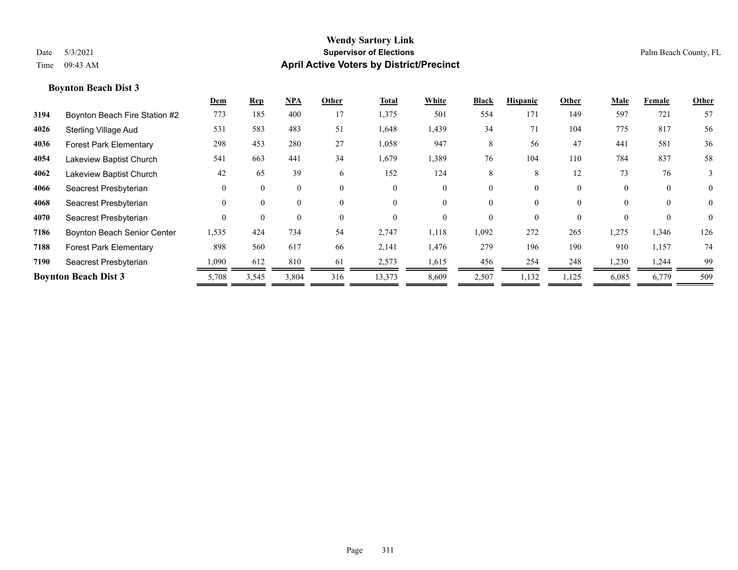|      |                                    | Dem      | <b>Rep</b> | $NPA$    | Other    | Total    | White    | <b>Black</b> | <b>Hispanic</b> | Other    | <b>Male</b> | Female   | Other          |
|------|------------------------------------|----------|------------|----------|----------|----------|----------|--------------|-----------------|----------|-------------|----------|----------------|
| 3194 | Boynton Beach Fire Station #2      | 773      | 185        | 400      | 17       | 1,375    | 501      | 554          | 171             | 149      | 597         | 721      | 57             |
| 4026 | <b>Sterling Village Aud</b>        | 531      | 583        | 483      | 51       | 1,648    | 1,439    | 34           | 71              | 104      | 775         | 817      | 56             |
| 4036 | <b>Forest Park Elementary</b>      | 298      | 453        | 280      | 27       | 1,058    | 947      | 8            | 56              | 47       | 441         | 581      | 36             |
| 4054 | Lakeview Baptist Church            | 541      | 663        | 441      | 34       | 1,679    | 1,389    | 76           | 104             | 110      | 784         | 837      | 58             |
| 4062 | Lakeview Baptist Church            | 42       | 65         | 39       | 6        | 152      | 124      | 8            | 8               | 12       | 73          | 76       | 3              |
| 4066 | Seacrest Presbyterian              | $\Omega$ | $\theta$   | $\Omega$ | $\theta$ | $\Omega$ | $\theta$ | 0            | $\theta$        | $\theta$ | $\Omega$    | $\theta$ | $\overline{0}$ |
| 4068 | Seacrest Presbyterian              | $\theta$ | $\theta$   | $\Omega$ | $\theta$ | $\Omega$ | $\theta$ | 0            | $\theta$        | $\Omega$ | $\Omega$    | $\theta$ | $\overline{0}$ |
| 4070 | Seacrest Presbyterian              | $\theta$ | $\theta$   | $\theta$ | $\theta$ | $\Omega$ | $\theta$ | 0            | 0               | $\Omega$ |             |          | $\theta$       |
| 7186 | <b>Boynton Beach Senior Center</b> | 1,535    | 424        | 734      | 54       | 2,747    | 1,118    | 1,092        | 272             | 265      | 1,275       | 1,346    | 126            |
| 7188 | <b>Forest Park Elementary</b>      | 898      | 560        | 617      | 66       | 2,141    | 1,476    | 279          | 196             | 190      | 910         | 1,157    | 74             |
| 7190 | Seacrest Presbyterian              | 1,090    | 612        | 810      | 61       | 2,573    | 1,615    | 456          | 254             | 248      | 1,230       | 1,244    | 99             |
|      | <b>Boynton Beach Dist 3</b>        | 5,708    | 3,545      | 3,804    | 316      | 13,373   | 8,609    | 2,507        | 1,132           | 1,125    | 6,085       | 6,779    | 509            |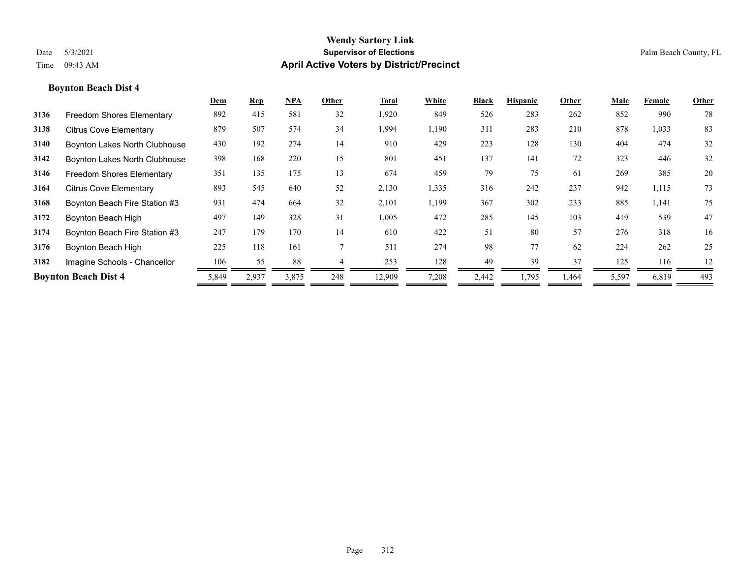|      |                                  | Dem   | <b>Rep</b> | $NPA$ | Other | Total  | White | <b>Black</b> | <b>Hispanic</b> | Other | Male  | Female | Other |
|------|----------------------------------|-------|------------|-------|-------|--------|-------|--------------|-----------------|-------|-------|--------|-------|
| 3136 | <b>Freedom Shores Elementary</b> | 892   | 415        | 581   | 32    | 1,920  | 849   | 526          | 283             | 262   | 852   | 990    | 78    |
| 3138 | <b>Citrus Cove Elementary</b>    | 879   | 507        | 574   | 34    | 1,994  | 1,190 | 311          | 283             | 210   | 878   | 1,033  | 83    |
| 3140 | Boynton Lakes North Clubhouse    | 430   | 192        | 274   | 14    | 910    | 429   | 223          | 128             | 130   | 404   | 474    | 32    |
| 3142 | Boynton Lakes North Clubhouse    | 398   | 168        | 220   | 15    | 801    | 451   | 137          | 141             | 72    | 323   | 446    | 32    |
| 3146 | Freedom Shores Elementary        | 351   | 135        | 175   | 13    | 674    | 459   | 79           | 75              | 61    | 269   | 385    | 20    |
| 3164 | <b>Citrus Cove Elementary</b>    | 893   | 545        | 640   | 52    | 2,130  | 1,335 | 316          | 242             | 237   | 942   | 1,115  | 73    |
| 3168 | Boynton Beach Fire Station #3    | 931   | 474        | 664   | 32    | 2,101  | 1,199 | 367          | 302             | 233   | 885   | 1,141  | 75    |
| 3172 | Boynton Beach High               | 497   | 149        | 328   | 31    | 1,005  | 472   | 285          | 145             | 103   | 419   | 539    | 47    |
| 3174 | Boynton Beach Fire Station #3    | 247   | 179        | 170   | 14    | 610    | 422   | 51           | 80              | 57    | 276   | 318    | 16    |
| 3176 | Boynton Beach High               | 225   | 118        | 161   |       | 511    | 274   | 98           | 77              | 62    | 224   | 262    | 25    |
| 3182 | Imagine Schools - Chancellor     | 106   | 55         | 88    |       | 253    | 128   | 49           | 39              | 37    | 125   | 116    | 12    |
|      | <b>Boynton Beach Dist 4</b>      | 5,849 | 2,937      | 3,875 | 248   | 12,909 | 7,208 | 2,442        | 1,795           | 1,464 | 5,597 | 6,819  | 493   |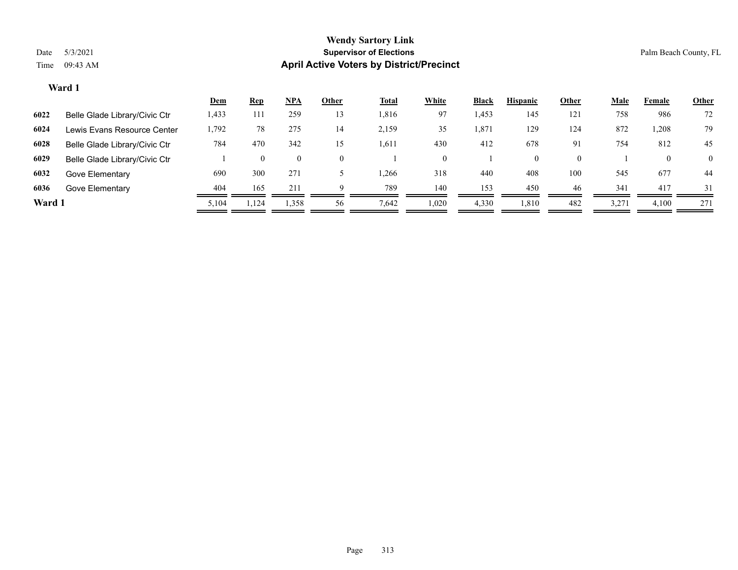|        |                               | <u>Dem</u> | <u>Rep</u> | <u>NPA</u> | Other | <u>Total</u> | White | <b>Black</b> | <b>Hispanic</b> | Other    | <b>Male</b> | Female | <b>Other</b> |
|--------|-------------------------------|------------|------------|------------|-------|--------------|-------|--------------|-----------------|----------|-------------|--------|--------------|
| 6022   | Belle Glade Library/Civic Ctr | 1,433      | 111        | 259        | 13    | 1,816        | 97    | 1,453        | 145             | 121      | 758         | 986    | 72           |
| 6024   | Lewis Evans Resource Center   | 1,792      | 78         | 275        | 14    | 2,159        | 35    | 1,871        | 129             | 124      | 872         | 1,208  | 79           |
| 6028   | Belle Glade Library/Civic Ctr | 784        | 470        | 342        | 15    | 1.611        | 430   | 412          | 678             | 91       | 754         | 812    | 45           |
| 6029   | Belle Glade Library/Civic Ctr |            |            | $\theta$   | 0     |              |       |              | $\theta$        | $\theta$ |             |        | $\theta$     |
| 6032   | Gove Elementary               | 690        | 300        | 271        |       | .266         | 318   | 440          | 408             | 100      | 545         | 677    | 44           |
| 6036   | Gove Elementary               | 404        | 165        | 211        |       | 789          | 140   | 153          | 450             | 46       | 341         | 417    | 31           |
| Ward 1 |                               | 5,104      | .,124      | 1,358      | 56    | 7,642        | ,020  | 4,330        | 1,810           | 482      | 3,271       | 4,100  | 271          |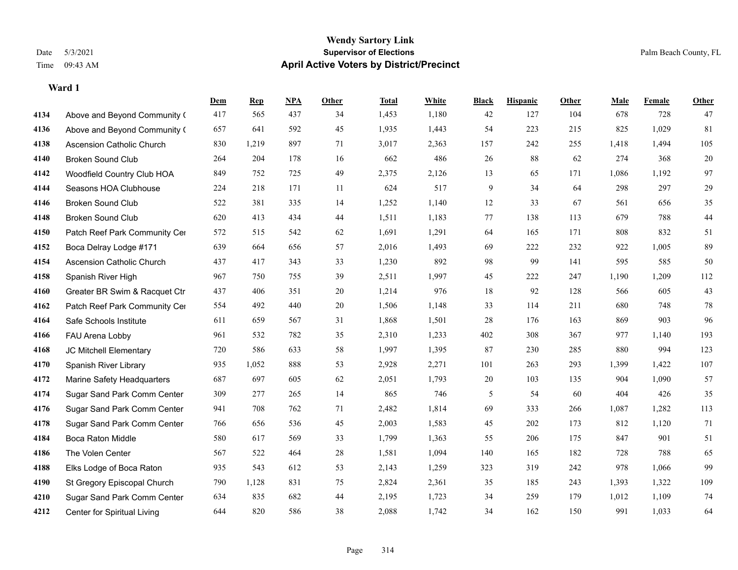|      |                                  | Dem | <b>Rep</b> | NPA | <b>Other</b> | <b>Total</b> | <b>White</b> | <b>Black</b> | <b>Hispanic</b> | Other | <b>Male</b> | <b>Female</b> | <b>Other</b> |
|------|----------------------------------|-----|------------|-----|--------------|--------------|--------------|--------------|-----------------|-------|-------------|---------------|--------------|
| 4134 | Above and Beyond Community (     | 417 | 565        | 437 | 34           | 1,453        | 1,180        | 42           | 127             | 104   | 678         | 728           | 47           |
| 4136 | Above and Beyond Community (     | 657 | 641        | 592 | 45           | 1,935        | 1,443        | 54           | 223             | 215   | 825         | 1,029         | 81           |
| 4138 | <b>Ascension Catholic Church</b> | 830 | 1,219      | 897 | 71           | 3,017        | 2,363        | 157          | 242             | 255   | 1,418       | 1,494         | 105          |
| 4140 | <b>Broken Sound Club</b>         | 264 | 204        | 178 | 16           | 662          | 486          | 26           | 88              | 62    | 274         | 368           | $20\,$       |
| 4142 | Woodfield Country Club HOA       | 849 | 752        | 725 | 49           | 2,375        | 2,126        | 13           | 65              | 171   | 1,086       | 1,192         | 97           |
| 4144 | Seasons HOA Clubhouse            | 224 | 218        | 171 | 11           | 624          | 517          | 9            | 34              | 64    | 298         | 297           | $29\,$       |
| 4146 | <b>Broken Sound Club</b>         | 522 | 381        | 335 | 14           | 1,252        | 1,140        | $12\,$       | 33              | 67    | 561         | 656           | 35           |
| 4148 | <b>Broken Sound Club</b>         | 620 | 413        | 434 | 44           | 1,511        | 1,183        | 77           | 138             | 113   | 679         | 788           | $44\,$       |
| 4150 | Patch Reef Park Community Cer    | 572 | 515        | 542 | 62           | 1,691        | 1,291        | 64           | 165             | 171   | 808         | 832           | 51           |
| 4152 | Boca Delray Lodge #171           | 639 | 664        | 656 | 57           | 2,016        | 1,493        | 69           | 222             | 232   | 922         | 1,005         | 89           |
| 4154 | Ascension Catholic Church        | 437 | 417        | 343 | 33           | 1,230        | 892          | 98           | 99              | 141   | 595         | 585           | 50           |
| 4158 | Spanish River High               | 967 | 750        | 755 | 39           | 2,511        | 1,997        | 45           | 222             | 247   | 1,190       | 1,209         | 112          |
| 4160 | Greater BR Swim & Racquet Ctr    | 437 | 406        | 351 | $20\,$       | 1,214        | 976          | $18\,$       | 92              | 128   | 566         | 605           | $43\,$       |
| 4162 | Patch Reef Park Community Cer    | 554 | 492        | 440 | 20           | 1,506        | 1,148        | 33           | 114             | 211   | 680         | 748           | $78\,$       |
| 4164 | Safe Schools Institute           | 611 | 659        | 567 | 31           | 1,868        | 1,501        | 28           | 176             | 163   | 869         | 903           | 96           |
| 4166 | FAU Arena Lobby                  | 961 | 532        | 782 | 35           | 2,310        | 1,233        | 402          | 308             | 367   | 977         | 1,140         | 193          |
| 4168 | JC Mitchell Elementary           | 720 | 586        | 633 | 58           | 1,997        | 1,395        | 87           | 230             | 285   | 880         | 994           | 123          |
| 4170 | Spanish River Library            | 935 | 1,052      | 888 | 53           | 2,928        | 2,271        | 101          | 263             | 293   | 1,399       | 1,422         | $107\,$      |
| 4172 | Marine Safety Headquarters       | 687 | 697        | 605 | 62           | 2,051        | 1,793        | 20           | 103             | 135   | 904         | 1,090         | 57           |
| 4174 | Sugar Sand Park Comm Center      | 309 | 277        | 265 | 14           | 865          | 746          | 5            | 54              | 60    | 404         | 426           | 35           |
| 4176 | Sugar Sand Park Comm Center      | 941 | 708        | 762 | 71           | 2,482        | 1,814        | 69           | 333             | 266   | 1,087       | 1,282         | 113          |
| 4178 | Sugar Sand Park Comm Center      | 766 | 656        | 536 | 45           | 2,003        | 1,583        | 45           | 202             | 173   | 812         | 1,120         | 71           |
| 4184 | <b>Boca Raton Middle</b>         | 580 | 617        | 569 | 33           | 1,799        | 1,363        | 55           | 206             | 175   | 847         | 901           | 51           |
| 4186 | The Volen Center                 | 567 | 522        | 464 | $28\,$       | 1,581        | 1,094        | 140          | 165             | 182   | 728         | 788           | 65           |
| 4188 | Elks Lodge of Boca Raton         | 935 | 543        | 612 | 53           | 2,143        | 1,259        | 323          | 319             | 242   | 978         | 1,066         | 99           |
| 4190 | St Gregory Episcopal Church      | 790 | 1,128      | 831 | 75           | 2,824        | 2,361        | 35           | 185             | 243   | 1,393       | 1,322         | 109          |
| 4210 | Sugar Sand Park Comm Center      | 634 | 835        | 682 | 44           | 2,195        | 1,723        | 34           | 259             | 179   | 1,012       | 1,109         | 74           |
| 4212 | Center for Spiritual Living      | 644 | 820        | 586 | 38           | 2,088        | 1,742        | 34           | 162             | 150   | 991         | 1,033         | 64           |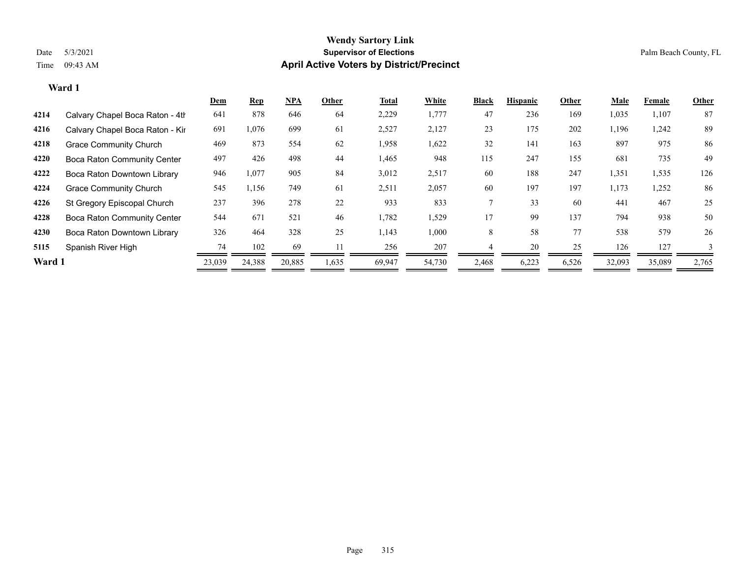|        |                                    | <b>Dem</b> | <b>Rep</b> | <u>NPA</u> | Other | Total  | White  | <b>Black</b> | <b>Hispanic</b> | Other | Male   | Female | Other |
|--------|------------------------------------|------------|------------|------------|-------|--------|--------|--------------|-----------------|-------|--------|--------|-------|
| 4214   | Calvary Chapel Boca Raton - 4th    | 641        | 878        | 646        | 64    | 2,229  | 1,777  | 47           | 236             | 169   | 1,035  | 1,107  | 87    |
| 4216   | Calvary Chapel Boca Raton - Kir    | 691        | 1,076      | 699        | 61    | 2,527  | 2,127  | 23           | 175             | 202   | 1,196  | 1,242  | 89    |
| 4218   | <b>Grace Community Church</b>      | 469        | 873        | 554        | 62    | 1,958  | 1,622  | 32           | 141             | 163   | 897    | 975    | 86    |
| 4220   | <b>Boca Raton Community Center</b> | 497        | 426        | 498        | 44    | 1,465  | 948    | 115          | 247             | 155   | 681    | 735    | 49    |
| 4222   | Boca Raton Downtown Library        | 946        | 1,077      | 905        | 84    | 3,012  | 2,517  | 60           | 188             | 247   | 1,351  | 1,535  | 126   |
| 4224   | <b>Grace Community Church</b>      | 545        | 1,156      | 749        | 61    | 2,511  | 2,057  | 60           | 197             | 197   | 1,173  | 1,252  | 86    |
| 4226   | St Gregory Episcopal Church        | 237        | 396        | 278        | 22    | 933    | 833    |              | 33              | 60    | 441    | 467    | 25    |
| 4228   | <b>Boca Raton Community Center</b> | 544        | 671        | 521        | 46    | 1,782  | 1,529  | 17           | 99              | 137   | 794    | 938    | 50    |
| 4230   | Boca Raton Downtown Library        | 326        | 464        | 328        | 25    | 1,143  | 1,000  | 8            | 58              | 77    | 538    | 579    | 26    |
| 5115   | Spanish River High                 | 74         | 102        | 69         |       | 256    | 207    |              | 20              | 25    | 126    | 127    |       |
| Ward 1 |                                    | 23,039     | 24,388     | 20,885     | 1,635 | 69.947 | 54,730 | 2,468        | 6,223           | 6,526 | 32,093 | 35,089 | 2,765 |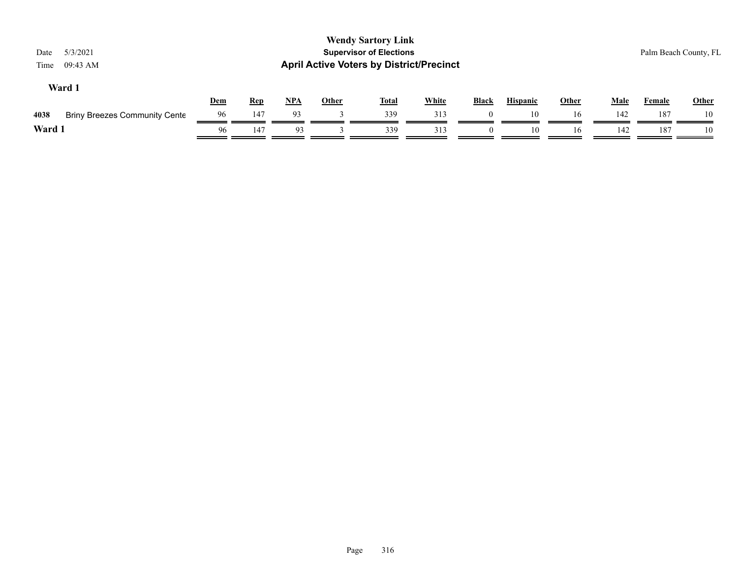| 5/3/2021<br>Date<br>09:43 AM<br>Time         |     |            |     |              | <b>Wendy Sartory Link</b><br><b>Supervisor of Elections</b><br><b>April Active Voters by District/Precinct</b> |              |              |                 |              |             |        | Palm Beach County, FL |
|----------------------------------------------|-----|------------|-----|--------------|----------------------------------------------------------------------------------------------------------------|--------------|--------------|-----------------|--------------|-------------|--------|-----------------------|
| Ward 1                                       | Dem | <b>Rep</b> | NPA | <b>Other</b> | <b>Total</b>                                                                                                   | <b>White</b> | <b>Black</b> | <b>Hispanic</b> | <b>Other</b> | <b>Male</b> | Female | <b>Other</b>          |
| 4038<br><b>Briny Breezes Community Cente</b> | 96  | 147        | 93  |              | 339                                                                                                            | 313          |              | 10              | 16           | 142         | 187    | 10                    |
| Ward 1                                       | 96  | 147        | 93  |              | 339                                                                                                            | 313          | $\theta$     | 10              | 16           | 142         | 187    | 10                    |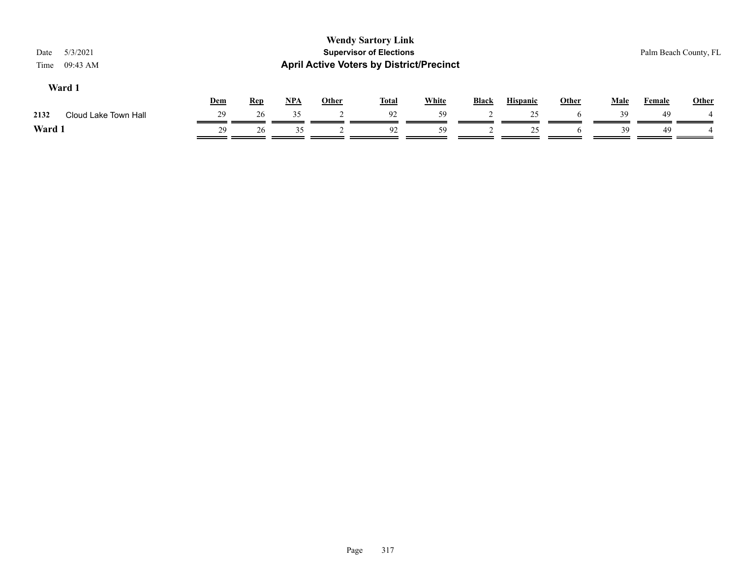| 5/3/2021<br>Date<br>09:43 AM<br>Time |            |            |            |              | <b>Wendy Sartory Link</b><br><b>Supervisor of Elections</b><br><b>April Active Voters by District/Precinct</b> |              |              |                 |       |             |               | Palm Beach County, FL |
|--------------------------------------|------------|------------|------------|--------------|----------------------------------------------------------------------------------------------------------------|--------------|--------------|-----------------|-------|-------------|---------------|-----------------------|
| Ward 1                               | <b>Dem</b> | <b>Rep</b> | <u>NPA</u> | <b>Other</b> | <b>Total</b>                                                                                                   | <b>White</b> | <b>Black</b> | <b>Hispanic</b> | Other | <b>Male</b> | <b>Female</b> | <b>Other</b>          |
| Cloud Lake Town Hall<br>2132         | 29         | 26         | 35         |              | 92                                                                                                             | 59           |              | 25              |       | 39          | 49            |                       |
| Ward 1                               | 29         | 26         | 35         |              | 92                                                                                                             | 59           |              | 25              |       | 39          | 49            |                       |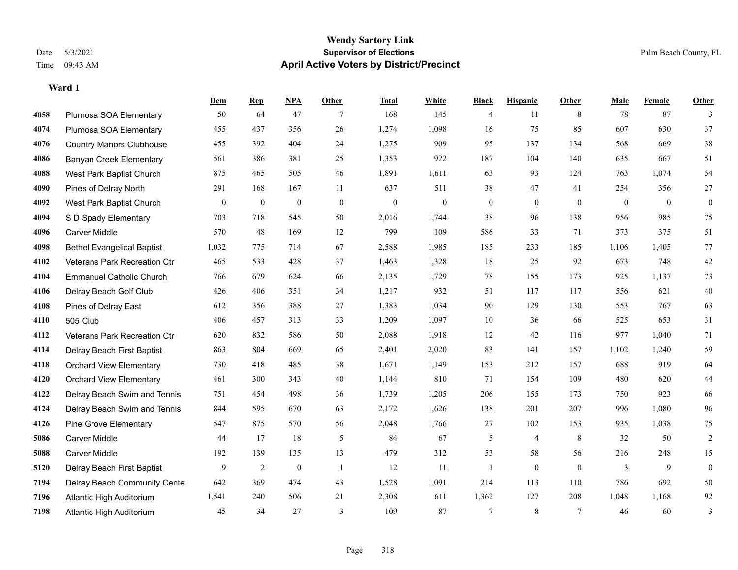**Ward 1**

#### **Wendy Sartory Link** Date 5/3/2021 **Supervisor of Elections** Palm Beach County, FL Time 09:43 AM **April Active Voters by District/Precinct**

# **Dem Rep NPA Other Total White Black Hispanic Other Male Female Other** Plumosa SOA Elementary 50 64 47 7 168 145 4 11 8 78 87 3 Plumosa SOA Elementary 455 437 356 26 1,274 1,098 16 75 85 607 630 37 Country Manors Clubhouse 455 392 404 24 1,275 909 95 137 134 568 669 38 Banyan Creek Elementary 561 386 381 25 1,353 922 187 104 140 635 667 51 West Park Baptist Church 875 465 505 46 1,891 1,611 63 93 124 763 1,074 54 Pines of Delray North 291 168 167 11 637 511 38 47 41 254 356 27 West Park Baptist Church 0 0 0 0 0 0 0 0 0 0 0 0 S D Spady Elementary 703 718 545 50 2,016 1,744 38 96 138 956 985 75 Carver Middle 570 48 169 12 799 109 586 33 71 373 375 51 Bethel Evangelical Baptist 1,032 775 714 67 2,588 1,985 185 233 185 1,106 1,405 77 Veterans Park Recreation Ctr 465 533 428 37 1,463 1,328 18 25 92 673 748 42 Emmanuel Catholic Church 766 679 624 66 2,135 1,729 78 155 173 925 1,137 73 Delray Beach Golf Club 426 406 351 34 1,217 932 51 117 117 556 621 40 Pines of Delray East 612 356 388 27 1,383 1,034 90 129 130 553 767 63 505 Club 406 457 313 33 1,209 1,097 10 36 66 525 653 31 Veterans Park Recreation Ctr 620 832 586 50 2,088 1,918 12 42 116 977 1,040 71 Delray Beach First Baptist 863 804 669 65 2,401 2,020 83 141 157 1,102 1,240 59 Orchard View Elementary 730 418 485 38 1,671 1,149 153 212 157 688 919 64 Orchard View Elementary 461 300 343 40 1,144 810 71 154 109 480 620 44 Delray Beach Swim and Tennis 751 454 498 36 1,739 1,205 206 155 173 750 923 66 Delray Beach Swim and Tennis 844 595 670 63 2,172 1,626 138 201 207 996 1,080 96 Pine Grove Elementary 547 875 570 56 2,048 1,766 27 102 153 935 1,038 75 Carver Middle 44 17 18 5 84 67 5 4 8 32 50 2 Carver Middle 192 139 135 13 479 312 53 58 56 216 248 15 Delray Beach First Baptist  $\begin{array}{cccccccc} 9 & 2 & 0 & 1 & 12 & 11 & 1 & 0 & 0 & 3 & 9 & 0 \end{array}$  Delray Beach Community Center 642 369 474 43 1,528 1,091 214 113 110 786 692 50 Atlantic High Auditorium 1,541 240 506 21 2,308 611 1,362 127 208 1,048 1,168 92

Atlantic High Auditorium 45 34 27 3 109 87 7 8 7 46 60 3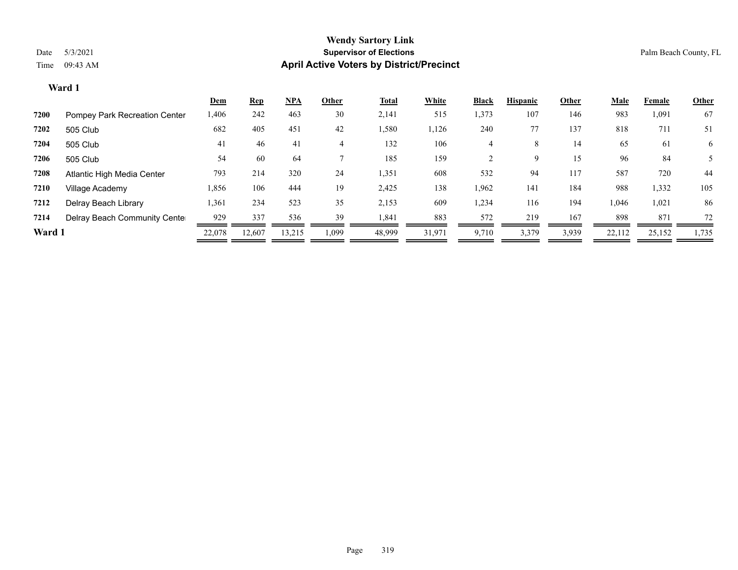|        |                                      | <b>Dem</b> | <b>Rep</b> | $NPA$  | Other | <u>Total</u> | White  | <b>Black</b> | <b>Hispanic</b> | Other | <b>Male</b> | Female | Other |
|--------|--------------------------------------|------------|------------|--------|-------|--------------|--------|--------------|-----------------|-------|-------------|--------|-------|
| 7200   | <b>Pompey Park Recreation Center</b> | 1,406      | 242        | 463    | 30    | 2,141        | 515    | 1,373        | 107             | 146   | 983         | 1,091  | 67    |
| 7202   | 505 Club                             | 682        | 405        | 451    | 42    | 1,580        | 1,126  | 240          |                 | 137   | 818         | 711    | 51    |
| 7204   | 505 Club                             | 41         | 46         | 41     | 4     | 132          | 106    | 4            | 8               | 14    | 65          | 61     | 6     |
| 7206   | 505 Club                             | 54         | 60         | 64     |       | 185          | 159    |              | 9.              | 15    | 96          | 84     |       |
| 7208   | Atlantic High Media Center           | 793        | 214        | 320    | 24    | 1,351        | 608    | 532          | 94              | 117   | 587         | 720    | 44    |
| 7210   | Village Academy                      | 1,856      | 106        | 444    | 19    | 2,425        | 138    | 1,962        | 141             | 184   | 988         | 1,332  | 105   |
| 7212   | Delray Beach Library                 | 1,361      | 234        | 523    | 35    | 2,153        | 609    | 1,234        | 116             | 194   | 1,046       | 1,021  | 86    |
| 7214   | Delray Beach Community Cente         | 929        | 337        | 536    | 39    | 1,841        | 883    | 572          | 219             | 167   | 898         | 871    | 72    |
| Ward 1 |                                      | 22,078     | 12.607     | 13,215 | 1,099 | 48,999       | 31,971 | 9,710        | 3,379           | 3,939 | 22,112      | 25,152 | 1,735 |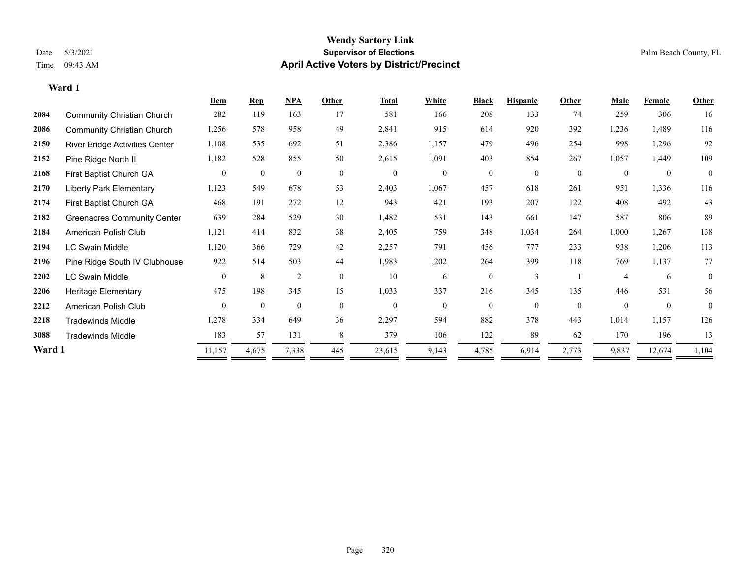**Ward 1**

#### **Wendy Sartory Link** Date 5/3/2021 **Supervisor of Elections** Palm Beach County, FL Time 09:43 AM **April Active Voters by District/Precinct**

|        |                                       | Dem          | <b>Rep</b>     | NPA            | Other        | Total          | White          | <b>Black</b> | <b>Hispanic</b> | Other        | Male             | Female   | Other    |
|--------|---------------------------------------|--------------|----------------|----------------|--------------|----------------|----------------|--------------|-----------------|--------------|------------------|----------|----------|
| 2084   | <b>Community Christian Church</b>     | 282          | 119            | 163            | 17           | 581            | 166            | 208          | 133             | 74           | 259              | 306      | 16       |
| 2086   | <b>Community Christian Church</b>     | 1,256        | 578            | 958            | 49           | 2,841          | 915            | 614          | 920             | 392          | 1,236            | 1,489    | 116      |
| 2150   | <b>River Bridge Activities Center</b> | 1,108        | 535            | 692            | 51           | 2,386          | 1,157          | 479          | 496             | 254          | 998              | 1,296    | 92       |
| 2152   | Pine Ridge North II                   | 1,182        | 528            | 855            | 50           | 2,615          | 1,091          | 403          | 854             | 267          | 1,057            | 1,449    | 109      |
| 2168   | First Baptist Church GA               | $\mathbf{0}$ | $\overline{0}$ | $\overline{0}$ | $\mathbf{0}$ | $\overline{0}$ | $\overline{0}$ | $\mathbf{0}$ | $\overline{0}$  | $\mathbf{0}$ | $\boldsymbol{0}$ | $\theta$ | $\theta$ |
| 2170   | <b>Liberty Park Elementary</b>        | 1,123        | 549            | 678            | 53           | 2,403          | 1,067          | 457          | 618             | 261          | 951              | 1,336    | 116      |
| 2174   | First Baptist Church GA               | 468          | 191            | 272            | 12           | 943            | 421            | 193          | 207             | 122          | 408              | 492      | 43       |
| 2182   | <b>Greenacres Community Center</b>    | 639          | 284            | 529            | 30           | 1,482          | 531            | 143          | 661             | 147          | 587              | 806      | 89       |
| 2184   | American Polish Club                  | 1,121        | 414            | 832            | 38           | 2,405          | 759            | 348          | 1,034           | 264          | 1,000            | 1,267    | 138      |
| 2194   | LC Swain Middle                       | 1,120        | 366            | 729            | 42           | 2,257          | 791            | 456          | 777             | 233          | 938              | 1,206    | 113      |
| 2196   | Pine Ridge South IV Clubhouse         | 922          | 514            | 503            | 44           | 1,983          | 1,202          | 264          | 399             | 118          | 769              | 1,137    | 77       |
| 2202   | LC Swain Middle                       | $\mathbf{0}$ | 8              | $\overline{2}$ | $\mathbf{0}$ | 10             | 6              | $\mathbf{0}$ | $\overline{3}$  |              | $\overline{4}$   | 6        | $\theta$ |
| 2206   | Heritage Elementary                   | 475          | 198            | 345            | 15           | 1,033          | 337            | 216          | 345             | 135          | 446              | 531      | 56       |
| 2212   | American Polish Club                  | $\theta$     | $\mathbf{0}$   | $\theta$       | $\theta$     | $\mathbf{0}$   | $\theta$       | $\theta$     | $\theta$        | $\theta$     | $\theta$         | $\Omega$ | $\Omega$ |
| 2218   | <b>Tradewinds Middle</b>              | 1,278        | 334            | 649            | 36           | 2,297          | 594            | 882          | 378             | 443          | 1,014            | 1,157    | 126      |
| 3088   | <b>Tradewinds Middle</b>              | 183          | 57             | 131            | 8            | 379            | 106            | 122          | 89              | 62           | 170              | 196      | 13       |
| Ward 1 |                                       | 11,157       | 4,675          | 7,338          | 445          | 23,615         | 9,143          | 4,785        | 6,914           | 2,773        | 9,837            | 12,674   | 1,104    |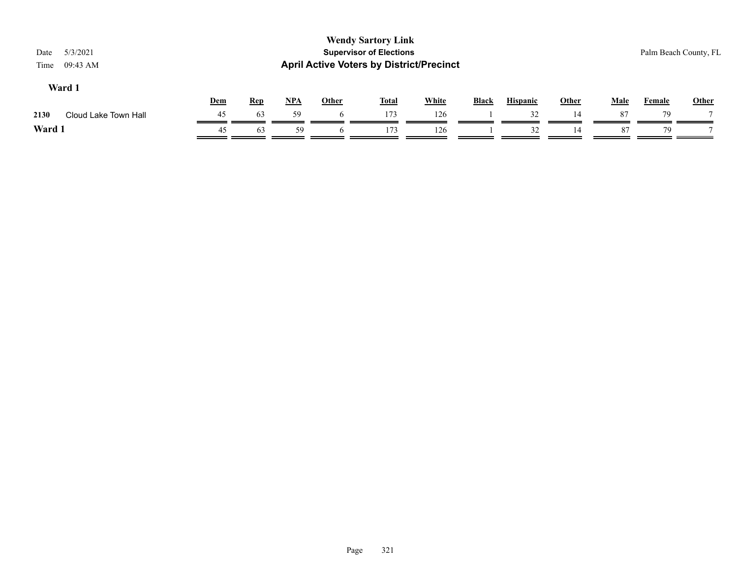| 5/3/2021<br>Date<br>09:43 AM<br>Time |     |            |            |              | <b>Wendy Sartory Link</b><br><b>Supervisor of Elections</b> | <b>April Active Voters by District/Precinct</b> |              |                 |              |             |        | Palm Beach County, FL |
|--------------------------------------|-----|------------|------------|--------------|-------------------------------------------------------------|-------------------------------------------------|--------------|-----------------|--------------|-------------|--------|-----------------------|
| Ward 1                               | Dem | <b>Rep</b> | <u>NPA</u> | <b>Other</b> | <b>Total</b>                                                | <b>White</b>                                    | <b>Black</b> | <b>Hispanic</b> | <b>Other</b> | <u>Male</u> | Female | <b>Other</b>          |
| Cloud Lake Town Hall<br>2130         | 45  | 63         | 59         |              | 173                                                         | 126                                             |              | 32              | 14           | 87          | 79     |                       |
| Ward 1                               | 45  | 63         | 59         |              | 173                                                         | 126                                             |              | 32              | 14           | 87          | 79     |                       |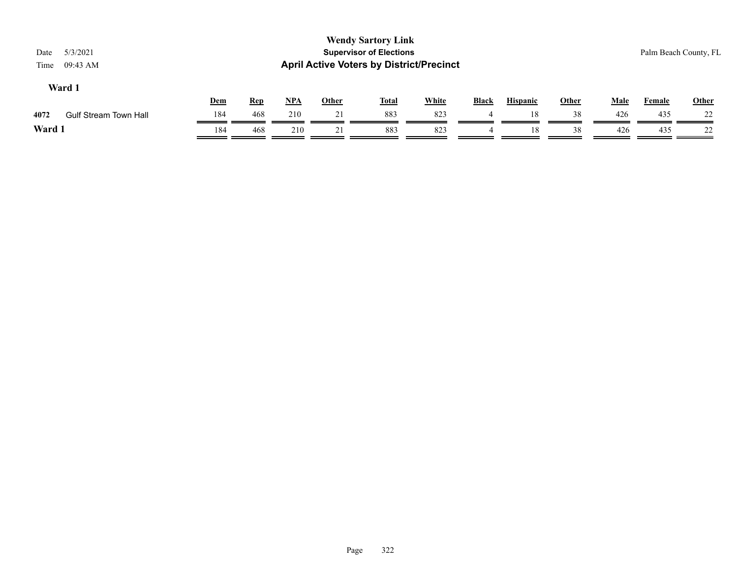| <b>Wendy Sartory Link</b><br><b>Supervisor of Elections</b><br>5/3/2021<br>Date<br><b>April Active Voters by District/Precinct</b><br>09:43 AM<br>Time |                              |     |            |            |              |              |              |       |                 |              |             | Palm Beach County, FL |              |  |
|--------------------------------------------------------------------------------------------------------------------------------------------------------|------------------------------|-----|------------|------------|--------------|--------------|--------------|-------|-----------------|--------------|-------------|-----------------------|--------------|--|
|                                                                                                                                                        | Ward 1                       | Dem | <b>Rep</b> | <u>NPA</u> | <u>Other</u> | <u>Total</u> | <b>White</b> | Black | <b>Hispanic</b> | <b>Other</b> | <b>Male</b> | <b>Female</b>         | <b>Other</b> |  |
| 4072                                                                                                                                                   | <b>Gulf Stream Town Hall</b> | 184 | 468        | 210        | 21           | 883          | 823          | 4     | 18              | 38           | 426         | 435                   | 22           |  |
| Ward 1                                                                                                                                                 |                              | 184 | 468        | 210        | 21           | 883          | 823          | 4     | 18              | 38           | 426         | 435                   | 22           |  |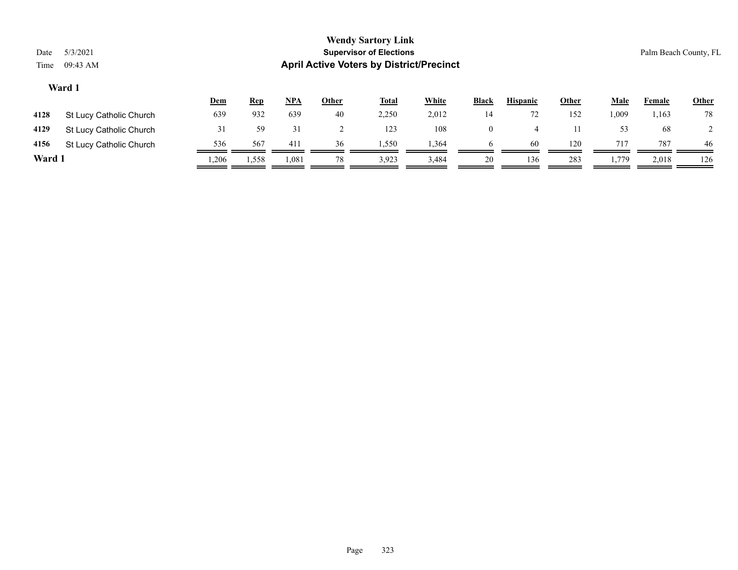| <b>Wendy Sartory Link</b><br>5/3/2021<br><b>Supervisor of Elections</b><br>Date<br><b>April Active Voters by District/Precinct</b><br>09:43 AM<br>Time |                         |            |            |            |              |              |              |              |                 |              |             | Palm Beach County, FL |              |  |
|--------------------------------------------------------------------------------------------------------------------------------------------------------|-------------------------|------------|------------|------------|--------------|--------------|--------------|--------------|-----------------|--------------|-------------|-----------------------|--------------|--|
|                                                                                                                                                        | Ward 1                  |            |            |            |              |              |              |              |                 |              |             |                       |              |  |
|                                                                                                                                                        |                         | <u>Dem</u> | <b>Rep</b> | <u>NPA</u> | <u>Other</u> | <b>Total</b> | <b>White</b> | <b>Black</b> | <b>Hispanic</b> | <u>Other</u> | <u>Male</u> | <b>Female</b>         | <b>Other</b> |  |
| 4128                                                                                                                                                   | St Lucy Catholic Church | 639        | 932        | 639        | 40           | 2,250        | 2,012        | 14           | 72              | 152          | 1,009       | 1,163                 | 78           |  |
| 4129                                                                                                                                                   | St Lucy Catholic Church | 31         | 59         | 31         |              | 123          | 108          | $\theta$     | 4               | 11           | 53          | 68                    |              |  |

| 4156  | <b>St Lucy Catholic Church</b> | 536   | 56′   |      | .,550 | .36 |    | 60 |     |      | 787   | 46  |
|-------|--------------------------------|-------|-------|------|-------|-----|----|----|-----|------|-------|-----|
| Ward. |                                | . 206 | 1,558 | 1.08 | 3.923 |     | 20 | 36 | 283 | 1770 | 2.018 | 126 |

Page 323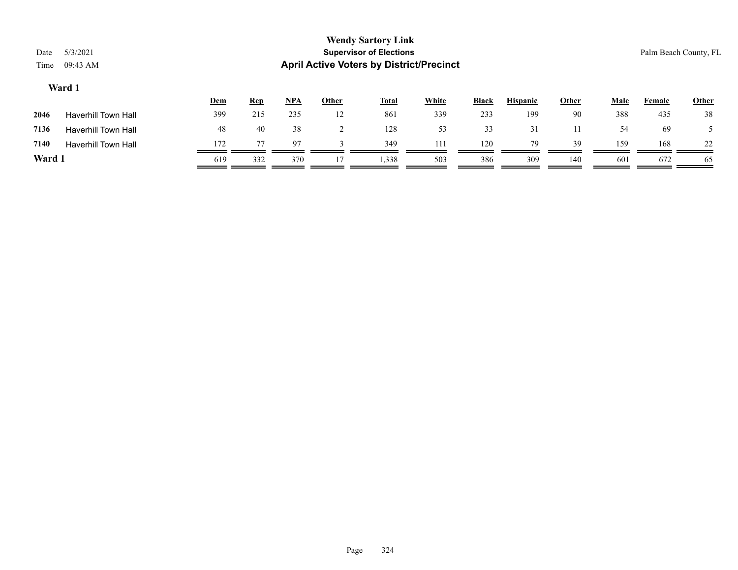|                  |                                |            |            |              | <b>Wendy Sartory Link</b>                       |              |              |                 |              |      |        |              |  |
|------------------|--------------------------------|------------|------------|--------------|-------------------------------------------------|--------------|--------------|-----------------|--------------|------|--------|--------------|--|
| 5/3/2021<br>Date | <b>Supervisor of Elections</b> |            |            |              |                                                 |              |              |                 |              |      |        |              |  |
| 09:43 AM<br>Time |                                |            |            |              | <b>April Active Voters by District/Precinct</b> |              |              |                 |              |      |        |              |  |
| Ward 1           |                                |            |            |              |                                                 |              |              |                 |              |      |        |              |  |
|                  | <u>Dem</u>                     | <u>Rep</u> | <b>NPA</b> | <b>Other</b> | <b>Total</b>                                    | <b>White</b> | <b>Black</b> | <b>Hispanic</b> | <b>Other</b> | Male | Female | <b>Other</b> |  |

| 2046   | Haverhill Town Hall        | 399 | 215 | 235            | 12 | 861   | 339 | 233 | 199 | 90  | 388 | 435 | 38  |
|--------|----------------------------|-----|-----|----------------|----|-------|-----|-----|-----|-----|-----|-----|-----|
| 7136   | <b>Haverhill Town Hall</b> | 48  | 40  | 38             |    | 128   | 53  | 33  |     |     | 54  | 69  |     |
| 7140   | <b>Haverhill Town Hall</b> | 172 | 77  | Q <sub>7</sub> |    | 349   | 111 | 120 | 79  | 39  | 159 | 168 | 22  |
| Ward : |                            | 619 | 332 | 370            |    | 1,338 | 503 | 386 | 309 | 140 | 601 | 672 | -65 |

Page 324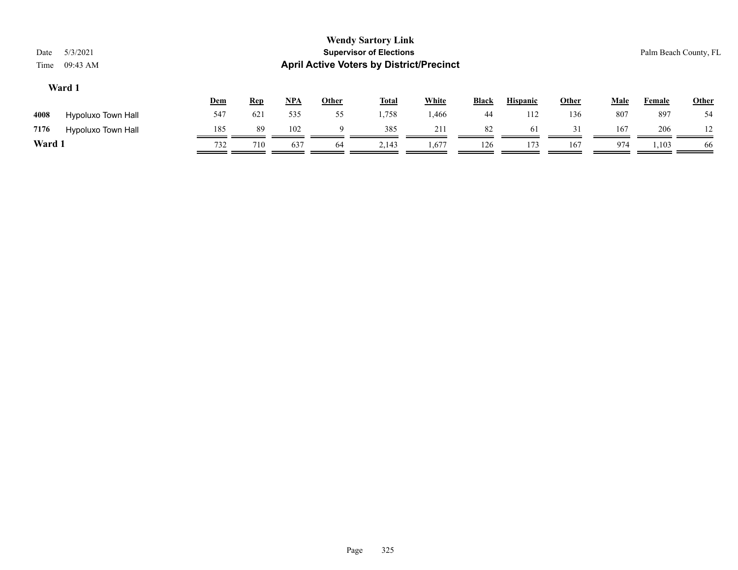|        |                    | <b>Dem</b> | <u>Rep</u> | <b>NPA</b> | Other | <b>Total</b> | White | <b>Black</b> | <b>Hispanic</b> | Other | Male | Female | <b>Other</b> |
|--------|--------------------|------------|------------|------------|-------|--------------|-------|--------------|-----------------|-------|------|--------|--------------|
| 4008   | Hypoluxo Town Hall | 547        | 621        | 535        | 55    | 1,758        | 1,466 | 44           | 112             | 136   | 807  | 897    | 54           |
| 7176   | Hypoluxo Town Hall | 185        | 89         | 102        |       | 385          | 211   | 82           | 61              | 31    | 167  | 206    |              |
| Ward 1 |                    | 732        | 710        | 637        | -64   | 2,143        | 1,677 | 126          | 173             | 167   | 974  | 1,103  | 66           |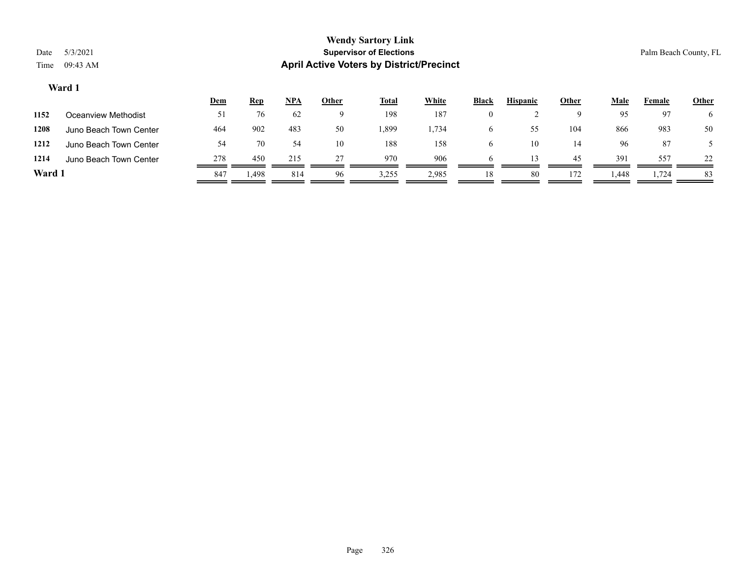|        |                        | Dem | <u>Rep</u>     | <u>NPA</u> | <u>Other</u> | <u>Total</u> | <b>White</b> | <b>Black</b> | <b>Hispanic</b> | <u>Other</u> | <b>Male</b> | Female | <b>Other</b> |
|--------|------------------------|-----|----------------|------------|--------------|--------------|--------------|--------------|-----------------|--------------|-------------|--------|--------------|
| 1152   | Oceanview Methodist    | 51  | 76             | 62         | u            | 198          | 187          | $\theta$     |                 |              | 95          | 97     |              |
| 1208   | Juno Beach Town Center | 464 | 902            | 483        | 50           | .399         | 1,734        | 6            | 55              | 104          | 866         | 983    | 50           |
| 1212   | Juno Beach Town Center | 54  | 70             | 54         | 10           | 188          | 158          |              | 10              | 14           | 96          | 87     |              |
| 1214   | Juno Beach Town Center | 278 | 450            | 215        | 27           | 970          | 906          |              |                 | 45           | 391         | 557    | 22           |
| Ward 1 |                        | 847 | <sup>498</sup> | 814        | 96           | 3,255        | 2,985        | 18           | 80              | 172          | 1,448       | 1,724  | 83           |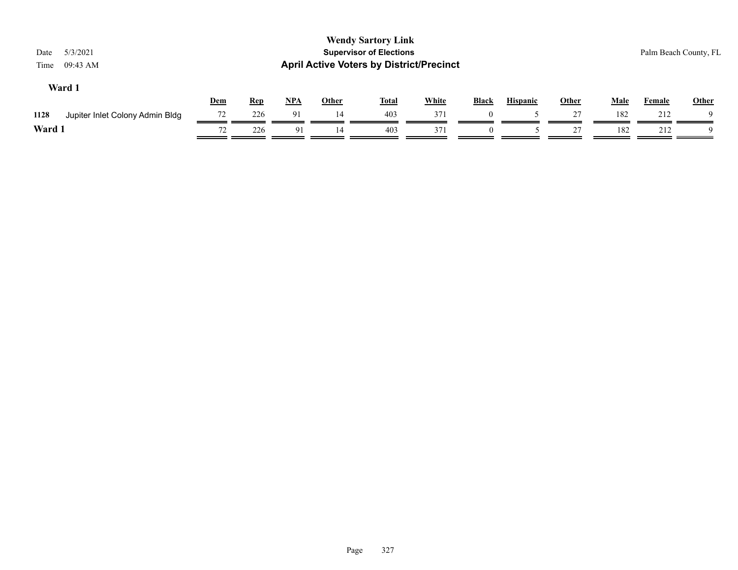| 5/3/2021<br>Date<br>09:43 AM<br>Time    |     |            |       |              | <b>Wendy Sartory Link</b><br><b>Supervisor of Elections</b><br><b>April Active Voters by District/Precinct</b> |              |          |                 |              |             | Palm Beach County, FL |       |
|-----------------------------------------|-----|------------|-------|--------------|----------------------------------------------------------------------------------------------------------------|--------------|----------|-----------------|--------------|-------------|-----------------------|-------|
| Ward 1                                  | Dem | <b>Rep</b> | $NPA$ | <b>Other</b> | <b>Total</b>                                                                                                   | <b>White</b> | Black    | <b>Hispanic</b> | <b>Other</b> | <b>Male</b> | <b>Female</b>         | Other |
| 1128<br>Jupiter Inlet Colony Admin Bldg | 72  | 226        | 91    | 14           | 403                                                                                                            | 371          | $\Omega$ |                 | 27           | 182         | 212                   |       |
| Ward 1                                  | 72  | 226        | -91   | 14           | 403                                                                                                            | 371          |          |                 | 27           | 182         | 212                   |       |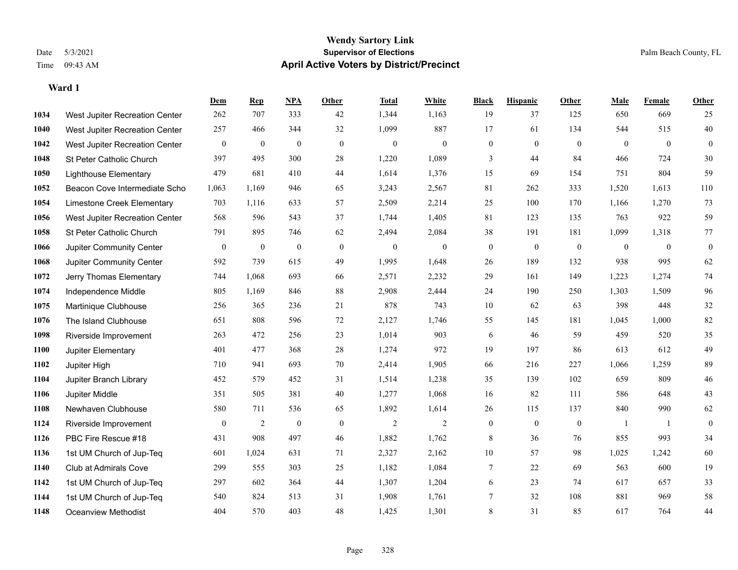|      |                                | Dem              | <b>Rep</b>       | NPA              | <b>Other</b> | <b>Total</b>     | <b>White</b>     | <b>Black</b>     | <b>Hispanic</b>  | <b>Other</b>     | <b>Male</b>    | <b>Female</b>  | Other        |
|------|--------------------------------|------------------|------------------|------------------|--------------|------------------|------------------|------------------|------------------|------------------|----------------|----------------|--------------|
| 1034 | West Jupiter Recreation Center | 262              | 707              | 333              | 42           | 1,344            | 1,163            | 19               | 37               | 125              | 650            | 669            | 25           |
| 1040 | West Jupiter Recreation Center | 257              | 466              | 344              | 32           | 1,099            | 887              | 17               | 61               | 134              | 544            | 515            | 40           |
| 1042 | West Jupiter Recreation Center | $\boldsymbol{0}$ | $\boldsymbol{0}$ | $\boldsymbol{0}$ | $\mathbf{0}$ | $\boldsymbol{0}$ | $\boldsymbol{0}$ | $\boldsymbol{0}$ | $\boldsymbol{0}$ | $\overline{0}$   | $\overline{0}$ | $\overline{0}$ | $\mathbf{0}$ |
| 1048 | St Peter Catholic Church       | 397              | 495              | 300              | 28           | 1,220            | 1,089            | 3                | 44               | 84               | 466            | 724            | 30           |
| 1050 | <b>Lighthouse Elementary</b>   | 479              | 681              | 410              | 44           | 1,614            | 1,376            | 15               | 69               | 154              | 751            | 804            | 59           |
| 1052 | Beacon Cove Intermediate Scho  | 1,063            | 1,169            | 946              | 65           | 3,243            | 2,567            | 81               | 262              | 333              | 1,520          | 1,613          | 110          |
| 1054 | Limestone Creek Elementary     | 703              | 1,116            | 633              | 57           | 2,509            | 2,214            | 25               | 100              | 170              | 1,166          | 1,270          | 73           |
| 1056 | West Jupiter Recreation Center | 568              | 596              | 543              | 37           | 1,744            | 1,405            | 81               | 123              | 135              | 763            | 922            | 59           |
| 1058 | St Peter Catholic Church       | 791              | 895              | 746              | 62           | 2,494            | 2,084            | 38               | 191              | 181              | 1,099          | 1,318          | 77           |
| 1066 | Jupiter Community Center       | $\boldsymbol{0}$ | $\boldsymbol{0}$ | $\boldsymbol{0}$ | $\mathbf{0}$ | $\mathbf{0}$     | $\boldsymbol{0}$ | $\boldsymbol{0}$ | $\overline{0}$   | $\mathbf{0}$     | $\mathbf{0}$   | $\overline{0}$ | $\mathbf{0}$ |
| 1068 | Jupiter Community Center       | 592              | 739              | 615              | 49           | 1,995            | 1,648            | 26               | 189              | 132              | 938            | 995            | 62           |
| 1072 | Jerry Thomas Elementary        | 744              | 1,068            | 693              | 66           | 2,571            | 2,232            | 29               | 161              | 149              | 1,223          | 1,274          | 74           |
| 1074 | Independence Middle            | 805              | 1,169            | 846              | 88           | 2,908            | 2,444            | 24               | 190              | 250              | 1,303          | 1,509          | 96           |
| 1075 | Martinique Clubhouse           | 256              | 365              | 236              | 21           | 878              | 743              | $10\,$           | 62               | 63               | 398            | 448            | $32\,$       |
| 1076 | The Island Clubhouse           | 651              | 808              | 596              | 72           | 2,127            | 1,746            | 55               | 145              | 181              | 1,045          | 1,000          | 82           |
| 1098 | Riverside Improvement          | 263              | 472              | 256              | 23           | 1,014            | 903              | 6                | 46               | 59               | 459            | 520            | 35           |
| 1100 | Jupiter Elementary             | 401              | 477              | 368              | $28\,$       | 1,274            | 972              | 19               | 197              | 86               | 613            | 612            | 49           |
| 1102 | Jupiter High                   | 710              | 941              | 693              | 70           | 2,414            | 1,905            | 66               | 216              | 227              | 1,066          | 1,259          | 89           |
| 1104 | Jupiter Branch Library         | 452              | 579              | 452              | 31           | 1,514            | 1,238            | 35               | 139              | 102              | 659            | 809            | 46           |
| 1106 | Jupiter Middle                 | 351              | 505              | 381              | 40           | 1,277            | 1,068            | 16               | 82               | 111              | 586            | 648            | 43           |
| 1108 | Newhaven Clubhouse             | 580              | 711              | 536              | 65           | 1,892            | 1,614            | 26               | 115              | 137              | 840            | 990            | 62           |
| 1124 | Riverside Improvement          | $\boldsymbol{0}$ | $\mathfrak{2}$   | $\mathbf{0}$     | $\mathbf{0}$ | $\overline{2}$   | $\overline{2}$   | $\boldsymbol{0}$ | $\boldsymbol{0}$ | $\boldsymbol{0}$ | -1             | -1             | $\mathbf{0}$ |
| 1126 | PBC Fire Rescue #18            | 431              | 908              | 497              | 46           | 1,882            | 1,762            | 8                | 36               | 76               | 855            | 993            | 34           |
| 1136 | 1st UM Church of Jup-Teq       | 601              | 1,024            | 631              | 71           | 2,327            | 2,162            | 10               | 57               | 98               | 1,025          | 1,242          | 60           |
| 1140 | Club at Admirals Cove          | 299              | 555              | 303              | 25           | 1,182            | 1,084            | 7                | 22               | 69               | 563            | 600            | 19           |
| 1142 | 1st UM Church of Jup-Teq       | 297              | 602              | 364              | 44           | 1,307            | 1,204            | 6                | 23               | 74               | 617            | 657            | 33           |
| 1144 | 1st UM Church of Jup-Teq       | 540              | 824              | 513              | 31           | 1,908            | 1,761            | 7                | 32               | 108              | 881            | 969            | 58           |
| 1148 | Oceanview Methodist            | 404              | 570              | 403              | 48           | 1,425            | 1,301            | 8                | 31               | 85               | 617            | 764            | 44           |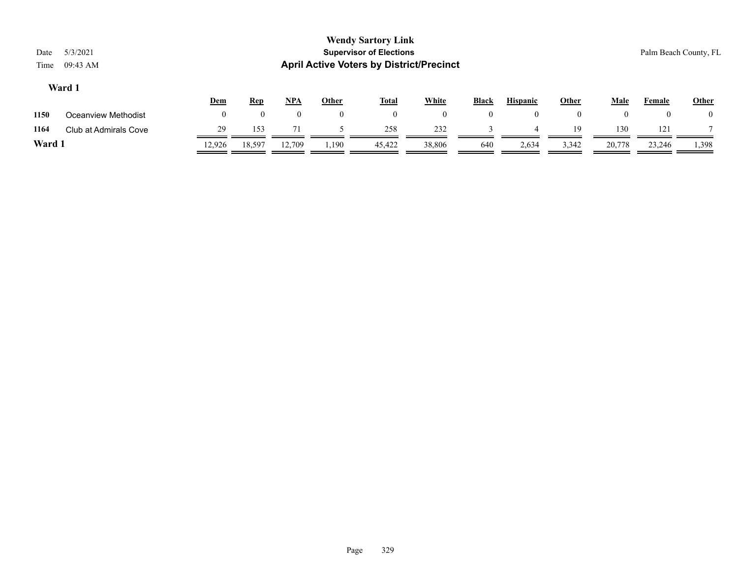|        |                       | <u>Dem</u> | <u>Rep</u> | <u>NPA</u> | Other | <b>Total</b> | <b>White</b> | <b>Black</b> | <b>Hispanic</b> | Other | Male   | Female | <b>Other</b> |
|--------|-----------------------|------------|------------|------------|-------|--------------|--------------|--------------|-----------------|-------|--------|--------|--------------|
| 1150   | Oceanview Methodist   |            |            |            |       |              | $\theta$     |              |                 |       |        | 0      |              |
| 1164   | Club at Admirals Cove |            | 153        |            |       | 258          | 232          |              |                 | 19    | 130    | 121    |              |
| Ward 1 |                       | 12.926     | 18,597     | 12,709     | 1,190 | 45,422       | 38,806       | 640          | 2,634           | 3,342 | 20,778 | 23,246 | 1,398        |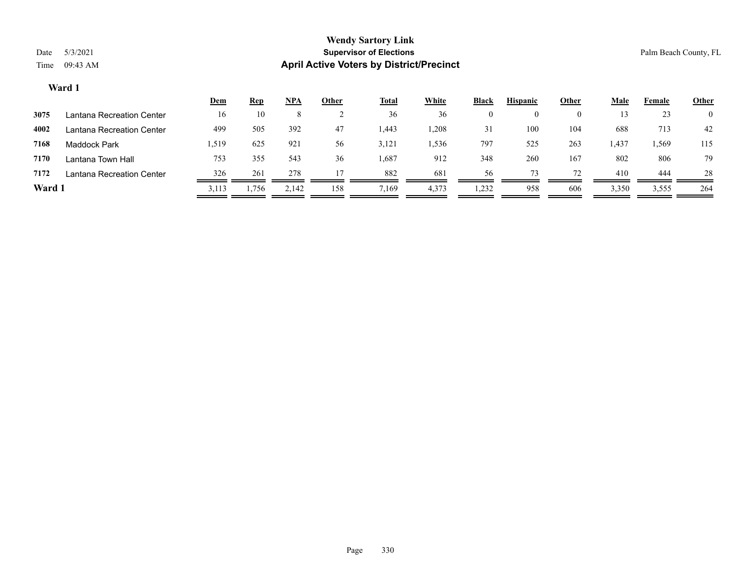|        |                           | <u>Dem</u> | <b>Rep</b> | $NPA$ | <u>Other</u> | <u>Total</u> | <b>White</b> | <b>Black</b>   | <b>Hispanic</b> | Other | <b>Male</b> | Female | <b>Other</b>   |
|--------|---------------------------|------------|------------|-------|--------------|--------------|--------------|----------------|-----------------|-------|-------------|--------|----------------|
| 3075   | Lantana Recreation Center | 16         | 10         |       |              | 36           | 36           | 0              | $\theta$        | O     |             | 23     | $\overline{0}$ |
| 4002   | Lantana Recreation Center | 499        | 505        | 392   | 47           | 1,443        | .208         | 3 <sup>1</sup> | 100             | 104   | 688         | 713    | 42             |
| 7168   | Maddock Park              | 1,519      | 625        | 921   | 56           | 3,121        | . 536        | 797            | 525             | 263   | 1,437       | 1,569  | 115            |
| 7170   | Lantana Town Hall         | 753        | 355        | 543   | 36           | 1,687        | 912          | 348            | 260             | 167   | 802         | 806    | 79             |
| 7172   | Lantana Recreation Center | 326        | 261        | 278   |              | 882          | 681          | 56             | 73              | 72    | 410         | 444    | 28             |
| Ward 1 |                           | 3,113      | 1,756      | 2,142 | 158          | 7,169        | 4,373        | 1,232          | 958             | 606   | 3,350       | 3,555  | 264            |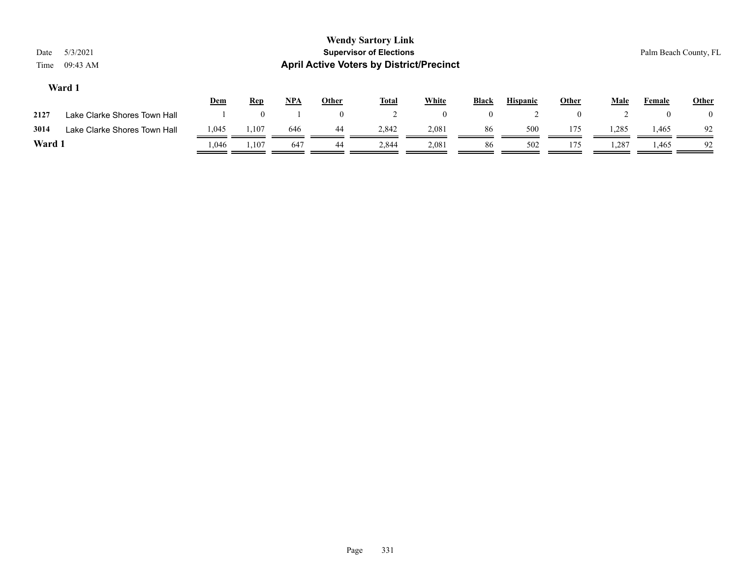|        |                              | <u>Dem</u> | <u>Rep</u> | <b>NPA</b> | Other | <b>Total</b> | White | <b>Black</b> | <b>Hispanic</b> | Other | <b>Male</b> | Female | Other |
|--------|------------------------------|------------|------------|------------|-------|--------------|-------|--------------|-----------------|-------|-------------|--------|-------|
| 2127   | Lake Clarke Shores Town Hall |            |            |            |       |              |       |              |                 |       |             |        |       |
| 3014   | Lake Clarke Shores Town Hall | 1,045      | 1,107      | 646        | 44    | 2,842        | 2,081 | 86           | 500             | 175   | 1,285       | 1,465  | 92    |
| Ward : |                              | .046       | 1,107      | 647        | 44    | 2,844        | 2,081 | 86           | 502             | 175   | 1,287       | .,465  | 92    |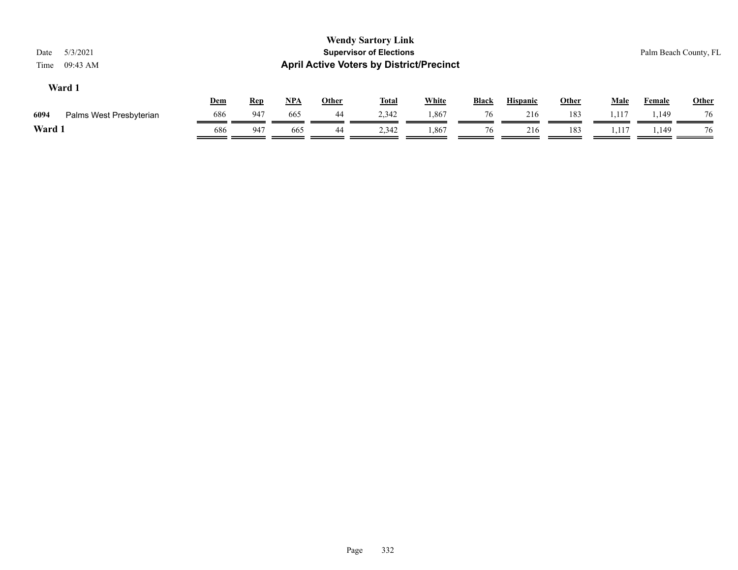| Date<br>Time | 5/3/2021<br>09:43 AM    |            |            |            |              | <b>Wendy Sartory Link</b><br><b>Supervisor of Elections</b><br><b>April Active Voters by District/Precinct</b> |              |              |                 |              |             |               | Palm Beach County, FL |
|--------------|-------------------------|------------|------------|------------|--------------|----------------------------------------------------------------------------------------------------------------|--------------|--------------|-----------------|--------------|-------------|---------------|-----------------------|
|              | Ward 1                  | <u>Dem</u> | <b>Rep</b> | <u>NPA</u> | <b>Other</b> | <u>Total</u>                                                                                                   | <b>White</b> | <b>Black</b> | <b>Hispanic</b> | <b>Other</b> | <b>Male</b> | <b>Female</b> | <b>Other</b>          |
| 6094         | Palms West Presbyterian | 686        | 947        | 665        | 44           | 2,342                                                                                                          | 1,867        | 76           | 216             | 183          | 1,117       | . 149ء        | 76                    |
| Ward 1       |                         | 686        | 947        | 665        | 44           | 2,342                                                                                                          | 1,867        | 76           | 216             | 183          | 1,117       | 1,149         | 76                    |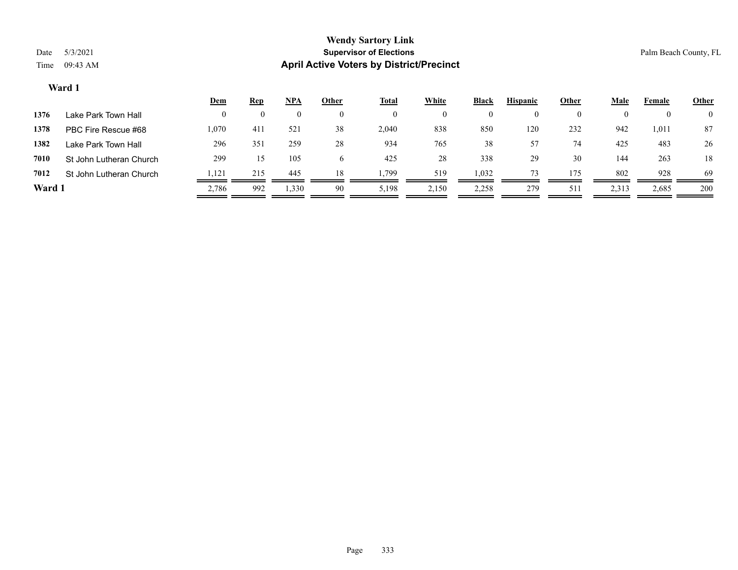|        |                         | <u>Dem</u>   | <b>Rep</b> | <u>NPA</u> | <u>Other</u> | <b>Total</b> | <b>White</b> | <b>Black</b> | <b>Hispanic</b> | <b>Other</b>   | <u>Male</u> | Female | <b>Other</b>   |
|--------|-------------------------|--------------|------------|------------|--------------|--------------|--------------|--------------|-----------------|----------------|-------------|--------|----------------|
| 1376   | Lake Park Town Hall     | $\mathbf{0}$ |            |            | $\mathbf{0}$ | $\bf{0}$     |              | $\mathbf{0}$ |                 | $\overline{0}$ | 0           |        | $\overline{0}$ |
| 1378   | PBC Fire Rescue #68     | 1,070        | 411        | 521        | 38           | 2,040        | 838          | 850          | 120             | 232            | 942         | 1,011  | 87             |
| 1382   | Lake Park Town Hall     | 296          | 351        | 259        | 28           | 934          | 765          | 38           | 57              | 74             | 425         | 483    | 26             |
| 7010   | St John Lutheran Church | 299          | 15         | 105        | $\sigma$     | 425          | 28           | 338          | 29              | 30             | 144         | 263    | 18             |
| 7012   | St John Lutheran Church | .121         | 215        | 445        | 18           | . 799        | 519          | 1,032        | 73              | 175            | 802         | 928    | 69             |
| Ward 1 |                         | 2,786        | 992        | 1,330      | 90           | 5,198        | 2,150        | 2,258        | 279             | 511            | 2,313       | 2,685  | 200            |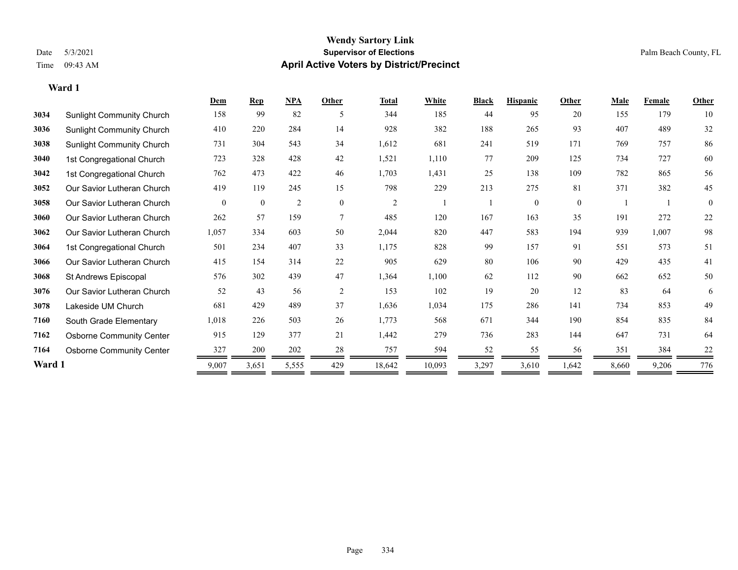#### **Wendy Sartory Link** Date 5/3/2021 **Supervisor of Elections** Palm Beach County, FL Time 09:43 AM **April Active Voters by District/Precinct**

## **Dem Rep NPA Other Total White Black Hispanic Other Male Female Other** Sunlight Community Church 158 99 82 5 344 185 44 95 20 155 179 10 Sunlight Community Church 410 220 284 14 928 382 188 265 93 407 489 32 Sunlight Community Church 731 304 543 34 1,612 681 241 519 171 769 757 86 1st Congregational Church 723 328 428 42 1,521 1,110 77 209 125 734 727 60 1st Congregational Church 762 473 422 46 1,703 1,431 25 138 109 782 865 56 Our Savior Lutheran Church 419 119 245 15 798 229 213 275 81 371 382 45 Our Savior Lutheran Church 0 0 0 2 0 0 2 1 1 0 0 0 1 1 0 Our Savior Lutheran Church 262 57 159 7 485 120 167 163 35 191 272 22 Our Savior Lutheran Church 1,057 334 603 50 2,044 820 447 583 194 939 1,007 98 1st Congregational Church 501 234 407 33 1,175 828 99 157 91 551 573 51 Our Savior Lutheran Church 415 154 314 22 905 629 80 106 90 429 435 41 St Andrews Episcopal 576 302 439 47 1,364 1,100 62 112 90 662 652 50 Our Savior Lutheran Church 52 43 56 2 153 102 19 20 12 83 64 6 Lakeside UM Church 681 429 489 37 1,636 1,034 175 286 141 734 853 49 South Grade Elementary 1,018 226 503 26 1,773 568 671 344 190 854 835 84 Osborne Community Center 915 129 377 21 1,442 279 736 283 144 647 731 64 **7164** Osborne Community Center  $\frac{327}{200} = \frac{200}{202} = \frac{28}{202} = \frac{757}{202} = \frac{594}{202} = \frac{52}{202} = \frac{55}{202} = \frac{56}{202} = \frac{381}{202} = \frac{384}{202} = \frac{22}{202} = \frac{55}{202} = \frac{55}{202} = \frac{55}{202} = \frac{55}{202} = \frac{55}{202} = \frac{55}{2$

**Ward 1** 9,007 3,651 5,555 429 18,642 10,093 3,297 3,610 1,642 8,660 9,206 776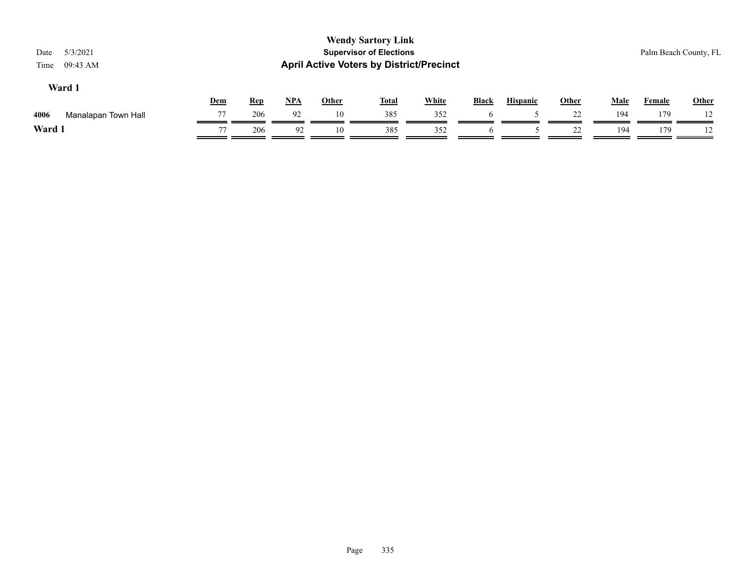| Ward 1 |  |   |
|--------|--|---|
|        |  | Ī |

|             |                     | Dem            | <b>Rep</b> | <b>NPA</b> | Other | Tota. | <b>White</b> | <b>Black</b> | <b>Hispanic</b> | Other      | Male | Female | <b>Other</b> |
|-------------|---------------------|----------------|------------|------------|-------|-------|--------------|--------------|-----------------|------------|------|--------|--------------|
| 4006        | Manalapan Town Hall | 77             | 206        | 92         | 10    | 385   | 352          |              |                 | 22<br>ىدىد | 194  | 179    |              |
| <b>Ward</b> |                     | $\overline{ }$ | 206        |            | 10    | 385   | 352          |              |                 | ىدىد       | 194  | 179    |              |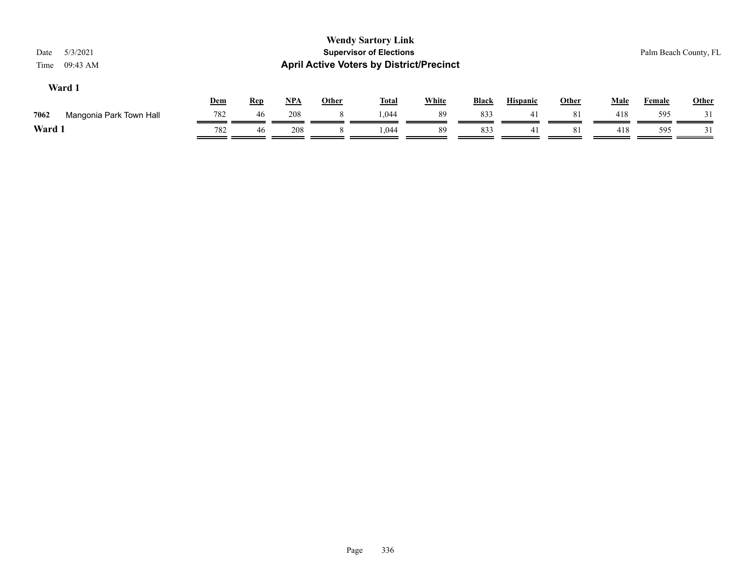| 5/3/2021<br>09:43 AM    |                  |            |            |              |       |              |                                                                      |                                                 |                 |              | Palm Beach County, FL |       |
|-------------------------|------------------|------------|------------|--------------|-------|--------------|----------------------------------------------------------------------|-------------------------------------------------|-----------------|--------------|-----------------------|-------|
|                         |                  |            |            | <b>Other</b> |       |              | Black                                                                |                                                 |                 |              | <b>Female</b>         | Other |
| Mangonia Park Town Hall | 782              | 46         | 208        | 8            | 1.044 | -89          | 833                                                                  | 41                                              | 81              | 418          | 595                   | 31    |
|                         | 782              | 46         | 208        |              | 1.044 | 89           | 833                                                                  | 41                                              | 81              | 418          | 595                   |       |
|                         | Ward 1<br>Ward 1 | <u>Dem</u> | <b>Rep</b> | $NPA$        |       | <b>Total</b> | <b>Wendy Sartory Link</b><br><b>Supervisor of Elections</b><br>White | <b>April Active Voters by District/Precinct</b> | <b>Hispanic</b> | <b>Other</b> | <b>Male</b>           |       |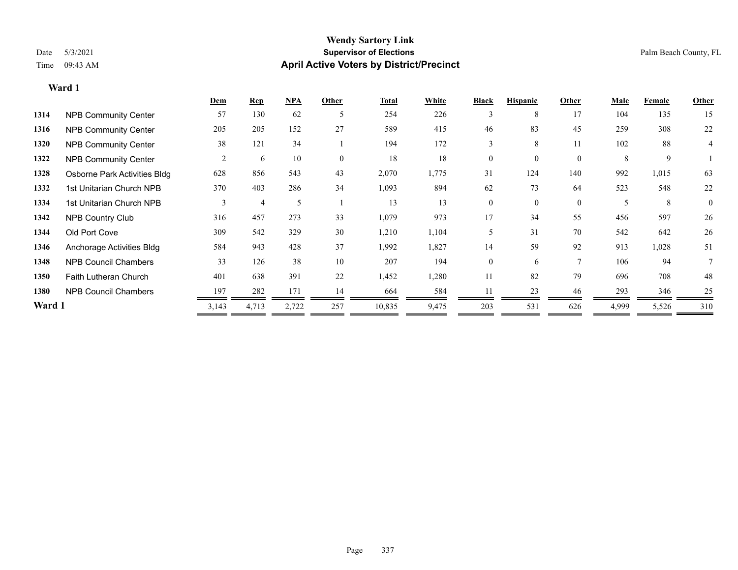|        |                              | Dem   | <b>Rep</b> | NPA   | Other    | Total  | White | <b>Black</b>   | <b>Hispanic</b> | Other          | <b>Male</b> | Female | <b>Other</b> |
|--------|------------------------------|-------|------------|-------|----------|--------|-------|----------------|-----------------|----------------|-------------|--------|--------------|
| 1314   | <b>NPB Community Center</b>  | 57    | 130        | 62    | 5        | 254    | 226   | 3              | 8               | 17             | 104         | 135    | 15           |
| 1316   | <b>NPB Community Center</b>  | 205   | 205        | 152   | 27       | 589    | 415   | 46             | 83              | 45             | 259         | 308    | 22           |
| 1320   | <b>NPB Community Center</b>  | 38    | 121        | 34    |          | 194    | 172   | 3              | 8               | 11             | 102         | 88     | 4            |
| 1322   | <b>NPB Community Center</b>  | 2     | 6          | 10    | $\theta$ | 18     | 18    | $\Omega$       | $\Omega$        | $\theta$       | 8           | 9      |              |
| 1328   | Osborne Park Activities Bldg | 628   | 856        | 543   | 43       | 2,070  | 1,775 | 31             | 124             | 140            | 992         | 1,015  | 63           |
| 1332   | 1st Unitarian Church NPB     | 370   | 403        | 286   | 34       | 1,093  | 894   | 62             | 73              | 64             | 523         | 548    | 22           |
| 1334   | 1st Unitarian Church NPB     | 3     | 4          | 5     |          | 13     | 13    | $\overline{0}$ | $\theta$        | $\mathbf{0}$   | 5           | 8      | $\mathbf{0}$ |
| 1342   | <b>NPB Country Club</b>      | 316   | 457        | 273   | 33       | 1,079  | 973   | 17             | 34              | 55             | 456         | 597    | 26           |
| 1344   | Old Port Cove                | 309   | 542        | 329   | 30       | 1,210  | 1,104 | 5              | 31              | 70             | 542         | 642    | 26           |
| 1346   | Anchorage Activities Bldg    | 584   | 943        | 428   | 37       | 1,992  | 1,827 | 14             | 59              | 92             | 913         | 1,028  | 51           |
| 1348   | <b>NPB Council Chambers</b>  | 33    | 126        | 38    | 10       | 207    | 194   | $\mathbf{0}$   | 6               | $\overline{7}$ | 106         | 94     |              |
| 1350   | <b>Faith Lutheran Church</b> | 401   | 638        | 391   | 22       | 1,452  | 1,280 | 11             | 82              | 79             | 696         | 708    | 48           |
| 1380   | <b>NPB Council Chambers</b>  | 197   | 282        | 171   | 14       | 664    | 584   | 11             | 23              | 46             | 293         | 346    | 25           |
| Ward 1 |                              | 3,143 | 4,713      | 2,722 | 257      | 10,835 | 9,475 | 203            | 531             | 626            | 4,999       | 5,526  | 310          |
|        |                              |       |            |       |          |        |       |                |                 |                |             |        |              |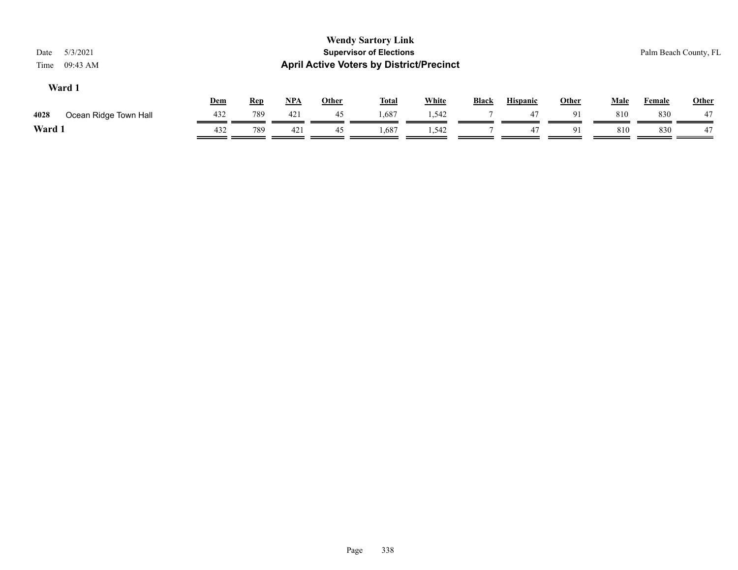| 5/3/2021<br>Date<br>09:43 AM<br>Time |            |            |            |              | <b>Wendy Sartory Link</b><br><b>Supervisor of Elections</b><br><b>April Active Voters by District/Precinct</b> |              |              |                 |              |             |               | Palm Beach County, FL |
|--------------------------------------|------------|------------|------------|--------------|----------------------------------------------------------------------------------------------------------------|--------------|--------------|-----------------|--------------|-------------|---------------|-----------------------|
| Ward 1                               | <u>Dem</u> | <b>Rep</b> | <u>NPA</u> | <u>Other</u> | <b>Total</b>                                                                                                   | <b>White</b> | <b>Black</b> | <b>Hispanic</b> | <u>Other</u> | <u>Male</u> | <b>Female</b> | <b>Other</b>          |
| 4028<br>Ocean Ridge Town Hall        | 432        | 789        | 421        | 45           | 1,687                                                                                                          | 1,542        |              | 47              | 91           | 810         | 830           | 47                    |
| Ward 1                               | 432        | 789        | 421        | 45           | 1,687                                                                                                          | 1,542        |              | 47              | 91           | 810         | 830           | 47                    |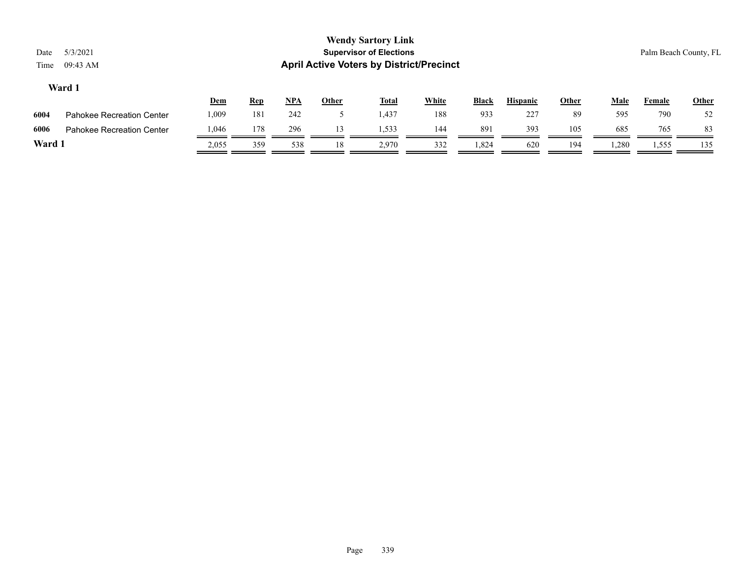|      |                                  | <u>Dem</u> | <u>Rep</u> | NPA | <b>Other</b> | <b>Total</b> | White | <b>Black</b> | <b>Hispanic</b> | Other | Male  | Female | <b>Other</b> |
|------|----------------------------------|------------|------------|-----|--------------|--------------|-------|--------------|-----------------|-------|-------|--------|--------------|
| 6004 | <b>Pahokee Recreation Center</b> | 0.009      | 181        | 242 |              | 1,437        | 188   | 933          | 227             | 89    | 595   | 790    | 52           |
| 6006 | Pahokee Recreation Center        | .046       | 178        | 296 |              | 1.533        | 144   | 891          | 393             | 105   | 685   | 765    | 83           |
| Ward |                                  | 2.055      | 359        | 538 | 18           | 2.970        | 332   | 1,824        | 620             | 194   | 1.280 | 1,555  | 135          |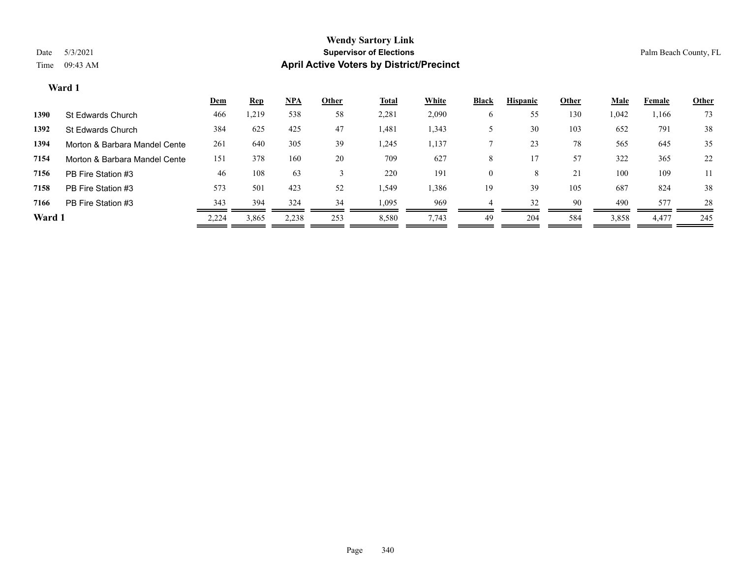|        |                               | <u>Dem</u> | <b>Rep</b> | <u>NPA</u> | <b>Other</b> | <b>Total</b> | <b>White</b> | <b>Black</b> | <b>Hispanic</b> | <b>Other</b> | <b>Male</b> | Female | <b>Other</b> |
|--------|-------------------------------|------------|------------|------------|--------------|--------------|--------------|--------------|-----------------|--------------|-------------|--------|--------------|
| 1390   | St Edwards Church             | 466        | ,219       | 538        | 58           | 2,281        | 2,090        | O            | 55              | 130          | 1,042       | 1,166  | 73           |
| 1392   | St Edwards Church             | 384        | 625        | 425        | 47           | 1,481        | 1,343        |              | 30              | 103          | 652         | 791    | 38           |
| 1394   | Morton & Barbara Mandel Cente | 261        | 640        | 305        | 39           | 1,245        | 1,137        |              | 23              | 78           | 565         | 645    | 35           |
| 7154   | Morton & Barbara Mandel Cente | 151        | 378        | 160        | 20           | 709          | 627          | 8            |                 | 57           | 322         | 365    | 22           |
| 7156   | PB Fire Station #3            | 46         | 108        | 63         |              | 220          | 191          | $\theta$     | 8               | 21           | 100         | 109    | 11           |
| 7158   | PB Fire Station #3            | 573        | 501        | 423        | 52           | 1,549        | 1,386        | 19           | 39              | 105          | 687         | 824    | 38           |
| 7166   | PB Fire Station #3            | 343        | 394        | 324        | 34           | 1,095        | 969          |              | 32              | 90           | 490         | 577    | 28           |
| Ward 1 |                               | 2,224      | 3,865      | 2,238      | 253          | 8,580        | 7,743        | 49           | 204             | 584          | 3,858       | 4,477  | 245          |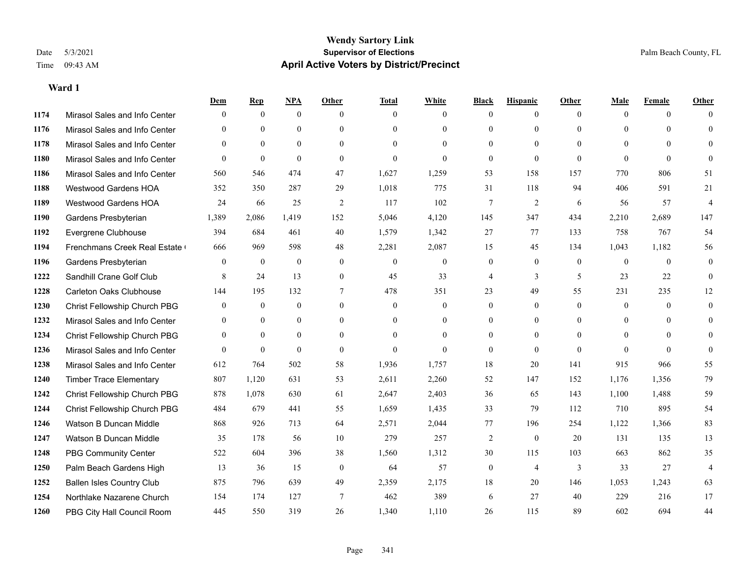|      |                                  | Dem            | <b>Rep</b>   | NPA              | <b>Other</b>   | <b>Total</b>     | <b>White</b>     | <b>Black</b>     | <b>Hispanic</b> | <b>Other</b>   | <b>Male</b>    | <b>Female</b> | <b>Other</b>   |
|------|----------------------------------|----------------|--------------|------------------|----------------|------------------|------------------|------------------|-----------------|----------------|----------------|---------------|----------------|
| 1174 | Mirasol Sales and Info Center    | $\overline{0}$ | $\mathbf{0}$ | $\mathbf{0}$     | $\theta$       | $\theta$         | $\overline{0}$   | $\mathbf{0}$     | $\mathbf{0}$    | $\theta$       | $\theta$       | $\theta$      | $\Omega$       |
| 1176 | Mirasol Sales and Info Center    | $\theta$       | $\theta$     | $\theta$         | $\Omega$       | $\Omega$         | $\overline{0}$   | $\theta$         | $\mathbf{0}$    | $\Omega$       | $\theta$       | $\Omega$      | $\theta$       |
| 1178 | Mirasol Sales and Info Center    | $\Omega$       | $\theta$     | $\theta$         | $\Omega$       | $\Omega$         | $\Omega$         | $\Omega$         | $\Omega$        | $\Omega$       | $\Omega$       | $\Omega$      | $\Omega$       |
| 1180 | Mirasol Sales and Info Center    | $\overline{0}$ | $\mathbf{0}$ | $\mathbf{0}$     | $\overline{0}$ | $\theta$         | $\overline{0}$   | $\mathbf{0}$     | $\mathbf{0}$    | $\theta$       | $\Omega$       | $\theta$      | $\Omega$       |
| 1186 | Mirasol Sales and Info Center    | 560            | 546          | 474              | 47             | 1,627            | 1,259            | 53               | 158             | 157            | 770            | 806           | 51             |
| 1188 | <b>Westwood Gardens HOA</b>      | 352            | 350          | 287              | 29             | 1,018            | 775              | 31               | 118             | 94             | 406            | 591           | 21             |
| 1189 | Westwood Gardens HOA             | 24             | 66           | 25               | $\overline{2}$ | 117              | 102              | 7                | $\overline{2}$  | 6              | 56             | 57            | $\overline{4}$ |
| 1190 | Gardens Presbyterian             | 1,389          | 2,086        | 1,419            | 152            | 5,046            | 4,120            | 145              | 347             | 434            | 2,210          | 2,689         | 147            |
| 1192 | Evergrene Clubhouse              | 394            | 684          | 461              | 40             | 1,579            | 1,342            | 27               | 77              | 133            | 758            | 767           | 54             |
| 1194 | Frenchmans Creek Real Estate     | 666            | 969          | 598              | 48             | 2,281            | 2,087            | 15               | 45              | 134            | 1,043          | 1,182         | 56             |
| 1196 | Gardens Presbyterian             | $\overline{0}$ | $\mathbf{0}$ | $\mathbf{0}$     | $\overline{0}$ | $\mathbf{0}$     | $\boldsymbol{0}$ | $\boldsymbol{0}$ | $\mathbf{0}$    | $\theta$       | $\overline{0}$ | $\theta$      | $\mathbf{0}$   |
| 1222 | Sandhill Crane Golf Club         | 8              | 24           | 13               | $\overline{0}$ | 45               | 33               | 4                | 3               | 5              | 23             | 22            | $\theta$       |
| 1228 | <b>Carleton Oaks Clubhouse</b>   | 144            | 195          | 132              | 7              | 478              | 351              | 23               | 49              | 55             | 231            | 235           | 12             |
| 1230 | Christ Fellowship Church PBG     | $\mathbf{0}$   | $\bf{0}$     | $\boldsymbol{0}$ | $\overline{0}$ | $\boldsymbol{0}$ | $\boldsymbol{0}$ | $\boldsymbol{0}$ | $\mathbf{0}$    | $\mathbf{0}$   | $\mathbf{0}$   | $\mathbf{0}$  | $\mathbf{0}$   |
| 1232 | Mirasol Sales and Info Center    | $\overline{0}$ | $\mathbf{0}$ | $\mathbf{0}$     | $\theta$       | $\theta$         | $\overline{0}$   | $\overline{0}$   | $\mathbf{0}$    | $\theta$       | $\theta$       | $\theta$      | $\mathbf{0}$   |
| 1234 | Christ Fellowship Church PBG     | $\mathbf{0}$   | $\mathbf{0}$ | $\theta$         | $\theta$       | $\theta$         | $\Omega$         | $\theta$         | $\theta$        | $\theta$       | $\theta$       | $\Omega$      | $\theta$       |
| 1236 | Mirasol Sales and Info Center    | $\theta$       | $\theta$     | $\theta$         | $\theta$       | $\theta$         | $\theta$         | $\mathbf{0}$     | $\theta$        | $\theta$       | $\Omega$       | $\theta$      | $\Omega$       |
| 1238 | Mirasol Sales and Info Center    | 612            | 764          | 502              | 58             | 1,936            | 1,757            | 18               | 20              | 141            | 915            | 966           | 55             |
| 1240 | <b>Timber Trace Elementary</b>   | 807            | 1,120        | 631              | 53             | 2,611            | 2,260            | 52               | 147             | 152            | 1,176          | 1,356         | 79             |
| 1242 | Christ Fellowship Church PBG     | 878            | 1,078        | 630              | 61             | 2,647            | 2,403            | 36               | 65              | 143            | 1,100          | 1,488         | 59             |
| 1244 | Christ Fellowship Church PBG     | 484            | 679          | 441              | 55             | 1,659            | 1,435            | 33               | 79              | 112            | 710            | 895           | 54             |
| 1246 | Watson B Duncan Middle           | 868            | 926          | 713              | 64             | 2,571            | 2,044            | 77               | 196             | 254            | 1,122          | 1,366         | 83             |
| 1247 | Watson B Duncan Middle           | 35             | 178          | 56               | 10             | 279              | 257              | 2                | $\mathbf{0}$    | 20             | 131            | 135           | 13             |
| 1248 | <b>PBG Community Center</b>      | 522            | 604          | 396              | 38             | 1,560            | 1,312            | 30               | 115             | 103            | 663            | 862           | 35             |
| 1250 | Palm Beach Gardens High          | 13             | 36           | 15               | $\mathbf{0}$   | 64               | 57               | $\boldsymbol{0}$ | $\overline{4}$  | $\mathfrak{Z}$ | 33             | 27            | $\overline{4}$ |
| 1252 | <b>Ballen Isles Country Club</b> | 875            | 796          | 639              | 49             | 2,359            | 2,175            | 18               | 20              | 146            | 1,053          | 1,243         | 63             |
| 1254 | Northlake Nazarene Church        | 154            | 174          | 127              | 7              | 462              | 389              | 6                | 27              | 40             | 229            | 216           | 17             |
| 1260 | PBG City Hall Council Room       | 445            | 550          | 319              | 26             | 1,340            | 1,110            | 26               | 115             | 89             | 602            | 694           | 44             |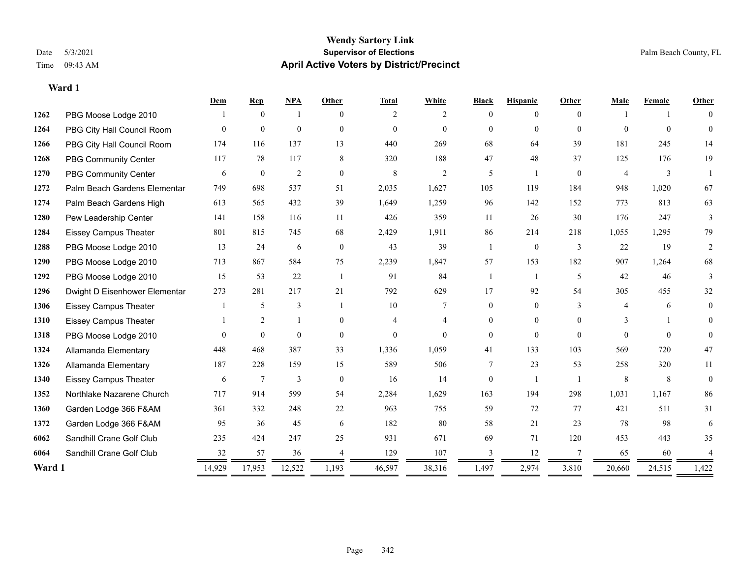|        |                               | Dem      | <b>Rep</b>       | <b>NPA</b>   | Other          | <b>Total</b> | White          | <b>Black</b>   | <b>Hispanic</b> | Other          | Male           | Female   | Other          |
|--------|-------------------------------|----------|------------------|--------------|----------------|--------------|----------------|----------------|-----------------|----------------|----------------|----------|----------------|
| 1262   | PBG Moose Lodge 2010          |          | $\overline{0}$   |              | $\Omega$       | 2            | $\overline{2}$ | $\theta$       | 0               | $\Omega$       |                |          | $\theta$       |
| 1264   | PBG City Hall Council Room    | $\theta$ | $\mathbf{0}$     | $\mathbf{0}$ | $\mathbf{0}$   | $\mathbf{0}$ | $\theta$       | $\theta$       | $\overline{0}$  | $\theta$       | $\theta$       | $\theta$ | $\mathbf{0}$   |
| 1266   | PBG City Hall Council Room    | 174      | 116              | 137          | 13             | 440          | 269            | 68             | 64              | 39             | 181            | 245      | 14             |
| 1268   | <b>PBG Community Center</b>   | 117      | 78               | 117          | 8              | 320          | 188            | 47             | 48              | 37             | 125            | 176      | 19             |
| 1270   | <b>PBG Community Center</b>   | 6        | $\boldsymbol{0}$ | 2            | $\mathbf{0}$   | $\,8\,$      | $\mathfrak{2}$ | 5              |                 | $\mathbf{0}$   | $\overline{4}$ | 3        |                |
| 1272   | Palm Beach Gardens Elementar  | 749      | 698              | 537          | 51             | 2,035        | 1,627          | 105            | 119             | 184            | 948            | 1,020    | 67             |
| 1274   | Palm Beach Gardens High       | 613      | 565              | 432          | 39             | 1,649        | 1,259          | 96             | 142             | 152            | 773            | 813      | 63             |
| 1280   | Pew Leadership Center         | 141      | 158              | 116          | 11             | 426          | 359            | 11             | 26              | 30             | 176            | 247      | 3              |
| 1284   | <b>Eissey Campus Theater</b>  | 801      | 815              | 745          | 68             | 2,429        | 1,911          | 86             | 214             | 218            | 1,055          | 1,295    | 79             |
| 1288   | PBG Moose Lodge 2010          | 13       | 24               | 6            | $\theta$       | 43           | 39             |                | $\mathbf{0}$    | 3              | 22             | 19       | $\overline{2}$ |
| 1290   | PBG Moose Lodge 2010          | 713      | 867              | 584          | 75             | 2,239        | 1,847          | 57             | 153             | 182            | 907            | 1,264    | 68             |
| 1292   | PBG Moose Lodge 2010          | 15       | 53               | 22           | $\overline{1}$ | 91           | 84             | 1              |                 | 5              | 42             | 46       | 3              |
| 1296   | Dwight D Eisenhower Elementar | 273      | 281              | 217          | 21             | 792          | 629            | 17             | 92              | 54             | 305            | 455      | 32             |
| 1306   | <b>Eissey Campus Theater</b>  |          | 5                | 3            |                | 10           |                | $\overline{0}$ | $\overline{0}$  | $\overline{3}$ | $\overline{4}$ | 6        | $\theta$       |
| 1310   | <b>Eissey Campus Theater</b>  |          | $\overline{2}$   | 1            | $\theta$       |              | 4              | 0              | $\theta$        | $\Omega$       | 3              |          | $\theta$       |
| 1318   | PBG Moose Lodge 2010          | $\Omega$ | $\theta$         | $\theta$     | $\mathbf{0}$   | $\theta$     | $\Omega$       | $\Omega$       | $\theta$        | $\Omega$       | $\Omega$       | $\Omega$ | $\Omega$       |
| 1324   | Allamanda Elementary          | 448      | 468              | 387          | 33             | 1,336        | 1,059          | 41             | 133             | 103            | 569            | 720      | 47             |
| 1326   | Allamanda Elementary          | 187      | 228              | 159          | 15             | 589          | 506            | 7              | 23              | 53             | 258            | 320      | 11             |
| 1340   | <b>Eissey Campus Theater</b>  | 6        | $\tau$           | 3            | $\theta$       | 16           | 14             | 0              |                 |                | 8              | 8        | $\mathbf{0}$   |
| 1352   | Northlake Nazarene Church     | 717      | 914              | 599          | 54             | 2,284        | 1,629          | 163            | 194             | 298            | 1,031          | 1,167    | 86             |
| 1360   | Garden Lodge 366 F&AM         | 361      | 332              | 248          | 22             | 963          | 755            | 59             | 72              | 77             | 421            | 511      | 31             |
| 1372   | Garden Lodge 366 F&AM         | 95       | 36               | 45           | 6              | 182          | 80             | 58             | 21              | 23             | 78             | 98       | 6              |
| 6062   | Sandhill Crane Golf Club      | 235      | 424              | 247          | 25             | 931          | 671            | 69             | 71              | 120            | 453            | 443      | 35             |
| 6064   | Sandhill Crane Golf Club      | 32       | 57               | 36           |                | 129          | 107            |                | 12              |                | 65             | 60       |                |
| Ward 1 |                               | 14,929   | 17,953           | 12,522       | 1,193          | 46,597       | 38,316         | 1,497          | 2,974           | 3,810          | 20,660         | 24,515   | 1,422          |
|        |                               | ==       |                  |              | $=$            |              |                |                |                 |                |                |          |                |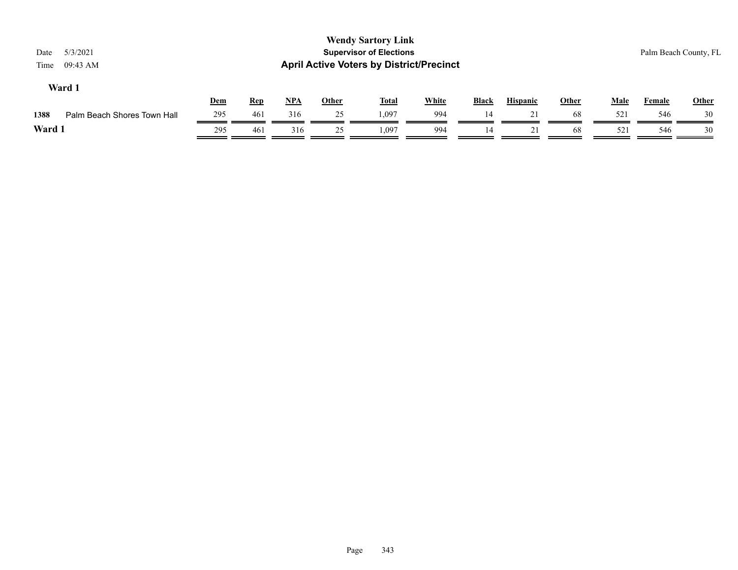| Date<br>Time | 5/3/2021<br>09:43 AM        |     |            |       |              | <b>Wendy Sartory Link</b><br><b>Supervisor of Elections</b><br><b>April Active Voters by District/Precinct</b> |              |              |                 |              |             | Palm Beach County, FL |              |
|--------------|-----------------------------|-----|------------|-------|--------------|----------------------------------------------------------------------------------------------------------------|--------------|--------------|-----------------|--------------|-------------|-----------------------|--------------|
|              | Ward 1                      | Dem | <b>Rep</b> | $NPA$ | <b>Other</b> | <u>Total</u>                                                                                                   | <b>White</b> | <b>Black</b> | <b>Hispanic</b> | <b>Other</b> | <b>Male</b> | <b>Female</b>         | <b>Other</b> |
| 1388         | Palm Beach Shores Town Hall | 295 | 461        | 316   | 25           | 1,097                                                                                                          | 994          | 14           | 21              | 68           | 521         | 546                   | 30           |
| Ward 1       |                             | 295 | 461        | 316   | 25           | 1.097                                                                                                          | 994          | 14           | 21              | 68           | 521         | 546                   | 30           |
|              |                             |     |            |       |              |                                                                                                                |              |              |                 |              |             |                       |              |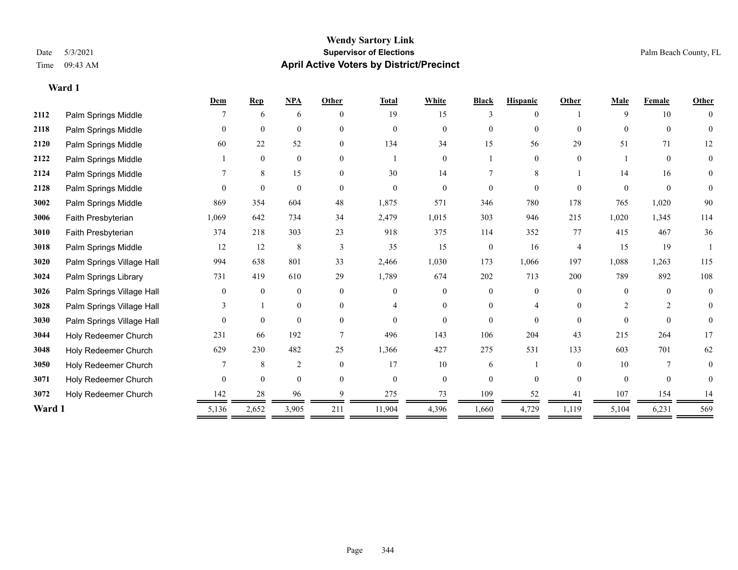|        |                           | Dem      | <b>Rep</b>   | <b>NPA</b>     | Other          | <b>Total</b> | White          | <b>Black</b>   | <b>Hispanic</b> | Other          | Male           | Female         | Other          |
|--------|---------------------------|----------|--------------|----------------|----------------|--------------|----------------|----------------|-----------------|----------------|----------------|----------------|----------------|
| 2112   | Palm Springs Middle       |          | 6            | 6              | $\theta$       | 19           | 15             | 3              | $\theta$        |                | 9              | 10             | $\theta$       |
| 2118   | Palm Springs Middle       | $\theta$ | $\mathbf{0}$ | $\mathbf{0}$   | $\theta$       | $\Omega$     | $\Omega$       | $\overline{0}$ | $\overline{0}$  | $\theta$       | $\theta$       | $\theta$       | $\theta$       |
| 2120   | Palm Springs Middle       | 60       | 22           | 52             | $\Omega$       | 134          | 34             | 15             | 56              | 29             | 51             | 71             | 12             |
| 2122   | Palm Springs Middle       |          | $\mathbf{0}$ | $\mathbf{0}$   | $\theta$       |              | $\overline{0}$ |                | $\overline{0}$  | $\theta$       |                | $\theta$       | $\mathbf{0}$   |
| 2124   | Palm Springs Middle       |          | 8            | 15             | $\theta$       | 30           | 14             |                | 8               |                | 14             | 16             | $\overline{0}$ |
| 2128   | Palm Springs Middle       | $\Omega$ | $\theta$     | $\theta$       | $\Omega$       | $\Omega$     | $\Omega$       | $\overline{0}$ | $\theta$        | $\Omega$       | $\Omega$       | $\theta$       | $\theta$       |
| 3002   | Palm Springs Middle       | 869      | 354          | 604            | 48             | 1,875        | 571            | 346            | 780             | 178            | 765            | 1,020          | 90             |
| 3006   | Faith Presbyterian        | 1,069    | 642          | 734            | 34             | 2,479        | 1,015          | 303            | 946             | 215            | 1,020          | 1,345          | 114            |
| 3010   | Faith Presbyterian        | 374      | 218          | 303            | 23             | 918          | 375            | 114            | 352             | 77             | 415            | 467            | 36             |
| 3018   | Palm Springs Middle       | 12       | 12           | 8              | 3              | 35           | 15             | $\overline{0}$ | 16              | $\overline{4}$ | 15             | 19             |                |
| 3020   | Palm Springs Village Hall | 994      | 638          | 801            | 33             | 2,466        | 1,030          | 173            | 1,066           | 197            | 1,088          | 1,263          | 115            |
| 3024   | Palm Springs Library      | 731      | 419          | 610            | 29             | 1,789        | 674            | 202            | 713             | 200            | 789            | 892            | 108            |
| 3026   | Palm Springs Village Hall | $\theta$ | $\mathbf{0}$ | $\mathbf{0}$   | $\theta$       | $\Omega$     | $\Omega$       | $\theta$       | $\Omega$        | $\Omega$       | $\theta$       | $\theta$       | $\mathbf{0}$   |
| 3028   | Palm Springs Village Hall |          |              | $\mathbf{0}$   | $\theta$       | 4            | $\theta$       | 0              | 4               | $\Omega$       | $\overline{2}$ | $\overline{2}$ | $\theta$       |
| 3030   | Palm Springs Village Hall | $\theta$ | $\mathbf{0}$ | $\mathbf{0}$   | $\theta$       | $\theta$     | $\Omega$       | 0              | $\Omega$        | $\Omega$       | $\Omega$       | $\theta$       | $\overline{0}$ |
| 3044   | Holy Redeemer Church      | 231      | 66           | 192            |                | 496          | 143            | 106            | 204             | 43             | 215            | 264            | 17             |
| 3048   | Holy Redeemer Church      | 629      | 230          | 482            | 25             | 1,366        | 427            | 275            | 531             | 133            | 603            | 701            | 62             |
| 3050   | Holy Redeemer Church      |          | 8            | $\overline{2}$ | $\overline{0}$ | 17           | 10             | 6              |                 | $\theta$       | 10             | 7              | 0              |
| 3071   | Holy Redeemer Church      | $\theta$ | $\theta$     | $\theta$       | $\Omega$       | $\Omega$     | $\Omega$       | $\overline{0}$ | $\Omega$        | $\Omega$       | $\theta$       | $\theta$       | $\theta$       |
| 3072   | Holy Redeemer Church      | 142      | 28           | 96             |                | 275          | 73             | 109            | 52              | 41             | 107            | 154            | 14             |
| Ward 1 |                           | 5,136    | 2,652        | 3,905          | 211            | 11,904       | 4,396          | 1,660          | 4,729           | 1,119          | 5,104          | 6,231          | 569            |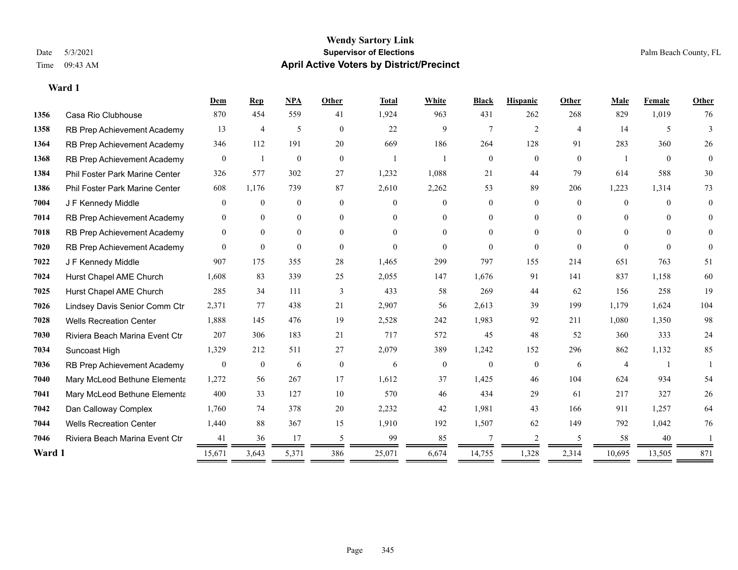#### **Wendy Sartory Link** Date 5/3/2021 **Supervisor of Elections** Palm Beach County, FL Time 09:43 AM **April Active Voters by District/Precinct**

## **Dem Rep NPA Other Total White Black Hispanic Other Male Female Other** Casa Rio Clubhouse 870 454 559 41 1,924 963 431 262 268 829 1,019 76 1358 RB Prep Achievement Academy 13 4 5 0 22 9 7 2 4 14 5 3 RB Prep Achievement Academy 346 112 191 20 669 186 264 128 91 283 360 26 RB Prep Achievement Academy 0 1 0 0 1 1 1 0 0 0 0 0 1 0 0 Phil Foster Park Marine Center 326 577 302 27 1,232 1,088 21 44 79 614 588 30 Phil Foster Park Marine Center 608 1,176 739 87 2,610 2,262 53 89 206 1,223 1,314 73 J F Kennedy Middle 0 0 0 0 0 0 0 0 0 0 0 0 RB Prep Achievement Academy 0 0 0 0 0 0 0 0 0 0 0 0 RB Prep Achievement Academy 0 0 0 0 0 0 0 0 0 0 0 0 RB Prep Achievement Academy 0 0 0 0 0 0 0 0 0 0 0 0 J F Kennedy Middle 907 175 355 28 1,465 299 797 155 214 651 763 51 Hurst Chapel AME Church 1,608 83 339 25 2,055 147 1,676 91 141 837 1,158 60 Hurst Chapel AME Church 285 34 111 3 433 58 269 44 62 156 258 19 Lindsey Davis Senior Comm Ctr 2,371 77 438 21 2,907 56 2,613 39 199 1,179 1,624 104 Wells Recreation Center 1,888 145 476 19 2,528 242 1,983 92 211 1,080 1,350 98 Riviera Beach Marina Event Ctr 207 306 183 21 717 572 45 48 52 360 333 24 Suncoast High 1,329 212 511 27 2,079 389 1,242 152 296 862 1,132 85 RB Prep Achievement Academy 0 0 0 6 0 0 6 0 0 0 0 6 4 1 1 Mary McLeod Bethune Elementary 1,272 56 267 17 1,612 37 1,425 46 104 624 934 54 **7041 Mary McLeod Bethune Elementa** 400 33 127 10 570 46 434 29 61 217 327 26 Dan Calloway Complex 1,760 74 378 20 2,232 42 1,981 43 166 911 1,257 64 Wells Recreation Center 1,440 88 367 15 1,910 192 1,507 62 149 792 1,042 76 **7046** Riviera Beach Marina Event Ctr  $\frac{41}{2}$   $\frac{36}{2}$   $\frac{17}{2}$   $\frac{5}{2}$   $\frac{99}{2}$   $\frac{85}{2}$   $\frac{7}{2}$   $\frac{2}{2}$   $\frac{5}{2}$   $\frac{58}{2}$   $\frac{40}{2}$   $\frac{1}{2}$ **Ward 1** 15,671 3,643 5,371 386 25,071 6,674 14,755 1,328 2,314 10,695 13,505 871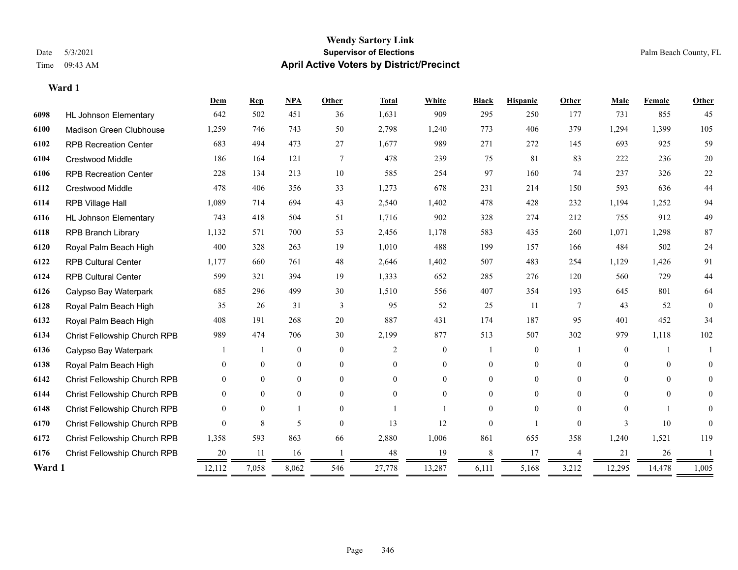|        |                                     | Dem      | <b>Rep</b>     | NPA              | Other          | <b>Total</b>   | White            | <b>Black</b>   | <b>Hispanic</b>  | Other          | Male           | Female   | Other          |
|--------|-------------------------------------|----------|----------------|------------------|----------------|----------------|------------------|----------------|------------------|----------------|----------------|----------|----------------|
| 6098   | <b>HL Johnson Elementary</b>        | 642      | 502            | 451              | 36             | 1,631          | 909              | 295            | 250              | 177            | 731            | 855      | 45             |
| 6100   | <b>Madison Green Clubhouse</b>      | 1,259    | 746            | 743              | 50             | 2,798          | 1,240            | 773            | 406              | 379            | 1,294          | 1,399    | 105            |
| 6102   | <b>RPB Recreation Center</b>        | 683      | 494            | 473              | 27             | 1,677          | 989              | 271            | 272              | 145            | 693            | 925      | 59             |
| 6104   | <b>Crestwood Middle</b>             | 186      | 164            | 121              | 7              | 478            | 239              | 75             | 81               | 83             | 222            | 236      | $20\,$         |
| 6106   | <b>RPB Recreation Center</b>        | 228      | 134            | 213              | 10             | 585            | 254              | 97             | 160              | 74             | 237            | 326      | $22\,$         |
| 6112   | <b>Crestwood Middle</b>             | 478      | 406            | 356              | 33             | 1,273          | 678              | 231            | 214              | 150            | 593            | 636      | 44             |
| 6114   | RPB Village Hall                    | 1,089    | 714            | 694              | 43             | 2,540          | 1,402            | 478            | 428              | 232            | 1,194          | 1,252    | 94             |
| 6116   | <b>HL Johnson Elementary</b>        | 743      | 418            | 504              | 51             | 1,716          | 902              | 328            | 274              | 212            | 755            | 912      | 49             |
| 6118   | <b>RPB Branch Library</b>           | 1,132    | 571            | 700              | 53             | 2,456          | 1,178            | 583            | 435              | 260            | 1,071          | 1,298    | 87             |
| 6120   | Royal Palm Beach High               | 400      | 328            | 263              | 19             | 1,010          | 488              | 199            | 157              | 166            | 484            | 502      | 24             |
| 6122   | <b>RPB Cultural Center</b>          | 1,177    | 660            | 761              | 48             | 2,646          | 1,402            | 507            | 483              | 254            | 1,129          | 1,426    | 91             |
| 6124   | <b>RPB Cultural Center</b>          | 599      | 321            | 394              | 19             | 1,333          | 652              | 285            | 276              | 120            | 560            | 729      | 44             |
| 6126   | Calypso Bay Waterpark               | 685      | 296            | 499              | 30             | 1,510          | 556              | 407            | 354              | 193            | 645            | 801      | 64             |
| 6128   | Royal Palm Beach High               | 35       | 26             | 31               | 3              | 95             | 52               | 25             | 11               | 7              | 43             | 52       | $\mathbf{0}$   |
| 6132   | Royal Palm Beach High               | 408      | 191            | 268              | 20             | 887            | 431              | 174            | 187              | 95             | 401            | 452      | 34             |
| 6134   | Christ Fellowship Church RPB        | 989      | 474            | 706              | 30             | 2,199          | 877              | 513            | 507              | 302            | 979            | 1,118    | 102            |
| 6136   | Calypso Bay Waterpark               |          |                | $\boldsymbol{0}$ | $\mathbf{0}$   | 2              | $\boldsymbol{0}$ |                | $\boldsymbol{0}$ |                | $\overline{0}$ |          |                |
| 6138   | Royal Palm Beach High               | $\Omega$ | $\overline{0}$ | $\overline{0}$   | $\overline{0}$ | $\theta$       | $\overline{0}$   | $\overline{0}$ | $\mathbf{0}$     | $\theta$       | $\theta$       | $\theta$ | $\overline{0}$ |
| 6142   | Christ Fellowship Church RPB        | 0        | $\overline{0}$ | $\overline{0}$   | $\theta$       | $\Omega$       | $\overline{0}$   | $\overline{0}$ | $\mathbf{0}$     | $\theta$       | $\theta$       | $\Omega$ | $\overline{0}$ |
| 6144   | <b>Christ Fellowship Church RPB</b> | 0        | $\overline{0}$ | $\overline{0}$   | $\theta$       | $\overline{0}$ | $\overline{0}$   | $\overline{0}$ | $\mathbf{0}$     | 0              | $\Omega$       | $\theta$ | $\overline{0}$ |
| 6148   | Christ Fellowship Church RPB        | $\Omega$ | $\overline{0}$ |                  | $\theta$       |                |                  | $\overline{0}$ | $\theta$         | $\Omega$       | $\Omega$       |          | $\overline{0}$ |
| 6170   | Christ Fellowship Church RPB        | $\theta$ | 8              | 5                | $\theta$       | 13             | 12               | $\theta$       |                  | $\Omega$       | 3              | 10       | $\mathbf{0}$   |
| 6172   | Christ Fellowship Church RPB        | 1,358    | 593            | 863              | 66             | 2,880          | 1,006            | 861            | 655              | 358            | 1,240          | 1,521    | 119            |
| 6176   | Christ Fellowship Church RPB        | 20       | 11             | 16               |                | 48             | 19               | 8              | 17               | $\overline{4}$ | 21             | 26       |                |
| Ward 1 |                                     | 12,112   | 7,058          | 8,062            | 546            | 27,778         | 13,287           | 6,111          | 5,168            | 3,212          | 12,295         | 14,478   | 1,005          |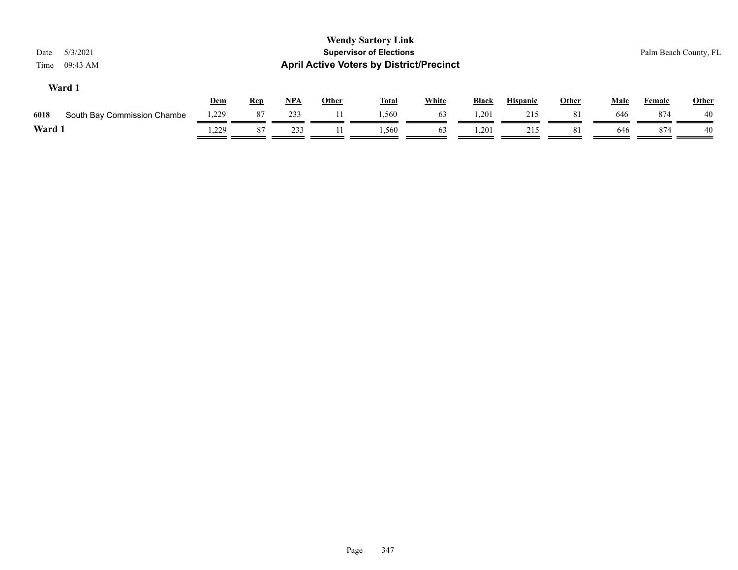| 5/3/2021<br>Date<br>09:43 AM<br>Time |       |            |     |              | <b>Wendy Sartory Link</b><br><b>Supervisor of Elections</b><br><b>April Active Voters by District/Precinct</b> |              |              |                 |       |             |        | Palm Beach County, FL |
|--------------------------------------|-------|------------|-----|--------------|----------------------------------------------------------------------------------------------------------------|--------------|--------------|-----------------|-------|-------------|--------|-----------------------|
| Ward 1                               | Dem   | <b>Rep</b> | NPA | <u>Other</u> | <b>Total</b>                                                                                                   | <b>White</b> | <b>Black</b> | <b>Hispanic</b> | Other | <b>Male</b> | Female | <b>Other</b>          |
| 6018<br>South Bay Commission Chambe  | 1,229 | 87         | 233 |              | 1.560                                                                                                          | 63           | 1,201        | 215             | 81    | 646         | 874    | 40                    |
| Ward 1                               | .229  | 87         | 233 |              | 1,560                                                                                                          | 63           | 1,201        | 215             | 81    | 646         | 874    | 40                    |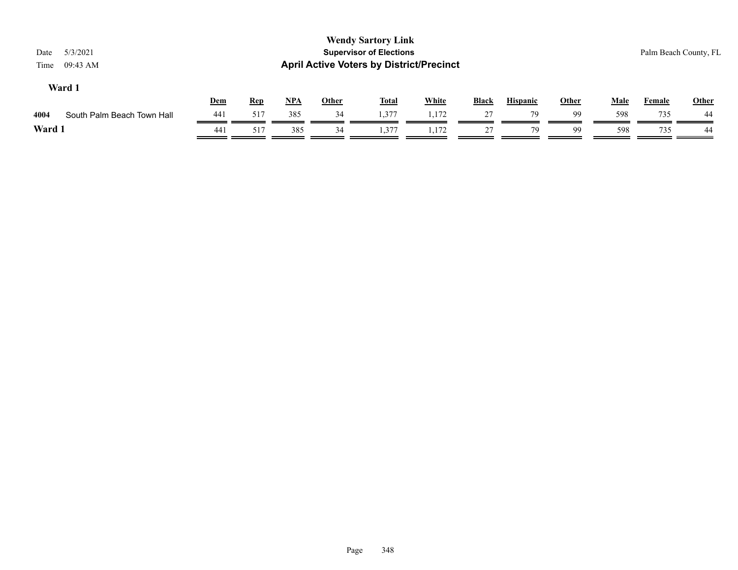| Date<br>Time | 5/3/2021<br>09:43 AM       |     |            |            |              | <b>Wendy Sartory Link</b><br><b>Supervisor of Elections</b><br><b>April Active Voters by District/Precinct</b> |              |              |                 |       |             |               | Palm Beach County, FL |
|--------------|----------------------------|-----|------------|------------|--------------|----------------------------------------------------------------------------------------------------------------|--------------|--------------|-----------------|-------|-------------|---------------|-----------------------|
|              | Ward 1                     | Dem | <b>Rep</b> | <u>NPA</u> | <u>Other</u> | <u>Total</u>                                                                                                   | <b>White</b> | <b>Black</b> | <b>Hispanic</b> | Other | <u>Male</u> | <b>Female</b> | <b>Other</b>          |
| 4004         | South Palm Beach Town Hall | 441 | 517        | 385        | 34           | 1,377                                                                                                          | 1,172        | 27           | 79              | 99    | 598         | 735           | 44                    |
| Ward 1       |                            | 441 | 517        | 385        | 34           | 1,377                                                                                                          | 1.172        | 27           | 79              | 99    | 598         | 735           | 44                    |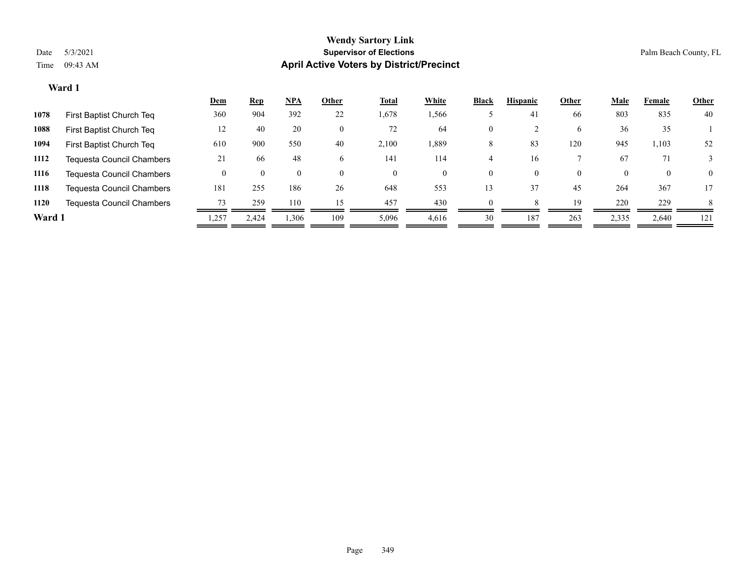|        |                                  | <u>Dem</u> | <b>Rep</b> | $NPA$        | Other    | <b>Total</b> | White    | <b>Black</b> | <b>Hispanic</b> | Other    | <b>Male</b> | Female       | <b>Other</b> |
|--------|----------------------------------|------------|------------|--------------|----------|--------------|----------|--------------|-----------------|----------|-------------|--------------|--------------|
| 1078   | First Baptist Church Teq         | 360        | 904        | 392          | 22       | 1,678        | 1,566    |              | 41              | 66       | 803         | 835          | 40           |
| 1088   | First Baptist Church Teq         | 12         | 40         | 20           |          | 72           | 64       | $\mathbf{0}$ |                 | 6        | 36          | 35           |              |
| 1094   | First Baptist Church Teq         | 610        | 900        | 550          | 40       | 2,100        | 1,889    | 8            | 83              | 120      | 945         | 1,103        | 52           |
| 1112   | <b>Tequesta Council Chambers</b> | 21         | -66        | 48           | b.       | 141          | 114      |              | 16              |          | 67          | 71           |              |
| 1116   | <b>Tequesta Council Chambers</b> |            |            | $\mathbf{U}$ | $\theta$ | $\Omega$     | $\left($ | $\Omega$     | $\Omega$        | $\Omega$ |             | $\mathbf{0}$ | $\Omega$     |
| 1118   | <b>Tequesta Council Chambers</b> | 181        | 255        | 186          | 26       | 648          | 553      | 13           | 37              | 45       | 264         | 367          | 17           |
| 1120   | Tequesta Council Chambers        | 73         | 259        | 110          | 15       | 457          | 430      | $\Omega$     |                 | 19       | 220         | 229          | 8            |
| Ward 1 |                                  | 1,257      | 2.424      | 1,306        | 109      | 5,096        | 4,616    | 30           | 187             | 263      | 2,335       | 2,640        | 121          |
|        |                                  |            |            |              |          |              |          |              |                 |          |             |              |              |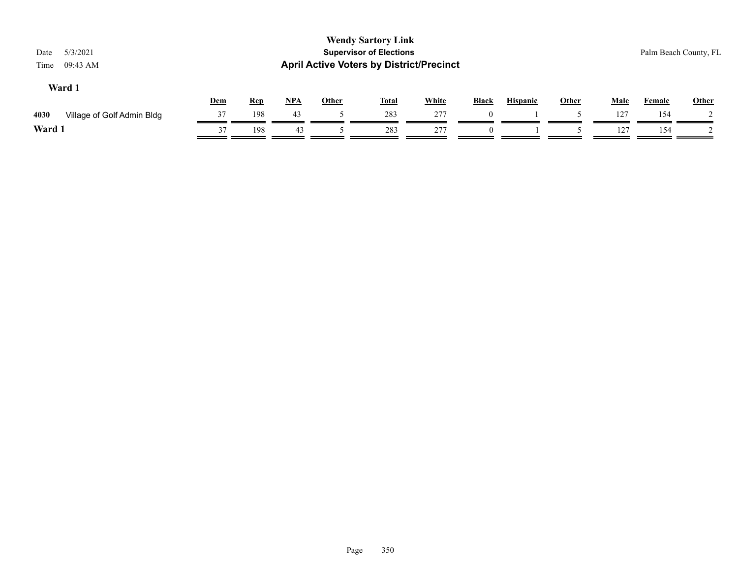| 5/3/2021<br>Date<br>09:43 AM<br>Time |     |            | <b>Wendy Sartory Link</b><br><b>Supervisor of Elections</b><br><b>April Active Voters by District/Precinct</b> |              |              |              |              |                 |       |             |               | Palm Beach County, FL |  |
|--------------------------------------|-----|------------|----------------------------------------------------------------------------------------------------------------|--------------|--------------|--------------|--------------|-----------------|-------|-------------|---------------|-----------------------|--|
| Ward 1                               | Dem | <b>Rep</b> | $NPA$                                                                                                          | <b>Other</b> | <b>Total</b> | <b>White</b> | <b>Black</b> | <b>Hispanic</b> | Other | <b>Male</b> | <b>Female</b> | <b>Other</b>          |  |
| 4030<br>Village of Golf Admin Bldg   | 37  | 198        | 43                                                                                                             |              | 283          | 277          |              |                 |       | 127         | 154           |                       |  |
| Ward 1                               | 37  | 198        | 43                                                                                                             |              | 283          | 277          | $\Omega$     |                 |       | 127         | 154           |                       |  |
|                                      |     |            |                                                                                                                |              |              |              |              |                 |       |             |               |                       |  |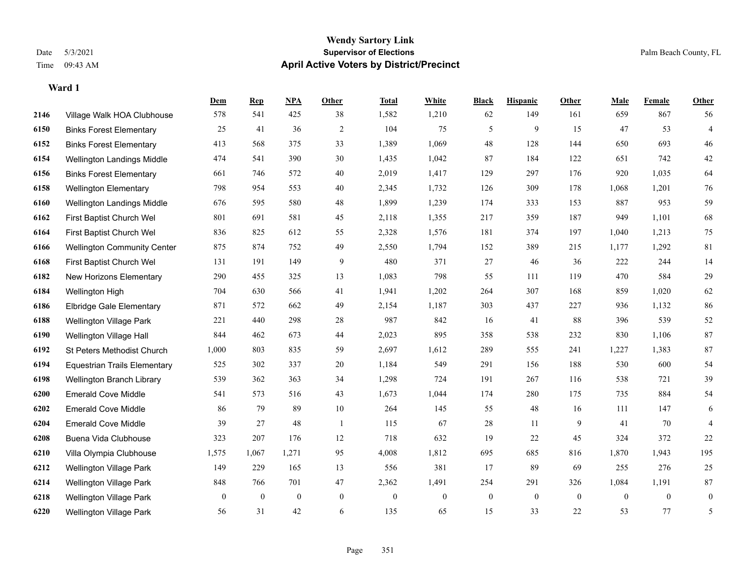#### **Wendy Sartory Link** Date 5/3/2021 **Supervisor of Elections** Palm Beach County, FL Time 09:43 AM **April Active Voters by District/Precinct**

**Dem Rep NPA Other Total White Black Hispanic Other Male Female Other**

## Village Walk HOA Clubhouse 578 541 425 38 1,582 1,210 62 149 161 659 867 56 Binks Forest Elementary 25 41 36 2 104 75 5 9 15 47 53 4 Binks Forest Elementary 413 568 375 33 1,389 1,069 48 128 144 650 693 46 Wellington Landings Middle 474 541 390 30 1,435 1,042 87 184 122 651 742 42 Binks Forest Elementary 661 746 572 40 2,019 1,417 129 297 176 920 1,035 64 Wellington Elementary 798 954 553 40 2,345 1,732 126 309 178 1,068 1,201 76 Wellington Landings Middle 676 595 580 48 1,899 1,239 174 333 153 887 953 59 First Baptist Church Wel 801 691 581 45 2,118 1,355 217 359 187 949 1,101 68 First Baptist Church Wel 836 825 612 55 2,328 1,576 181 374 197 1,040 1,213 75 Wellington Community Center 875 874 752 49 2,550 1,794 152 389 215 1,177 1,292 81 First Baptist Church Wel 131 191 149 9 480 371 27 46 36 222 244 14 New Horizons Elementary 290 455 325 13 1,083 798 55 111 119 470 584 29 Wellington High 704 630 566 41 1,941 1,202 264 307 168 859 1,020 62 Elbridge Gale Elementary 871 572 662 49 2,154 1,187 303 437 227 936 1,132 86 Wellington Village Park 221 440 298 28 987 842 16 41 88 396 539 52 Wellington Village Hall 844 462 673 44 2,023 895 358 538 232 830 1,106 87 St Peters Methodist Church 1,000 803 835 59 2,697 1,612 289 555 241 1,227 1,383 87 Equestrian Trails Elementary 525 302 337 20 1,184 549 291 156 188 530 600 54 Wellington Branch Library 539 362 363 34 1,298 724 191 267 116 538 721 39 Emerald Cove Middle 541 573 516 43 1,673 1,044 174 280 175 735 884 54 Emerald Cove Middle 86 79 89 10 264 145 55 48 16 111 147 6 Emerald Cove Middle 39 27 48 1 115 67 28 11 9 41 70 4

 Buena Vida Clubhouse 323 207 176 12 718 632 19 22 45 324 372 22 Villa Olympia Clubhouse 1,575 1,067 1,271 95 4,008 1,812 695 685 816 1,870 1,943 195 Wellington Village Park 149 229 165 13 556 381 17 89 69 255 276 25 Wellington Village Park 848 766 701 47 2,362 1,491 254 291 326 1,084 1,191 87 Wellington Village Park 0 0 0 0 0 0 0 0 0 0 0 0 Wellington Village Park 56 31 42 6 135 65 15 33 22 53 77 5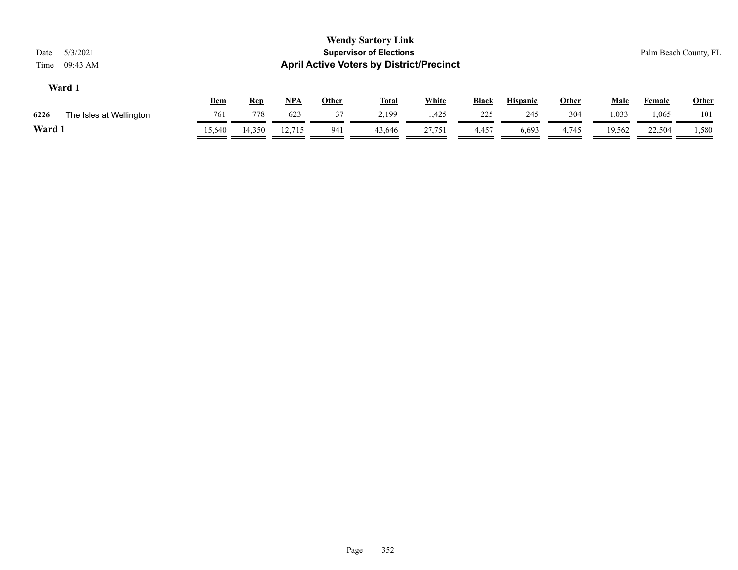| <b>Wendy Sartory Link</b><br><b>Supervisor of Elections</b><br>5/3/2021<br>Date<br><b>April Active Voters by District/Precinct</b><br>09:43 AM<br>Time |               |               |               |              |                 |                 |              |                 |              |                 |                 | Palm Beach County, FL |  |  |
|--------------------------------------------------------------------------------------------------------------------------------------------------------|---------------|---------------|---------------|--------------|-----------------|-----------------|--------------|-----------------|--------------|-----------------|-----------------|-----------------------|--|--|
| Ward 1                                                                                                                                                 | Dem           | <b>Rep</b>    | <u>NPA</u>    | <b>Other</b> | <u>Total</u>    | <b>White</b>    | <b>Black</b> | <b>Hispanic</b> | Other        | <b>Male</b>     | Female          | <b>Other</b>          |  |  |
| 6226<br>The Isles at Wellington<br>Ward 1                                                                                                              | 761<br>15.640 | 778<br>14,350 | 623<br>12.715 | 37<br>941    | 2,199<br>43,646 | 1,425<br>27,751 | 225<br>4,457 | 245<br>6,693    | 304<br>4,745 | 1,033<br>19,562 | 1,065<br>22,504 | 101<br>1,580          |  |  |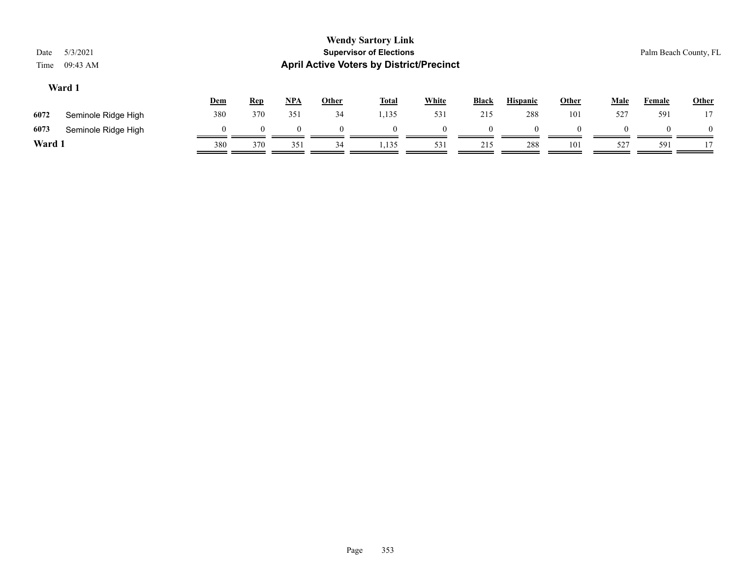| <b>Wendy Sartory Link</b><br>5/3/2021<br><b>Supervisor of Elections</b><br>Date |                     |            |            |            |              |                                                 |              |              |                 |              |             | Palm Beach County, FL |          |  |  |
|---------------------------------------------------------------------------------|---------------------|------------|------------|------------|--------------|-------------------------------------------------|--------------|--------------|-----------------|--------------|-------------|-----------------------|----------|--|--|
| Time                                                                            | 09:43 AM            |            |            |            |              | <b>April Active Voters by District/Precinct</b> |              |              |                 |              |             |                       |          |  |  |
|                                                                                 | Ward 1              | <u>Dem</u> | <b>Rep</b> | <u>NPA</u> | <b>Other</b> | <u>Total</u>                                    | <b>White</b> | <b>Black</b> | <b>Hispanic</b> | <b>Other</b> | <b>Male</b> | <b>Female</b>         | Other    |  |  |
| 6072                                                                            | Seminole Ridge High | 380        | 370        | 351        | 34           | 1,135                                           | 531          | 215          | 288             | 101          | 527         | 591                   |          |  |  |
| 6073                                                                            | Seminole Ridge High | $\theta$   | $\theta$   | $\Omega$   | $\theta$     | $\Omega$                                        | $\theta$     | $\theta$     | $\theta$        | $\Omega$     | 0           |                       | $\Omega$ |  |  |

**Ward 1** 380 370 351 34 1,135 531 215 288 101 527 591 17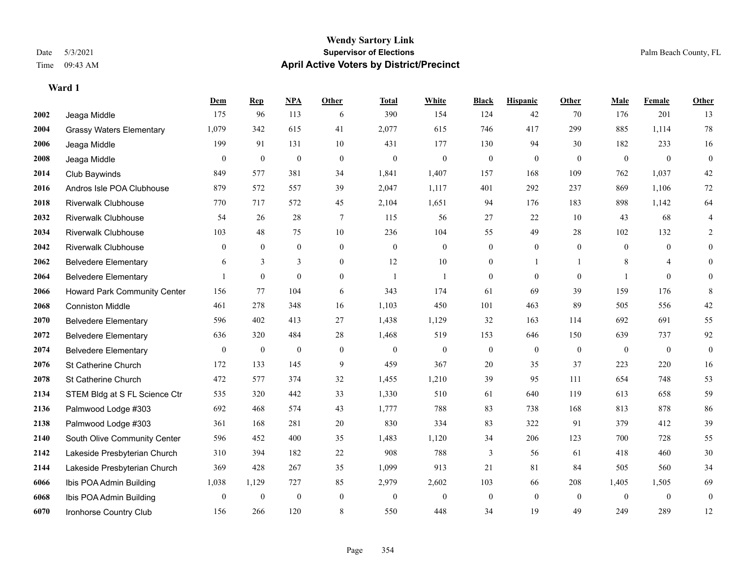|      |                                 | <b>Dem</b>   | <b>Rep</b>       | NPA              | <b>Other</b>     | <b>Total</b>     | <b>White</b>     | <b>Black</b>     | <b>Hispanic</b>  | <b>Other</b>   | <b>Male</b>  | Female           | Other            |
|------|---------------------------------|--------------|------------------|------------------|------------------|------------------|------------------|------------------|------------------|----------------|--------------|------------------|------------------|
| 2002 | Jeaga Middle                    | 175          | 96               | 113              | 6                | 390              | 154              | 124              | 42               | 70             | 176          | 201              | 13               |
| 2004 | <b>Grassy Waters Elementary</b> | 1,079        | 342              | 615              | 41               | 2,077            | 615              | 746              | 417              | 299            | 885          | 1,114            | 78               |
| 2006 | Jeaga Middle                    | 199          | 91               | 131              | 10               | 431              | 177              | 130              | 94               | 30             | 182          | 233              | 16               |
| 2008 | Jeaga Middle                    | $\mathbf{0}$ | $\boldsymbol{0}$ | $\bf{0}$         | $\mathbf{0}$     | $\boldsymbol{0}$ | $\mathbf{0}$     | $\boldsymbol{0}$ | $\overline{0}$   | $\mathbf{0}$   | $\mathbf{0}$ | $\boldsymbol{0}$ | $\boldsymbol{0}$ |
| 2014 | Club Baywinds                   | 849          | 577              | 381              | 34               | 1,841            | 1,407            | 157              | 168              | 109            | 762          | 1,037            | 42               |
| 2016 | Andros Isle POA Clubhouse       | 879          | 572              | 557              | 39               | 2,047            | 1,117            | 401              | 292              | 237            | 869          | 1,106            | 72               |
| 2018 | <b>Riverwalk Clubhouse</b>      | 770          | 717              | 572              | 45               | 2,104            | 1,651            | 94               | 176              | 183            | 898          | 1,142            | 64               |
| 2032 | <b>Riverwalk Clubhouse</b>      | 54           | 26               | 28               | 7                | 115              | 56               | 27               | 22               | 10             | 43           | 68               |                  |
| 2034 | <b>Riverwalk Clubhouse</b>      | 103          | 48               | 75               | 10               | 236              | 104              | 55               | 49               | 28             | 102          | 132              | 2                |
| 2042 | <b>Riverwalk Clubhouse</b>      | $\theta$     | $\overline{0}$   | $\boldsymbol{0}$ | $\boldsymbol{0}$ | $\mathbf{0}$     | $\overline{0}$   | $\boldsymbol{0}$ | $\boldsymbol{0}$ | $\mathbf{0}$   | $\mathbf{0}$ | $\mathbf{0}$     | $\overline{0}$   |
| 2062 | <b>Belvedere Elementary</b>     | 6            | 3                | 3                | $\theta$         | 12               | 10               | $\mathbf{0}$     | 1                |                | 8            | 4                | $\theta$         |
| 2064 | <b>Belvedere Elementary</b>     |              | $\mathbf{0}$     | $\overline{0}$   | $\boldsymbol{0}$ | -1               |                  | $\mathbf{0}$     | $\overline{0}$   | $\mathbf{0}$   |              | $\mathbf{0}$     | $\mathbf{0}$     |
| 2066 | Howard Park Community Center    | 156          | 77               | 104              | 6                | 343              | 174              | 61               | 69               | 39             | 159          | 176              | 8                |
| 2068 | <b>Conniston Middle</b>         | 461          | 278              | 348              | 16               | 1,103            | 450              | 101              | 463              | 89             | 505          | 556              | 42               |
| 2070 | <b>Belvedere Elementary</b>     | 596          | 402              | 413              | 27               | 1,438            | 1,129            | 32               | 163              | 114            | 692          | 691              | 55               |
| 2072 | <b>Belvedere Elementary</b>     | 636          | 320              | 484              | $28\,$           | 1,468            | 519              | 153              | 646              | 150            | 639          | 737              | 92               |
| 2074 | <b>Belvedere Elementary</b>     | $\mathbf{0}$ | $\bf{0}$         | $\bf{0}$         | $\mathbf{0}$     | $\boldsymbol{0}$ | $\boldsymbol{0}$ | $\boldsymbol{0}$ | $\boldsymbol{0}$ | $\overline{0}$ | $\bf{0}$     | $\mathbf{0}$     | $\boldsymbol{0}$ |
| 2076 | St Catherine Church             | 172          | 133              | 145              | 9                | 459              | 367              | $20\,$           | 35               | 37             | 223          | 220              | 16               |
| 2078 | St Catherine Church             | 472          | 577              | 374              | 32               | 1,455            | 1,210            | 39               | 95               | 111            | 654          | 748              | 53               |
| 2134 | STEM Bldg at S FL Science Ctr   | 535          | 320              | 442              | 33               | 1,330            | 510              | 61               | 640              | 119            | 613          | 658              | 59               |
| 2136 | Palmwood Lodge #303             | 692          | 468              | 574              | 43               | 1,777            | 788              | 83               | 738              | 168            | 813          | 878              | 86               |
| 2138 | Palmwood Lodge #303             | 361          | 168              | 281              | 20               | 830              | 334              | 83               | 322              | 91             | 379          | 412              | 39               |
| 2140 | South Olive Community Center    | 596          | 452              | 400              | 35               | 1,483            | 1,120            | 34               | 206              | 123            | 700          | 728              | 55               |
| 2142 | Lakeside Presbyterian Church    | 310          | 394              | 182              | 22               | 908              | 788              | 3                | 56               | 61             | 418          | 460              | 30               |
| 2144 | Lakeside Presbyterian Church    | 369          | 428              | 267              | 35               | 1,099            | 913              | 21               | 81               | 84             | 505          | 560              | 34               |
| 6066 | Ibis POA Admin Building         | 1,038        | 1,129            | 727              | 85               | 2,979            | 2,602            | 103              | 66               | 208            | 1,405        | 1,505            | 69               |
| 6068 | Ibis POA Admin Building         | $\theta$     | $\mathbf{0}$     | $\mathbf{0}$     | $\mathbf{0}$     | $\mathbf{0}$     | $\theta$         | $\mathbf{0}$     | $\Omega$         | $\theta$       | $\Omega$     | $\theta$         | $\mathbf{0}$     |
| 6070 | Ironhorse Country Club          | 156          | 266              | 120              | 8                | 550              | 448              | 34               | 19               | 49             | 249          | 289              | 12               |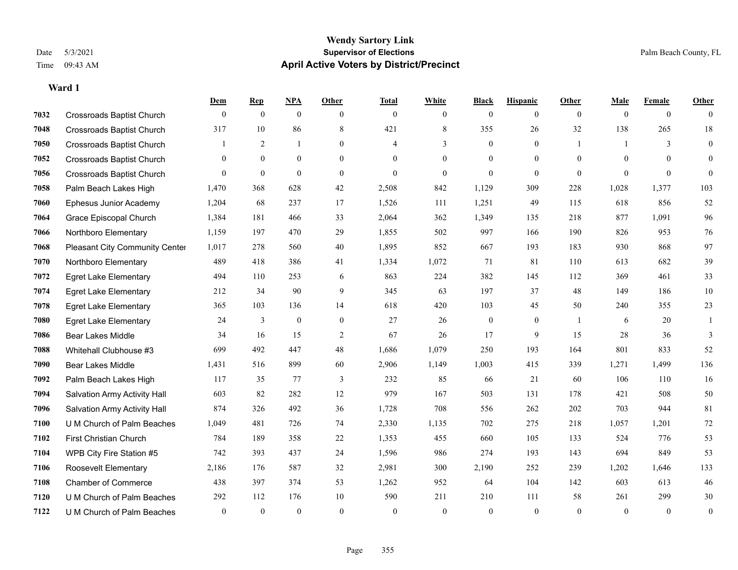#### **Wendy Sartory Link** Date 5/3/2021 **Supervisor of Elections** Palm Beach County, FL Time 09:43 AM **April Active Voters by District/Precinct**

## **Dem Rep NPA Other Total White Black Hispanic Other Male Female Other** Crossroads Baptist Church 0 0 0 0 0 0 0 0 0 0 0 0 Crossroads Baptist Church 317 10 86 8 421 8 355 26 32 138 265 18 Crossroads Baptist Church 1 2 1 0 4 3 0 1 1 3 0 Crossroads Baptist Church 0 0 0 0 0 0 0 0 0 0 0 0 Crossroads Baptist Church 0 0 0 0 0 0 0 0 0 0 0 0 Palm Beach Lakes High 1,470 368 628 42 2,508 842 1,129 309 228 1,028 1,377 103 Ephesus Junior Academy 1,204 68 237 17 1,526 111 1,251 49 115 618 856 52 Grace Episcopal Church 1,384 181 466 33 2,064 362 1,349 135 218 877 1,091 96 Northboro Elementary 1,159 197 470 29 1,855 502 997 166 190 826 953 76 Pleasant City Community Center 1,017 278 560 40 1,895 852 667 193 183 930 868 97 Northboro Elementary 489 418 386 41 1,334 1,072 71 81 110 613 682 39 Egret Lake Elementary 494 110 253 6 863 224 382 145 112 369 461 33 Egret Lake Elementary 212 34 90 9 345 63 197 37 48 149 186 10 Egret Lake Elementary 365 103 136 14 618 420 103 45 50 240 355 23 Egret Lake Elementary 24 3 0 0 27 26 0 0 1 6 20 1 Bear Lakes Middle 34 16 15 2 67 26 17 9 15 28 36 3 Whitehall Clubhouse #3 699 492 447 48 1,686 1,079 250 193 164 801 833 52 Bear Lakes Middle 1,431 516 899 60 2,906 1,149 1,003 415 339 1,271 1,499 136 Palm Beach Lakes High 117 35 77 3 232 85 66 21 60 106 110 16 Salvation Army Activity Hall 603 82 282 12 979 167 503 131 178 421 508 50 Salvation Army Activity Hall 874 326 492 36 1,728 708 556 262 202 703 944 81 U M Church of Palm Beaches 1,049 481 726 74 2,330 1,135 702 275 218 1,057 1,201 72 First Christian Church 784 189 358 22 1,353 455 660 105 133 524 776 53 WPB City Fire Station #5 742 393 437 24 1,596 986 274 193 143 694 849 53 Roosevelt Elementary 2,186 176 587 32 2,981 300 2,190 252 239 1,202 1,646 133 Chamber of Commerce 438 397 374 53 1,262 952 64 104 142 603 613 46 U M Church of Palm Beaches 292 112 176 10 590 211 210 111 58 261 299 30 U M Church of Palm Beaches 0 0 0 0 0 0 0 0 0 0 0 0